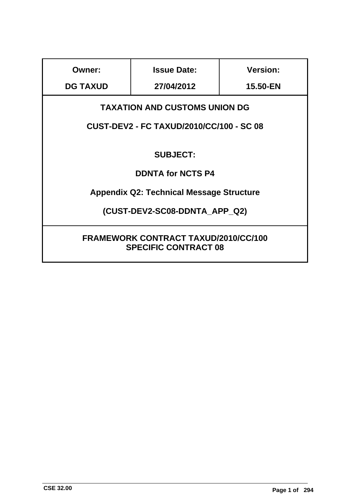| Owner:                                                                     | <b>Issue Date:</b> | <b>Version:</b> |  |  |
|----------------------------------------------------------------------------|--------------------|-----------------|--|--|
| <b>DG TAXUD</b>                                                            | 27/04/2012         | 15.50-EN        |  |  |
| <b>TAXATION AND CUSTOMS UNION DG</b>                                       |                    |                 |  |  |
| <b>CUST-DEV2 - FC TAXUD/2010/CC/100 - SC 08</b>                            |                    |                 |  |  |
| <b>SUBJECT:</b>                                                            |                    |                 |  |  |
| <b>DDNTA for NCTS P4</b>                                                   |                    |                 |  |  |
| <b>Appendix Q2: Technical Message Structure</b>                            |                    |                 |  |  |
| (CUST-DEV2-SC08-DDNTA APP Q2)                                              |                    |                 |  |  |
| <b>FRAMEWORK CONTRACT TAXUD/2010/CC/100</b><br><b>SPECIFIC CONTRACT 08</b> |                    |                 |  |  |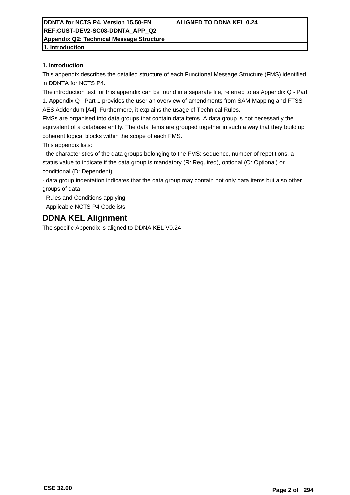# **REF:CUST-DEV2-SC08-DDNTA\_APP\_Q2**

**Appendix Q2: Technical Message Structure**

**1. Introduction**

#### **1. Introduction**

This appendix describes the detailed structure of each Functional Message Structure (FMS) identified in DDNTA for NCTS P4.

The introduction text for this appendix can be found in a separate file, referred to as Appendix Q - Part 1. Appendix Q - Part 1 provides the user an overview of amendments from SAM Mapping and FTSS-AES Addendum [A4]. Furthermore, it explains the usage of Technical Rules.

FMSs are organised into data groups that contain data items. A data group is not necessarily the equivalent of a database entity. The data items are grouped together in such a way that they build up coherent logical blocks within the scope of each FMS.

This appendix lists:

- the characteristics of the data groups belonging to the FMS: sequence, number of repetitions, a status value to indicate if the data group is mandatory (R: Required), optional (O: Optional) or conditional (D: Dependent)

- data group indentation indicates that the data group may contain not only data items but also other groups of data

- Rules and Conditions applying

- Applicable NCTS P4 Codelists

# **DDNA KEL Alignment**

The specific Appendix is aligned to DDNA KEL V0.24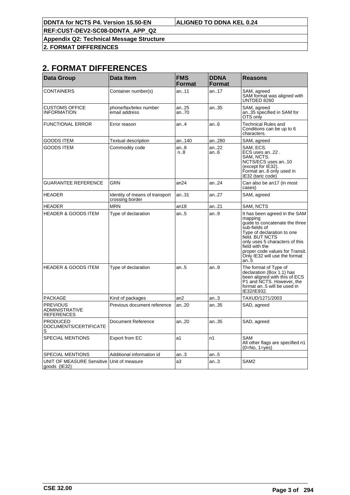**REF:CUST-DEV2-SC08-DDNTA\_APP\_Q2**

**Appendix Q2: Technical Message Structure**

**2. FORMAT DIFFERENCES**

# **2. FORMAT DIFFERENCES**

| <b>Data Group</b>                                         | <b>Data Item</b>                                  | <b>FMS</b><br>Format | <b>DDNA</b><br><b>Format</b> | <b>Reasons</b>                                                                                                                                                                                                                                                               |
|-----------------------------------------------------------|---------------------------------------------------|----------------------|------------------------------|------------------------------------------------------------------------------------------------------------------------------------------------------------------------------------------------------------------------------------------------------------------------------|
| <b>CONTAINERS</b>                                         | Container number(s)                               | an11                 | an17                         | SAM, agreed<br>SAM format was aligned with<br><b>UNTDED 8260</b>                                                                                                                                                                                                             |
| CUSTOMS OFFICE<br><b>INFORMATION</b>                      | phone/fax/telex number<br>email address           | an25<br>an70         | an35                         | SAM, agreed<br>an35 specified in SAM for<br>OTS only                                                                                                                                                                                                                         |
| <b>FUNCTIONAL ERROR</b>                                   | Error reason                                      | an4                  | an6                          | Technical Rules and<br>Conditions can be up to 6<br>characters.                                                                                                                                                                                                              |
| GOODS ITEM                                                | Textual description                               | an140                | an280                        | SAM, agreed                                                                                                                                                                                                                                                                  |
| <b>GOODS ITEM</b>                                         | Commodity code                                    | an8<br>n.8           | an22<br>an6                  | SAM, ECS.<br>ECS uses an22.<br>SAM. NCTS.<br>NCTS/ECS uses an10<br>(except for IE32).<br>Format an6 only used in<br>IE32 (taric code)                                                                                                                                        |
| <b>GUARANTEE REFERENCE</b>                                | GRN                                               | an24                 | an.24                        | Can also be an17 (in most<br>cases)                                                                                                                                                                                                                                          |
| <b>HEADER</b>                                             | Identity of means of transport<br>crossing border | an31                 | an27                         | SAM, agreed                                                                                                                                                                                                                                                                  |
| HEADER                                                    | MRN                                               | an18                 | an21                         | SAM. NCTS                                                                                                                                                                                                                                                                    |
| <b>HEADER &amp; GOODS ITEM</b>                            | Type of declaration                               | an5                  | an9                          | It has been agreed in the SAM<br>mapping<br>guide to concatenate the three<br>sub-fields of<br>Type of declaration to one<br>field. BUT NCTS<br>only uses 5 characters of this<br>field with the<br>proper code values for Transit.<br>Only IE32 will use the format<br>an.5 |
| <b>HEADER &amp; GOODS ITEM</b>                            | Type of declaration                               | an.5                 | an9                          | The format of Type of<br>declaration (Box 1.1) has<br>been aligned with this of ECS<br>P1 and NCTS. However, the<br>format an5 will be used in<br>IE32/IE932.                                                                                                                |
| <b>PACKAGE</b>                                            | Kind of packages                                  | an2                  | an.3                         | TAXUD/1271/2003                                                                                                                                                                                                                                                              |
| <b>PREVIOUS</b><br>ADMINISTRATIVE<br>REFERENCES           | Previous document reference                       | an.20                | an35                         | SAD, agreed                                                                                                                                                                                                                                                                  |
| <b>PRODUCED</b><br>DOCUMENTS/CERTIFICATE<br>S             | Document Reference                                | an20                 | an35                         | SAD, agreed                                                                                                                                                                                                                                                                  |
| <b>SPECIAL MENTIONS</b>                                   | Export from EC                                    | a1                   | n1                           | <b>SAM</b><br>All other flags are specified n1<br>(0=No, 1=yes)                                                                                                                                                                                                              |
| <b>SPECIAL MENTIONS</b>                                   | Additional information id                         | an3                  | an.5                         |                                                                                                                                                                                                                                                                              |
| UNIT OF MEASURE Sensitive Unit of measure<br>goods (IE32) |                                                   | a3                   | an.3                         | SAM2                                                                                                                                                                                                                                                                         |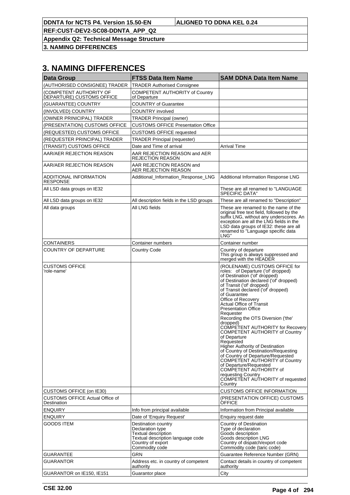**REF:CUST-DEV2-SC08-DDNTA\_APP\_Q2**

**Appendix Q2: Technical Message Structure**

**3. NAMING DIFFERENCES**

# **3. NAMING DIFFERENCES**

| Data Group                                            | <b>FTSS Data Item Name</b>                                                                                                                                                     | <b>SAM DDNA Data Item Name</b>                                                                                                                                                                                                                                                                                                                                                                                                                                                                                                                                                                                                                                                                                                                                                      |
|-------------------------------------------------------|--------------------------------------------------------------------------------------------------------------------------------------------------------------------------------|-------------------------------------------------------------------------------------------------------------------------------------------------------------------------------------------------------------------------------------------------------------------------------------------------------------------------------------------------------------------------------------------------------------------------------------------------------------------------------------------------------------------------------------------------------------------------------------------------------------------------------------------------------------------------------------------------------------------------------------------------------------------------------------|
| (AUTHORISED CONSIGNEE) TRADER                         | <b>TRADER Authorised Consignee</b>                                                                                                                                             |                                                                                                                                                                                                                                                                                                                                                                                                                                                                                                                                                                                                                                                                                                                                                                                     |
| (COMPETENT AUTHORITY OF<br>DEPARTURE) CUSTOMS OFFICE  | <b>COMPETENT AUTHORITY of Country</b><br>of Departure                                                                                                                          |                                                                                                                                                                                                                                                                                                                                                                                                                                                                                                                                                                                                                                                                                                                                                                                     |
| (GUARANTEE) COUNTRY                                   | <b>COUNTRY of Guarantee</b>                                                                                                                                                    |                                                                                                                                                                                                                                                                                                                                                                                                                                                                                                                                                                                                                                                                                                                                                                                     |
| (INVOLVED) COUNTRY                                    | <b>COUNTRY</b> involved                                                                                                                                                        |                                                                                                                                                                                                                                                                                                                                                                                                                                                                                                                                                                                                                                                                                                                                                                                     |
| (OWNER PRINICIPAL) TRADER                             | <b>TRADER Principal (owner)</b>                                                                                                                                                |                                                                                                                                                                                                                                                                                                                                                                                                                                                                                                                                                                                                                                                                                                                                                                                     |
| (PRESENTATION) CUSTOMS OFFICE                         | <b>CUSTOMS OFFICE Presentation Office</b>                                                                                                                                      |                                                                                                                                                                                                                                                                                                                                                                                                                                                                                                                                                                                                                                                                                                                                                                                     |
| (REQUESTED) CUSTOMS OFFICE                            | <b>CUSTOMS OFFICE requested</b>                                                                                                                                                |                                                                                                                                                                                                                                                                                                                                                                                                                                                                                                                                                                                                                                                                                                                                                                                     |
| (REQUESTER PRINCIPAL) TRADER                          | <b>TRADER Principal (requester)</b>                                                                                                                                            |                                                                                                                                                                                                                                                                                                                                                                                                                                                                                                                                                                                                                                                                                                                                                                                     |
| (TRANSIT) CUSTOMS OFFICE                              | Date and Time of arrival                                                                                                                                                       | <b>Arrival Time</b>                                                                                                                                                                                                                                                                                                                                                                                                                                                                                                                                                                                                                                                                                                                                                                 |
| AAR/AER REJECTION REASON                              | AAR REJECTION REASON and AER<br><b>REJECTION REASON</b>                                                                                                                        |                                                                                                                                                                                                                                                                                                                                                                                                                                                                                                                                                                                                                                                                                                                                                                                     |
| AAR/AER REJECTION REASON                              | AAR REJECTION REASON and<br>AER REJECTION REASON                                                                                                                               |                                                                                                                                                                                                                                                                                                                                                                                                                                                                                                                                                                                                                                                                                                                                                                                     |
| ADDITIONAL INFORMATION<br><b>RESPONSE</b>             | Additional_Information_Response_LNG                                                                                                                                            | Additional Information Response LNG                                                                                                                                                                                                                                                                                                                                                                                                                                                                                                                                                                                                                                                                                                                                                 |
| All LSD data groups on IE32                           |                                                                                                                                                                                | These are all renamed to "LANGUAGE<br><b>SPECIFIC DATA"</b>                                                                                                                                                                                                                                                                                                                                                                                                                                                                                                                                                                                                                                                                                                                         |
| All LSD data groups on IE32                           | All description fields in the LSD groups                                                                                                                                       | These are all renamed to "Description"                                                                                                                                                                                                                                                                                                                                                                                                                                                                                                                                                                                                                                                                                                                                              |
| All data groups                                       | All LNG fields                                                                                                                                                                 | These are renamed to the name of the<br>original free text field, followed by the<br>suffix LNG, without any underscores. An<br>exception are all the LNG fields in the<br>LSD data groups of IE32: these are all<br>renamed to "Language specific data<br>LNG"                                                                                                                                                                                                                                                                                                                                                                                                                                                                                                                     |
| <b>CONTAINERS</b>                                     | Container numbers                                                                                                                                                              | Container number                                                                                                                                                                                                                                                                                                                                                                                                                                                                                                                                                                                                                                                                                                                                                                    |
| <b>COUNTRY OF DEPARTURE</b>                           | <b>Country Code</b>                                                                                                                                                            | Country of departure<br>This group is always suppressed and<br>merged with the HEADER                                                                                                                                                                                                                                                                                                                                                                                                                                                                                                                                                                                                                                                                                               |
| <b>CUSTOMS OFFICE</b><br>'role-name'                  |                                                                                                                                                                                | (ROLENAME) CUSTOMS OFFICE for<br>roles: of Departure ('of' dropped)<br>of Destination ('of' dropped)<br>of Destination declared ('of' dropped)<br>of Transit ('of' dropped)<br>of Transit declared ('of' dropped)<br>of Guarantee<br>Office of Recovery<br><b>Actual Office of Transit</b><br><b>Presentation Office</b><br>Requester<br>Recording the OTS Diversion ('the'<br>dropped)<br>COMPETENT AUTHORITY for Recovery<br><b>COMPETENT AUTHORITY of Country</b><br>of Departure<br>Requested<br><b>Higher Authority of Destination</b><br>of Country of Destination/Requesting<br>of Country of Departure/Requested<br>COMPETENT AUTHORITY of Country<br>of Departure/Requested<br>COMPETENT AUTHORITY of<br>requesting Country<br>COMPETENT AUTHORITY of requested<br>Country |
| CUSTOMS OFFICE (on IE30)                              |                                                                                                                                                                                | <b>CUSTOMS OFFICE INFORMATION</b>                                                                                                                                                                                                                                                                                                                                                                                                                                                                                                                                                                                                                                                                                                                                                   |
| <b>CUSTOMS OFFICE Actual Office of</b><br>Destination |                                                                                                                                                                                | (PRESENTATION OFFICE) CUSTOMS<br>OFFICE                                                                                                                                                                                                                                                                                                                                                                                                                                                                                                                                                                                                                                                                                                                                             |
| <b>ENQUIRY</b>                                        | Info from principal available                                                                                                                                                  | Information from Principal available                                                                                                                                                                                                                                                                                                                                                                                                                                                                                                                                                                                                                                                                                                                                                |
| <b>ENQUIRY</b><br>GOODS ITEM                          | Date of 'Enguiry Request'<br>Destination country<br>Declaration type<br><b>Textual description</b><br>Textual description language code<br>Country of export<br>Commodity code | Enquiry request date<br>Country of Destination<br>Type of declaration<br>Goods description<br>Goods description LNG<br>Country of dispatch/export code<br>Commodity code (taric code)                                                                                                                                                                                                                                                                                                                                                                                                                                                                                                                                                                                               |
| <b>GUARANTEE</b>                                      | <b>GRN</b>                                                                                                                                                                     | Guarantee Reference Number (GRN)                                                                                                                                                                                                                                                                                                                                                                                                                                                                                                                                                                                                                                                                                                                                                    |
| GUARANTOR                                             | Address etc. in country of competent<br>authority                                                                                                                              | Contact details in country of competent<br>authority                                                                                                                                                                                                                                                                                                                                                                                                                                                                                                                                                                                                                                                                                                                                |
| GUARANTOR on IE150, IE151                             | Guarantor place                                                                                                                                                                | City                                                                                                                                                                                                                                                                                                                                                                                                                                                                                                                                                                                                                                                                                                                                                                                |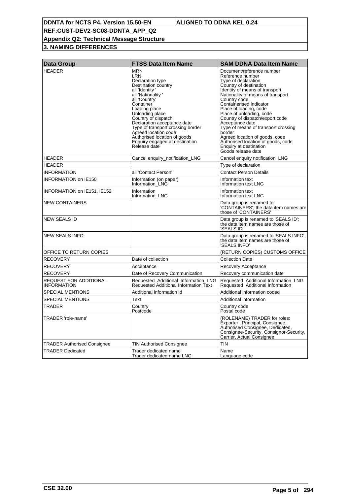# **Appendix Q2: Technical Message Structure**

## **3. NAMING DIFFERENCES**

| <b>Data Group</b>                     | <b>FTSS Data Item Name</b>                                                                                                                                                                                                                                                                                                                                                         | <b>SAM DDNA Data Item Name</b>                                                                                                                                                                                                                                                                                                                                                                                                                                                                        |
|---------------------------------------|------------------------------------------------------------------------------------------------------------------------------------------------------------------------------------------------------------------------------------------------------------------------------------------------------------------------------------------------------------------------------------|-------------------------------------------------------------------------------------------------------------------------------------------------------------------------------------------------------------------------------------------------------------------------------------------------------------------------------------------------------------------------------------------------------------------------------------------------------------------------------------------------------|
| <b>HEADER</b>                         | <b>MRN</b><br><b>LRN</b><br>Declaration type<br>Destination country<br>all 'Identity '<br>all 'Nationality'<br>all 'Country'<br>Container<br>Loading place<br>Unloading place<br>Country of dispatch<br>Declaration acceptance date<br>Type of transport crossing border<br>Agreed location code<br>Authorised location of goods<br>Enquiry engaged at destination<br>Release date | Document/reference number<br>Reference number<br>Type of declaration<br>Country of destination<br>Identity of means of transport<br>Nationality of means of transport<br>Country code<br>Containerised indicator<br>Place of loading, code<br>Place of unloading, code<br>Country of dispatch/export code<br>Acceptance date<br>Type of means of transport crossing<br>border<br>Agreed location of goods, code<br>Authorised location of goods, code<br>Enquiry at destination<br>Goods release date |
| <b>HEADER</b>                         | Cancel enquiry_notification_LNG                                                                                                                                                                                                                                                                                                                                                    | Cancel enquiry notification LNG                                                                                                                                                                                                                                                                                                                                                                                                                                                                       |
| <b>HEADER</b>                         |                                                                                                                                                                                                                                                                                                                                                                                    | Type of declaration                                                                                                                                                                                                                                                                                                                                                                                                                                                                                   |
| <b>INFORMATION</b>                    | all 'Contact Person'                                                                                                                                                                                                                                                                                                                                                               | <b>Contact Person Details</b>                                                                                                                                                                                                                                                                                                                                                                                                                                                                         |
| INFORMATION on IE150                  | Information (on paper)<br>Information_LNG                                                                                                                                                                                                                                                                                                                                          | Information text<br>Information text LNG                                                                                                                                                                                                                                                                                                                                                                                                                                                              |
| INFORMATION on IE151, IE152           | Information<br>Information LNG                                                                                                                                                                                                                                                                                                                                                     | Information text<br><b>Information text LNG</b>                                                                                                                                                                                                                                                                                                                                                                                                                                                       |
| <b>NEW CONTAINERS</b>                 |                                                                                                                                                                                                                                                                                                                                                                                    | Data group is renamed to<br>CONTAINERS'; the data item names are<br>those of 'CONTAINERS'                                                                                                                                                                                                                                                                                                                                                                                                             |
| <b>NEW SEALS ID</b>                   |                                                                                                                                                                                                                                                                                                                                                                                    | Data group is renamed to 'SEALS ID';<br>the data item names are those of<br>'SEALS ID'                                                                                                                                                                                                                                                                                                                                                                                                                |
| <b>NEW SEALS INFO</b>                 |                                                                                                                                                                                                                                                                                                                                                                                    | Data group is renamed to 'SEALS INFO';<br>the data item names are those of<br>'SEALS INFO'                                                                                                                                                                                                                                                                                                                                                                                                            |
| OFFICE TO RETURN COPIES               |                                                                                                                                                                                                                                                                                                                                                                                    | (RETURN COPIES) CUSTOMS OFFICE                                                                                                                                                                                                                                                                                                                                                                                                                                                                        |
| <b>RECOVERY</b>                       | Date of collection                                                                                                                                                                                                                                                                                                                                                                 | <b>Collection Date</b>                                                                                                                                                                                                                                                                                                                                                                                                                                                                                |
| <b>RECOVERY</b>                       | Acceptance                                                                                                                                                                                                                                                                                                                                                                         | Recovery Acceptance                                                                                                                                                                                                                                                                                                                                                                                                                                                                                   |
| RECOVERY                              | Date of Recovery Communication                                                                                                                                                                                                                                                                                                                                                     | Recovery communication date                                                                                                                                                                                                                                                                                                                                                                                                                                                                           |
| REQUEST FOR ADDITIONAL<br>INFORMATION | Requested_Additional_Information_LNG<br><b>Requested Additional Information Text</b>                                                                                                                                                                                                                                                                                               | Requested Additional Information LNG<br>Requested Additional Information                                                                                                                                                                                                                                                                                                                                                                                                                              |
| SPECIAL MENTIONS                      | Additional information id                                                                                                                                                                                                                                                                                                                                                          | Additional information coded                                                                                                                                                                                                                                                                                                                                                                                                                                                                          |
| <b>SPECIAL MENTIONS</b>               | Text                                                                                                                                                                                                                                                                                                                                                                               | Additional information                                                                                                                                                                                                                                                                                                                                                                                                                                                                                |
| <b>TRADER</b>                         | Country<br>Postcode                                                                                                                                                                                                                                                                                                                                                                | Country code<br>Postal code                                                                                                                                                                                                                                                                                                                                                                                                                                                                           |
| TRADER 'role-name'                    |                                                                                                                                                                                                                                                                                                                                                                                    | (ROLENAME) TRADER for roles:<br>Exporter, Principal, Consignee,<br>Authorised Consignee, Dedicated,<br>Consignee-Security, Consignor-Security,<br>Carrier, Actual Consignee                                                                                                                                                                                                                                                                                                                           |
| TRADER Authorised Consignee           | TIN Authorised Consignee                                                                                                                                                                                                                                                                                                                                                           | <b>TIN</b>                                                                                                                                                                                                                                                                                                                                                                                                                                                                                            |
| <b>TRADER Dedicated</b>               | Trader dedicated name<br>Trader dedicated name LNG                                                                                                                                                                                                                                                                                                                                 | Name<br>Language code                                                                                                                                                                                                                                                                                                                                                                                                                                                                                 |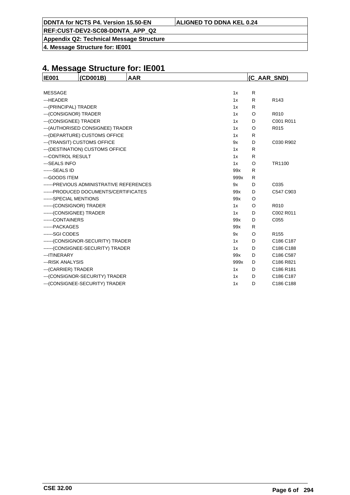**Appendix Q2: Technical Message Structure**

**4. Message Structure for: IE001**

| <b>IE001</b>             | (CD001B)                                 | <b>AAR</b> |      |         | (C AAR SND)      |
|--------------------------|------------------------------------------|------------|------|---------|------------------|
|                          |                                          |            |      |         |                  |
| <b>MESSAGE</b>           |                                          |            | 1x   | R       |                  |
| ---HEADER                |                                          |            | 1x   | R       | R <sub>143</sub> |
| --- (PRINCIPAL) TRADER   |                                          |            | 1x   | R       |                  |
| --- (CONSIGNOR) TRADER   |                                          |            | 1x   | $\circ$ | R010             |
| --- (CONSIGNEE) TRADER   |                                          |            | 1x   | D       | C001 R011        |
|                          | --- (AUTHORISED CONSIGNEE) TRADER        |            | 1x   | O       | R015             |
|                          | --- (DEPARTURE) CUSTOMS OFFICE           |            | 1x   | R       |                  |
|                          | --- (TRANSIT) CUSTOMS OFFICE             |            | 9x   | D       | C030 R902        |
|                          | --- (DESTINATION) CUSTOMS OFFICE         |            | 1x   | R       |                  |
| ---CONTROL RESULT        |                                          |            | 1x   | R       |                  |
| --- SEALS INFO           |                                          |            | 1x   | O       | TR1100           |
| ------SEALS ID           |                                          |            | 99x  | R       |                  |
| ---GOODS ITEM            |                                          |            | 999x | R       |                  |
|                          | ------PREVIOUS ADMINISTRATIVE REFERENCES |            | 9x   | D       | C035             |
|                          | ------PRODUCED DOCUMENTS/CERTIFICATES    |            | 99x  | D       | C547 C903        |
| ------SPECIAL MENTIONS   |                                          |            | 99x  | O       |                  |
| ------(CONSIGNOR) TRADER |                                          |            | 1x   | O       | R010             |
| ------(CONSIGNEE) TRADER |                                          |            | 1x   | D       | C002 R011        |
| ------CONTAINERS         |                                          |            | 99x  | D       | C055             |
| ------PACKAGES           |                                          |            | 99x  | R       |                  |
| ------SGI CODES          |                                          |            | 9x   | O       | R <sub>155</sub> |
|                          | ------(CONSIGNOR-SECURITY) TRADER        |            | 1x   | D       | C186 C187        |
|                          | ------(CONSIGNEE-SECURITY) TRADER        |            | 1x   | D       | C186 C188        |
| --- ITINERARY            |                                          |            | 99x  | D       | C186 C587        |
| ---RISK ANALYSIS         |                                          |            | 999x | D       | C186 R821        |
| --- (CARRIER) TRADER     |                                          |            | 1x   | D       | C186 R181        |
|                          | --- (CONSIGNOR-SECURITY) TRADER          |            | 1x   | D       | C186 C187        |
|                          | --- (CONSIGNEE-SECURITY) TRADER          |            | 1x   | D       | C186 C188        |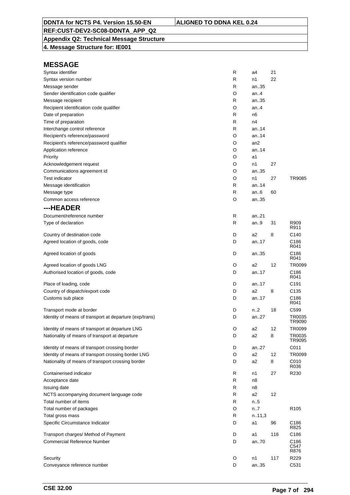**Appendix Q2: Technical Message Structure 4. Message Structure for: IE001**

| Syntax identifier                                       | R | a4             | 21  |                      |
|---------------------------------------------------------|---|----------------|-----|----------------------|
| Syntax version number                                   | R | n1             | 22  |                      |
| Message sender                                          | R | an35           |     |                      |
| Sender identification code qualifier                    | O | an4            |     |                      |
| Message recipient                                       | R | an35           |     |                      |
| Recipient identification code qualifier                 | O | an4            |     |                      |
| Date of preparation                                     | R | n6             |     |                      |
| Time of preparation                                     | R | n4             |     |                      |
| Interchange control reference                           | R | an14           |     |                      |
| Recipient's reference/password                          | O | an14           |     |                      |
| Recipient's reference/password qualifier                | O | an2            |     |                      |
| Application reference                                   | O | an.14          |     |                      |
| Priority                                                | O | a1             |     |                      |
| Acknowledgement request                                 | O | n1             | 27  |                      |
| Communications agreement id                             | O | an35           |     |                      |
| <b>Test indicator</b>                                   | O | n1             | 27  | TR9085               |
| Message identification                                  | R | an14           |     |                      |
| Message type                                            | R | an.6           | 60  |                      |
| Common access reference                                 | O | an35           |     |                      |
| ---HEADER                                               |   |                |     |                      |
| Document/reference number                               | R | an21           |     |                      |
| Type of declaration                                     | R | an9            | 31  | R909                 |
|                                                         |   |                |     | R911                 |
| Country of destination code                             | D | a2             | 8   | C140                 |
| Agreed location of goods, code                          | D | an17           |     | C186<br>R041         |
| Agreed location of goods                                | D | an35           |     | C186<br>R041         |
| Agreed location of goods LNG                            | O | a2             | 12  | TR0099               |
| Authorised location of goods, code                      | D | an17           |     | C186<br>R041         |
| Place of loading, code                                  | D | an17           |     | C191                 |
| Country of dispatch/export code                         | D | a2             | 8   | C135                 |
| Customs sub place                                       | D | an17           |     | C186<br>R041         |
| Transport mode at border                                | D | n2             | 18  | C599                 |
| Identity of means of transport at departure (exp/trans) | D | an27           |     | TR0035<br>TR9090     |
| Identity of means of transport at departure LNG         | O | a2             | 12  | TR0099               |
| Nationality of means of transport at departure          | D | a2             | 8   | TR0035<br>TR9095     |
| Identity of means of transport crossing border          | D | an27           |     | C011                 |
| Identity of means of transport crossing border LNG      | O | a2             | 12  | TR0099               |
| Nationality of means of transport crossing border       | D | a <sub>2</sub> | 8   | C010<br>R036         |
| Containerised indicator                                 | R | n1             | 27  | R230                 |
| Acceptance date                                         | R | n8             |     |                      |
| Issuing date                                            | R | n8             |     |                      |
| NCTS accompanying document language code                | R | a <sub>2</sub> | 12  |                      |
| Total number of items                                   | R | n.5            |     |                      |
| Total number of packages                                | O | n7             |     | R105                 |
| Total gross mass                                        | R | n.11,3         |     |                      |
| Specific Circumstance Indicator                         | D | a1             | 96  | C186<br>R825         |
| Transport charges/ Method of Payment                    | D | a1             | 116 | C186                 |
| <b>Commercial Reference Number</b>                      | D | an70           |     | C186<br>C547<br>R876 |
| Security                                                | O | n1             | 117 | R229                 |
| Conveyance reference number                             | D | an35           |     | C531                 |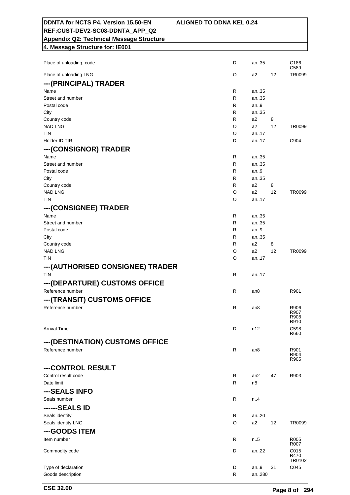| DDNTA for NCTS P4. Version 15.50-EN             | <b>ALIGNED TO DDNA KEL 0.24</b> |                                  |
|-------------------------------------------------|---------------------------------|----------------------------------|
| REF:CUST-DEV2-SC08-DDNTA_APP_Q2                 |                                 |                                  |
| <b>Appendix Q2: Technical Message Structure</b> |                                 |                                  |
| 4. Message Structure for: IE001                 |                                 |                                  |
|                                                 |                                 |                                  |
| Place of unloading, code                        | D                               | an35<br>C <sub>186</sub><br>C589 |
| Place of unloading LNG                          | O                               | a2<br>12<br>TR0099               |
| ---(PRINCIPAL) TRADER                           |                                 |                                  |
| Name                                            | R                               | an35                             |
| Street and number                               | R                               | an35                             |
| Postal code                                     | R                               | an.9                             |
| City                                            | R                               | an35                             |
| Country code                                    | R                               | a2<br>8                          |
| <b>NAD LNG</b>                                  | O                               | a2<br>12<br>TR0099               |
| <b>TIN</b>                                      | O                               | an.17                            |
| Holder ID TIR                                   | D                               | C904<br>an17                     |
| ---(CONSIGNOR) TRADER                           |                                 |                                  |
| Name                                            | R                               | an35                             |
| Street and number                               | R                               | an35                             |
| Postal code                                     | R                               | an.9                             |
| City                                            | R                               | an35                             |
| Country code                                    | R                               | a2<br>8                          |
| <b>NAD LNG</b>                                  | O                               | a2<br>12<br>TR0099               |
| <b>TIN</b>                                      | O                               | an17                             |
| ---(CONSIGNEE) TRADER                           |                                 |                                  |
| Name                                            | R                               | an35                             |
| Street and number                               | R                               | an35                             |
| Postal code                                     | R                               | an.9                             |
| City                                            | R                               | an35                             |
| Country code                                    | R                               | a2<br>8                          |
| <b>NAD LNG</b>                                  | O                               | a2<br>12<br>TR0099               |
| TIN                                             | O                               | an17                             |
| --- (AUTHORISED CONSIGNEE) TRADER               |                                 |                                  |
| <b>TIN</b>                                      | R                               | an. $.17$                        |
| ---(DEPARTURE) CUSTOMS OFFICE                   |                                 |                                  |
| Reference number                                | R                               | R901<br>an8                      |
| ---(TRANSIT) CUSTOMS OFFICE                     |                                 |                                  |
| Reference number                                | R                               | R906<br>an8                      |
|                                                 |                                 | R907<br>R908                     |
|                                                 |                                 | R910                             |
| <b>Arrival Time</b>                             | D                               | n12<br>C598                      |
|                                                 |                                 | R660                             |
| ---(DESTINATION) CUSTOMS OFFICE                 |                                 |                                  |
| Reference number                                | $\mathsf R$                     | R901<br>an8<br>R904              |
|                                                 |                                 | R905                             |
| ---CONTROL RESULT                               |                                 |                                  |
| Control result code                             | R                               | 47<br>R903<br>an2                |
| Date limit                                      | R                               | n8                               |
| ---SEALS INFO                                   |                                 |                                  |
| Seals number                                    | R                               | n.4                              |
| ------SEALS ID                                  |                                 |                                  |
|                                                 |                                 |                                  |
| Seals identity                                  | R<br>O                          | an20<br>a2<br>12<br>TR0099       |
| Seals identity LNG                              |                                 |                                  |
| ---GOODS ITEM                                   |                                 |                                  |
| Item number                                     | R                               | n.5<br>R <sub>005</sub><br>R007  |
| Commodity code                                  | D                               | an22<br>C015                     |
|                                                 |                                 | R470<br>TR0102                   |
| Type of declaration                             | D                               | 31<br>C045<br>an. $.9$           |
| Goods description                               | R                               | an280                            |

٦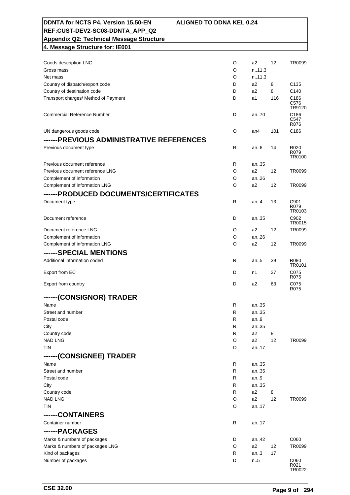| DDNTA for NCTS P4. Version 15.50-EN<br><b>ALIGNED TO DDNA KEL 0.24</b> |        |                          |     |                                    |
|------------------------------------------------------------------------|--------|--------------------------|-----|------------------------------------|
| REF:CUST-DEV2-SC08-DDNTA APP Q2                                        |        |                          |     |                                    |
| <b>Appendix Q2: Technical Message Structure</b>                        |        |                          |     |                                    |
| 4. Message Structure for: IE001                                        |        |                          |     |                                    |
|                                                                        |        |                          |     |                                    |
| Goods description LNG                                                  | O      | a <sub>2</sub>           | 12  | TR0099                             |
| Gross mass                                                             | O      | n.11,3                   |     |                                    |
| Net mass<br>Country of dispatch/export code                            | O<br>D | n.11,3<br>a <sub>2</sub> | 8   | C <sub>135</sub>                   |
| Country of destination code                                            | D      | a <sub>2</sub>           | 8   | C140                               |
| Transport charges/ Method of Payment                                   | D      | a1                       | 116 | C186<br>C576                       |
| <b>Commercial Reference Number</b>                                     | D      | an.70                    |     | TR9120<br>C186<br>C547             |
| UN dangerous goods code                                                | O      | an <sub>4</sub>          | 101 | R876<br>C186                       |
| ------PREVIOUS ADMINISTRATIVE REFERENCES                               |        |                          |     |                                    |
| Previous document type                                                 | R      | an $6$                   | 14  | R020<br>R <sub>079</sub><br>TR0100 |
| Previous document reference                                            | R      | an35                     |     |                                    |
| Previous document reference LNG                                        | O      | a2                       | 12  | TR0099                             |
| Complement of information                                              | O      | an.26                    |     |                                    |
| Complement of information LNG                                          | O      | a2                       | 12  | TR0099                             |
| ------PRODUCED DOCUMENTS/CERTIFICATES                                  |        |                          |     |                                    |
| Document type                                                          | R      | an.4                     | 13  | C901<br>R079<br>TR0103             |
| Document reference                                                     | D      | an35                     |     | C902<br>TR0015                     |
| Document reference LNG                                                 | O      | a <sub>2</sub>           | 12  | TR0099                             |
| Complement of information                                              | O      | an.26                    |     |                                    |
| Complement of information LNG                                          | O      | a <sub>2</sub>           | 12  | TR0099                             |
| ------SPECIAL MENTIONS                                                 |        |                          |     |                                    |
| Additional information coded                                           | R      | an $.5$                  | 39  | R080<br>TR0101                     |
| Export from EC                                                         | D      | n1                       | 27  | C075<br>R075                       |
| Export from country                                                    | D      | a2                       | 63  | C075<br>R075                       |
| ------(CONSIGNOR) TRADER                                               |        |                          |     |                                    |
| Name                                                                   | R      | an35                     |     |                                    |
| Street and number                                                      | R      | an35                     |     |                                    |
| Postal code                                                            | R      | an.9                     |     |                                    |
| City                                                                   | R      | an35                     |     |                                    |
| Country code                                                           | R      | a2                       | 8   |                                    |
| <b>NAD LNG</b>                                                         | O      | a2                       | 12  | TR0099                             |
| TIN                                                                    | O      | an17                     |     |                                    |
| ------(CONSIGNEE) TRADER                                               |        |                          |     |                                    |
| Name                                                                   | R      | an35                     |     |                                    |
| Street and number                                                      | R      | an35                     |     |                                    |
| Postal code                                                            | R      | an.9                     |     |                                    |
| City                                                                   | R      | an35                     |     |                                    |
| Country code                                                           | R      | a <sub>2</sub>           | 8   |                                    |
| <b>NAD LNG</b>                                                         | O      | a <sub>2</sub>           | 12  | TR0099                             |
| TIN                                                                    | O      | an17                     |     |                                    |
| ------CONTAINERS                                                       |        |                          |     |                                    |
| Container number                                                       | R      | an17                     |     |                                    |
| ------PACKAGES                                                         |        |                          |     |                                    |
| Marks & numbers of packages                                            | D      | an42                     |     | C060                               |
| Marks & numbers of packages LNG                                        | O      | a2                       | 12  | TR0099                             |
| Kind of packages<br>Number of packages                                 | R<br>D | an.3<br>n.5              | 17  | C060                               |
|                                                                        |        |                          |     | R021<br>TR0022                     |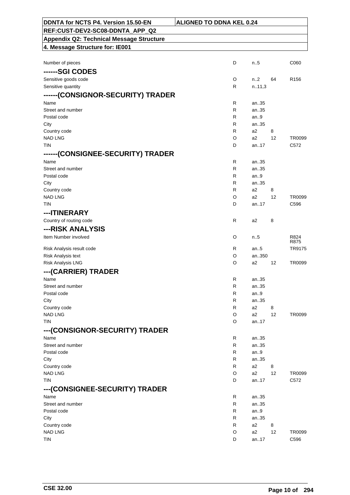| DDNTA for NCTS P4. Version 15.50-EN             | <b>ALIGNED TO DDNA KEL 0.24</b> |                |    |                  |
|-------------------------------------------------|---------------------------------|----------------|----|------------------|
| REF:CUST-DEV2-SC08-DDNTA_APP_Q2                 |                                 |                |    |                  |
| <b>Appendix Q2: Technical Message Structure</b> |                                 |                |    |                  |
| 4. Message Structure for: IE001                 |                                 |                |    |                  |
|                                                 |                                 |                |    |                  |
| Number of pieces                                | D                               | $n_{.}.5$      |    | C060             |
| ------SGI CODES                                 |                                 |                |    |                  |
| Sensitive goods code                            | O                               | n2             | 64 | R <sub>156</sub> |
| Sensitive quantity                              | R                               | n.11,3         |    |                  |
| ------(CONSIGNOR-SECURITY) TRADER               |                                 |                |    |                  |
| Name                                            | R                               | an35           |    |                  |
| Street and number                               | R                               | an35           |    |                  |
| Postal code                                     | R                               | an.9           |    |                  |
| City                                            | R                               | an35           |    |                  |
| Country code                                    | R                               | a <sub>2</sub> | 8  |                  |
| <b>NAD LNG</b>                                  | O                               | a <sub>2</sub> | 12 | TR0099           |
| TIN                                             | D                               | an17           |    | C <sub>572</sub> |
| ------(CONSIGNEE-SECURITY) TRADER               |                                 |                |    |                  |
| Name                                            | R                               | an35           |    |                  |
| Street and number                               | R                               | an35           |    |                  |
| Postal code                                     | R                               | an.9           |    |                  |
| City                                            | R                               | an35           |    |                  |
| Country code                                    | R                               | a2             | 8  |                  |
| <b>NAD LNG</b>                                  | O                               | a <sub>2</sub> | 12 | TR0099           |
| TIN                                             | D                               | an17           |    | C596             |
| ---ITINERARY                                    |                                 |                |    |                  |
| Country of routing code                         | R                               | a <sub>2</sub> | 8  |                  |
| ---RISK ANALYSIS                                |                                 |                |    |                  |
| Item Number involved                            | O                               | n.5            |    | R824<br>R875     |
| Risk Analysis result code                       | R                               | an $.5$        |    | TR9175           |
| Risk Analysis text                              | O                               | an350          |    |                  |
| <b>Risk Analysis LNG</b>                        | O                               | a <sub>2</sub> | 12 | TR0099           |
| ---(CARRIER) TRADER                             |                                 |                |    |                  |
| Name                                            | R                               | an.35          |    |                  |
| Street and number                               | R                               | an35           |    |                  |
| Postal code                                     | R                               | an.9           |    |                  |
| City                                            | R                               | an35           |    |                  |
| Country code                                    | R                               | a <sub>2</sub> | 8  |                  |
| <b>NAD LNG</b>                                  | O                               | a <sub>2</sub> | 12 | TR0099           |
| <b>TIN</b>                                      | O                               | an17           |    |                  |
| ---(CONSIGNOR-SECURITY) TRADER                  |                                 |                |    |                  |
| Name                                            | R                               | an35           |    |                  |
| Street and number                               | R                               | an35           |    |                  |
| Postal code                                     | R                               | an.9           |    |                  |
| City<br>Country code                            | R<br>R                          | an35<br>a2     | 8  |                  |
| <b>NAD LNG</b>                                  | O                               | a <sub>2</sub> | 12 | TR0099           |
| <b>TIN</b>                                      | D                               | an17           |    | C <sub>572</sub> |
| ---(CONSIGNEE-SECURITY) TRADER                  |                                 |                |    |                  |
| Name                                            | R                               | an35           |    |                  |
| Street and number                               | R                               | an35           |    |                  |
| Postal code                                     | R                               | an $9$         |    |                  |
| City                                            | R                               | an35           |    |                  |
| Country code                                    | R                               | a2             | 8  |                  |
| <b>NAD LNG</b>                                  | O                               | a <sub>2</sub> | 12 | TR0099           |
| <b>TIN</b>                                      | D                               | an17           |    | C596             |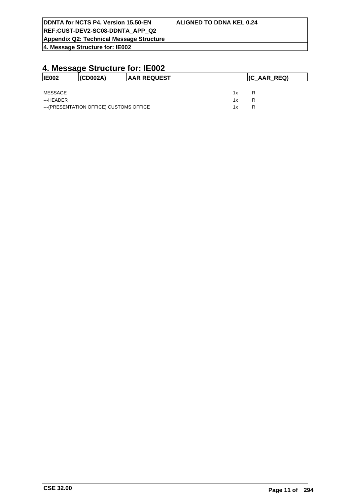| DDNTA for NCTS P4. Version 15.50-EN      | <b>ALIGNED TO DDNA KEL 0.24</b> |
|------------------------------------------|---------------------------------|
| <b>REF:CUST-DEV2-SC08-DDNTA APP Q2</b>   |                                 |
| Appendix Q2: Technical Message Structure |                                 |
| 4. Message Structure for: IE002          |                                 |

| <b>IE002</b> | (CD002A)                                | <b>AAR REQUEST</b> |    | $ $ (C_AAR_REQ) |
|--------------|-----------------------------------------|--------------------|----|-----------------|
| MESSAGE      |                                         |                    | 1x | R               |
| ---HEADER    |                                         |                    | 1x | R               |
|              | ---(PRESENTATION OFFICE) CUSTOMS OFFICE |                    | 1x | R               |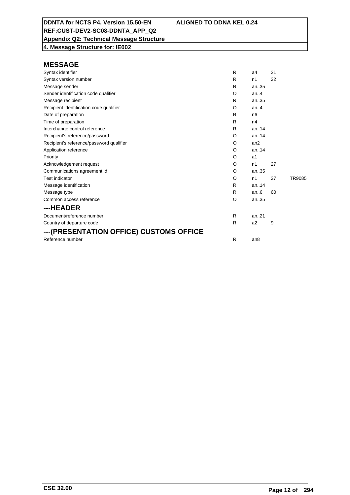#### **REF:CUST-DEV2-SC08-DDNTA\_APP\_Q2 Appendix Q2: Technical Message Structure**

**4. Message Structure for: IE002**

| Syntax identifier                        | R | a <sub>4</sub>  | 21 |        |
|------------------------------------------|---|-----------------|----|--------|
| Syntax version number                    | R | n <sub>1</sub>  | 22 |        |
| Message sender                           | R | an35            |    |        |
| Sender identification code qualifier     | O | an. $4$         |    |        |
| Message recipient                        | R | an35            |    |        |
| Recipient identification code qualifier  | O | an.4            |    |        |
| Date of preparation                      | R | n <sub>6</sub>  |    |        |
| Time of preparation                      | R | n4              |    |        |
| Interchange control reference            | R | an.14           |    |        |
| Recipient's reference/password           | O | an.14           |    |        |
| Recipient's reference/password qualifier | O | an2             |    |        |
| Application reference                    | O | an.14           |    |        |
| Priority                                 | O | a1              |    |        |
| Acknowledgement request                  | O | n1              | 27 |        |
| Communications agreement id              | O | an35            |    |        |
| <b>Test indicator</b>                    | O | n1              | 27 | TR9085 |
| Message identification                   | R | an.14           |    |        |
| Message type                             | R | an.6            | 60 |        |
| Common access reference                  | O | an35            |    |        |
| ---HEADER                                |   |                 |    |        |
| Document/reference number                | R | an.21           |    |        |
| Country of departure code                | R | a2              | 9  |        |
| ---(PRESENTATION OFFICE) CUSTOMS OFFICE  |   |                 |    |        |
| Reference number                         | R | an <sub>8</sub> |    |        |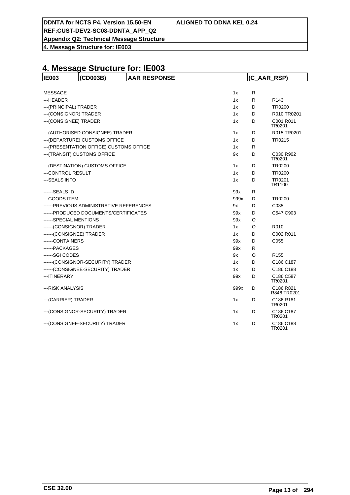**Appendix Q2: Technical Message Structure**

**4. Message Structure for: IE003**

| <b>IE003</b>             | (CD003B)                                 | <b>AAR RESPONSE</b> |      |   | (C_AAR_RSP)              |
|--------------------------|------------------------------------------|---------------------|------|---|--------------------------|
|                          |                                          |                     |      |   |                          |
| <b>MESSAGE</b>           |                                          |                     | 1x   | R |                          |
| ---HEADER                |                                          |                     | 1x   | R | R <sub>143</sub>         |
| --- (PRINCIPAL) TRADER   |                                          |                     | 1x   | D | TR0200                   |
| --- (CONSIGNOR) TRADER   |                                          |                     | 1x   | D | R010 TR0201              |
| --- (CONSIGNEE) TRADER   |                                          |                     | 1x   | D | C001 R011<br>TR0201      |
|                          | --- (AUTHORISED CONSIGNEE) TRADER        |                     | 1x   | D | R015 TR0201              |
|                          | --- (DEPARTURE) CUSTOMS OFFICE           |                     | 1x   | D | TR0215                   |
|                          | --- (PRESENTATION OFFICE) CUSTOMS OFFICE |                     | 1x   | R |                          |
|                          | --- (TRANSIT) CUSTOMS OFFICE             |                     | 9x   | D | C030 R902<br>TR0201      |
|                          | --- (DESTINATION) CUSTOMS OFFICE         |                     | 1x   | D | TR0200                   |
| ---CONTROL RESULT        |                                          |                     | 1x   | D | TR0200                   |
| --- SEALS INFO           |                                          |                     | 1x   | D | TR0201<br>TR1100         |
| ------SEALS ID           |                                          |                     | 99x  | R |                          |
| ---GOODS ITEM            |                                          |                     | 999x | D | TR0200                   |
|                          | ------PREVIOUS ADMINISTRATIVE REFERENCES |                     | 9x   | D | C <sub>035</sub>         |
|                          | ------ PRODUCED DOCUMENTS/CERTIFICATES   |                     | 99x  | D | C547 C903                |
| ------SPECIAL MENTIONS   |                                          |                     | 99x  | O |                          |
| ------(CONSIGNOR) TRADER |                                          |                     | 1x   | O | R010                     |
| ------(CONSIGNEE) TRADER |                                          |                     | 1x   | D | C002 R011                |
| ------CONTAINERS         |                                          |                     | 99x  | D | C <sub>055</sub>         |
| ------PACKAGES           |                                          |                     | 99x  | R |                          |
| ------SGI CODES          |                                          |                     | 9x   | O | R <sub>155</sub>         |
|                          | ------(CONSIGNOR-SECURITY) TRADER        |                     | 1x   | D | C186 C187                |
|                          | ------(CONSIGNEE-SECURITY) TRADER        |                     | 1x   | D | C186 C188                |
| --- ITINERARY            |                                          |                     | 99x  | D | C186 C587<br>TR0201      |
| ---RISK ANALYSIS         |                                          |                     | 999x | D | C186 R821<br>R846 TR0201 |
| --- (CARRIER) TRADER     |                                          |                     | 1x   | D | C186 R181<br>TR0201      |
|                          | --- (CONSIGNOR-SECURITY) TRADER          |                     | 1x   | D | C186 C187<br>TR0201      |
|                          | --- (CONSIGNEE-SECURITY) TRADER          |                     | 1x   | D | C186 C188<br>TR0201      |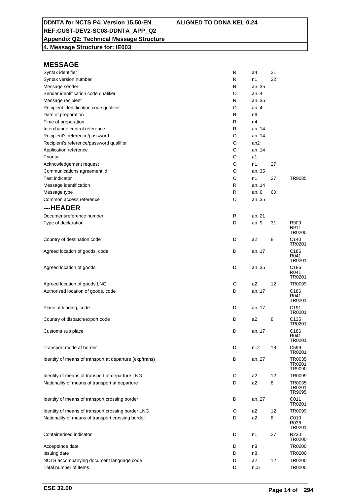**Appendix Q2: Technical Message Structure 4. Message Structure for: IE003**

| Syntax identifier                                       | R | a4             | 21 |                                    |
|---------------------------------------------------------|---|----------------|----|------------------------------------|
| Syntax version number                                   | R | n1             | 22 |                                    |
| Message sender                                          | R | an35           |    |                                    |
| Sender identification code qualifier                    | O | an4            |    |                                    |
| Message recipient                                       | R | an35           |    |                                    |
| Recipient identification code qualifier                 | O | an4            |    |                                    |
| Date of preparation                                     | R | n <sub>6</sub> |    |                                    |
| Time of preparation                                     | R | n4             |    |                                    |
| Interchange control reference                           | R | an14           |    |                                    |
| Recipient's reference/password                          | O | an14           |    |                                    |
| Recipient's reference/password qualifier                | O | an2            |    |                                    |
| Application reference                                   | O | an14           |    |                                    |
| Priority                                                | O | a1             |    |                                    |
| Acknowledgement request                                 | O | n1             | 27 |                                    |
| Communications agreement id                             | O | an35           |    |                                    |
| <b>Test indicator</b>                                   | O | n1             | 27 | TR9085                             |
| Message identification                                  | R | an14           |    |                                    |
| Message type                                            | R | an6            | 60 |                                    |
| Common access reference                                 | O | an35           |    |                                    |
| ---HEADER                                               |   |                |    |                                    |
| Document/reference number                               | R | an21           |    |                                    |
| Type of declaration                                     | D | an9            | 31 | R909                               |
|                                                         |   |                |    | R911<br>TR0200                     |
| Country of destination code                             | D | a2             | 8  | C <sub>140</sub><br>TR0201         |
| Agreed location of goods, code                          | D | an17           |    | C186<br>R041<br>TR0201             |
| Agreed location of goods                                | D | an35           |    | C <sub>186</sub><br>R041<br>TR0201 |
| Agreed location of goods LNG                            | O | a2             | 12 | TR0099                             |
| Authorised location of goods, code                      | D | an17           |    | C186                               |
|                                                         |   |                |    | R041<br>TR0201                     |
| Place of loading, code                                  | D | an17           |    | C <sub>191</sub><br>TR0201         |
| Country of dispatch/export code                         | D | a2             | 8  | C <sub>135</sub><br>TR0201         |
| Customs sub place                                       | D | an17           |    | C <sub>186</sub><br>R041<br>TR0201 |
| Transport mode at border                                | D | n.2            | 18 | C <sub>599</sub><br>TR0201         |
| Identity of means of transport at departure (exp/trans) | D | an27           |    | TR0035<br>TR0201<br>TR9090         |
| Identity of means of transport at departure LNG         | O | a2             | 12 | TR0099                             |
| Nationality of means of transport at departure          | D | a <sub>2</sub> | 8  | TR0035<br>TR0201<br>TR9095         |
| Identity of means of transport crossing border          | D | an.27          |    | C011<br>TR0201                     |
| Identity of means of transport crossing border LNG      | O | a2             | 12 | TR0099                             |
| Nationality of means of transport crossing border       | D | a <sub>2</sub> | 8  | C010<br>R036<br>TR0201             |
| Containerised indicator                                 | D | n1             | 27 | R230<br>TR0200                     |
| Acceptance date                                         | D | n8             |    | TR0200                             |
| Issuing date                                            | D | n8             |    | TR0200                             |
| NCTS accompanying document language code                | D | a <sub>2</sub> | 12 | TR0200                             |
| Total number of items                                   | D | n.5            |    | TR0200                             |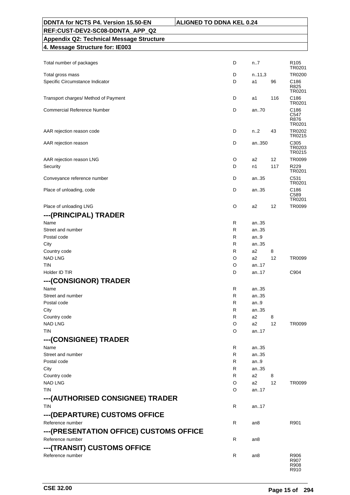| DDNTA for NCTS P4. Version 15.50-EN             | <b>ALIGNED TO DDNA KEL 0.24</b> |                     |                                   |
|-------------------------------------------------|---------------------------------|---------------------|-----------------------------------|
| REF:CUST-DEV2-SC08-DDNTA_APP_Q2                 |                                 |                     |                                   |
| <b>Appendix Q2: Technical Message Structure</b> |                                 |                     |                                   |
| 4. Message Structure for: IE003                 |                                 |                     |                                   |
|                                                 |                                 |                     |                                   |
| Total number of packages                        | D                               | n7                  | R <sub>105</sub><br>TR0201        |
| Total gross mass                                | D                               | n.11,3              | TR0200                            |
| Specific Circumstance Indicator                 | D                               | a1                  | C186<br>96<br>R825<br>TR0201      |
| Transport charges/ Method of Payment            | D                               | a1                  | 116<br>C <sub>186</sub><br>TR0201 |
| <b>Commercial Reference Number</b>              | D                               | an70                | C186<br>C547<br>R876<br>TR0201    |
| AAR rejection reason code                       | D                               | n2                  | 43<br>TR0202<br>TR0215            |
| AAR rejection reason                            | D                               | an350               | C305<br>TR0203<br>TR0215          |
| AAR rejection reason LNG                        | O                               | a <sub>2</sub>      | 12<br>TR0099                      |
| Security                                        | D                               | n1                  | 117<br>R229<br>TR0201             |
| Conveyance reference number                     | D                               | an35                | C531<br>TR0201                    |
| Place of unloading, code                        | D                               | an35                | C186<br>C589<br>TR0201            |
| Place of unloading LNG                          | O                               | a2                  | TR0099<br>12                      |
| ---(PRINCIPAL) TRADER                           |                                 |                     |                                   |
| Name                                            | R                               | an35                |                                   |
| Street and number                               | R                               | an35                |                                   |
| Postal code                                     | R                               | an.9                |                                   |
| City                                            | R                               | an35                |                                   |
| Country code                                    | R                               | a <sub>2</sub><br>8 |                                   |
| <b>NAD LNG</b>                                  | O                               | a <sub>2</sub>      | 12<br>TR0099                      |
| TIN                                             | O                               | an17                |                                   |
| Holder ID TIR                                   | D                               | an17                | C904                              |
| <b>--(CONSIGNOR) TRADER</b>                     |                                 |                     |                                   |
| Name                                            | R                               | an35                |                                   |
| Street and number                               | R                               | an35                |                                   |
| Postal code                                     | R                               | an.9                |                                   |
| City                                            | R                               | an35                |                                   |
| Country code                                    | R                               | a2<br>8             |                                   |
| <b>NAD LNG</b>                                  | O                               | a2                  | 12<br>TR0099                      |
| <b>TIN</b>                                      | O                               | an17                |                                   |
| ---(CONSIGNEE) TRADER                           |                                 |                     |                                   |
| Name                                            | R                               | an35                |                                   |
| Street and number                               |                                 |                     |                                   |
|                                                 | R                               | an35                |                                   |
| Postal code                                     | R                               | an.9                |                                   |
| City                                            | R                               | an35                |                                   |
| Country code                                    | R                               | a2<br>8             |                                   |
| <b>NAD LNG</b>                                  | O                               | a2                  | 12<br>TR0099                      |
| <b>TIN</b>                                      | O                               | an17                |                                   |
| ---(AUTHORISED CONSIGNEE) TRADER<br><b>TIN</b>  | R                               | an17                |                                   |
| ---(DEPARTURE) CUSTOMS OFFICE                   |                                 |                     |                                   |
| Reference number                                | R                               | an8                 | R901                              |
| --- (PRESENTATION OFFICE) CUSTOMS OFFICE        |                                 |                     |                                   |
| Reference number<br>---(TRANSIT) CUSTOMS OFFICE | R                               | an <sub>8</sub>     |                                   |
| Reference number                                | R                               | an8                 | R906                              |
|                                                 |                                 |                     | R907<br>R908                      |

٦

**Page 15 of 294**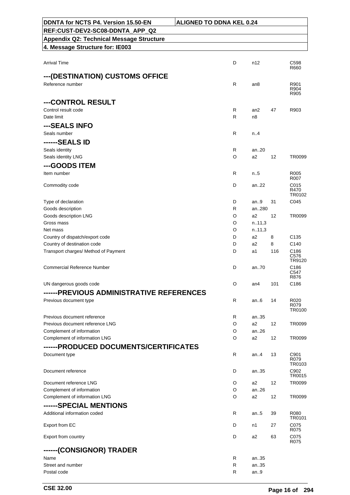| DDNTA for NCTS P4. Version 15.50-EN                                    | <b>ALIGNED TO DDNA KEL 0.24</b> |                 |     |                          |
|------------------------------------------------------------------------|---------------------------------|-----------------|-----|--------------------------|
| REF:CUST-DEV2-SC08-DDNTA_APP_Q2                                        |                                 |                 |     |                          |
| <b>Appendix Q2: Technical Message Structure</b>                        |                                 |                 |     |                          |
| 4. Message Structure for: IE003                                        |                                 |                 |     |                          |
| <b>Arrival Time</b>                                                    | D                               | n12             |     | C598<br>R660             |
| ---(DESTINATION) CUSTOMS OFFICE                                        |                                 |                 |     |                          |
| Reference number                                                       | R                               | an <sub>8</sub> |     | R901<br>R904<br>R905     |
| ---CONTROL RESULT                                                      |                                 |                 |     |                          |
| Control result code                                                    | R                               | an2             | 47  | R903                     |
| Date limit                                                             | R                               | n8              |     |                          |
| ---SEALS INFO                                                          |                                 |                 |     |                          |
| Seals number<br>------SEALS ID                                         | R                               | n.4             |     |                          |
| Seals identity                                                         | R                               | an.20           |     |                          |
| Seals identity LNG                                                     | O                               | a2              | 12  | TR0099                   |
| ---GOODS ITEM                                                          |                                 |                 |     |                          |
| Item number                                                            | R                               | n.5             |     | R <sub>005</sub>         |
| Commodity code                                                         | D                               | an22            |     | R007<br>C015<br>R470     |
|                                                                        |                                 |                 |     | TR0102                   |
| Type of declaration<br>Goods description                               | D<br>R                          | an9<br>an280    | 31  | C045                     |
| Goods description LNG                                                  | O                               | a <sub>2</sub>  | 12  | TR0099                   |
| Gross mass                                                             | O                               | n.11,3          |     |                          |
| Net mass                                                               | O                               | n.11,3          |     |                          |
| Country of dispatch/export code                                        | D                               | a2              | 8   | C <sub>135</sub>         |
| Country of destination code                                            | D                               | a2              | 8   | C140                     |
| Transport charges/ Method of Payment                                   | D                               | a1              | 116 | C186<br>C576<br>TR9120   |
| <b>Commercial Reference Number</b>                                     | D                               | an70            |     | C186<br>C547<br>R876     |
| UN dangerous goods code                                                | O                               | an4             | 101 | C186                     |
| ------PREVIOUS ADMINISTRATIVE REFERENCES                               |                                 |                 |     |                          |
| Previous document type                                                 | R                               | an $6$          | 14  | R020<br>R079<br>TR0100   |
| Previous document reference                                            | R                               | an35            |     |                          |
| Previous document reference LNG                                        | O                               | a2              | 12  | TR0099                   |
| Complement of information                                              | O<br>O                          | an26            |     |                          |
| Complement of information LNG<br>------PRODUCED DOCUMENTS/CERTIFICATES |                                 | a2              | 12  | TR0099                   |
| Document type                                                          | $\mathsf{R}$                    | an4             | 13  | C901<br>R079             |
| Document reference                                                     | D                               | an35            |     | TR0103<br>C902<br>TR0015 |
| Document reference LNG                                                 | O                               | a2              | 12  | TR0099                   |
| Complement of information                                              | O                               | an.26           |     |                          |
| Complement of information LNG                                          | O                               | a2              | 12  | TR0099                   |
| ------SPECIAL MENTIONS<br>Additional information coded                 | R                               | an $.5$         | 39  | R080                     |
| Export from EC                                                         | D                               | n1              | 27  | TR0101<br>C075<br>R075   |
| Export from country                                                    | D                               | a2              | 63  | C075<br>R075             |
| ------(CONSIGNOR) TRADER                                               |                                 |                 |     |                          |
| Name<br>Street and number                                              | R<br>$\mathsf{R}$               | an35<br>an35    |     |                          |
| Postal code                                                            | R                               | an.9            |     |                          |
|                                                                        |                                 |                 |     |                          |

 $\mathsf{r}$ 

٦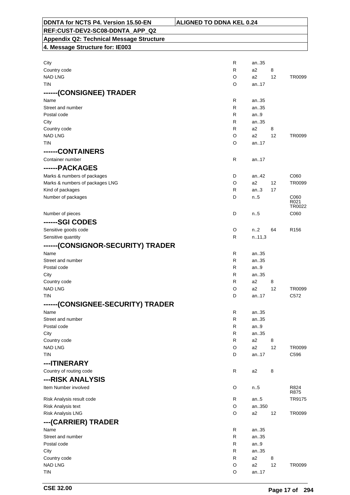| DDNTA for NCTS P4. Version 15.50-EN             | <b>ALIGNED TO DDNA KEL 0.24</b> |                        |    |                  |
|-------------------------------------------------|---------------------------------|------------------------|----|------------------|
| REF:CUST-DEV2-SC08-DDNTA_APP_Q2                 |                                 |                        |    |                  |
| <b>Appendix Q2: Technical Message Structure</b> |                                 |                        |    |                  |
| 4. Message Structure for: IE003                 |                                 |                        |    |                  |
|                                                 |                                 |                        |    |                  |
| City                                            | R                               | an35                   |    |                  |
| Country code                                    | R                               | a2                     | 8  |                  |
| <b>NAD LNG</b>                                  | O                               | a2                     | 12 | <b>TR0099</b>    |
| TIN                                             | O                               | an17                   |    |                  |
|                                                 |                                 |                        |    |                  |
| ------(CONSIGNEE) TRADER                        |                                 |                        |    |                  |
| Name                                            | R                               | an35                   |    |                  |
| Street and number                               | R                               | an35                   |    |                  |
| Postal code                                     | R                               | an.9                   |    |                  |
| City                                            | R                               | an35                   |    |                  |
| Country code                                    | R                               | a2                     | 8  |                  |
| <b>NAD LNG</b>                                  | O                               | a2                     | 12 | TR0099           |
| TIN                                             | O                               | an17                   |    |                  |
| ------CONTAINERS                                |                                 |                        |    |                  |
| Container number                                | R                               | an17                   |    |                  |
|                                                 |                                 |                        |    |                  |
| ------PACKAGES                                  |                                 |                        |    |                  |
| Marks & numbers of packages                     | D                               | an42                   |    | C060             |
| Marks & numbers of packages LNG                 | O                               | a2                     | 12 | TR0099           |
| Kind of packages                                | R                               | an.3                   | 17 |                  |
| Number of packages                              | D                               | n.5                    |    | C060<br>R021     |
|                                                 |                                 |                        |    | TR0022           |
| Number of pieces                                | D                               | n.5                    |    | C060             |
| ------SGI CODES                                 |                                 |                        |    |                  |
|                                                 |                                 |                        |    |                  |
| Sensitive goods code                            | O                               | n2                     | 64 | R <sub>156</sub> |
| Sensitive quantity                              | R                               | n.11,3                 |    |                  |
| ------(CONSIGNOR-SECURITY) TRADER               |                                 |                        |    |                  |
| Name                                            | $\mathsf{R}$                    | an35                   |    |                  |
| Street and number                               | $\mathsf{R}$                    | an35                   |    |                  |
| Postal code                                     | R                               | an9                    |    |                  |
| City                                            | $\mathsf{R}$                    | an35                   |    |                  |
| Country code                                    | R                               | a2                     | 8  |                  |
| <b>NAD LNG</b>                                  | O                               | a <sub>2</sub>         | 12 | TR0099           |
| <b>TIN</b>                                      | D                               | an17                   |    | C572             |
| ------(CONSIGNEE-SECURITY) TRADER               |                                 |                        |    |                  |
| Name                                            | R                               | an35                   |    |                  |
| Street and number                               | R                               | an35                   |    |                  |
| Postal code                                     | R                               | an.9                   |    |                  |
| City                                            | R                               | an35                   |    |                  |
| Country code                                    | R                               | a <sub>2</sub>         | 8  |                  |
| <b>NAD LNG</b>                                  | O                               | a2                     | 12 | TR0099           |
| TIN                                             |                                 |                        |    |                  |
|                                                 | D                               | an17                   |    | C596             |
| ---ITINERARY                                    |                                 |                        |    |                  |
| Country of routing code                         | R                               | a2                     | 8  |                  |
| ---RISK ANALYSIS                                |                                 |                        |    |                  |
| Item Number involved                            | O                               | n.5                    |    | R824             |
|                                                 |                                 |                        |    | R875             |
| Risk Analysis result code                       | R                               | an $.5$                |    | TR9175           |
| Risk Analysis text                              | O                               | an350                  |    |                  |
| <b>Risk Analysis LNG</b>                        | O                               | a2                     | 12 | TR0099           |
| ---(CARRIER) TRADER                             |                                 |                        |    |                  |
| Name                                            | R                               | an35                   |    |                  |
| Street and number                               | R                               | an35                   |    |                  |
| Postal code                                     | R                               | an9                    |    |                  |
|                                                 | R                               |                        |    |                  |
| City                                            | R                               | an35<br>a <sub>2</sub> | 8  |                  |
| Country code                                    |                                 |                        |    |                  |
| <b>NAD LNG</b><br><b>TIN</b>                    | O<br>O                          | a2                     | 12 | TR0099           |
|                                                 |                                 | an17                   |    |                  |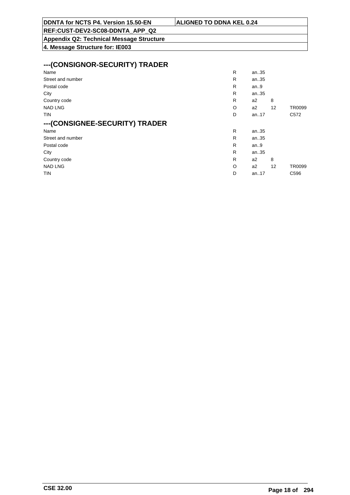| DDNTA for NCTS P4. Version 15.50-EN      | <b>ALIGNED TO DDNA KEL 0.24</b> |
|------------------------------------------|---------------------------------|
| REF:CUST-DEV2-SC08-DDNTA APP Q2          |                                 |
| Appendix Q2: Technical Message Structure |                                 |
| $ 4$ . Message Structure for: IE003      |                                 |

# **---(CONSIGNOR-SECURITY) TRADER**

| Name                           | R | an35           |    |        |
|--------------------------------|---|----------------|----|--------|
| Street and number              | R | an35           |    |        |
| Postal code                    | R | an $9$         |    |        |
| City                           | R | an35           |    |        |
| Country code                   | R | a <sub>2</sub> | 8  |        |
| <b>NAD LNG</b>                 | O | a2             | 12 | TR0099 |
| <b>TIN</b>                     | D | an17           |    | C572   |
| ---(CONSIGNEE-SECURITY) TRADER |   |                |    |        |
| Name                           | R | an35           |    |        |
| Street and number              | R | an35           |    |        |
| Postal code                    | R | an $9$         |    |        |
| City                           | R | an35           |    |        |
| Country code                   | R | a2             | 8  |        |
| <b>NAD LNG</b>                 | O | a2             | 12 | TR0099 |
| TIN                            | D | an17           |    | C596   |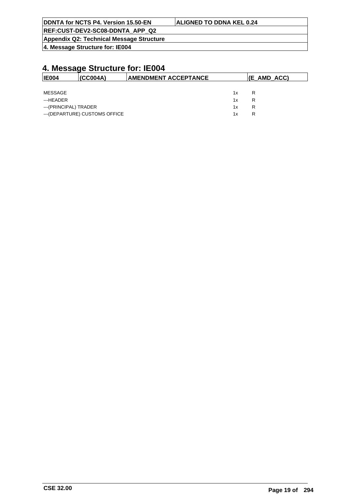| DDNTA for NCTS P4. Version 15.50-EN    | <b>ALIGNED TO DDNA KEL 0.24</b> |  |
|----------------------------------------|---------------------------------|--|
| <b>REF:CUST-DEV2-SC08-DDNTA APP Q2</b> |                                 |  |

**Appendix Q2: Technical Message Structure**

**4. Message Structure for: IE004**

| <b>IE004</b>          | (CC004A)                      | <b>AMENDMENT ACCEPTANCE</b> |    | $ E_{AMD_ACC} $ |
|-----------------------|-------------------------------|-----------------------------|----|-----------------|
|                       |                               |                             |    |                 |
| MESSAGE               |                               |                             | 1x | R               |
| ---HEADER             |                               |                             | 1x | R               |
| ---(PRINCIPAL) TRADER |                               |                             | 1x | R               |
|                       | ---(DEPARTURE) CUSTOMS OFFICE |                             | 1x | R               |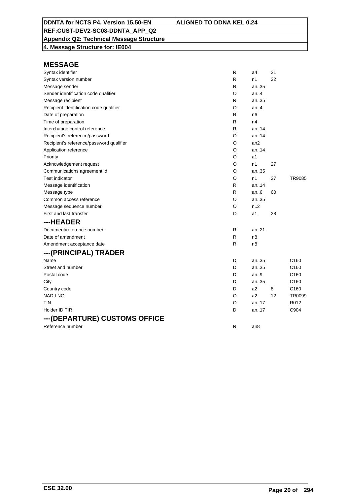**Appendix Q2: Technical Message Structure**

**4. Message Structure for: IE004**

| Syntax identifier                        | $\mathsf{R}$ | a4             | 21 |                  |
|------------------------------------------|--------------|----------------|----|------------------|
| Syntax version number                    | R            | n1             | 22 |                  |
| Message sender                           | R            | an35           |    |                  |
| Sender identification code qualifier     | O            | an.4           |    |                  |
| Message recipient                        | R            | an35           |    |                  |
| Recipient identification code qualifier  | O            | an.4           |    |                  |
| Date of preparation                      | R            | n <sub>6</sub> |    |                  |
| Time of preparation                      | R            | n4             |    |                  |
| Interchange control reference            | R            | an14           |    |                  |
| Recipient's reference/password           | O            | an14           |    |                  |
| Recipient's reference/password qualifier | O            | an2            |    |                  |
| Application reference                    | O            | an14           |    |                  |
| Priority                                 | O            | a1             |    |                  |
| Acknowledgement request                  | O            | n1             | 27 |                  |
| Communications agreement id              | O            | an35           |    |                  |
| <b>Test indicator</b>                    | O            | n1             | 27 | TR9085           |
| Message identification                   | R            | an14           |    |                  |
| Message type                             | R            | an.6           | 60 |                  |
| Common access reference                  | O            | an35           |    |                  |
| Message sequence number                  | O            | n <sub>2</sub> |    |                  |
| First and last transfer                  | O            | a1             | 28 |                  |
| ---HEADER                                |              |                |    |                  |
| Document/reference number                | R            | an.21          |    |                  |
| Date of amendment                        | R            | n8             |    |                  |
| Amendment acceptance date                | R            | n8             |    |                  |
| ---(PRINCIPAL) TRADER                    |              |                |    |                  |
| Name                                     | D            | an.35          |    | C <sub>160</sub> |
| Street and number                        | D            | an35           |    | C <sub>160</sub> |
| Postal code                              | D            | an.9           |    | C160             |
| City                                     | D            | an35           |    | C <sub>160</sub> |
| Country code                             | D            | a2             | 8  | C160             |
| <b>NAD LNG</b>                           | O            | a2             | 12 | TR0099           |
| <b>TIN</b>                               | O            | an.17          |    | R012             |
| Holder ID TIR                            | D            | an17           |    | C904             |
| ---(DEPARTURE) CUSTOMS OFFICE            |              |                |    |                  |
| Reference number                         | $\mathsf{R}$ | an8            |    |                  |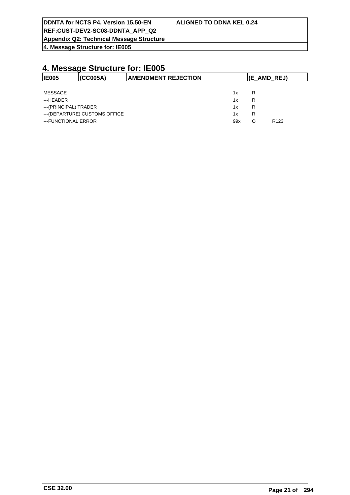| DDNTA for NCTS P4. Version 15.50-EN    | <b>ALIGNED TO DDNA KEL 0.24</b> |
|----------------------------------------|---------------------------------|
| <b>REF:CUST-DEV2-SC08-DDNTA APP Q2</b> |                                 |

**Appendix Q2: Technical Message Structure**

**4. Message Structure for: IE005**

| <b>IE005</b>          | (CC005A)                       | <b>AMENDMENT REJECTION</b> |     |   | $ E$ AMD REJ)    |
|-----------------------|--------------------------------|----------------------------|-----|---|------------------|
|                       |                                |                            |     |   |                  |
| MESSAGE               |                                |                            | 1x  | R |                  |
| ---HEADER             |                                |                            | 1x  | R |                  |
| ---(PRINCIPAL) TRADER |                                |                            | 1x  | R |                  |
|                       | --- (DEPARTURE) CUSTOMS OFFICE |                            | 1x  | R |                  |
| ---FUNCTIONAL ERROR   |                                |                            | 99x | O | R <sub>123</sub> |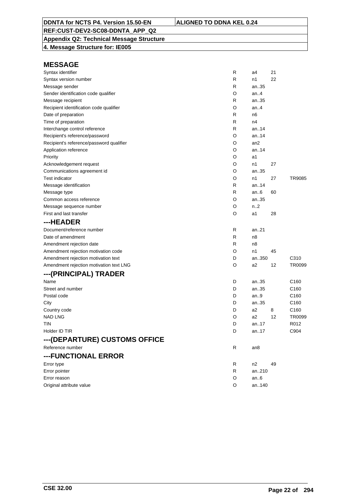# **Appendix Q2: Technical Message Structure**

**4. Message Structure for: IE005**

| Syntax identifier                        | R | a4             | 21 |                  |
|------------------------------------------|---|----------------|----|------------------|
| Syntax version number                    | R | n1             | 22 |                  |
| Message sender                           | R | an35           |    |                  |
| Sender identification code qualifier     | O | an.4           |    |                  |
| Message recipient                        | R | an35           |    |                  |
| Recipient identification code qualifier  | O | an.4           |    |                  |
| Date of preparation                      | R | n6             |    |                  |
| Time of preparation                      | R | n4             |    |                  |
| Interchange control reference            | R | an14           |    |                  |
| Recipient's reference/password           | O | an14           |    |                  |
| Recipient's reference/password qualifier | O | an2            |    |                  |
| Application reference                    | O | an.14          |    |                  |
| Priority                                 | O | a1             |    |                  |
| Acknowledgement request                  | O | n1             | 27 |                  |
| Communications agreement id              | O | an35           |    |                  |
| <b>Test indicator</b>                    | O | n1             | 27 | TR9085           |
| Message identification                   | R | an14           |    |                  |
| Message type                             | R | an $6$         | 60 |                  |
| Common access reference                  | O | an35           |    |                  |
| Message sequence number                  | O | n2             |    |                  |
| First and last transfer                  | O | a1             | 28 |                  |
| ---HEADER                                |   |                |    |                  |
| Document/reference number                | R | an21           |    |                  |
| Date of amendment                        | R | n8             |    |                  |
| Amendment rejection date                 | R | n8             |    |                  |
| Amendment rejection motivation code      | O | n1             | 45 |                  |
| Amendment rejection motivation text      | D | an350          |    | C310             |
| Amendment rejection motivation text LNG  | O | a2             | 12 | <b>TR0099</b>    |
| ---(PRINCIPAL) TRADER                    |   |                |    |                  |
| Name                                     | D | an35           |    | C160             |
| Street and number                        | D | an35           |    | C <sub>160</sub> |
| Postal code                              | D | an.9           |    | C <sub>160</sub> |
| City                                     | D | an35           |    | C <sub>160</sub> |
| Country code                             | D | a2             | 8  | C <sub>160</sub> |
| <b>NAD LNG</b>                           | O | a2             | 12 | TR0099           |
| tin                                      | D | an.17          |    | R012             |
| Holder ID TIR                            | D | an17           |    | C904             |
| ---(DEPARTURE) CUSTOMS OFFICE            |   |                |    |                  |
| Reference number                         | R | an8            |    |                  |
| ---FUNCTIONAL ERROR                      |   |                |    |                  |
| Error type                               | R | n <sub>2</sub> | 49 |                  |
| Error pointer                            | R | an210          |    |                  |
| Error reason                             | O | an $6$         |    |                  |
| Original attribute value                 | O | an140          |    |                  |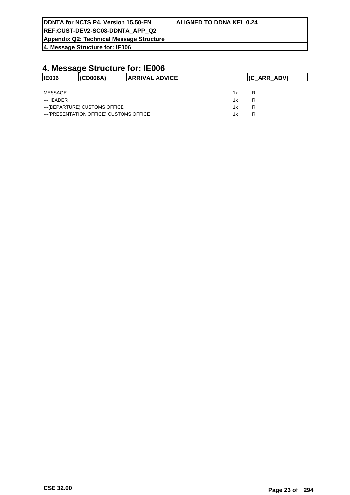| <b>ALIGNED TO DDNA KEL 0.24</b> |
|---------------------------------|
|                                 |
|                                 |

**Appendix Q2: Technical Message Structure**

**4. Message Structure for: IE006**

| <b>IE006</b> | (CD006A)                                 | <b>ARRIVAL ADVICE</b> |    | $(C$ ARR ADV) |
|--------------|------------------------------------------|-----------------------|----|---------------|
|              |                                          |                       |    |               |
| MESSAGE      |                                          |                       | 1x | R             |
| ---HEADER    |                                          |                       | 1x | R             |
|              | --- (DEPARTURE) CUSTOMS OFFICE           |                       | 1x | R             |
|              | --- (PRESENTATION OFFICE) CUSTOMS OFFICE |                       | 1x | R             |
|              |                                          |                       |    |               |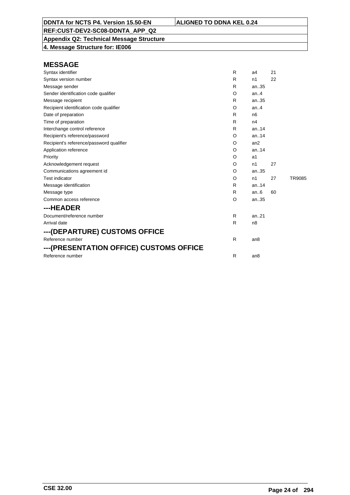#### **REF:CUST-DEV2-SC08-DDNTA\_APP\_Q2 Appendix Q2: Technical Message Structure**

**4. Message Structure for: IE006**

| R | a4              | 21 |        |
|---|-----------------|----|--------|
| R | n1              | 22 |        |
| R | an.35           |    |        |
| O | an. $4$         |    |        |
| R | an.35           |    |        |
| O | an.4            |    |        |
| R | n <sub>6</sub>  |    |        |
| R | n4              |    |        |
| R | an.14           |    |        |
| O | an.14           |    |        |
| O | an2             |    |        |
| O | an.14           |    |        |
| O | a1              |    |        |
| O | n1              | 27 |        |
| O | an35            |    |        |
| O | n1              | 27 | TR9085 |
| R | an14            |    |        |
| R | an.6            | 60 |        |
| O | an.35           |    |        |
|   |                 |    |        |
| R | an.21           |    |        |
| R | n <sub>8</sub>  |    |        |
|   |                 |    |        |
| R | an8             |    |        |
|   |                 |    |        |
| R | an <sub>8</sub> |    |        |
|   |                 |    |        |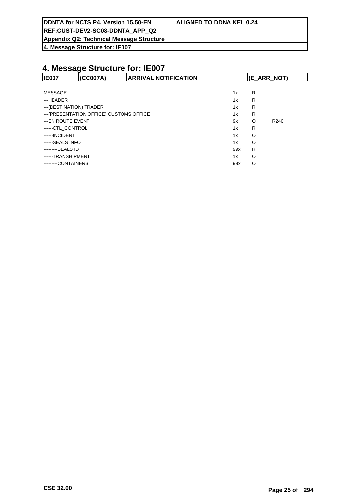|  |  | DDNTA for NCTS P4. Version 15.50-EN |
|--|--|-------------------------------------|
|  |  |                                     |

#### **ALIGNED TO DDNA KEL 0.24**

**REF:CUST-DEV2-SC08-DDNTA\_APP\_Q2**

**Appendix Q2: Technical Message Structure**

**4. Message Structure for: IE007**

| <b>IE007</b>                             | (CC007A) | <b>ARRIVAL NOTIFICATION</b> |     | (E_ARR_NOT) |                  |
|------------------------------------------|----------|-----------------------------|-----|-------------|------------------|
|                                          |          |                             |     |             |                  |
| MESSAGE                                  |          |                             | 1x  | R           |                  |
| ---HEADER                                |          |                             | 1x  | R           |                  |
| --- (DESTINATION) TRADER                 |          |                             | 1x  | R           |                  |
| --- (PRESENTATION OFFICE) CUSTOMS OFFICE |          |                             | 1x  | R           |                  |
| ---EN ROUTE EVENT                        |          |                             | 9x  | O           | R <sub>240</sub> |
| ------CTL CONTROL                        |          |                             | 1x  | R           |                  |
| ------INCIDENT                           |          |                             | 1x  | O           |                  |
| ------SEALS INFO                         |          |                             | 1x  | O           |                  |
| ---------SEALS ID                        |          |                             | 99x | R           |                  |
| ------TRANSHIPMENT                       |          |                             | 1x  | O           |                  |
| ---------CONTAINERS                      |          |                             | 99x | O           |                  |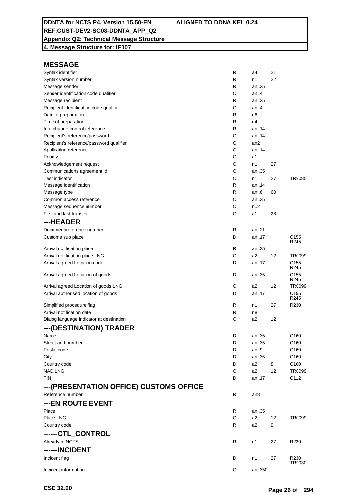**Appendix Q2: Technical Message Structure**

**4. Message Structure for: IE007**

| Syntax identifier                        | R | a4               | 21 |                          |
|------------------------------------------|---|------------------|----|--------------------------|
| Syntax version number                    | R | n1               | 22 |                          |
| Message sender                           | R | an35             |    |                          |
| Sender identification code qualifier     | O | an4              |    |                          |
| Message recipient                        | R | an35             |    |                          |
| Recipient identification code qualifier  | O | an.4             |    |                          |
| Date of preparation                      | R | n <sub>6</sub>   |    |                          |
| Time of preparation                      | R | n4               |    |                          |
| Interchange control reference            | R | an.14            |    |                          |
| Recipient's reference/password           | O | an14             |    |                          |
| Recipient's reference/password qualifier | O | an <sub>2</sub>  |    |                          |
| Application reference                    | O | an14             |    |                          |
| Priority                                 | O | a1               |    |                          |
| Acknowledgement request                  | O | n1               | 27 |                          |
| Communications agreement id              | O | an35             |    |                          |
| Test indicator                           | O | n1               | 27 | TR9085                   |
| Message identification                   | R | an14             |    |                          |
| Message type                             | R | an6              | 60 |                          |
| Common access reference                  | O | an35             |    |                          |
| Message sequence number                  | O | n <sub>1</sub> 2 |    |                          |
| First and last transfer                  | O | a1               | 28 |                          |
| ---HEADER                                |   |                  |    |                          |
| Document/reference number                | R | an21             |    |                          |
| Customs sub place                        | D | an17             |    | C155                     |
|                                          |   |                  |    | R245                     |
| Arrival notification place               | R | an35             |    |                          |
| Arrival notification place LNG           | O | a2               | 12 | TR0099                   |
| Arrival agreed Location code             | D | an17             |    | C155<br>R <sub>245</sub> |
| Arrival agreed Location of goods         | D | an35             |    | C155                     |
|                                          |   |                  |    | R245                     |
| Arrival agreed Location of goods LNG     | O | a2               | 12 | TR0099                   |
| Arrival authorised location of goods     | D | an17             |    | C155<br>R245             |
| Simplified procedure flag                | R | n1               | 27 | R230                     |
| Arrival notification date                | R | n8               |    |                          |
| Dialog language indicator at destination | O | a <sub>2</sub>   | 12 |                          |
|                                          |   |                  |    |                          |
| ---(DESTINATION) TRADER                  |   |                  |    |                          |
| Name                                     | D | an35             |    | C160                     |
| Street and number                        | D | an35             |    | C160                     |
| Postal code                              | D | an.9             |    | C160                     |
| City                                     | D | an35             |    | C160                     |
| Country code                             | D | a2               | 8  | C160                     |
| <b>NAD LNG</b>                           | O | a2               | 12 | TR0099                   |
| <b>TIN</b>                               | D | an17             |    | C112                     |
| ---(PRESENTATION OFFICE) CUSTOMS OFFICE  |   |                  |    |                          |
| Reference number                         | R | an8              |    |                          |
| ---EN ROUTE EVENT                        |   |                  |    |                          |
| Place                                    | R | an35             |    |                          |
| Place LNG                                | O | a2               | 12 | TR0099                   |
| Country code                             | R | a2               | 9  |                          |
| ------CTL CONTROL                        |   |                  |    |                          |
| Already in NCTS                          | R | n1               | 27 | R230                     |
|                                          |   |                  |    |                          |
| ------INCIDENT                           |   |                  |    |                          |
| Incident flag                            | D | n1               | 27 | R230<br>TR9030           |
| Incident information                     | O | an350            |    |                          |
|                                          |   |                  |    |                          |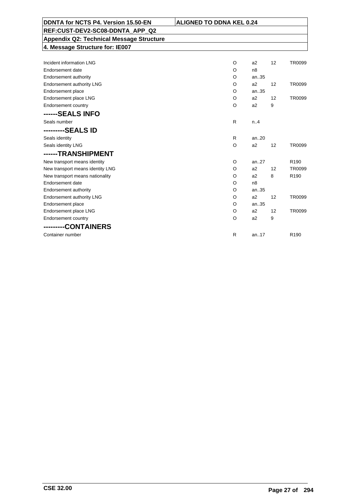| DDNTA for NCTS P4. Version 15.50-EN             | <b>ALIGNED TO DDNA KEL 0.24</b> |                |    |                  |
|-------------------------------------------------|---------------------------------|----------------|----|------------------|
| REF:CUST-DEV2-SC08-DDNTA APP Q2                 |                                 |                |    |                  |
| <b>Appendix Q2: Technical Message Structure</b> |                                 |                |    |                  |
| 4. Message Structure for: IE007                 |                                 |                |    |                  |
|                                                 |                                 |                |    |                  |
| Incident information LNG                        | O                               | a2             | 12 | <b>TR0099</b>    |
| Endorsement date                                | $\circ$                         | n <sub>8</sub> |    |                  |
| Endorsement authority                           | O                               | an35           |    |                  |
| Endorsement authority LNG                       | $\circ$                         | a2             | 12 | TR0099           |
| Endorsement place                               | O                               | an35           |    |                  |
| Endorsement place LNG                           | O                               | a2             | 12 | TR0099           |
| Endorsement country                             | O                               | a2             | 9  |                  |
| ------SEALS INFO                                |                                 |                |    |                  |
| Seals number                                    | R.                              | n.A            |    |                  |
| ---------SEALS ID                               |                                 |                |    |                  |
| Seals identity                                  | R                               | an.20          |    |                  |
| Seals identity LNG                              | O                               | a2             | 12 | <b>TR0099</b>    |
| ------TRANSHIPMENT                              |                                 |                |    |                  |
| New transport means identity                    | O                               | an.27          |    | R <sub>190</sub> |
| New transport means identity LNG                | O                               | a2             | 12 | TR0099           |
| New transport means nationality                 | O                               | a <sub>2</sub> | 8  | R <sub>190</sub> |
| Endorsement date                                | O                               | n <sub>8</sub> |    |                  |
| Endorsement authority                           | O                               | an35           |    |                  |
| Endorsement authority LNG                       | O                               | a2             | 12 | TR0099           |
| Endorsement place                               | O                               | an35           |    |                  |
| Endorsement place LNG                           | O                               | a2             | 12 | TR0099           |
| Endorsement country                             | O                               | a <sub>2</sub> | 9  |                  |
| ---------CONTAINERS                             |                                 |                |    |                  |
| Container number                                | R.                              | an17           |    | R <sub>190</sub> |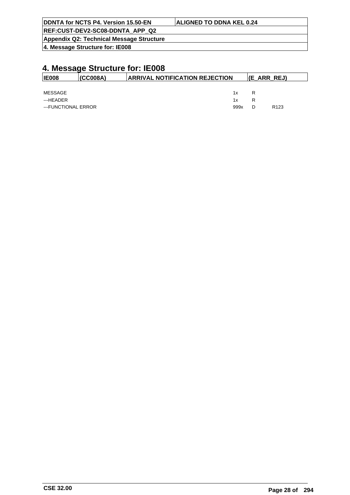| DDNTA for NCTS P4. Version 15.50-EN      | ALIGNED TO DDNA KEL 0.24 |
|------------------------------------------|--------------------------|
| REF:CUST-DEV2-SC08-DDNTA APP Q2          |                          |
| Appendix Q2: Technical Message Structure |                          |
| 4. Message Structure for: IE008          |                          |

#### **4. Message Structure for: IE008**

| <b>IE008</b>        | (CC008A) | <b>ARRIVAL NOTIFICATION REJECTION</b> | $ E_{ARR}$ $REJ $ |   |                  |
|---------------------|----------|---------------------------------------|-------------------|---|------------------|
|                     |          |                                       |                   |   |                  |
| MESSAGE             |          |                                       | 1x                | R |                  |
| ---HEADER           |          |                                       | 1x                | R |                  |
| ---FUNCTIONAL ERROR |          |                                       | 999x              | D | R <sub>123</sub> |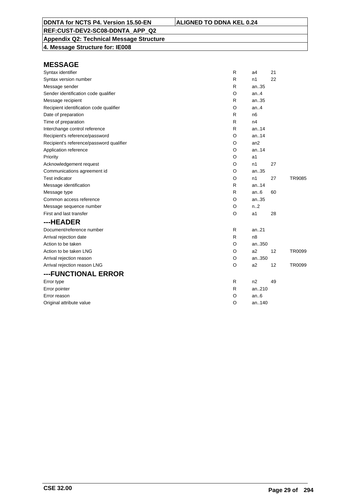**Appendix Q2: Technical Message Structure 4. Message Structure for: IE008**

| Syntax identifier                        | $\mathsf{R}$ | a4               | 21 |               |
|------------------------------------------|--------------|------------------|----|---------------|
| Syntax version number                    | R            | n1               | 22 |               |
| Message sender                           | R            | an35             |    |               |
| Sender identification code qualifier     | O            | an.4             |    |               |
| Message recipient                        | R            | an35             |    |               |
| Recipient identification code qualifier  | O            | an.4             |    |               |
| Date of preparation                      | R            | n <sub>6</sub>   |    |               |
| Time of preparation                      | R            | n4               |    |               |
| Interchange control reference            | R            | an.14            |    |               |
| Recipient's reference/password           | O            | an. $.14$        |    |               |
| Recipient's reference/password qualifier | O            | an2              |    |               |
| Application reference                    | O            | an.14            |    |               |
| Priority                                 | O            | a <sub>1</sub>   |    |               |
| Acknowledgement request                  | O            | n1               | 27 |               |
| Communications agreement id              | O            | an35             |    |               |
| <b>Test indicator</b>                    | O            | n1               | 27 | <b>TR9085</b> |
| Message identification                   | R            | an14             |    |               |
| Message type                             | R            | an.6             | 60 |               |
| Common access reference                  | O            | an35             |    |               |
| Message sequence number                  | O            | n <sub>1</sub> 2 |    |               |
| First and last transfer                  | O            | a1               | 28 |               |
| ---HEADER                                |              |                  |    |               |
| Document/reference number                | R            | an.21            |    |               |
| Arrival rejection date                   | R            | n <sub>8</sub>   |    |               |
| Action to be taken                       | O            | an350            |    |               |
| Action to be taken LNG                   | O            | a2               | 12 | <b>TR0099</b> |
| Arrival rejection reason                 | O            | an350            |    |               |
| Arrival rejection reason LNG             | O            | a2               | 12 | TR0099        |
| ---FUNCTIONAL ERROR                      |              |                  |    |               |
| Error type                               | R            | n2               | 49 |               |
| Error pointer                            | R            | an210            |    |               |
| Error reason                             | O            | an.6             |    |               |
| Original attribute value                 | O            | an140            |    |               |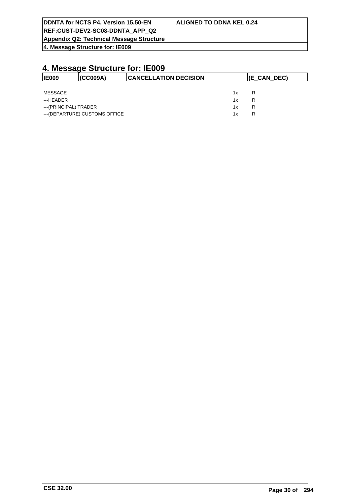| DDNTA for NCTS P4. Version 15.50-EN    | <b>ALIGNED TO DDNA KEL 0.24</b> |
|----------------------------------------|---------------------------------|
| <b>REF:CUST-DEV2-SC08-DDNTA APP Q2</b> |                                 |

**Appendix Q2: Technical Message Structure**

**4. Message Structure for: IE009**

| <b>IE009</b>          | I(CC009A)                      | <b>CANCELLATION DECISION</b> |    | (E_CAN_DEC) |
|-----------------------|--------------------------------|------------------------------|----|-------------|
|                       |                                |                              |    |             |
| MESSAGE               |                                |                              | 1x | R           |
| ---HEADER             |                                |                              | 1x | R           |
| ---(PRINCIPAL) TRADER |                                |                              | 1x | R           |
|                       | --- (DEPARTURE) CUSTOMS OFFICE |                              | 1x | R           |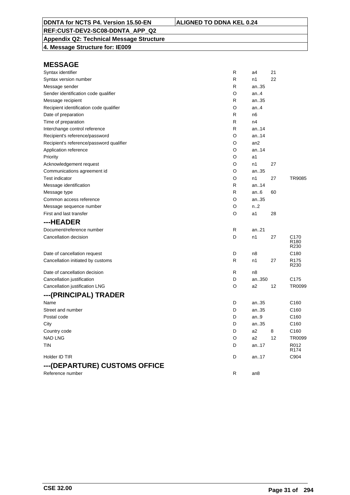**Appendix Q2: Technical Message Structure 4. Message Structure for: IE009**

| Syntax identifier                        | R      | a4              | 21 |                                      |
|------------------------------------------|--------|-----------------|----|--------------------------------------|
| Syntax version number                    | R      | n1              | 22 |                                      |
| Message sender                           | R      | an35            |    |                                      |
| Sender identification code qualifier     | O      | an.4            |    |                                      |
| Message recipient                        | R      | an35            |    |                                      |
| Recipient identification code qualifier  | O      | an.4            |    |                                      |
| Date of preparation                      | R      | n6              |    |                                      |
| Time of preparation                      | R      | n4              |    |                                      |
| Interchange control reference            | R      | an14            |    |                                      |
| Recipient's reference/password           | O      | an.14           |    |                                      |
| Recipient's reference/password qualifier | O      | an <sub>2</sub> |    |                                      |
| Application reference                    | O      | an14            |    |                                      |
| Priority                                 | O      | a1              |    |                                      |
| Acknowledgement request                  | O      | n1              | 27 |                                      |
| Communications agreement id              | O      | an35            |    |                                      |
| <b>Test indicator</b>                    | O      | n1              | 27 | TR9085                               |
| Message identification                   | R      | an14            |    |                                      |
| Message type                             | R      | an $6$          | 60 |                                      |
| Common access reference                  | O      | an35            |    |                                      |
| Message sequence number                  | O      | n.2             |    |                                      |
| First and last transfer                  | O      | a1              | 28 |                                      |
| ---HEADER                                |        |                 |    |                                      |
| Document/reference number                | R      | an.21           |    |                                      |
| Cancellation decision                    | D      | n1              | 27 | C <sub>170</sub><br>R <sub>180</sub> |
|                                          |        |                 |    | R <sub>230</sub><br>C <sub>180</sub> |
| Date of cancellation request             | D<br>R | n8<br>n1        | 27 | R <sub>175</sub>                     |
| Cancellation initiated by customs        |        |                 |    | R <sub>230</sub>                     |
| Date of cancellation decision            | R      | n8              |    |                                      |
| Cancellation justification               | D      | an350           |    | C <sub>175</sub>                     |
| Cancellation justification LNG           | O      | a2              | 12 | <b>TR0099</b>                        |
| ---(PRINCIPAL) TRADER                    |        |                 |    |                                      |
| Name                                     | D      | an35            |    | C <sub>160</sub>                     |
| Street and number                        | D      | an35            |    | C160                                 |
| Postal code                              | D      | an.9            |    | C <sub>160</sub>                     |
| City                                     | D      | an35            |    | C <sub>160</sub>                     |
| Country code                             | D      | a2              | 8  | C <sub>160</sub>                     |
| <b>NAD LNG</b>                           | O      | a2              | 12 | TR0099                               |
| TIN                                      | D      | an17            |    | R012<br>R <sub>174</sub>             |
| Holder ID TIR                            | D      | an17            |    | C904                                 |
| ---(DEPARTURE) CUSTOMS OFFICE            |        |                 |    |                                      |
| Reference number                         | R      | an8             |    |                                      |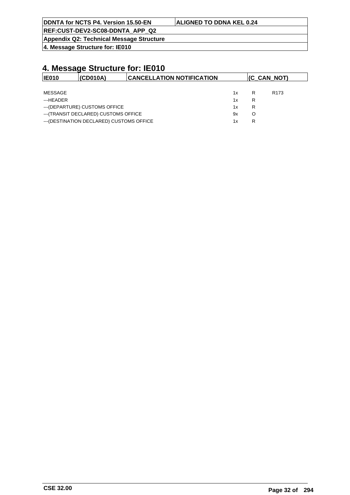| DDNTA for NCTS P4. Version 15.50-EN | <b>ALIGNED TO DDNA KEL 0.24</b> |
|-------------------------------------|---------------------------------|
| $D = 0.107 B = 0.000 A = 0.0117A$   |                                 |

**Appendix Q2: Technical Message Structure**

**4. Message Structure for: IE010**

| <b>IE010</b> | (CDO10A)                                  | <b>CANCELLATION NOTIFICATION</b> |   | (C_CAN_NOT)      |
|--------------|-------------------------------------------|----------------------------------|---|------------------|
|              |                                           |                                  |   |                  |
| MESSAGE      |                                           | 1x                               | R | R <sub>173</sub> |
| ---HFADFR    |                                           | 1x                               | R |                  |
|              | --- (DEPARTURE) CUSTOMS OFFICE            | 1x                               | R |                  |
|              | --- (TRANSIT DECLARED) CUSTOMS OFFICE     | 9x                               | O |                  |
|              | --- (DESTINATION DECLARED) CUSTOMS OFFICE | 1x                               | R |                  |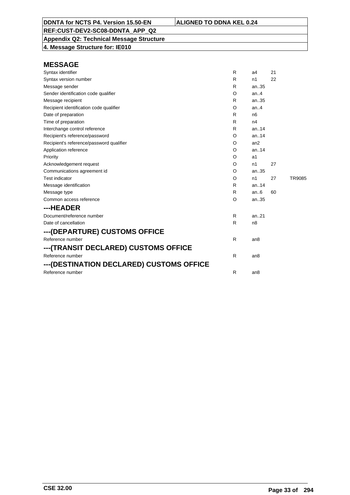#### **REF:CUST-DEV2-SC08-DDNTA\_APP\_Q2 Appendix Q2: Technical Message Structure**

**4. Message Structure for: IE010**

| Syntax identifier                        | R | a4              | 21 |        |
|------------------------------------------|---|-----------------|----|--------|
| Syntax version number                    | R | n1              | 22 |        |
| Message sender                           | R | an35            |    |        |
| Sender identification code qualifier     | O | an.4            |    |        |
| Message recipient                        | R | an35            |    |        |
| Recipient identification code qualifier  | O | an.4            |    |        |
| Date of preparation                      | R | n <sub>6</sub>  |    |        |
| Time of preparation                      | R | n4              |    |        |
| Interchange control reference            | R | an.14           |    |        |
| Recipient's reference/password           | O | an.14           |    |        |
| Recipient's reference/password qualifier | O | an2             |    |        |
| Application reference                    | O | an.14           |    |        |
| Priority                                 | O | a1              |    |        |
| Acknowledgement request                  | O | n1              | 27 |        |
| Communications agreement id              | O | an35            |    |        |
| <b>Test indicator</b>                    | O | n1              | 27 | TR9085 |
| Message identification                   | R | an.14           |    |        |
| Message type                             | R | an.6            | 60 |        |
| Common access reference                  | O | an35            |    |        |
| ---HEADER                                |   |                 |    |        |
| Document/reference number                | R | an.21           |    |        |
| Date of cancellation                     | R | n <sub>8</sub>  |    |        |
| ---(DEPARTURE) CUSTOMS OFFICE            |   |                 |    |        |
| Reference number                         | R | an8             |    |        |
| ---(TRANSIT DECLARED) CUSTOMS OFFICE     |   |                 |    |        |
| Reference number                         | R | an <sub>8</sub> |    |        |
| ---(DESTINATION DECLARED) CUSTOMS OFFICE |   |                 |    |        |
| Reference number                         | R | an <sub>8</sub> |    |        |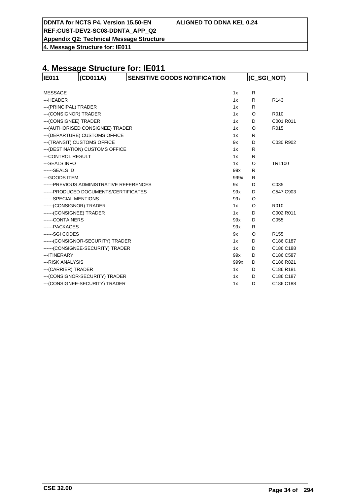|  |  | <b>DDNTA for NCTS P4. Version 15.50-EN</b> |
|--|--|--------------------------------------------|
|  |  |                                            |

#### **ALIGNED TO DDNA KEL 0.24**

**REF:CUST-DEV2-SC08-DDNTA\_APP\_Q2**

**Appendix Q2: Technical Message Structure**

**4. Message Structure for: IE011**

| <b>IE011</b>             | (CD011A)                                 | <b>SENSITIVE GOODS NOTIFICATION</b> |      | (C SGI NOT) |                  |
|--------------------------|------------------------------------------|-------------------------------------|------|-------------|------------------|
|                          |                                          |                                     |      |             |                  |
| <b>MESSAGE</b>           |                                          |                                     | 1x   | R           |                  |
| ---HEADER                |                                          |                                     | 1x   | R           | R <sub>143</sub> |
| --- (PRINCIPAL) TRADER   |                                          |                                     | 1x   | R           |                  |
| --- (CONSIGNOR) TRADER   |                                          |                                     | 1x   | $\circ$     | R010             |
| --- (CONSIGNEE) TRADER   |                                          |                                     | 1x   | D           | C001 R011        |
|                          | --- (AUTHORISED CONSIGNEE) TRADER        |                                     | 1x   | O           | R015             |
|                          | --- (DEPARTURE) CUSTOMS OFFICE           |                                     | 1x   | R           |                  |
|                          | --- (TRANSIT) CUSTOMS OFFICE             |                                     | 9x   | D           | C030 R902        |
|                          | --- (DESTINATION) CUSTOMS OFFICE         |                                     | 1x   | R           |                  |
| ---CONTROL RESULT        |                                          |                                     | 1x   | R           |                  |
| --- SEALS INFO           |                                          |                                     | 1x   | O           | TR1100           |
| ------SEALS ID           |                                          |                                     | 99x  | R           |                  |
| ---GOODS ITEM            |                                          |                                     | 999x | R           |                  |
|                          | ------PREVIOUS ADMINISTRATIVE REFERENCES |                                     | 9x   | D           | C035             |
|                          | ------PRODUCED DOCUMENTS/CERTIFICATES    |                                     | 99x  | D           | C547 C903        |
| ------SPECIAL MENTIONS   |                                          |                                     | 99x  | O           |                  |
| ------(CONSIGNOR) TRADER |                                          |                                     | 1x   | O           | R010             |
| ------(CONSIGNEE) TRADER |                                          |                                     | 1x   | D           | C002 R011        |
| ------CONTAINERS         |                                          |                                     | 99x  | D           | C055             |
| ------PACKAGES           |                                          |                                     | 99x  | R           |                  |
| ------SGI CODES          |                                          |                                     | 9x   | O           | R <sub>155</sub> |
|                          | ------(CONSIGNOR-SECURITY) TRADER        |                                     | 1x   | D           | C186 C187        |
|                          | ------(CONSIGNEE-SECURITY) TRADER        |                                     | 1x   | D           | C186 C188        |
| --- ITINERARY            |                                          |                                     | 99x  | D           | C186 C587        |
| ---RISK ANALYSIS         |                                          |                                     | 999x | D           | C186 R821        |
| --- (CARRIER) TRADER     |                                          |                                     | 1x   | D           | C186 R181        |
|                          | --- (CONSIGNOR-SECURITY) TRADER          |                                     | 1x   | D           | C186 C187        |
|                          | --- (CONSIGNEE-SECURITY) TRADER          |                                     | 1x   | D           | C186 C188        |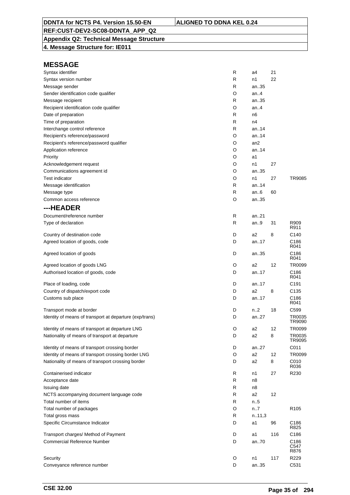**Appendix Q2: Technical Message Structure 4. Message Structure for: IE011**

| Syntax identifier                                       | R | a4              | 21  |                          |
|---------------------------------------------------------|---|-----------------|-----|--------------------------|
| Syntax version number                                   | R | n1              | 22  |                          |
| Message sender                                          | R | an35            |     |                          |
| Sender identification code qualifier                    | O | an $4$          |     |                          |
| Message recipient                                       | R | an35            |     |                          |
| Recipient identification code qualifier                 | O | an $4$          |     |                          |
| Date of preparation                                     | R | n6              |     |                          |
| Time of preparation                                     | R | n4              |     |                          |
| Interchange control reference                           | R | an14            |     |                          |
| Recipient's reference/password                          | O | an14            |     |                          |
| Recipient's reference/password qualifier                | O | an <sub>2</sub> |     |                          |
| Application reference                                   | O | an14            |     |                          |
| Priority                                                | O | a1              |     |                          |
| Acknowledgement request                                 | O | n1              | 27  |                          |
| Communications agreement id                             | O | an35            |     |                          |
| <b>Test indicator</b>                                   | O | n1              | 27  | <b>TR9085</b>            |
| Message identification                                  | R | an14            |     |                          |
| Message type                                            | R | an $6$          | 60  |                          |
| Common access reference                                 | O | an35            |     |                          |
| ---HEADER                                               |   |                 |     |                          |
| Document/reference number                               | R | an21            |     |                          |
| Type of declaration                                     | R | an.9            | 31  | R909                     |
|                                                         |   |                 |     | R911                     |
| Country of destination code                             | D | a2              | 8   | C <sub>140</sub>         |
| Agreed location of goods, code                          | D | an17            |     | C186<br>R041             |
| Agreed location of goods                                | D | an35            |     | C <sub>186</sub><br>R041 |
| Agreed location of goods LNG                            | O | a2              | 12  | TR0099                   |
| Authorised location of goods, code                      | D | an17            |     | C186<br>R041             |
| Place of loading, code                                  | D | an17            |     | C <sub>191</sub>         |
| Country of dispatch/export code                         | D | a2              | 8   | C <sub>135</sub>         |
| Customs sub place                                       | D | an17            |     | C <sub>186</sub><br>R041 |
| Transport mode at border                                | D | n.2             | 18  | C599                     |
| Identity of means of transport at departure (exp/trans) | D | an27            |     | TR0035<br>TR9090         |
| Identity of means of transport at departure LNG         | O | a2              | 12  | TR0099                   |
| Nationality of means of transport at departure          | D | a2              | 8   | TR0035<br>TR9095         |
| Identity of means of transport crossing border          | D | an27            |     | C011                     |
| Identity of means of transport crossing border LNG      | O | a2              | 12  | TR0099                   |
| Nationality of means of transport crossing border       | D | a2              | 8   | C010<br>R036             |
| Containerised indicator                                 | R | n1              | 27  | R230                     |
| Acceptance date                                         | R | n8              |     |                          |
| Issuing date                                            | R | n8              |     |                          |
| NCTS accompanying document language code                | R | a2              | 12  |                          |
| Total number of items                                   | R | n5              |     |                          |
| Total number of packages                                | O | n7              |     | R <sub>105</sub>         |
| Total gross mass                                        | R | n.11,3          |     |                          |
| Specific Circumstance Indicator                         | D | a1              | 96  | C186<br>R825             |
| Transport charges/ Method of Payment                    | D | a1              | 116 | C186                     |
| <b>Commercial Reference Number</b>                      | D | an70            |     | C186<br>C547<br>R876     |
| Security                                                | O | n1              | 117 | R229                     |
| Conveyance reference number                             | D | an35            |     | C531                     |
|                                                         |   |                 |     |                          |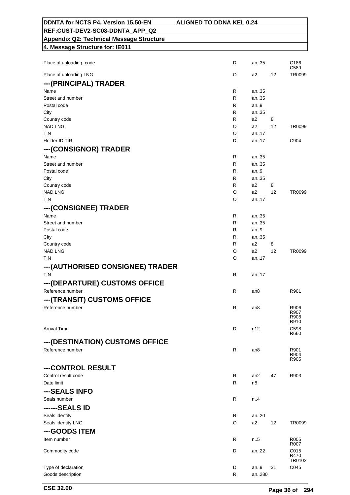| DDNTA for NCTS P4. Version 15.50-EN             | <b>ALIGNED TO DDNA KEL 0.24</b> |    |                          |
|-------------------------------------------------|---------------------------------|----|--------------------------|
| REF:CUST-DEV2-SC08-DDNTA_APP_Q2                 |                                 |    |                          |
| <b>Appendix Q2: Technical Message Structure</b> |                                 |    |                          |
| 4. Message Structure for: IE011                 |                                 |    |                          |
|                                                 |                                 |    |                          |
| Place of unloading, code                        | D<br>an35                       |    | C186<br>C <sub>589</sub> |
| Place of unloading LNG                          | O<br>a2                         | 12 | TR0099                   |
| ---(PRINCIPAL) TRADER                           |                                 |    |                          |
| Name                                            | R<br>an35                       |    |                          |
| Street and number                               | R<br>an35                       |    |                          |
| Postal code                                     | R<br>an.9                       |    |                          |
| City                                            | R<br>an35                       |    |                          |
| Country code                                    | R<br>a2                         | 8  |                          |
| <b>NAD LNG</b>                                  | O<br>a2                         | 12 | TR0099                   |
| <b>TIN</b>                                      | O<br>an17                       |    |                          |
| Holder ID TIR                                   | D<br>an17                       |    | C904                     |
| ---(CONSIGNOR) TRADER                           |                                 |    |                          |
| Name                                            | R<br>an35                       |    |                          |
| Street and number                               | R<br>an35                       |    |                          |
| Postal code                                     | R<br>an.9                       |    |                          |
| City                                            | R<br>an35                       |    |                          |
| Country code                                    | R<br>a2                         | 8  |                          |
| <b>NAD LNG</b>                                  | O<br>a2                         | 12 | TR0099                   |
| <b>TIN</b>                                      | O<br>an17                       |    |                          |
| ---(CONSIGNEE) TRADER<br>Name                   | R<br>an35                       |    |                          |
| Street and number                               | R<br>an35                       |    |                          |
| Postal code                                     | R<br>an9                        |    |                          |
| City                                            | R<br>an35                       |    |                          |
| Country code                                    | R<br>a2                         | 8  |                          |
| <b>NAD LNG</b>                                  | O<br>a2                         | 12 | TR0099                   |
| <b>TIN</b>                                      | O<br>an17                       |    |                          |
| --- (AUTHORISED CONSIGNEE) TRADER               |                                 |    |                          |
| <b>TIN</b>                                      | R<br>an.17                      |    |                          |
| ---(DEPARTURE) CUSTOMS OFFICE                   |                                 |    |                          |
| Reference number                                | R<br>an8                        |    | R901                     |
| ---(TRANSIT) CUSTOMS OFFICE                     |                                 |    |                          |
| Reference number                                | R<br>an <sub>8</sub>            |    | R906                     |
|                                                 |                                 |    | R907<br>R908             |
|                                                 |                                 |    | R910                     |
| <b>Arrival Time</b>                             | D<br>n12                        |    | C598                     |
|                                                 |                                 |    | R660                     |
| ---(DESTINATION) CUSTOMS OFFICE                 |                                 |    |                          |
| Reference number                                | $\mathsf{R}$<br>an <sub>8</sub> |    | R901<br>R904             |
|                                                 |                                 |    | R905                     |
| ---CONTROL RESULT                               |                                 |    |                          |
| Control result code                             | R<br>an <sub>2</sub>            | 47 | R903                     |
| Date limit                                      | R<br>n8                         |    |                          |
| ---SEALS INFO                                   |                                 |    |                          |
| Seals number                                    | R<br>n.4                        |    |                          |
|                                                 |                                 |    |                          |
| ------SEALS ID                                  |                                 |    |                          |
| Seals identity                                  | R<br>an20                       |    |                          |
| Seals identity LNG                              | O<br>a2                         | 12 | TR0099                   |
| ---GOODS ITEM                                   |                                 |    |                          |
| Item number                                     | R<br>n.5                        |    | R005                     |
| Commodity code                                  | D<br>an22                       |    | R007<br>C015             |
|                                                 |                                 |    | R470                     |
|                                                 |                                 |    | TR0102                   |
| Type of declaration                             | D<br>an.9                       | 31 | C045                     |
| Goods description                               | R<br>an280                      |    |                          |

٦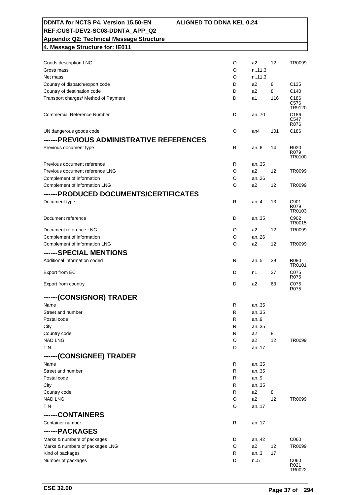| DDNTA for NCTS P4. Version 15.50-EN<br><b>ALIGNED TO DDNA KEL 0.24</b> |   |                |     |                          |
|------------------------------------------------------------------------|---|----------------|-----|--------------------------|
| REF:CUST-DEV2-SC08-DDNTA APP Q2                                        |   |                |     |                          |
| <b>Appendix Q2: Technical Message Structure</b>                        |   |                |     |                          |
| 4. Message Structure for: IE011                                        |   |                |     |                          |
|                                                                        | O |                | 12  | TR0099                   |
| Goods description LNG<br>Gross mass                                    | O | a2<br>n.11,3   |     |                          |
| Net mass                                                               | O | n.11,3         |     |                          |
| Country of dispatch/export code                                        | D | a <sub>2</sub> | 8   | C <sub>135</sub>         |
| Country of destination code                                            | D | a <sub>2</sub> | 8   | C140                     |
| Transport charges/ Method of Payment                                   | D | a1             | 116 | C186                     |
|                                                                        |   |                |     | C576<br>TR9120           |
| <b>Commercial Reference Number</b>                                     | D | an.70          |     | C186<br>C547<br>R876     |
| UN dangerous goods code                                                | O | an4            | 101 | C186                     |
| ------PREVIOUS ADMINISTRATIVE REFERENCES                               |   |                |     |                          |
| Previous document type                                                 | R | an.6           | 14  | R020<br>R079<br>TR0100   |
| Previous document reference                                            | R | an35           |     |                          |
| Previous document reference LNG                                        | O | a2             | 12  | TR0099                   |
| Complement of information                                              | O | an.26          |     |                          |
| Complement of information LNG                                          | O | a <sub>2</sub> | 12  | TR0099                   |
| ------PRODUCED DOCUMENTS/CERTIFICATES                                  |   |                |     |                          |
| Document type                                                          | R | an. $4$        | 13  | C901<br>R079             |
| Document reference                                                     | D | an35           |     | TR0103<br>C902<br>TR0015 |
| Document reference LNG                                                 | O | a <sub>2</sub> | 12  | TR0099                   |
| Complement of information                                              | O | an.26          |     |                          |
| Complement of information LNG                                          | O | a2             | 12  | TR0099                   |
| ------SPECIAL MENTIONS                                                 |   |                |     |                          |
| Additional information coded                                           | R | an.5           | 39  | R080<br>TR0101           |
| Export from EC                                                         | D | n1             | 27  | C075<br>R075             |
| Export from country                                                    | D | a2             | 63  | C075<br>R075             |
| ------(CONSIGNOR) TRADER                                               |   |                |     |                          |
| Name                                                                   | R | an35           |     |                          |
| Street and number                                                      | R | an35           |     |                          |
| Postal code                                                            | R | an.9           |     |                          |
| City                                                                   | R | an35           |     |                          |
| Country code                                                           | R | a2             | 8   |                          |
| <b>NAD LNG</b>                                                         | O | a2             | 12  | TR0099                   |
| TIN                                                                    | O | an17           |     |                          |
| ------(CONSIGNEE) TRADER                                               |   |                |     |                          |
| Name                                                                   | R | an35           |     |                          |
| Street and number                                                      | R | an35           |     |                          |
| Postal code                                                            | R | an.9           |     |                          |
| City                                                                   | R | an35           |     |                          |
| Country code                                                           | R | a <sub>2</sub> | 8   |                          |
| NAD LNG                                                                | O | a <sub>2</sub> | 12  | TR0099                   |
| TIN                                                                    | O | an17           |     |                          |
| ------CONTAINERS                                                       |   |                |     |                          |
| Container number<br>------PACKAGES                                     | R | an17           |     |                          |
| Marks & numbers of packages                                            | D | an42           |     | C060                     |
| Marks & numbers of packages LNG                                        | O | a2             | 12  | TR0099                   |
| Kind of packages                                                       | R | an.3           | 17  |                          |
| Number of packages                                                     | D | n.5            |     | C060<br>R021<br>TR0022   |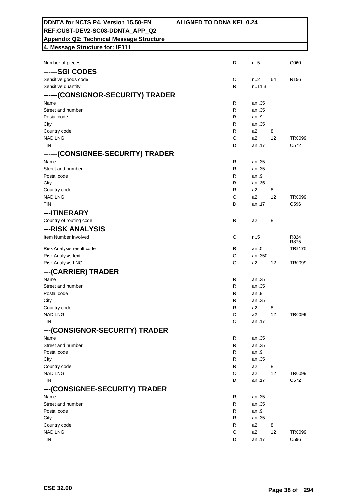| DDNTA for NCTS P4. Version 15.50-EN             | <b>ALIGNED TO DDNA KEL 0.24</b> |                         |    |                  |
|-------------------------------------------------|---------------------------------|-------------------------|----|------------------|
| REF:CUST-DEV2-SC08-DDNTA_APP_Q2                 |                                 |                         |    |                  |
| <b>Appendix Q2: Technical Message Structure</b> |                                 |                         |    |                  |
| 4. Message Structure for: IE011                 |                                 |                         |    |                  |
|                                                 |                                 |                         |    |                  |
| Number of pieces                                | D                               | $n_{.}.5$               |    | C060             |
| ------SGI CODES                                 |                                 |                         |    |                  |
| Sensitive goods code                            | O                               | n2                      | 64 | R <sub>156</sub> |
| Sensitive quantity                              | R                               | n.11,3                  |    |                  |
| ------(CONSIGNOR-SECURITY) TRADER               |                                 |                         |    |                  |
| Name                                            | R                               | an35                    |    |                  |
| Street and number                               | R                               | an35                    |    |                  |
| Postal code                                     | R                               | an.9                    |    |                  |
| City                                            | R                               | an35                    |    |                  |
| Country code                                    | R                               | a <sub>2</sub>          | 8  |                  |
| <b>NAD LNG</b>                                  | O                               | a <sub>2</sub>          | 12 | TR0099           |
| TIN                                             | D                               | an17                    |    | C <sub>572</sub> |
| ------(CONSIGNEE-SECURITY) TRADER               |                                 |                         |    |                  |
| Name                                            | R                               | an35                    |    |                  |
| Street and number                               | R                               | an35                    |    |                  |
| Postal code                                     | R                               | an.9                    |    |                  |
| City                                            | R                               | an35                    |    |                  |
| Country code                                    | R                               | a2                      | 8  |                  |
| <b>NAD LNG</b>                                  | O                               | a <sub>2</sub>          | 12 | TR0099           |
| TIN                                             | D                               | an17                    |    | C596             |
| ---ITINERARY                                    |                                 |                         |    |                  |
| Country of routing code                         | R                               | a <sub>2</sub>          | 8  |                  |
| ---RISK ANALYSIS                                |                                 |                         |    |                  |
| Item Number involved                            | O                               | n.5                     |    | R824             |
|                                                 |                                 |                         |    | R875             |
| Risk Analysis result code                       | R                               | an $.5$                 |    | TR9175           |
| Risk Analysis text<br><b>Risk Analysis LNG</b>  | O<br>O                          | an350<br>a <sub>2</sub> | 12 | TR0099           |
|                                                 |                                 |                         |    |                  |
| ---(CARRIER) TRADER                             |                                 |                         |    |                  |
| Name                                            | R                               | an.35                   |    |                  |
| Street and number<br>Postal code                | R<br>R                          | an35<br>an.9            |    |                  |
| City                                            | R                               | an35                    |    |                  |
| Country code                                    | R                               | a <sub>2</sub>          | 8  |                  |
| <b>NAD LNG</b>                                  | O                               | a <sub>2</sub>          | 12 | TR0099           |
| <b>TIN</b>                                      | O                               | an17                    |    |                  |
| ---(CONSIGNOR-SECURITY) TRADER                  |                                 |                         |    |                  |
| Name                                            | R                               | an35                    |    |                  |
| Street and number                               | R                               | an35                    |    |                  |
| Postal code                                     | R                               | an.9                    |    |                  |
| City                                            | R                               | an35                    |    |                  |
| Country code                                    | R                               | a2                      | 8  |                  |
| <b>NAD LNG</b>                                  | O                               | a <sub>2</sub>          | 12 | TR0099           |
| <b>TIN</b>                                      | D                               | an17                    |    | C <sub>572</sub> |
| ---(CONSIGNEE-SECURITY) TRADER                  |                                 |                         |    |                  |
| Name                                            | R                               | an35                    |    |                  |
| Street and number                               | R                               | an35                    |    |                  |
| Postal code                                     | R                               | an $9$                  |    |                  |
| City                                            | R                               | an35                    |    |                  |
| Country code                                    | R                               | a2                      | 8  |                  |
| <b>NAD LNG</b>                                  | O                               | a <sub>2</sub>          | 12 | TR0099           |
| <b>TIN</b>                                      | D                               | an17                    |    | C596             |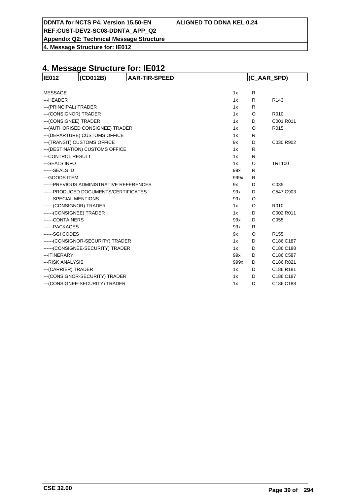**Appendix Q2: Technical Message Structure**

**4. Message Structure for: IE012**

| <b>IE012</b>             | (CD012B)                                 | <b>AAR-TIR-SPEED</b> |      | (C_AAR_SPD) |                  |  |  |
|--------------------------|------------------------------------------|----------------------|------|-------------|------------------|--|--|
|                          |                                          |                      |      |             |                  |  |  |
| <b>MESSAGE</b>           |                                          |                      | 1x   | R           |                  |  |  |
| ---HEADER                |                                          |                      | 1x   | R           | R <sub>143</sub> |  |  |
| --- (PRINCIPAL) TRADER   |                                          |                      | 1x   | R           |                  |  |  |
| --- (CONSIGNOR) TRADER   |                                          | 1x                   | O    | R010        |                  |  |  |
| --- (CONSIGNEE) TRADER   |                                          |                      | 1x   | D           | C001 R011        |  |  |
|                          | --- (AUTHORISED CONSIGNEE) TRADER        |                      | 1x   | O           | R015             |  |  |
|                          | --- (DEPARTURE) CUSTOMS OFFICE           |                      | 1x   | R           |                  |  |  |
|                          | --- (TRANSIT) CUSTOMS OFFICE             |                      | 9x   | D           | C030 R902        |  |  |
|                          | --- (DESTINATION) CUSTOMS OFFICE         |                      | 1x   | R           |                  |  |  |
| ---CONTROL RESULT        |                                          |                      | 1x   | R           |                  |  |  |
| --- SEALS INFO           |                                          |                      | 1x   | $\circ$     | TR1100           |  |  |
| ------SEALS ID           |                                          |                      | 99x  | R           |                  |  |  |
| ---GOODS ITEM            |                                          |                      | 999x | R           |                  |  |  |
|                          | ------PREVIOUS ADMINISTRATIVE REFERENCES |                      | 9x   | D           | C035             |  |  |
|                          | ------ PRODUCED DOCUMENTS/CERTIFICATES   |                      | 99x  | D           | C547 C903        |  |  |
| ------SPECIAL MENTIONS   |                                          |                      | 99x  | O           |                  |  |  |
| ------(CONSIGNOR) TRADER |                                          |                      | 1x   | O           | R010             |  |  |
| ------(CONSIGNEE) TRADER |                                          |                      | 1x   | D           | C002 R011        |  |  |
| ------CONTAINERS         |                                          |                      | 99x  | D           | C055             |  |  |
| ------PACKAGES           |                                          |                      | 99x  | R           |                  |  |  |
| ------SGI CODES          |                                          |                      | 9x   | O           | R <sub>155</sub> |  |  |
|                          | ------(CONSIGNOR-SECURITY) TRADER        |                      | 1x   | D           | C186 C187        |  |  |
|                          | ------(CONSIGNEE-SECURITY) TRADER        |                      | 1x   | D           | C186 C188        |  |  |
| --- ITINERARY            |                                          |                      | 99x  | D           | C186 C587        |  |  |
| ---RISK ANALYSIS         |                                          |                      | 999x | D           | C186 R821        |  |  |
| --- (CARRIER) TRADER     |                                          |                      | 1x   | D           | C186 R181        |  |  |
|                          | --- (CONSIGNOR-SECURITY) TRADER          |                      | 1x   | D           | C186 C187        |  |  |
|                          | --- (CONSIGNEE-SECURITY) TRADER          |                      | 1x   | D           | C186 C188        |  |  |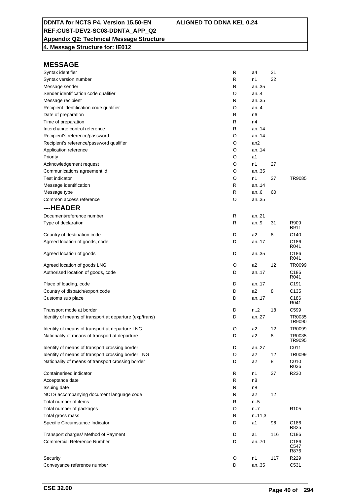## **Appendix Q2: Technical Message Structure**

**4. Message Structure for: IE012**

| Syntax identifier                                       | R | a4              | 21  |                      |
|---------------------------------------------------------|---|-----------------|-----|----------------------|
| Syntax version number                                   | R | n1              | 22  |                      |
| Message sender                                          | R | an35            |     |                      |
| Sender identification code qualifier                    | O | an4             |     |                      |
| Message recipient                                       | R | an35            |     |                      |
| Recipient identification code qualifier                 | O | an4             |     |                      |
| Date of preparation                                     | R | n6              |     |                      |
| Time of preparation                                     | R | n4              |     |                      |
| Interchange control reference                           | R | an. $.14$       |     |                      |
| Recipient's reference/password                          | O | an14            |     |                      |
| Recipient's reference/password qualifier                | O | an <sub>2</sub> |     |                      |
| Application reference                                   | O | an14            |     |                      |
| Priority                                                | O | a1              |     |                      |
| Acknowledgement request                                 | O | n1              | 27  |                      |
| Communications agreement id                             | O | an35            |     |                      |
| <b>Test indicator</b>                                   | O | n1              | 27  | TR9085               |
| Message identification                                  | R | an14            |     |                      |
| Message type                                            | R | an6             | 60  |                      |
| Common access reference                                 | O | an35            |     |                      |
|                                                         |   |                 |     |                      |
| ---HEADER                                               |   |                 |     |                      |
| Document/reference number                               | R | an21            |     |                      |
| Type of declaration                                     | R | an $9$          | 31  | R909<br>R911         |
| Country of destination code                             | D | a2              | 8   | C140                 |
|                                                         | D | an17            |     | C186                 |
| Agreed location of goods, code                          |   |                 |     | R041                 |
| Agreed location of goods                                | D | an35            |     | C186<br>R041         |
| Agreed location of goods LNG                            | O | a2              | 12  | TR0099               |
| Authorised location of goods, code                      | D | an17            |     | C186<br>R041         |
| Place of loading, code                                  | D | an17            |     | C <sub>191</sub>     |
| Country of dispatch/export code                         | D | a2              | 8   | C <sub>135</sub>     |
| Customs sub place                                       | D | an17            |     | C186                 |
|                                                         |   |                 |     | R041                 |
| Transport mode at border                                | D | n2              | 18  | C599                 |
| Identity of means of transport at departure (exp/trans) | D | an27            |     | TR0035<br>TR9090     |
| Identity of means of transport at departure LNG         | O | a2              | 12  | TR0099               |
| Nationality of means of transport at departure          | D | a2              | 8   | TR0035<br>TR9095     |
| Identity of means of transport crossing border          | D | an27            |     | C011                 |
| Identity of means of transport crossing border LNG      | O | a <sub>2</sub>  | 12  | TR0099               |
| Nationality of means of transport crossing border       | D | a <sub>2</sub>  | 8   | C010<br>R036         |
| Containerised indicator                                 | R | n1              | 27  | R230                 |
| Acceptance date                                         | R | n8              |     |                      |
| Issuing date                                            | R | n8              |     |                      |
| NCTS accompanying document language code                | R | a2              | 12  |                      |
| Total number of items                                   | R | n.5             |     |                      |
| Total number of packages                                | O | n7              |     | R <sub>105</sub>     |
| Total gross mass                                        | R | n.11,3          |     |                      |
| Specific Circumstance Indicator                         | D | a1              | 96  | C186                 |
|                                                         |   |                 |     | R825                 |
| Transport charges/ Method of Payment                    | D | a1              | 116 | C186                 |
| <b>Commercial Reference Number</b>                      | D | an70            |     | C186<br>C547<br>R876 |
| Security                                                | O | n1              | 117 | R229                 |
| Conveyance reference number                             | D | an35            |     | C531                 |
|                                                         |   |                 |     |                      |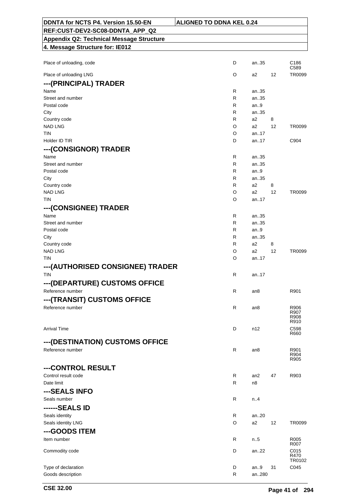| DDNTA for NCTS P4. Version 15.50-EN             | <b>ALIGNED TO DDNA KEL 0.24</b> |    |                          |
|-------------------------------------------------|---------------------------------|----|--------------------------|
| REF:CUST-DEV2-SC08-DDNTA_APP_Q2                 |                                 |    |                          |
| <b>Appendix Q2: Technical Message Structure</b> |                                 |    |                          |
| 4. Message Structure for: IE012                 |                                 |    |                          |
|                                                 |                                 |    |                          |
| Place of unloading, code                        | D<br>an35                       |    | C186<br>C <sub>589</sub> |
| Place of unloading LNG                          | O<br>a2                         | 12 | TR0099                   |
| ---(PRINCIPAL) TRADER                           |                                 |    |                          |
| Name                                            | R<br>an35                       |    |                          |
| Street and number                               | R<br>an35                       |    |                          |
| Postal code                                     | R<br>an.9                       |    |                          |
| City                                            | R<br>an35                       |    |                          |
| Country code                                    | R<br>a2                         | 8  |                          |
| <b>NAD LNG</b>                                  | O<br>a2                         | 12 | TR0099                   |
| <b>TIN</b>                                      | O<br>an17                       |    |                          |
| Holder ID TIR                                   | D<br>an17                       |    | C904                     |
| ---(CONSIGNOR) TRADER                           |                                 |    |                          |
| Name                                            | R<br>an35                       |    |                          |
| Street and number                               | R<br>an35                       |    |                          |
| Postal code                                     | R<br>an.9                       |    |                          |
| City                                            | R<br>an35                       |    |                          |
| Country code                                    | R<br>a2                         | 8  |                          |
| <b>NAD LNG</b>                                  | O<br>a2                         | 12 | TR0099                   |
| <b>TIN</b>                                      | O<br>an17                       |    |                          |
| ---(CONSIGNEE) TRADER<br>Name                   | R                               |    |                          |
| Street and number                               | an35<br>R<br>an35               |    |                          |
| Postal code                                     | R<br>an9                        |    |                          |
| City                                            | R<br>an35                       |    |                          |
| Country code                                    | R<br>a2                         | 8  |                          |
| <b>NAD LNG</b>                                  | O<br>a2                         | 12 | TR0099                   |
| <b>TIN</b>                                      | O<br>an17                       |    |                          |
| --- (AUTHORISED CONSIGNEE) TRADER               |                                 |    |                          |
| <b>TIN</b>                                      | R<br>an.17                      |    |                          |
| ---(DEPARTURE) CUSTOMS OFFICE                   |                                 |    |                          |
| Reference number                                | R<br>an8                        |    | R901                     |
| ---(TRANSIT) CUSTOMS OFFICE                     |                                 |    |                          |
| Reference number                                | R<br>an <sub>8</sub>            |    | R906                     |
|                                                 |                                 |    | R907<br>R908             |
|                                                 |                                 |    | R910                     |
| <b>Arrival Time</b>                             | D<br>n12                        |    | C598<br>R660             |
|                                                 |                                 |    |                          |
| ---(DESTINATION) CUSTOMS OFFICE                 |                                 |    |                          |
| Reference number                                | $\mathsf{R}$<br>an <sub>8</sub> |    | R901<br>R904             |
|                                                 |                                 |    | R905                     |
| ---CONTROL RESULT                               |                                 |    |                          |
| Control result code                             | R<br>an <sub>2</sub>            | 47 | R903                     |
| Date limit                                      | R<br>n8                         |    |                          |
| ---SEALS INFO                                   |                                 |    |                          |
| Seals number                                    | R<br>n.4                        |    |                          |
| ------SEALS ID                                  |                                 |    |                          |
|                                                 |                                 |    |                          |
| Seals identity<br>Seals identity LNG            | R<br>an20<br>O<br>a2            | 12 | TR0099                   |
|                                                 |                                 |    |                          |
| ---GOODS ITEM                                   |                                 |    |                          |
| Item number                                     | R<br>n.5                        |    | R005<br>R007             |
| Commodity code                                  | D<br>an22                       |    | C015                     |
|                                                 |                                 |    | R470                     |
|                                                 | D<br>an.9                       | 31 | TR0102<br>C045           |
| Type of declaration<br>Goods description        | R<br>an280                      |    |                          |
|                                                 |                                 |    |                          |

٦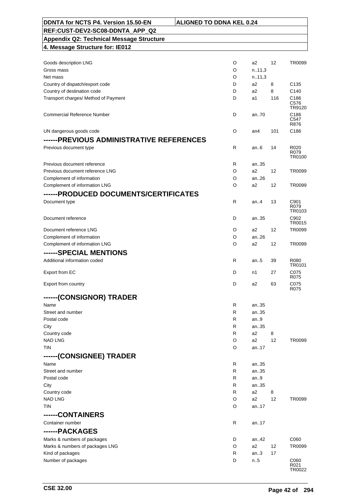| DDNTA for NCTS P4. Version 15.50-EN             | <b>ALIGNED TO DDNA KEL 0.24</b> |                |     |                          |
|-------------------------------------------------|---------------------------------|----------------|-----|--------------------------|
| REF:CUST-DEV2-SC08-DDNTA APP Q2                 |                                 |                |     |                          |
| <b>Appendix Q2: Technical Message Structure</b> |                                 |                |     |                          |
| 4. Message Structure for: IE012                 |                                 |                |     |                          |
|                                                 |                                 |                |     |                          |
| Goods description LNG                           | O                               | a2             | 12  | TR0099                   |
| Gross mass                                      | O                               | n.11,3         |     |                          |
| Net mass                                        | O                               | n.11,3         |     |                          |
| Country of dispatch/export code                 | D                               | a2             | 8   | C <sub>135</sub>         |
| Country of destination code                     | D                               | a2             | 8   | C140                     |
| Transport charges/ Method of Payment            | D                               | a1             | 116 | C186<br>C576<br>TR9120   |
| <b>Commercial Reference Number</b>              | D                               | an70           |     | C186<br>C547<br>R876     |
| UN dangerous goods code                         | O                               | an4            | 101 | C186                     |
| ------PREVIOUS ADMINISTRATIVE REFERENCES        |                                 |                |     |                          |
| Previous document type                          | R                               | an $6$         | 14  | R020<br>R079<br>TR0100   |
| Previous document reference                     | R                               | an35           |     |                          |
| Previous document reference LNG                 | O                               | a2             | 12  | TR0099                   |
| Complement of information                       | O                               | an26           |     |                          |
| Complement of information LNG                   | O                               | a <sub>2</sub> | 12  | TR0099                   |
| ------PRODUCED DOCUMENTS/CERTIFICATES           |                                 |                |     |                          |
| Document type                                   | R                               | an4            | 13  | C901<br>R079             |
| Document reference                              | D                               | an35           |     | TR0103<br>C902<br>TR0015 |
| Document reference LNG                          | O                               | a2             | 12  | TR0099                   |
| Complement of information                       | O                               | an26           |     |                          |
| Complement of information LNG                   | O                               | a2             | 12  | TR0099                   |
| ------SPECIAL MENTIONS                          |                                 |                |     |                          |
| Additional information coded                    | R                               | an.5           | 39  | R080<br>TR0101           |
| Export from EC                                  | D                               | n1             | 27  | C075<br>R075             |
| Export from country                             | D                               | a2             | 63  | C075<br>R075             |
| ------(CONSIGNOR) TRADER                        |                                 |                |     |                          |
| Name                                            | R                               | an35           |     |                          |
| Street and number                               | R                               | an35           |     |                          |
| Postal code                                     | R                               | an.9           |     |                          |
| City                                            | R                               | an35           |     |                          |
| Country code                                    | R                               | a2             | 8   |                          |
| <b>NAD LNG</b>                                  | O                               | a2             | 12  | TR0099                   |
| TIN                                             | O                               | an17           |     |                          |
| ------(CONSIGNEE) TRADER                        |                                 |                |     |                          |
| Name                                            | R                               | an35           |     |                          |
| Street and number                               | R                               | an35           |     |                          |
| Postal code                                     | R                               | an9            |     |                          |
| City                                            | R                               | an35           |     |                          |
| Country code                                    | R                               | a2             | 8   |                          |
| <b>NAD LNG</b>                                  | O                               | a2             | 12  | TR0099                   |
| TIN                                             | O                               | an17           |     |                          |
| ------CONTAINERS<br>Container number            | R                               | an17           |     |                          |
| ------PACKAGES                                  |                                 |                |     |                          |
| Marks & numbers of packages                     | D                               | an42           |     | C060                     |
| Marks & numbers of packages LNG                 | O                               | a2             | 12  | TR0099                   |
| Kind of packages                                | R                               | an.3           | 17  |                          |
| Number of packages                              | D                               | n.5            |     | C060<br>R021<br>TR0022   |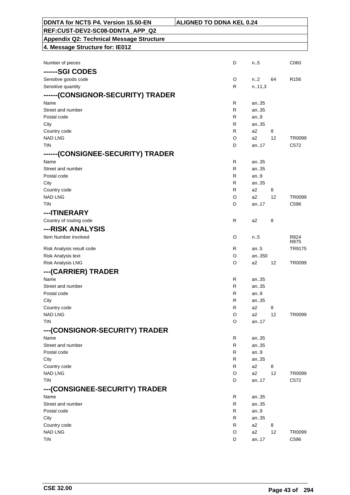| DDNTA for NCTS P4. Version 15.50-EN             | <b>ALIGNED TO DDNA KEL 0.24</b> |                |         |                  |
|-------------------------------------------------|---------------------------------|----------------|---------|------------------|
| REF:CUST-DEV2-SC08-DDNTA_APP_Q2                 |                                 |                |         |                  |
| <b>Appendix Q2: Technical Message Structure</b> |                                 |                |         |                  |
| 4. Message Structure for: IE012                 |                                 |                |         |                  |
|                                                 |                                 |                |         |                  |
| Number of pieces                                | D                               | n5             |         | C060             |
| ------SGI CODES                                 |                                 |                |         |                  |
| Sensitive goods code                            | O                               | n2             | 64      | R <sub>156</sub> |
| Sensitive quantity                              | R                               | n.11,3         |         |                  |
| ------(CONSIGNOR-SECURITY) TRADER               |                                 |                |         |                  |
| Name                                            | R                               | an35           |         |                  |
| Street and number                               | R                               | an35           |         |                  |
| Postal code                                     | R                               | an.9           |         |                  |
| City                                            | R                               | an35           |         |                  |
| Country code                                    | R                               | a2             | 8       |                  |
| <b>NAD LNG</b>                                  | O                               | a2             | 12      | TR0099           |
| TIN                                             | D                               | an17           |         | C572             |
| ------(CONSIGNEE-SECURITY) TRADER               |                                 |                |         |                  |
| Name                                            | R                               | an35           |         |                  |
| Street and number                               | R                               | an35           |         |                  |
| Postal code                                     | R                               | an.9           |         |                  |
| City                                            | R                               | an35           |         |                  |
| Country code                                    | R                               | a2             | 8       |                  |
| <b>NAD LNG</b>                                  | O                               | a2             | 12      | TR0099           |
| TIN                                             | D                               | an17           |         | C596             |
| ---ITINERARY                                    |                                 |                |         |                  |
| Country of routing code                         | R                               | a2             | 8       |                  |
| ---RISK ANALYSIS                                |                                 |                |         |                  |
| Item Number involved                            | O                               | n5             |         | R824<br>R875     |
| Risk Analysis result code                       | R                               | an $.5$        |         | TR9175           |
| Risk Analysis text                              | O                               | an350          |         |                  |
| <b>Risk Analysis LNG</b>                        | O                               | a2             | 12      | TR0099           |
| ---(CARRIER) TRADER                             |                                 |                |         |                  |
| Name                                            | R                               | an35           |         |                  |
| Street and number                               | R                               | an35           |         |                  |
| Postal code                                     | R                               | an.9           |         |                  |
| City                                            | R                               | an35           |         |                  |
| Country code                                    | R                               | a2             | 8       |                  |
| <b>NAD LNG</b>                                  | O                               | a2             | 12      | TR0099           |
| <b>TIN</b>                                      | O                               | an17           |         |                  |
| ---(CONSIGNOR-SECURITY) TRADER                  |                                 |                |         |                  |
| Name                                            | R                               | an35           |         |                  |
| Street and number                               | R                               | an35           |         |                  |
| Postal code                                     | R                               | an.9           |         |                  |
| City                                            | R<br>R                          | an35<br>a2     |         |                  |
| Country code<br><b>NAD LNG</b>                  | O                               | a2             | 8<br>12 | TR0099           |
| <b>TIN</b>                                      | D                               | an17           |         | C572             |
| --- (CONSIGNEE-SECURITY) TRADER                 |                                 |                |         |                  |
|                                                 |                                 |                |         |                  |
| Name<br>Street and number                       | R<br>R                          | an35<br>an35   |         |                  |
| Postal code                                     | R                               | an $9$         |         |                  |
| City                                            | R                               | an35           |         |                  |
| Country code                                    | R                               | a <sub>2</sub> | 8       |                  |
| <b>NAD LNG</b>                                  | O                               | a2             | 12      | TR0099           |
| TIN                                             | D                               | an17           |         | C596             |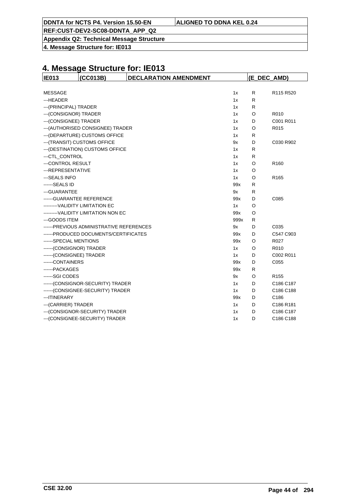|  |  | <b>DDNTA for NCTS P4. Version 15.50-EN</b> |
|--|--|--------------------------------------------|
|  |  |                                            |

#### **ALIGNED TO DDNA KEL 0.24**

**REF:CUST-DEV2-SC08-DDNTA\_APP\_Q2**

**Appendix Q2: Technical Message Structure**

**4. Message Structure for: IE013**

| <b>IE013</b>             | (CC013B)                                  | <b>DECLARATION AMENDMENT</b> | (E_DEC_AMD) |         |                  |  |
|--------------------------|-------------------------------------------|------------------------------|-------------|---------|------------------|--|
|                          |                                           |                              |             |         |                  |  |
| <b>MESSAGE</b>           |                                           |                              | 1x          | R       | R115 R520        |  |
| ---HEADER                |                                           |                              | 1x          | R       |                  |  |
| --- (PRINCIPAL) TRADER   |                                           |                              | 1x          | R       |                  |  |
| --- (CONSIGNOR) TRADER   |                                           |                              | 1x          | $\circ$ | R010             |  |
| --- (CONSIGNEE) TRADER   |                                           |                              | 1x          | D       | C001 R011        |  |
|                          | --- (AUTHORISED CONSIGNEE) TRADER         |                              | 1x          | $\circ$ | R015             |  |
|                          | --- (DEPARTURE) CUSTOMS OFFICE            |                              | 1x          | R       |                  |  |
|                          | --- (TRANSIT) CUSTOMS OFFICE              |                              | 9x          | D       | C030 R902        |  |
|                          | --- (DESTINATION) CUSTOMS OFFICE          |                              | 1x          | R       |                  |  |
| ---CTL_CONTROL           |                                           |                              | 1x          | R       |                  |  |
| ---CONTROL RESULT        |                                           |                              | 1x          | O       | R <sub>160</sub> |  |
| ---REPRESENTATIVE        |                                           |                              | 1x          | O       |                  |  |
| --- SEALS INFO           |                                           |                              | 1x          | O       | R <sub>165</sub> |  |
| ------SEALS ID           |                                           |                              | 99x         | R       |                  |  |
| ---GUARANTEE             |                                           |                              | 9x          | R       |                  |  |
|                          | ------ GUARANTEE REFERENCE                |                              | 99x         | D       | C085             |  |
|                          | ---------VALIDITY LIMITATION EC           |                              | 1x          | O       |                  |  |
|                          | ---------VALIDITY LIMITATION NON EC       |                              | 99x         | O       |                  |  |
| ---GOODS ITEM            |                                           |                              | 999x        | R       |                  |  |
|                          | ------ PREVIOUS ADMINISTRATIVE REFERENCES |                              | 9x          | D       | C035             |  |
|                          | ------ PRODUCED DOCUMENTS/CERTIFICATES    |                              | 99x         | D       | C547 C903        |  |
| ------SPECIAL MENTIONS   |                                           |                              | 99x         | $\circ$ | R027             |  |
| ------(CONSIGNOR) TRADER |                                           |                              | 1x          | $\circ$ | R010             |  |
| ------(CONSIGNEE) TRADER |                                           |                              | 1x          | D       | C002 R011        |  |
| ------CONTAINERS         |                                           |                              | 99x         | D       | C055             |  |
| ------PACKAGES           |                                           |                              | 99x         | R       |                  |  |
| -----SGI CODES           |                                           |                              | 9x          | O       | R <sub>155</sub> |  |
|                          | ------(CONSIGNOR-SECURITY) TRADER         |                              | 1x          | D       | C186 C187        |  |
|                          | ------(CONSIGNEE-SECURITY) TRADER         |                              | 1x          | D       | C186 C188        |  |
| --- ITINERARY            |                                           |                              | 99x         | D       | C186             |  |
| --- (CARRIER) TRADER     |                                           |                              | 1x          | D       | C186 R181        |  |
|                          | --- (CONSIGNOR-SECURITY) TRADER           |                              | 1x          | D       | C186 C187        |  |
|                          | --- (CONSIGNEE-SECURITY) TRADER           |                              | 1x          | D       | C186 C188        |  |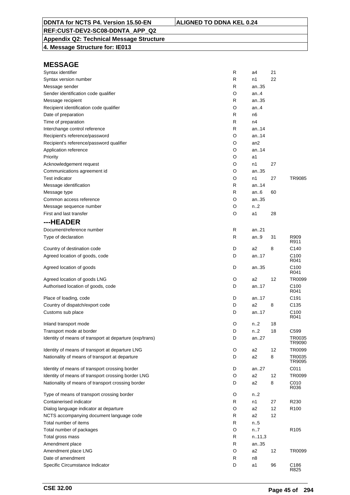**Appendix Q2: Technical Message Structure 4. Message Structure for: IE013**

| Syntax identifier                                       | R | a4             | 21 |                          |
|---------------------------------------------------------|---|----------------|----|--------------------------|
| Syntax version number                                   | R | n1             | 22 |                          |
| Message sender                                          | R | an35           |    |                          |
| Sender identification code qualifier                    | O | an.4           |    |                          |
| Message recipient                                       | R | an35           |    |                          |
| Recipient identification code qualifier                 | O | an.4           |    |                          |
| Date of preparation                                     | R | n <sub>6</sub> |    |                          |
| Time of preparation                                     | R | n4             |    |                          |
| Interchange control reference                           | R | an14           |    |                          |
| Recipient's reference/password                          | O | an14           |    |                          |
| Recipient's reference/password qualifier                | O | an2            |    |                          |
| Application reference                                   | O | an14           |    |                          |
| Priority                                                | O | a1             |    |                          |
| Acknowledgement request                                 | O | n1             | 27 |                          |
| Communications agreement id                             | O | an35           |    |                          |
| <b>Test indicator</b>                                   | O | n1             | 27 | TR9085                   |
| Message identification                                  | R | an14           |    |                          |
| Message type                                            | R | an6            | 60 |                          |
| Common access reference                                 | O | an35           |    |                          |
| Message sequence number                                 | O | n.2            |    |                          |
| First and last transfer                                 | O | a1             | 28 |                          |
| ---HEADER                                               |   |                |    |                          |
| Document/reference number                               | R | an21           |    |                          |
| Type of declaration                                     | R | an9            | 31 | R909                     |
|                                                         |   |                |    | R911                     |
| Country of destination code                             | D | a2             | 8  | C <sub>140</sub>         |
| Agreed location of goods, code                          | D | an17           |    | C100<br>R041             |
| Agreed location of goods                                | D | an35           |    | C100                     |
|                                                         |   |                |    | R041                     |
| Agreed location of goods LNG                            | O | a2             | 12 | TR0099                   |
| Authorised location of goods, code                      | D | an17           |    | C <sub>100</sub>         |
|                                                         |   |                |    | R041                     |
| Place of loading, code                                  | D | an17<br>a2     |    | C <sub>191</sub>         |
| Country of dispatch/export code                         | D |                | 8  | C135                     |
| Customs sub place                                       | D | an17           |    | C <sub>100</sub><br>R041 |
| Inland transport mode                                   | O | n2             | 18 |                          |
| Transport mode at border                                | D | n.2            | 18 | C599                     |
| Identity of means of transport at departure (exp/trans) | D | an27           |    | TR0035<br>TR9090         |
| Identity of means of transport at departure LNG         | O | a2             | 12 | TR0099                   |
| Nationality of means of transport at departure          | D | a2             | 8  | TR0035<br>TR9095         |
| Identity of means of transport crossing border          | D | an27           |    | C011                     |
| Identity of means of transport crossing border LNG      | O | a2             | 12 | TR0099                   |
| Nationality of means of transport crossing border       | D | a <sub>2</sub> | 8  | C010<br>R036             |
| Type of means of transport crossing border              | O | n2             |    |                          |
| Containerised indicator                                 | R | n1             | 27 | R230                     |
| Dialog language indicator at departure                  | O | a2             | 12 | R100                     |
| NCTS accompanying document language code                | R | a2             | 12 |                          |
| Total number of items                                   | R | n.5            |    |                          |
| Total number of packages                                | O | n7             |    | R <sub>105</sub>         |
| Total gross mass                                        | R | n.11,3         |    |                          |
| Amendment place                                         | R | an35           |    |                          |
| Amendment place LNG                                     | O | a <sub>2</sub> | 12 | TR0099                   |
| Date of amendment                                       | R | n8             |    |                          |
| Specific Circumstance Indicator                         | D | a1             | 96 | C186<br>R825             |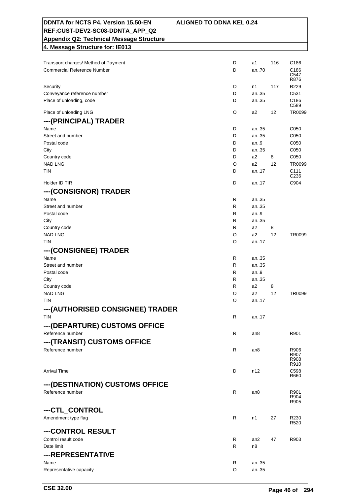| DDNTA for NCTS P4. Version 15.50-EN             | <b>ALIGNED TO DDNA KEL 0.24</b> |            |         |                          |
|-------------------------------------------------|---------------------------------|------------|---------|--------------------------|
| REF:CUST-DEV2-SC08-DDNTA_APP_Q2                 |                                 |            |         |                          |
| <b>Appendix Q2: Technical Message Structure</b> |                                 |            |         |                          |
| 4. Message Structure for: IE013                 |                                 |            |         |                          |
|                                                 |                                 |            |         |                          |
| Transport charges/ Method of Payment            | D                               | a1         | 116     | C186                     |
| <b>Commercial Reference Number</b>              | D                               | an70       |         | C186<br>C547<br>R876     |
| Security                                        | O                               | n1         | 117     | R229                     |
| Conveyance reference number                     | D                               | an35       |         | C531                     |
| Place of unloading, code                        | D                               | an35       |         | C186<br>C589             |
| Place of unloading LNG                          | O                               | a2         | 12      | TR0099                   |
| ---(PRINCIPAL) TRADER                           |                                 |            |         |                          |
| Name                                            | D                               | an35       |         | C050                     |
| Street and number                               | D                               | an35       |         | C050                     |
| Postal code                                     | D                               | an.9       |         | C050                     |
| City                                            | D                               | an35       |         | C050                     |
| Country code                                    | D                               | a2         | 8       | C050                     |
| <b>NAD LNG</b>                                  | O                               | a2         | 12      | TR0099                   |
| TIN                                             | D                               | an17       |         | C111<br>C236             |
| Holder ID TIR                                   | D                               | an17       |         | C904                     |
| ---(CONSIGNOR) TRADER                           |                                 |            |         |                          |
| Name                                            | R                               | an35       |         |                          |
| Street and number                               | R                               | an35       |         |                          |
| Postal code                                     | R                               | an.9       |         |                          |
| City                                            | R<br>R                          | an35<br>a2 |         |                          |
| Country code<br><b>NAD LNG</b>                  | O                               | a2         | 8<br>12 | TR0099                   |
| <b>TIN</b>                                      | O                               | an17       |         |                          |
| ---(CONSIGNEE) TRADER                           |                                 |            |         |                          |
| Name                                            | R                               | an35       |         |                          |
| Street and number                               | R                               | an35       |         |                          |
| Postal code                                     | R                               | an9        |         |                          |
| City                                            | R                               | an35       |         |                          |
| Country code                                    | R                               | a2         | 8       |                          |
| <b>NAD LNG</b>                                  | O                               | a2         | 12      | TR0099                   |
| <b>TIN</b>                                      | O                               | an17       |         |                          |
| --- (AUTHORISED CONSIGNEE) TRADER               |                                 |            |         |                          |
| <b>TIN</b>                                      | R                               | an17       |         |                          |
| --- (DEPARTURE) CUSTOMS OFFICE                  |                                 |            |         |                          |
| Reference number                                | R                               | an8        |         | R901                     |
| ---(TRANSIT) CUSTOMS OFFICE                     |                                 |            |         |                          |
| Reference number                                | R                               | an8        |         | R906<br>R907             |
|                                                 |                                 |            |         | R908<br>R910             |
| <b>Arrival Time</b>                             | D                               | n12        |         | C598                     |
|                                                 |                                 |            |         | R660                     |
| ---(DESTINATION) CUSTOMS OFFICE                 |                                 |            |         |                          |
| Reference number                                | R                               | an8        |         | R901<br>R904             |
|                                                 |                                 |            |         | R905                     |
| ---CTL_CONTROL                                  |                                 |            |         |                          |
| Amendment type flag                             | R                               | n1         | 27      | R230<br>R <sub>520</sub> |
| ---CONTROL RESULT                               |                                 |            |         |                          |
| Control result code                             | R                               | an2        | 47      | R903                     |
| Date limit                                      | R                               | n8         |         |                          |
| ---REPRESENTATIVE                               |                                 |            |         |                          |
| Name                                            | R                               | an35       |         |                          |
| Representative capacity                         | O                               | an35       |         |                          |
|                                                 |                                 |            |         |                          |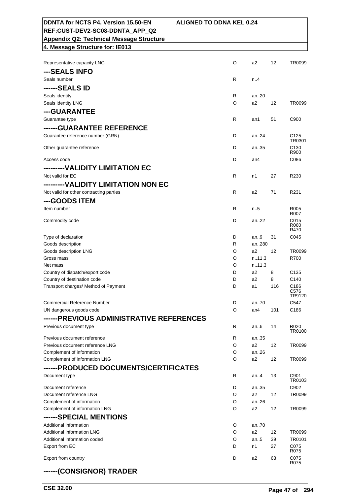| DDNTA for NCTS P4. Version 15.50-EN                            | <b>ALIGNED TO DDNA KEL 0.24</b> |                |          |                          |
|----------------------------------------------------------------|---------------------------------|----------------|----------|--------------------------|
| REF:CUST-DEV2-SC08-DDNTA APP Q2                                |                                 |                |          |                          |
| <b>Appendix Q2: Technical Message Structure</b>                |                                 |                |          |                          |
| 4. Message Structure for: IE013                                |                                 |                |          |                          |
|                                                                |                                 |                |          |                          |
| Representative capacity LNG                                    | O                               | a <sub>2</sub> | 12       | TR0099                   |
| ---SEALS INFO                                                  |                                 |                |          |                          |
| Seals number                                                   | R                               | n.4            |          |                          |
| ------SEALS ID                                                 |                                 |                |          |                          |
| Seals identity                                                 | R                               | an.20          |          |                          |
| Seals identity LNG                                             | O                               | a2             | 12       | TR0099                   |
| ---GUARANTEE                                                   |                                 |                |          |                          |
| Guarantee type                                                 | $\mathsf{R}$                    | an1            | 51       | C900                     |
| ------GUARANTEE REFERENCE                                      |                                 |                |          |                          |
| Guarantee reference number (GRN)                               | D                               | an24           |          | C <sub>125</sub>         |
|                                                                |                                 |                |          | TR0301                   |
| Other guarantee reference                                      | D                               | an35           |          | C <sub>130</sub><br>R900 |
| Access code                                                    | D                               | an4            |          | C086                     |
| --------VALIDITY LIMITATION EC                                 |                                 |                |          |                          |
| Not valid for EC                                               | $\mathsf{R}$                    | n1             | 27       | R230                     |
| --------VALIDITY LIMITATION NON EC                             |                                 |                |          |                          |
| Not valid for other contracting parties                        | R                               | a2             | 71       | R <sub>231</sub>         |
| ---GOODS ITEM                                                  |                                 |                |          |                          |
|                                                                | R                               | n.5            |          |                          |
| Item number                                                    |                                 |                |          | R005<br>R007             |
| Commodity code                                                 | D                               | an22           |          | C015                     |
|                                                                |                                 |                |          | R060<br>R470             |
| Type of declaration                                            | D                               | an.9           | 31       | C045                     |
| Goods description                                              | R                               | an280          |          |                          |
| Goods description LNG                                          | O                               | a2             | 12       | TR0099                   |
| Gross mass                                                     | O                               | n.11,3         |          | R700                     |
| Net mass                                                       | O                               | n.11,3<br>a2   |          |                          |
| Country of dispatch/export code<br>Country of destination code | D<br>D                          | a2             | 8<br>8   | C <sub>135</sub><br>C140 |
| Transport charges/ Method of Payment                           | D                               | a1             | 116      | C186                     |
|                                                                |                                 |                |          | C576<br>TR9120           |
| <b>Commercial Reference Number</b>                             | D                               | an.70          |          | C547                     |
| UN dangerous goods code                                        | O                               | an4            | 101      | C186                     |
| ------PREVIOUS ADMINISTRATIVE REFERENCES                       |                                 |                |          |                          |
| Previous document type                                         | R                               | an6            | 14       | R020                     |
|                                                                |                                 |                |          | TR0100                   |
| Previous document reference                                    | R                               | an35           |          |                          |
| Previous document reference LNG                                | O                               | a <sub>2</sub> | 12       | TR0099                   |
| Complement of information<br>Complement of information LNG     | O<br>O                          | an26<br>a2     | 12       | TR0099                   |
|                                                                |                                 |                |          |                          |
| ------PRODUCED DOCUMENTS/CERTIFICATES                          |                                 |                |          |                          |
| Document type                                                  | R                               | an4            | 13       | C901<br>TR0103           |
| Document reference                                             | D                               | an35           |          | C902                     |
| Document reference LNG                                         | O                               | a <sub>2</sub> | 12       | TR0099                   |
| Complement of information                                      | O                               | an26           |          |                          |
| Complement of information LNG                                  | O                               | a2             | 12       | TR0099                   |
| ------SPECIAL MENTIONS                                         |                                 |                |          |                          |
| Additional information                                         | O                               | an70           |          |                          |
| <b>Additional information LNG</b>                              | O                               | a <sub>2</sub> | 12       | TR0099                   |
| Additional information coded<br>Export from EC                 | O<br>D                          | an $.5$<br>n1  | 39<br>27 | TR0101<br>C075           |
|                                                                |                                 |                |          | R075                     |
| Export from country                                            | D                               | a2             | 63       | C075                     |
|                                                                |                                 |                |          | R075                     |

#### **------(CONSIGNOR) TRADER**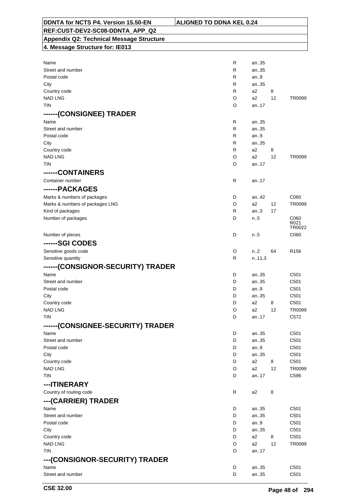| DDNTA for NCTS P4. Version 15.50-EN             | <b>ALIGNED TO DDNA KEL 0.24</b> |                |    |                  |
|-------------------------------------------------|---------------------------------|----------------|----|------------------|
| REF:CUST-DEV2-SC08-DDNTA_APP_Q2                 |                                 |                |    |                  |
| <b>Appendix Q2: Technical Message Structure</b> |                                 |                |    |                  |
| 4. Message Structure for: IE013                 |                                 |                |    |                  |
|                                                 |                                 |                |    |                  |
| Name                                            | R                               | an35           |    |                  |
| Street and number                               | R                               | an35           |    |                  |
| Postal code                                     | R                               | an.9           |    |                  |
| City                                            | R                               | an35           |    |                  |
| Country code                                    | R                               | a2             | 8  |                  |
| <b>NAD LNG</b>                                  | O                               | a2             | 12 | TR0099           |
| TIN                                             | O                               | an17           |    |                  |
| ------(CONSIGNEE) TRADER                        |                                 |                |    |                  |
| Name                                            | R                               | an35           |    |                  |
| Street and number                               | R                               | an35           |    |                  |
| Postal code                                     | R                               | an.9           |    |                  |
| City                                            | R                               | an35           |    |                  |
| Country code                                    | R                               | a2             | 8  |                  |
| <b>NAD LNG</b>                                  | O                               | a2             | 12 | TR0099           |
| <b>TIN</b>                                      | O                               | an.17          |    |                  |
| ------CONTAINERS                                |                                 |                |    |                  |
| Container number                                | R                               | an17           |    |                  |
|                                                 |                                 |                |    |                  |
| ------PACKAGES                                  |                                 |                |    |                  |
| Marks & numbers of packages                     | D                               | an42           |    | C060             |
| Marks & numbers of packages LNG                 | O                               | a2             | 12 | TR0099           |
| Kind of packages                                | R                               | an.3           | 17 |                  |
| Number of packages                              | D                               | n.5            |    | C060<br>R021     |
|                                                 |                                 |                |    | TR0022           |
| Number of pieces                                | D                               | n5             |    | C060             |
| -----SGI CODES                                  |                                 |                |    |                  |
| Sensitive goods code                            | O                               | n2             | 64 | R <sub>156</sub> |
| Sensitive quantity                              | R                               | n.11,3         |    |                  |
| ------(CONSIGNOR-SECURITY) TRADER               |                                 |                |    |                  |
| Name                                            | D                               | an35           |    | C501             |
| Street and number                               | D                               | an35           |    | C501             |
| Postal code                                     | D                               | an $9$         |    | C <sub>501</sub> |
| City                                            | D                               | an35           |    | C501             |
| Country code                                    | D                               | a <sub>2</sub> | 8  | C <sub>501</sub> |
| <b>NAD LNG</b>                                  | O                               | a2             | 12 | TR0099           |
| <b>TIN</b>                                      | D                               | an17           |    | C572             |
| ------(CONSIGNEE-SECURITY) TRADER               |                                 |                |    |                  |
| Name                                            | D                               | an35           |    | C501             |
| Street and number                               | D                               | an35           |    | C501             |
| Postal code                                     | D                               | an.9           |    | C501             |
| City                                            | D                               | an35           |    | C501             |
| Country code                                    | D                               | a <sub>2</sub> | 8  | C501             |
| <b>NAD LNG</b>                                  | O                               | a2             | 12 | TR0099           |
| <b>TIN</b>                                      | D                               | an17           |    | C596             |
| ---ITINERARY                                    |                                 |                |    |                  |
| Country of routing code                         | R                               | a2             | 8  |                  |
| ---(CARRIER) TRADER                             |                                 |                |    |                  |
| Name                                            | D                               | an35           |    | C501             |
| Street and number                               | D                               | an35           |    | C501             |
| Postal code                                     | D                               | an.9           |    | C501             |
| City                                            | D                               | an35           |    | C501             |
| Country code                                    | D                               | a2             | 8  | C501             |
| <b>NAD LNG</b>                                  | O                               | a2             | 12 | TR0099           |
| <b>TIN</b>                                      | O                               | an17           |    |                  |
| --- (CONSIGNOR-SECURITY) TRADER                 |                                 |                |    |                  |
| Name                                            | D                               | an35           |    | C501             |
| Street and number                               | D                               | an35           |    | C501             |
|                                                 |                                 |                |    |                  |

 $\overline{\phantom{a}}$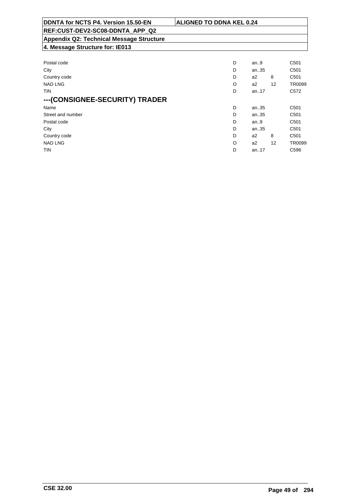| DDNTA for NCTS P4. Version 15.50-EN             | <b>ALIGNED TO DDNA KEL 0.24</b> |           |    |                  |
|-------------------------------------------------|---------------------------------|-----------|----|------------------|
| REF:CUST-DEV2-SC08-DDNTA APP Q2                 |                                 |           |    |                  |
| <b>Appendix Q2: Technical Message Structure</b> |                                 |           |    |                  |
| 4. Message Structure for: IE013                 |                                 |           |    |                  |
|                                                 |                                 |           |    |                  |
| Postal code                                     | D                               | an.9      |    | C <sub>501</sub> |
| City                                            | D                               | an.35     |    | C <sub>501</sub> |
| Country code                                    | D                               | a2        | 8  | C <sub>501</sub> |
| <b>NAD LNG</b>                                  | O                               | a2        | 12 | TR0099           |
| TIN                                             | D                               | an. $.17$ |    | C <sub>572</sub> |
| ---(CONSIGNEE-SECURITY) TRADER                  |                                 |           |    |                  |
| Name                                            | D                               | an35      |    | C <sub>501</sub> |
| Street and number                               | D                               | an35      |    | C <sub>501</sub> |
| Postal code                                     | D                               | an.9      |    | C <sub>501</sub> |

 City D an..35 C501 Country code Country code C501 NAD LNG 2 12 TR0099 TIN D an..17 C596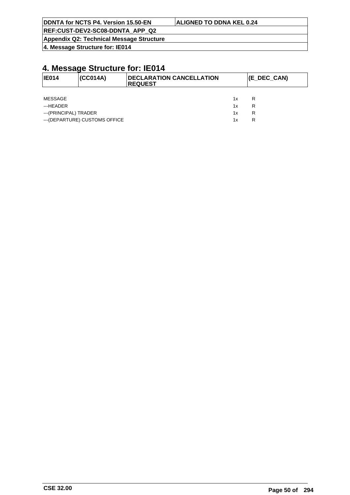| <b>DDNTA for NCTS P4. Version 15.50-EN</b> | <b>ALIGNED TO DDNA KEL 0.24</b> |
|--------------------------------------------|---------------------------------|
| <b>REF:CUST-DEV2-SC08-DDNTA APP Q2</b>     |                                 |
|                                            |                                 |

**Appendix Q2: Technical Message Structure**

**4. Message Structure for: IE014**

| <b>IE014</b>          | (CC014A)                       | <b>DECLARATION CANCELLATION</b><br><b>IREQUEST</b> |    | (E_DEC_CAN) |
|-----------------------|--------------------------------|----------------------------------------------------|----|-------------|
|                       |                                |                                                    |    |             |
| MESSAGE               |                                |                                                    | 1x | R           |
| ---HEADER             |                                |                                                    | 1x | R           |
| ---(PRINCIPAL) TRADER |                                |                                                    | 1x | R           |
|                       | --- (DEPARTURE) CUSTOMS OFFICE |                                                    | 1x | R           |
|                       |                                |                                                    |    |             |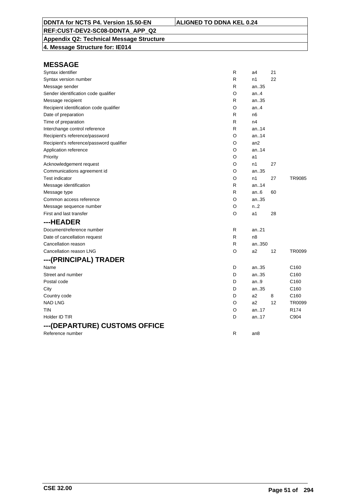**Appendix Q2: Technical Message Structure 4. Message Structure for: IE014**

| Syntax identifier                        | R | a4               | 21 |                  |
|------------------------------------------|---|------------------|----|------------------|
| Syntax version number                    | R | n1               | 22 |                  |
| Message sender                           | R | an35             |    |                  |
| Sender identification code qualifier     | O | an.4             |    |                  |
| Message recipient                        | R | an35             |    |                  |
| Recipient identification code qualifier  | O | an.4             |    |                  |
| Date of preparation                      | R | n <sub>6</sub>   |    |                  |
| Time of preparation                      | R | n4               |    |                  |
| Interchange control reference            | R | an14             |    |                  |
| Recipient's reference/password           | O | an.14            |    |                  |
| Recipient's reference/password qualifier | O | an <sub>2</sub>  |    |                  |
| Application reference                    | O | an.14            |    |                  |
| Priority                                 | O | a1               |    |                  |
| Acknowledgement request                  | O | n1               | 27 |                  |
| Communications agreement id              | O | an35             |    |                  |
| <b>Test indicator</b>                    | O | n1               | 27 | TR9085           |
| Message identification                   | R | an14             |    |                  |
| Message type                             | R | an.6             | 60 |                  |
| Common access reference                  | O | an35             |    |                  |
| Message sequence number                  | O | n <sub>1</sub> 2 |    |                  |
| First and last transfer                  | O | a1               | 28 |                  |
| ---HEADER                                |   |                  |    |                  |
| Document/reference number                | R | an.21            |    |                  |
| Date of cancellation request             | R | n <sub>8</sub>   |    |                  |
| Cancellation reason                      | R | an350            |    |                  |
| Cancellation reason LNG                  | O | a2               | 12 | TR0099           |
| ---(PRINCIPAL) TRADER                    |   |                  |    |                  |
| Name                                     | D | an35             |    | C <sub>160</sub> |
| Street and number                        | D | an35             |    | C <sub>160</sub> |
| Postal code                              | D | an.9             |    | C <sub>160</sub> |
| City                                     | D | an35             |    | C <sub>160</sub> |
| Country code                             | D | a2               | 8  | C <sub>160</sub> |
| <b>NAD LNG</b>                           | O | a2               | 12 | TR0099           |
| TIN                                      | O | an.17            |    | R <sub>174</sub> |
| Holder ID TIR                            | D | an17             |    | C904             |
| ---(DEPARTURE) CUSTOMS OFFICE            |   |                  |    |                  |
| Reference number                         | R | an <sub>8</sub>  |    |                  |
|                                          |   |                  |    |                  |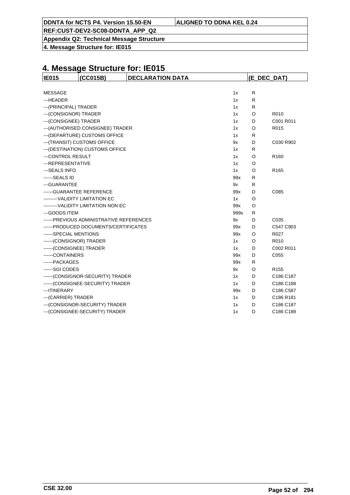**Appendix Q2: Technical Message Structure**

**4. Message Structure for: IE015**

| <b>IE015</b>             | (CC015B)                                 | <b>DECLARATION DATA</b> |      |         | (E DEC DAT)      |
|--------------------------|------------------------------------------|-------------------------|------|---------|------------------|
|                          |                                          |                         |      |         |                  |
| <b>MESSAGE</b>           |                                          |                         | 1x   | R       |                  |
| ---HEADER                |                                          |                         | 1x   | R       |                  |
| --- (PRINCIPAL) TRADER   |                                          |                         | 1x   | R       |                  |
| --- (CONSIGNOR) TRADER   |                                          |                         | 1x   | O       | R010             |
| --- (CONSIGNEE) TRADER   |                                          |                         | 1x   | D       | C001 R011        |
|                          | --- (AUTHORISED CONSIGNEE) TRADER        |                         | 1x   | O       | R015             |
|                          | --- (DEPARTURE) CUSTOMS OFFICE           |                         | 1x   | R       |                  |
|                          | --- (TRANSIT) CUSTOMS OFFICE             |                         | 9x   | D       | C030 R902        |
|                          | --- (DESTINATION) CUSTOMS OFFICE         |                         | 1x   | R       |                  |
| ---CONTROL RESULT        |                                          |                         | 1x   | O       | R <sub>160</sub> |
| ---REPRESENTATIVE        |                                          |                         | 1x   | O       |                  |
| --- SEALS INFO           |                                          |                         | 1x   | $\circ$ | R <sub>165</sub> |
| ------SEALS ID           |                                          |                         | 99x  | R.      |                  |
| ---GUARANTEE             |                                          |                         | 9x   | R       |                  |
|                          | ------ GUARANTEE REFERENCE               |                         | 99x  | D       | C085             |
|                          | ---------VALIDITY LIMITATION EC          |                         | 1x   | O       |                  |
|                          | --------VALIDITY LIMITATION NON EC       |                         | 99x  | O       |                  |
| --- GOODS ITEM           |                                          |                         | 999x | R       |                  |
|                          | ------PREVIOUS ADMINISTRATIVE REFERENCES |                         | 9x   | D       | C035             |
|                          | ------PRODUCED DOCUMENTS/CERTIFICATES    |                         | 99x  | D       | C547 C903        |
| ------SPECIAL MENTIONS   |                                          |                         | 99x  | O       | R027             |
| ------(CONSIGNOR) TRADER |                                          |                         | 1x   | O       | R010             |
| ------(CONSIGNEE) TRADER |                                          |                         | 1x   | D       | C002 R011        |
| -----CONTAINERS          |                                          |                         | 99x  | D       | C055             |
| ------PACKAGES           |                                          |                         | 99x  | R       |                  |
| ------SGI CODES          |                                          |                         | 9x   | O       | R <sub>155</sub> |
|                          | ------(CONSIGNOR-SECURITY) TRADER        |                         | 1x   | D       | C186 C187        |
|                          | ------(CONSIGNEE-SECURITY) TRADER        |                         | 1x   | D       | C186 C188        |
| --- ITINERARY            |                                          |                         | 99x  | D       | C186 C587        |
| --- (CARRIER) TRADER     |                                          |                         | 1x   | D       | C186 R181        |
|                          | --- (CONSIGNOR-SECURITY) TRADER          |                         | 1x   | D       | C186 C187        |
|                          | --- (CONSIGNEE-SECURITY) TRADER          |                         | 1x   | D       | C186 C188        |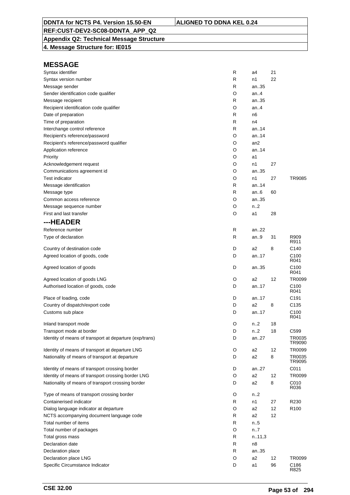#### **Appendix Q2: Technical Message Structure 4. Message Structure for: IE015**

| Syntax identifier                                        | R      | a4                   | 21       |                          |
|----------------------------------------------------------|--------|----------------------|----------|--------------------------|
| Syntax version number                                    | R      | n1                   | 22       |                          |
| Message sender                                           | R      | an35                 |          |                          |
| Sender identification code qualifier                     | O      | an4                  |          |                          |
| Message recipient                                        | R      | an35                 |          |                          |
| Recipient identification code qualifier                  | O      | an.4                 |          |                          |
| Date of preparation                                      | R      | n6                   |          |                          |
| Time of preparation                                      | R      | n4                   |          |                          |
| Interchange control reference                            | R      | an14                 |          |                          |
| Recipient's reference/password                           | O      | an14                 |          |                          |
| Recipient's reference/password qualifier                 | O      | an2                  |          |                          |
| Application reference                                    | O      | an. $.14$            |          |                          |
| Priority                                                 | O      | a1                   |          |                          |
| Acknowledgement request                                  | O      | n1                   | 27       |                          |
| Communications agreement id                              | O      | an35                 |          |                          |
| <b>Test indicator</b>                                    | O      | n1                   | 27       | TR9085                   |
| Message identification                                   | R      | an14                 |          |                          |
| Message type                                             | R      | an $6$               | 60       |                          |
| Common access reference                                  | O      | an35                 |          |                          |
| Message sequence number                                  | O      | n2                   |          |                          |
| First and last transfer                                  | O      | a1                   | 28       |                          |
| ---HEADER                                                |        |                      |          |                          |
| Reference number                                         | R      | an22                 |          |                          |
| Type of declaration                                      | R      | an9                  | 31       | R909<br>R911             |
| Country of destination code                              | D      | a2                   | 8        | C <sub>140</sub>         |
| Agreed location of goods, code                           | D      | an17                 |          | C <sub>100</sub><br>R041 |
| Agreed location of goods                                 | D      | an35                 |          | C <sub>100</sub><br>R041 |
| Agreed location of goods LNG                             | O      | a2                   | 12       | TR0099                   |
| Authorised location of goods, code                       | D      | an17                 |          | C <sub>100</sub><br>R041 |
| Place of loading, code                                   | D      | an17                 |          | C <sub>191</sub>         |
| Country of dispatch/export code                          | D      | a2                   | 8        | C <sub>135</sub>         |
| Customs sub place                                        | D      | an.17                |          | C <sub>100</sub><br>R041 |
| Inland transport mode                                    | O      | n2                   | 18       |                          |
| Transport mode at border                                 | D      | n.2                  | 18       | C599                     |
| Identity of means of transport at departure (exp/trans)  | D      | an27                 |          | TR0035<br>TR9090         |
| Identity of means of transport at departure LNG          | O      | a2                   | 12       | TR0099                   |
| Nationality of means of transport at departure           | D      | a <sub>2</sub>       | 8        | TR0035<br>TR9095         |
| Identity of means of transport crossing border           | D      | an27                 |          | C011                     |
| Identity of means of transport crossing border LNG       | O      | a <sub>2</sub>       | 12       | TR0099                   |
| Nationality of means of transport crossing border        | D      | a <sub>2</sub>       | 8        | C010<br>R036             |
| Type of means of transport crossing border               | O      | n.2                  |          |                          |
| Containerised indicator                                  | R      | n1                   | 27       | R230                     |
| Dialog language indicator at departure                   | O      | a <sub>2</sub>       | 12       | R <sub>100</sub>         |
| NCTS accompanying document language code                 | R      | a <sub>2</sub>       | 12       |                          |
| Total number of items                                    | R      | n.5                  |          |                          |
| Total number of packages                                 | O      | n7                   |          |                          |
| Total gross mass                                         | R      | n.11,3               |          |                          |
| Declaration date                                         | R      | n8                   |          |                          |
| Declaration place                                        | R      | an35                 |          |                          |
| Declaration place LNG<br>Specific Circumstance Indicator | O<br>D | a <sub>2</sub><br>a1 | 12<br>96 | TR0099<br>C186<br>R825   |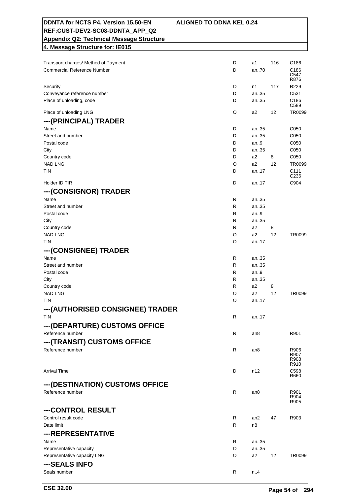| DDNTA for NCTS P4. Version 15.50-EN<br>REF:CUST-DEV2-SC08-DDNTA_APP_Q2 | <b>ALIGNED TO DDNA KEL 0.24</b> |              |                   |                          |
|------------------------------------------------------------------------|---------------------------------|--------------|-------------------|--------------------------|
| <b>Appendix Q2: Technical Message Structure</b>                        |                                 |              |                   |                          |
|                                                                        |                                 |              |                   |                          |
| 4. Message Structure for: IE015                                        |                                 |              |                   |                          |
|                                                                        |                                 |              |                   |                          |
| Transport charges/ Method of Payment                                   | D                               | a1           | 116               | C <sub>186</sub>         |
| <b>Commercial Reference Number</b>                                     | D                               | an70         |                   | C186<br>C547             |
|                                                                        |                                 |              |                   | R876                     |
| Security                                                               | O                               | n1           | 117               | R229                     |
| Conveyance reference number                                            | D                               | an35         |                   | C531                     |
| Place of unloading, code                                               | D                               | an35         |                   | C186<br>C <sub>589</sub> |
| Place of unloading LNG                                                 | O                               | a2           | 12                | TR0099                   |
| ---(PRINCIPAL) TRADER                                                  |                                 |              |                   |                          |
|                                                                        |                                 |              |                   |                          |
| Name<br>Street and number                                              | D<br>D                          | an35<br>an35 |                   | C050                     |
| Postal code                                                            | D                               | an.9         |                   | C050<br>C050             |
| City                                                                   | D                               | an35         |                   | C050                     |
| Country code                                                           | D                               | a2           | 8                 | C050                     |
| <b>NAD LNG</b>                                                         | O                               | a2           | 12                | TR0099                   |
| TIN                                                                    | D                               | an17         |                   | C <sub>111</sub>         |
|                                                                        |                                 |              |                   | C <sub>236</sub>         |
| Holder ID TIR                                                          | D                               | an17         |                   | C904                     |
| ---(CONSIGNOR) TRADER                                                  |                                 |              |                   |                          |
| Name                                                                   | R                               | an35         |                   |                          |
| Street and number                                                      | R                               | an35         |                   |                          |
| Postal code                                                            | R                               | an.9         |                   |                          |
| City                                                                   | R                               | an35         |                   |                          |
| Country code                                                           | R                               | a2           | 8                 |                          |
| <b>NAD LNG</b>                                                         | O                               | a2           | 12                | TR0099                   |
| <b>TIN</b>                                                             | O                               | an17         |                   |                          |
| ---(CONSIGNEE) TRADER                                                  |                                 |              |                   |                          |
| Name                                                                   | R                               | an35         |                   |                          |
| Street and number                                                      | R                               | an35         |                   |                          |
| Postal code                                                            | R                               | an.9         |                   |                          |
| City                                                                   | R                               | an35         |                   |                          |
| Country code                                                           | R                               | a2           | 8                 |                          |
| <b>NAD LNG</b>                                                         | O                               | a2           | 12                | TR0099                   |
| <b>TIN</b>                                                             | O                               | an17         |                   |                          |
| ---(AUTHORISED CONSIGNEE) TRADER                                       |                                 |              |                   |                          |
| <b>TIN</b>                                                             | R                               | an.17        |                   |                          |
|                                                                        |                                 |              |                   |                          |
| --- (DEPARTURE) CUSTOMS OFFICE                                         |                                 |              |                   |                          |
| Reference number                                                       | R                               | an8          |                   | R901                     |
| ---(TRANSIT) CUSTOMS OFFICE                                            |                                 |              |                   |                          |
| Reference number                                                       | R                               | an8          |                   | R906<br>R907             |
|                                                                        |                                 |              |                   | R908                     |
|                                                                        |                                 |              |                   | R910                     |
| <b>Arrival Time</b>                                                    | D                               | n12          |                   | C598<br>R660             |
|                                                                        |                                 |              |                   |                          |
| ---(DESTINATION) CUSTOMS OFFICE                                        |                                 |              |                   |                          |
| Reference number                                                       | R                               | an8          |                   | R901<br>R904             |
|                                                                        |                                 |              |                   | R905                     |
| ---CONTROL RESULT                                                      |                                 |              |                   |                          |
| Control result code                                                    | R                               | an2          | 47                | R903                     |
| Date limit                                                             | R                               | n8           |                   |                          |
| ---REPRESENTATIVE                                                      |                                 |              |                   |                          |
| Name                                                                   | R                               | an35         |                   |                          |
| Representative capacity                                                | O                               | an35         |                   |                          |
| Representative capacity LNG                                            | O                               | a2           | $12 \overline{ }$ | TR0099                   |
| ---SEALS INFO                                                          |                                 |              |                   |                          |
| Seals number                                                           |                                 |              |                   |                          |
|                                                                        | R                               | n.4          |                   |                          |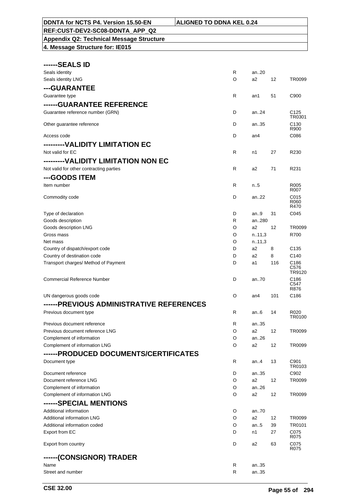# **Appendix Q2: Technical Message Structure**

| ------SEALS ID                           |              |                  |     |                  |
|------------------------------------------|--------------|------------------|-----|------------------|
| Seals identity                           | R            | an.20            |     |                  |
| Seals identity LNG                       | O            | a2               | 12  | TR0099           |
| ---GUARANTEE                             |              |                  |     |                  |
| Guarantee type                           | R            | an1              | 51  | C900             |
| ------GUARANTEE REFERENCE                |              |                  |     |                  |
| Guarantee reference number (GRN)         | D            | an24             |     | C <sub>125</sub> |
|                                          |              |                  |     | TR0301           |
| Other guarantee reference                | D            | an35             |     | C <sub>130</sub> |
| Access code                              | D            |                  |     | R900             |
|                                          |              | an <sub>4</sub>  |     | C086             |
| --------VALIDITY LIMITATION EC           |              |                  |     |                  |
| Not valid for EC                         | R            | n1               | 27  | R <sub>230</sub> |
| --------VALIDITY LIMITATION NON EC       |              |                  |     |                  |
| Not valid for other contracting parties  | $\mathsf{R}$ | a2               | 71  | R231             |
| ---GOODS ITEM                            |              |                  |     |                  |
| Item number                              | R            | n.5              |     | R005             |
|                                          |              |                  |     | R007             |
| Commodity code                           | D            | an22             |     | C015<br>R060     |
|                                          |              |                  |     | R470             |
| Type of declaration                      | D            | an.9             | 31  | C045             |
| Goods description                        | R            | an280            |     |                  |
| Goods description LNG                    | O            | a2               | 12  | TR0099<br>R700   |
| Gross mass<br>Net mass                   | O<br>O       | n.11,3<br>n.11,3 |     |                  |
| Country of dispatch/export code          | D            | a2               | 8   | C <sub>135</sub> |
| Country of destination code              | D            | a2               | 8   | C140             |
| Transport charges/ Method of Payment     | D            | a1               | 116 | C186             |
|                                          |              |                  |     | C576             |
| <b>Commercial Reference Number</b>       | D            | an70             |     | TR9120<br>C186   |
|                                          |              |                  |     | C547             |
|                                          |              |                  |     | R876             |
| UN dangerous goods code                  | O            | an4              | 101 | C186             |
| ------PREVIOUS ADMINISTRATIVE REFERENCES |              |                  |     |                  |
| Previous document type                   | R            | an $6$           | 14  | R020<br>TR0100   |
| Previous document reference              | R            | an35             |     |                  |
| Previous document reference LNG          | O            | a2               | 12  | TR0099           |
| Complement of information                | O            | an26             |     |                  |
| Complement of information LNG            | O            | a2               | 12  | TR0099           |
| ------PRODUCED DOCUMENTS/CERTIFICATES    |              |                  |     |                  |
| Document type                            | R            | an4              | 13  | C901             |
|                                          |              |                  |     | TR0103           |
| Document reference                       | D            | an35             |     | C902             |
| Document reference LNG                   | O            | a2               | 12  | TR0099           |
| Complement of information                | O            | an.26            |     |                  |
| Complement of information LNG            | O            | a2               | 12  | TR0099           |
| ------SPECIAL MENTIONS                   |              |                  |     |                  |
| Additional information                   | O            | an70             |     |                  |
| Additional information LNG               | O            | a2               | 12  | TR0099           |
| Additional information coded             | O            | an.5             | 39  | TR0101           |
| Export from EC                           | D            | n1               | 27  | C075<br>R075     |
| Export from country                      | D            | a2               | 63  | C075             |
|                                          |              |                  |     | R075             |
| ------(CONSIGNOR) TRADER                 |              |                  |     |                  |
| Name                                     | R            | an35             |     |                  |
| Street and number                        | R            | an35             |     |                  |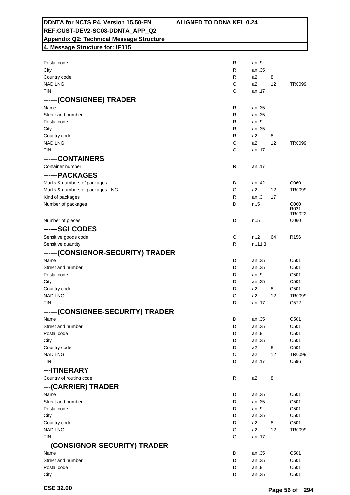| REF:CUST-DEV2-SC08-DDNTA_APP_Q2                                |   |                  |    |                  |
|----------------------------------------------------------------|---|------------------|----|------------------|
| <b>Appendix Q2: Technical Message Structure</b>                |   |                  |    |                  |
| 4. Message Structure for: IE015                                |   |                  |    |                  |
|                                                                |   |                  |    |                  |
| Postal code                                                    | R | an $9$           |    |                  |
| City                                                           | R | an35             |    |                  |
| Country code                                                   | R | a <sub>2</sub>   | 8  |                  |
| <b>NAD LNG</b>                                                 | O | a2               | 12 | <b>TR0099</b>    |
| <b>TIN</b>                                                     | O | an.17            |    |                  |
| ------(CONSIGNEE) TRADER                                       |   |                  |    |                  |
| Name                                                           | R | an35             |    |                  |
| Street and number                                              | R | an35             |    |                  |
| Postal code                                                    | R | an.9             |    |                  |
| City                                                           | R | an35             |    |                  |
| Country code                                                   | R | a2               | 8  |                  |
| <b>NAD LNG</b>                                                 | O | a2               | 12 | TR0099           |
| <b>TIN</b>                                                     | O | an17             |    |                  |
| ------CONTAINERS                                               |   |                  |    |                  |
| Container number                                               | R | an17             |    |                  |
| ------PACKAGES                                                 |   |                  |    |                  |
|                                                                | D |                  |    | C060             |
| Marks & numbers of packages<br>Marks & numbers of packages LNG | O | an42<br>a2       | 12 | <b>TR0099</b>    |
| Kind of packages                                               | R | an.3             | 17 |                  |
| Number of packages                                             | D | n5               |    | C060             |
|                                                                |   |                  |    | R021             |
|                                                                |   |                  |    | TR0022           |
| Number of pieces                                               | D | n.5              |    | C060             |
| -----SGI CODES                                                 |   |                  |    |                  |
| Sensitive goods code                                           | O | n <sub>1</sub> 2 | 64 | R <sub>156</sub> |
| Sensitive quantity                                             | R | n.11,3           |    |                  |
| ------(CONSIGNOR-SECURITY) TRADER                              |   |                  |    |                  |
| Name                                                           | D | an35             |    | C501             |
| Street and number                                              | D | an35             |    | C501             |
| Postal code                                                    | D | an $9$           |    | C501             |
| City                                                           | D | an35             |    | C501             |
| Country code                                                   | D | a2               | 8  | C501             |
| <b>NAD LNG</b>                                                 | O | a2               | 12 | TR0099           |
| <b>TIN</b>                                                     | D | an17             |    | C572             |
| ------(CONSIGNEE-SECURITY) TRADER                              |   |                  |    |                  |
| Name                                                           | D | an35             |    | C501             |
| Street and number                                              | D | an35             |    | C501             |
| Postal code                                                    | D | an.9             |    | C501             |
| City                                                           | D | an35             |    | C501             |
| Country code                                                   | D | a2               | 8  | C501             |
| <b>NAD LNG</b>                                                 | O | a2               | 12 | TR0099           |
| <b>TIN</b>                                                     | D | an17             |    | C596             |
| ---ITINERARY                                                   |   |                  |    |                  |
| Country of routing code                                        | R | a2               | 8  |                  |
| ---(CARRIER) TRADER                                            |   |                  |    |                  |
| Name                                                           | D | an35             |    | C501             |
| Street and number                                              | D | an35             |    | C501             |
| Postal code                                                    | D | an $9$           |    | C501             |
| City                                                           | D | an35             |    | C501             |
| Country code                                                   | D | a2               | 8  | C501             |
| <b>NAD LNG</b>                                                 | O | a2               | 12 | TR0099           |
| <b>TIN</b>                                                     | O | an17             |    |                  |
| ---(CONSIGNOR-SECURITY) TRADER                                 |   |                  |    |                  |
| Name                                                           | D | an35             |    | C501             |
| Street and number                                              | D | an35             |    | C501             |
| Postal code                                                    | D | an $9$           |    | C501             |
| City                                                           | D | an35             |    | C501             |
|                                                                |   |                  |    |                  |

**DDNTA for NCTS P4. Version 15.50-EN ALIGNED TO DDNA KEL 0.24**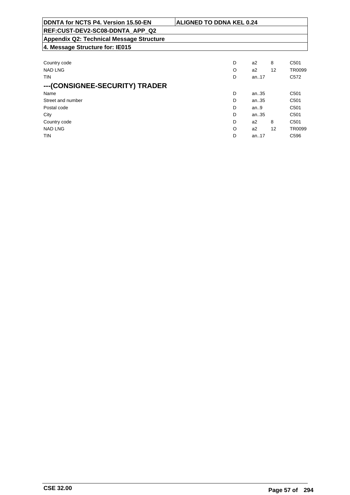| DDNTA for NCTS P4. Version 15.50-EN             | <b>ALIGNED TO DDNA KEL 0.24</b> |       |    |                  |
|-------------------------------------------------|---------------------------------|-------|----|------------------|
| REF:CUST-DEV2-SC08-DDNTA APP Q2                 |                                 |       |    |                  |
| <b>Appendix Q2: Technical Message Structure</b> |                                 |       |    |                  |
| 4. Message Structure for: IE015                 |                                 |       |    |                  |
|                                                 |                                 |       |    |                  |
| Country code                                    | D                               | a2    | 8  | C <sub>501</sub> |
| <b>NAD LNG</b>                                  | O                               | a2    | 12 | TR0099           |
| TIN                                             | D                               | an.17 |    | C <sub>572</sub> |
| ---(CONSIGNEE-SECURITY) TRADER                  |                                 |       |    |                  |
| Name                                            | D                               | an35  |    | C <sub>501</sub> |
| Street and number                               | D                               | an35  |    | C <sub>501</sub> |
| Postal code                                     | D                               | an.9  |    | C <sub>501</sub> |
| City                                            | D                               | an.35 |    | C <sub>501</sub> |
| Country code                                    | D                               | a2    | 8  | C <sub>501</sub> |
| <b>NAD LNG</b>                                  | O                               | a2    | 12 | TR0099           |

TIN D an..17 C596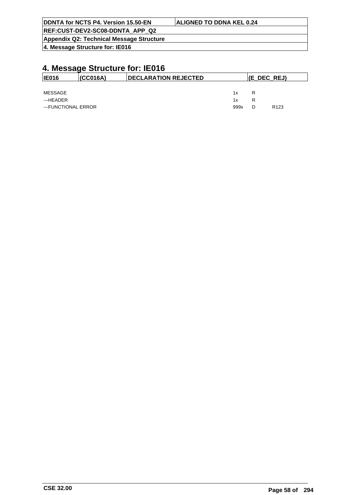| DDNTA for NCTS P4. Version 15.50-EN      | <b>ALIGNED TO DDNA KEL 0.24</b> |
|------------------------------------------|---------------------------------|
| REF:CUST-DEV2-SC08-DDNTA APP Q2          |                                 |
| Appendix Q2: Technical Message Structure |                                 |
| 4. Message Structure for: IE016          |                                 |

| <b>IE016</b>        | (CC016A) | <b>IDECLARATION REJECTED</b> |      | $ E_{DEC}$ $REJ $ |                  |  |
|---------------------|----------|------------------------------|------|-------------------|------------------|--|
|                     |          |                              |      |                   |                  |  |
| MESSAGE             |          |                              | 1x   | R                 |                  |  |
| ---HEADER           |          |                              | 1x   | R                 |                  |  |
| ---FUNCTIONAL ERROR |          |                              | 999x | D                 | R <sub>123</sub> |  |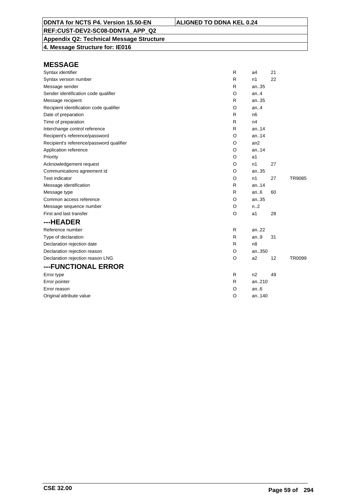**Appendix Q2: Technical Message Structure 4. Message Structure for: IE016**

| Syntax identifier                        | R  | a4               | 21 |        |
|------------------------------------------|----|------------------|----|--------|
| Syntax version number                    | R  | n1               | 22 |        |
| Message sender                           | R  | an35             |    |        |
| Sender identification code qualifier     | O  | an4              |    |        |
| Message recipient                        | R  | an35             |    |        |
| Recipient identification code qualifier  | O  | an.4             |    |        |
| Date of preparation                      | R. | n6               |    |        |
| Time of preparation                      | R  | n4               |    |        |
| Interchange control reference            | R  | an.14            |    |        |
| Recipient's reference/password           | O  | an.14            |    |        |
| Recipient's reference/password qualifier | O  | an2              |    |        |
| Application reference                    | O  | an14             |    |        |
| Priority                                 | O  | a1               |    |        |
| Acknowledgement request                  | O  | n1               | 27 |        |
| Communications agreement id              | O  | an35             |    |        |
| <b>Test indicator</b>                    | O  | n1               | 27 | TR9085 |
| Message identification                   | R  | an.14            |    |        |
| Message type                             | R. | an.6             | 60 |        |
| Common access reference                  | O  | an35             |    |        |
| Message sequence number                  | O  | n <sub>1</sub> 2 |    |        |
| First and last transfer                  | O  | a1               | 28 |        |
| ---HEADER                                |    |                  |    |        |
| Reference number                         | R  | an.22            |    |        |
| Type of declaration                      | R  | an.9             | 31 |        |
| Declaration rejection date               | R  | n <sub>8</sub>   |    |        |
| Declaration rejection reason             | O  | an350            |    |        |
| Declaration rejection reason LNG         | O  | a <sub>2</sub>   | 12 | TR0099 |
| ---FUNCTIONAL ERROR                      |    |                  |    |        |
| Error type                               | R  | n2               | 49 |        |
| Error pointer                            | R  | an210            |    |        |
| Error reason                             | O  | an.6             |    |        |
| Original attribute value                 | O  | an140            |    |        |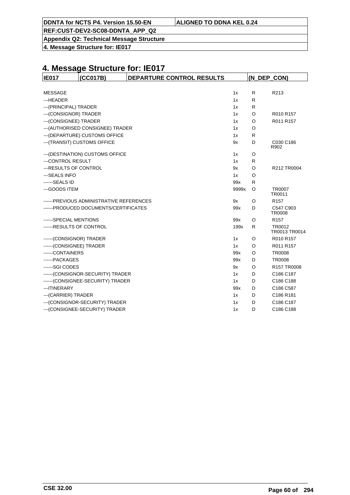**DDNTA for NCTS P4. Version 15.50-EN ALIGNED TO DDNA KEL 0.24**

**REF:CUST-DEV2-SC08-DDNTA\_APP\_Q2**

**Appendix Q2: Technical Message Structure**

**4. Message Structure for: IE017**

| <b>IE017</b>             | (CC017B)                                  | DEPARTURE CONTROL RESULTS |       | (N_DEP_CON)  |                            |
|--------------------------|-------------------------------------------|---------------------------|-------|--------------|----------------------------|
|                          |                                           |                           |       |              |                            |
| <b>MESSAGE</b>           |                                           |                           | 1x    | R            | R213                       |
| ---HEADER                |                                           |                           | 1x    | $\mathsf{R}$ |                            |
| --- (PRINCIPAL) TRADER   |                                           |                           | 1x    | $\mathsf{R}$ |                            |
| --- (CONSIGNOR) TRADER   |                                           |                           | 1x    | O            | R010 R157                  |
| --- (CONSIGNEE) TRADER   |                                           |                           | 1x    | O            | R011 R157                  |
|                          | --- (AUTHORISED CONSIGNEE) TRADER         |                           | 1x    | O            |                            |
|                          | --- (DEPARTURE) CUSTOMS OFFICE            |                           | 1x    | $\mathsf{R}$ |                            |
|                          | --- (TRANSIT) CUSTOMS OFFICE              |                           | 9x    | D            | C030 C186<br>R902          |
|                          | --- (DESTINATION) CUSTOMS OFFICE          |                           | 1x    | O            |                            |
| ---CONTROL RESULT        |                                           |                           | 1x    | R            |                            |
| --- RESULTS OF CONTROL   |                                           |                           | 9x    | O            | R212 TR0004                |
| --- SEALS INFO           |                                           |                           | 1x    | $\circ$      |                            |
| ------SEALS ID           |                                           |                           | 99x   | R            |                            |
| --- GOODS ITEM           |                                           |                           | 9999x | $\circ$      | <b>TR0007</b><br>TR0011    |
|                          | ------ PREVIOUS ADMINISTRATIVE REFERENCES |                           | 9x    | O            | R <sub>157</sub>           |
|                          | ------ PRODUCED DOCUMENTS/CERTIFICATES    |                           | 99x   | D            | C547 C903<br><b>TR0008</b> |
| ------SPECIAL MENTIONS   |                                           |                           | 99x   | O            | R <sub>157</sub>           |
| ------RESULTS OF CONTROL |                                           |                           | 199x  | R            | TR0012<br>TR0013 TR0014    |
| ------(CONSIGNOR) TRADER |                                           |                           | 1x    | O            | R010 R157                  |
| ------(CONSIGNEE) TRADER |                                           |                           | 1x    | $\circ$      | R011 R157                  |
| ------CONTAINERS         |                                           |                           | 99x   | O            | <b>TR0008</b>              |
| ------PACKAGES           |                                           |                           | 99x   | D            | <b>TR0008</b>              |
| ------SGI CODES          |                                           |                           | 9x    | O            | R157 TR0008                |
|                          | ------(CONSIGNOR-SECURITY) TRADER         |                           | 1x    | D            | C186 C187                  |
|                          | ------(CONSIGNEE-SECURITY) TRADER         |                           | 1x    | D            | C186 C188                  |
| --- ITINERARY            |                                           |                           | 99x   | D            | C186 C587                  |
| --- (CARRIER) TRADER     |                                           |                           | 1x    | D            | C186 R181                  |
|                          | --- (CONSIGNOR-SECURITY) TRADER           |                           | 1x    | D            | C186 C187                  |
|                          | --- (CONSIGNEE-SECURITY) TRADER           |                           | 1x    | D            | C186 C188                  |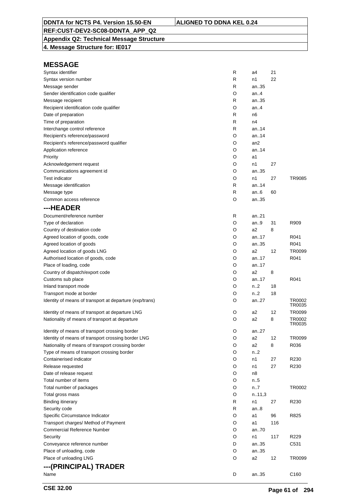## **Appendix Q2: Technical Message Structure**

**4. Message Structure for: IE017**

| Syntax identifier                                       | R | a4              | 21  |                  |
|---------------------------------------------------------|---|-----------------|-----|------------------|
| Syntax version number                                   | R | n1              | 22  |                  |
| Message sender                                          | R | an35            |     |                  |
| Sender identification code qualifier                    | O | an4             |     |                  |
| Message recipient                                       | R | an35            |     |                  |
| Recipient identification code qualifier                 | O | an.4            |     |                  |
| Date of preparation                                     | R | n6              |     |                  |
| Time of preparation                                     | R | n4              |     |                  |
| Interchange control reference                           | R | an14            |     |                  |
| Recipient's reference/password                          | O | an14            |     |                  |
| Recipient's reference/password qualifier                | O | an <sub>2</sub> |     |                  |
| Application reference                                   | O | an14            |     |                  |
| Priority                                                | O | a1              |     |                  |
| Acknowledgement request                                 | O | n1              | 27  |                  |
| Communications agreement id                             | O | an35            |     |                  |
| <b>Test indicator</b>                                   | O | n1              | 27  | TR9085           |
| Message identification                                  | R | an14            |     |                  |
| Message type                                            | R | an6             | 60  |                  |
| Common access reference                                 | O | an35            |     |                  |
| ---HEADER                                               |   |                 |     |                  |
| Document/reference number                               | R | an21            |     |                  |
| Type of declaration                                     | O | an9             | 31  | R909             |
| Country of destination code                             | O | a2              | 8   |                  |
| Agreed location of goods, code                          | O | an17            |     | R041             |
| Agreed location of goods                                | O | an35            |     | R041             |
| Agreed location of goods LNG                            | O | a2              | 12  | TR0099           |
| Authorised location of goods, code                      | O | an17            |     | R041             |
| Place of loading, code                                  | O | an17            |     |                  |
| Country of dispatch/export code                         | O | a2              | 8   |                  |
|                                                         | O | an17            |     | R041             |
| Customs sub place                                       |   |                 |     |                  |
| Inland transport mode                                   | O | n2              | 18  |                  |
| Transport mode at border                                | O | n2              | 18  |                  |
| Identity of means of transport at departure (exp/trans) | O | an27            |     | TR0002<br>TR0035 |
| Identity of means of transport at departure LNG         | O | a2              | 12  | TR0099           |
| Nationality of means of transport at departure          | O | a2              | 8   | TR0002<br>TR0035 |
| Identity of means of transport crossing border          | O | an27            |     |                  |
| Identity of means of transport crossing border LNG      | O | a2              | 12  | TR0099           |
| Nationality of means of transport crossing border       | O | a2              | 8   | R036             |
| Type of means of transport crossing border              | O | n2              |     |                  |
| Containerised indicator                                 | O | n1              | 27  | R230             |
| Release requested                                       | O | n1              | 27  | R230             |
| Date of release request                                 | O | n8              |     |                  |
| Total number of items                                   | O | n.5             |     |                  |
| Total number of packages                                | O | n7              |     | TR0002           |
| Total gross mass                                        | O | n.11,3          |     |                  |
| <b>Binding itinerary</b>                                | R | n1              | 27  | R230             |
| Security code                                           | R | an8             |     |                  |
| Specific Circumstance Indicator                         | O | a1              | 96  | R825             |
| Transport charges/ Method of Payment                    | O | a1              | 116 |                  |
| <b>Commercial Reference Number</b>                      | O | an70            |     |                  |
|                                                         |   | n1              |     |                  |
| Security                                                | O |                 | 117 | R229             |
| Conveyance reference number                             | D | an35            |     | C531             |
| Place of unloading, code                                | O | an35            |     |                  |
| Place of unloading LNG                                  | O | a2              | 12  | TR0099           |
| ---(PRINCIPAL) TRADER                                   |   |                 |     |                  |
| Name                                                    | D | an35            |     | C160             |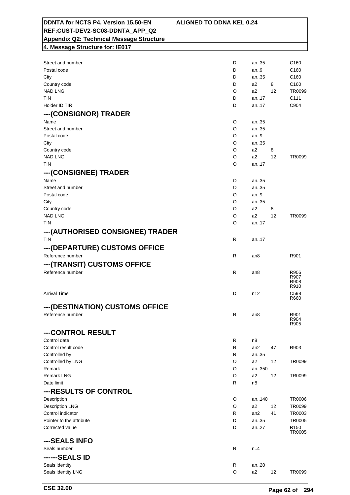| DDNTA for NCTS P4. Version 15.50-EN<br><b>ALIGNED TO DDNA KEL 0.24</b> |                     |                       |                  |  |
|------------------------------------------------------------------------|---------------------|-----------------------|------------------|--|
| REF:CUST-DEV2-SC08-DDNTA_APP_Q2                                        |                     |                       |                  |  |
| <b>Appendix Q2: Technical Message Structure</b>                        |                     |                       |                  |  |
| 4. Message Structure for: IE017                                        |                     |                       |                  |  |
|                                                                        |                     |                       |                  |  |
| Street and number                                                      | D                   | an35                  | C <sub>160</sub> |  |
| Postal code                                                            | D                   | an.9                  | C <sub>160</sub> |  |
| City                                                                   | D                   | an35                  | C <sub>160</sub> |  |
| Country code                                                           | D                   | a2<br>8               | C <sub>160</sub> |  |
| <b>NAD LNG</b>                                                         | O<br>a2             | $12 \overline{ }$     | TR0099           |  |
| TIN                                                                    | D                   | an17                  | C <sub>111</sub> |  |
| Holder ID TIR                                                          | D                   | an17                  | C904             |  |
| ---(CONSIGNOR) TRADER                                                  |                     |                       |                  |  |
| Name                                                                   | O                   | an35                  |                  |  |
| Street and number                                                      | O                   | an35                  |                  |  |
| Postal code                                                            | O                   | an.9                  |                  |  |
| City                                                                   | O                   | an35                  |                  |  |
| Country code                                                           | O<br>a2             | 8                     |                  |  |
| <b>NAD LNG</b><br><b>TIN</b>                                           | O<br>a2<br>O        | 12<br>an17            | TR0099           |  |
|                                                                        |                     |                       |                  |  |
| ---(CONSIGNEE) TRADER                                                  |                     |                       |                  |  |
| Name                                                                   | O                   | an35                  |                  |  |
| Street and number                                                      | O                   | an35                  |                  |  |
| Postal code                                                            | O<br>O              | an.9<br>an35          |                  |  |
| City<br>Country code                                                   | O<br>a2             | 8                     |                  |  |
| <b>NAD LNG</b>                                                         | O<br>a2             | 12                    | TR0099           |  |
| <b>TIN</b>                                                             | O                   | an17                  |                  |  |
| ---(AUTHORISED CONSIGNEE) TRADER                                       |                     |                       |                  |  |
| <b>TIN</b>                                                             | R                   | an17                  |                  |  |
|                                                                        |                     |                       |                  |  |
| ---(DEPARTURE) CUSTOMS OFFICE                                          |                     |                       |                  |  |
| Reference number                                                       | R                   | an8                   | R901             |  |
| ---(TRANSIT) CUSTOMS OFFICE                                            |                     |                       |                  |  |
| Reference number                                                       | R                   | an8                   | R906<br>R907     |  |
|                                                                        |                     |                       | R908             |  |
| <b>Arrival Time</b>                                                    |                     |                       | R910             |  |
|                                                                        | D                   | n12                   | C598<br>R660     |  |
| --- (DESTINATION) CUSTOMS OFFICE                                       |                     |                       |                  |  |
| Reference number                                                       | R                   | an8                   | R901             |  |
|                                                                        |                     |                       | R904<br>R905     |  |
|                                                                        |                     |                       |                  |  |
| ---CONTROL RESULT                                                      |                     |                       |                  |  |
| Control date<br>Control result code                                    | R<br>n8<br>R        | an2                   |                  |  |
| Controlled by                                                          | R                   | 47<br>an35            | R903             |  |
| Controlled by LNG                                                      | O<br>a2             | 12                    | TR0099           |  |
| Remark                                                                 | O                   | an350                 |                  |  |
| <b>Remark LNG</b>                                                      | O<br>a2             | 12                    | TR0099           |  |
| Date limit                                                             | R<br>n <sub>8</sub> |                       |                  |  |
| ---RESULTS OF CONTROL                                                  |                     |                       |                  |  |
| Description                                                            | O                   | an140                 | <b>TR0006</b>    |  |
| <b>Description LNG</b>                                                 | a2<br>O             | 12                    | TR0099           |  |
| Control indicator                                                      | R                   | an <sub>2</sub><br>41 | TR0003           |  |
| Pointer to the attribute                                               | D                   | an35                  | <b>TR0005</b>    |  |
| Corrected value                                                        | D                   | an27                  | R <sub>150</sub> |  |
|                                                                        |                     |                       | TR0005           |  |
| ---SEALS INFO                                                          |                     |                       |                  |  |
| Seals number                                                           | R                   | n.4                   |                  |  |
| ------SEALS ID                                                         |                     |                       |                  |  |
| Seals identity                                                         | R                   | an20                  |                  |  |
| Seals identity LNG                                                     | O<br>a2             | $12 \overline{ }$     | TR0099           |  |
|                                                                        |                     |                       |                  |  |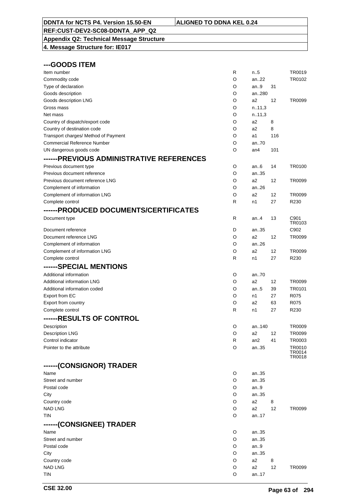**Appendix Q2: Technical Message Structure**

**4. Message Structure for: IE017**

| ---GOODS ITEM                                 |        |                        |          |                  |
|-----------------------------------------------|--------|------------------------|----------|------------------|
| Item number                                   | R      | n.5                    |          | TR0019           |
| Commodity code                                | O      | an22                   |          | TR0102           |
| Type of declaration                           | O      | an.9                   | 31       |                  |
| Goods description                             | O      | an280                  |          |                  |
| Goods description LNG                         | O      | a <sub>2</sub>         | 12       | TR0099           |
| Gross mass                                    | O      | n.11,3                 |          |                  |
| Net mass                                      | O      | n.11,3                 |          |                  |
| Country of dispatch/export code               | O      | a <sub>2</sub>         | 8        |                  |
| Country of destination code                   | O      | a2                     | 8        |                  |
| Transport charges/ Method of Payment          | O      | a1<br>an.70            | 116      |                  |
| <b>Commercial Reference Number</b>            | O<br>O | an <sub>4</sub>        | 101      |                  |
| UN dangerous goods code                       |        |                        |          |                  |
| ------PREVIOUS ADMINISTRATIVE REFERENCES      |        |                        |          |                  |
| Previous document type                        | O      | an $6$                 | 14       | TR0100           |
| Previous document reference                   | O      | an35                   |          |                  |
| Previous document reference LNG               | O      | a2                     | 12       | TR0099           |
| Complement of information                     | O      | an26                   |          |                  |
| Complement of information LNG                 | O      | a <sub>2</sub>         | 12       | TR0099           |
| Complete control                              | R      | n1                     | 27       | R230             |
| ------PRODUCED DOCUMENTS/CERTIFICATES         |        |                        |          |                  |
| Document type                                 | R      | an4                    | 13       | C901<br>TR0103   |
| Document reference                            |        |                        |          | C902             |
| Document reference LNG                        | D<br>O | an35<br>a <sub>2</sub> | 12       | TR0099           |
| Complement of information                     | O      | an26                   |          |                  |
| Complement of information LNG                 | O      | a <sub>2</sub>         | 12       | TR0099           |
| Complete control                              | R      | n1                     | 27       | R230             |
|                                               |        |                        |          |                  |
| ------SPECIAL MENTIONS                        |        |                        |          |                  |
| Additional information                        | O      | an70                   |          |                  |
| <b>Additional information LNG</b>             | O      | a <sub>2</sub>         | 12       | TR0099           |
| Additional information coded                  | O      | an.5                   | 39       | TR0101           |
| Export from EC                                | O<br>O | n1                     | 27<br>63 | R075<br>R075     |
| Export from country<br>Complete control       | R      | a2<br>n1               | 27       | R230             |
|                                               |        |                        |          |                  |
| ------RESULTS OF CONTROL                      |        |                        |          |                  |
| Description                                   | O      | an140                  |          | TR0009           |
| <b>Description LNG</b>                        | O      | a2                     | 12       | TR0099           |
| Control indicator<br>Pointer to the attribute | R      | an <sub>2</sub>        | 41       | TR0003           |
|                                               | O      | an35                   |          | TR0010<br>TR0014 |
|                                               |        |                        |          | TR0018           |
| ------(CONSIGNOR) TRADER                      |        |                        |          |                  |
| Name                                          | O      | an35                   |          |                  |
| Street and number                             | O      | an35                   |          |                  |
| Postal code                                   | O      | an $9$                 |          |                  |
| City                                          | O      | an35                   |          |                  |
| Country code                                  | O      | a2                     | 8        |                  |
| NAD LNG                                       | O      | a2                     | 12       | TR0099           |
| TIN                                           | O      | an17                   |          |                  |
| ------(CONSIGNEE) TRADER                      |        |                        |          |                  |
| Name                                          | O      | an35                   |          |                  |
| Street and number                             | O      | an35                   |          |                  |
| Postal code                                   | O      | an.9                   |          |                  |
| City                                          | O      | an35                   |          |                  |
| Country code                                  | O      | a <sub>2</sub>         | 8        |                  |
| <b>NAD LNG</b>                                | O      | a2                     | 12       | TR0099           |

 TIN O an..17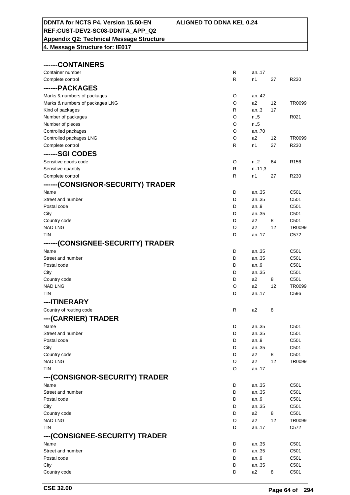## **Appendix Q2: Technical Message Structure**

| ------CONTAINERS                  |              |                  |    |                  |
|-----------------------------------|--------------|------------------|----|------------------|
| Container number                  | $\mathsf R$  | an17             |    |                  |
| Complete control                  | $\mathsf R$  | n1               | 27 | R230             |
| ------PACKAGES                    |              |                  |    |                  |
| Marks & numbers of packages       | O            | an42             |    |                  |
| Marks & numbers of packages LNG   | O            | a2               | 12 | TR0099           |
| Kind of packages                  | R            | an.3             | 17 |                  |
| Number of packages                | O            | n.5              |    | R021             |
| Number of pieces                  | O            | n.5              |    |                  |
| Controlled packages               | O            | an70             |    |                  |
| Controlled packages LNG           | O            | a2               | 12 | TR0099           |
| Complete control                  | $\mathsf{R}$ | n1               | 27 | R230             |
| ------SGI CODES                   |              |                  |    |                  |
| Sensitive goods code              | O            | n <sub>1</sub> 2 | 64 | R <sub>156</sub> |
| Sensitive quantity                | R            | n.11,3           |    |                  |
| Complete control                  | R            | n1               | 27 | R230             |
| ------(CONSIGNOR-SECURITY) TRADER |              |                  |    |                  |
| Name                              | D            | an35             |    | C501             |
| Street and number                 | D            | an35             |    | C501             |
| Postal code                       | D            | an.9             |    | C501             |
| City                              | D            | an35             |    | C501             |
| Country code                      | D            | a2               | 8  | C501             |
| <b>NAD LNG</b>                    | O            | a2               | 12 | TR0099           |
| <b>TIN</b>                        | D            | an17             |    | C572             |
| ------(CONSIGNEE-SECURITY) TRADER |              |                  |    |                  |
| Name                              | D            | an35             |    | C501             |
| Street and number                 | D            | an35             |    | C501             |
| Postal code                       | D            | an.9             |    | C501             |
| City                              | D            | an35             |    | C501             |
| Country code                      | D            | a2               | 8  | C501             |
| <b>NAD LNG</b>                    | O            | a2               | 12 | TR0099           |
| <b>TIN</b>                        | D            | an17             |    | C596             |
| ---ITINERARY                      |              |                  |    |                  |
| Country of routing code           | $\mathsf{R}$ | a2               | 8  |                  |
| ---(CARRIER) TRADER               |              |                  |    |                  |
| Name                              | D            | an35             |    | C501             |
| Street and number                 | D            | an35             |    | C501             |
| Postal code                       | D            | an $9$           |    | C501             |
| City                              | D            | an35             |    | C501             |
| Country code                      | D            | a2               | 8  | C501             |
| NAD LNG                           | O            | a2               | 12 | TR0099           |
| TIN                               | O            | an17             |    |                  |
| ---(CONSIGNOR-SECURITY) TRADER    |              |                  |    |                  |
| Name                              | D            | an35             |    | C501             |
| Street and number                 | D            | an35             |    | C501             |
| Postal code                       | D            | an.9             |    | C501             |
| City                              | D            | an35             |    | C501             |
| Country code                      | D            | a2               | 8  | C501             |
| <b>NAD LNG</b>                    | O            | a2               | 12 | TR0099           |
| TIN                               | D            | an17             |    | C572             |
| ---(CONSIGNEE-SECURITY) TRADER    |              |                  |    |                  |
| Name                              | D            | an35             |    | C501             |
| Street and number                 | D            | an35             |    | C501             |
| Postal code                       | D            | an $9$           |    | C501             |
| City                              | D            | an35             |    | C501             |
| Country code                      | D            | a <sub>2</sub>   | 8  | C501             |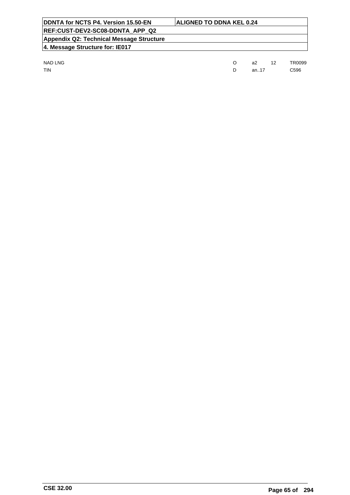| DDNTA for NCTS P4. Version 15.50-EN      | <b>ALIGNED TO DDNA KEL 0.24</b> |   |      |    |        |
|------------------------------------------|---------------------------------|---|------|----|--------|
| <b>REF:CUST-DEV2-SC08-DDNTA APP Q2</b>   |                                 |   |      |    |        |
| Appendix Q2: Technical Message Structure |                                 |   |      |    |        |
| 4. Message Structure for: IE017          |                                 |   |      |    |        |
|                                          |                                 |   |      |    |        |
| NAD LNG                                  |                                 | O | a2   | 12 | TR0099 |
| TIN                                      |                                 | D | an17 |    | C596   |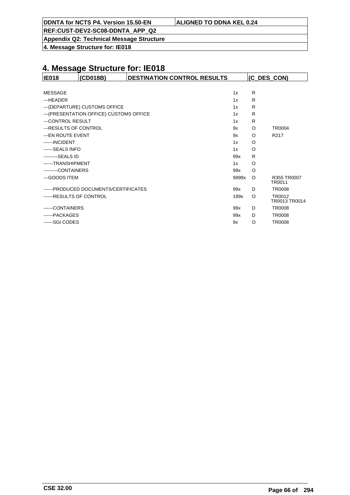| DDNTA for NCTS P4. Version 15.50-EN |  |  |
|-------------------------------------|--|--|
|                                     |  |  |

#### **ALIGNED TO DDNA KEL 0.24**

**REF:CUST-DEV2-SC08-DDNTA\_APP\_Q2**

**Appendix Q2: Technical Message Structure**

**4. Message Structure for: IE018**

| <b>IE018</b>             | (CD018B)                                 | <b>DESTINATION CONTROL RESULTS</b> |       | (C_DES_CON) |                         |
|--------------------------|------------------------------------------|------------------------------------|-------|-------------|-------------------------|
|                          |                                          |                                    |       |             |                         |
| MESSAGE                  |                                          |                                    | 1x    | R           |                         |
| ---HEADER                |                                          |                                    | 1x    | R           |                         |
|                          | --- (DEPARTURE) CUSTOMS OFFICE           |                                    | 1x    | R           |                         |
|                          | --- (PRESENTATION OFFICE) CUSTOMS OFFICE |                                    | 1x    | R           |                         |
| ---CONTROL RESULT        |                                          |                                    | 1x    | R           |                         |
| --- RESULTS OF CONTROL   |                                          |                                    | 9x    | $\circ$     | TR0004                  |
| --- EN ROUTE EVENT       |                                          |                                    | 9x    | O           | R <sub>217</sub>        |
| ------INCIDENT           |                                          |                                    | 1x    | O           |                         |
| ------SEALS INFO         |                                          |                                    | 1x    | O           |                         |
| ---------SEALS ID        |                                          |                                    | 99x   | R           |                         |
| ------TRANSHIPMENT       |                                          |                                    | 1x    | O           |                         |
| --------CONTAINERS       |                                          |                                    | 99x   | $\circ$     |                         |
| ---GOODS ITEM            |                                          |                                    | 9999x | $\Omega$    | R355 TR0007<br>TR0011   |
|                          | ------PRODUCED DOCUMENTS/CERTIFICATES    |                                    | 99x   | D           | <b>TR0008</b>           |
| ------RESULTS OF CONTROL |                                          |                                    | 199x  | O           | TR0012<br>TR0013 TR0014 |
| -----CONTAINERS          |                                          |                                    | 99x   | D           | TR0008                  |
| ------PACKAGES           |                                          |                                    | 99x   | D           | <b>TR0008</b>           |
| ------SGI CODES          |                                          |                                    | 9x    | O           | <b>TR0008</b>           |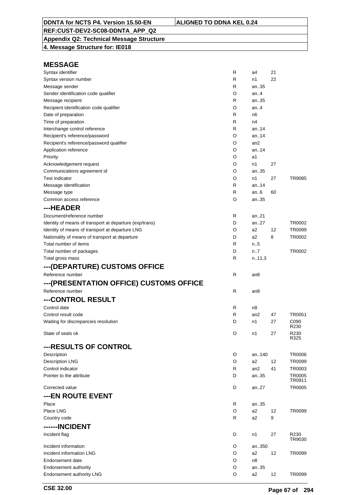**Appendix Q2: Technical Message Structure 4. Message Structure for: IE018**

| Syntax identifier                                       | R | a4              | 21 |                          |
|---------------------------------------------------------|---|-----------------|----|--------------------------|
| Syntax version number                                   | R | n1              | 22 |                          |
| Message sender                                          | R | an35            |    |                          |
| Sender identification code qualifier                    | O | an4             |    |                          |
| Message recipient                                       | R | an35            |    |                          |
| Recipient identification code qualifier                 | O | an.4            |    |                          |
| Date of preparation                                     | R | n6              |    |                          |
| Time of preparation                                     | R | n4              |    |                          |
| Interchange control reference                           | R | an14            |    |                          |
| Recipient's reference/password                          | O | an14            |    |                          |
| Recipient's reference/password qualifier                | O | an <sub>2</sub> |    |                          |
| Application reference                                   | O | an14            |    |                          |
| Priority                                                | O | a1              |    |                          |
| Acknowledgement request                                 | O | n1              | 27 |                          |
| Communications agreement id                             | O | an35            |    |                          |
| <b>Test indicator</b>                                   | O | n1              | 27 | <b>TR9085</b>            |
| Message identification                                  | R | an14            |    |                          |
| Message type                                            | R | an $6$          | 60 |                          |
| Common access reference                                 | O | an35            |    |                          |
| ---HEADER                                               |   |                 |    |                          |
|                                                         |   |                 |    |                          |
| Document/reference number                               | R | an.21           |    |                          |
| Identity of means of transport at departure (exp/trans) | D | an27            |    | TR0002                   |
| Identity of means of transport at departure LNG         | O | a2              | 12 | TR0099                   |
| Nationality of means of transport at departure          | D | a2              | 8  | TR0002                   |
| Total number of items                                   | R | $n_{.}.5$       |    |                          |
| Total number of packages                                | D | n7              |    | TR0002                   |
| Total gross mass                                        | R | n.11,3          |    |                          |
| ---(DEPARTURE) CUSTOMS OFFICE                           |   |                 |    |                          |
| Reference number                                        | R | an8             |    |                          |
| ---(PRESENTATION OFFICE) CUSTOMS OFFICE                 |   |                 |    |                          |
|                                                         |   |                 |    |                          |
|                                                         |   |                 |    |                          |
| Reference number                                        | R | an8             |    |                          |
| ---CONTROL RESULT                                       |   |                 |    |                          |
| Control date                                            | R | n8              |    |                          |
| Control result code                                     | R | an2             | 47 | TR0051                   |
| Waiting for discrepancies resolution                    | D | n1              | 27 | C090                     |
| State of seals ok                                       | O | n1              | 27 | R <sub>230</sub><br>R230 |
|                                                         |   |                 |    | R325                     |
| <b>---RESULTS OF CONTROL</b>                            |   |                 |    |                          |
| Description                                             | O | an140           |    | <b>TR0006</b>            |
| <b>Description LNG</b>                                  | O | a2              | 12 | TR0099                   |
| Control indicator                                       | R | an <sub>2</sub> | 41 | TR0003                   |
| Pointer to the attribute                                | D | an35            |    | <b>TR0005</b><br>TR0911  |
| Corrected value                                         | D | an27            |    |                          |
|                                                         |   |                 |    | TR0005                   |
| ---EN ROUTE EVENT                                       |   |                 |    |                          |
| Place                                                   | R | an35            |    |                          |
| Place LNG                                               | O | a2              | 12 | TR0099                   |
| Country code                                            | R | a2              | 9  |                          |
| ------INCIDENT                                          |   |                 |    |                          |
| Incident flag                                           | D | n1              | 27 | R230<br>TR9030           |
| Incident information                                    | O | an350           |    |                          |
| Incident information LNG                                | O | a2              | 12 | TR0099                   |
| Endorsement date                                        | O | n8              |    |                          |
| Endorsement authority                                   | O | an35            |    |                          |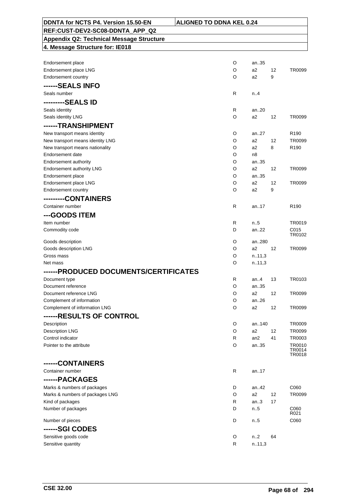| DDNTA for NCTS P4. Version 15.50-EN<br><b>ALIGNED TO DDNA KEL 0.24</b> |        |                |    |                  |
|------------------------------------------------------------------------|--------|----------------|----|------------------|
| REF:CUST-DEV2-SC08-DDNTA APP Q2                                        |        |                |    |                  |
| <b>Appendix Q2: Technical Message Structure</b>                        |        |                |    |                  |
| 4. Message Structure for: IE018                                        |        |                |    |                  |
|                                                                        |        |                |    |                  |
| Endorsement place                                                      | O      | an35           |    |                  |
| Endorsement place LNG                                                  | O      | a2             | 12 | TR0099           |
| Endorsement country                                                    | O      | a <sub>2</sub> | 9  |                  |
| ------SEALS INFO                                                       |        |                |    |                  |
| Seals number                                                           | R      | n.A            |    |                  |
| ---------SEALS ID                                                      |        |                |    |                  |
| Seals identity                                                         | R      | an20           |    |                  |
| Seals identity LNG                                                     | O      | a2             | 12 | TR0099           |
| ------TRANSHIPMENT                                                     |        |                |    |                  |
| New transport means identity                                           | O      | an27           |    | R <sub>190</sub> |
| New transport means identity LNG                                       | O      | a2             | 12 | TR0099           |
| New transport means nationality                                        | O      | a2             | 8  | R <sub>190</sub> |
| Endorsement date                                                       | O      | n8             |    |                  |
| Endorsement authority                                                  | O      | an35           |    |                  |
| Endorsement authority LNG                                              | O      | a2             | 12 | <b>TR0099</b>    |
| Endorsement place                                                      | O      | an35           |    |                  |
| Endorsement place LNG                                                  | O      | a2             | 12 | TR0099           |
| Endorsement country                                                    | O      | a2             | 9  |                  |
| ---------CONTAINERS                                                    |        |                |    |                  |
| Container number                                                       | R      | an.17          |    | R <sub>190</sub> |
| ---GOODS ITEM                                                          |        |                |    |                  |
| Item number                                                            | R      | n5             |    | TR0019           |
| Commodity code                                                         | D      | an22           |    | C015             |
|                                                                        |        |                |    | TR0102           |
| Goods description                                                      | O      | an280          |    |                  |
| Goods description LNG<br>Gross mass                                    | O<br>O | a2<br>n.11,3   | 12 | TR0099           |
| Net mass                                                               | O      | n.11,3         |    |                  |
| ------PRODUCED DOCUMENTS/CERTIFICATES                                  |        |                |    |                  |
|                                                                        |        |                |    |                  |
| Document type<br>Document reference                                    | R<br>O | an4<br>an35    | 13 | TR0103           |
| Document reference LNG                                                 | O      | a <sub>2</sub> | 12 | TR0099           |
| Complement of information                                              | O      | an26           |    |                  |
| Complement of information LNG                                          | O      | a2             | 12 | TR0099           |
| ------RESULTS OF CONTROL                                               |        |                |    |                  |
| Description                                                            | O      | an140          |    | <b>TR0009</b>    |
| <b>Description LNG</b>                                                 | O      | a2             | 12 | TR0099           |
| Control indicator                                                      | R      | an2            | 41 | TR0003           |
| Pointer to the attribute                                               | O      | an35           |    | TR0010           |
|                                                                        |        |                |    | TR0014<br>TR0018 |
|                                                                        |        |                |    |                  |
| <b>-CONTAINERS</b>                                                     |        |                |    |                  |
| Container number                                                       | R      | an17           |    |                  |
| ------PACKAGES                                                         |        |                |    |                  |
| Marks & numbers of packages                                            | D      | an42           |    | C060             |
| Marks & numbers of packages LNG                                        | O      | a2             | 12 | TR0099           |
| Kind of packages                                                       | R      | an.3           | 17 |                  |
| Number of packages                                                     | D      | n5             |    | C060<br>R021     |
| Number of pieces                                                       | D      | n.5            |    | C060             |
| ------SGI CODES                                                        |        |                |    |                  |
|                                                                        | O      | n.2            | 64 |                  |
| Sensitive goods code<br>Sensitive quantity                             | R      | n.11,3         |    |                  |
|                                                                        |        |                |    |                  |

 $\mathsf{r}$ 

٦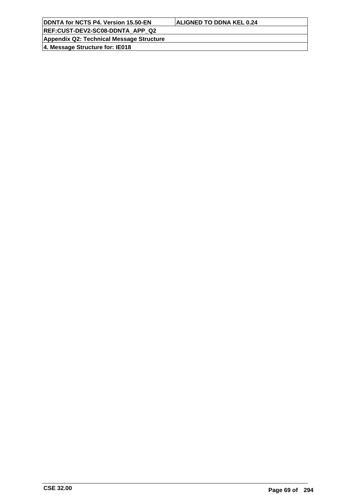| DDNTA for NCTS P4. Version 15.50-EN      | <b>ALIGNED TO DDNA KEL 0.24</b> |
|------------------------------------------|---------------------------------|
| <b>REF:CUST-DEV2-SC08-DDNTA APP Q2</b>   |                                 |
| Appendix Q2: Technical Message Structure |                                 |
| 4. Message Structure for: IE018          |                                 |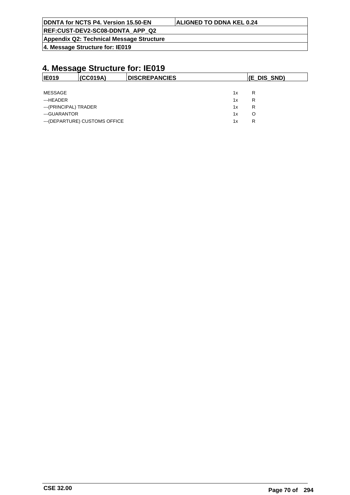| DDNTA for NCTS P4. Version 15.50-EN    | <b>ALIGNED TO DDNA KEL 0.24</b> |  |  |
|----------------------------------------|---------------------------------|--|--|
| <b>REF:CUST-DEV2-SC08-DDNTA_APP_Q2</b> |                                 |  |  |

**Appendix Q2: Technical Message Structure**

**4. Message Structure for: IE019**

| <b>IE019</b>                   | (CC019A)              | <b>IDISCREPANCIES</b> |    | (E_DIS_SND) |  |
|--------------------------------|-----------------------|-----------------------|----|-------------|--|
|                                |                       |                       |    |             |  |
| MESSAGE                        |                       |                       | 1x | R           |  |
| ---HEADER                      |                       |                       | 1x | R           |  |
|                                | ---(PRINCIPAL) TRADER |                       | 1x | R           |  |
| ---GUARANTOR                   |                       | 1x                    | O  |             |  |
| --- (DEPARTURE) CUSTOMS OFFICE |                       |                       | 1x | R           |  |
|                                |                       |                       |    |             |  |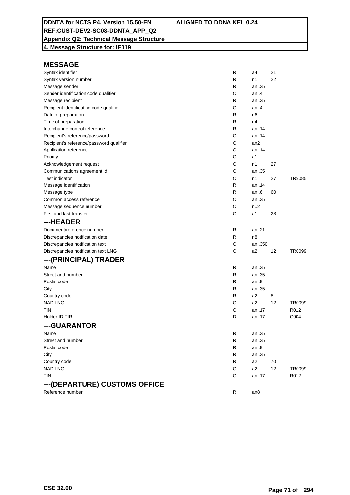**Appendix Q2: Technical Message Structure 4. Message Structure for: IE019**

| Syntax identifier                        | R | a4              | 21 |        |
|------------------------------------------|---|-----------------|----|--------|
| Syntax version number                    | R | n1              | 22 |        |
| Message sender                           | R | an35            |    |        |
| Sender identification code qualifier     | O | an4             |    |        |
| Message recipient                        | R | an35            |    |        |
| Recipient identification code qualifier  | O | an4             |    |        |
| Date of preparation                      | R | n6              |    |        |
| Time of preparation                      | R | n4              |    |        |
| Interchange control reference            | R | an14            |    |        |
| Recipient's reference/password           | O | an14            |    |        |
| Recipient's reference/password qualifier | O | an <sub>2</sub> |    |        |
| Application reference                    | O | an14            |    |        |
| Priority                                 | O | a1              |    |        |
| Acknowledgement request                  | O | n1              | 27 |        |
| Communications agreement id              | O | an35            |    |        |
| <b>Test indicator</b>                    | O | n1              | 27 | TR9085 |
| Message identification                   | R | an14            |    |        |
| Message type                             | R | an $6$          | 60 |        |
| Common access reference                  | O | an35            |    |        |
| Message sequence number                  | O | n.2             |    |        |
| First and last transfer                  | O | a1              | 28 |        |
| ---HEADER                                |   |                 |    |        |
| Document/reference number                | R | an21            |    |        |
| Discrepancies notification date          | R | n8              |    |        |
| Discrepancies notification text          | O | an350           |    |        |
| Discrepancies notification text LNG      | O | a2              | 12 | TR0099 |
| ---(PRINCIPAL) TRADER                    |   |                 |    |        |
| Name                                     | R | an35            |    |        |
| Street and number                        | R | an35            |    |        |
| Postal code                              | R | an.9            |    |        |
| City                                     | R | an35            |    |        |
| Country code                             | R | a2              | 8  |        |
| NAD LNG                                  | O | a2              | 12 | TR0099 |
| TIN                                      | O | an17            |    | R012   |
| Holder ID TIR                            | D | an17            |    | C904   |
| ---GUARANTOR                             |   |                 |    |        |
| Name                                     | R | an35            |    |        |
| Street and number                        | R | an35            |    |        |
| Postal code                              | R | an.9            |    |        |
| City                                     | R | an35            |    |        |
| Country code                             | R | a <sub>2</sub>  | 70 |        |
| <b>NAD LNG</b>                           | O | a2              | 12 | TR0099 |
| <b>TIN</b>                               | O | an17            |    | R012   |
| ---(DEPARTURE) CUSTOMS OFFICE            |   |                 |    |        |
| Reference number                         | R | an8             |    |        |
|                                          |   |                 |    |        |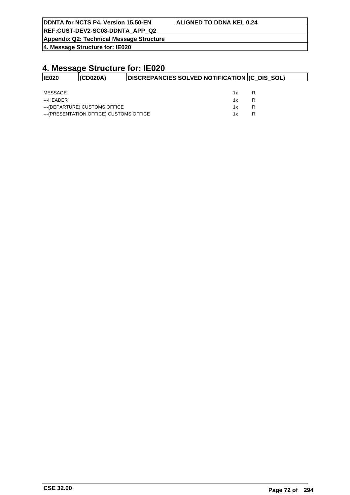| DDNTA for NCTS P4. Version 15.50-EN | <b>ALIGNED TO DDNA KEL 0.24</b> |
|-------------------------------------|---------------------------------|
|                                     |                                 |

**Appendix Q2: Technical Message Structure**

**4. Message Structure for: IE020**

| <b>IE020</b> | <b>(CD020A)</b>                          | DISCREPANCIES SOLVED NOTIFICATION (C DIS SOL) |     |  |
|--------------|------------------------------------------|-----------------------------------------------|-----|--|
|              |                                          |                                               |     |  |
| MESSAGE      |                                          |                                               | 1 x |  |
| ---HFADFR    |                                          |                                               | 1x  |  |
|              | --- (DEPARTURE) CUSTOMS OFFICE           |                                               | 1x  |  |
|              | --- (PRESENTATION OFFICE) CUSTOMS OFFICE |                                               | 1 x |  |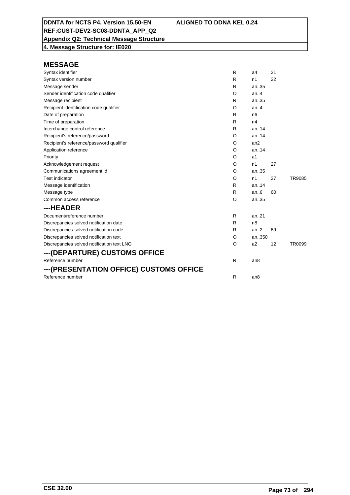# **REF:CUST-DEV2-SC08-DDNTA\_APP\_Q2**

**Appendix Q2: Technical Message Structure 4. Message Structure for: IE020**

| Syntax version number<br>R<br>n1<br>Message sender<br>R<br>an35<br>Sender identification code qualifier<br>O<br>an.4<br>R<br>Message recipient<br>an35<br>Recipient identification code qualifier<br>O<br>an.4<br>Date of preparation<br>R<br>n <sub>6</sub><br>Time of preparation<br>R<br>n4<br>Interchange control reference<br>R<br>an.14<br>Recipient's reference/password<br>O<br>an.14<br>Recipient's reference/password qualifier<br>an2<br>O<br>an14<br>Application reference<br>O<br>O<br>a1<br>Priority<br>Acknowledgement request<br>O<br>n1<br>Communications agreement id<br>O<br>an35<br><b>Test indicator</b><br>O<br>n <sub>1</sub><br>R<br>an.14<br>Message identification<br>R<br>Message type<br>an.6<br>Common access reference<br>O<br>an35<br>---HEADER<br>Document/reference number<br>R<br>an.21<br>R<br>n8<br>Discrepancies solved notification date<br>Discrepancies solved notification code<br>R<br>an.2<br>Discrepancies solved notification text<br>O<br>an350<br>Discrepancies solved notification text LNG<br>O<br>a <sub>2</sub><br>---(DEPARTURE) CUSTOMS OFFICE | 21 |        |
|-----------------------------------------------------------------------------------------------------------------------------------------------------------------------------------------------------------------------------------------------------------------------------------------------------------------------------------------------------------------------------------------------------------------------------------------------------------------------------------------------------------------------------------------------------------------------------------------------------------------------------------------------------------------------------------------------------------------------------------------------------------------------------------------------------------------------------------------------------------------------------------------------------------------------------------------------------------------------------------------------------------------------------------------------------------------------------------------------------|----|--------|
|                                                                                                                                                                                                                                                                                                                                                                                                                                                                                                                                                                                                                                                                                                                                                                                                                                                                                                                                                                                                                                                                                                     | 22 |        |
|                                                                                                                                                                                                                                                                                                                                                                                                                                                                                                                                                                                                                                                                                                                                                                                                                                                                                                                                                                                                                                                                                                     |    |        |
|                                                                                                                                                                                                                                                                                                                                                                                                                                                                                                                                                                                                                                                                                                                                                                                                                                                                                                                                                                                                                                                                                                     |    |        |
|                                                                                                                                                                                                                                                                                                                                                                                                                                                                                                                                                                                                                                                                                                                                                                                                                                                                                                                                                                                                                                                                                                     |    |        |
|                                                                                                                                                                                                                                                                                                                                                                                                                                                                                                                                                                                                                                                                                                                                                                                                                                                                                                                                                                                                                                                                                                     |    |        |
|                                                                                                                                                                                                                                                                                                                                                                                                                                                                                                                                                                                                                                                                                                                                                                                                                                                                                                                                                                                                                                                                                                     |    |        |
|                                                                                                                                                                                                                                                                                                                                                                                                                                                                                                                                                                                                                                                                                                                                                                                                                                                                                                                                                                                                                                                                                                     |    |        |
|                                                                                                                                                                                                                                                                                                                                                                                                                                                                                                                                                                                                                                                                                                                                                                                                                                                                                                                                                                                                                                                                                                     |    |        |
|                                                                                                                                                                                                                                                                                                                                                                                                                                                                                                                                                                                                                                                                                                                                                                                                                                                                                                                                                                                                                                                                                                     |    |        |
|                                                                                                                                                                                                                                                                                                                                                                                                                                                                                                                                                                                                                                                                                                                                                                                                                                                                                                                                                                                                                                                                                                     |    |        |
|                                                                                                                                                                                                                                                                                                                                                                                                                                                                                                                                                                                                                                                                                                                                                                                                                                                                                                                                                                                                                                                                                                     |    |        |
|                                                                                                                                                                                                                                                                                                                                                                                                                                                                                                                                                                                                                                                                                                                                                                                                                                                                                                                                                                                                                                                                                                     |    |        |
|                                                                                                                                                                                                                                                                                                                                                                                                                                                                                                                                                                                                                                                                                                                                                                                                                                                                                                                                                                                                                                                                                                     | 27 |        |
|                                                                                                                                                                                                                                                                                                                                                                                                                                                                                                                                                                                                                                                                                                                                                                                                                                                                                                                                                                                                                                                                                                     |    |        |
|                                                                                                                                                                                                                                                                                                                                                                                                                                                                                                                                                                                                                                                                                                                                                                                                                                                                                                                                                                                                                                                                                                     | 27 | TR9085 |
|                                                                                                                                                                                                                                                                                                                                                                                                                                                                                                                                                                                                                                                                                                                                                                                                                                                                                                                                                                                                                                                                                                     |    |        |
|                                                                                                                                                                                                                                                                                                                                                                                                                                                                                                                                                                                                                                                                                                                                                                                                                                                                                                                                                                                                                                                                                                     | 60 |        |
|                                                                                                                                                                                                                                                                                                                                                                                                                                                                                                                                                                                                                                                                                                                                                                                                                                                                                                                                                                                                                                                                                                     |    |        |
|                                                                                                                                                                                                                                                                                                                                                                                                                                                                                                                                                                                                                                                                                                                                                                                                                                                                                                                                                                                                                                                                                                     |    |        |
|                                                                                                                                                                                                                                                                                                                                                                                                                                                                                                                                                                                                                                                                                                                                                                                                                                                                                                                                                                                                                                                                                                     |    |        |
|                                                                                                                                                                                                                                                                                                                                                                                                                                                                                                                                                                                                                                                                                                                                                                                                                                                                                                                                                                                                                                                                                                     |    |        |
|                                                                                                                                                                                                                                                                                                                                                                                                                                                                                                                                                                                                                                                                                                                                                                                                                                                                                                                                                                                                                                                                                                     | 69 |        |
|                                                                                                                                                                                                                                                                                                                                                                                                                                                                                                                                                                                                                                                                                                                                                                                                                                                                                                                                                                                                                                                                                                     |    |        |
|                                                                                                                                                                                                                                                                                                                                                                                                                                                                                                                                                                                                                                                                                                                                                                                                                                                                                                                                                                                                                                                                                                     | 12 | TR0099 |
|                                                                                                                                                                                                                                                                                                                                                                                                                                                                                                                                                                                                                                                                                                                                                                                                                                                                                                                                                                                                                                                                                                     |    |        |
| Reference number<br>R<br>an8                                                                                                                                                                                                                                                                                                                                                                                                                                                                                                                                                                                                                                                                                                                                                                                                                                                                                                                                                                                                                                                                        |    |        |
| ---(PRESENTATION OFFICE) CUSTOMS OFFICE                                                                                                                                                                                                                                                                                                                                                                                                                                                                                                                                                                                                                                                                                                                                                                                                                                                                                                                                                                                                                                                             |    |        |
| Reference number<br>R<br>an <sub>8</sub>                                                                                                                                                                                                                                                                                                                                                                                                                                                                                                                                                                                                                                                                                                                                                                                                                                                                                                                                                                                                                                                            |    |        |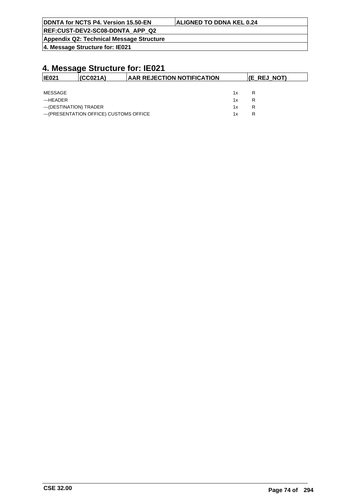| DDNTA for NCTS P4. Version 15.50-EN | <b>ALIGNED TO DDNA KEL 0.24</b> |
|-------------------------------------|---------------------------------|
| REF:CUST-DEV2-SC08-DDNTA APP Q2     |                                 |

**Appendix Q2: Technical Message Structure**

**4. Message Structure for: IE021**

| <b>IE021</b>            | (CC021A)                                 | <b>AAR REJECTION NOTIFICATION</b> |    | (E REJ NOT) |
|-------------------------|------------------------------------------|-----------------------------------|----|-------------|
|                         |                                          |                                   |    |             |
| MESSAGE                 |                                          |                                   | 1x | R           |
| ---HEADER               |                                          |                                   | 1x | R           |
| ---(DESTINATION) TRADER |                                          |                                   | 1x | R           |
|                         | --- (PRESENTATION OFFICE) CUSTOMS OFFICE |                                   | 1x | R           |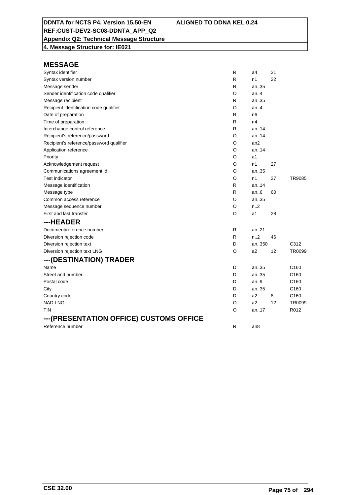**Appendix Q2: Technical Message Structure**

**4. Message Structure for: IE021**

| Syntax identifier                        | R | a4             | 21 |                  |
|------------------------------------------|---|----------------|----|------------------|
| Syntax version number                    | R | n1             | 22 |                  |
| Message sender                           | R | an35           |    |                  |
| Sender identification code qualifier     | O | an.4           |    |                  |
| Message recipient                        | R | an35           |    |                  |
| Recipient identification code qualifier  | O | an.4           |    |                  |
| Date of preparation                      | R | n <sub>6</sub> |    |                  |
| Time of preparation                      | R | n4             |    |                  |
| Interchange control reference            | R | an.14          |    |                  |
| Recipient's reference/password           | O | an.14          |    |                  |
| Recipient's reference/password qualifier | O | an2            |    |                  |
| Application reference                    | O | an14           |    |                  |
| Priority                                 | O | a1             |    |                  |
| Acknowledgement request                  | O | n1             | 27 |                  |
| Communications agreement id              | O | an35           |    |                  |
| <b>Test indicator</b>                    | O | n1             | 27 | TR9085           |
| Message identification                   | R | an14           |    |                  |
| Message type                             | R | an.6           | 60 |                  |
| Common access reference                  | O | an35           |    |                  |
| Message sequence number                  | O | n.2            |    |                  |
| First and last transfer                  | O | a1             | 28 |                  |
| ---HEADER                                |   |                |    |                  |
| Document/reference number                | R | an. $.21$      |    |                  |
| Diversion rejection code                 | R | n.2            | 46 |                  |
| Diversion rejection text                 | D | an350          |    | C312             |
| Diversion rejection text LNG             | O | a2             | 12 | TR0099           |
| ---(DESTINATION) TRADER                  |   |                |    |                  |
| Name                                     | D | an35           |    | C <sub>160</sub> |
| Street and number                        | D | an35           |    | C <sub>160</sub> |
| Postal code                              | D | an.9           |    | C160             |
| City                                     | D | an35           |    | C160             |
| Country code                             | D | a2             | 8  | C160             |
| <b>NAD LNG</b>                           | O | a2             | 12 | TR0099           |
| <b>TIN</b>                               | O | an17           |    | R012             |
| ---(PRESENTATION OFFICE) CUSTOMS OFFICE  |   |                |    |                  |
| Reference number                         | R | an8            |    |                  |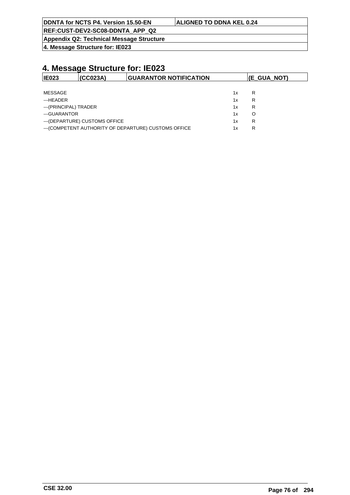|  | DDNTA for NCTS P4. Version 15.50-EN |  |  |  |  |
|--|-------------------------------------|--|--|--|--|
|--|-------------------------------------|--|--|--|--|

### **ALIGNED TO DDNA KEL 0.24**

**REF:CUST-DEV2-SC08-DDNTA\_APP\_Q2**

**Appendix Q2: Technical Message Structure**

**4. Message Structure for: IE023**

| IE023                 | (CCO <sub>23A</sub> )          | <b>GUARANTOR NOTIFICATION</b>                         |    | (E_GUA_NOT) |
|-----------------------|--------------------------------|-------------------------------------------------------|----|-------------|
|                       |                                |                                                       |    |             |
| MESSAGE               |                                |                                                       | 1x | R           |
| ---HEADER             |                                |                                                       | 1x | R           |
| ---(PRINCIPAL) TRADER |                                |                                                       | 1x | R           |
| ---GUARANTOR          |                                |                                                       | 1x | O           |
|                       | --- (DEPARTURE) CUSTOMS OFFICE |                                                       | 1x | R           |
|                       |                                | --- (COMPETENT AUTHORITY OF DEPARTURE) CUSTOMS OFFICE | 1x | R           |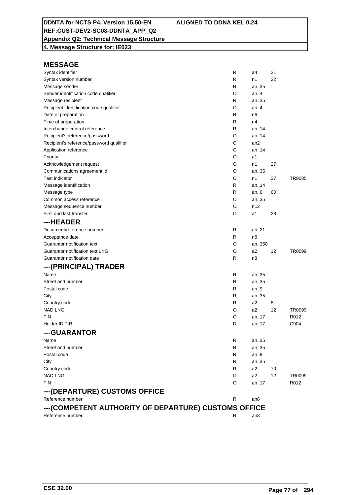**Appendix Q2: Technical Message Structure 4. Message Structure for: IE023**

| Syntax identifier                                    | R | a4               | 21 |        |
|------------------------------------------------------|---|------------------|----|--------|
| Syntax version number                                | R | n1               | 22 |        |
| Message sender                                       | R | an35             |    |        |
| Sender identification code qualifier                 | O | an.4             |    |        |
| Message recipient                                    | R | an35             |    |        |
| Recipient identification code qualifier              | O | an4              |    |        |
| Date of preparation                                  | R | n6               |    |        |
| Time of preparation                                  | R | n4               |    |        |
| Interchange control reference                        | R | an.14            |    |        |
| Recipient's reference/password                       | O | an14             |    |        |
| Recipient's reference/password qualifier             | O | an <sub>2</sub>  |    |        |
| Application reference                                | O | an.14            |    |        |
| Priority                                             | O | a1               |    |        |
| Acknowledgement request                              | O | n1               | 27 |        |
| Communications agreement id                          | O | an35             |    |        |
| <b>Test indicator</b>                                | O | n1               | 27 | TR9085 |
| Message identification                               | R | an14             |    |        |
| Message type                                         | R | an $6$           | 60 |        |
| Common access reference                              | O | an35             |    |        |
| Message sequence number                              | O | n <sub>1</sub> 2 |    |        |
| First and last transfer                              | O | a1               | 28 |        |
| ---HEADER                                            |   |                  |    |        |
| Document/reference number                            | R | an.21            |    |        |
| Acceptance date                                      | R | n8               |    |        |
| Guarantor notification text                          | O | an350            |    |        |
| Guarantor notification text LNG                      | O | a2               | 12 | TR0099 |
| Guarantor notification date                          | R | n8               |    |        |
| ---(PRINCIPAL) TRADER                                |   |                  |    |        |
| Name                                                 | R | an35             |    |        |
| Street and number                                    | R | an35             |    |        |
| Postal code                                          | R | an $9$           |    |        |
| City                                                 | R | an35             |    |        |
| Country code                                         | R | a2               | 8  |        |
| NAD LNG                                              | O | a2               | 12 | TR0099 |
| TIN                                                  | O | an17             |    | R012   |
| Holder ID TIR                                        | D | an17             |    | C904   |
| -GUARANTOR                                           |   |                  |    |        |
| Name                                                 | R | an35             |    |        |
| Street and number                                    | R | an35             |    |        |
| Postal code                                          | R | an9              |    |        |
| City                                                 | R | an35             |    |        |
| Country code                                         | R | a2               | 70 |        |
| <b>NAD LNG</b>                                       | O | a2               | 12 | TR0099 |
| <b>TIN</b>                                           | O | an17             |    | R012   |
| ---(DEPARTURE) CUSTOMS OFFICE                        |   |                  |    |        |
| Reference number                                     | R | an8              |    |        |
| ---(COMPETENT AUTHORITY OF DEPARTURE) CUSTOMS OFFICE |   |                  |    |        |
| Reference number                                     | R | an8              |    |        |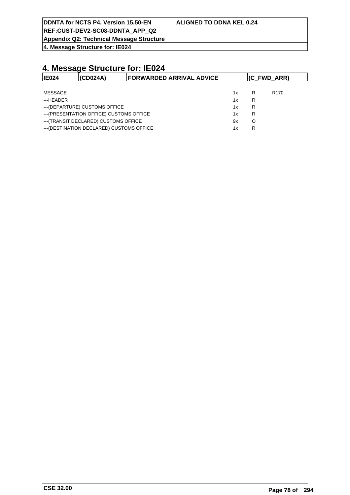|  |  | DDNTA for NCTS P4. Version 15.50-EN |
|--|--|-------------------------------------|
|  |  |                                     |

### **ALIGNED TO DDNA KEL 0.24**

**REF:CUST-DEV2-SC08-DDNTA\_APP\_Q2**

**Appendix Q2: Technical Message Structure**

**4. Message Structure for: IE024**

| <b>IE024</b> | (CD024A)                                  | <b>FORWARDED ARRIVAL ADVICE</b> |    |   | (C FWD ARR)      |
|--------------|-------------------------------------------|---------------------------------|----|---|------------------|
|              |                                           |                                 |    |   |                  |
| MESSAGE      |                                           |                                 | 1x | R | R <sub>170</sub> |
| ---HEADER    |                                           |                                 | 1x | R |                  |
|              | --- (DEPARTURE) CUSTOMS OFFICE            |                                 | 1x | R |                  |
|              | --- (PRESENTATION OFFICE) CUSTOMS OFFICE  |                                 | 1x | R |                  |
|              | --- (TRANSIT DECLARED) CUSTOMS OFFICE     |                                 | 9x | O |                  |
|              | --- (DESTINATION DECLARED) CUSTOMS OFFICE |                                 | 1x | R |                  |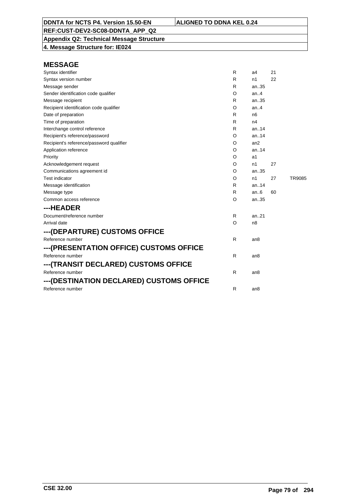### **REF:CUST-DEV2-SC08-DDNTA\_APP\_Q2 Appendix Q2: Technical Message Structure**

**4. Message Structure for: IE024**

| Syntax identifier                        | R | a4              | 21 |        |
|------------------------------------------|---|-----------------|----|--------|
| Syntax version number                    | R | n1              | 22 |        |
| Message sender                           | R | an35            |    |        |
| Sender identification code qualifier     | O | an4             |    |        |
| Message recipient                        | R | an35            |    |        |
| Recipient identification code qualifier  | O | an.4            |    |        |
| Date of preparation                      | R | n <sub>6</sub>  |    |        |
| Time of preparation                      | R | n4              |    |        |
| Interchange control reference            | R | an.14           |    |        |
| Recipient's reference/password           | O | an.14           |    |        |
| Recipient's reference/password qualifier | O | an <sub>2</sub> |    |        |
| Application reference                    | O | an.14           |    |        |
| Priority                                 | O | a1              |    |        |
| Acknowledgement request                  | O | n1              | 27 |        |
| Communications agreement id              | O | an35            |    |        |
| Test indicator                           | O | n1              | 27 | TR9085 |
| Message identification                   | R | an.14           |    |        |
| Message type                             | R | an.6            | 60 |        |
| Common access reference                  | O | an35            |    |        |
| ---HEADER                                |   |                 |    |        |
| Document/reference number                | R | an.21           |    |        |
| Arrival date                             | O | n <sub>8</sub>  |    |        |
| ---(DEPARTURE) CUSTOMS OFFICE            |   |                 |    |        |
| Reference number                         | R | an <sub>8</sub> |    |        |
| ---(PRESENTATION OFFICE) CUSTOMS OFFICE  |   |                 |    |        |
| Reference number                         | R | an8             |    |        |
| ---(TRANSIT DECLARED) CUSTOMS OFFICE     |   |                 |    |        |
| Reference number                         | R | an8             |    |        |
| ---(DESTINATION DECLARED) CUSTOMS OFFICE |   |                 |    |        |
| Reference number                         | R | an <sub>8</sub> |    |        |
|                                          |   |                 |    |        |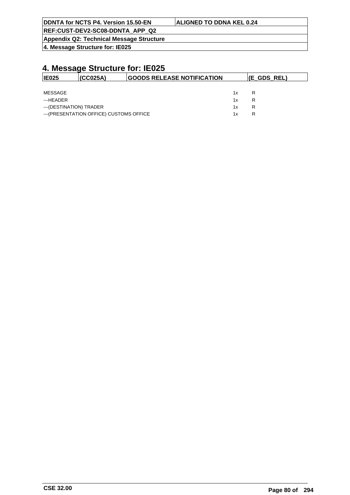| DDNTA for NCTS P4. Version 15.50-EN | <b>ALIGNED TO DDNA KEL 0.24</b> |
|-------------------------------------|---------------------------------|
| DEE.CHRT.DEV2.RCOR.DDNTA ADD 02     |                                 |

**REF:CUST-DEV2-SC08-DDNTA\_APP\_Q2 Appendix Q2: Technical Message Structure**

**4. Message Structure for: IE025**

| IE025                   | (CC025A)                                 | <b>GOODS RELEASE NOTIFICATION</b> |    | I(E GDS REL) |
|-------------------------|------------------------------------------|-----------------------------------|----|--------------|
|                         |                                          |                                   |    |              |
| MESSAGE                 |                                          |                                   | 1x | R            |
| ---HFADFR               |                                          |                                   | 1x | R            |
| ---(DESTINATION) TRADER |                                          |                                   | 1x | R            |
|                         | --- (PRESENTATION OFFICE) CUSTOMS OFFICE |                                   | 1x | R            |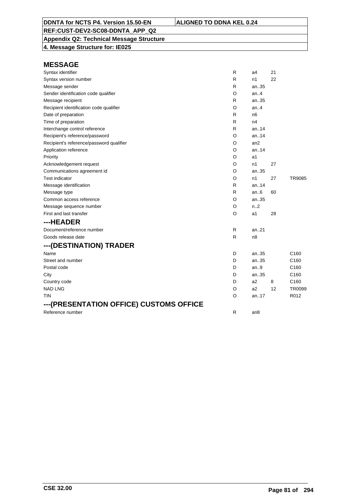# **Appendix Q2: Technical Message Structure**

**4. Message Structure for: IE025**

| Syntax identifier                        | R  | a4               | 21 |                  |
|------------------------------------------|----|------------------|----|------------------|
| Syntax version number                    | R  | n1               | 22 |                  |
| Message sender                           | R  | an35             |    |                  |
| Sender identification code qualifier     | O  | an.4             |    |                  |
| Message recipient                        | R  | an35             |    |                  |
| Recipient identification code qualifier  | O  | an.4             |    |                  |
| Date of preparation                      | R  | n <sub>6</sub>   |    |                  |
| Time of preparation                      | R  | n4               |    |                  |
| Interchange control reference            | R  | an. $.14$        |    |                  |
| Recipient's reference/password           | O  | an.14            |    |                  |
| Recipient's reference/password qualifier | O  | an2              |    |                  |
| Application reference                    | O  | an14             |    |                  |
| Priority                                 | O  | a1               |    |                  |
| Acknowledgement request                  | O  | n1               | 27 |                  |
| Communications agreement id              | O  | an35             |    |                  |
| <b>Test indicator</b>                    | O  | n1               | 27 | TR9085           |
| Message identification                   | R  | an.14            |    |                  |
| Message type                             | R  | an.6             | 60 |                  |
| Common access reference                  | O  | an35             |    |                  |
| Message sequence number                  | O  | n <sub>1</sub> 2 |    |                  |
| First and last transfer                  | O  | a <sub>1</sub>   | 28 |                  |
| ---HEADER                                |    |                  |    |                  |
| Document/reference number                | R  | an.21            |    |                  |
| Goods release date                       | R. | n8               |    |                  |
| ---(DESTINATION) TRADER                  |    |                  |    |                  |
| Name                                     | D  | an35             |    | C <sub>160</sub> |
| Street and number                        | D  | an35             |    | C <sub>160</sub> |
| Postal code                              | D  | an.9             |    | C <sub>160</sub> |
| City                                     | D  | an35             |    | C <sub>160</sub> |
| Country code                             | D  | a2               | 8  | C <sub>160</sub> |
| <b>NAD LNG</b>                           | O  | a2               | 12 | TR0099           |
| <b>TIN</b>                               | O  | an.17            |    | R012             |
| ---(PRESENTATION OFFICE) CUSTOMS OFFICE  |    |                  |    |                  |
| Reference number                         | R  | an8              |    |                  |
|                                          |    |                  |    |                  |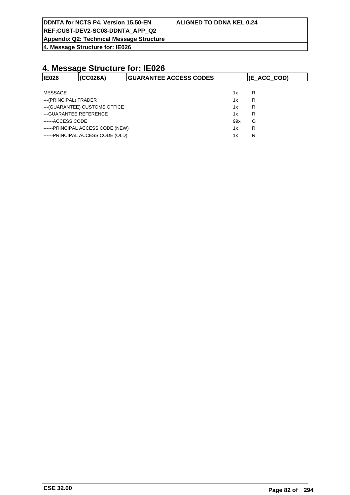| DDNTA for NCTS P4. Version 15.50-EN |  |  |
|-------------------------------------|--|--|
|                                     |  |  |

### **ALIGNED TO DDNA KEL 0.24**

**REF:CUST-DEV2-SC08-DDNTA\_APP\_Q2**

**Appendix Q2: Technical Message Structure**

**4. Message Structure for: IE026**

| <b>IE026</b>            | (CCO26A)                          | <b>GUARANTEE ACCESS CODES</b> |     | (E_ACC_COD) |
|-------------------------|-----------------------------------|-------------------------------|-----|-------------|
|                         |                                   |                               |     |             |
| MESSAGE                 |                                   |                               | 1x  | R           |
| ---(PRINCIPAL) TRADER   |                                   |                               | 1x  | R           |
|                         | --- (GUARANTEE) CUSTOMS OFFICE    |                               | 1x  | R           |
| --- GUARANTEE REFERENCE |                                   |                               | 1x  | R           |
| ------ACCESS CODE       |                                   |                               | 99x | O           |
|                         | ------PRINCIPAL ACCESS CODE (NEW) |                               | 1x  | R           |
|                         | ------PRINCIPAL ACCESS CODE (OLD) |                               | 1x  | R           |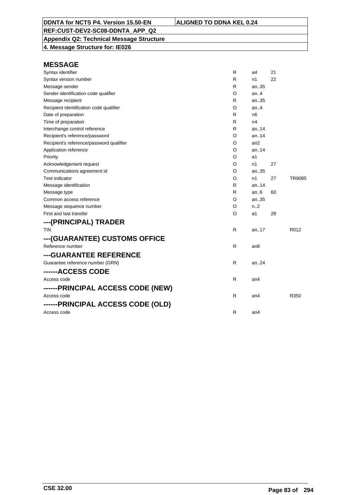### **REF:CUST-DEV2-SC08-DDNTA\_APP\_Q2 Appendix Q2: Technical Message Structure**

**4. Message Structure for: IE026**

| Syntax identifier                        | $\mathsf{R}$ | a4               | 21 |        |
|------------------------------------------|--------------|------------------|----|--------|
| Syntax version number                    | R            | n1               | 22 |        |
| Message sender                           | R            | an35             |    |        |
| Sender identification code qualifier     | O            | an.4             |    |        |
| Message recipient                        | R            | an35             |    |        |
| Recipient identification code qualifier  | O            | an.4             |    |        |
| Date of preparation                      | R            | n <sub>6</sub>   |    |        |
| Time of preparation                      | R            | n4               |    |        |
| Interchange control reference            | R            | an. $.14$        |    |        |
| Recipient's reference/password           | O            | an.14            |    |        |
| Recipient's reference/password qualifier | O            | an <sub>2</sub>  |    |        |
| Application reference                    | O            | an14             |    |        |
| Priority                                 | O            | a1               |    |        |
| Acknowledgement request                  | O            | n1               | 27 |        |
| Communications agreement id              | O            | an35             |    |        |
| <b>Test indicator</b>                    | O            | n1               | 27 | TR9085 |
| Message identification                   | R            | an14             |    |        |
| Message type                             | R            | an $6$           | 60 |        |
| Common access reference                  | O            | an35             |    |        |
| Message sequence number                  | O            | n <sub>1</sub> 2 |    |        |
| First and last transfer                  | O            | a1               | 28 |        |
| ---(PRINCIPAL) TRADER                    |              |                  |    |        |
| <b>TIN</b>                               | $\mathsf{R}$ | an17             |    | R012   |
| ---(GUARANTEE) CUSTOMS OFFICE            |              |                  |    |        |
| Reference number                         | $\mathsf{R}$ | an8              |    |        |
| ---GUARANTEE REFERENCE                   |              |                  |    |        |
| Guarantee reference number (GRN)         | R            | an24             |    |        |
| ------ACCESS CODE                        |              |                  |    |        |
| Access code                              | R            | an4              |    |        |
| ------PRINCIPAL ACCESS CODE (NEW)        |              |                  |    |        |
| Access code                              | R            | an <sub>4</sub>  |    | R350   |
|                                          |              |                  |    |        |
| ------PRINCIPAL ACCESS CODE (OLD)        |              |                  |    |        |
| Access code                              | R            | an <sub>4</sub>  |    |        |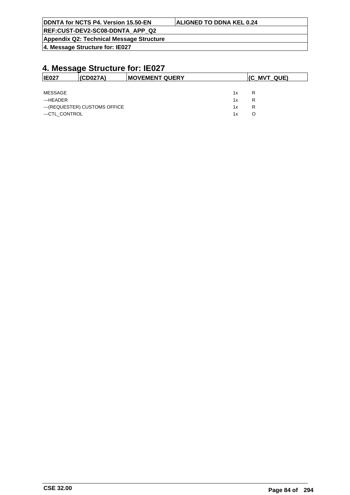| DDNTA for NCTS P4. Version 15.50-EN    | <b>ALIGNED TO DDNA KEL 0.24</b> |  |
|----------------------------------------|---------------------------------|--|
| <b>REF:CUST-DEV2-SC08-DDNTA APP Q2</b> |                                 |  |
|                                        |                                 |  |

**Appendix Q2: Technical Message Structure 4. Message Structure for: IE027**

| <b>IE027</b>   | (CD027A)                       | <b>IMOVEMENT QUERY</b> | (C_MVT_QUE) |   |
|----------------|--------------------------------|------------------------|-------------|---|
|                |                                |                        |             |   |
| MESSAGE        |                                |                        | 1x          | R |
| ---HEADER      |                                |                        | 1x          | R |
|                | --- (REQUESTER) CUSTOMS OFFICE |                        | 1x          | R |
| ---CTL CONTROL |                                |                        | 1x          | O |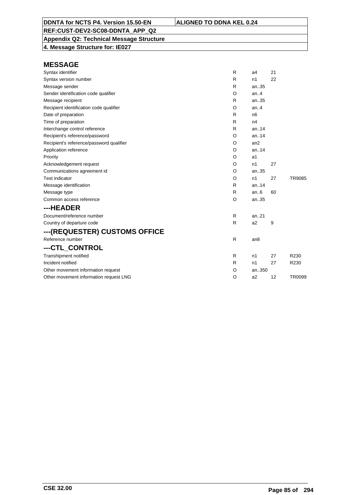# **Appendix Q2: Technical Message Structure**

**4. Message Structure for: IE027**

| Syntax identifier                        | R            | a4             | 21 |        |
|------------------------------------------|--------------|----------------|----|--------|
| Syntax version number                    | R            | n1             | 22 |        |
| Message sender                           | R            | an35           |    |        |
| Sender identification code qualifier     | O            | an.4           |    |        |
| Message recipient                        | R            | an35           |    |        |
| Recipient identification code qualifier  | O            | an.4           |    |        |
| Date of preparation                      | R            | n <sub>6</sub> |    |        |
| Time of preparation                      | R            | n4             |    |        |
| Interchange control reference            | R            | an.14          |    |        |
| Recipient's reference/password           | O            | an.14          |    |        |
| Recipient's reference/password qualifier | O            | an2            |    |        |
| Application reference                    | O            | an.14          |    |        |
| Priority                                 | O            | a1             |    |        |
| Acknowledgement request                  | O            | n1             | 27 |        |
| Communications agreement id              | O            | an35           |    |        |
| <b>Test indicator</b>                    | O            | n1             | 27 | TR9085 |
| Message identification                   | R            | an.14          |    |        |
| Message type                             | R            | an.6           | 60 |        |
| Common access reference                  | O            | an35           |    |        |
| ---HEADER                                |              |                |    |        |
| Document/reference number                | R            | an.21          |    |        |
| Country of departure code                | $\mathsf{R}$ | a2             | 9  |        |
| ---(REQUESTER) CUSTOMS OFFICE            |              |                |    |        |
| Reference number                         | R            | an8            |    |        |
| ---CTL_CONTROL                           |              |                |    |        |
| Transhipment notified                    | R            | n1             | 27 | R230   |
| Incident notified                        | R            | n <sub>1</sub> | 27 | R230   |
| Other movement information request       | O            | an350          |    |        |
| Other movement information request LNG   | O            | a <sub>2</sub> | 12 | TR0099 |
|                                          |              |                |    |        |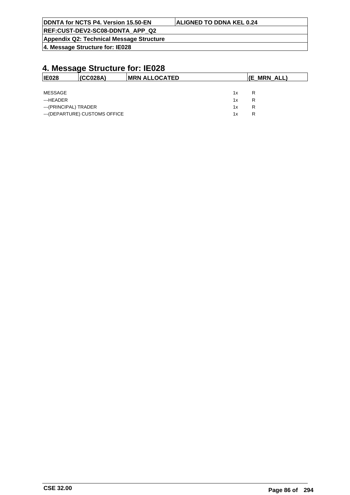| DDNTA for NCTS P4. Version 15.50-EN    | <b>ALIGNED TO DDNA KEL 0.24</b> |
|----------------------------------------|---------------------------------|
| <b>REF:CUST-DEV2-SC08-DDNTA APP Q2</b> |                                 |
|                                        |                                 |

**Appendix Q2: Technical Message Structure 4. Message Structure for: IE028**

| <b>IE028</b>          | (CC028A)                       | IMRN ALLOCATED |    | (E MRN ALL) |
|-----------------------|--------------------------------|----------------|----|-------------|
|                       |                                |                |    |             |
| MESSAGE               |                                |                | 1x | R           |
| ---HEADER             |                                |                | 1x | R           |
| ---(PRINCIPAL) TRADER |                                |                | 1x | R           |
|                       | --- (DEPARTURE) CUSTOMS OFFICE |                | 1x | R           |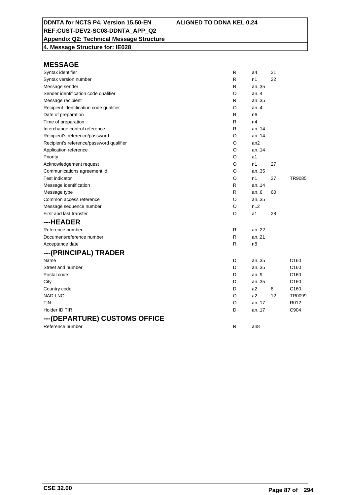**Appendix Q2: Technical Message Structure 4. Message Structure for: IE028**

| $\mathsf{R}$ | a4               | 21 |                  |
|--------------|------------------|----|------------------|
| $\mathsf{R}$ | n1               | 22 |                  |
| R            | an35             |    |                  |
| O            | an.4             |    |                  |
| R            | an35             |    |                  |
| O            | an.4             |    |                  |
| R            | n <sub>6</sub>   |    |                  |
| R            | n4               |    |                  |
| $\mathsf{R}$ | an.14            |    |                  |
| O            | an14             |    |                  |
| O            | an2              |    |                  |
| O            | an14             |    |                  |
| O            | a1               |    |                  |
| O            | n1               | 27 |                  |
| O            | an35             |    |                  |
| O            | n1               | 27 | TR9085           |
| R            | an.14            |    |                  |
| R            | an.6             | 60 |                  |
| O            | an35             |    |                  |
| O            | n <sub>1</sub> 2 |    |                  |
| O            | a1               | 28 |                  |
|              |                  |    |                  |
| R            | an.22            |    |                  |
| $\mathsf{R}$ | an.21            |    |                  |
| $\mathsf{R}$ | n8               |    |                  |
|              |                  |    |                  |
| D            | an35             |    | C <sub>160</sub> |
| D            | an35             |    | C160             |
| D            | an.9             |    | C <sub>160</sub> |
| D            | an35             |    | C <sub>160</sub> |
| D            | a2               | 8  | C <sub>160</sub> |
| O            | a2               | 12 | TR0099           |
| O            | an17             |    | R012             |
| D            | an17             |    | C904             |
|              |                  |    |                  |
| R            | an8              |    |                  |
|              |                  |    |                  |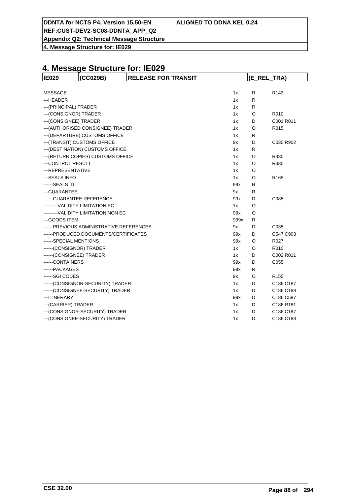| DDNTA for NCTS P4. Version 15.50-EN | <b>ALIGNED TO DDNA KEL 0.24</b> |
|-------------------------------------|---------------------------------|
|                                     |                                 |

**Appendix Q2: Technical Message Structure**

**4. Message Structure for: IE029**

| <b>IE029</b>             | (CC029B)                                  | <b>RELEASE FOR TRANSIT</b> |      | (E REL TRA)  |                  |  |
|--------------------------|-------------------------------------------|----------------------------|------|--------------|------------------|--|
|                          |                                           |                            |      |              |                  |  |
| <b>MESSAGE</b>           |                                           |                            | 1x   | R            | R <sub>143</sub> |  |
| ---HEADER                |                                           |                            | 1x   | R            |                  |  |
| --- (PRINCIPAL) TRADER   |                                           |                            | 1x   | R.           |                  |  |
| --- (CONSIGNOR) TRADER   |                                           |                            | 1x   | O            | R010             |  |
| --- (CONSIGNEE) TRADER   |                                           |                            | 1x   | D            | C001 R011        |  |
|                          | --- (AUTHORISED CONSIGNEE) TRADER         |                            | 1x   | O            | R015             |  |
|                          | --- (DEPARTURE) CUSTOMS OFFICE            |                            | 1x   | R            |                  |  |
|                          | --- (TRANSIT) CUSTOMS OFFICE              |                            | 9x   | D            | C030 R902        |  |
|                          | --- (DESTINATION) CUSTOMS OFFICE          |                            | 1x   | R            |                  |  |
|                          | --- (RETURN COPIES) CUSTOMS OFFICE        |                            | 1x   | O            | R330             |  |
| ---CONTROL RESULT        |                                           |                            | 1x   | O            | R335             |  |
| ---REPRESENTATIVE        |                                           |                            | 1x   | O            |                  |  |
| --- SEALS INFO           |                                           |                            | 1x   | $\circ$      | R <sub>165</sub> |  |
| ------SEALS ID           |                                           |                            | 99x  | R            |                  |  |
| --- GUARANTEE            |                                           |                            | 9x   | $\mathsf{R}$ |                  |  |
|                          | ------GUARANTEE REFERENCE                 |                            | 99x  | D            | C085             |  |
|                          | ---------VALIDITY LIMITATION EC           |                            | 1x   | O            |                  |  |
|                          | ---------VALIDITY LIMITATION NON EC       |                            | 99x  | O            |                  |  |
| --- GOODS ITEM           |                                           |                            | 999x | R            |                  |  |
|                          | ------ PREVIOUS ADMINISTRATIVE REFERENCES |                            | 9x   | D            | C035             |  |
|                          | ------PRODUCED DOCUMENTS/CERTIFICATES     |                            | 99x  | D            | C547 C903        |  |
| ------SPECIAL MENTIONS   |                                           |                            | 99x  | O            | R027             |  |
| ------(CONSIGNOR) TRADER |                                           |                            | 1x   | O            | R010             |  |
| ------(CONSIGNEE) TRADER |                                           |                            | 1x   | D            | C002 R011        |  |
| ------CONTAINERS         |                                           |                            | 99x  | D            | C055             |  |
| ------PACKAGES           |                                           |                            | 99x  | R            |                  |  |
| ------SGI CODES          |                                           |                            | 9x   | O            | R <sub>155</sub> |  |
|                          | ------(CONSIGNOR-SECURITY) TRADER         |                            | 1x   | D            | C186 C187        |  |
|                          | ------(CONSIGNEE-SECURITY) TRADER         |                            | 1x   | D            | C186 C188        |  |
| --- ITINERARY            |                                           |                            | 99x  | D            | C186 C587        |  |
| --- (CARRIER) TRADER     |                                           |                            | 1x   | D            | C186 R181        |  |
|                          | --- (CONSIGNOR-SECURITY) TRADER           |                            | 1x   | D            | C186 C187        |  |
|                          | --- (CONSIGNEE-SECURITY) TRADER           |                            | 1x   | D            | C186 C188        |  |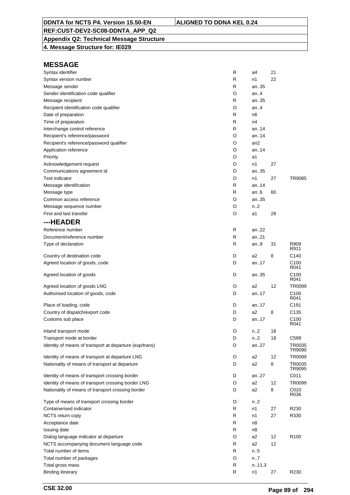**Appendix Q2: Technical Message Structure 4. Message Structure for: IE029**

| Syntax identifier                                       | R | a4             | 21 |                          |
|---------------------------------------------------------|---|----------------|----|--------------------------|
| Syntax version number                                   | R | n1             | 22 |                          |
| Message sender                                          | R | an35           |    |                          |
| Sender identification code qualifier                    | O | an4            |    |                          |
| Message recipient                                       | R | an35           |    |                          |
| Recipient identification code qualifier                 | O | an4            |    |                          |
| Date of preparation                                     | R | n <sub>6</sub> |    |                          |
| Time of preparation                                     | R | n4             |    |                          |
| Interchange control reference                           | R | an.14          |    |                          |
| Recipient's reference/password                          | O | an.14          |    |                          |
| Recipient's reference/password qualifier                | O | an2            |    |                          |
| Application reference                                   | O | an.14          |    |                          |
| Priority                                                | O | a1             |    |                          |
| Acknowledgement request                                 | O | n1             | 27 |                          |
| Communications agreement id                             | O | an35           |    |                          |
| <b>Test indicator</b>                                   | O | n1             | 27 | TR9085                   |
| Message identification                                  | R | an.14          |    |                          |
| Message type                                            | R | an.6           | 60 |                          |
| Common access reference                                 | O | an35           |    |                          |
| Message sequence number                                 | O | n.2            |    |                          |
| First and last transfer                                 | O | a1             | 28 |                          |
| ---HEADER                                               |   |                |    |                          |
|                                                         |   |                |    |                          |
| Reference number                                        | R | an.22          |    |                          |
| Document/reference number                               | R | an21           |    |                          |
| Type of declaration                                     | R | an $9$         | 31 | R909<br>R911             |
| Country of destination code                             | D | a2             | 8  | C <sub>140</sub>         |
| Agreed location of goods, code                          | D | an17           |    | C <sub>100</sub>         |
|                                                         |   |                |    | R041                     |
| Agreed location of goods                                | D | an35           |    | C <sub>100</sub><br>R041 |
| Agreed location of goods LNG                            | O | a2             | 12 | TR0099                   |
| Authorised location of goods, code                      | D | an17           |    | C <sub>100</sub>         |
|                                                         |   |                |    | R041                     |
| Place of loading, code                                  | D | an17           |    | C <sub>191</sub>         |
| Country of dispatch/export code                         | D | a2             | 8  | C <sub>135</sub>         |
| Customs sub place                                       | D | an17           |    | C <sub>100</sub>         |
|                                                         | O | n.2            | 18 | R041                     |
| Inland transport mode                                   |   |                |    |                          |
| Transport mode at border                                | D | n.2            | 18 | C599                     |
| Identity of means of transport at departure (exp/trans) | D | an27           |    | TR0035<br>TR9090         |
| Identity of means of transport at departure LNG         | O | a2             | 12 | TR0099                   |
| Nationality of means of transport at departure          | D | a <sub>2</sub> | 8  | TR0035                   |
|                                                         |   |                |    | TR9095                   |
| Identity of means of transport crossing border          | D | an27           |    | C011                     |
| Identity of means of transport crossing border LNG      | O | a2             | 12 | TR0099                   |
| Nationality of means of transport crossing border       | D | a <sub>2</sub> | 8  | C010<br>R036             |
| Type of means of transport crossing border              | O | n2             |    |                          |
| Containerised indicator                                 | R | n1             | 27 | R <sub>230</sub>         |
| NCTS return copy                                        | R | n1             | 27 | R330                     |
| Acceptance date                                         | R | n8             |    |                          |
| Issuing date                                            | R | n8             |    |                          |
| Dialog language indicator at departure                  | O | a2             | 12 | R <sub>100</sub>         |
| NCTS accompanying document language code                | R | a <sub>2</sub> | 12 |                          |
| Total number of items                                   | R | n.5            |    |                          |
| Total number of packages                                | O | n7             |    |                          |
| Total gross mass                                        | R | n.11,3         |    |                          |
| <b>Binding itinerary</b>                                | R | n1             | 27 | R230                     |
|                                                         |   |                |    |                          |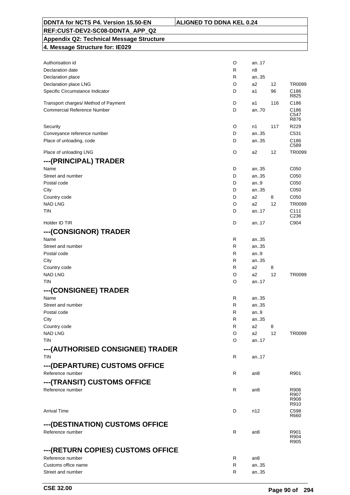### **REF:CUST-DEV2-SC08-DDNTA\_APP\_Q2 Appendix Q2: Technical Message Structure 4. Message Structure for: IE029**

| Authorisation id                     | O      | an17       |         |              |
|--------------------------------------|--------|------------|---------|--------------|
| Declaration date                     | R      | n8         |         |              |
| Declaration place                    | R      | an35       |         |              |
| Declaration place LNG                | O      | a2         | 12      | TR0099       |
| Specific Circumstance Indicator      | D      | a1         | 96      | C186<br>R825 |
| Transport charges/ Method of Payment | D      | a1         | 116     | C186         |
| <b>Commercial Reference Number</b>   | D      | an70       |         | C186         |
|                                      |        |            |         | C547<br>R876 |
| Security                             | O      | n1         | 117     | R229         |
| Conveyance reference number          | D      | an35       |         | C531         |
| Place of unloading, code             | D      | an35       |         | C186         |
|                                      |        |            |         | C589         |
| Place of unloading LNG               | O      | a2         | 12      | TR0099       |
| ---(PRINCIPAL) TRADER                |        |            |         |              |
| Name                                 | D      | an35       |         | C050         |
| Street and number                    | D      | an35       |         | C050         |
| Postal code                          | D      | an9        |         | C050         |
| City                                 | D      | an35       |         | C050         |
| Country code                         | D      | a2         | 8       | C050         |
| NAD LNG                              | O      | a2         | 12      | TR0099       |
| tin                                  | D      | an17       |         | C111<br>C236 |
| Holder ID TIR                        | D      | an17       |         | C904         |
| ---(CONSIGNOR) TRADER                |        |            |         |              |
| Name                                 | R      |            |         |              |
| Street and number                    | R      | an35       |         |              |
|                                      | R      | an35       |         |              |
| Postal code                          | R      | an9        |         |              |
| City                                 | R      | an35<br>a2 |         |              |
| Country code<br><b>NAD LNG</b>       |        | a2         | 8<br>12 |              |
| <b>TIN</b>                           | O<br>O | an17       |         | TR0099       |
|                                      |        |            |         |              |
| ---(CONSIGNEE) TRADER                |        |            |         |              |
| Name                                 | R      | an35       |         |              |
| Street and number                    | R      | an35       |         |              |
| Postal code                          | R      | an $9$     |         |              |
| City                                 | R      | an35       |         |              |
| Country code<br><b>NAD LNG</b>       | R      | a2         | 8<br>12 | TR0099       |
| <b>TIN</b>                           | O      | a2         |         |              |
|                                      | O      | an17       |         |              |
| ---(AUTHORISED CONSIGNEE) TRADER     |        |            |         |              |
| <b>TIN</b>                           | R      | an17       |         |              |
| --- (DEPARTURE) CUSTOMS OFFICE       |        |            |         |              |
| Reference number                     | R      | an8        |         | R901         |
| ---(TRANSIT) CUSTOMS OFFICE          |        |            |         |              |
| Reference number                     | R      | an8        |         | R906         |
|                                      |        |            |         | R907<br>R908 |
|                                      |        |            |         | R910         |
| <b>Arrival Time</b>                  | D      | n12        |         | C598         |
|                                      |        |            |         | R660         |
| ---(DESTINATION) CUSTOMS OFFICE      |        |            |         |              |
| Reference number                     | R      | an8        |         | R901         |
|                                      |        |            |         | R904<br>R905 |
| --- (RETURN COPIES) CUSTOMS OFFICE   |        |            |         |              |
| Reference number                     | R      | an8        |         |              |
| Customs office name                  | R      | an35       |         |              |
| Street and number                    | R      | an35       |         |              |
|                                      |        |            |         |              |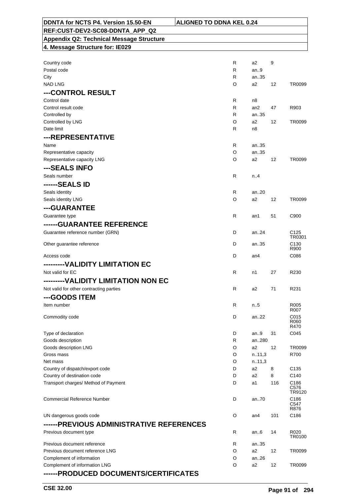| DDNTA for NCTS P4. Version 15.50-EN             | <b>ALIGNED TO DDNA KEL 0.24</b> |              |                          |
|-------------------------------------------------|---------------------------------|--------------|--------------------------|
| REF:CUST-DEV2-SC08-DDNTA APP Q2                 |                                 |              |                          |
| <b>Appendix Q2: Technical Message Structure</b> |                                 |              |                          |
| 4. Message Structure for: IE029                 |                                 |              |                          |
|                                                 |                                 |              |                          |
| Country code                                    | R<br>a2                         | 9            |                          |
| Postal code                                     | R                               | an.9         |                          |
| City                                            | R                               | an35         |                          |
| <b>NAD LNG</b>                                  | O<br>a2                         | 12           | TR0099                   |
| ---CONTROL RESULT                               |                                 |              |                          |
| Control date                                    | R<br>n8                         |              |                          |
| Control result code                             | R<br>an2                        | 47           | R903                     |
| Controlled by                                   | R                               | an35         |                          |
| Controlled by LNG                               | O<br>a2                         | 12           | TR0099                   |
| Date limit                                      | R<br>n8                         |              |                          |
| ---REPRESENTATIVE                               |                                 |              |                          |
| Name                                            | R                               | an35         |                          |
| Representative capacity                         | O                               | an35         |                          |
| Representative capacity LNG                     | a2<br>O                         | 12           | TR0099                   |
| ---SEALS INFO                                   |                                 |              |                          |
| Seals number                                    | R<br>n.A                        |              |                          |
|                                                 |                                 |              |                          |
| ------SEALS ID                                  |                                 |              |                          |
| Seals identity                                  | R                               | an20         |                          |
| Seals identity LNG                              | O<br>a2                         | 12           | TR0099                   |
| ---GUARANTEE                                    |                                 |              |                          |
| Guarantee type                                  | $\mathsf{R}$<br>an1             | 51           | C900                     |
| ------GUARANTEE REFERENCE                       |                                 |              |                          |
| Guarantee reference number (GRN)                | D                               | an.24        | C <sub>125</sub>         |
|                                                 |                                 |              | TR0301                   |
| Other guarantee reference                       | D                               | an35         | C <sub>130</sub><br>R900 |
| Access code                                     | D<br>an4                        |              | C086                     |
| --------VALIDITY LIMITATION EC                  |                                 |              |                          |
| Not valid for EC                                | R<br>n1                         | 27           | R230                     |
|                                                 |                                 |              |                          |
| <b>-VALIDITY LIMITATION NON EC</b>              |                                 |              |                          |
| Not valid for other contracting parties         | R<br>a2                         | 71           | R231                     |
| ---GOODS ITEM                                   |                                 |              |                          |
| Item number                                     | R<br>n.5                        |              | R005<br>R007             |
| Commodity code                                  | D                               | an22         | C015                     |
|                                                 |                                 |              | R060                     |
|                                                 |                                 | an.9         | R470                     |
| Type of declaration<br>Goods description        | D<br>R                          | 31<br>an280  | C045                     |
| Goods description LNG                           | a2<br>O                         | 12           | TR0099                   |
| Gross mass                                      | O                               | n.11,3       | R700                     |
| Net mass                                        | O                               | n.11,3       |                          |
| Country of dispatch/export code                 | a2<br>D                         | 8            | C <sub>135</sub>         |
| Country of destination code                     | a2<br>D                         | 8            | C140                     |
| Transport charges/ Method of Payment            | D<br>a1                         | 116          | C186                     |
|                                                 |                                 |              | C576<br>TR9120           |
| <b>Commercial Reference Number</b>              | D                               | an70         | C186                     |
|                                                 |                                 |              | C547                     |
|                                                 |                                 |              | R876                     |
| UN dangerous goods code                         | O<br>an4                        | 101          | C186                     |
| ------PREVIOUS ADMINISTRATIVE REFERENCES        |                                 |              |                          |
| Previous document type                          | R                               | an $6$<br>14 | R020                     |
| Previous document reference                     | R                               | an35         | TR0100                   |
| Previous document reference LNG                 | a2<br>O                         | 12           | TR0099                   |
| Complement of information                       | O                               | an26         |                          |
| Complement of information LNG                   | O<br>a2                         | 12           | TR0099                   |
| ------PRODUCED DOCUMENTS/CERTIFICATES           |                                 |              |                          |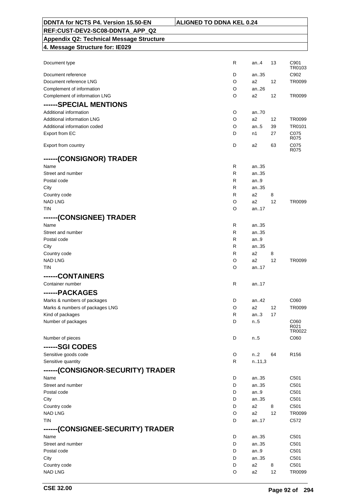| DDNTA for NCTS P4. Version 15.50-EN                               | <b>ALIGNED TO DDNA KEL 0.24</b> |                |          |                            |
|-------------------------------------------------------------------|---------------------------------|----------------|----------|----------------------------|
| REF:CUST-DEV2-SC08-DDNTA_APP_Q2                                   |                                 |                |          |                            |
| <b>Appendix Q2: Technical Message Structure</b>                   |                                 |                |          |                            |
| 4. Message Structure for: IE029                                   |                                 |                |          |                            |
|                                                                   |                                 |                |          |                            |
| Document type                                                     | R                               | an4            | 13       | C901<br>TR0103             |
| Document reference                                                | D                               | an35           |          | C902                       |
| Document reference LNG                                            | O                               | a2             | 12       | TR0099                     |
| Complement of information                                         | O                               | an.26          |          |                            |
| Complement of information LNG                                     | O                               | a2             | 12       | TR0099                     |
| ------SPECIAL MENTIONS                                            |                                 |                |          |                            |
| Additional information                                            | O                               | an70           |          |                            |
| <b>Additional information LNG</b><br>Additional information coded | O<br>O                          | a2             | 12       | TR0099<br>TR0101           |
| Export from EC                                                    | D                               | an.5<br>n1     | 39<br>27 | C075                       |
|                                                                   |                                 |                |          | R075                       |
| Export from country                                               | D                               | a2             | 63       | C075<br>R075               |
| ------(CONSIGNOR) TRADER                                          |                                 |                |          |                            |
| Name                                                              | R                               | an35           |          |                            |
| Street and number                                                 | R                               | an35           |          |                            |
| Postal code                                                       | R                               | an.9           |          |                            |
| City                                                              | R                               | an35           |          |                            |
| Country code<br><b>NAD LNG</b>                                    | R<br>O                          | a2<br>a2       | 8<br>12  | TR0099                     |
| TIN                                                               | O                               | an17           |          |                            |
|                                                                   |                                 |                |          |                            |
| ------(CONSIGNEE) TRADER                                          |                                 |                |          |                            |
| Name<br>Street and number                                         | R<br>R                          | an35<br>an35   |          |                            |
| Postal code                                                       | R                               | an9            |          |                            |
| City                                                              | R                               | an35           |          |                            |
| Country code                                                      | R                               | a2             | 8        |                            |
| <b>NAD LNG</b>                                                    | O                               | a2             | 12       | TR0099                     |
| <b>TIN</b>                                                        | O                               | an17           |          |                            |
| ------CONTAINERS                                                  |                                 |                |          |                            |
| Container number                                                  | R                               | an17           |          |                            |
| ------PACKAGES                                                    |                                 |                |          |                            |
| Marks & numbers of packages                                       | D                               | an42           |          | C060                       |
| Marks & numbers of packages LNG                                   | O                               | a2             | 12       | TR0099                     |
| Kind of packages                                                  | R                               | an.3           | 17       |                            |
| Number of packages                                                | D                               | n.5            |          | C060<br>R021               |
|                                                                   |                                 |                |          | TR0022                     |
| Number of pieces                                                  | D                               | n.5            |          | C060                       |
| ------SGI CODES                                                   |                                 |                |          |                            |
| Sensitive goods code                                              | O                               | n2             | 64       | R <sub>156</sub>           |
| Sensitive quantity                                                | R                               | n.11,3         |          |                            |
| ------(CONSIGNOR-SECURITY) TRADER                                 |                                 |                |          |                            |
| Name                                                              | D                               | an35           |          | C501                       |
| Street and number                                                 | D                               | an35           |          | C501                       |
| Postal code                                                       | D                               | an.9           |          | C501                       |
| City                                                              | D                               | an35           |          | C501                       |
| Country code                                                      | D                               | a2             | 8        | C501                       |
| <b>NAD LNG</b><br><b>TIN</b>                                      | O<br>D                          | a2<br>an17     | 12       | TR0099<br>C <sub>572</sub> |
| ------(CONSIGNEE-SECURITY) TRADER                                 |                                 |                |          |                            |
| Name                                                              | D                               | an35           |          | C501                       |
| Street and number                                                 | D                               | an35           |          | C501                       |
| Postal code                                                       | D                               | an.9           |          | C501                       |
| City                                                              | D                               | an35           |          | C501                       |
| Country code                                                      | D                               | a <sub>2</sub> | 8        | C501                       |
| <b>NAD LNG</b>                                                    | O                               | a2             | 12       | TR0099                     |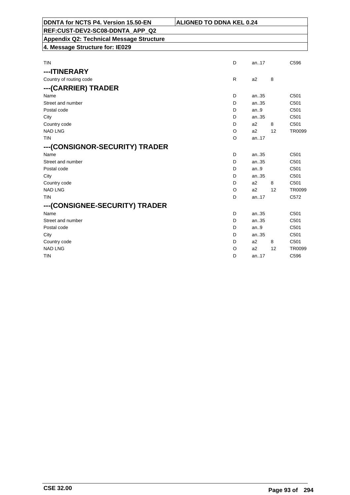| DDNTA for NCTS P4. Version 15.50-EN             | <b>ALIGNED TO DDNA KEL 0.24</b> |       |    |                  |
|-------------------------------------------------|---------------------------------|-------|----|------------------|
| REF:CUST-DEV2-SC08-DDNTA APP Q2                 |                                 |       |    |                  |
| <b>Appendix Q2: Technical Message Structure</b> |                                 |       |    |                  |
| 4. Message Structure for: IE029                 |                                 |       |    |                  |
|                                                 |                                 |       |    |                  |
| TIN                                             | D                               | an17  |    | C596             |
| ---ITINERARY                                    |                                 |       |    |                  |
| Country of routing code                         | R                               | a2    | 8  |                  |
| ---(CARRIER) TRADER                             |                                 |       |    |                  |
| Name                                            | D                               | an35  |    | C501             |
| Street and number                               | D                               | an35  |    | C501             |
| Postal code                                     | D                               | an9   |    | C501             |
| City                                            | D                               | an35  |    | C501             |
| Country code                                    | D                               | a2    | 8  | C501             |
| <b>NAD LNG</b>                                  | O                               | a2    | 12 | TR0099           |
| <b>TIN</b>                                      | O                               | an.17 |    |                  |
| ---(CONSIGNOR-SECURITY) TRADER                  |                                 |       |    |                  |
| Name                                            | D                               | an35  |    | C <sub>501</sub> |
| Street and number                               | D                               | an35  |    | C501             |
| Postal code                                     | D                               | an9   |    | C501             |
| City                                            | D                               | an35  |    | C501             |
| Country code                                    | D                               | a2    | 8  | C501             |
| <b>NAD LNG</b>                                  | O                               | a2    | 12 | TR0099           |
| <b>TIN</b>                                      | D                               | an17  |    | C <sub>572</sub> |
| --- (CONSIGNEE-SECURITY) TRADER                 |                                 |       |    |                  |
| Name                                            | D                               | an35  |    | C <sub>501</sub> |
| Street and number                               | D                               | an35  |    | C <sub>501</sub> |
| Postal code                                     | D                               | an.9  |    | C501             |
| City                                            | D                               | an35  |    | C501             |
| Country code                                    | D                               | a2    | 8  | C501             |
| <b>NAD LNG</b>                                  | O                               | a2    | 12 | TR0099           |
| TIN                                             | D                               | an17  |    | C596             |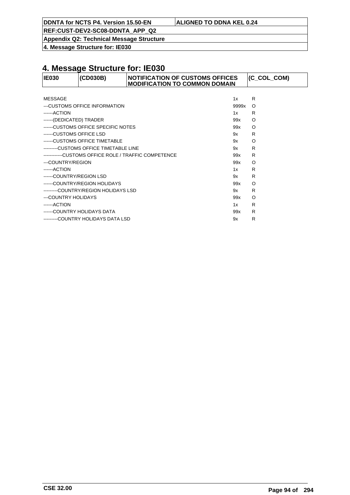**REF:CUST-DEV2-SC08-DDNTA\_APP\_Q2**

**Appendix Q2: Technical Message Structure**

**4. Message Structure for: IE030**

| <b>IE030</b>             | (CD030B)                               | <b>NOTIFICATION OF CUSTOMS OFFICES</b><br><b>MODIFICATION TO COMMON DOMAIN</b> | (C_COL_COM) |         |
|--------------------------|----------------------------------------|--------------------------------------------------------------------------------|-------------|---------|
|                          |                                        |                                                                                |             |         |
| MESSAGE                  |                                        |                                                                                | 1x          | R       |
|                          | ---CUSTOMS OFFICE INFORMATION          |                                                                                | 9999x       | $\circ$ |
| ------ACTION             |                                        |                                                                                | 1x          | R       |
| ------(DEDICATED) TRADER |                                        |                                                                                | 99x         | O       |
|                          | ------CUSTOMS OFFICE SPECIFIC NOTES    |                                                                                | 99x         | $\circ$ |
| ------CUSTOMS OFFICE LSD |                                        |                                                                                | 9x          | R       |
|                          | ------CUSTOMS OFFICE TIMETABLE         |                                                                                | 9x          | O       |
|                          | ---------CUSTOMS OFFICE TIMETABLE LINE |                                                                                | 9x          | R       |
|                          |                                        | ------------CUSTOMS OFFICE ROLE / TRAFFIC COMPETENCE                           | 99x         | R       |
| ---COUNTRY/REGION        |                                        |                                                                                | 99x         | $\circ$ |
| ------ACTION             |                                        |                                                                                | 1x          | R       |
| ------COUNTRY/REGION LSD |                                        |                                                                                | 9x          | R       |
|                          | ------COUNTRY/REGION HOLIDAYS          |                                                                                | 99x         | O       |
|                          | --------COUNTRY/REGION HOLIDAYS LSD    |                                                                                | 9x          | R       |
| ---COUNTRY HOLIDAYS      |                                        |                                                                                | 99x         | $\circ$ |
| ------ACTION             |                                        |                                                                                | 1x          | R       |
|                          | ------COUNTRY HOLIDAYS DATA            |                                                                                | 99x         | R       |
|                          | --------COUNTRY HOLIDAYS DATA LSD      |                                                                                | 9x          | R       |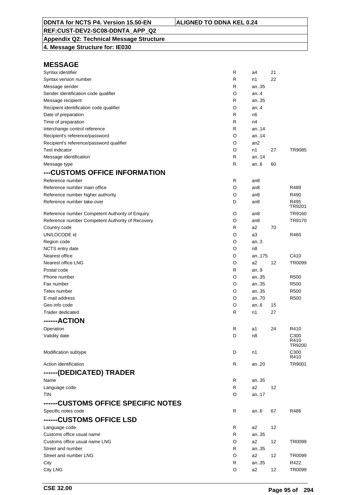### **Appendix Q2: Technical Message Structure**

**4. Message Structure for: IE030**

| Syntax identifier                                | R | a4              | 21 |                  |
|--------------------------------------------------|---|-----------------|----|------------------|
| Syntax version number                            | R | n1              | 22 |                  |
| Message sender                                   | R | an35            |    |                  |
| Sender identification code qualifier             | O | an.4            |    |                  |
| Message recipient                                | R | an35            |    |                  |
| Recipient identification code qualifier          | O | an.4            |    |                  |
| Date of preparation                              | R | n6              |    |                  |
| Time of preparation                              | R | n4              |    |                  |
| Interchange control reference                    | R | an.14           |    |                  |
| Recipient's reference/password                   | O | an.14           |    |                  |
| Recipient's reference/password qualifier         | O | an <sub>2</sub> |    |                  |
| <b>Test indicator</b>                            | O | n1              | 27 | TR9085           |
| Message identification                           | R | an14            |    |                  |
| Message type                                     | R | an6             | 60 |                  |
| ---CUSTOMS OFFICE INFORMATION                    |   |                 |    |                  |
| Reference number                                 | R | an8             |    |                  |
| Reference number main office                     | O | an8             |    | R489             |
| Reference number higher authority                | O | an8             |    | R490             |
| Reference number take-over                       | D |                 |    | R495             |
|                                                  |   | an8             |    | TR9201           |
| Reference number Competent Authority of Enquiry  | O | an8             |    | TR9160           |
| Reference number Competent Authority of Recovery | O | an8             |    | TR9170           |
| Country code                                     | R | a2              | 70 |                  |
| UN/LOCODE id                                     | O | a3              |    | R460             |
| Region code                                      | O | an.3            |    |                  |
| NCTS entry date                                  | O | n <sub>8</sub>  |    |                  |
| Nearest office                                   | D | an175           |    | C410             |
| Nearest office LNG                               | O | a2              | 12 | TR0099           |
| Postal code                                      | R | an.9            |    |                  |
| Phone number                                     | O | an35            |    | R <sub>500</sub> |
| Fax number                                       | O | an35            |    | R500             |
| Telex number                                     | O | an35            |    | R500             |
| E-mail address                                   | O | an70            |    | R500             |
| Geo info code                                    | O | an.6            | 15 |                  |
| Trader dedicated                                 | R | n1              | 27 |                  |
|                                                  |   |                 |    |                  |
| ------ACTION                                     |   |                 |    |                  |
| Operation                                        | R | a1              | 24 | R410             |
| Validity date                                    | D | n8              |    | C300<br>R410     |
|                                                  | D |                 |    | TR9200           |
| Modification subtype                             |   | n1              |    | C300<br>R410     |
| Action identification                            | R | an20            |    | TR9001           |
| ------(DEDICATED) TRADER                         |   |                 |    |                  |
| Name                                             | R | an35            |    |                  |
| Language code                                    | R | a2              | 12 |                  |
| <b>TIN</b>                                       | O | an17            |    |                  |
| ------CUSTOMS OFFICE SPECIFIC NOTES              |   |                 |    |                  |
|                                                  |   |                 |    |                  |
| Specific notes code                              | R | an6             | 67 | R486             |
| ------CUSTOMS OFFICE LSD                         |   |                 |    |                  |
| Language code                                    | R | a2              | 12 |                  |
| Customs office usual name                        | R | an35            |    |                  |
| Customs office usual name LNG                    | O | a2              | 12 | TR0099           |
| Street and number                                | R | an35            |    |                  |
| Street and number LNG                            | O | a2              | 12 | TR0099           |
| City                                             | R | an35            |    | R422             |
| <b>City LNG</b>                                  | O | a2              | 12 | TR0099           |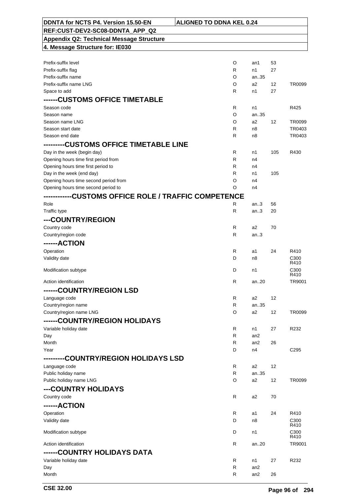| DDNTA for NCTS P4. Version 15.50-EN             | <b>ALIGNED TO DDNA KEL 0.24</b> |                 |     |                          |
|-------------------------------------------------|---------------------------------|-----------------|-----|--------------------------|
| REF:CUST-DEV2-SC08-DDNTA APP Q2                 |                                 |                 |     |                          |
| <b>Appendix Q2: Technical Message Structure</b> |                                 |                 |     |                          |
| 4. Message Structure for: IE030                 |                                 |                 |     |                          |
|                                                 |                                 |                 |     |                          |
| Prefix-suffix level                             | O                               | an1             | 53  |                          |
| Prefix-suffix flag                              | R                               | n1              | 27  |                          |
| Prefix-suffix name                              | O                               | an35            |     |                          |
| Prefix-suffix name LNG                          | O                               | a2              | 12  | TR0099                   |
| Space to add                                    | R                               | n1              | 27  |                          |
| ------CUSTOMS OFFICE TIMETABLE                  |                                 |                 |     |                          |
| Season code                                     | R                               | n1              |     | R425                     |
| Season name                                     | O                               | an35            |     |                          |
| Season name LNG                                 | O                               | a2              | 12  | TR0099                   |
| Season start date                               | R                               | n8              |     | TR0403                   |
| Season end date                                 | R                               | n8              |     | TR0403                   |
|                                                 |                                 |                 |     |                          |
| Day in the week (begin day)                     | R.                              | n1              | 105 | R430                     |
| Opening hours time first period from            | R.                              | n4              |     |                          |
| Opening hours time first period to              | R                               | n4              |     |                          |
| Day in the week (end day)                       | R                               | n1              | 105 |                          |
| Opening hours time second period from           | O                               | n4              |     |                          |
| Opening hours time second period to             | O                               | n4              |     |                          |
|                                                 |                                 |                 |     |                          |
| Role                                            | R                               | an.3            | 56  |                          |
| Traffic type                                    | R                               | an.3            | 20  |                          |
| ---COUNTRY/REGION                               |                                 |                 |     |                          |
| Country code                                    | R                               | a2              | 70  |                          |
| Country/region code                             | R                               | an3             |     |                          |
| ------ACTION                                    |                                 |                 |     |                          |
|                                                 | R                               |                 | 24  | R410                     |
| Operation<br>Validity date                      | D                               | a1<br>n8        |     | C <sub>300</sub>         |
|                                                 |                                 |                 |     | R410                     |
| Modification subtype                            | D                               | n1              |     | C300                     |
|                                                 |                                 |                 |     | R410                     |
| Action identification                           | R                               | an20            |     | TR9001                   |
| ------COUNTRY/REGION LSD                        |                                 |                 |     |                          |
| Language code                                   | R                               | a2              | 12  |                          |
| Country/region name                             | R                               | an35            |     |                          |
| Country/region name LNG                         | O                               | a2              | 12  | TR0099                   |
| ------COUNTRY/REGION HOLIDAYS                   |                                 |                 |     |                          |
| Variable holiday date                           | R                               | n1              | 27  | R232                     |
| Day                                             | R                               | an2             |     |                          |
| Month                                           | R                               | an <sub>2</sub> | 26  |                          |
| Year                                            | D                               | n4              |     | C <sub>295</sub>         |
| ---------COUNTRY/REGION HOLIDAYS LSD            |                                 |                 |     |                          |
| Language code                                   | R                               | a2              | 12  |                          |
| Public holiday name                             | R                               | an35            |     |                          |
| Public holiday name LNG                         | O                               | a2              | 12  | TR0099                   |
| ---COUNTRY HOLIDAYS                             |                                 |                 |     |                          |
| Country code                                    | R                               | a2              | 70  |                          |
| ------ACTION                                    |                                 |                 |     |                          |
| Operation                                       | R                               | a1              | 24  | R410                     |
| Validity date                                   | D                               | n8              |     | C <sub>300</sub>         |
|                                                 |                                 |                 |     | R410                     |
| Modification subtype                            | D                               | n1              |     | C <sub>300</sub><br>R410 |
| Action identification                           | R                               | an20            |     | TR9001                   |
|                                                 |                                 |                 |     |                          |
| ------COUNTRY HOLIDAYS DATA                     |                                 |                 |     |                          |
| Variable holiday date                           | R<br>R                          | n1              | 27  | R232                     |
| Day<br>Month                                    | R                               | an2<br>an2      | 26  |                          |
|                                                 |                                 |                 |     |                          |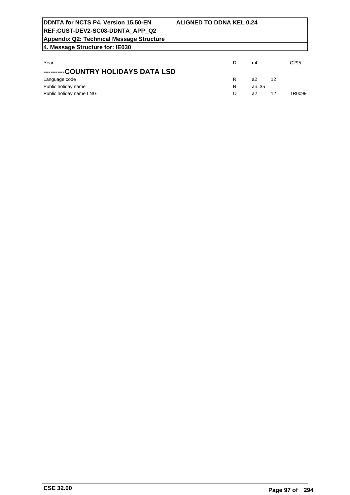| DDNTA for NCTS P4. Version 15.50-EN             | <b>ALIGNED TO DDNA KEL 0.24</b> |   |       |    |                  |
|-------------------------------------------------|---------------------------------|---|-------|----|------------------|
| <b>REF:CUST-DEV2-SC08-DDNTA APP Q2</b>          |                                 |   |       |    |                  |
| <b>Appendix Q2: Technical Message Structure</b> |                                 |   |       |    |                  |
| 4. Message Structure for: IE030                 |                                 |   |       |    |                  |
|                                                 |                                 |   |       |    |                  |
| Year                                            |                                 | D | n4    |    | C <sub>295</sub> |
| -COUNTRY HOLIDAYS DATA LSD                      |                                 |   |       |    |                  |
| Language code                                   |                                 | R | a2    | 12 |                  |
| Public holiday name                             |                                 | R | an.35 |    |                  |
| Public holiday name LNG                         |                                 | O | a2    | 12 | TR0099           |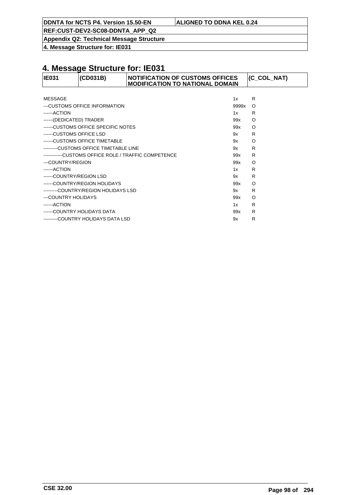**REF:CUST-DEV2-SC08-DDNTA\_APP\_Q2**

**Appendix Q2: Technical Message Structure**

**4. Message Structure for: IE031**

| <b>IE031</b>             | (CD031B)                               | <b>NOTIFICATION OF CUSTOMS OFFICES</b><br><b>MODIFICATION TO NATIONAL DOMAIN</b> |       | (C_COL_NAT) |
|--------------------------|----------------------------------------|----------------------------------------------------------------------------------|-------|-------------|
|                          |                                        |                                                                                  |       |             |
| MESSAGE                  |                                        |                                                                                  | 1x    | R           |
|                          | ---CUSTOMS OFFICE INFORMATION          |                                                                                  | 9999x | $\circ$     |
| ------ACTION             |                                        |                                                                                  | 1x    | R           |
| ------(DEDICATED) TRADER |                                        |                                                                                  | 99x   | $\circ$     |
|                          | ------CUSTOMS OFFICE SPECIFIC NOTES    |                                                                                  | 99x   | $\circ$     |
| ------CUSTOMS OFFICE LSD |                                        |                                                                                  | 9x    | R           |
|                          | ------ CUSTOMS OFFICE TIMETABLE        |                                                                                  | 9x    | $\circ$     |
|                          | ---------CUSTOMS OFFICE TIMETABLE LINE |                                                                                  | 9x    | R           |
|                          |                                        | ------------CUSTOMS OFFICE ROLE / TRAFFIC COMPETENCE                             | 99x   | R           |
| ---COUNTRY/REGION        |                                        |                                                                                  | 99x   | $\circ$     |
| $---ACITION$             |                                        |                                                                                  | 1x    | R           |
| ------COUNTRY/REGION LSD |                                        |                                                                                  | 9x    | R           |
|                          | ------COUNTRY/REGION HOLIDAYS          |                                                                                  | 99x   | O           |
|                          | ---------COUNTRY/REGION HOLIDAYS LSD   |                                                                                  | 9x    | R           |
| ---COUNTRY HOLIDAYS      |                                        |                                                                                  | 99x   | $\circ$     |
| ------ACTION             |                                        |                                                                                  | 1x    | R           |
|                          | ------COUNTRY HOLIDAYS DATA            |                                                                                  | 99x   | R           |
|                          | ---------COUNTRY HOLIDAYS DATA LSD     |                                                                                  | 9x    | R           |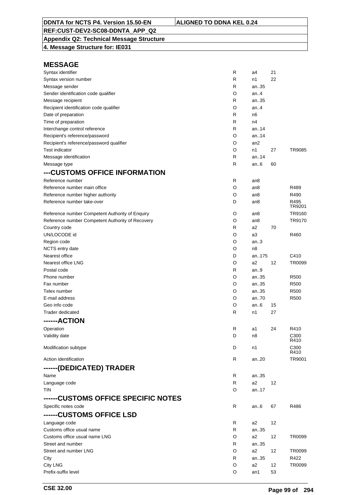# **REF:CUST-DEV2-SC08-DDNTA\_APP\_Q2**

**Appendix Q2: Technical Message Structure 4. Message Structure for: IE031**

| Syntax identifier                                | R | a4              | 21 |                  |
|--------------------------------------------------|---|-----------------|----|------------------|
| Syntax version number                            | R | n1              | 22 |                  |
| Message sender                                   | R | an35            |    |                  |
| Sender identification code qualifier             | O | an.4            |    |                  |
| Message recipient                                | R | an35            |    |                  |
| Recipient identification code qualifier          | O | an.4            |    |                  |
| Date of preparation                              | R | n6              |    |                  |
| Time of preparation                              | R | n4              |    |                  |
| Interchange control reference                    | R | an.14           |    |                  |
| Recipient's reference/password                   | O | an14            |    |                  |
| Recipient's reference/password qualifier         | O | an <sub>2</sub> |    |                  |
| <b>Test indicator</b>                            | O | n1              | 27 | TR9085           |
| Message identification                           | R | an.14           |    |                  |
| Message type                                     | R | an.6            | 60 |                  |
| ---CUSTOMS OFFICE INFORMATION                    |   |                 |    |                  |
| Reference number                                 | R | an8             |    |                  |
| Reference number main office                     | O | an8             |    | R489             |
| Reference number higher authority                | O | an8             |    | R490             |
| Reference number take-over                       | D | an8             |    | R495             |
|                                                  |   |                 |    | TR9201           |
| Reference number Competent Authority of Enquiry  | O | an8             |    | TR9160           |
| Reference number Competent Authority of Recovery | O | an8             |    | TR9170           |
| Country code                                     | R | a2              | 70 |                  |
| UN/LOCODE id                                     | O | a3              |    | R460             |
| Region code                                      | O | an.3            |    |                  |
| NCTS entry date                                  | O | n <sub>8</sub>  |    |                  |
| Nearest office                                   | D | an175           |    | C410             |
| Nearest office LNG                               | O | a2              | 12 | TR0099           |
| Postal code                                      | R | an.9            |    |                  |
| Phone number                                     | O | an35            |    | R <sub>500</sub> |
| Fax number                                       | O | an35            |    | R500             |
| Telex number                                     | O | an35            |    | R500             |
| E-mail address                                   | O | an70            |    | R500             |
| Geo info code                                    | O | an.6            | 15 |                  |
| Trader dedicated                                 | R | n1              | 27 |                  |
| ------ACTION                                     |   |                 |    |                  |
| Operation                                        | R | a1              | 24 | R410             |
| Validity date                                    | D | n8              |    | C300             |
|                                                  |   |                 |    | R410             |
| Modification subtype                             | D | n1              |    | C300<br>R410     |
| Action identification                            | R | an20            |    | TR9001           |
| ------(DEDICATED) TRADER                         |   |                 |    |                  |
| Name                                             | R | an35            |    |                  |
| Language code                                    | R | a2              | 12 |                  |
| <b>TIN</b>                                       | O | an17            |    |                  |
| ------CUSTOMS OFFICE SPECIFIC NOTES              |   |                 |    |                  |
| Specific notes code                              | R | an6             | 67 | R486             |
| ------CUSTOMS OFFICE LSD                         |   |                 |    |                  |
| Language code                                    | R | a2              | 12 |                  |
| Customs office usual name                        | R | an35            |    |                  |
| Customs office usual name LNG                    | O | a2              | 12 | TR0099           |
| Street and number                                | R | an35            |    |                  |
| Street and number LNG                            | O | a2              | 12 | TR0099           |
| City                                             | R | an35            |    | R422             |
| <b>City LNG</b>                                  | O | a2              | 12 | TR0099           |
| Prefix-suffix level                              | O | an1             | 53 |                  |
|                                                  |   |                 |    |                  |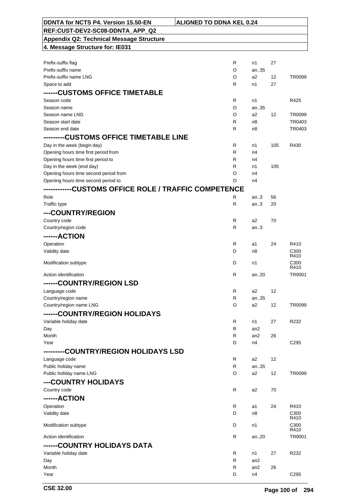| DDNTA for NCTS P4. Version 15.50-EN                                          | <b>ALIGNED TO DDNA KEL 0.24</b> |                                    |     |                          |
|------------------------------------------------------------------------------|---------------------------------|------------------------------------|-----|--------------------------|
| REF:CUST-DEV2-SC08-DDNTA APP Q2                                              |                                 |                                    |     |                          |
| <b>Appendix Q2: Technical Message Structure</b>                              |                                 |                                    |     |                          |
| 4. Message Structure for: IE031                                              |                                 |                                    |     |                          |
|                                                                              |                                 |                                    |     |                          |
| Prefix-suffix flag                                                           | R                               | n1                                 | 27  |                          |
| Prefix-suffix name                                                           | O                               | an35                               |     |                          |
| Prefix-suffix name LNG                                                       | O                               | a <sub>2</sub>                     | 12  | TR0099                   |
| Space to add                                                                 | R                               | n1                                 | 27  |                          |
| ------CUSTOMS OFFICE TIMETABLE                                               |                                 |                                    |     |                          |
| Season code                                                                  | R                               | n1                                 |     | R425                     |
| Season name                                                                  | O                               | an35                               |     |                          |
| Season name LNG                                                              | O                               | a2                                 | 12  | TR0099                   |
| Season start date                                                            | R                               | n <sub>8</sub>                     |     | TR0403                   |
| Season end date                                                              | R                               | n8                                 |     | TR0403                   |
| ---------CUSTOMS OFFICE TIMETABLE LINE                                       |                                 |                                    |     |                          |
| Day in the week (begin day)                                                  | R                               | n1                                 | 105 | R430                     |
| Opening hours time first period from                                         | R                               | n4                                 |     |                          |
| Opening hours time first period to                                           | R                               | n4                                 |     |                          |
| Day in the week (end day)                                                    | R                               | n1                                 | 105 |                          |
| Opening hours time second period from<br>Opening hours time second period to | O<br>O                          | n4<br>n4                           |     |                          |
|                                                                              |                                 |                                    |     |                          |
|                                                                              |                                 |                                    |     |                          |
| Role                                                                         | R                               | an.3                               | 56  |                          |
| Traffic type                                                                 | R                               | an.3                               | 20  |                          |
| ---COUNTRY/REGION                                                            |                                 |                                    |     |                          |
| Country code                                                                 | R                               | a <sub>2</sub>                     | 70  |                          |
| Country/region code                                                          | R                               | an.3                               |     |                          |
| ------ACTION                                                                 |                                 |                                    |     |                          |
| Operation                                                                    | R                               | a1                                 | 24  | R410                     |
| Validity date                                                                | D                               | n8                                 |     | C <sub>300</sub><br>R410 |
| Modification subtype                                                         | D                               | n1                                 |     | C <sub>300</sub>         |
|                                                                              |                                 |                                    |     | R410                     |
| Action identification                                                        | R                               | an20                               |     | TR9001                   |
| <b>COUNTRY/REGION LSD</b>                                                    |                                 |                                    |     |                          |
| Language code                                                                | R                               | a <sub>2</sub>                     | 12  |                          |
| Country/region name                                                          | R<br>O                          | an35                               | 12  | TR0099                   |
| Country/region name LNG                                                      |                                 | a2                                 |     |                          |
| ------COUNTRY/REGION HOLIDAYS                                                |                                 |                                    |     |                          |
| Variable holiday date                                                        | R                               | n1                                 | 27  | R232                     |
| Day<br>Month                                                                 | R<br>R                          | an <sub>2</sub><br>an <sub>2</sub> | 26  |                          |
| Year                                                                         | D                               | n4                                 |     | C <sub>295</sub>         |
|                                                                              |                                 |                                    |     |                          |
| --------COUNTRY/REGION HOLIDAYS LSD                                          |                                 |                                    |     |                          |
| Language code                                                                | R<br>R                          | a <sub>2</sub><br>an35             | 12  |                          |
| Public holiday name<br>Public holiday name LNG                               | O                               | a <sub>2</sub>                     | 12  | TR0099                   |
|                                                                              |                                 |                                    |     |                          |
| ---COUNTRY HOLIDAYS                                                          |                                 |                                    | 70  |                          |
| Country code                                                                 | R                               | a <sub>2</sub>                     |     |                          |
| ------ACTION                                                                 |                                 |                                    |     |                          |
| Operation                                                                    | R                               | a1                                 | 24  | R410                     |
| Validity date                                                                | D                               | n8                                 |     | C <sub>300</sub><br>R410 |
| Modification subtype                                                         | D                               | n1                                 |     | C300                     |
|                                                                              |                                 |                                    |     | R410                     |
| Action identification                                                        | R                               | an20                               |     | TR9001                   |
| ------COUNTRY HOLIDAYS DATA                                                  |                                 |                                    |     |                          |
| Variable holiday date                                                        | R                               | n1                                 | 27  | R232                     |
| Day                                                                          | R                               | an <sub>2</sub>                    |     |                          |
| Month<br>Year                                                                | R<br>D                          | an <sub>2</sub><br>n4              | 26  | C295                     |
|                                                                              |                                 |                                    |     |                          |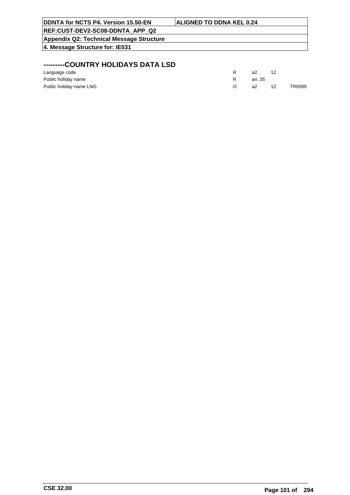| <b>DDNTA for NCTS P4. Version 15.50-EN</b> | <b>ALIGNED TO DDNA KEL 0.24</b> |
|--------------------------------------------|---------------------------------|
| <b>REF:CUST-DEV2-SC08-DDNTA APP Q2</b>     |                                 |
| Appendix Q2: Technical Message Structure   |                                 |
| 4. Message Structure for: IE031            |                                 |
|                                            |                                 |

### **---------COUNTRY HOLIDAYS DATA LSD**

| Language code           | а2   |    |        |
|-------------------------|------|----|--------|
| Public holiday name     | an35 |    |        |
| Public holiday name LNG | а2   | 12 | TR0099 |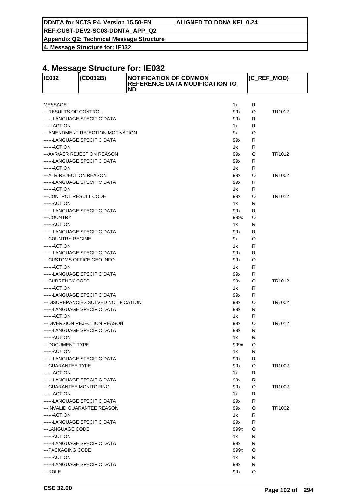**REF:CUST-DEV2-SC08-DDNTA\_APP\_Q2**

**Appendix Q2: Technical Message Structure**

**4. Message Structure for: IE032**

| (CD032B)<br><b>IE032</b><br><b>NOTIFICATION OF COMMON</b> |                                      | (C_REF_MOD)                                        |      |   |                    |
|-----------------------------------------------------------|--------------------------------------|----------------------------------------------------|------|---|--------------------|
|                                                           |                                      | <b>REFERENCE DATA MODIFICATION TO</b><br><b>ND</b> |      |   |                    |
|                                                           |                                      |                                                    |      |   |                    |
| <b>MESSAGE</b>                                            |                                      |                                                    | 1x   | R |                    |
| ---RESULTS OF CONTROL                                     |                                      |                                                    | 99x  | O | TR <sub>1012</sub> |
|                                                           | ------LANGUAGE SPECIFIC DATA         |                                                    | 99x  | R |                    |
| ------ACTION                                              |                                      |                                                    | 1x   | R |                    |
|                                                           | ---AMENDMENT REJECTION MOTIVATION    |                                                    | 9x   | O |                    |
|                                                           | ------LANGUAGE SPECIFIC DATA         |                                                    | 99x  | R |                    |
| ------ACTION                                              |                                      |                                                    | 1x   | R |                    |
|                                                           | ---AAR/AER REJECTION REASON          |                                                    | 99x  | O | TR <sub>1012</sub> |
|                                                           | ------LANGUAGE SPECIFIC DATA         |                                                    | 99x  | R |                    |
| ------ACTION                                              |                                      |                                                    | 1x   | R |                    |
| --- ATR REJECTION REASON                                  |                                      |                                                    | 99x  | O | TR1002             |
|                                                           | ------LANGUAGE SPECIFIC DATA         |                                                    | 99x  | R |                    |
| ------ACTION                                              |                                      |                                                    | 1x   | R |                    |
| ---CONTROL RESULT CODE                                    |                                      |                                                    | 99x  | O | TR <sub>1012</sub> |
| ------ACTION                                              |                                      |                                                    | 1x   | R |                    |
|                                                           | ------LANGUAGE SPECIFIC DATA         |                                                    | 99x  | R |                    |
| ---COUNTRY                                                |                                      |                                                    | 999x | O |                    |
| ------ACTION                                              |                                      |                                                    | 1x   | R |                    |
|                                                           | ------LANGUAGE SPECIFIC DATA         |                                                    | 99x  | R |                    |
| ---COUNTRY REGIME                                         |                                      |                                                    | 9x   | O |                    |
| ------ACTION                                              |                                      |                                                    | 1x   | R |                    |
|                                                           | ------LANGUAGE SPECIFIC DATA         |                                                    | 99x  | R |                    |
|                                                           | ---CUSTOMS OFFICE GEO INFO           |                                                    | 99x  | O |                    |
| ------ACTION                                              |                                      |                                                    | 1x   | R |                    |
|                                                           | ------LANGUAGE SPECIFIC DATA         |                                                    | 99x  | R |                    |
| ---CURRENCY CODE                                          |                                      |                                                    | 99x  | O | TR <sub>1012</sub> |
| ------ACTION                                              |                                      |                                                    | 1x   | R |                    |
|                                                           | ------LANGUAGE SPECIFIC DATA         |                                                    | 99x  | R |                    |
|                                                           | ---DISCREPANCIES SOLVED NOTIFICATION |                                                    | 99x  | O | TR <sub>1002</sub> |
|                                                           | ------LANGUAGE SPECIFIC DATA         |                                                    | 99x  | R |                    |
| ------ACTION                                              |                                      |                                                    | 1x   | R |                    |
|                                                           | ---DIVERSION REJECTION REASON        |                                                    | 99x  | O | TR1012             |
|                                                           | ------LANGUAGE SPECIFIC DATA         |                                                    | 99x  | R |                    |
| ------ ACTION                                             |                                      |                                                    | 1x   | R |                    |
| --- DOCUMENT TYPE                                         |                                      |                                                    | 999x | O |                    |
| ------ACTION                                              |                                      |                                                    | 1x   | R |                    |
|                                                           | ------LANGUAGE SPECIFIC DATA         |                                                    | 99x  | R |                    |
| ---GUARANTEE TYPE                                         |                                      |                                                    | 99x  | O | TR1002             |
| ------ACTION                                              |                                      |                                                    | 1x   | R |                    |
|                                                           | ------LANGUAGE SPECIFIC DATA         |                                                    | 99x  | R |                    |
| --- GUARANTEE MONITORING                                  |                                      |                                                    | 99x  | O | TR1002             |
| ------ACTION                                              |                                      |                                                    | 1x   | R |                    |
|                                                           | ------LANGUAGE SPECIFIC DATA         |                                                    | 99x  | R |                    |
|                                                           | --- INVALID GUARANTEE REASON         |                                                    | 99x  | O | TR1002             |
| ------ACTION                                              |                                      |                                                    | 1x   | R |                    |
|                                                           | ------LANGUAGE SPECIFIC DATA         |                                                    | 99x  | R |                    |
| ---LANGUAGE CODE                                          |                                      |                                                    | 999x | O |                    |
| ------ACTION                                              |                                      |                                                    | 1x   | R |                    |
|                                                           | ------LANGUAGE SPECIFIC DATA         |                                                    | 99x  | R |                    |
| --- PACKAGING CODE                                        |                                      |                                                    | 999x | O |                    |
| ------ACTION                                              |                                      |                                                    | 1x   | R |                    |
|                                                           | ------LANGUAGE SPECIFIC DATA         |                                                    | 99x  | R |                    |
| ---ROLE                                                   |                                      |                                                    | 99x  | O |                    |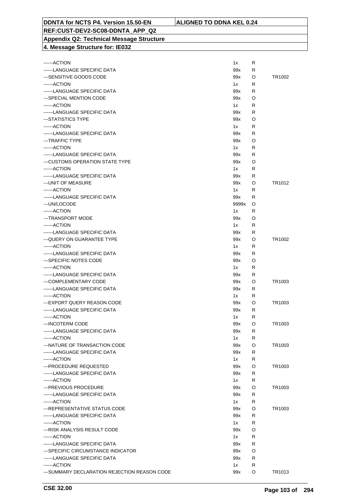### **REF:CUST-DEV2-SC08-DDNTA\_APP\_Q2 Appendix Q2: Technical Message Structure 4. Message Structure for: IE032**

| ------ACTION                                  | 1x    | R |        |
|-----------------------------------------------|-------|---|--------|
| ------LANGUAGE SPECIFIC DATA                  | 99x   | R |        |
| --- SENSITIVE GOODS CODE                      | 99x   | O | TR1002 |
| ------ACTION                                  | 1x    | R |        |
| ------LANGUAGE SPECIFIC DATA                  | 99x   | R |        |
| ---SPECIAL MENTION CODE                       | 99x   | O |        |
| ------ACTION                                  | 1x    | R |        |
| ------LANGUAGE SPECIFIC DATA                  | 99x   | R |        |
| ---STATISTICS TYPE                            | 99x   | O |        |
| ------ACTION                                  | 1x    | R |        |
| ------LANGUAGE SPECIFIC DATA                  | 99x   | R |        |
| ---TRAFFIC TYPE                               | 99x   | O |        |
| ------ACTION                                  | 1x    | R |        |
| ------LANGUAGE SPECIFIC DATA                  | 99x   | R |        |
| ---CUSTOMS OPERATION STATE TYPE               | 99x   | O |        |
| ------ACTION                                  | 1x    | R |        |
| ------LANGUAGE SPECIFIC DATA                  | 99x   | R |        |
| --- UNIT OF MEASURE                           | 99x   | O | TR1012 |
| ------ACTION                                  | 1x    | R |        |
| ------LANGUAGE SPECIFIC DATA                  | 99x   | R |        |
| ---UN/LOCODE                                  | 9999x | O |        |
| ------ ACTION                                 | 1x    | R |        |
| --- TRANSPORT MODE                            | 99x   | O |        |
| ------ACTION                                  | 1x    | R |        |
| ------LANGUAGE SPECIFIC DATA                  | 99x   | R |        |
| --- QUERY ON GUARANTEE TYPE                   | 99x   | O | TR1002 |
| ------ACTION                                  | 1x    | R |        |
| ------LANGUAGE SPECIFIC DATA                  | 99x   | R |        |
| ---SPECIFIC NOTES CODE                        | 99x   | O |        |
| ------ACTION                                  | 1x    | R |        |
| ------LANGUAGE SPECIFIC DATA                  | 99x   | R |        |
| ---COMPLEMENTARY CODE                         | 99x   | O | TR1003 |
| ------LANGUAGE SPECIFIC DATA                  | 99x   | R |        |
| ------ACTION                                  | 1x    | R |        |
| ---EXPORT QUERY REASON CODE                   | 99x   | O | TR1003 |
| ------LANGUAGE SPECIFIC DATA                  | 99x   | R |        |
| ------ACTION                                  | 1x    | R |        |
| --- INCOTERM CODE                             | 99x   | O | TR1003 |
| ------LANGUAGE SPECIFIC DATA                  | 99x   | R |        |
| ------ACTION                                  | 1x    | R |        |
| --- NATURE OF TRANSACTION CODE                | 99x   | O | TR1003 |
| ------LANGUAGE SPECIFIC DATA                  | 99x   | R |        |
| ------ACTION                                  | 1x    | R |        |
| --- PROCEDURE REQUESTED                       | 99x   | O | TR1003 |
| ------LANGUAGE SPECIFIC DATA                  | 99x   | R |        |
| ------ACTION                                  | 1x    | R |        |
| --- PREVIOUS PROCEDURE                        | 99x   | O | TR1003 |
| ------LANGUAGE SPECIFIC DATA                  | 99x   | R |        |
| ------ACTION                                  | 1x    | R |        |
| --- REPRESENTATIVE STATUS CODE                | 99x   | O | TR1003 |
| ------LANGUAGE SPECIFIC DATA                  | 99x   | R |        |
| ------ACTION                                  | 1x    | R |        |
| ---RISK ANALYSIS RESULT CODE                  | 99x   | O |        |
| ------ACTION                                  | 1x    | R |        |
| ------LANGUAGE SPECIFIC DATA                  | 99x   | R |        |
| ---SPECIFIC CIRCUMSTANCE INDICATOR            | 99x   | O |        |
| ------LANGUAGE SPECIFIC DATA                  | 99x   | R |        |
| ------ACTION                                  | 1x    | R |        |
| --- SUMMARY DECLARATION REJECTION REASON CODE | 99x   | O | TR1013 |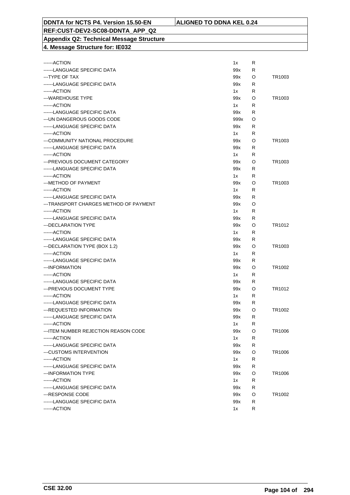### **Appendix Q2: Technical Message Structure 4. Message Structure for: IE032**

| ------ACTION                           | 1x   | R         |        |
|----------------------------------------|------|-----------|--------|
| ------LANGUAGE SPECIFIC DATA           | 99x  | R         |        |
| --- TYPE OF TAX                        | 99x  | O         | TR1003 |
| ------LANGUAGE SPECIFIC DATA           | 99x  | R         |        |
| ------ACTION                           | 1x   | R         |        |
| ---WAREHOUSE TYPE                      | 99x  | O         | TR1003 |
| ------ACTION                           | 1x   | R         |        |
| ------LANGUAGE SPECIFIC DATA           | 99x  | R         |        |
| --- UN DANGEROUS GOODS CODE            | 999x | O         |        |
| ------LANGUAGE SPECIFIC DATA           | 99x  | R         |        |
| ------ACTION                           | 1x   | R         |        |
| --- COMMUNITY NATIONAL PROCEDURE       | 99x  | O         | TR1003 |
| ------LANGUAGE SPECIFIC DATA           | 99x  | R         |        |
| ------ACTION                           | 1x   | R         |        |
| --- PREVIOUS DOCUMENT CATEGORY         | 99x  | O         | TR1003 |
| ------LANGUAGE SPECIFIC DATA           | 99x  | R         |        |
| ------ACTION                           | 1x   | R         |        |
| --- METHOD OF PAYMENT                  | 99x  | O         | TR1003 |
| ------ACTION                           | 1x   | R         |        |
| ------LANGUAGE SPECIFIC DATA           | 99x  | R         |        |
| ---TRANSPORT CHARGES METHOD OF PAYMENT | 99x  | O         |        |
| ------ACTION                           | 1x   | R         |        |
| ------LANGUAGE SPECIFIC DATA           | 99x  | R         |        |
| --- DECLARATION TYPE                   | 99x  | O         | TR1012 |
| ------ACTION                           | 1x   | R         |        |
| ------LANGUAGE SPECIFIC DATA           | 99x  | R         |        |
| --- DECLARATION TYPE (BOX 1.2)         | 99x  | O         | TR1003 |
| ------ACTION                           | 1x   | R         |        |
| ------LANGUAGE SPECIFIC DATA           | 99x  | R         |        |
| ---INFORMATION                         | 99x  | O         | TR1002 |
| ------ACTION                           | 1x   | R         |        |
| ------LANGUAGE SPECIFIC DATA           | 99x  | R         |        |
| --- PREVIOUS DOCUMENT TYPE             | 99x  | O         | TR1012 |
| ------ACTION                           | 1x   | R         |        |
| ------LANGUAGE SPECIFIC DATA           | 99x  | R         |        |
| --- REQUESTED INFORMATION              | 99x  | O         | TR1002 |
| ------LANGUAGE SPECIFIC DATA           | 99x  | R         |        |
| ------ACTION                           | 1x   | ${\sf R}$ |        |
| --- ITEM NUMBER REJECTION REASON CODE  | 99x  | O         | TR1006 |
| ------ACTION                           | 1x   | R         |        |
| ------LANGUAGE SPECIFIC DATA           | 99x  | R         |        |
| ---CUSTOMS INTERVENTION                | 99x  | O         | TR1006 |
| ------ACTION                           | 1x   | R         |        |
| ------LANGUAGE SPECIFIC DATA           | 99x  | R         |        |
| --- INFORMATION TYPE                   | 99x  | O         | TR1006 |
| ------ACTION                           | 1x   | R         |        |
| ------LANGUAGE SPECIFIC DATA           | 99x  | R         |        |
| ---RESPONSE CODE                       | 99x  | O         | TR1002 |
| ------LANGUAGE SPECIFIC DATA           | 99x  | R         |        |
| ------ACTION                           | 1x   | R         |        |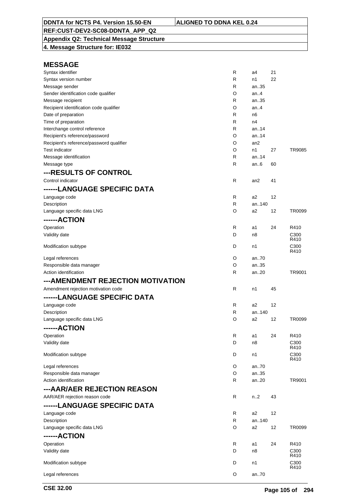### **REF:CUST-DEV2-SC08-DDNTA\_APP\_Q2 Appendix Q2: Technical Message Structure**

**4. Message Structure for: IE032**

| Syntax identifier                        | R | a4              | 21 |                  |
|------------------------------------------|---|-----------------|----|------------------|
| Syntax version number                    | R | n1              | 22 |                  |
| Message sender                           | R | an35            |    |                  |
| Sender identification code qualifier     | O | an4             |    |                  |
| Message recipient                        | R | an35            |    |                  |
| Recipient identification code qualifier  | O | an4             |    |                  |
| Date of preparation                      | R | n <sub>6</sub>  |    |                  |
| Time of preparation                      | R | n4              |    |                  |
| Interchange control reference            | R | an.14           |    |                  |
| Recipient's reference/password           | O | an.14           |    |                  |
| Recipient's reference/password qualifier | O | an <sub>2</sub> |    |                  |
| <b>Test indicator</b>                    | O | n1              | 27 | TR9085           |
| Message identification                   | R | an.14           |    |                  |
| Message type                             | R | an $6$          | 60 |                  |
| ---RESULTS OF CONTROL                    |   |                 |    |                  |
| Control indicator                        | R | an <sub>2</sub> | 41 |                  |
|                                          |   |                 |    |                  |
| ------LANGUAGE SPECIFIC DATA             |   |                 |    |                  |
| Language code                            | R | a2              | 12 |                  |
| Description                              | R | an140           |    |                  |
| Language specific data LNG               | O | a2              | 12 | TR0099           |
| ------ACTION                             |   |                 |    |                  |
| Operation                                | R | a1              | 24 | R410             |
| Validity date                            | D | n8              |    | C <sub>300</sub> |
|                                          |   |                 |    | R410             |
| Modification subtype                     | D | n1              |    | C300             |
|                                          |   |                 |    | R410             |
| Legal references                         | O | an.70           |    |                  |
| Responsible data manager                 | O | an35            |    |                  |
| Action identification                    | R | an20            |    | TR9001           |
| --- AMENDMENT REJECTION MOTIVATION       |   |                 |    |                  |
| Amendment rejection motivation code      | R | n1              | 45 |                  |
| ------LANGUAGE SPECIFIC DATA             |   |                 |    |                  |
|                                          |   |                 |    |                  |
| Language code                            | R | a2              | 12 |                  |
| Description                              | R | an140           |    |                  |
| Language specific data LNG               | O | a2              | 12 | TR0099           |
| ------ACTION                             |   |                 |    |                  |
| Operation                                | R | a1              | 24 | R410             |
| Validity date                            | D | n8              |    | C300             |
|                                          |   |                 |    | R410             |
| Modification subtype                     | D | n1              |    | C300<br>R410     |
| Legal references                         | O | an70            |    |                  |
| Responsible data manager                 | O | an35            |    |                  |
| Action identification                    | R | an20            |    | TR9001           |
|                                          |   |                 |    |                  |
| ---AAR/AER REJECTION REASON              |   |                 |    |                  |
| AAR/AER rejection reason code            | R | n2              | 43 |                  |
| ------LANGUAGE SPECIFIC DATA             |   |                 |    |                  |
| Language code                            | R | a2              | 12 |                  |
| Description                              | R | an140           |    |                  |
| Language specific data LNG               | O | a2              | 12 | TR0099           |
| ------ACTION                             |   |                 |    |                  |
|                                          |   |                 |    |                  |
| Operation                                | R | a1              | 24 | R410             |
| Validity date                            | D | n8              |    | C300<br>R410     |
| Modification subtype                     | D | n1              |    | C300             |
|                                          |   |                 |    | R410             |
| Legal references                         | O | an70            |    |                  |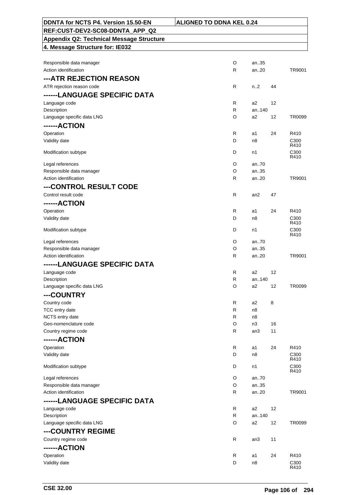| DDNTA for NCTS P4. Version 15.50-EN             | <b>ALIGNED TO DDNA KEL 0.24</b> |             |                          |
|-------------------------------------------------|---------------------------------|-------------|--------------------------|
| REF:CUST-DEV2-SC08-DDNTA_APP_Q2                 |                                 |             |                          |
| <b>Appendix Q2: Technical Message Structure</b> |                                 |             |                          |
| 4. Message Structure for: IE032                 |                                 |             |                          |
|                                                 |                                 |             |                          |
| Responsible data manager                        | O                               | an35        |                          |
| Action identification                           | R                               | an20        | TR9001                   |
| ---ATR REJECTION REASON                         |                                 |             |                          |
| ATR rejection reason code                       | R<br>n <sub>1</sub> 2           | 44          |                          |
| ------LANGUAGE SPECIFIC DATA                    |                                 |             |                          |
| Language code                                   | R<br>a2                         | 12<br>an140 |                          |
| Description<br>Language specific data LNG       | R<br>O<br>a2                    | 12          | TR0099                   |
| ------ACTION                                    |                                 |             |                          |
| Operation                                       | R<br>a1                         | 24          | R410                     |
| Validity date                                   | D<br>n8                         |             | C <sub>300</sub>         |
|                                                 |                                 |             | R410                     |
| Modification subtype                            | D<br>n1                         |             | C <sub>300</sub><br>R410 |
| Legal references                                | O                               | an.70       |                          |
| Responsible data manager                        | O                               | an35        |                          |
| Action identification                           | R                               | an20        | TR9001                   |
| ---CONTROL RESULT CODE                          |                                 |             |                          |
| Control result code                             | R<br>an2                        | 47          |                          |
| ------ACTION                                    |                                 |             |                          |
| Operation                                       | R<br>a1                         | 24          | R410                     |
| Validity date                                   | D<br>n8                         |             | C300<br>R410             |
| Modification subtype                            | D<br>n1                         |             | C <sub>300</sub>         |
| Legal references                                | O                               | an.70       | R410                     |
| Responsible data manager                        | O                               | an35        |                          |
| Action identification                           | R                               | an20        | TR9001                   |
| ------LANGUAGE SPECIFIC DATA                    |                                 |             |                          |
| Language code                                   | R<br>a2                         | 12          |                          |
| Description                                     | R                               | an140       |                          |
| Language specific data LNG                      | O<br>a2                         | 12          | TR0099                   |
| ---COUNTRY                                      |                                 |             |                          |
| Country code                                    | R<br>a2                         | 8           |                          |
| TCC entry date                                  | R<br>n8                         |             |                          |
| NCTS entry date<br>Geo-nomenclature code        | R<br>n8<br>O<br>n3              | 16          |                          |
| Country regime code                             | R<br>an3                        | 11          |                          |
| ------ACTION                                    |                                 |             |                          |
| Operation                                       | R<br>a1                         | 24          | R410                     |
| Validity date                                   | D<br>n8                         |             | C <sub>300</sub>         |
|                                                 |                                 |             | R410                     |
| Modification subtype                            | D<br>n1                         |             | C300<br>R410             |
| Legal references                                | O                               | an70        |                          |
| Responsible data manager                        | O                               | an35        |                          |
| Action identification                           | R                               | an20        | TR9001                   |
| ------LANGUAGE SPECIFIC DATA                    |                                 |             |                          |
| Language code                                   | R<br>a <sub>2</sub>             | 12          |                          |
| Description<br>Language specific data LNG       | R<br>O<br>a <sub>2</sub>        | an140<br>12 | TR0099                   |
| ---COUNTRY REGIME                               |                                 |             |                          |
| Country regime code                             | R<br>an3                        | 11          |                          |
| ------ACTION                                    |                                 |             |                          |
| Operation                                       | R<br>a1                         | 24          | R410                     |
| Validity date                                   | D<br>n8                         |             | C300                     |
|                                                 |                                 |             | R410                     |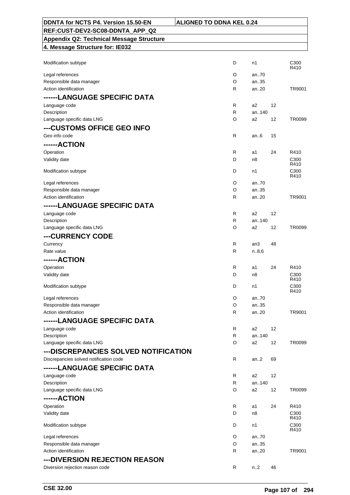| DDNTA for NCTS P4. Version 15.50-EN               | <b>ALIGNED TO DDNA KEL 0.24</b> |                |    |                          |
|---------------------------------------------------|---------------------------------|----------------|----|--------------------------|
| REF:CUST-DEV2-SC08-DDNTA APP Q2                   |                                 |                |    |                          |
| <b>Appendix Q2: Technical Message Structure</b>   |                                 |                |    |                          |
| 4. Message Structure for: IE032                   |                                 |                |    |                          |
|                                                   |                                 |                |    |                          |
| Modification subtype                              | D                               | n1             |    | C <sub>300</sub>         |
| Legal references                                  | O                               | an70           |    | R410                     |
| Responsible data manager                          | O                               | an35           |    |                          |
| Action identification                             | R                               | an20           |    | TR9001                   |
| ------LANGUAGE SPECIFIC DATA                      |                                 |                |    |                          |
| Language code                                     | R                               | a2             | 12 |                          |
| Description                                       | R                               | an140          |    |                          |
| Language specific data LNG                        | O                               | a <sub>2</sub> | 12 | TR0099                   |
| ---CUSTOMS OFFICE GEO INFO                        |                                 |                |    |                          |
| Geo info code                                     | R                               | an.6           | 15 |                          |
| ------ACTION                                      |                                 |                |    |                          |
| Operation                                         | R                               | a1             | 24 | R410                     |
| Validity date                                     | D                               | n8             |    | C <sub>300</sub>         |
|                                                   |                                 |                |    | R410                     |
| Modification subtype                              | D                               | n1             |    | C300<br>R410             |
| Legal references                                  | O                               | an70           |    |                          |
| Responsible data manager                          | O                               | an35           |    |                          |
| Action identification                             | $\mathsf{R}$                    | an20           |    | TR9001                   |
| ------LANGUAGE SPECIFIC DATA                      |                                 |                |    |                          |
| Language code                                     | R                               | a2             | 12 |                          |
| Description                                       | R                               | an140          |    |                          |
| Language specific data LNG                        | O                               | a2             | 12 | TR0099                   |
| ---CURRENCY CODE                                  |                                 |                |    |                          |
| Currency                                          | R                               | an3            | 48 |                          |
| Rate value                                        | R                               | n.8,6          |    |                          |
| ------ACTION                                      |                                 |                |    |                          |
| Operation                                         | R                               | a1             | 24 | R410                     |
| Validity date                                     | D                               | n8             |    | C300                     |
| Modification subtype                              | D                               | n1             |    | R410<br>C300             |
|                                                   |                                 |                |    | R410                     |
| Legal references                                  | O                               | an70           |    |                          |
| Responsible data manager                          | O                               | an35           |    |                          |
| Action identification                             | R                               | an20           |    | TR9001                   |
| ------LANGUAGE SPECIFIC DATA                      |                                 |                |    |                          |
| Language code                                     | R                               | a2             | 12 |                          |
| Description                                       | R                               | an140          |    |                          |
| Language specific data LNG                        | O                               | a2             | 12 | TR0099                   |
| ---DISCREPANCIES SOLVED NOTIFICATION              |                                 |                |    |                          |
| Discrepancies solved notification code            | R                               | an2            | 69 |                          |
| ------LANGUAGE SPECIFIC DATA                      |                                 |                |    |                          |
| Language code                                     | R                               | a2             | 12 |                          |
| Description                                       | R                               | an140          |    |                          |
| Language specific data LNG                        | O                               | a2             | 12 | TR0099                   |
| ------ACTION                                      |                                 |                |    |                          |
| Operation                                         | R                               | a1             | 24 | R410                     |
| Validity date                                     | D                               | n8             |    | C <sub>300</sub><br>R410 |
| Modification subtype                              | D                               | n1             |    | C <sub>300</sub>         |
|                                                   |                                 |                |    | R410                     |
| Legal references                                  | O                               | an70           |    |                          |
| Responsible data manager<br>Action identification | O<br>R                          | an35<br>an20   |    | TR9001                   |
|                                                   |                                 |                |    |                          |
| --- DIVERSION REJECTION REASON                    |                                 |                |    |                          |
| Diversion rejection reason code                   | R                               | n.2            | 46 |                          |

h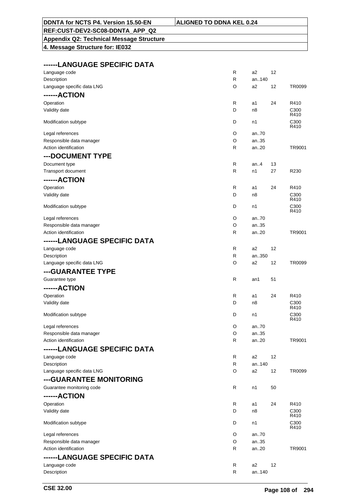| <b>ALIGNED TO DDNA KEL 0.24</b> |
|---------------------------------|
|---------------------------------|

### **DDNTA for NCTS P4. Version 15.50-EN**

### **REF:CUST-DEV2-SC08-DDNTA\_APP\_Q2 Appendix Q2: Technical Message Structure**

**4. Message Structure for: IE032**

### **------LANGUAGE SPECIFIC DATA**

| Language code                                     | R             | a <sub>2</sub> | 12 |               |
|---------------------------------------------------|---------------|----------------|----|---------------|
| Description                                       | $\mathsf{R}$  | an140          |    |               |
| Language specific data LNG                        | O             | a2             | 12 | TR0099        |
| ------ACTION                                      |               |                |    |               |
| Operation                                         | R             | a1             | 24 | R410          |
| Validity date                                     | D             | n <sub>8</sub> |    | C300          |
|                                                   |               |                |    | R410          |
| Modification subtype                              | D             | n1             |    | C300          |
|                                                   |               |                |    | R410          |
| Legal references                                  | O             | an.70          |    |               |
| Responsible data manager                          | O             | an35           |    |               |
| Action identification                             | R             | an20           |    | TR9001        |
| ---DOCUMENT TYPE                                  |               |                |    |               |
| Document type                                     | R             | an. $4$        | 13 |               |
| Transport document                                | $\mathsf{R}$  | n1             | 27 | R230          |
| ------ACTION                                      |               |                |    |               |
| Operation                                         | R             | a1             | 24 | R410          |
| Validity date                                     | D             | n8             |    | C300          |
|                                                   |               |                |    | R410          |
| Modification subtype                              | D             | n1             |    | C300          |
|                                                   |               |                |    | R410          |
| Legal references                                  | O             | an70           |    |               |
| Responsible data manager                          | O             | an35           |    |               |
| Action identification                             | R             | an20           |    | TR9001        |
| ------LANGUAGE SPECIFIC DATA                      |               |                |    |               |
| Language code                                     | R             | a <sub>2</sub> | 12 |               |
| Description                                       | $\mathsf{R}$  | an350          |    |               |
| Language specific data LNG                        | O             | a2             | 12 | <b>TR0099</b> |
| ---GUARANTEE TYPE                                 |               |                |    |               |
| Guarantee type                                    | $\mathsf{R}$  | an1            | 51 |               |
| ------ACTION                                      |               |                |    |               |
| Operation                                         | R             | a1             | 24 | R410          |
| Validity date                                     | D             | n8             |    | C300          |
|                                                   |               |                |    | R410          |
| Modification subtype                              | D             | n1             |    | C300          |
|                                                   |               |                |    | R410          |
| Legal references<br>Responsible data manager      | O<br>$\Omega$ | an70<br>an35   |    |               |
| Action identification                             | R             |                |    | TR9001        |
|                                                   |               | an20           |    |               |
| ------LANGUAGE SPECIFIC DATA                      |               |                |    |               |
| Language code                                     | R             | a2             | 12 |               |
| Description                                       | R             | an140          |    |               |
| Language specific data LNG                        | O             | a <sub>2</sub> | 12 | TR0099        |
| ---GUARANTEE MONITORING                           |               |                |    |               |
| Guarantee monitoring code                         | R             | n1             | 50 |               |
| ------ACTION                                      |               |                |    |               |
| Operation                                         | R             | a1             | 24 | R410          |
| Validity date                                     | D             | n8             |    | C300          |
|                                                   |               |                |    | R410          |
| Modification subtype                              | D             | n1             |    | C300          |
|                                                   |               |                |    | R410          |
| Legal references                                  | O             | an70           |    |               |
| Responsible data manager<br>Action identification | O             | an35           |    |               |
|                                                   | R             | an20           |    | TR9001        |
| ------LANGUAGE SPECIFIC DATA                      |               |                |    |               |
| Language code                                     | R             | a2             | 12 |               |
| Description                                       | R             | an140          |    |               |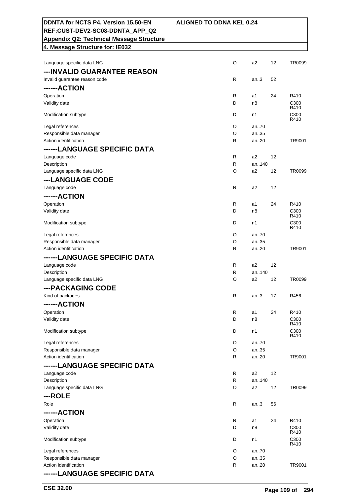| DDNTA for NCTS P4. Version 15.50-EN             | <b>ALIGNED TO DDNA KEL 0.24</b> |    |                          |
|-------------------------------------------------|---------------------------------|----|--------------------------|
| REF:CUST-DEV2-SC08-DDNTA APP Q2                 |                                 |    |                          |
| <b>Appendix Q2: Technical Message Structure</b> |                                 |    |                          |
| 4. Message Structure for: IE032                 |                                 |    |                          |
|                                                 |                                 |    |                          |
| Language specific data LNG                      | O<br>a2                         | 12 | TR0099                   |
| ---INVALID GUARANTEE REASON                     |                                 |    |                          |
| Invalid guarantee reason code                   | R<br>an.3                       | 52 |                          |
| ------ACTION                                    |                                 |    |                          |
| Operation                                       | R<br>a1                         | 24 | R410                     |
| Validity date                                   | D<br>n8                         |    | C <sub>300</sub><br>R410 |
| Modification subtype                            | D<br>n1                         |    | C <sub>300</sub><br>R410 |
| Legal references                                | O<br>an70                       |    |                          |
| Responsible data manager                        | O<br>an35                       |    |                          |
| Action identification                           | an20<br>R                       |    | TR9001                   |
| ------LANGUAGE SPECIFIC DATA                    |                                 |    |                          |
| Language code                                   | R<br>a2                         | 12 |                          |
| Description                                     | an140<br>R                      |    |                          |
| Language specific data LNG                      | O<br>a2                         | 12 | TR0099                   |
| ---LANGUAGE CODE                                |                                 |    |                          |
| Language code                                   | R<br>a2                         | 12 |                          |
| ------ACTION                                    |                                 |    |                          |
| Operation                                       | R<br>a1                         | 24 | R410                     |
| Validity date                                   | D<br>n8                         |    | C <sub>300</sub><br>R410 |
| Modification subtype                            | D<br>n1                         |    | C <sub>300</sub><br>R410 |
| Legal references                                | O<br>an70                       |    |                          |
| Responsible data manager                        | O<br>an35                       |    |                          |
| Action identification                           | R<br>an20                       |    | TR9001                   |
| ------LANGUAGE SPECIFIC DATA                    |                                 |    |                          |
| Language code                                   | R<br>a2                         | 12 |                          |
| Description                                     | R<br>an140                      |    | <b>TR0099</b>            |
| Language specific data LNG                      | O<br>a2                         | 12 |                          |
| ---PACKAGING CODE                               |                                 |    |                          |
| Kind of packages                                | R<br>an.3                       | 17 | R456                     |
| ------ACTION                                    |                                 |    |                          |
| Operation<br>Validity date                      | R<br>a1<br>D<br>n8              | 24 | R410<br>C <sub>300</sub> |
|                                                 |                                 |    | R410                     |
| Modification subtype                            | D<br>n1                         |    | C300<br>R410             |
| Legal references                                | O<br>an.70                      |    |                          |
| Responsible data manager                        | O<br>an35                       |    |                          |
| Action identification                           | R<br>an20                       |    | TR9001                   |
| ------LANGUAGE SPECIFIC DATA                    |                                 |    |                          |
| Language code                                   | R<br>a2                         | 12 |                          |
| Description                                     | R<br>an140                      |    |                          |
| Language specific data LNG                      | O<br>a2                         | 12 | TR0099                   |
| ---ROLE                                         |                                 |    |                          |
| Role                                            | R<br>an.3                       | 56 |                          |
| ------ACTION                                    |                                 |    |                          |
| Operation                                       | R<br>a1                         | 24 | R410                     |
| Validity date                                   | D<br>n8                         |    | C <sub>300</sub><br>R410 |
| Modification subtype                            | D<br>n1                         |    | C300<br>R410             |
| Legal references                                | O<br>an70                       |    |                          |
| Responsible data manager                        | O<br>an35                       |    |                          |
| Action identification                           | R<br>an20                       |    | TR9001                   |
| ------LANGUAGE SPECIFIC DATA                    |                                 |    |                          |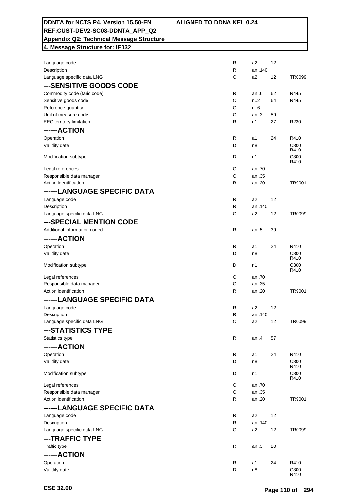| DDNTA for NCTS P4. Version 15.50-EN             | <b>ALIGNED TO DDNA KEL 0.24</b> |            |          |                          |
|-------------------------------------------------|---------------------------------|------------|----------|--------------------------|
| REF:CUST-DEV2-SC08-DDNTA_APP_Q2                 |                                 |            |          |                          |
| <b>Appendix Q2: Technical Message Structure</b> |                                 |            |          |                          |
| 4. Message Structure for: IE032                 |                                 |            |          |                          |
|                                                 |                                 |            |          |                          |
| Language code                                   | R                               | a2         | 12       |                          |
| Description                                     | $\mathsf{R}$                    | an140      |          |                          |
| Language specific data LNG                      | O                               | a2         | 12       | TR0099                   |
| ---SENSITIVE GOODS CODE                         |                                 |            |          |                          |
|                                                 | $\mathsf{R}$                    |            |          |                          |
| Commodity code (taric code)                     | O                               | an6<br>n.2 | 62<br>64 | R445<br>R445             |
| Sensitive goods code<br>Reference quantity      | O                               | n.6        |          |                          |
| Unit of measure code                            | O                               | an.3       | 59       |                          |
| <b>EEC</b> territory limitation                 | $\mathsf{R}$                    | n1         | 27       | R230                     |
|                                                 |                                 |            |          |                          |
| ------ACTION                                    |                                 |            |          |                          |
| Operation                                       | R                               | a1         | 24       | R410                     |
| Validity date                                   | D                               | n8         |          | C300<br>R410             |
| Modification subtype                            | D                               | n1         |          | C300                     |
|                                                 |                                 |            |          | R410                     |
| Legal references                                | O                               | an70       |          |                          |
| Responsible data manager                        | O                               | an35       |          |                          |
| Action identification                           | R                               | an20       |          | TR9001                   |
| ------LANGUAGE SPECIFIC DATA                    |                                 |            |          |                          |
| Language code                                   | $\mathsf{R}$                    | a2         | 12       |                          |
| Description                                     | $\mathsf{R}$                    | an140      |          |                          |
| Language specific data LNG                      | O                               | a2         | 12       | <b>TR0099</b>            |
| ---SPECIAL MENTION CODE                         |                                 |            |          |                          |
| Additional information coded                    | $\mathsf{R}$                    | an.5       | 39       |                          |
| ------ACTION                                    |                                 |            |          |                          |
|                                                 |                                 |            |          |                          |
| Operation                                       | R                               | a1         | 24       | R410                     |
| Validity date                                   | D                               | n8         |          | C <sub>300</sub><br>R410 |
| Modification subtype                            | D                               | n1         |          | C300                     |
|                                                 |                                 |            |          | R410                     |
| Legal references                                | O                               | an.70      |          |                          |
| Responsible data manager                        | O                               | an35       |          |                          |
| Action identification                           | $\mathsf{R}$                    | an20       |          | TR9001                   |
| ------LANGUAGE SPECIFIC DATA                    |                                 |            |          |                          |
| Language code                                   | R                               | a2         | 12       |                          |
| Description                                     | R                               | an140      |          |                          |
| Language specific data LNG                      | O                               | a2         | 12       | <b>TR0099</b>            |
| ---STATISTICS TYPE                              |                                 |            |          |                          |
| Statistics type                                 | R                               | an.4       | 57       |                          |
| ------ACTION                                    |                                 |            |          |                          |
| Operation                                       |                                 |            |          |                          |
|                                                 | $\mathsf{R}$<br>D               | a1<br>n8   | 24       | R410<br>C300             |
| Validity date                                   |                                 |            |          | R410                     |
| Modification subtype                            | D                               | n1         |          | C300                     |
|                                                 |                                 |            |          | R410                     |
| Legal references                                | O                               | an70       |          |                          |
| Responsible data manager                        | O                               | an35       |          |                          |
| Action identification                           | R                               | an20       |          | TR9001                   |
| ------LANGUAGE SPECIFIC DATA                    |                                 |            |          |                          |
| Language code                                   | R                               | a2         | 12       |                          |
| Description                                     | R                               | an140      |          |                          |
| Language specific data LNG                      | O                               | a2         | 12       | TR0099                   |
| ---TRAFFIC TYPE                                 |                                 |            |          |                          |
| Traffic type                                    | $\mathsf{R}$                    | an.3       | 20       |                          |
| ------ACTION                                    |                                 |            |          |                          |
|                                                 |                                 |            |          |                          |
| Operation<br>Validity date                      | R<br>D                          | a1<br>n8   | 24       | R410<br>C300             |
|                                                 |                                 |            |          | R410                     |
|                                                 |                                 |            |          |                          |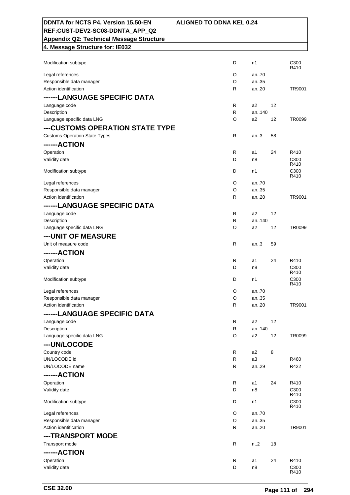| DDNTA for NCTS P4. Version 15.50-EN             | <b>ALIGNED TO DDNA KEL 0.24</b> |                      |                   |                          |
|-------------------------------------------------|---------------------------------|----------------------|-------------------|--------------------------|
| REF:CUST-DEV2-SC08-DDNTA APP Q2                 |                                 |                      |                   |                          |
| <b>Appendix Q2: Technical Message Structure</b> |                                 |                      |                   |                          |
| 4. Message Structure for: IE032                 |                                 |                      |                   |                          |
|                                                 |                                 |                      |                   |                          |
| Modification subtype                            | D                               | n1                   |                   | C <sub>300</sub><br>R410 |
| Legal references                                | O                               | an70                 |                   |                          |
| Responsible data manager                        | O                               | an35                 |                   |                          |
| Action identification                           | R                               | an20                 |                   | TR9001                   |
| ------LANGUAGE SPECIFIC DATA                    |                                 |                      |                   |                          |
| Language code                                   | R                               | a2                   | 12                |                          |
| Description                                     | R                               | an140                |                   |                          |
| Language specific data LNG                      | O                               | a2                   | $12 \overline{ }$ | TR0099                   |
| ---CUSTOMS OPERATION STATE TYPE                 |                                 |                      |                   |                          |
| <b>Customs Operation State Types</b>            | $\mathsf{R}$                    | an.3                 | 58                |                          |
| ------ACTION                                    |                                 |                      |                   |                          |
| Operation                                       | R                               | a1                   | 24                | R410                     |
| Validity date                                   | D                               | n8                   |                   | C <sub>300</sub>         |
|                                                 |                                 |                      |                   | R410                     |
| Modification subtype                            | D                               | n1                   |                   | C <sub>300</sub><br>R410 |
| Legal references                                | O                               | an70                 |                   |                          |
| Responsible data manager                        | O                               | an35                 |                   |                          |
| Action identification                           | $\mathsf{R}$                    | an20                 |                   | TR9001                   |
| ------LANGUAGE SPECIFIC DATA                    |                                 |                      |                   |                          |
| Language code                                   | R                               | a2                   | 12                |                          |
| Description                                     | R                               | an140                |                   |                          |
| Language specific data LNG                      | O                               | a2                   | 12                | TR0099                   |
| ---UNIT OF MEASURE                              |                                 |                      |                   |                          |
| Unit of measure code                            | R                               | an.3                 | 59                |                          |
| ------ACTION                                    |                                 |                      |                   |                          |
| Operation                                       | R                               | a1                   | 24                | R410                     |
| Validity date                                   | D                               | n8                   |                   | C <sub>300</sub><br>R410 |
| Modification subtype                            | D                               | n1                   |                   | C <sub>300</sub>         |
|                                                 |                                 |                      |                   | R410                     |
| Legal references                                | O                               | an70                 |                   |                          |
| Responsible data manager                        | O                               | an35                 |                   |                          |
| Action identification                           | R                               | an20                 |                   | TR9001                   |
| ------LANGUAGE SPECIFIC DATA                    |                                 |                      |                   |                          |
| Language code                                   | R                               | a2                   | 12                |                          |
| Description<br>Language specific data LNG       | R<br>O                          | an140<br>a2          | 12                | TR0099                   |
|                                                 |                                 |                      |                   |                          |
| ---UN/LOCODE                                    | $\mathsf{R}$                    |                      |                   |                          |
| Country code<br>UN/LOCODE id                    | R                               | a2<br>a <sub>3</sub> | 8                 | R460                     |
| UN/LOCODE name                                  | R                               | an29                 |                   | R422                     |
| ------ACTION                                    |                                 |                      |                   |                          |
| Operation                                       | $\mathsf{R}$                    | a1                   | 24                | R410                     |
| Validity date                                   | D                               | n8                   |                   | C <sub>300</sub>         |
|                                                 |                                 |                      |                   | R410                     |
| Modification subtype                            | D                               | n1                   |                   | C300<br>R410             |
| Legal references                                | O                               | an70                 |                   |                          |
| Responsible data manager                        | O                               | an35                 |                   |                          |
| Action identification                           | R                               | an20                 |                   | TR9001                   |
| ---TRANSPORT MODE                               |                                 |                      |                   |                          |
| Transport mode                                  | $\mathsf{R}$                    | n.2                  | 18                |                          |
| ------ACTION                                    |                                 |                      |                   |                          |
| Operation                                       | R                               | a1                   | 24                | R410                     |
| Validity date                                   | D                               | n8                   |                   | C300                     |
|                                                 |                                 |                      |                   | R410                     |

**r**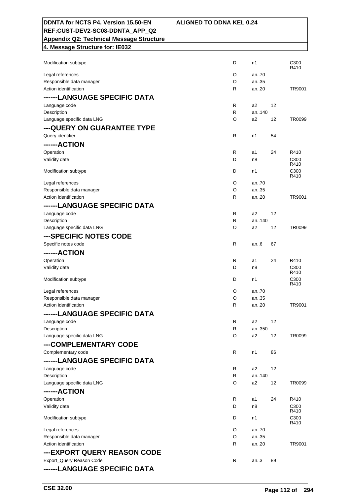| DDNTA for NCTS P4. Version 15.50-EN             | <b>ALIGNED TO DDNA KEL 0.24</b> |    |                          |
|-------------------------------------------------|---------------------------------|----|--------------------------|
| REF:CUST-DEV2-SC08-DDNTA APP Q2                 |                                 |    |                          |
| <b>Appendix Q2: Technical Message Structure</b> |                                 |    |                          |
| 4. Message Structure for: IE032                 |                                 |    |                          |
|                                                 |                                 |    |                          |
| Modification subtype                            | D<br>n1                         |    | C <sub>300</sub><br>R410 |
| Legal references                                | O<br>an70                       |    |                          |
| Responsible data manager                        | O<br>an35                       |    |                          |
| Action identification                           | an.20<br>R                      |    | TR9001                   |
| ------LANGUAGE SPECIFIC DATA                    |                                 |    |                          |
| Language code                                   | R<br>a2                         | 12 |                          |
| Description                                     | an140<br>R                      |    |                          |
| Language specific data LNG                      | a2<br>O                         | 12 | TR0099                   |
| --- QUERY ON GUARANTEE TYPE                     |                                 |    |                          |
| Query identifier                                | R<br>n1                         | 54 |                          |
|                                                 |                                 |    |                          |
| ------ACTION                                    |                                 |    |                          |
| Operation                                       | R<br>a1                         | 24 | R410                     |
| Validity date                                   | D<br>n8                         |    | C <sub>300</sub><br>R410 |
| Modification subtype                            | D<br>n1                         |    | C <sub>300</sub>         |
|                                                 |                                 |    | R410                     |
| Legal references                                | O<br>an70                       |    |                          |
| Responsible data manager                        | O<br>an35                       |    |                          |
| Action identification                           | R<br>an20                       |    | TR9001                   |
| ------LANGUAGE SPECIFIC DATA                    |                                 |    |                          |
| Language code                                   | R<br>a2                         | 12 |                          |
| Description                                     | an140<br>R                      |    |                          |
| Language specific data LNG                      | O<br>a2                         | 12 | TR0099                   |
| ---SPECIFIC NOTES CODE                          |                                 |    |                          |
| Specific notes code                             | R<br>an.6                       | 67 |                          |
| ------ACTION                                    |                                 |    |                          |
| Operation                                       | R<br>a1                         | 24 | R410                     |
| Validity date                                   | D<br>n8                         |    | C <sub>300</sub>         |
|                                                 |                                 |    | R410                     |
| Modification subtype                            | D<br>n1                         |    | C <sub>300</sub><br>R410 |
| Legal references                                | O<br>an70                       |    |                          |
| Responsible data manager                        | O<br>an35                       |    |                          |
| Action identification                           | R<br>an20                       |    | TR9001                   |
| ------LANGUAGE SPECIFIC DATA                    |                                 |    |                          |
| Language code                                   | R<br>a2                         | 12 |                          |
| Description                                     | R<br>an350                      |    |                          |
| Language specific data LNG                      | O<br>a2                         | 12 | TR0099                   |
| ---COMPLEMENTARY CODE                           |                                 |    |                          |
| Complementary code                              | R<br>n1                         | 86 |                          |
|                                                 |                                 |    |                          |
| ------LANGUAGE SPECIFIC DATA                    |                                 |    |                          |
| Language code                                   | R<br>a2                         | 12 |                          |
| Description                                     | R<br>an140                      |    |                          |
| Language specific data LNG                      | O<br>a2                         | 12 | TR0099                   |
| ------ACTION                                    |                                 |    |                          |
| Operation                                       | R<br>a1                         | 24 | R410                     |
| Validity date                                   | D<br>n8                         |    | C <sub>300</sub><br>R410 |
| Modification subtype                            | D<br>n1                         |    | C <sub>300</sub><br>R410 |
| Legal references                                | O<br>an70                       |    |                          |
| Responsible data manager                        | O<br>an35                       |    |                          |
| Action identification                           | R<br>an20                       |    | TR9001                   |
| ---EXPORT QUERY REASON CODE                     |                                 |    |                          |
| Export_Query Reason Code                        | R<br>an.3                       | 89 |                          |
| ------LANGUAGE SPECIFIC DATA                    |                                 |    |                          |
|                                                 |                                 |    |                          |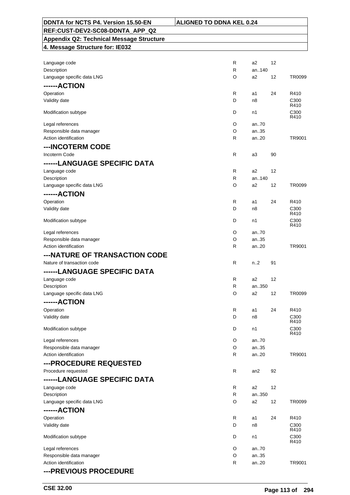| DDNTA for NCTS P4. Version 15.50-EN               | <b>ALIGNED TO DDNA KEL 0.24</b> |                  |    |                          |
|---------------------------------------------------|---------------------------------|------------------|----|--------------------------|
| REF:CUST-DEV2-SC08-DDNTA APP Q2                   |                                 |                  |    |                          |
| <b>Appendix Q2: Technical Message Structure</b>   |                                 |                  |    |                          |
| 4. Message Structure for: IE032                   |                                 |                  |    |                          |
|                                                   |                                 |                  |    |                          |
| Language code                                     | R                               | a <sub>2</sub>   | 12 |                          |
| Description                                       | $\mathsf{R}$                    | an140            |    |                          |
| Language specific data LNG                        | O                               | a2               | 12 | TR0099                   |
| ------ACTION                                      |                                 |                  |    |                          |
| Operation                                         | $\mathsf{R}$                    | a1               | 24 | R410                     |
| Validity date                                     | D                               | n8               |    | C300                     |
| Modification subtype                              | D                               | n1               |    | R410<br>C300             |
|                                                   |                                 |                  |    | R410                     |
| Legal references                                  | O<br>O                          | an.70<br>an35    |    |                          |
| Responsible data manager<br>Action identification | R                               | an20             |    | TR9001                   |
|                                                   |                                 |                  |    |                          |
| ---INCOTERM CODE                                  |                                 |                  |    |                          |
| <b>Incoterm Code</b>                              | $\mathsf{R}$                    | a3               | 90 |                          |
| ------LANGUAGE SPECIFIC DATA                      |                                 |                  |    |                          |
| Language code                                     | R                               | a2               | 12 |                          |
| Description                                       | $\mathsf{R}$                    | an140            |    |                          |
| Language specific data LNG                        | O                               | a2               | 12 | TR0099                   |
| ------ACTION                                      |                                 |                  |    |                          |
| Operation                                         | R                               | a1               | 24 | R410                     |
| Validity date                                     | D                               | n <sub>8</sub>   |    | C <sub>300</sub><br>R410 |
| Modification subtype                              | D                               | n1               |    | C <sub>300</sub>         |
|                                                   |                                 |                  |    | R410                     |
| Legal references                                  | O                               | an.70            |    |                          |
| Responsible data manager                          | O                               | an35             |    |                          |
| Action identification                             | R                               | an.20            |    | TR9001                   |
| ---NATURE OF TRANSACTION CODE                     |                                 |                  |    |                          |
| Nature of transaction code                        | $\mathsf{R}$                    | n <sub>1</sub> 2 | 91 |                          |
| ------LANGUAGE SPECIFIC DATA                      |                                 |                  |    |                          |
| Language code                                     | R                               | a2               | 12 |                          |
| Description                                       | $\mathsf R$                     | an350            |    |                          |
| Language specific data LNG                        | O                               | a2               | 12 | TR0099                   |
| ------ACTION                                      |                                 |                  |    |                          |
| Operation                                         | R                               | a1               | 24 | R410                     |
| Validity date                                     | D                               | n8               |    | C300                     |
| Modification subtype                              | D                               | n1               |    | R410<br>C300             |
|                                                   |                                 |                  |    | R410                     |
| Legal references                                  | O                               | an70             |    |                          |
| Responsible data manager                          | O                               | an35             |    |                          |
| Action identification                             | R                               | an20             |    | TR9001                   |
| ---PROCEDURE REQUESTED                            |                                 |                  |    |                          |
| Procedure requested                               | R                               | an2              | 92 |                          |
| ------LANGUAGE SPECIFIC DATA                      |                                 |                  |    |                          |
| Language code                                     | R                               | a <sub>2</sub>   | 12 |                          |
| Description                                       | R                               | an350            |    |                          |
| Language specific data LNG                        | O                               | a <sub>2</sub>   | 12 | TR0099                   |
| ------ACTION                                      |                                 |                  |    |                          |
| Operation                                         | R                               | a1               | 24 | R410                     |
| Validity date                                     | D                               | n8               |    | C <sub>300</sub>         |
|                                                   |                                 |                  |    | R410                     |
| Modification subtype                              | D                               | n1               |    | C300<br>R410             |
| Legal references                                  | O                               | an70             |    |                          |
| Responsible data manager                          | O                               | an35             |    |                          |
| Action identification                             | R                               | an20             |    | TR9001                   |
| --- PREVIOUS PROCEDURE                            |                                 |                  |    |                          |

T.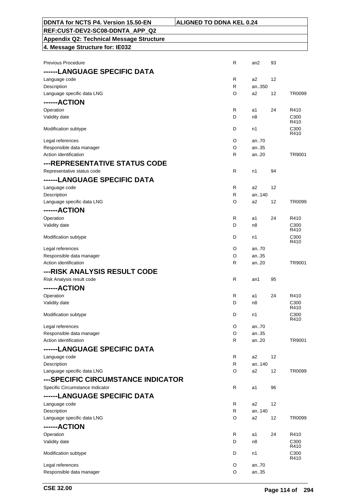| <b>ALIGNED TO DDNA KEL 0.24</b> |  |
|---------------------------------|--|
|---------------------------------|--|

## **DDNTA for NCTS P4. Version 15.50-EN REF:CUST-DEV2-SC08-DDNTA\_APP\_Q2 Appendix Q2: Technical Message Structure**

| Previous Procedure                 | R | an <sub>2</sub> | 93 |                          |
|------------------------------------|---|-----------------|----|--------------------------|
| ------LANGUAGE SPECIFIC DATA       |   |                 |    |                          |
| Language code                      | R | a2              | 12 |                          |
| Description                        | R | an350           |    |                          |
| Language specific data LNG         | O | a2              | 12 | TR0099                   |
| ------ACTION                       |   |                 |    |                          |
| Operation                          | R | a1              | 24 | R410                     |
| Validity date                      | D | n8              |    | C <sub>300</sub>         |
|                                    |   |                 |    | R410                     |
| Modification subtype               | D | n1              |    | C300<br>R410             |
| Legal references                   | O | an70            |    |                          |
| Responsible data manager           | O | an35            |    |                          |
| Action identification              | R | an20            |    | TR9001                   |
| ---REPRESENTATIVE STATUS CODE      |   |                 |    |                          |
| Representative status code         | R | n1              | 94 |                          |
|                                    |   |                 |    |                          |
| ------LANGUAGE SPECIFIC DATA       |   |                 |    |                          |
| Language code                      | R | a2              | 12 |                          |
| Description                        | R | an140           |    |                          |
| Language specific data LNG         | O | a2              | 12 | TR0099                   |
| ------ACTION                       |   |                 |    |                          |
| Operation                          | R | a1              | 24 | R410                     |
| Validity date                      | D | n8              |    | C <sub>300</sub><br>R410 |
| Modification subtype               | D | n1              |    | C300                     |
|                                    |   |                 |    | R410                     |
| Legal references                   | O | an.70           |    |                          |
| Responsible data manager           | O | an35            |    |                          |
| Action identification              | R | an20            |    | TR9001                   |
| ---RISK ANALYSIS RESULT CODE       |   |                 |    |                          |
| Risk Analysis result code          | R | an1             | 95 |                          |
| ------ACTION                       |   |                 |    |                          |
| Operation                          | R | a1              | 24 | R410                     |
| Validity date                      | D | n8              |    | C300                     |
|                                    |   |                 |    | R410                     |
| Modification subtype               | D | n1              |    | C300<br>R410             |
| Legal references                   | O | an70            |    |                          |
| Responsible data manager           | O | an35            |    |                          |
| Action identification              | R | an.20           |    | TR9001                   |
| ------LANGUAGE SPECIFIC DATA       |   |                 |    |                          |
| Language code                      | R | a2              | 12 |                          |
| Description                        | R | an140           |    |                          |
| Language specific data LNG         | O | a2              | 12 | TR0099                   |
| ---SPECIFIC CIRCUMSTANCE INDICATOR |   |                 |    |                          |
|                                    | R |                 | 96 |                          |
| Specific Circumstance Indicator    |   | a1              |    |                          |
| ------LANGUAGE SPECIFIC DATA       |   |                 |    |                          |
| Language code                      | R | a2              | 12 |                          |
| Description                        | R | an140           |    |                          |
| Language specific data LNG         | O | a2              | 12 | TR0099                   |
| ------ACTION                       |   |                 |    |                          |
| Operation                          | R | a1              | 24 | R410                     |
| Validity date                      | D | n8              |    | C <sub>300</sub><br>R410 |
| Modification subtype               | D | n1              |    | C300                     |
|                                    |   |                 |    | R410                     |
| Legal references                   | O | an70            |    |                          |
| Responsible data manager           | O | an35            |    |                          |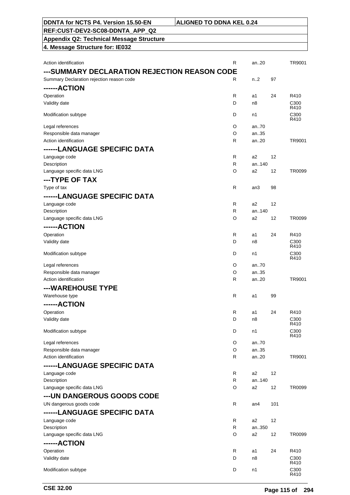| <b>Appendix Q2: Technical Message Structure</b> |              |                |     |                          |
|-------------------------------------------------|--------------|----------------|-----|--------------------------|
| 4. Message Structure for: IE032                 |              |                |     |                          |
| Action identification                           | R            | an20           |     | TR9001                   |
| ---SUMMARY DECLARATION REJECTION REASON CODE    |              |                |     |                          |
| Summary Declaration rejection reason code       | R            | n.2            | 97  |                          |
| ------ACTION                                    |              |                |     |                          |
| Operation                                       | R            | a1             | 24  | R410                     |
| Validity date                                   | D            | n <sub>8</sub> |     | C <sub>300</sub>         |
| Modification subtype                            | D            | n1             |     | R410<br>C300             |
|                                                 |              |                |     | R410                     |
| Legal references                                | O            | an70           |     |                          |
| Responsible data manager                        | O            | an35           |     |                          |
| Action identification                           | R            | an20           |     | TR9001                   |
| ------LANGUAGE SPECIFIC DATA                    |              |                |     |                          |
| Language code                                   | R            | a <sub>2</sub> | 12  |                          |
| Description                                     | R            | an140          |     |                          |
| Language specific data LNG                      | O            | a2             | 12  | TR0099                   |
| --- TYPE OF TAX                                 |              |                |     |                          |
| Type of tax                                     | R            | an3            | 98  |                          |
| ------LANGUAGE SPECIFIC DATA                    |              |                |     |                          |
| Language code                                   | R            | a2             | 12  |                          |
| Description                                     | R            | an140          |     |                          |
| Language specific data LNG                      | O            | a2             | 12  | TR0099                   |
| ------ACTION                                    |              |                |     |                          |
| Operation                                       | R            | a1             | 24  | R410                     |
| Validity date                                   | D            | n8             |     | C <sub>300</sub><br>R410 |
| Modification subtype                            | D            | n1             |     | C300<br>R410             |
| Legal references                                | O            | an.70          |     |                          |
| Responsible data manager                        | O            | an.35          |     |                          |
| Action identification                           | R            | an20           |     | TR9001                   |
| ---WAREHOUSE TYPE                               |              |                |     |                          |
| Warehouse type                                  | R            | a1             | 99  |                          |
| ------ACTION                                    |              |                |     |                          |
| Operation                                       | $\mathsf{R}$ | a1             | 24  | R410                     |
| Validity date                                   | D            | n8             |     | C <sub>300</sub><br>R410 |
| Modification subtype                            | D            | n1             |     | C <sub>300</sub><br>R410 |
| Legal references                                | O            | an70           |     |                          |
| Responsible data manager                        | O            | an35           |     |                          |
| Action identification                           | R            | an20           |     | TR9001                   |
| ------LANGUAGE SPECIFIC DATA                    |              |                |     |                          |
| Language code                                   | R            | a2             | 12  |                          |
| Description                                     | R            | an140          |     |                          |
| Language specific data LNG                      | O            | a2             | 12  | TR0099                   |
| --- UN DANGEROUS GOODS CODE                     |              |                |     |                          |
| UN dangerous goods code                         | R            | an4            | 101 |                          |
| ------LANGUAGE SPECIFIC DATA                    |              |                |     |                          |

**DDNTA for NCTS P4. Version 15.50-EN ALIGNED TO DDNA KEL 0.24**

**REF:CUST-DEV2-SC08-DDNTA\_APP\_Q2**

#### **------LANGUAGE SPECIFIC DATA** Language code **R** a 2 12 Description R an..350 Language specific data LNG and the Control of the Control of the Control of the Control of the Control of the TR0099 **------ACTION** Operation **Contract Contract Contract Contract Contract Contract Contract Contract Contract Contract Contract Contract Contract Contract Contract Contract Contract Contract Contract Contract Contract Contract Contract Cont** Validity date D n8 C300<br>R410 Modification subtype **D** n1 C300<br>R410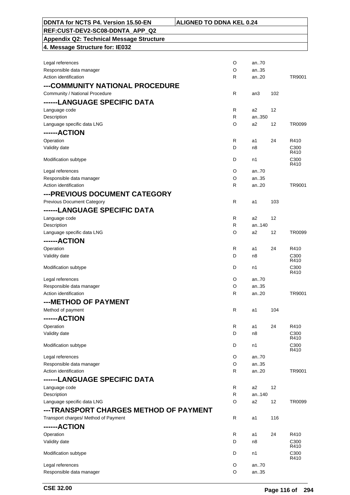| DDNTA for NCTS P4. Version 15.50-EN<br><b>ALIGNED TO DDNA KEL 0.24</b> |              |             |     |                          |
|------------------------------------------------------------------------|--------------|-------------|-----|--------------------------|
| REF:CUST-DEV2-SC08-DDNTA_APP_Q2                                        |              |             |     |                          |
| <b>Appendix Q2: Technical Message Structure</b>                        |              |             |     |                          |
| 4. Message Structure for: IE032                                        |              |             |     |                          |
|                                                                        |              |             |     |                          |
| Legal references                                                       | O            | an70        |     |                          |
| Responsible data manager                                               | O            | an35        |     |                          |
| Action identification                                                  | $\mathsf{R}$ | an20        |     | TR9001                   |
| ---COMMUNITY NATIONAL PROCEDURE                                        |              |             |     |                          |
| Community / National Procedure                                         | $\mathsf{R}$ | an3         | 102 |                          |
| ------LANGUAGE SPECIFIC DATA                                           |              |             |     |                          |
| Language code                                                          | R            | a2          | 12  |                          |
| Description                                                            | R            | an350       |     |                          |
| Language specific data LNG                                             | O            | a2          | 12  | TR0099                   |
| ------ACTION                                                           |              |             |     |                          |
| Operation                                                              | R            | a1          | 24  | R410                     |
| Validity date                                                          | D            | n8          |     | C <sub>300</sub><br>R410 |
| Modification subtype                                                   | D            | n1          |     | C300                     |
|                                                                        |              |             |     | R410                     |
| Legal references                                                       | O            | an.70       |     |                          |
| Responsible data manager                                               | O            | an35        |     |                          |
| Action identification                                                  | R            | an20        |     | TR9001                   |
| ---PREVIOUS DOCUMENT CATEGORY                                          |              |             |     |                          |
| <b>Previous Document Category</b>                                      | R            | a1          | 103 |                          |
| ------LANGUAGE SPECIFIC DATA                                           |              |             |     |                          |
| Language code                                                          | $\mathsf{R}$ | a2          | 12  |                          |
| Description                                                            | $\mathsf{R}$ | an140       |     |                          |
| Language specific data LNG                                             | O            | a2          | 12  | TR0099                   |
| ------ACTION                                                           |              |             |     |                          |
| Operation                                                              | R            | a1          | 24  | R410                     |
| Validity date                                                          | D            | n8          |     | C <sub>300</sub><br>R410 |
| Modification subtype                                                   | D            | n1          |     | C300                     |
|                                                                        |              |             |     | R410                     |
| Legal references                                                       | O            | an.70       |     |                          |
| Responsible data manager                                               | O            | an35        |     |                          |
| Action identification                                                  | R            | an20        |     | TR9001                   |
| ---METHOD OF PAYMENT                                                   |              |             |     |                          |
| Method of payment                                                      | $\mathsf{R}$ | a1          | 104 |                          |
| ------ACTION                                                           |              |             |     |                          |
| Operation                                                              | R            | a1          | 24  | R410                     |
| Validity date                                                          | D            | n8          |     | C <sub>300</sub><br>R410 |
| Modification subtype                                                   | D            | n1          |     | C <sub>300</sub>         |
|                                                                        |              |             |     | R410                     |
| Legal references                                                       | O            | an.70       |     |                          |
| Responsible data manager<br>Action identification                      | O            | an35        |     |                          |
|                                                                        | R            | an20        |     | TR9001                   |
| ------LANGUAGE SPECIFIC DATA                                           |              |             |     |                          |
| Language code                                                          | R            | a2          | 12  |                          |
| Description<br>Language specific data LNG                              | R<br>O       | an140<br>a2 | 12  | TR0099                   |
|                                                                        |              |             |     |                          |
| ---TRANSPORT CHARGES METHOD OF PAYMENT                                 |              |             |     |                          |
| Transport charges/ Method of Payment                                   | $\mathsf{R}$ | a1          | 116 |                          |
| ------ACTION                                                           |              |             |     |                          |
| Operation                                                              | R            | a1          | 24  | R410                     |
| Validity date                                                          | D            | n8          |     | C <sub>300</sub><br>R410 |
| Modification subtype                                                   | D            | n1          |     | C300                     |
|                                                                        |              |             |     | R410                     |
| Legal references                                                       | O<br>O       | an70        |     |                          |
| Responsible data manager                                               |              | an35        |     |                          |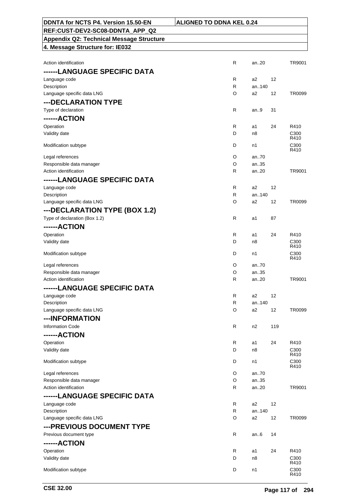| DDNTA for NCTS P4. Version 15.50-EN             | <b>ALIGNED TO DDNA KEL 0.24</b>   |     |                          |
|-------------------------------------------------|-----------------------------------|-----|--------------------------|
| REF:CUST-DEV2-SC08-DDNTA_APP_Q2                 |                                   |     |                          |
| <b>Appendix Q2: Technical Message Structure</b> |                                   |     |                          |
| 4. Message Structure for: IE032                 |                                   |     |                          |
|                                                 |                                   |     |                          |
| Action identification                           | R<br>an20                         |     | TR9001                   |
| ------LANGUAGE SPECIFIC DATA                    |                                   |     |                          |
| Language code                                   | R<br>a <sub>2</sub>               | 12  |                          |
| Description                                     | R<br>an140                        |     |                          |
| Language specific data LNG                      | O<br>a2                           | 12  | TR0099                   |
| ---DECLARATION TYPE                             |                                   |     |                          |
| Type of declaration                             | R<br>an.9                         | 31  |                          |
| ------ACTION                                    |                                   |     |                          |
| Operation                                       | R<br>a1                           | 24  | R410                     |
| Validity date                                   | D<br>n8                           |     | C <sub>300</sub>         |
| Modification subtype                            | D<br>n1                           |     | R410<br>C <sub>300</sub> |
|                                                 |                                   |     | R410                     |
| Legal references                                | O<br>an.70                        |     |                          |
| Responsible data manager                        | O<br>an.35                        |     |                          |
| Action identification                           | an20<br>R                         |     | TR9001                   |
| ------LANGUAGE SPECIFIC DATA                    |                                   |     |                          |
| Language code                                   | $\mathsf{R}$<br>a <sub>2</sub>    | 12  |                          |
| Description<br>Language specific data LNG       | R<br>an140<br>O<br>a <sub>2</sub> | 12  | TR0099                   |
|                                                 |                                   |     |                          |
| ---DECLARATION TYPE (BOX 1.2)                   | $\mathsf{R}$<br>a1                | 87  |                          |
| Type of declaration (Box 1.2)<br>------ACTION   |                                   |     |                          |
|                                                 | R<br>a1                           | 24  | R410                     |
| Operation<br>Validity date                      | D<br>n8                           |     | C <sub>300</sub>         |
|                                                 |                                   |     | R410                     |
| Modification subtype                            | D<br>n1                           |     | C300<br>R410             |
| Legal references                                | O<br>an70                         |     |                          |
| Responsible data manager                        | O<br>an35                         |     |                          |
| Action identification                           | R<br>an20                         |     | TR9001                   |
| ------LANGUAGE SPECIFIC DATA                    |                                   |     |                          |
| Language code                                   | R<br>a2                           | 12  |                          |
| Description<br>Language specific data LNG       | R<br>an140<br>O<br>a2             | 12  | TR0099                   |
| ---INFORMATION                                  |                                   |     |                          |
| <b>Information Code</b>                         | R<br>n <sub>2</sub>               | 119 |                          |
| ------ACTION                                    |                                   |     |                          |
| Operation                                       | $\mathsf{R}$<br>a1                | 24  | R410                     |
| Validity date                                   | D<br>n8                           |     | C <sub>300</sub>         |
|                                                 |                                   |     | R410                     |
| Modification subtype                            | D<br>n1                           |     | C300<br>R410             |
| Legal references                                | O<br>an70                         |     |                          |
| Responsible data manager                        | O<br>an35                         |     |                          |
| Action identification                           | R<br>an20                         |     | TR9001                   |
| ------LANGUAGE SPECIFIC DATA                    |                                   |     |                          |
| Language code                                   | R<br>a2                           | 12  |                          |
| Description                                     | R<br>an140                        |     |                          |
| Language specific data LNG                      | O<br>a2                           | 12  | TR0099                   |
| --- PREVIOUS DOCUMENT TYPE                      |                                   |     |                          |
| Previous document type                          | $\mathsf{R}$<br>an $6$            | 14  |                          |
| ------ACTION                                    |                                   |     |                          |
| Operation                                       | $\mathsf{R}$<br>a1                | 24  | R410                     |
| Validity date                                   | D<br>n8                           |     | C300<br>R410             |
| Modification subtype                            | D<br>n1                           |     | C300                     |
|                                                 |                                   |     | R410                     |

I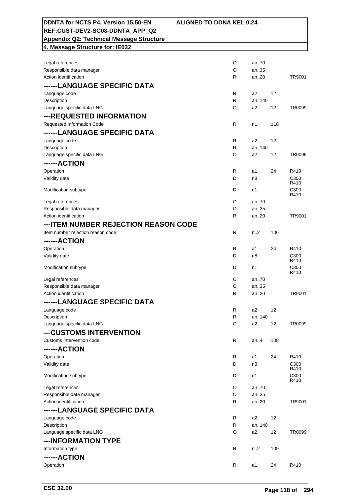| DDNTA for NCTS P4. Version 15.50-EN             | <b>ALIGNED TO DDNA KEL 0.24</b> |                  |     |                          |
|-------------------------------------------------|---------------------------------|------------------|-----|--------------------------|
| REF:CUST-DEV2-SC08-DDNTA APP Q2                 |                                 |                  |     |                          |
| <b>Appendix Q2: Technical Message Structure</b> |                                 |                  |     |                          |
| 4. Message Structure for: IE032                 |                                 |                  |     |                          |
|                                                 |                                 |                  |     |                          |
| Legal references                                | O                               | an.70            |     |                          |
| Responsible data manager                        | O                               | an35             |     |                          |
| Action identification                           | R                               | an20             |     | TR9001                   |
| ------LANGUAGE SPECIFIC DATA                    |                                 |                  |     |                          |
| Language code                                   | R                               | a2               | 12  |                          |
| Description                                     | R                               | an140            |     |                          |
| Language specific data LNG                      | O                               | a2               | 12  | TR0099                   |
| ---REQUESTED INFORMATION                        |                                 |                  |     |                          |
| Requested Information Code                      | R                               | n1               | 118 |                          |
|                                                 |                                 |                  |     |                          |
| ------LANGUAGE SPECIFIC DATA                    |                                 |                  |     |                          |
| Language code                                   | $\mathsf{R}$                    | a <sub>2</sub>   | 12  |                          |
| Description                                     | $\mathsf{R}$                    | an140            |     | TR0099                   |
| Language specific data LNG                      | O                               | a <sub>2</sub>   | 12  |                          |
| ------ACTION                                    |                                 |                  |     |                          |
| Operation                                       | R                               | a1               | 24  | R410                     |
| Validity date                                   | D                               | n <sub>8</sub>   |     | C <sub>300</sub><br>R410 |
| Modification subtype                            | D                               | n1               |     | C300                     |
|                                                 |                                 |                  |     | R410                     |
| Legal references                                | O                               | an.70            |     |                          |
| Responsible data manager                        | O                               | an35             |     |                          |
| Action identification                           | R                               | an20             |     | TR9001                   |
| --- ITEM NUMBER REJECTION REASON CODE           |                                 |                  |     |                          |
| Item number rejection reason code               | $\mathsf{R}$                    | n <sub>1</sub> 2 | 106 |                          |
| ------ACTION                                    |                                 |                  |     |                          |
| Operation                                       | R                               | a1               | 24  | R410                     |
| Validity date                                   | D                               | n <sub>8</sub>   |     | C <sub>300</sub>         |
|                                                 |                                 |                  |     | R410                     |
| Modification subtype                            | D                               | n1               |     | C300<br>R410             |
| Legal references                                | O                               | an.70            |     |                          |
| Responsible data manager                        | O                               | an35             |     |                          |
| Action identification                           | R                               | an20             |     | TR9001                   |
| ------LANGUAGE SPECIFIC DATA                    |                                 |                  |     |                          |
| Language code                                   | $\mathsf{R}$                    | a2               | 12  |                          |
| Description                                     | $\mathsf{R}$                    | an140            |     |                          |
| Language specific data LNG                      | O                               | a2               | 12  | <b>TR0099</b>            |
| ---CUSTOMS INTERVENTION                         |                                 |                  |     |                          |
| Customs Intervention code                       | R                               | an $4$           | 108 |                          |
| ------ACTION                                    |                                 |                  |     |                          |
| Operation                                       | R                               | a1               | 24  | R410                     |
| Validity date                                   | D                               | n8               |     | C <sub>300</sub>         |
|                                                 |                                 |                  |     | R410                     |
| Modification subtype                            | D                               | n1               |     | C <sub>300</sub>         |
| Legal references                                | O                               | an70             |     | R410                     |
| Responsible data manager                        | O                               | an35             |     |                          |
| Action identification                           | R                               | an20             |     | TR9001                   |
|                                                 |                                 |                  |     |                          |
| ------LANGUAGE SPECIFIC DATA                    |                                 |                  |     |                          |
| Language code                                   | R                               | a <sub>2</sub>   | 12  |                          |
| Description                                     | R<br>O                          | an140<br>a2      | 12  | TR0099                   |
| Language specific data LNG                      |                                 |                  |     |                          |
| ---INFORMATION TYPE                             |                                 |                  |     |                          |
| Information type                                | R                               | n <sub>2</sub>   | 109 |                          |
| ------ACTION                                    |                                 |                  |     |                          |
| Operation                                       | $\mathsf{R}$                    | a1               | 24  | R410                     |
|                                                 |                                 |                  |     |                          |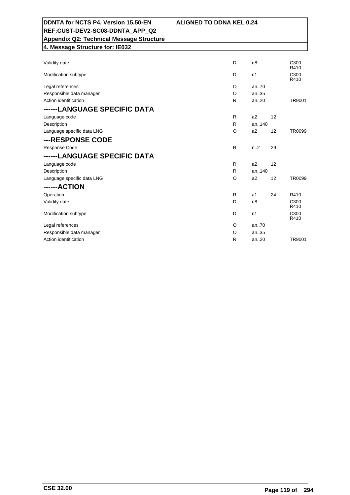| DDNTA for NCTS P4. Version 15.50-EN             | <b>ALIGNED TO DDNA KEL 0.24</b> |                  |    |                          |
|-------------------------------------------------|---------------------------------|------------------|----|--------------------------|
| REF:CUST-DEV2-SC08-DDNTA APP Q2                 |                                 |                  |    |                          |
| <b>Appendix Q2: Technical Message Structure</b> |                                 |                  |    |                          |
| 4. Message Structure for: IE032                 |                                 |                  |    |                          |
|                                                 |                                 |                  |    |                          |
| Validity date                                   | D                               | n8               |    | C <sub>300</sub><br>R410 |
| Modification subtype                            | D                               | n1               |    | C300<br>R410             |
| Legal references                                | O                               | an.70            |    |                          |
| Responsible data manager                        | O                               | an.35            |    |                          |
| Action identification                           | R                               | an.20            |    | TR9001                   |
| ------LANGUAGE SPECIFIC DATA                    |                                 |                  |    |                          |
| Language code                                   | R                               | a2               | 12 |                          |
| Description                                     | R                               | an140            |    |                          |
| Language specific data LNG                      | $\circ$                         | a2               | 12 | TR0099                   |
| <b>---RESPONSE CODE</b>                         |                                 |                  |    |                          |
| <b>Response Code</b>                            | R                               | n <sub>1</sub> 2 | 29 |                          |
| ------LANGUAGE SPECIFIC DATA                    |                                 |                  |    |                          |
| Language code                                   | R                               | a2               | 12 |                          |
| Description                                     | R                               | an140            |    |                          |
| Language specific data LNG                      | O                               | a2               | 12 | <b>TR0099</b>            |
| ------ACTION                                    |                                 |                  |    |                          |
| Operation                                       | R                               | a1               | 24 | R410                     |
| Validity date                                   | D                               | n8               |    | C300<br>R410             |
| Modification subtype                            | D                               | n1               |    | C300<br>R410             |
| Legal references                                | O                               | an.70            |    |                          |
| Responsible data manager                        | $\circ$                         | an35             |    |                          |
| Action identification                           | R                               | an.20            |    | TR9001                   |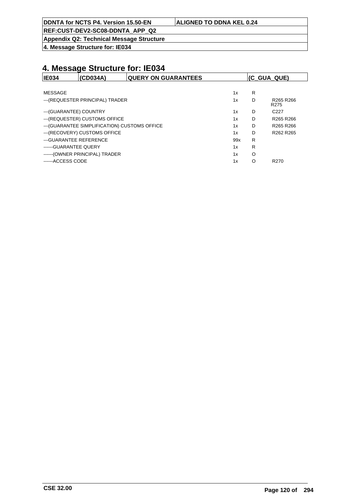**DDNTA for NCTS P4. Version 15.50-EN ALIGNED TO DDNA KEL 0.24**

**REF:CUST-DEV2-SC08-DDNTA\_APP\_Q2**

**Appendix Q2: Technical Message Structure**

**4. Message Structure for: IE034**

| <b>IE034</b>                     | (CD034A)                                      | <b>QUERY ON GUARANTEES</b> |     |   | (C_GUA_QUE)                                           |  |  |
|----------------------------------|-----------------------------------------------|----------------------------|-----|---|-------------------------------------------------------|--|--|
|                                  |                                               |                            |     |   |                                                       |  |  |
| MESSAGE                          |                                               |                            | 1x  | R |                                                       |  |  |
| --- (REQUESTER PRINCIPAL) TRADER |                                               |                            |     | D | R <sub>265</sub> R <sub>266</sub><br>R <sub>275</sub> |  |  |
| --- (GUARANTEE) COUNTRY          |                                               |                            |     | D | C <sub>227</sub>                                      |  |  |
| --- (REQUESTER) CUSTOMS OFFICE   |                                               |                            | 1x  | D | R265 R266                                             |  |  |
|                                  | --- (GUARANTEE SIMPLIFICATION) CUSTOMS OFFICE |                            | 1x  | D | R <sub>265</sub> R <sub>266</sub>                     |  |  |
|                                  | --- (RECOVERY) CUSTOMS OFFICE                 |                            | 1x  | D | R262 R265                                             |  |  |
| --- GUARANTEE REFERENCE          |                                               |                            | 99x | R |                                                       |  |  |
| ------ GUARANTEE QUERY           |                                               |                            | 1x  | R |                                                       |  |  |
|                                  | ------ (OWNER PRINCIPAL) TRADER               |                            | 1x  | O |                                                       |  |  |
| ------ACCESS CODE                |                                               |                            | 1x  | O | R <sub>270</sub>                                      |  |  |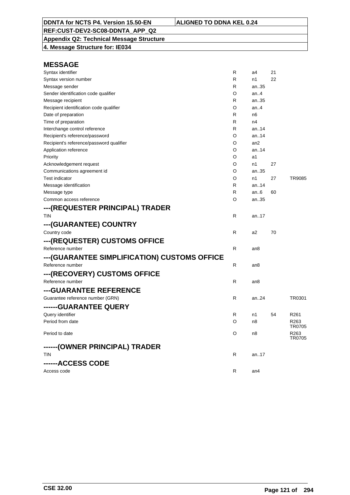# **Appendix Q2: Technical Message Structure**

**4. Message Structure for: IE034**

| Syntax identifier                            | R  | a4              | 21 |                            |
|----------------------------------------------|----|-----------------|----|----------------------------|
| Syntax version number                        | R  | n1              | 22 |                            |
| Message sender                               | R  | an35            |    |                            |
| Sender identification code qualifier         | O  | an.4            |    |                            |
| Message recipient                            | R  | an35            |    |                            |
| Recipient identification code qualifier      | O  | an.4            |    |                            |
| Date of preparation                          | R  | n6              |    |                            |
| Time of preparation                          | R  | n4              |    |                            |
| Interchange control reference                | R  | an14            |    |                            |
| Recipient's reference/password               | O  | an14            |    |                            |
| Recipient's reference/password qualifier     | O  | an <sub>2</sub> |    |                            |
| Application reference                        | O  | an.14           |    |                            |
| Priority                                     | O  | a1              |    |                            |
| Acknowledgement request                      | O  | n1              | 27 |                            |
| Communications agreement id                  | O  | an35            |    |                            |
| <b>Test indicator</b>                        | O  | n1              | 27 | TR9085                     |
| Message identification                       | R  | an14            |    |                            |
| Message type                                 | R  | an.6            | 60 |                            |
| Common access reference                      | O  | an35            |    |                            |
| ---(REQUESTER PRINCIPAL) TRADER              |    |                 |    |                            |
| <b>TIN</b>                                   | R  | an17            |    |                            |
| --- (GUARANTEE) COUNTRY                      |    |                 |    |                            |
| Country code                                 | R. | a2              | 70 |                            |
| ---(REQUESTER) CUSTOMS OFFICE                |    |                 |    |                            |
| Reference number                             | R  | an8             |    |                            |
| ---(GUARANTEE SIMPLIFICATION) CUSTOMS OFFICE |    |                 |    |                            |
| Reference number                             | R  | an <sub>8</sub> |    |                            |
| ---(RECOVERY) CUSTOMS OFFICE                 |    |                 |    |                            |
| Reference number                             | R  | an <sub>8</sub> |    |                            |
| ---GUARANTEE REFERENCE                       |    |                 |    |                            |
| Guarantee reference number (GRN)             | R  | an24            |    | TR0301                     |
| ------GUARANTEE QUERY                        |    |                 |    |                            |
| Query identifier                             | R  | n1              | 54 | R <sub>261</sub>           |
| Period from date                             | O  | n8              |    | R <sub>263</sub>           |
|                                              |    |                 |    | TR0705                     |
| Period to date                               | O  | n8              |    | R <sub>263</sub><br>TR0705 |
| ------(OWNER PRINCIPAL) TRADER               |    |                 |    |                            |
| <b>TIN</b>                                   | R  | an17            |    |                            |
|                                              |    |                 |    |                            |
| ------ACCESS CODE                            |    |                 |    |                            |
| Access code                                  | R  | an4             |    |                            |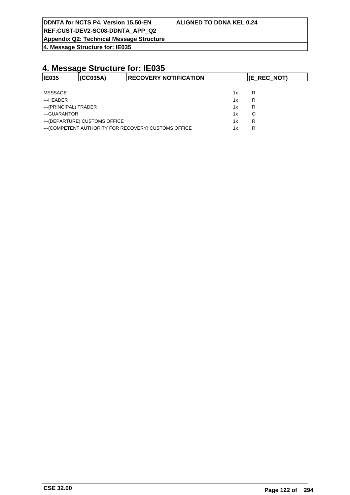|  |  |  |  | DDNTA for NCTS P4. Version 15.50-EN |
|--|--|--|--|-------------------------------------|
|--|--|--|--|-------------------------------------|

#### **ALIGNED TO DDNA KEL 0.24**

**REF:CUST-DEV2-SC08-DDNTA\_APP\_Q2**

**Appendix Q2: Technical Message Structure**

**4. Message Structure for: IE035**

| <b>IE035</b>          | (CC035A)                       | <b>RECOVERY NOTIFICATION</b>                          |    | (E_REC_NOT) |
|-----------------------|--------------------------------|-------------------------------------------------------|----|-------------|
|                       |                                |                                                       |    |             |
| <b>MESSAGE</b>        |                                |                                                       | 1x | R           |
| ---HEADER             |                                |                                                       | 1x | R           |
| ---(PRINCIPAL) TRADER |                                |                                                       | 1x | R           |
| ---GUARANTOR          |                                |                                                       | 1x | O           |
|                       | --- (DEPARTURE) CUSTOMS OFFICE |                                                       | 1x | R           |
|                       |                                | --- (COMPETENT AUTHORITY FOR RECOVERY) CUSTOMS OFFICE | 1x | R           |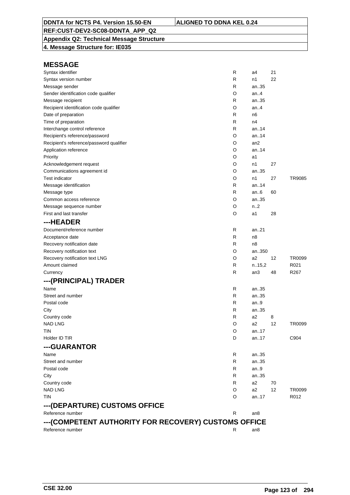**Appendix Q2: Technical Message Structure 4. Message Structure for: IE035**

| Syntax identifier                                    | R | a4     | 21 |                  |
|------------------------------------------------------|---|--------|----|------------------|
| Syntax version number                                | R | n1     | 22 |                  |
| Message sender                                       | R | an35   |    |                  |
| Sender identification code qualifier                 | O | an4    |    |                  |
| Message recipient                                    | R | an35   |    |                  |
| Recipient identification code qualifier              | O | an4    |    |                  |
| Date of preparation                                  | R | n6     |    |                  |
| Time of preparation                                  | R | n4     |    |                  |
| Interchange control reference                        | R | an14   |    |                  |
| Recipient's reference/password                       | O | an14   |    |                  |
| Recipient's reference/password qualifier             | O | an2    |    |                  |
| Application reference                                | O | an.14  |    |                  |
| Priority                                             | O | a1     |    |                  |
| Acknowledgement request                              | O | n1     | 27 |                  |
| Communications agreement id                          | O | an35   |    |                  |
| <b>Test indicator</b>                                | O | n1     | 27 | TR9085           |
| Message identification                               | R | an14   |    |                  |
| Message type                                         | R | an6    | 60 |                  |
| Common access reference                              | O | an35   |    |                  |
| Message sequence number                              | O | n.2    |    |                  |
| First and last transfer                              | O | a1     | 28 |                  |
| ---HEADER                                            |   |        |    |                  |
| Document/reference number                            | R | an21   |    |                  |
| Acceptance date                                      | R | n8     |    |                  |
| Recovery notification date                           | R | n8     |    |                  |
| Recovery notification text                           | O | an350  |    |                  |
| Recovery notification text LNG                       | O | a2     | 12 | TR0099           |
| Amount claimed                                       | R | n.15,2 |    | R021             |
| Currency                                             | R | an3    | 48 | R <sub>267</sub> |
| ---(PRINCIPAL) TRADER                                |   |        |    |                  |
| Name                                                 | R | an35   |    |                  |
| Street and number                                    | R | an35   |    |                  |
| Postal code                                          | R | an9    |    |                  |
| City                                                 | R | an35   |    |                  |
| Country code                                         | R | a2     | 8  |                  |
| NAD LNG                                              | O | a2     | 12 | TR0099           |
| <b>TIN</b>                                           | O | an17   |    |                  |
| Holder ID TIR                                        | D | an17   |    | C904             |
| ---GUARANTOR                                         |   |        |    |                  |
| Name                                                 | R | an35   |    |                  |
| Street and number                                    | R | an35   |    |                  |
| Postal code                                          | R | an $9$ |    |                  |
| City                                                 | R | an35   |    |                  |
| Country code                                         | R | a2     | 70 |                  |
| <b>NAD LNG</b>                                       | O | a2     | 12 | TR0099           |
| <b>TIN</b>                                           | O | an17   |    | R012             |
| ---(DEPARTURE) CUSTOMS OFFICE                        |   |        |    |                  |
| Reference number                                     | R | an8    |    |                  |
| ---(COMPETENT AUTHORITY FOR RECOVERY) CUSTOMS OFFICE |   |        |    |                  |
| Reference number                                     | R | an8    |    |                  |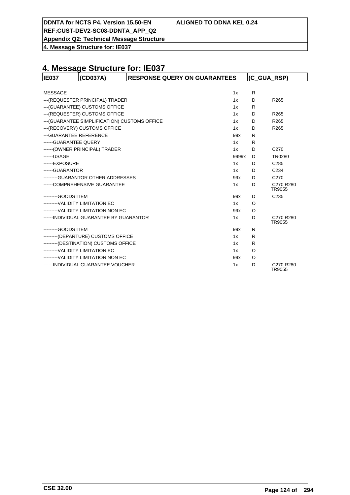**DDNTA for NCTS P4. Version 15.50-EN ALIGNED TO DDNA KEL 0.24**

**REF:CUST-DEV2-SC08-DDNTA\_APP\_Q2**

**Appendix Q2: Technical Message Structure**

**4. Message Structure for: IE037**

| <b>IE037</b>            | (CD037A)                                      | <b>RESPONSE QUERY ON GUARANTEES</b> |       |         | (C GUA RSP)                                 |
|-------------------------|-----------------------------------------------|-------------------------------------|-------|---------|---------------------------------------------|
|                         |                                               |                                     |       |         |                                             |
| <b>MESSAGE</b>          |                                               |                                     | 1x    | R       |                                             |
|                         | --- (REQUESTER PRINCIPAL) TRADER              |                                     | 1x    | D       | R265                                        |
|                         | --- (GUARANTEE) CUSTOMS OFFICE                |                                     | 1x    | R       |                                             |
|                         | --- (REQUESTER) CUSTOMS OFFICE                |                                     | 1x    | D       | R <sub>265</sub>                            |
|                         | --- (GUARANTEE SIMPLIFICATION) CUSTOMS OFFICE |                                     | 1x    | D       | R265                                        |
|                         | --- (RECOVERY) CUSTOMS OFFICE                 |                                     | 1x    | D       | R <sub>265</sub>                            |
| --- GUARANTEE REFERENCE |                                               |                                     | 99x   | R       |                                             |
| ------ GUARANTEE QUERY  |                                               |                                     | 1x    | R.      |                                             |
|                         | ------ (OWNER PRINCIPAL) TRADER               |                                     | 1x    | D       | C <sub>270</sub>                            |
| ------USAGE             |                                               |                                     | 9999x | D       | TR0280                                      |
| ------EXPOSURE          |                                               |                                     | 1x    | D       | C <sub>285</sub>                            |
| ------GUARANTOR         |                                               |                                     | 1x    | D       | C <sub>234</sub>                            |
|                         | ---------GUARANTOR OTHER ADDRESSES            |                                     | 99x   | D       | C <sub>270</sub>                            |
|                         | ------COMPREHENSIVE GUARANTEE                 |                                     | 1x    | D       | C270 R280<br>TR9055                         |
| ---------GOODS ITEM     |                                               |                                     | 99x   | D       | C <sub>235</sub>                            |
|                         | ---------VALIDITY LIMITATION EC               |                                     | 1x    | O       |                                             |
|                         | ---------VALIDITY LIMITATION NON EC           |                                     | 99x   | O       |                                             |
|                         | ------ INDIVIDUAL GUARANTEE BY GUARANTOR      |                                     | 1x    | D       | C <sub>270</sub> R <sub>280</sub><br>TR9055 |
| ---------GOODS ITEM     |                                               |                                     | 99x   | R       |                                             |
|                         | ---------(DEPARTURE) CUSTOMS OFFICE           |                                     | 1x    | R       |                                             |
|                         | --------(DESTINATION) CUSTOMS OFFICE          |                                     | 1x    | R       |                                             |
|                         | ---------VALIDITY LIMITATION EC               |                                     | 1x    | $\circ$ |                                             |
|                         | --------- VALIDITY LIMITATION NON EC          |                                     | 99x   | O       |                                             |
|                         | ------ INDIVIDUAL GUARANTEE VOUCHER           |                                     | 1x    | D       | C270 R280<br>TR9055                         |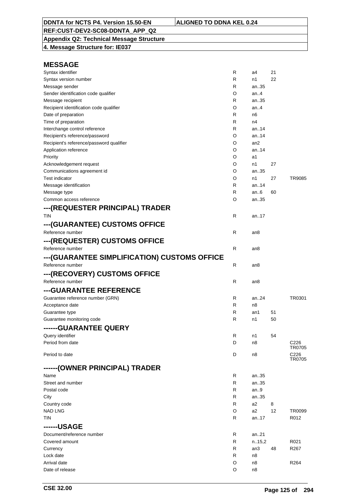#### **DDNTA for NCTS P4. Version 15.50-EN ALIGNED TO DDNA KEL 0.24**

#### **REF:CUST-DEV2-SC08-DDNTA\_APP\_Q2 Appendix Q2: Technical Message Structure**

**4. Message Structure for: IE037**

| Syntax identifier                             | R            | a4              | 21 |                            |
|-----------------------------------------------|--------------|-----------------|----|----------------------------|
| Syntax version number                         | R            | n1              | 22 |                            |
| Message sender                                | R            | an35            |    |                            |
| Sender identification code qualifier          | O            | an.4            |    |                            |
| Message recipient                             | R            | an35            |    |                            |
| Recipient identification code qualifier       | O            | an.4            |    |                            |
| Date of preparation                           | R            | n6              |    |                            |
| Time of preparation                           | R            | n4              |    |                            |
| Interchange control reference                 | R            | an14            |    |                            |
| Recipient's reference/password                | O            | an14            |    |                            |
| Recipient's reference/password qualifier      | O            | an <sub>2</sub> |    |                            |
| Application reference                         | O            | an14            |    |                            |
| Priority                                      | O            | a1              |    |                            |
| Acknowledgement request                       | O            | n1              | 27 |                            |
| Communications agreement id                   | O            | an35            |    |                            |
| <b>Test indicator</b>                         | O            | n1              | 27 | <b>TR9085</b>              |
| Message identification                        | R            | an14            |    |                            |
| Message type                                  | R            | an6             | 60 |                            |
| Common access reference                       | O            | an35            |    |                            |
| ---(REQUESTER PRINCIPAL) TRADER               |              |                 |    |                            |
| <b>TIN</b>                                    | R            | an.17           |    |                            |
| --- (GUARANTEE) CUSTOMS OFFICE                |              |                 |    |                            |
| Reference number                              | R            | an8             |    |                            |
|                                               |              |                 |    |                            |
| ---(REQUESTER) CUSTOMS OFFICE                 |              |                 |    |                            |
| Reference number                              | $\mathsf{R}$ | an8             |    |                            |
| --- (GUARANTEE SIMPLIFICATION) CUSTOMS OFFICE |              |                 |    |                            |
| Reference number                              | R            | an8             |    |                            |
| ---(RECOVERY) CUSTOMS OFFICE                  |              |                 |    |                            |
| Reference number                              | R            | an8             |    |                            |
| --- GUARANTEE REFERENCE                       |              |                 |    |                            |
| Guarantee reference number (GRN)              | R            | an24            |    | TR0301                     |
| Acceptance date                               | R            | n8              |    |                            |
| Guarantee type                                | R            | an1             | 51 |                            |
| Guarantee monitoring code                     | R            | n1              | 50 |                            |
| ------ GUARANTEE QUERY                        |              |                 |    |                            |
|                                               |              |                 |    |                            |
| Query identifier                              | ${\sf R}$    | n1              | 54 |                            |
| Period from date                              | D            | n8              |    | C <sub>226</sub><br>TR0705 |
| Period to date                                | D            | n8              |    | C226                       |
|                                               |              |                 |    | <b>TR0705</b>              |
| ------(OWNER PRINCIPAL) TRADER                |              |                 |    |                            |
| Name                                          | R            | an35            |    |                            |
| Street and number                             | R            | an35            |    |                            |
| Postal code                                   | R            | an.9            |    |                            |
| City                                          | R            | an35            |    |                            |
| Country code                                  | R            | a2              | 8  |                            |
| <b>NAD LNG</b>                                | O            | a2              | 12 | TR0099                     |
| <b>TIN</b>                                    | R            | an17            |    | R012                       |
| ------USAGE                                   |              |                 |    |                            |
| Document/reference number                     | R            | an21            |    |                            |
| Covered amount                                | R            | n.15,2          |    | R021                       |
| Currency                                      | R            | an3             | 48 | R267                       |
| Lock date                                     | R            | n8              |    |                            |
| Arrival date                                  | O            | n8              |    | R264                       |
| Date of release                               | O            | n8              |    |                            |
|                                               |              |                 |    |                            |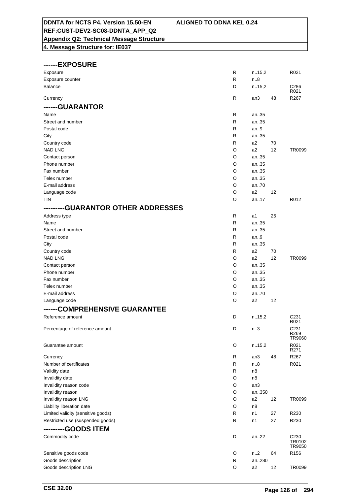## **Appendix Q2: Technical Message Structure**

| ------EXPOSURE                                 |              |        |    |                          |
|------------------------------------------------|--------------|--------|----|--------------------------|
| Exposure                                       | $\mathsf{R}$ | n.15,2 |    | R021                     |
| Exposure counter                               | $\mathsf{R}$ | n.8    |    |                          |
| <b>Balance</b>                                 | D            | n.15,2 |    | C286<br>R021             |
| Currency                                       | $\mathsf{R}$ | an3    | 48 | R267                     |
| ------GUARANTOR                                |              |        |    |                          |
| Name                                           | R            | an35   |    |                          |
| Street and number                              | R            | an35   |    |                          |
| Postal code                                    | R            | an.9   |    |                          |
| City                                           | R            | an35   |    |                          |
| Country code                                   | R            | a2     | 70 |                          |
| <b>NAD LNG</b>                                 | O            | a2     | 12 | TR0099                   |
| Contact person                                 | O            | an35   |    |                          |
| Phone number                                   | O            | an35   |    |                          |
| Fax number                                     | O            | an35   |    |                          |
| Telex number                                   | O            | an35   |    |                          |
| E-mail address                                 | O            | an70   |    |                          |
| Language code                                  | O            | a2     | 12 |                          |
| <b>TIN</b>                                     | O            | an17   |    | R012                     |
| <b>--GUARANTOR OTHER ADDRESSES</b><br>-------- |              |        |    |                          |
| Address type                                   | R            | a1     | 25 |                          |
| Name                                           | $\mathsf{R}$ | an35   |    |                          |
| Street and number                              | R            | an35   |    |                          |
| Postal code                                    | R            | an.9   |    |                          |
| City                                           | R            | an35   |    |                          |
| Country code                                   | R            | a2     | 70 |                          |
| <b>NAD LNG</b>                                 | O            | a2     | 12 | TR0099                   |
| Contact person                                 | O            | an35   |    |                          |
| Phone number                                   | O            | an35   |    |                          |
| Fax number                                     | O            | an35   |    |                          |
| Telex number                                   | O            | an35   |    |                          |
| E-mail address                                 | O            | an70   |    |                          |
| Language code                                  | O            | a2     | 12 |                          |
| ------COMPREHENSIVE GUARANTEE                  |              |        |    |                          |
| Reference amount                               | D            | n.15,2 |    | C <sub>231</sub><br>R021 |
| Percentage of reference amount                 | D            | n3     |    | C <sub>231</sub>         |
|                                                |              |        |    | R269<br>TR9060           |
| Guarantee amount                               | O            | n.15,2 |    | R021                     |
|                                                |              |        |    | R271                     |
| Currency                                       | R            | an3    | 48 | R267                     |
| Number of certificates                         | R            | n.8    |    | R021                     |
| Validity date                                  | R            | n8     |    |                          |
| Invalidity date                                | O            | n8     |    |                          |
| Invalidity reason code                         | O            | an3    |    |                          |
| Invalidity reason                              | O            | an350  |    |                          |
| Invalidity reason LNG                          | O            | a2     | 12 | TR0099                   |
| Liability liberation date                      | O            | n8     |    |                          |
| Limited validity (sensitive goods)             | R            | n1     | 27 | R230                     |
| Restricted use (suspended goods)               | R            | n1     | 27 | R230                     |
| ---------GOODS ITEM                            |              |        |    |                          |
| Commodity code                                 | D            | an22   |    | C230<br>TR0102<br>TR9050 |
| Sensitive goods code                           | O            | n.2    | 64 | R <sub>156</sub>         |
| Goods description                              | R            | an280  |    |                          |
| Goods description LNG                          | O            | a2     | 12 | TR0099                   |
|                                                |              |        |    |                          |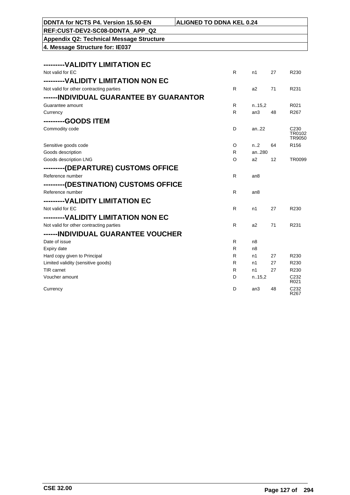| DDNTA for NCTS P4. Version 15.50-EN             | <b>ALIGNED TO DDNA KEL 0.24</b> |         |                  |    |                         |
|-------------------------------------------------|---------------------------------|---------|------------------|----|-------------------------|
| REF:CUST-DEV2-SC08-DDNTA APP Q2                 |                                 |         |                  |    |                         |
| <b>Appendix Q2: Technical Message Structure</b> |                                 |         |                  |    |                         |
| 4. Message Structure for: IE037                 |                                 |         |                  |    |                         |
|                                                 |                                 |         |                  |    |                         |
| ---------VALIDITY LIMITATION EC                 |                                 |         |                  |    |                         |
| Not valid for EC                                |                                 | R.      | n1               | 27 | R230                    |
| ---------VALIDITY LIMITATION NON EC             |                                 |         |                  |    |                         |
| Not valid for other contracting parties         |                                 | R.      | a2               | 71 | R231                    |
| ------INDIVIDUAL GUARANTEE BY GUARANTOR         |                                 |         |                  |    |                         |
| Guarantee amount                                |                                 | R.      | n.15,2           |    | R <sub>021</sub>        |
| Currency                                        |                                 | R.      | an3              | 48 | R <sub>267</sub>        |
| ---------GOODS ITEM                             |                                 |         |                  |    |                         |
| Commodity code                                  |                                 | D       | an.22            |    | C <sub>230</sub>        |
|                                                 |                                 |         |                  |    | <b>TR0102</b><br>TR9050 |
| Sensitive goods code                            |                                 | $\circ$ | n <sub>1</sub> 2 | 64 | R <sub>156</sub>        |
| Goods description                               |                                 | R       | an280            |    |                         |
| Goods description LNG                           |                                 | $\circ$ | a2               | 12 | <b>TR0099</b>           |
| --------(DEPARTURE) CUSTOMS OFFICE              |                                 |         |                  |    |                         |
| Reference number                                |                                 | R.      | an <sub>8</sub>  |    |                         |
| ---------(DESTINATION) CUSTOMS OFFICE           |                                 |         |                  |    |                         |
| Reference number                                |                                 | R.      | an <sub>8</sub>  |    |                         |
| --------VALIDITY LIMITATION EC                  |                                 |         |                  |    |                         |
| Not valid for EC                                |                                 | R       | n1               | 27 | R230                    |
| ---------VALIDITY LIMITATION NON EC             |                                 |         |                  |    |                         |
| Not valid for other contracting parties         |                                 | R       | a2               | 71 | R231                    |
| ------INDIVIDUAL GUARANTEE VOUCHER              |                                 |         |                  |    |                         |
| Date of issue                                   |                                 | R       | n <sub>8</sub>   |    |                         |
| Expiry date                                     |                                 | R       | n8               |    |                         |
| Hard copy given to Principal                    |                                 | R.      | n1               | 27 | R <sub>230</sub>        |

Limited validity (sensitive goods) and the control of the control of the control of the control of the control of the control of the control of the control of the control of the control of the control of the control of the TIR carnet **R** n1 27 R230

 Currency D an3 48 C232

Voucher amount D n..15,2

C<sub>232</sub><br>R021

C<sub>232</sub><br>R<sub>267</sub>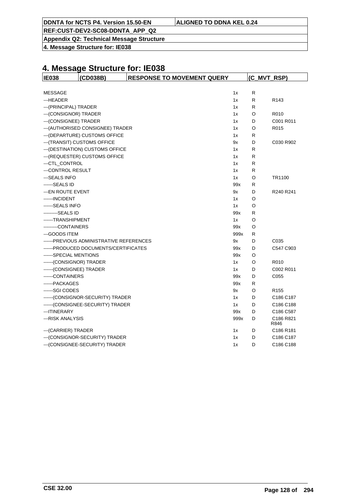|  |  | DDNTA for NCTS P4. Version 15.50-EN |
|--|--|-------------------------------------|
|  |  |                                     |

#### **ALIGNED TO DDNA KEL 0.24**

**REF:CUST-DEV2-SC08-DDNTA\_APP\_Q2**

**Appendix Q2: Technical Message Structure**

**4. Message Structure for: IE038**

| <b>IE038</b>             | (CD038B)                                 | <b>RESPONSE TO MOVEMENT QUERY</b> |      |         | (C_MVT_RSP)       |  |  |  |
|--------------------------|------------------------------------------|-----------------------------------|------|---------|-------------------|--|--|--|
|                          |                                          |                                   |      |         |                   |  |  |  |
| <b>MESSAGE</b>           |                                          |                                   | 1x   | R       |                   |  |  |  |
| ---HEADER                |                                          |                                   | 1x   | R       | R <sub>143</sub>  |  |  |  |
| --- (PRINCIPAL) TRADER   |                                          |                                   | 1x   | R       |                   |  |  |  |
| --- (CONSIGNOR) TRADER   |                                          |                                   | 1x   | O       | R010              |  |  |  |
| --- (CONSIGNEE) TRADER   |                                          |                                   | 1x   | D       | C001 R011         |  |  |  |
|                          | --- (AUTHORISED CONSIGNEE) TRADER        |                                   | 1x   | O       | R015              |  |  |  |
|                          | --- (DEPARTURE) CUSTOMS OFFICE           |                                   | 1x   | R       |                   |  |  |  |
|                          | --- (TRANSIT) CUSTOMS OFFICE             |                                   | 9x   | D       | C030 R902         |  |  |  |
|                          | --- (DESTINATION) CUSTOMS OFFICE         |                                   | 1x   | R       |                   |  |  |  |
|                          | --- (REQUESTER) CUSTOMS OFFICE           |                                   | 1x   | R       |                   |  |  |  |
| ---CTL_CONTROL           |                                          |                                   | 1x   | R       |                   |  |  |  |
| ---CONTROL RESULT        |                                          |                                   | 1x   | R       |                   |  |  |  |
| ---SEALS INFO            |                                          |                                   | 1x   | O       | TR1100            |  |  |  |
| ------SEALS ID           |                                          |                                   | 99x  | R       |                   |  |  |  |
| ---EN ROUTE EVENT        |                                          |                                   | 9x   | D       | R240 R241         |  |  |  |
| ------INCIDENT           |                                          |                                   | 1x   | O       |                   |  |  |  |
| ------SEALS INFO         |                                          |                                   | 1x   | O       |                   |  |  |  |
| ---------SEALS ID        |                                          |                                   | 99x  | R       |                   |  |  |  |
| ------TRANSHIPMENT       |                                          |                                   | 1x   | O       |                   |  |  |  |
| ---------CONTAINERS      |                                          |                                   | 99x  | $\circ$ |                   |  |  |  |
| ---GOODS ITEM            |                                          |                                   | 999x | R       |                   |  |  |  |
|                          | ------PREVIOUS ADMINISTRATIVE REFERENCES |                                   | 9x   | D       | C035              |  |  |  |
|                          | ------PRODUCED DOCUMENTS/CERTIFICATES    |                                   | 99x  | D       | C547 C903         |  |  |  |
| ------SPECIAL MENTIONS   |                                          |                                   | 99x  | O       |                   |  |  |  |
| ------(CONSIGNOR) TRADER |                                          |                                   | 1x   | O       | R010              |  |  |  |
| ------(CONSIGNEE) TRADER |                                          |                                   | 1x   | D       | C002 R011         |  |  |  |
| -----CONTAINERS          |                                          |                                   | 99x  | D       | C055              |  |  |  |
| ------PACKAGES           |                                          |                                   | 99x  | R       |                   |  |  |  |
| ------SGI CODES          |                                          |                                   | 9x   | O       | R <sub>155</sub>  |  |  |  |
|                          | ------ (CONSIGNOR-SECURITY) TRADER       |                                   | 1x   | D       | C186 C187         |  |  |  |
|                          | ------(CONSIGNEE-SECURITY) TRADER        |                                   | 1x   | D       | C186 C188         |  |  |  |
| --- ITINERARY            |                                          |                                   | 99x  | D       | C186 C587         |  |  |  |
| --- RISK ANALYSIS        |                                          |                                   | 999x | D       | C186 R821<br>R846 |  |  |  |
| --- (CARRIER) TRADER     |                                          |                                   | 1x   | D       | C186 R181         |  |  |  |
|                          | --- (CONSIGNOR-SECURITY) TRADER          |                                   | 1x   | D       | C186 C187         |  |  |  |
|                          | --- (CONSIGNEE-SECURITY) TRADER          |                                   | 1x   | D       | C186 C188         |  |  |  |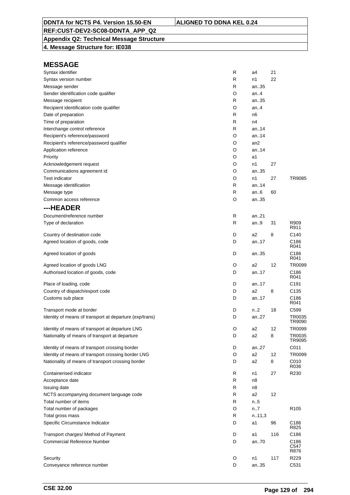## **Appendix Q2: Technical Message Structure**

**4. Message Structure for: IE038**

| Syntax identifier                                       | R | a4              | 21  |                      |
|---------------------------------------------------------|---|-----------------|-----|----------------------|
| Syntax version number                                   | R | n1              | 22  |                      |
| Message sender                                          | R | an35            |     |                      |
| Sender identification code qualifier                    | O | an4             |     |                      |
| Message recipient                                       | R | an35            |     |                      |
| Recipient identification code qualifier                 | O | an4             |     |                      |
| Date of preparation                                     | R | n6              |     |                      |
| Time of preparation                                     | R | n4              |     |                      |
| Interchange control reference                           | R | an. $.14$       |     |                      |
| Recipient's reference/password                          | O | an14            |     |                      |
| Recipient's reference/password qualifier                | O | an <sub>2</sub> |     |                      |
| Application reference                                   | O | an14            |     |                      |
| Priority                                                | O | a1              |     |                      |
| Acknowledgement request                                 | O | n1              | 27  |                      |
| Communications agreement id                             | O | an35            |     |                      |
| <b>Test indicator</b>                                   | O | n1              | 27  | TR9085               |
| Message identification                                  | R | an14            |     |                      |
| Message type                                            | R | an6             | 60  |                      |
| Common access reference                                 | O | an35            |     |                      |
|                                                         |   |                 |     |                      |
| ---HEADER                                               |   |                 |     |                      |
| Document/reference number                               | R | an21            |     |                      |
| Type of declaration                                     | R | an $9$          | 31  | R909<br>R911         |
| Country of destination code                             | D | a2              | 8   | C140                 |
|                                                         | D | an17            |     | C186                 |
| Agreed location of goods, code                          |   |                 |     | R041                 |
| Agreed location of goods                                | D | an35            |     | C186<br>R041         |
| Agreed location of goods LNG                            | O | a2              | 12  | TR0099               |
| Authorised location of goods, code                      | D | an17            |     | C186<br>R041         |
| Place of loading, code                                  | D | an17            |     | C <sub>191</sub>     |
| Country of dispatch/export code                         | D | a2              | 8   | C <sub>135</sub>     |
| Customs sub place                                       | D | an17            |     | C186                 |
|                                                         |   |                 |     | R041                 |
| Transport mode at border                                | D | n2              | 18  | C599                 |
| Identity of means of transport at departure (exp/trans) | D | an27            |     | TR0035<br>TR9090     |
| Identity of means of transport at departure LNG         | O | a2              | 12  | TR0099               |
| Nationality of means of transport at departure          | D | a2              | 8   | TR0035<br>TR9095     |
| Identity of means of transport crossing border          | D | an27            |     | C011                 |
| Identity of means of transport crossing border LNG      | O | a <sub>2</sub>  | 12  | TR0099               |
| Nationality of means of transport crossing border       | D | a <sub>2</sub>  | 8   | C010<br>R036         |
| Containerised indicator                                 | R | n1              | 27  | R230                 |
| Acceptance date                                         | R | n8              |     |                      |
| Issuing date                                            | R | n8              |     |                      |
| NCTS accompanying document language code                | R | a2              | 12  |                      |
| Total number of items                                   | R | n.5             |     |                      |
| Total number of packages                                | O | n7              |     | R <sub>105</sub>     |
| Total gross mass                                        | R | n.11,3          |     |                      |
| Specific Circumstance Indicator                         | D | a1              | 96  | C186                 |
|                                                         |   |                 |     | R825                 |
| Transport charges/ Method of Payment                    | D | a1              | 116 | C186                 |
| <b>Commercial Reference Number</b>                      | D | an70            |     | C186<br>C547<br>R876 |
| Security                                                | O | n1              | 117 | R229                 |
| Conveyance reference number                             | D | an35            |     | C531                 |
|                                                         |   |                 |     |                      |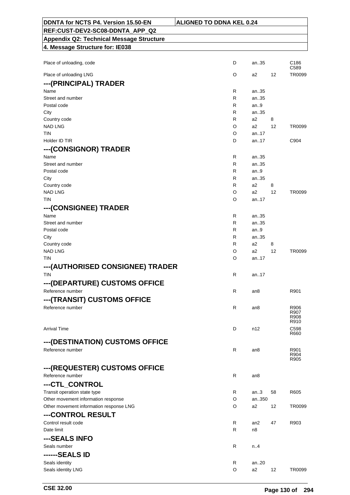| DDNTA for NCTS P4. Version 15.50-EN               | <b>ALIGNED TO DDNA KEL 0.24</b> |              |    |                          |
|---------------------------------------------------|---------------------------------|--------------|----|--------------------------|
| REF:CUST-DEV2-SC08-DDNTA_APP_Q2                   |                                 |              |    |                          |
| <b>Appendix Q2: Technical Message Structure</b>   |                                 |              |    |                          |
| 4. Message Structure for: IE038                   |                                 |              |    |                          |
| Place of unloading, code                          | D                               | an35         |    | C <sub>186</sub><br>C589 |
| Place of unloading LNG                            | O                               | a2           | 12 | TR0099                   |
| ---(PRINCIPAL) TRADER                             |                                 |              |    |                          |
| Name                                              | R                               | an35         |    |                          |
| Street and number                                 | R                               | an35         |    |                          |
| Postal code                                       | R<br>R                          | an.9         |    |                          |
| City<br>Country code                              | R                               | an35<br>a2   | 8  |                          |
| <b>NAD LNG</b>                                    | O                               | a2           | 12 | TR0099                   |
| <b>TIN</b>                                        | O                               | an17         |    |                          |
| Holder ID TIR                                     | D                               | an17         |    | C904                     |
| ---(CONSIGNOR) TRADER                             |                                 |              |    |                          |
| Name                                              | R                               | an35         |    |                          |
| Street and number                                 | R                               | an35         |    |                          |
| Postal code<br>City                               | R<br>R                          | an.9<br>an35 |    |                          |
| Country code                                      | R                               | a2           | 8  |                          |
| <b>NAD LNG</b>                                    | O                               | a2           | 12 | TR0099                   |
| <b>TIN</b>                                        | O                               | an17         |    |                          |
| ---(CONSIGNEE) TRADER                             |                                 |              |    |                          |
| Name                                              | R                               | an35         |    |                          |
| Street and number                                 | R                               | an35         |    |                          |
| Postal code                                       | R                               | an.9         |    |                          |
| City<br>Country code                              | R<br>R                          | an35<br>a2   | 8  |                          |
| <b>NAD LNG</b>                                    | O                               | a2           | 12 | TR0099                   |
| TIN                                               | O                               | an17         |    |                          |
| ---(AUTHORISED CONSIGNEE) TRADER                  |                                 |              |    |                          |
| <b>TIN</b>                                        | R                               | an17         |    |                          |
| ---(DEPARTURE) CUSTOMS OFFICE<br>Reference number | R.                              | an8          |    | R901                     |
| ---(TRANSIT) CUSTOMS OFFICE                       |                                 |              |    |                          |
| Reference number                                  | R                               | an8          |    | R906                     |
|                                                   |                                 |              |    | R907<br>R908             |
|                                                   |                                 |              |    | R910                     |
| <b>Arrival Time</b>                               | D                               | n12          |    | C598<br>R660             |
| --- (DESTINATION) CUSTOMS OFFICE                  |                                 |              |    |                          |
| Reference number                                  | R                               | an8          |    | R901                     |
|                                                   |                                 |              |    | R904<br>R905             |
| ---(REQUESTER) CUSTOMS OFFICE                     |                                 |              |    |                          |
| Reference number                                  | R                               | an8          |    |                          |
| ---CTL_CONTROL                                    |                                 |              |    |                          |
| Transit operation state type                      | R                               | an.3         | 58 | R605                     |
| Other movement information response               | O                               | an350        |    |                          |
| Other movement information response LNG           | O                               | a2           | 12 | TR0099                   |
| ---CONTROL RESULT                                 |                                 |              |    |                          |
| Control result code                               | R                               | an2          | 47 | R903                     |
| Date limit                                        | $\mathsf{R}$                    | n8           |    |                          |
| ---SEALS INFO                                     |                                 |              |    |                          |
| Seals number                                      | R                               | n.4          |    |                          |
| ------SEALS ID                                    |                                 |              |    |                          |
| Seals identity                                    | R                               | an20         |    |                          |
| Seals identity LNG                                | O                               | a2           | 12 | TR0099                   |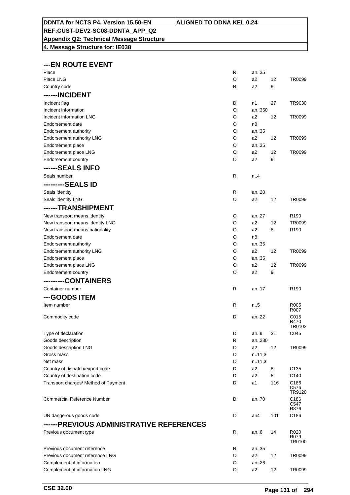**DDNTA for NCTS P4. Version 15.50-EN ALIGNED TO DDNA KEL 0.24**

## **REF:CUST-DEV2-SC08-DDNTA\_APP\_Q2**

**Appendix Q2: Technical Message Structure**

**4. Message Structure for: IE038**

#### **---EN ROUTE EVENT**

| Place                                    | R      | an35                             |         |                          |
|------------------------------------------|--------|----------------------------------|---------|--------------------------|
| Place LNG                                | O      | a <sub>2</sub>                   | 12      | TR0099                   |
| Country code                             | R      | a <sub>2</sub>                   | 9       |                          |
| ------INCIDENT                           |        |                                  |         |                          |
| Incident flag                            | D      | n1                               | 27      | TR9030                   |
| Incident information                     | O      | an350                            |         |                          |
| Incident information LNG                 | O      | a <sub>2</sub>                   | 12      | TR0099                   |
| Endorsement date                         | O      | n8                               |         |                          |
| Endorsement authority                    | O      | an35                             |         |                          |
| <b>Endorsement authority LNG</b>         | O      | a <sub>2</sub>                   | 12      | TR0099                   |
| Endorsement place                        | O      | an35                             |         |                          |
| Endorsement place LNG                    | O      | a <sub>2</sub>                   | 12      | TR0099                   |
| Endorsement country                      | O      | a <sub>2</sub>                   | 9       |                          |
| ------SEALS INFO                         |        |                                  |         |                          |
| Seals number                             | R      | n.4                              |         |                          |
| ---------SEALS ID                        |        |                                  |         |                          |
| Seals identity                           | R      | an20                             |         |                          |
| Seals identity LNG                       | O      | a <sub>2</sub>                   | 12      | <b>TR0099</b>            |
| ------TRANSHIPMENT                       |        |                                  |         |                          |
| New transport means identity             | O      | an27                             |         | R <sub>190</sub>         |
|                                          | O      | a <sub>2</sub>                   | 12      | TR0099                   |
| New transport means identity LNG         | O      | a <sub>2</sub>                   | 8       | R <sub>190</sub>         |
| New transport means nationality          | O      | n8                               |         |                          |
| Endorsement date                         | O      |                                  |         |                          |
| Endorsement authority                    | O      | an35<br>a <sub>2</sub>           | 12      | TR0099                   |
| <b>Endorsement authority LNG</b>         |        |                                  |         |                          |
| Endorsement place                        | O      | an35                             |         |                          |
| Endorsement place LNG                    | O<br>O | a <sub>2</sub><br>a <sub>2</sub> | 12<br>9 | TR0099                   |
| Endorsement country                      |        |                                  |         |                          |
| ---------CONTAINERS                      |        |                                  |         |                          |
| Container number                         | R      | an17                             |         | R <sub>190</sub>         |
| ---GOODS ITEM                            |        |                                  |         |                          |
| Item number                              | R      | n.5                              |         | R <sub>005</sub><br>R007 |
| Commodity code                           | D      | an22                             |         | C015<br>R470<br>TR0102   |
| Type of declaration                      | D      | an.9                             | 31      | C045                     |
| Goods description                        | R      | an280                            |         |                          |
| Goods description LNG                    | O      | a <sub>2</sub>                   | 12      | TR0099                   |
| Gross mass                               | O      | n.11,3                           |         |                          |
| Net mass                                 | O      | n.11,3                           |         |                          |
| Country of dispatch/export code          | D      | a <sub>2</sub>                   | 8       | C <sub>135</sub>         |
| Country of destination code              | D      | a2                               | 8       | C140                     |
| Transport charges/ Method of Payment     | D      | a1                               | 116     | C186<br>C576<br>TR9120   |
| <b>Commercial Reference Number</b>       | D      | an70                             |         | C186<br>C547<br>R876     |
| UN dangerous goods code                  | O      | an4                              | 101     | C186                     |
| ------PREVIOUS ADMINISTRATIVE REFERENCES |        |                                  |         |                          |
| Previous document type                   | R      | an.6                             | 14      | R020                     |
|                                          |        |                                  |         | R079<br>TR0100           |
| Previous document reference              | R      | an35                             |         |                          |
| Previous document reference LNG          | O      | a <sub>2</sub>                   | 12      | TR0099                   |
| Complement of information                | O      | an26                             |         |                          |
| Complement of information LNG            | O      | a2                               | 12      | TR0099                   |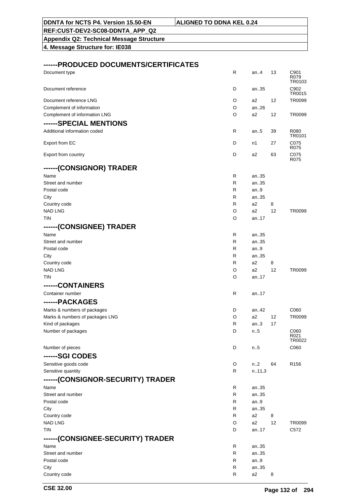| DDNTA for NCTS P4. Version 15.50-EN | <b>ALIGNED TO DDNA KEL 0.24</b> |
|-------------------------------------|---------------------------------|
|                                     |                                 |

**Appendix Q2: Technical Message Structure**

**4. Message Structure for: IE038**

#### **------PRODUCED DOCUMENTS/CERTIFICATES**

| Document type                     | R      | an4              | 13 | C901<br>R079<br>TR0103 |
|-----------------------------------|--------|------------------|----|------------------------|
| Document reference                | D      | an35             |    | C902<br>TR0015         |
| Document reference LNG            | O      | a2               | 12 | TR0099                 |
| Complement of information         | O      | an26             |    |                        |
| Complement of information LNG     | O      | a2               | 12 | TR0099                 |
| ------SPECIAL MENTIONS            |        |                  |    |                        |
| Additional information coded      | R      | an5              | 39 | R080<br>TR0101         |
| Export from EC                    | D      | n1               | 27 | C075<br>R075           |
| Export from country               | D      | a2               | 63 | C075<br>R075           |
| ------(CONSIGNOR) TRADER          |        |                  |    |                        |
| Name                              | R      | an35             |    |                        |
| Street and number                 | R      | an35             |    |                        |
| Postal code                       | R      | an.9             |    |                        |
| City                              | R      | an35             |    |                        |
| Country code                      | R      | a2               | 8  |                        |
| <b>NAD LNG</b>                    | O      | a2               | 12 | TR0099                 |
| <b>TIN</b>                        | O      | an17             |    |                        |
| ------(CONSIGNEE) TRADER          |        |                  |    |                        |
| Name                              | R      | an.35            |    |                        |
| Street and number                 | R      | an35             |    |                        |
| Postal code                       | R      | an.9             |    |                        |
| City                              | R      | an35             |    |                        |
| Country code                      | R      | a2               | 8  |                        |
| <b>NAD LNG</b>                    | O      | a2               | 12 | TR0099                 |
| TIN                               | O      | an17             |    |                        |
| ------CONTAINERS                  |        |                  |    |                        |
| Container number                  | R      | an17             |    |                        |
| ------PACKAGES                    |        |                  |    |                        |
| Marks & numbers of packages       | D      | an42             |    | C060                   |
| Marks & numbers of packages LNG   | O      | a2               | 12 | TR0099                 |
| Kind of packages                  | R      | an.3             | 17 |                        |
| Number of packages                | D      | n.5              |    | C060<br>R021           |
| Number of pieces                  | D      | n.5              |    | TR0022<br>C060         |
| ------SGI CODES                   |        |                  |    |                        |
| Sensitive goods code              | O      | n <sub>1</sub> 2 | 64 | R <sub>156</sub>       |
| Sensitive quantity                | R      | n.11,3           |    |                        |
| ------(CONSIGNOR-SECURITY) TRADER |        |                  |    |                        |
|                                   |        |                  |    |                        |
| Name<br>Street and number         | R<br>R | an35<br>an35     |    |                        |
| Postal code                       | R      | an.9             |    |                        |
| City                              | R      | an35             |    |                        |
| Country code                      | R      | a2               | 8  |                        |
| <b>NAD LNG</b>                    | O      | a2               | 12 | TR0099                 |
| TIN                               | D      | an17             |    | C <sub>572</sub>       |
| ------(CONSIGNEE-SECURITY) TRADER |        |                  |    |                        |
| Name                              | R      | an35             |    |                        |
| Street and number                 | R      | an35             |    |                        |
| Postal code                       | R      | an.9             |    |                        |
| City                              | R      | an35             |    |                        |
| Country code                      | R      | a2               | 8  |                        |
|                                   |        |                  |    |                        |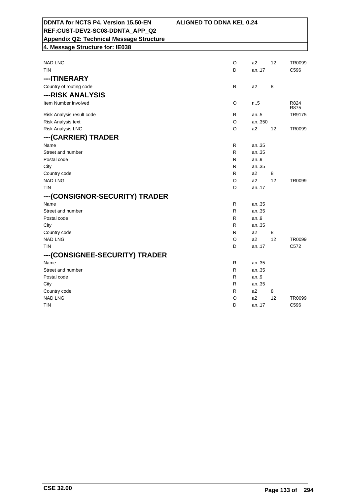| DDNTA for NCTS P4. Version 15.50-EN             | <b>ALIGNED TO DDNA KEL 0.24</b> |                |    |               |
|-------------------------------------------------|---------------------------------|----------------|----|---------------|
| REF:CUST-DEV2-SC08-DDNTA APP Q2                 |                                 |                |    |               |
| <b>Appendix Q2: Technical Message Structure</b> |                                 |                |    |               |
| 4. Message Structure for: IE038                 |                                 |                |    |               |
|                                                 |                                 |                |    |               |
| <b>NAD LNG</b>                                  | O                               | a2             | 12 | TR0099        |
| <b>TIN</b>                                      | D                               | an17           |    | C596          |
| ---ITINERARY                                    |                                 |                |    |               |
| Country of routing code                         | R                               | a2             | 8  |               |
| ---RISK ANALYSIS                                |                                 |                |    |               |
| Item Number involved                            | O                               | n.5            |    | R824          |
|                                                 |                                 |                |    | R875          |
| Risk Analysis result code                       | R                               | an.5           |    | TR9175        |
| Risk Analysis text                              | O                               | an350          |    |               |
| <b>Risk Analysis LNG</b>                        | O                               | a2             | 12 | <b>TR0099</b> |
| ---(CARRIER) TRADER                             |                                 |                |    |               |
| Name                                            | R                               | an35           |    |               |
| Street and number                               | R.                              | an35           |    |               |
| Postal code                                     | R                               | an.9           |    |               |
| City                                            | R                               | an35           |    |               |
| Country code                                    | R                               | a <sub>2</sub> | 8  |               |
| <b>NAD LNG</b>                                  | O                               | a2             | 12 | <b>TR0099</b> |
| <b>TIN</b>                                      | O                               | an17           |    |               |
| ---(CONSIGNOR-SECURITY) TRADER                  |                                 |                |    |               |
| Name                                            | R                               | an35           |    |               |
| Street and number                               | R                               | an35           |    |               |
| Postal code                                     | R                               | an.9           |    |               |
| City                                            | R                               | an35           |    |               |
| Country code                                    | R                               | a2             | 8  |               |
| <b>NAD LNG</b>                                  | O                               | a <sub>2</sub> | 12 | <b>TR0099</b> |
| <b>TIN</b>                                      | D                               | an17           |    | C572          |
| ---(CONSIGNEE-SECURITY) TRADER                  |                                 |                |    |               |
| Name                                            | R                               | an35           |    |               |
| Street and number                               | R.                              | an35           |    |               |
| Postal code                                     | R                               | an9            |    |               |
| City                                            | R                               | an35           |    |               |
| Country code                                    | R                               | a2             | 8  |               |
| <b>NAD LNG</b>                                  | O                               | a2             | 12 | TR0099        |
| <b>TIN</b>                                      | D                               | an17           |    | C596          |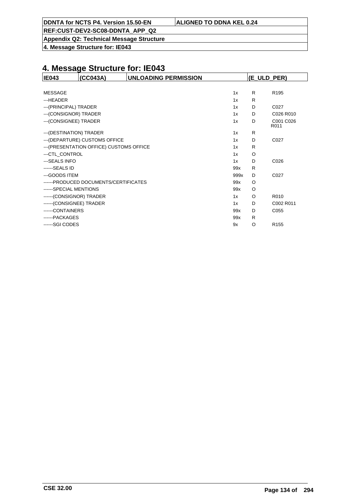**Appendix Q2: Technical Message Structure**

**4. Message Structure for: IE043**

| <b>IE043</b>             | (CC043A)                                 | <b>UNLOADING PERMISSION</b> | (E ULD PER) |         |                   |
|--------------------------|------------------------------------------|-----------------------------|-------------|---------|-------------------|
|                          |                                          |                             |             |         |                   |
| <b>MESSAGE</b>           |                                          |                             | 1x          | R       | R <sub>195</sub>  |
| ---HEADER                |                                          |                             | 1x          | R       |                   |
| ---(PRINCIPAL) TRADER    |                                          |                             | 1x          | D       | C <sub>027</sub>  |
| --- (CONSIGNOR) TRADER   |                                          |                             | 1x          | D       | C026 R010         |
| --- (CONSIGNEE) TRADER   |                                          |                             | 1x          | D       | C001 C026<br>R011 |
| --- (DESTINATION) TRADER |                                          |                             | 1x          | R       |                   |
|                          | --- (DEPARTURE) CUSTOMS OFFICE           |                             | 1x          | D       | C027              |
|                          | --- (PRESENTATION OFFICE) CUSTOMS OFFICE |                             | 1x          | R       |                   |
| ---CTL_CONTROL           |                                          |                             | 1x          | $\circ$ |                   |
| --- SEALS INFO           |                                          |                             | 1x          | D       | C026              |
| ------SEALS ID           |                                          |                             | 99x         | R       |                   |
| ---GOODS ITEM            |                                          |                             | 999x        | D       | C027              |
|                          | ------PRODUCED DOCUMENTS/CERTIFICATES    |                             | 99x         | O       |                   |
| ------SPECIAL MENTIONS   |                                          |                             | 99x         | O       |                   |
| ------(CONSIGNOR) TRADER |                                          |                             | 1x          | O       | R010              |
| ------(CONSIGNEE) TRADER |                                          |                             | 1x          | D       | C002 R011         |
| -----CONTAINERS          |                                          |                             | 99x         | D       | C <sub>055</sub>  |
| ------PACKAGES           |                                          |                             | 99x         | R       |                   |
| -----SGI CODES           |                                          |                             | 9x          | O       | R <sub>155</sub>  |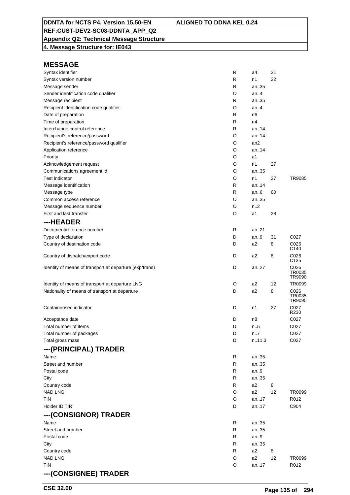**Appendix Q2: Technical Message Structure 4. Message Structure for: IE043**

| Syntax identifier                                       | R | a4              | 21 |                |
|---------------------------------------------------------|---|-----------------|----|----------------|
| Syntax version number                                   | R | n1              | 22 |                |
| Message sender                                          | R | an35            |    |                |
| Sender identification code qualifier                    | O | an4             |    |                |
| Message recipient                                       | R | an35            |    |                |
| Recipient identification code qualifier                 | O | an.4            |    |                |
| Date of preparation                                     | R | n6              |    |                |
| Time of preparation                                     | R | n4              |    |                |
| Interchange control reference                           | R | an14            |    |                |
| Recipient's reference/password                          | O | an14            |    |                |
| Recipient's reference/password qualifier                | O | an <sub>2</sub> |    |                |
| Application reference                                   | O | an14            |    |                |
| Priority                                                | O | a1              |    |                |
| Acknowledgement request                                 | O | n1              | 27 |                |
| Communications agreement id                             | O | an35            |    |                |
| <b>Test indicator</b>                                   | O | n1              | 27 | TR9085         |
| Message identification                                  | R | an14            |    |                |
| Message type                                            | R | an6             | 60 |                |
| Common access reference                                 | O | an35            |    |                |
| Message sequence number                                 | O | n2              |    |                |
| First and last transfer                                 | O | a1              | 28 |                |
| ---HEADER                                               |   |                 |    |                |
| Document/reference number                               | R | an21            |    |                |
| Type of declaration                                     | D | an.9            | 31 | C027           |
| Country of destination code                             | D | a2              | 8  | C026           |
|                                                         |   |                 |    | C140           |
| Country of dispatch/export code                         | D | a2              | 8  | C026<br>C135   |
| Identity of means of transport at departure (exp/trans) | D | an27            |    | C026           |
|                                                         |   |                 |    | TR0035         |
|                                                         |   |                 |    | TR9090         |
| Identity of means of transport at departure LNG         | O | a2              | 12 | TR0099         |
| Nationality of means of transport at departure          | D | a2              | 8  | C026<br>TR0035 |
|                                                         |   |                 |    | TR9095         |
| Containerised indicator                                 | D | n1              | 27 | C027           |
|                                                         |   |                 |    | R230           |
| Acceptance date                                         | D | n8              |    | C027           |
| Total number of items                                   | D | n.5             |    | C027           |
| Total number of packages                                | D | n7              |    | C027           |
| Total gross mass                                        | D | n.11,3          |    | C027           |
| ---(PRINCIPAL) TRADER                                   |   |                 |    |                |
| Name                                                    | R | an35            |    |                |
| Street and number                                       | R | an35            |    |                |
| Postal code                                             | R | an9             |    |                |
| City                                                    | R | an35            |    |                |
| Country code                                            | R | a2              | 8  |                |
| <b>NAD LNG</b>                                          | O | a2              | 12 | TR0099         |
| TIN                                                     | O | an17            |    | R012           |
| Holder ID TIR                                           | D | an17            |    | C904           |
| ---(CONSIGNOR) TRADER                                   |   |                 |    |                |
| Name                                                    | R | an35            |    |                |
| Street and number                                       | R | an35            |    |                |
| Postal code                                             | R | an $9$          |    |                |
| City                                                    | R | an35            |    |                |
| Country code                                            | R | a2              | 8  |                |
| <b>NAD LNG</b>                                          | O | a2              | 12 | TR0099         |
| TIN                                                     | O | an17            |    | R012           |
| ---(CONSIGNEE) TRADER                                   |   |                 |    |                |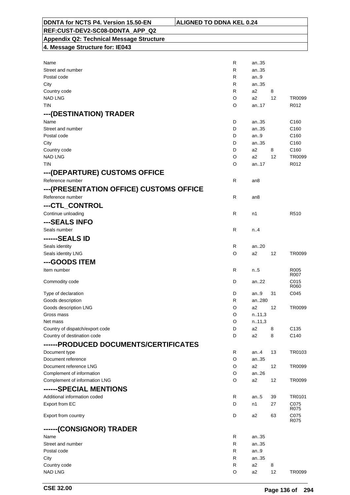| DDNTA for NCTS P4. Version 15.50-EN             | <b>ALIGNED TO DDNA KEL 0.24</b> |        |    |                          |
|-------------------------------------------------|---------------------------------|--------|----|--------------------------|
| REF:CUST-DEV2-SC08-DDNTA_APP_Q2                 |                                 |        |    |                          |
| <b>Appendix Q2: Technical Message Structure</b> |                                 |        |    |                          |
| 4. Message Structure for: IE043                 |                                 |        |    |                          |
|                                                 |                                 |        |    |                          |
| Name                                            | R                               | an35   |    |                          |
| Street and number                               | R                               | an35   |    |                          |
| Postal code                                     | R                               | an.9   |    |                          |
| City                                            | R                               | an35   |    |                          |
| Country code                                    | R                               | a2     | 8  |                          |
| <b>NAD LNG</b>                                  | O                               | a2     | 12 | TR0099                   |
| TIN                                             | O                               | an17   |    | R012                     |
| ---(DESTINATION) TRADER                         |                                 |        |    |                          |
| Name                                            | D                               | an35   |    | C <sub>160</sub>         |
| Street and number                               | D                               | an35   |    | C160                     |
| Postal code                                     | D                               | an.9   |    | C <sub>160</sub>         |
| City                                            | D                               | an35   |    | C <sub>160</sub>         |
| Country code                                    | D                               | a2     | 8  | C160                     |
| <b>NAD LNG</b>                                  | O                               | a2     | 12 | TR0099                   |
| <b>TIN</b>                                      | O                               | an17   |    | R012                     |
| --- (DEPARTURE) CUSTOMS OFFICE                  |                                 |        |    |                          |
| Reference number                                | R                               | an8    |    |                          |
|                                                 |                                 |        |    |                          |
| ---(PRESENTATION OFFICE) CUSTOMS OFFICE         |                                 |        |    |                          |
| Reference number                                | R                               | an8    |    |                          |
| ---CTL_CONTROL                                  |                                 |        |    |                          |
| Continue unloading                              | R                               | n1     |    | R510                     |
| ---SEALS INFO                                   |                                 |        |    |                          |
| Seals number                                    | R                               | n.4    |    |                          |
| ------SEALS ID                                  |                                 |        |    |                          |
| Seals identity                                  | R                               | an20   |    |                          |
| Seals identity LNG                              | O                               | a2     | 12 | TR0099                   |
|                                                 |                                 |        |    |                          |
| ---GOODS ITEM                                   |                                 |        |    |                          |
| Item number                                     | R                               | n.5    |    | R <sub>005</sub><br>R007 |
| Commodity code                                  | D                               | an22   |    | C015                     |
|                                                 |                                 |        |    | R060                     |
| Type of declaration                             | D                               | an.9   | 31 | C045                     |
| Goods description                               | R                               | an280  |    |                          |
| Goods description LNG                           | O                               | a2     | 12 | TR0099                   |
| Gross mass                                      | O                               | n.11,3 |    |                          |
| Net mass                                        | O                               | n.11,3 |    |                          |
| Country of dispatch/export code                 | D                               | a2     | 8  | C <sub>135</sub>         |
| Country of destination code                     | D                               | a2     | 8  | C140                     |
| ------PRODUCED DOCUMENTS/CERTIFICATES           |                                 |        |    |                          |
| Document type                                   | R                               | an4    | 13 | TR0103                   |
| Document reference                              | O                               | an35   |    |                          |
| Document reference LNG                          | O                               | a2     | 12 | TR0099                   |
| Complement of information                       | O                               | an26   |    |                          |
| Complement of information LNG                   | O                               | a2     | 12 | TR0099                   |
| ------SPECIAL MENTIONS                          |                                 |        |    |                          |
| Additional information coded                    | $\mathsf R$                     | an5    | 39 | TR0101                   |
| Export from EC                                  | D                               | n1     | 27 | C075                     |
|                                                 | D                               | a2     |    | R075                     |
| Export from country                             |                                 |        | 63 | C075<br>R075             |
| ------(CONSIGNOR) TRADER                        |                                 |        |    |                          |
| Name                                            | R                               | an35   |    |                          |
| Street and number                               | R                               | an35   |    |                          |
| Postal code                                     | R                               | an.9   |    |                          |
| City                                            | R                               | an35   |    |                          |
| Country code                                    | R                               | a2     | 8  |                          |
| <b>NAD LNG</b>                                  | O                               | a2     | 12 | TR0099                   |

 $\overline{\phantom{a}}$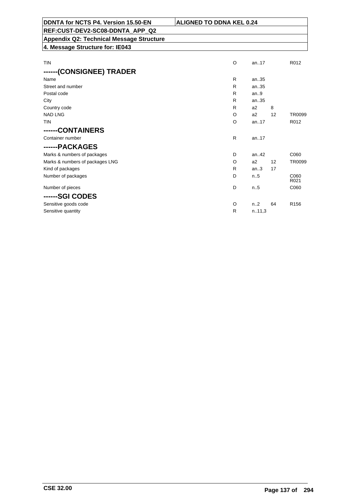| DDNTA for NCTS P4. Version 15.50-EN      | <b>ALIGNED TO DDNA KEL 0.24</b> |
|------------------------------------------|---------------------------------|
| <b>REF:CUST-DEV2-SC08-DDNTA APP Q2</b>   |                                 |
| Appendix Q2: Technical Message Structure |                                 |
| 4. Message Structure for: IE043          |                                 |
|                                          |                                 |

| TIN                             | O            | an17           |    | R012             |
|---------------------------------|--------------|----------------|----|------------------|
| ------(CONSIGNEE) TRADER        |              |                |    |                  |
| Name                            | $\mathsf{R}$ | an35           |    |                  |
| Street and number               | $\mathsf{R}$ | an35           |    |                  |
| Postal code                     | R            | an.9           |    |                  |
| City                            | R            | an35           |    |                  |
| Country code                    | R            | a2             | 8  |                  |
| <b>NAD LNG</b>                  | O            | a2             | 12 | <b>TR0099</b>    |
| <b>TIN</b>                      | O            | an17           |    | R012             |
| -CONTAINERS                     |              |                |    |                  |
| Container number                | $\mathsf{R}$ | an17           |    |                  |
| ------PACKAGES                  |              |                |    |                  |
| Marks & numbers of packages     | D            | an.42          |    | C060             |
| Marks & numbers of packages LNG | O            | a2             | 12 | <b>TR0099</b>    |
| Kind of packages                | $\mathsf{R}$ | an.3           | 17 |                  |
| Number of packages              | D            | n.5            |    | C060<br>R021     |
| Number of pieces                | D            | n.5            |    | C060             |
| ------SGI CODES                 |              |                |    |                  |
| Sensitive goods code            | O            | n <sub>2</sub> | 64 | R <sub>156</sub> |
| Sensitive quantity              | $\mathsf{R}$ | n.11,3         |    |                  |
|                                 |              |                |    |                  |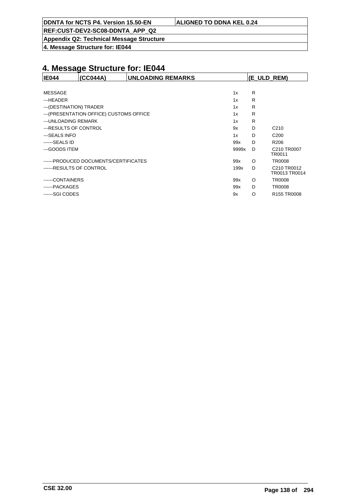**Appendix Q2: Technical Message Structure**

**4. Message Structure for: IE044**

| <b>IE044</b>             | (CC044A)                                 | <b>UNLOADING REMARKS</b> |       | $ E$ ULD REM) |                                     |
|--------------------------|------------------------------------------|--------------------------|-------|---------------|-------------------------------------|
|                          |                                          |                          |       |               |                                     |
| <b>MESSAGE</b>           |                                          |                          | 1x    | R             |                                     |
| ---HEADER                |                                          |                          | 1x    | R             |                                     |
| --- (DESTINATION) TRADER |                                          |                          | 1x    | R             |                                     |
|                          | --- (PRESENTATION OFFICE) CUSTOMS OFFICE |                          | 1x    | R             |                                     |
| ---UNLOADING REMARK      |                                          |                          | 1x    | R             |                                     |
| ---RESULTS OF CONTROL    |                                          |                          | 9x    | D             | C <sub>210</sub>                    |
| ---SEALS INFO            |                                          |                          | 1x    | D             | C <sub>200</sub>                    |
| ------SEALS ID           |                                          |                          | 99x   | D             | R <sub>206</sub>                    |
| ---GOODS ITEM            |                                          |                          | 9999x | D             | C210 TR0007<br>TR0011               |
|                          | ------PRODUCED DOCUMENTS/CERTIFICATES    |                          | 99x   | O             | <b>TR0008</b>                       |
| ------RESULTS OF CONTROL |                                          |                          | 199x  | D             | C210 TR0012<br>TR0013 TR0014        |
| ------CONTAINERS         |                                          |                          | 99x   | $\circ$       | TR0008                              |
| ------PACKAGES           |                                          |                          | 99x   | D             | <b>TR0008</b>                       |
| ------SGI CODES          |                                          |                          | 9x    | O             | R <sub>155</sub> TR <sub>0008</sub> |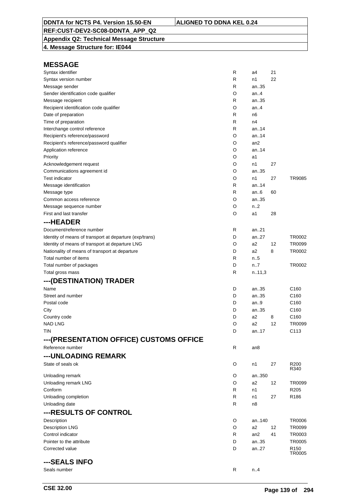**Appendix Q2: Technical Message Structure 4. Message Structure for: IE044**

| Syntax identifier                                       | R | a4              | 21 |                          |
|---------------------------------------------------------|---|-----------------|----|--------------------------|
| Syntax version number                                   | R | n1              | 22 |                          |
| Message sender                                          | R | an35            |    |                          |
| Sender identification code qualifier                    | O | an4             |    |                          |
| Message recipient                                       | R | an35            |    |                          |
| Recipient identification code qualifier                 | O | an4             |    |                          |
| Date of preparation                                     | R | n6              |    |                          |
| Time of preparation                                     | R | n4              |    |                          |
| Interchange control reference                           | R | an14            |    |                          |
| Recipient's reference/password                          | O | an14            |    |                          |
| Recipient's reference/password qualifier                | O | an <sub>2</sub> |    |                          |
| Application reference                                   | O | an14            |    |                          |
| Priority                                                | O | a1              |    |                          |
| Acknowledgement request                                 | O | n1              | 27 |                          |
| Communications agreement id                             | O | an35            |    |                          |
| <b>Test indicator</b>                                   | O | n1              | 27 | TR9085                   |
| Message identification                                  | R | an14            |    |                          |
| Message type                                            | R | an $6$          | 60 |                          |
| Common access reference                                 | O | an35            |    |                          |
| Message sequence number                                 | O | n2              |    |                          |
| First and last transfer                                 | O | a1              | 28 |                          |
| ---HEADER                                               |   |                 |    |                          |
| Document/reference number                               | R | an21            |    |                          |
| Identity of means of transport at departure (exp/trans) | D | an.27           |    | TR0002                   |
| Identity of means of transport at departure LNG         | O | a2              | 12 | TR0099                   |
| Nationality of means of transport at departure          | D | a2              | 8  | TR0002                   |
| Total number of items                                   | R | $n_{.}.5$       |    |                          |
| Total number of packages                                | D | n7              |    | TR0002                   |
| Total gross mass                                        | R | n.11,3          |    |                          |
| ---(DESTINATION) TRADER                                 |   |                 |    |                          |
| Name                                                    | D | an35            |    | C <sub>160</sub>         |
| Street and number                                       | D | an35            |    | C <sub>160</sub>         |
| Postal code                                             | D | an9             |    | C <sub>160</sub>         |
| City                                                    | D | an35            |    | C <sub>160</sub>         |
| Country code                                            | D | a2              | 8  | C <sub>160</sub>         |
| NAD LNG                                                 | O | a2              | 12 | TR0099                   |
| tin                                                     | D | an17            |    | C <sub>113</sub>         |
| --- (PRESENTATION OFFICE) CUSTOMS OFFICE                |   |                 |    |                          |
| Reference number                                        | R | an8             |    |                          |
|                                                         |   |                 |    |                          |
| ---UNLOADING REMARK                                     |   |                 |    |                          |
| State of seals ok                                       | O | n1              | 27 | R <sub>200</sub><br>R340 |
| Unloading remark                                        | O | an350           |    |                          |
| Unloading remark LNG                                    | O | a2              | 12 | TR0099                   |
| Conform                                                 | R | n1              |    | R <sub>205</sub>         |
| Unloading completion                                    | R | n1              | 27 | R186                     |
| Unloading date                                          | R | n8              |    |                          |
| ---RESULTS OF CONTROL                                   |   |                 |    |                          |
|                                                         | O | an140           |    | <b>TR0006</b>            |
| Description<br><b>Description LNG</b>                   | O | a2              | 12 | TR0099                   |
| Control indicator                                       | R | an2             | 41 | TR0003                   |
| Pointer to the attribute                                | D | an35            |    | <b>TR0005</b>            |
| Corrected value                                         | D | an27            |    | R <sub>150</sub>         |
|                                                         |   |                 |    | TR0005                   |
| ---SEALS INFO                                           |   |                 |    |                          |
| Seals number                                            | R | n.4             |    |                          |
|                                                         |   |                 |    |                          |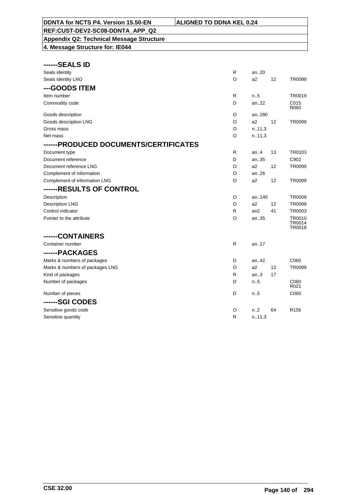# **Appendix Q2: Technical Message Structure**

| ------SEALS ID                        |              |                |    |                            |
|---------------------------------------|--------------|----------------|----|----------------------------|
| Seals identity                        | R            | an20           |    |                            |
| Seals identity LNG                    | O            | a2             | 12 | TR0099                     |
| ---GOODS ITEM                         |              |                |    |                            |
| Item number                           | R            | n.5            |    | TR0019                     |
| Commodity code                        | D            | an22           |    | C015<br>R060               |
| Goods description                     | O            | an280          |    |                            |
| Goods description LNG                 | O            | a2             | 12 | TR0099                     |
| Gross mass                            | O            | n.11,3         |    |                            |
| Net mass                              | O            | n.11,3         |    |                            |
| ------PRODUCED DOCUMENTS/CERTIFICATES |              |                |    |                            |
| Document type                         | R            | an.4           | 13 | TR0103                     |
| Document reference                    | D            | an35           |    | C902                       |
| Document reference LNG                | O            | a2             | 12 | TR0099                     |
| Complement of information             | O            | an26           |    |                            |
| Complement of information LNG         | O            | a2             | 12 | <b>TR0099</b>              |
| ------RESULTS OF CONTROL              |              |                |    |                            |
| Description                           | O            | an140          |    | <b>TR0009</b>              |
| <b>Description LNG</b>                | O            | a2             | 12 | <b>TR0099</b>              |
| Control indicator                     | R.           | an2            | 41 | TR0003                     |
| Pointer to the attribute              | O            | an35           |    | TR0010<br>TR0014<br>TR0018 |
| ------CONTAINERS                      |              |                |    |                            |
| Container number                      | R            | an17           |    |                            |
| ------PACKAGES                        |              |                |    |                            |
| Marks & numbers of packages           | D            | an.42          |    | C060                       |
| Marks & numbers of packages LNG       | O            | a2             | 12 | <b>TR0099</b>              |
| Kind of packages                      | R            | an.3           | 17 |                            |
| Number of packages                    | D            | n.5            |    | C060<br>R021               |
| Number of pieces                      | D            | n.5            |    | C060                       |
| ------SGI CODES                       |              |                |    |                            |
| Sensitive goods code                  | O            | n <sub>2</sub> | 64 | R <sub>156</sub>           |
| Sensitive quantity                    | $\mathsf{R}$ | n.11,3         |    |                            |
|                                       |              |                |    |                            |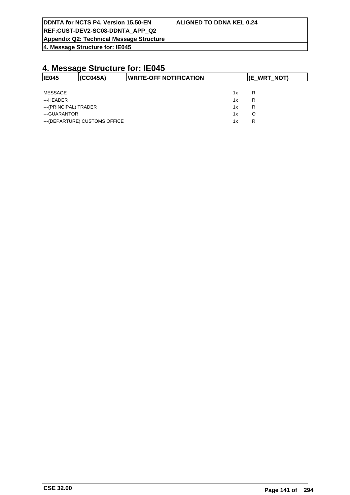| DDNTA for NCTS P4. Version 15.50-EN    | <b>ALIGNED TO DDNA KEL 0.24</b> |
|----------------------------------------|---------------------------------|
| <b>DEE-CHRT_DEV2-RCOR_DDNTA ADD 02</b> |                                 |

**REF:CUST-DEV2-SC08-DDNTA\_APP\_Q2 Appendix Q2: Technical Message Structure**

**4. Message Structure for: IE045**

| <b>IE045</b>          | (CC045A)                       | <b>IWRITE-OFF NOTIFICATION</b> |    | (E_WRT_NOT) |
|-----------------------|--------------------------------|--------------------------------|----|-------------|
|                       |                                |                                |    |             |
| MESSAGE               |                                |                                | 1x | R           |
| ---HEADER             |                                |                                | 1x | R           |
| ---(PRINCIPAL) TRADER |                                |                                | 1x | R           |
| ---GUARANTOR          |                                |                                | 1x | O           |
|                       | --- (DEPARTURE) CUSTOMS OFFICE |                                | 1x | R           |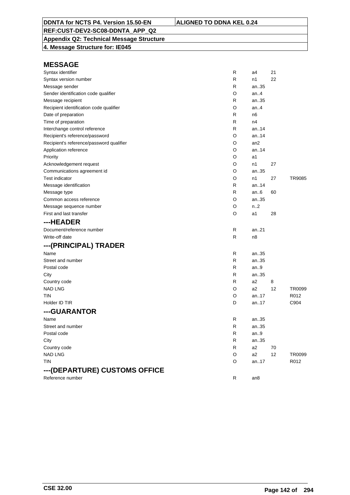**Appendix Q2: Technical Message Structure 4. Message Structure for: IE045**

| Syntax identifier                        | R | a4              | 21 |        |
|------------------------------------------|---|-----------------|----|--------|
| Syntax version number                    | R | n1              | 22 |        |
| Message sender                           | R | an35            |    |        |
| Sender identification code qualifier     | O | an.4            |    |        |
| Message recipient                        | R | an35            |    |        |
| Recipient identification code qualifier  | O | an.4            |    |        |
| Date of preparation                      | R | n6              |    |        |
| Time of preparation                      | R | n4              |    |        |
| Interchange control reference            | R | an14            |    |        |
| Recipient's reference/password           | O | an14            |    |        |
| Recipient's reference/password qualifier | O | an <sub>2</sub> |    |        |
| Application reference                    | O | an14            |    |        |
| Priority                                 | O | a1              |    |        |
| Acknowledgement request                  | O | n1              | 27 |        |
| Communications agreement id              | O | an35            |    |        |
| <b>Test indicator</b>                    | O | n1              | 27 | TR9085 |
| Message identification                   | R | an14            |    |        |
| Message type                             | R | an $6$          | 60 |        |
| Common access reference                  | O | an35            |    |        |
| Message sequence number                  | O | n.2             |    |        |
| First and last transfer                  | O | a1              | 28 |        |
| ---HEADER                                |   |                 |    |        |
| Document/reference number                | R | an21            |    |        |
| Write-off date                           | R | n <sub>8</sub>  |    |        |
| ---(PRINCIPAL) TRADER                    |   |                 |    |        |
| Name                                     | R | an35            |    |        |
| Street and number                        | R | an35            |    |        |
| Postal code                              | R | an.9            |    |        |
| City                                     | R | an35            |    |        |
| Country code                             | R | a2              | 8  |        |
| <b>NAD LNG</b>                           | O | a2              | 12 | TR0099 |
| TIN                                      | O | an17            |    | R012   |
| Holder ID TIR                            | D | an17            |    | C904   |
| ---GUARANTOR                             |   |                 |    |        |
| Name                                     | R | an35            |    |        |
| Street and number                        | R | an35            |    |        |
| Postal code                              | R | an $9$          |    |        |
| City                                     | R | an35            |    |        |
| Country code                             | R | a <sub>2</sub>  | 70 |        |
| <b>NAD LNG</b>                           | O | a2              | 12 | TR0099 |
| <b>TIN</b>                               | O | an17            |    | R012   |
| ---(DEPARTURE) CUSTOMS OFFICE            |   |                 |    |        |
| Reference number                         | R | an <sub>8</sub> |    |        |
|                                          |   |                 |    |        |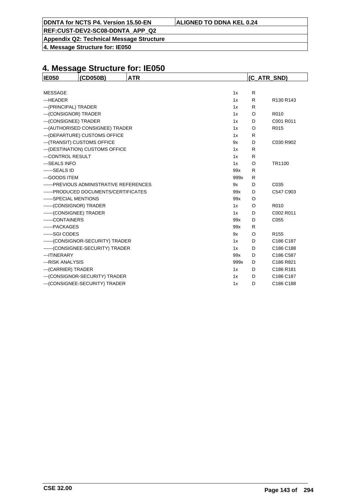**Appendix Q2: Technical Message Structure**

**4. Message Structure for: IE050**

| <b>IE050</b>             | (CD050B)                                 | <b>ATR</b> |      | (C_ATR_SND) |                  |  |  |
|--------------------------|------------------------------------------|------------|------|-------------|------------------|--|--|
|                          |                                          |            |      |             |                  |  |  |
| <b>MESSAGE</b>           |                                          |            | 1x   | R           |                  |  |  |
| ---HEADER                |                                          |            | 1x   | R           | R130 R143        |  |  |
| --- (PRINCIPAL) TRADER   |                                          |            | 1x   | R           |                  |  |  |
| --- (CONSIGNOR) TRADER   |                                          |            | 1x   | $\Omega$    | R010             |  |  |
| --- (CONSIGNEE) TRADER   |                                          |            | 1x   | D           | C001 R011        |  |  |
|                          | --- (AUTHORISED CONSIGNEE) TRADER        |            | 1x   | $\circ$     | R015             |  |  |
|                          | --- (DEPARTURE) CUSTOMS OFFICE           |            | 1x   | R           |                  |  |  |
|                          | --- (TRANSIT) CUSTOMS OFFICE             |            | 9x   | D           | C030 R902        |  |  |
|                          | --- (DESTINATION) CUSTOMS OFFICE         |            | 1x   | R           |                  |  |  |
| ---CONTROL RESULT        |                                          |            | 1x   | R           |                  |  |  |
| --- SEALS INFO           |                                          |            | 1x   | $\circ$     | TR1100           |  |  |
| ------SEALS ID           |                                          |            | 99x  | R           |                  |  |  |
| --- GOODS ITEM           |                                          |            | 999x | R           |                  |  |  |
|                          | ------PREVIOUS ADMINISTRATIVE REFERENCES |            | 9x   | D           | C035             |  |  |
|                          | ------PRODUCED DOCUMENTS/CERTIFICATES    |            | 99x  | D           | C547 C903        |  |  |
| ------SPECIAL MENTIONS   |                                          |            | 99x  | O           |                  |  |  |
| ------(CONSIGNOR) TRADER |                                          |            | 1x   | O           | R010             |  |  |
| ------(CONSIGNEE) TRADER |                                          |            | 1x   | D           | C002 R011        |  |  |
| ------CONTAINERS         |                                          |            | 99x  | D           | C055             |  |  |
| ------PACKAGES           |                                          |            | 99x  | R           |                  |  |  |
| ------SGI CODES          |                                          |            | 9x   | O           | R <sub>155</sub> |  |  |
|                          | ------(CONSIGNOR-SECURITY) TRADER        |            | 1x   | D           | C186 C187        |  |  |
|                          | ------(CONSIGNEE-SECURITY) TRADER        |            | 1x   | D           | C186 C188        |  |  |
| --- ITINERARY            |                                          |            | 99x  | D           | C186 C587        |  |  |
| ---RISK ANALYSIS         |                                          |            | 999x | D           | C186 R821        |  |  |
| --- (CARRIER) TRADER     |                                          |            | 1x   | D           | C186 R181        |  |  |
|                          | --- (CONSIGNOR-SECURITY) TRADER          |            | 1x   | D           | C186 C187        |  |  |
|                          | --- (CONSIGNEE-SECURITY) TRADER          |            | 1x   | D           | C186 C188        |  |  |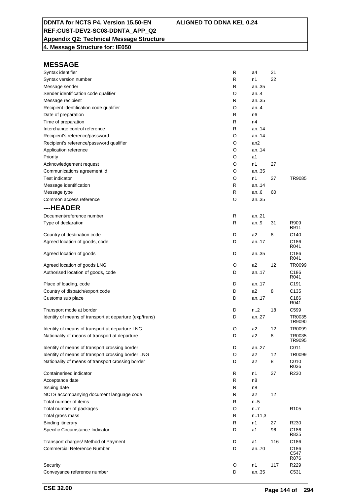# **Appendix Q2: Technical Message Structure**

**4. Message Structure for: IE050**

| Syntax identifier                                       | R | a4              | 21  |                      |
|---------------------------------------------------------|---|-----------------|-----|----------------------|
| Syntax version number                                   | R | n1              | 22  |                      |
| Message sender                                          | R | an35            |     |                      |
| Sender identification code qualifier                    | O | an. $4$         |     |                      |
| Message recipient                                       | R | an35            |     |                      |
| Recipient identification code qualifier                 | O | an.4            |     |                      |
| Date of preparation                                     | R | n6              |     |                      |
| Time of preparation                                     | R | n4              |     |                      |
| Interchange control reference                           | R | an. $.14$       |     |                      |
| Recipient's reference/password                          | O | an. $.14$       |     |                      |
| Recipient's reference/password qualifier                | O | an <sub>2</sub> |     |                      |
| Application reference                                   | O | an.14           |     |                      |
| Priority                                                | O | a1              |     |                      |
| Acknowledgement request                                 | O | n1              | 27  |                      |
| Communications agreement id                             | O | an35            |     |                      |
| <b>Test indicator</b>                                   | O | n1              | 27  | TR9085               |
| Message identification                                  | R | an. $.14$       |     |                      |
| Message type                                            | R | an.6            | 60  |                      |
| Common access reference                                 | O | an35            |     |                      |
| ---HEADER                                               |   |                 |     |                      |
|                                                         |   |                 |     |                      |
| Document/reference number                               | R | an21            |     |                      |
| Type of declaration                                     | R | an9             | 31  | R909<br>R911         |
| Country of destination code                             | D | a <sub>2</sub>  | 8   | C140                 |
| Agreed location of goods, code                          | D | an17            |     | C186                 |
|                                                         |   |                 |     | R041                 |
| Agreed location of goods                                | D | an35            |     | C186<br>R041         |
| Agreed location of goods LNG                            | O | a2              | 12  | TR0099               |
| Authorised location of goods, code                      | D | an17            |     | C186                 |
|                                                         |   |                 |     | R041                 |
| Place of loading, code                                  | D | an17            |     | C <sub>191</sub>     |
| Country of dispatch/export code                         | D | a <sub>2</sub>  | 8   | C <sub>135</sub>     |
| Customs sub place                                       | D | an17            |     | C186                 |
|                                                         |   |                 |     | R041                 |
| Transport mode at border                                | D | n <sub>2</sub>  | 18  | C <sub>599</sub>     |
| Identity of means of transport at departure (exp/trans) | D | an27            |     | TR0035<br>TR9090     |
| Identity of means of transport at departure LNG         | O | a2              | 12  | TR0099               |
| Nationality of means of transport at departure          | D | a2              | 8   | TR0035               |
|                                                         |   |                 |     | TR9095               |
| Identity of means of transport crossing border          | D | an27            |     | C011                 |
| Identity of means of transport crossing border LNG      | O | a2              | 12  | TR0099               |
| Nationality of means of transport crossing border       | D | a2              | 8   | C010                 |
|                                                         |   |                 |     | R036                 |
| Containerised indicator                                 | R | n1              | 27  | R230                 |
| Acceptance date                                         | R | n8              |     |                      |
| Issuing date                                            | R | n8              |     |                      |
| NCTS accompanying document language code                | R | a <sub>2</sub>  | 12  |                      |
| Total number of items                                   | R | n.5             |     |                      |
| Total number of packages                                | O | n.7             |     | R <sub>105</sub>     |
| Total gross mass                                        | R | n.11,3          |     |                      |
| <b>Binding itinerary</b>                                | R | n1              | 27  | R230                 |
| Specific Circumstance Indicator                         | D | a1              | 96  | C186                 |
|                                                         |   |                 |     | R825                 |
| Transport charges/ Method of Payment                    | D | a1              | 116 | C186                 |
| <b>Commercial Reference Number</b>                      | D | an70            |     | C186<br>C547<br>R876 |
| Security                                                | O | n1              | 117 | R229                 |
| Conveyance reference number                             | D | an35            |     | C531                 |
|                                                         |   |                 |     |                      |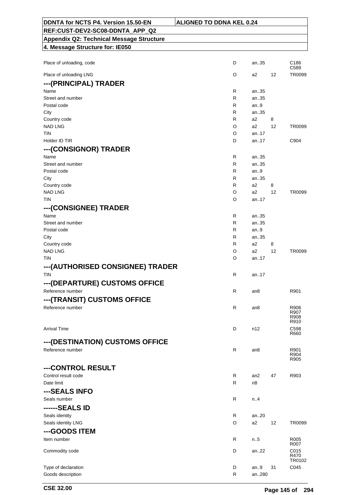| DDNTA for NCTS P4. Version 15.50-EN               | <b>ALIGNED TO DDNA KEL 0.24</b> |                                  |
|---------------------------------------------------|---------------------------------|----------------------------------|
| REF:CUST-DEV2-SC08-DDNTA_APP_Q2                   |                                 |                                  |
| <b>Appendix Q2: Technical Message Structure</b>   |                                 |                                  |
| 4. Message Structure for: IE050                   |                                 |                                  |
|                                                   |                                 |                                  |
| Place of unloading, code                          | D                               | an35<br>C <sub>186</sub><br>C589 |
| Place of unloading LNG                            | O<br>a2                         | 12<br>TR0099                     |
| ---(PRINCIPAL) TRADER                             |                                 |                                  |
| Name                                              | R                               | an35                             |
| Street and number                                 | R                               | an35                             |
| Postal code                                       | R                               | an.9                             |
| City                                              | R                               | an35                             |
| Country code                                      | R<br>a2                         | 8                                |
| <b>NAD LNG</b>                                    | O<br>a2                         | 12<br>TR0099                     |
| <b>TIN</b>                                        | O                               | an.17                            |
| Holder ID TIR                                     | D                               | C904<br>an17                     |
| ---(CONSIGNOR) TRADER                             |                                 |                                  |
| Name                                              | R                               | an35                             |
| Street and number                                 | R                               | an35                             |
| Postal code                                       | R                               | an.9                             |
| City                                              | R                               | an35                             |
| Country code                                      | R<br>a2                         | 8                                |
| <b>NAD LNG</b>                                    | O<br>a2                         | 12<br>TR0099                     |
| <b>TIN</b>                                        | O                               | an17                             |
| ---(CONSIGNEE) TRADER                             |                                 |                                  |
| Name                                              | R                               | an35                             |
| Street and number                                 | R                               | an35                             |
| Postal code                                       | R                               | an.9                             |
| City                                              | R                               | an35                             |
| Country code                                      | R<br>a2                         | 8                                |
| <b>NAD LNG</b>                                    | O<br>a2                         | 12<br>TR0099                     |
| TIN                                               | O                               | an17                             |
| --- (AUTHORISED CONSIGNEE) TRADER                 |                                 |                                  |
| <b>TIN</b>                                        | R                               | an. $.17$                        |
| ---(DEPARTURE) CUSTOMS OFFICE<br>Reference number | R<br>an8                        | R901                             |
|                                                   |                                 |                                  |
| ---(TRANSIT) CUSTOMS OFFICE                       |                                 |                                  |
| Reference number                                  | R<br>an8                        | R906<br>R907                     |
|                                                   |                                 | R908                             |
| <b>Arrival Time</b>                               | D<br>n12                        | R910<br>C598                     |
|                                                   |                                 | R660                             |
| ---(DESTINATION) CUSTOMS OFFICE                   |                                 |                                  |
| Reference number                                  | $\mathsf R$<br>an8              | R901                             |
|                                                   |                                 | R904                             |
|                                                   |                                 | R905                             |
| ---CONTROL RESULT                                 |                                 |                                  |
| Control result code                               | R<br>an2                        | 47<br>R903                       |
| Date limit                                        | R<br>n8                         |                                  |
| ---SEALS INFO                                     |                                 |                                  |
| Seals number                                      | R<br>n.4                        |                                  |
| ------SEALS ID                                    |                                 |                                  |
| Seals identity                                    | R                               | an20                             |
| Seals identity LNG                                | O<br>a2                         | 12<br>TR0099                     |
| ---GOODS ITEM                                     |                                 |                                  |
| Item number                                       | R<br>n.5                        | R <sub>005</sub>                 |
|                                                   |                                 | R007                             |
| Commodity code                                    | D                               | an22<br>C015<br>R470             |
|                                                   |                                 | TR0102                           |
| Type of declaration                               | D                               | 31<br>C045<br>an. $.9$           |
| Goods description                                 | R                               | an280                            |

٦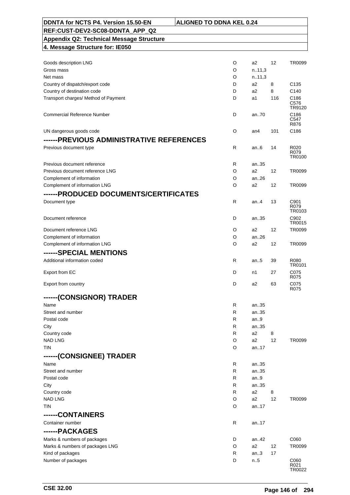| DDNTA for NCTS P4. Version 15.50-EN<br><b>ALIGNED TO DDNA KEL 0.24</b> |        |                |     |                        |
|------------------------------------------------------------------------|--------|----------------|-----|------------------------|
| REF:CUST-DEV2-SC08-DDNTA APP Q2                                        |        |                |     |                        |
| <b>Appendix Q2: Technical Message Structure</b>                        |        |                |     |                        |
| 4. Message Structure for: IE050                                        |        |                |     |                        |
|                                                                        |        |                | 12  |                        |
| Goods description LNG<br>Gross mass                                    | O<br>O | a2<br>n.11,3   |     | TR0099                 |
| Net mass                                                               | O      | n.11,3         |     |                        |
| Country of dispatch/export code                                        | D      | a <sub>2</sub> | 8   | C <sub>135</sub>       |
| Country of destination code                                            | D      | a <sub>2</sub> | 8   | C140                   |
| Transport charges/ Method of Payment                                   | D      | a1             | 116 | C186<br>C576<br>TR9120 |
| <b>Commercial Reference Number</b>                                     | D      | an.70          |     | C186<br>C547<br>R876   |
| UN dangerous goods code                                                | O      | an4            | 101 | C186                   |
| ------PREVIOUS ADMINISTRATIVE REFERENCES                               |        |                |     |                        |
| Previous document type                                                 | R      | an $6$         | 14  | R020                   |
|                                                                        |        |                |     | R079<br>TR0100         |
| Previous document reference                                            | R      | an35           |     |                        |
| Previous document reference LNG                                        | O      | a2             | 12  | TR0099                 |
| Complement of information                                              | O      | an.26          |     |                        |
| Complement of information LNG                                          | O      | a <sub>2</sub> | 12  | TR0099                 |
| ------PRODUCED DOCUMENTS/CERTIFICATES                                  |        |                |     |                        |
| Document type                                                          | R      | an. $4$        | 13  | C901<br>R079<br>TR0103 |
| Document reference                                                     | D      | an35           |     | C902<br>TR0015         |
| Document reference LNG                                                 | O      | a2             | 12  | TR0099                 |
| Complement of information                                              | O      | an. $.26$      |     |                        |
| Complement of information LNG                                          | O      | a2             | 12  | TR0099                 |
| ------SPECIAL MENTIONS                                                 |        |                |     |                        |
| Additional information coded                                           | R      | an.5           | 39  | R080<br>TR0101         |
| Export from EC                                                         | D      | n1             | 27  | C075<br>R075           |
| Export from country                                                    | D      | a2             | 63  | C075<br>R075           |
| ------(CONSIGNOR) TRADER                                               |        |                |     |                        |
| Name                                                                   | R      | an35           |     |                        |
| Street and number                                                      | R      | an35           |     |                        |
| Postal code                                                            | R      | an.9           |     |                        |
| City                                                                   | R      | an35           |     |                        |
| Country code                                                           | R      | a2             | 8   |                        |
| <b>NAD LNG</b>                                                         | O      | a2             | 12  | TR0099                 |
| TIN                                                                    | O      | an17           |     |                        |
| ------(CONSIGNEE) TRADER                                               |        |                |     |                        |
| Name                                                                   | R      | an35           |     |                        |
| Street and number                                                      | R      | an35           |     |                        |
| Postal code                                                            | R      | an.9           |     |                        |
| City                                                                   | R      | an35           |     |                        |
| Country code                                                           | R      | a <sub>2</sub> | 8   |                        |
| NAD LNG                                                                | O      | a <sub>2</sub> | 12  | TR0099                 |
| TIN                                                                    | O      | an17           |     |                        |
| ------CONTAINERS                                                       |        |                |     |                        |
| Container number<br>------PACKAGES                                     | R      | an17           |     |                        |
| Marks & numbers of packages                                            | D      | an42           |     | C060                   |
| Marks & numbers of packages LNG                                        | O      | a2             | 12  | TR0099                 |
| Kind of packages                                                       | R      | an.3           | 17  |                        |
| Number of packages                                                     | D      | n.5            |     | C060                   |
|                                                                        |        |                |     | R021<br>TR0022         |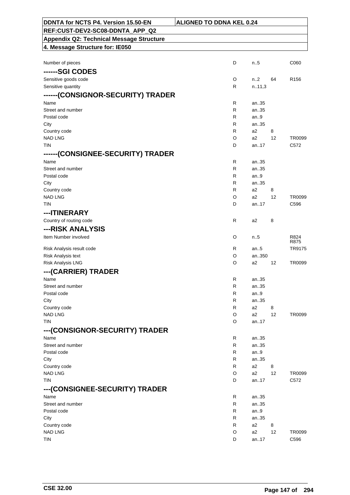| DDNTA for NCTS P4. Version 15.50-EN             | <b>ALIGNED TO DDNA KEL 0.24</b> |              |         |                  |
|-------------------------------------------------|---------------------------------|--------------|---------|------------------|
| REF:CUST-DEV2-SC08-DDNTA_APP_Q2                 |                                 |              |         |                  |
| <b>Appendix Q2: Technical Message Structure</b> |                                 |              |         |                  |
| 4. Message Structure for: IE050                 |                                 |              |         |                  |
|                                                 |                                 |              |         |                  |
| Number of pieces                                | D                               | $n_{.}.5$    |         | C060             |
| ------SGI CODES                                 |                                 |              |         |                  |
| Sensitive goods code                            | O                               | n2           | 64      | R <sub>156</sub> |
| Sensitive quantity                              | R                               | n.11,3       |         |                  |
|                                                 |                                 |              |         |                  |
| ------(CONSIGNOR-SECURITY) TRADER<br>Name       | R                               | an35         |         |                  |
| Street and number                               | R                               | an35         |         |                  |
| Postal code                                     | R                               | an.9         |         |                  |
| City                                            | R                               | an35         |         |                  |
| Country code                                    | R                               | a2           | 8       |                  |
| <b>NAD LNG</b>                                  | O                               | a2           | 12      | TR0099           |
| TIN                                             | D                               | an17         |         | C572             |
| ------(CONSIGNEE-SECURITY) TRADER               |                                 |              |         |                  |
| Name                                            | R                               | an35         |         |                  |
| Street and number                               | R                               | an35         |         |                  |
| Postal code                                     | R                               | an.9         |         |                  |
| City                                            | R                               | an35         |         |                  |
| Country code                                    | R                               | a2           | 8       |                  |
| <b>NAD LNG</b>                                  | O                               | a2           | 12      | TR0099           |
| TIN                                             | D                               | an17         |         | C596             |
| ---ITINERARY                                    |                                 |              |         |                  |
| Country of routing code                         | R                               | a2           | 8       |                  |
| ---RISK ANALYSIS                                |                                 |              |         |                  |
| Item Number involved                            | O                               | n.5          |         | R824             |
|                                                 |                                 |              |         | R875             |
| Risk Analysis result code                       | R                               | an $.5$      |         | TR9175           |
| Risk Analysis text                              | O                               | an350        |         |                  |
| <b>Risk Analysis LNG</b>                        | O                               | a2           | 12      | TR0099           |
| ---(CARRIER) TRADER                             |                                 |              |         |                  |
| Name                                            | R                               | an35         |         |                  |
| Street and number                               | R                               | an35         |         |                  |
| Postal code                                     | R                               | an.9         |         |                  |
| City                                            | R                               | an35         |         |                  |
| Country code<br><b>NAD LNG</b>                  | R<br>O                          | a2<br>a2     | 8<br>12 | TR0099           |
| <b>TIN</b>                                      | O                               | an17         |         |                  |
|                                                 |                                 |              |         |                  |
| ---(CONSIGNOR-SECURITY) TRADER<br>Name          |                                 |              |         |                  |
| Street and number                               | R<br>R                          | an35<br>an35 |         |                  |
| Postal code                                     | R                               | an.9         |         |                  |
| City                                            | R                               | an35         |         |                  |
| Country code                                    | R                               | a2           | 8       |                  |
| <b>NAD LNG</b>                                  | O                               | a2           | 12      | TR0099           |
| <b>TIN</b>                                      | D                               | an17         |         | C572             |
| ---(CONSIGNEE-SECURITY) TRADER                  |                                 |              |         |                  |
| Name                                            | R                               | an35         |         |                  |
| Street and number                               | R                               | an35         |         |                  |
| Postal code                                     | R                               | an.9         |         |                  |
| City                                            | R                               | an35         |         |                  |
| Country code                                    | R                               | a2           | 8       |                  |
| <b>NAD LNG</b>                                  | O                               | a2           | 12      | TR0099           |
| <b>TIN</b>                                      | D                               | an17         |         | C596             |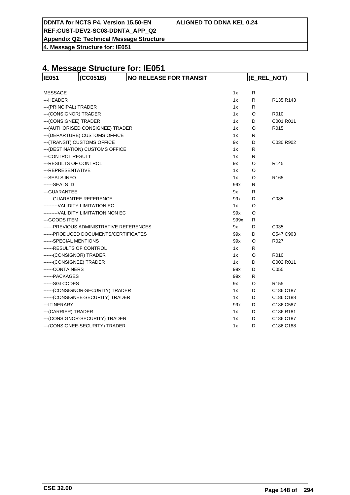| DDNTA for NCTS P4. Version 15.50-EN | <b>ALIGNED TO DDNA KEL 0.24</b> |
|-------------------------------------|---------------------------------|
|                                     |                                 |

**Appendix Q2: Technical Message Structure**

**4. Message Structure for: IE051**

| <b>IE051</b>             | (CC051B)                                 | <b>NO RELEASE FOR TRANSIT</b> |      |    | (E REL NOT)                       |
|--------------------------|------------------------------------------|-------------------------------|------|----|-----------------------------------|
|                          |                                          |                               |      |    |                                   |
| <b>MESSAGE</b>           |                                          |                               | 1x   | R  |                                   |
| ---HEADER                |                                          |                               | 1x   | R  | R <sub>135</sub> R <sub>143</sub> |
| --- (PRINCIPAL) TRADER   |                                          |                               | 1x   | R  |                                   |
| --- (CONSIGNOR) TRADER   |                                          |                               | 1x   | O  | R010                              |
| --- (CONSIGNEE) TRADER   |                                          |                               | 1x   | D  | C001 R011                         |
|                          | --- (AUTHORISED CONSIGNEE) TRADER        |                               | 1x   | O  | R015                              |
|                          | --- (DEPARTURE) CUSTOMS OFFICE           |                               | 1x   | R  |                                   |
|                          | --- (TRANSIT) CUSTOMS OFFICE             |                               | 9x   | D  | C030 R902                         |
|                          | --- (DESTINATION) CUSTOMS OFFICE         |                               | 1x   | R  |                                   |
| ---CONTROL RESULT        |                                          |                               | 1x   | R  |                                   |
| ---RESULTS OF CONTROL    |                                          |                               | 9x   | O  | R <sub>145</sub>                  |
| ---REPRESENTATIVE        |                                          |                               | 1x   | O  |                                   |
| --- SEALS INFO           |                                          |                               | 1x   | O  | R <sub>165</sub>                  |
| ------SEALS ID           |                                          |                               | 99x  | R  |                                   |
| ---GUARANTEE             |                                          |                               | 9x   | R. |                                   |
|                          | ------GUARANTEE REFERENCE                |                               | 99x  | D  | C085                              |
|                          | --------VALIDITY LIMITATION EC           |                               | 1x   | O  |                                   |
|                          | ---------VALIDITY LIMITATION NON EC      |                               | 99x  | O  |                                   |
| --- GOODS ITEM           |                                          |                               | 999x | R  |                                   |
|                          | ------PREVIOUS ADMINISTRATIVE REFERENCES |                               | 9x   | D  | C035                              |
|                          | ------ PRODUCED DOCUMENTS/CERTIFICATES   |                               | 99x  | D  | C547 C903                         |
| ------SPECIAL MENTIONS   |                                          |                               | 99x  | O  | R027                              |
| ------RESULTS OF CONTROL |                                          |                               | 1x   | R  |                                   |
| ------(CONSIGNOR) TRADER |                                          |                               | 1x   | O  | R010                              |
| ------(CONSIGNEE) TRADER |                                          |                               | 1x   | D  | C002 R011                         |
| ------CONTAINERS         |                                          |                               | 99x  | D  | C055                              |
| ------PACKAGES           |                                          |                               | 99x  | R  |                                   |
| ------SGI CODES          |                                          |                               | 9x   | O  | R <sub>155</sub>                  |
|                          | ------(CONSIGNOR-SECURITY) TRADER        |                               | 1x   | D  | C186 C187                         |
|                          | ------(CONSIGNEE-SECURITY) TRADER        |                               | 1x   | D  | C186 C188                         |
| --- ITINERARY            |                                          |                               | 99x  | D  | C186 C587                         |
| --- (CARRIER) TRADER     |                                          |                               | 1x   | D  | C <sub>186</sub> R <sub>181</sub> |
|                          | --- (CONSIGNOR-SECURITY) TRADER          |                               | 1x   | D  | C <sub>186</sub> C <sub>187</sub> |
|                          | --- (CONSIGNEE-SECURITY) TRADER          |                               | 1x   | D  | C186 C188                         |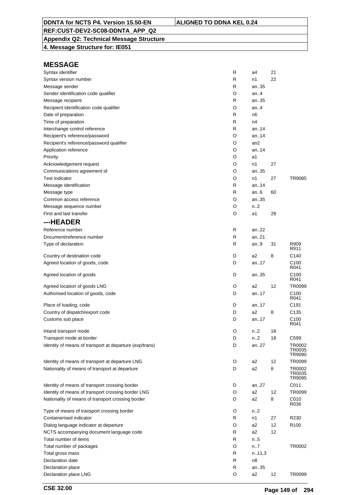**Appendix Q2: Technical Message Structure 4. Message Structure for: IE051**

| Syntax identifier                                       | R | a4             | 21 |                  |
|---------------------------------------------------------|---|----------------|----|------------------|
| Syntax version number                                   | R | n1             | 22 |                  |
| Message sender                                          | R | an35           |    |                  |
| Sender identification code qualifier                    | O | an4            |    |                  |
| Message recipient                                       | R | an35           |    |                  |
| Recipient identification code qualifier                 | O | an.4           |    |                  |
| Date of preparation                                     | R | n6             |    |                  |
| Time of preparation                                     | R | n4             |    |                  |
| Interchange control reference                           | R | an. $.14$      |    |                  |
| Recipient's reference/password                          | O | an. $.14$      |    |                  |
| Recipient's reference/password qualifier                | O | an2            |    |                  |
| Application reference                                   | O | an.14          |    |                  |
| Priority                                                | O | a1             |    |                  |
| Acknowledgement request                                 | O | n1             | 27 |                  |
| Communications agreement id                             | O | an35           |    |                  |
| <b>Test indicator</b>                                   | O | n1             | 27 | TR9085           |
|                                                         |   |                |    |                  |
| Message identification                                  | R | an14           |    |                  |
| Message type                                            | R | an6            | 60 |                  |
| Common access reference                                 | O | an35           |    |                  |
| Message sequence number                                 | O | n2             |    |                  |
| First and last transfer                                 | O | a1             | 28 |                  |
| ---HEADER                                               |   |                |    |                  |
| Reference number                                        | R | an22           |    |                  |
| Document/reference number                               | R | an21           |    |                  |
| Type of declaration                                     | R | an9            | 31 | R909             |
|                                                         |   |                |    | R911             |
| Country of destination code                             | D | a2             | 8  | C140             |
| Agreed location of goods, code                          | D | an17           |    | C100             |
|                                                         |   |                |    | R041             |
| Agreed location of goods                                | D | an35           |    | C100<br>R041     |
| Agreed location of goods LNG                            | O | a2             | 12 | TR0099           |
|                                                         | D |                |    | C <sub>100</sub> |
| Authorised location of goods, code                      |   | an17           |    | R041             |
| Place of loading, code                                  | D | an17           |    | C191             |
| Country of dispatch/export code                         | D | a2             | 8  | C135             |
| Customs sub place                                       | D | an17           |    | C <sub>100</sub> |
|                                                         |   |                |    | R041             |
| Inland transport mode                                   | O | n <sub>2</sub> | 18 |                  |
| Transport mode at border                                | D | n.2            | 18 | C599             |
| Identity of means of transport at departure (exp/trans) | D | an27           |    | TR0002           |
|                                                         |   |                |    | TR0035           |
|                                                         |   |                |    | TR9090           |
| Identity of means of transport at departure LNG         | O | a2             | 12 | TR0099           |
| Nationality of means of transport at departure          | D | a <sub>2</sub> | 8  | TR0002<br>TR0035 |
|                                                         |   |                |    | TR9095           |
| Identity of means of transport crossing border          | D | an27           |    | C011             |
| Identity of means of transport crossing border LNG      | O | a2             | 12 | TR0099           |
| Nationality of means of transport crossing border       | D | a2             | 8  | C010             |
|                                                         |   |                |    | R036             |
| Type of means of transport crossing border              | O | n2             |    |                  |
| Containerised indicator                                 | R | n1             | 27 | R230             |
| Dialog language indicator at departure                  | O | a2             | 12 | R <sub>100</sub> |
| NCTS accompanying document language code                | R | a2             | 12 |                  |
| Total number of items                                   | R | n.5            |    |                  |
| Total number of packages                                | O | n7             |    | TR0002           |
| Total gross mass                                        | R | n.11,3         |    |                  |
| Declaration date                                        | R | n8             |    |                  |
| Declaration place                                       | R | an35           |    |                  |
| Declaration place LNG                                   | O | a2             | 12 | TR0099           |
|                                                         |   |                |    |                  |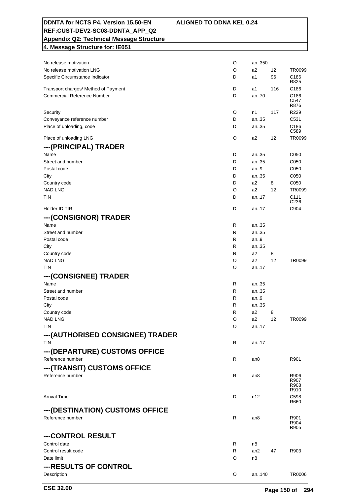| DDNTA for NCTS P4. Version 15.50-EN             | <b>ALIGNED TO DDNA KEL 0.24</b> |       |     |                          |
|-------------------------------------------------|---------------------------------|-------|-----|--------------------------|
| REF:CUST-DEV2-SC08-DDNTA_APP_Q2                 |                                 |       |     |                          |
| <b>Appendix Q2: Technical Message Structure</b> |                                 |       |     |                          |
|                                                 |                                 |       |     |                          |
| 4. Message Structure for: IE051                 |                                 |       |     |                          |
| No release motivation                           | O                               | an350 |     |                          |
| No release motivation LNG                       | O                               | a2    | 12  | TR0099                   |
| Specific Circumstance Indicator                 | D                               | a1    | 96  | C186                     |
|                                                 |                                 |       |     | R825                     |
| Transport charges/ Method of Payment            | D                               | a1    | 116 | C186                     |
| <b>Commercial Reference Number</b>              | D                               | an70  |     | C186                     |
|                                                 |                                 |       |     | C547<br>R876             |
| Security                                        | O                               | n1    | 117 | R229                     |
| Conveyance reference number                     | D                               | an35  |     | C531                     |
| Place of unloading, code                        | D                               | an35  |     | C186                     |
|                                                 |                                 |       |     | C589                     |
| Place of unloading LNG                          | O                               | a2    | 12  | TR0099                   |
| ---(PRINCIPAL) TRADER                           |                                 |       |     |                          |
| Name                                            | D                               | an35  |     | C050                     |
| Street and number                               | D                               | an35  |     | C050                     |
| Postal code                                     | D                               | an.9  |     | C050                     |
| City                                            | D                               | an35  |     | C050                     |
| Country code                                    | D                               | a2    | 8   | C050                     |
| <b>NAD LNG</b>                                  | O                               | a2    | 12  | TR0099                   |
| TIN                                             | D                               | an.17 |     | C111                     |
| Holder ID TIR                                   |                                 |       |     | C <sub>236</sub>         |
|                                                 | D                               | an17  |     | C904                     |
| ---(CONSIGNOR) TRADER                           |                                 |       |     |                          |
| Name                                            | R                               | an35  |     |                          |
| Street and number                               | R                               | an35  |     |                          |
| Postal code                                     | R                               | an.9  |     |                          |
| City                                            | R                               | an35  |     |                          |
| Country code                                    | R                               | a2    | 8   |                          |
| <b>NAD LNG</b>                                  | O                               | a2    | 12  | TR0099                   |
| <b>TIN</b>                                      | O                               | an17  |     |                          |
| ---(CONSIGNEE) TRADER                           |                                 |       |     |                          |
| Name                                            | R                               | an35  |     |                          |
| Street and number                               | R                               | an35  |     |                          |
| Postal code                                     | R                               | an9   |     |                          |
| City                                            | R                               | an35  |     |                          |
| Country code                                    | R                               | a2    | 8   |                          |
| <b>NAD LNG</b>                                  | O                               | a2    | 12  | TR0099                   |
| <b>TIN</b>                                      | O                               | an17  |     |                          |
| ---(AUTHORISED CONSIGNEE) TRADER                |                                 |       |     |                          |
| <b>TIN</b>                                      | R                               | an17  |     |                          |
| --- (DEPARTURE) CUSTOMS OFFICE                  |                                 |       |     |                          |
| Reference number                                | R                               | an8   |     | R901                     |
| ---(TRANSIT) CUSTOMS OFFICE                     |                                 |       |     |                          |
|                                                 |                                 |       |     |                          |
| Reference number                                | R                               | an8   |     | R906<br>R907             |
|                                                 |                                 |       |     | R908                     |
| <b>Arrival Time</b>                             |                                 |       |     | R910                     |
|                                                 | D                               | n12   |     | C <sub>598</sub><br>R660 |
| ---(DESTINATION) CUSTOMS OFFICE                 |                                 |       |     |                          |
| Reference number                                | $\mathsf{R}$                    | an8   |     | R901                     |
|                                                 |                                 |       |     | R904                     |
|                                                 |                                 |       |     | R905                     |
| ---CONTROL RESULT                               |                                 |       |     |                          |
| Control date                                    | R                               | n8    |     |                          |
| Control result code                             | R                               | an2   | 47  | R903                     |
| Date limit                                      | O                               | n8    |     |                          |
| ---RESULTS OF CONTROL                           |                                 |       |     |                          |
| Description                                     | O                               | an140 |     | <b>TR0006</b>            |

T.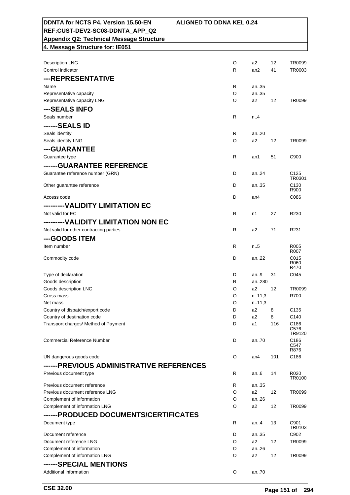| DDNTA for NCTS P4. Version 15.50-EN             | <b>ALIGNED TO DDNA KEL 0.24</b> |            |     |                  |
|-------------------------------------------------|---------------------------------|------------|-----|------------------|
| REF:CUST-DEV2-SC08-DDNTA APP Q2                 |                                 |            |     |                  |
| <b>Appendix Q2: Technical Message Structure</b> |                                 |            |     |                  |
| 4. Message Structure for: IE051                 |                                 |            |     |                  |
|                                                 |                                 |            |     |                  |
| <b>Description LNG</b>                          | O                               | a2         | 12  | TR0099           |
| Control indicator                               | $\mathsf{R}$                    | an2        | 41  | TR0003           |
| ---REPRESENTATIVE                               |                                 |            |     |                  |
| Name                                            | R                               | an35       |     |                  |
| Representative capacity                         | O                               | an35       |     |                  |
| Representative capacity LNG                     | O                               | a2         | 12  | TR0099           |
| ---SEALS INFO                                   |                                 |            |     |                  |
| Seals number                                    | R                               | n.4        |     |                  |
| ------SEALS ID                                  |                                 |            |     |                  |
|                                                 |                                 |            |     |                  |
| Seals identity<br>Seals identity LNG            | R<br>O                          | an20<br>a2 | 12  | TR0099           |
|                                                 |                                 |            |     |                  |
| --- GUARANTEE                                   |                                 |            |     |                  |
| Guarantee type                                  | R.                              | an1        | 51  | C900             |
| ------GUARANTEE REFERENCE                       |                                 |            |     |                  |
| Guarantee reference number (GRN)                | D                               | an $.24$   |     | C125<br>TR0301   |
| Other guarantee reference                       | D                               | an35       |     | C <sub>130</sub> |
|                                                 |                                 |            |     | R900             |
| Access code                                     | D                               | an4        |     | C086             |
| --------VALIDITY LIMITATION EC                  |                                 |            |     |                  |
| Not valid for EC                                | R                               | n1         | 27  | R230             |
| --------VALIDITY LIMITATION NON EC              |                                 |            |     |                  |
| Not valid for other contracting parties         | R                               | a2         | 71  | R231             |
| ---GOODS ITEM                                   |                                 |            |     |                  |
| Item number                                     | R                               | $n_{.}.5$  |     | R005             |
|                                                 |                                 |            |     | R007             |
| Commodity code                                  | D                               | an22       |     | C015             |
|                                                 |                                 |            |     | R060<br>R470     |
| Type of declaration                             | D                               | an9        | 31  | C045             |
| Goods description                               | R                               | an280      |     |                  |
| Goods description LNG                           | O                               | a2         | 12  | TR0099           |
| Gross mass                                      | O                               | n.11,3     |     | R700             |
| Net mass                                        | O                               | n.11,3     |     |                  |
| Country of dispatch/export code                 | D                               | a2         | 8   | C <sub>135</sub> |
| Country of destination code                     | D                               | a2         | 8   | C140             |
| Transport charges/ Method of Payment            | D                               | a1         | 116 | C186<br>C576     |
|                                                 |                                 |            |     | TR9120           |
| <b>Commercial Reference Number</b>              | D                               | an70       |     | C186             |
|                                                 |                                 |            |     | C547<br>R876     |
| UN dangerous goods code                         | O                               | an4        | 101 | C186             |
| ------PREVIOUS ADMINISTRATIVE REFERENCES        |                                 |            |     |                  |
| Previous document type                          | R                               | an6        | 14  | R020             |
|                                                 |                                 |            |     | TR0100           |
| Previous document reference                     | R                               | an35       |     |                  |
| Previous document reference LNG                 | O                               | a2         | 12  | TR0099           |
| Complement of information                       | O                               | an26       |     |                  |
| Complement of information LNG                   | O                               | a2         | 12  | TR0099           |
| ------PRODUCED DOCUMENTS/CERTIFICATES           |                                 |            |     |                  |
| Document type                                   | R                               | an4        | 13  | C901<br>TR0103   |
| Document reference                              | D                               | an35       |     | C902             |
| Document reference LNG                          | O                               | a2         | 12  | TR0099           |
| Complement of information                       | O                               | an26       |     |                  |
| Complement of information LNG                   | O                               | a2         | 12  | TR0099           |
| ------SPECIAL MENTIONS                          |                                 |            |     |                  |
| Additional information                          | O                               | an70       |     |                  |
|                                                 |                                 |            |     |                  |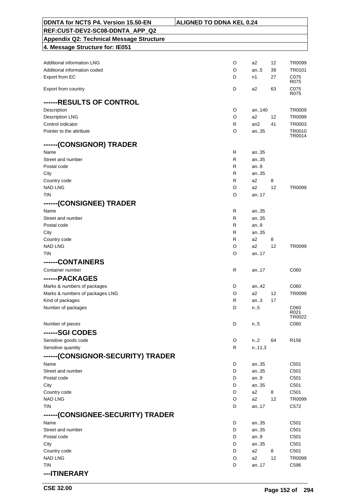| DDNTA for NCTS P4. Version 15.50-EN             | <b>ALIGNED TO DDNA KEL 0.24</b> |                |    |                  |
|-------------------------------------------------|---------------------------------|----------------|----|------------------|
| REF:CUST-DEV2-SC08-DDNTA_APP_Q2                 |                                 |                |    |                  |
| <b>Appendix Q2: Technical Message Structure</b> |                                 |                |    |                  |
| 4. Message Structure for: IE051                 |                                 |                |    |                  |
|                                                 |                                 |                |    |                  |
| Additional information LNG                      | O                               | a2             | 12 | TR0099           |
| Additional information coded                    | O                               | an5            | 39 | TR0101           |
| Export from EC                                  | D                               | n1             | 27 | C075             |
|                                                 |                                 |                |    | R075             |
| Export from country                             | D                               | a2             | 63 | C075<br>R075     |
| ------RESULTS OF CONTROL                        |                                 |                |    |                  |
| Description                                     | O                               | an140          |    | TR0009           |
| <b>Description LNG</b>                          | O                               | a2             | 12 | TR0099           |
| Control indicator                               | R                               | an2            | 41 | TR0003           |
| Pointer to the attribute                        | O                               | an35           |    | TR0010           |
|                                                 |                                 |                |    | TR0014           |
| ------(CONSIGNOR) TRADER                        |                                 |                |    |                  |
| Name                                            | R                               | an35           |    |                  |
| Street and number                               | R                               | an35           |    |                  |
| Postal code                                     | R                               | an9            |    |                  |
| City                                            | R                               | an35           |    |                  |
| Country code                                    | R                               | a2             | 8  |                  |
| <b>NAD LNG</b>                                  | O                               | a <sub>2</sub> | 12 | TR0099           |
| <b>TIN</b>                                      | O                               | an17           |    |                  |
| ------(CONSIGNEE) TRADER                        |                                 |                |    |                  |
| Name                                            | R                               | an35           |    |                  |
| Street and number                               | R                               | an35           |    |                  |
| Postal code                                     | R                               | an9            |    |                  |
| City                                            | R                               | an35           |    |                  |
| Country code                                    | R                               | a2             | 8  |                  |
| <b>NAD LNG</b>                                  | O                               | a2             | 12 | TR0099           |
| <b>TIN</b>                                      | O                               | an17           |    |                  |
|                                                 |                                 |                |    |                  |
| ------CONTAINERS                                |                                 |                |    |                  |
| Container number                                | R                               | an17           |    | C060             |
| ------PACKAGES                                  |                                 |                |    |                  |
| Marks & numbers of packages                     | D                               | an42           |    | C060             |
| Marks & numbers of packages LNG                 | O                               | a2             | 12 | TR0099           |
| Kind of packages                                | R                               | an3            | 17 |                  |
| Number of packages                              | D                               | n.5            |    | C060             |
|                                                 |                                 |                |    | R021<br>TR0022   |
| Number of pieces                                | D                               | n5             |    | C060             |
| ------SGI CODES                                 |                                 |                |    |                  |
|                                                 | O                               | n.2            | 64 | R <sub>156</sub> |
| Sensitive goods code<br>Sensitive quantity      | R                               | n.11,3         |    |                  |
|                                                 |                                 |                |    |                  |
| ------(CONSIGNOR-SECURITY) TRADER               |                                 |                |    |                  |
| Name                                            | D                               | an35           |    | C501             |
| Street and number                               | D                               | an35           |    | C501             |
| Postal code                                     | D                               | an9            |    | C501             |
| City                                            | D                               | an35           |    | C501             |
| Country code                                    | D                               | a <sub>2</sub> | 8  | C501             |
| <b>NAD LNG</b>                                  | O                               | a2             | 12 | TR0099           |
| <b>TIN</b>                                      | D                               | an17           |    | C572             |
| ------(CONSIGNEE-SECURITY) TRADER               |                                 |                |    |                  |
| Name                                            | D                               | an35           |    | C501             |
| Street and number                               | D                               | an35           |    | C <sub>501</sub> |
| Postal code                                     | D                               | an9            |    | C501             |
| City                                            | D                               | an35           |    | C501             |
| Country code                                    | D                               | a2             | 8  | C501             |
| NAD LNG                                         | O                               | a2             | 12 | TR0099           |
| TIN                                             | D                               | an17           |    | C596             |
| ---ITINERARY                                    |                                 |                |    |                  |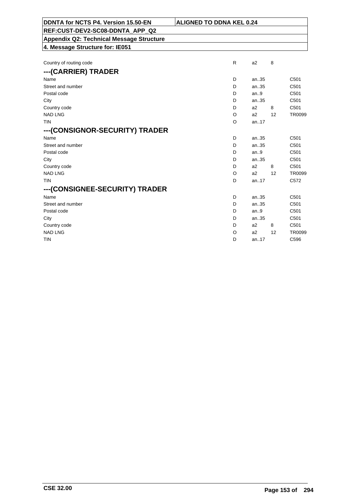| DDNTA for NCTS P4. Version 15.50-EN             | <b>ALIGNED TO DDNA KEL 0.24</b> |                |    |                  |
|-------------------------------------------------|---------------------------------|----------------|----|------------------|
| REF:CUST-DEV2-SC08-DDNTA APP Q2                 |                                 |                |    |                  |
| <b>Appendix Q2: Technical Message Structure</b> |                                 |                |    |                  |
| 4. Message Structure for: IE051                 |                                 |                |    |                  |
|                                                 |                                 |                |    |                  |
| Country of routing code                         | R.                              | a <sub>2</sub> | 8  |                  |
| ---(CARRIER) TRADER                             |                                 |                |    |                  |
| Name                                            | D                               | an35           |    | C501             |
| Street and number                               | D                               | an35           |    | C501             |
| Postal code                                     | D                               | an.9           |    | C501             |
| City                                            | D                               | an35           |    | C501             |
| Country code                                    | D                               | a2             | 8  | C501             |
| <b>NAD LNG</b>                                  | O                               | a2             | 12 | <b>TR0099</b>    |
| <b>TIN</b>                                      | $\circ$                         | an17           |    |                  |
| ---(CONSIGNOR-SECURITY) TRADER                  |                                 |                |    |                  |
| Name                                            | D                               | an35           |    | C501             |
| Street and number                               | D                               | an35           |    | C501             |
| Postal code                                     | D                               | an.9           |    | C501             |
| City                                            | D                               | an35           |    | C501             |
| Country code                                    | D                               | a2             | 8  | C501             |
| <b>NAD LNG</b>                                  | O                               | a2             | 12 | <b>TR0099</b>    |
| <b>TIN</b>                                      | D                               | an17           |    | C <sub>572</sub> |
| ---(CONSIGNEE-SECURITY) TRADER                  |                                 |                |    |                  |
| Name                                            | D                               | an35           |    | C501             |
| Street and number                               | D                               | an35           |    | C501             |
| Postal code                                     | D                               | an.9           |    | C501             |
| City                                            | D                               | an35           |    | C501             |
| Country code                                    | D                               | a <sub>2</sub> | 8  | C501             |
| <b>NAD LNG</b>                                  | O                               | a2             | 12 | <b>TR0099</b>    |
| <b>TIN</b>                                      | D                               | an17           |    | C596             |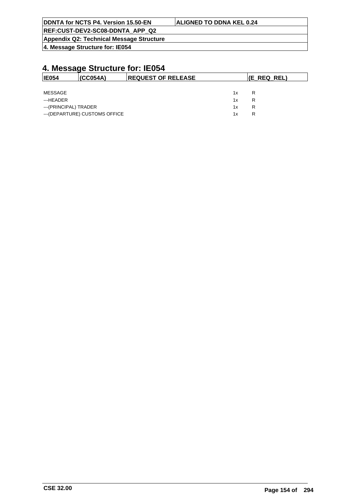| DDNTA for NCTS P4. Version 15.50-EN    | <b>ALIGNED TO DDNA KEL 0.24</b> |
|----------------------------------------|---------------------------------|
| <b>REF:CUST-DEV2-SC08-DDNTA APP Q2</b> |                                 |
|                                        |                                 |

**Appendix Q2: Technical Message Structure 4. Message Structure for: IE054**

| <b>IE054</b>          | (CC054A)                       | <b>IREQUEST OF RELEASE</b> |    | (E_REQ_REL) |
|-----------------------|--------------------------------|----------------------------|----|-------------|
|                       |                                |                            |    |             |
| MESSAGE               |                                |                            | 1x | R           |
| ---HEADER             |                                |                            | 1x | R           |
| ---(PRINCIPAL) TRADER |                                |                            | 1x | R           |
|                       | --- (DEPARTURE) CUSTOMS OFFICE |                            | 1x | R           |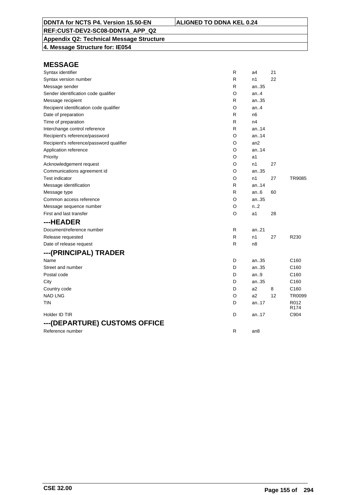**Appendix Q2: Technical Message Structure 4. Message Structure for: IE054**

| Syntax identifier                        | R | a4              | 21 |                          |
|------------------------------------------|---|-----------------|----|--------------------------|
| Syntax version number                    | R | n1              | 22 |                          |
| Message sender                           | R | an35            |    |                          |
| Sender identification code qualifier     | O | an.4            |    |                          |
| Message recipient                        | R | an35            |    |                          |
| Recipient identification code qualifier  | O | an.4            |    |                          |
| Date of preparation                      | R | n6              |    |                          |
| Time of preparation                      | R | n4              |    |                          |
| Interchange control reference            | R | an.14           |    |                          |
| Recipient's reference/password           | O | an14            |    |                          |
| Recipient's reference/password qualifier | O | an2             |    |                          |
| Application reference                    | O | an.14           |    |                          |
| Priority                                 | O | a1              |    |                          |
| Acknowledgement request                  | O | n <sub>1</sub>  | 27 |                          |
| Communications agreement id              | O | an35            |    |                          |
| <b>Test indicator</b>                    | O | n1              | 27 | TR9085                   |
| Message identification                   | R | an.14           |    |                          |
| Message type                             | R | an.6            | 60 |                          |
| Common access reference                  | O | an35            |    |                          |
| Message sequence number                  | O | n.2             |    |                          |
| First and last transfer                  | O | a1              | 28 |                          |
| ---HEADER                                |   |                 |    |                          |
| Document/reference number                | R | an.21           |    |                          |
| Release requested                        | R | n1              | 27 | R <sub>230</sub>         |
| Date of release request                  | R | n <sub>8</sub>  |    |                          |
| ---(PRINCIPAL) TRADER                    |   |                 |    |                          |
| Name                                     | D | an35            |    | C <sub>160</sub>         |
| Street and number                        | D | an35            |    | C <sub>160</sub>         |
| Postal code                              | D | an.9            |    | C160                     |
| City                                     | D | an35            |    | C <sub>160</sub>         |
| Country code                             | D | a2              | 8  | C160                     |
| <b>NAD LNG</b>                           | O | a <sub>2</sub>  | 12 | TR0099                   |
| tin                                      | D | an17            |    | R012<br>R <sub>174</sub> |
| Holder ID TIR                            | D | an17            |    | C904                     |
| ---(DEPARTURE) CUSTOMS OFFICE            |   |                 |    |                          |
| Reference number                         | R | an <sub>8</sub> |    |                          |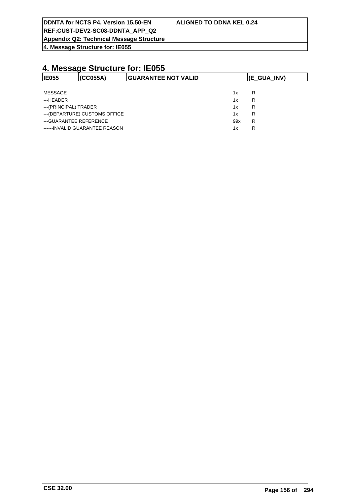| <b>DDNTA for NCTS P4. Version 15.50-EN</b> | <b>ALIGNED TO DDNA KEL 0.24</b> |
|--------------------------------------------|---------------------------------|
|                                            |                                 |

**Appendix Q2: Technical Message Structure**

**4. Message Structure for: IE055**

| <b>IE055</b>           | (CCO55A)                       | <b>GUARANTEE NOT VALID</b> |     | (E_GUA_INV) |
|------------------------|--------------------------------|----------------------------|-----|-------------|
|                        |                                |                            |     |             |
| MESSAGE                |                                |                            | 1x  | R           |
| ---HEADER              |                                |                            | 1x  | R           |
| ---(PRINCIPAL) TRADER  |                                |                            | 1x  | R           |
|                        | --- (DEPARTURE) CUSTOMS OFFICE |                            | 1x  | R           |
| ---GUARANTEE REFERENCE |                                |                            | 99x | R           |
|                        | ------INVALID GUARANTEE REASON |                            | 1x  | R           |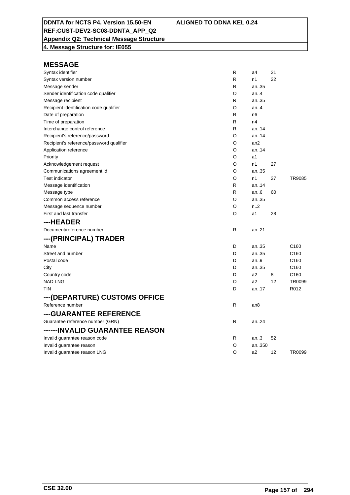## **Appendix Q2: Technical Message Structure**

**4. Message Structure for: IE055**

| Syntax identifier                        | R | a4               | 21 |                  |
|------------------------------------------|---|------------------|----|------------------|
| Syntax version number                    | R | n1               | 22 |                  |
| Message sender                           | R | an35             |    |                  |
| Sender identification code qualifier     | O | an.4             |    |                  |
| Message recipient                        | R | an35             |    |                  |
| Recipient identification code qualifier  | O | an.4             |    |                  |
| Date of preparation                      | R | n6               |    |                  |
| Time of preparation                      | R | n4               |    |                  |
| Interchange control reference            | R | an. $.14$        |    |                  |
| Recipient's reference/password           | O | an14             |    |                  |
| Recipient's reference/password qualifier | O | an2              |    |                  |
| Application reference                    | O | an.14            |    |                  |
| Priority                                 | O | a1               |    |                  |
| Acknowledgement request                  | O | n1               | 27 |                  |
| Communications agreement id              | O | an35             |    |                  |
| <b>Test indicator</b>                    | O | n1               | 27 | TR9085           |
| Message identification                   | R | an.14            |    |                  |
| Message type                             | R | an.6             | 60 |                  |
| Common access reference                  | O | an35             |    |                  |
| Message sequence number                  | O | n <sub>1.2</sub> |    |                  |
| First and last transfer                  | O | a1               | 28 |                  |
| ---HEADER                                |   |                  |    |                  |
| Document/reference number                | R | an21             |    |                  |
| ---(PRINCIPAL) TRADER                    |   |                  |    |                  |
| Name                                     | D | an35             |    | C <sub>160</sub> |
| Street and number                        | D | an35             |    | C <sub>160</sub> |
| Postal code                              | D | an.9             |    | C <sub>160</sub> |
| City                                     | D | an35             |    | C <sub>160</sub> |
| Country code                             | D | a <sub>2</sub>   | 8  | C <sub>160</sub> |
| <b>NAD LNG</b>                           | O | a2               | 12 | TR0099           |
| TIN                                      | D | an17             |    | R012             |
| ---(DEPARTURE) CUSTOMS OFFICE            |   |                  |    |                  |
| Reference number                         | R | an <sub>8</sub>  |    |                  |
| ---GUARANTEE REFERENCE                   |   |                  |    |                  |
| Guarantee reference number (GRN)         | R | an24             |    |                  |
| ------INVALID GUARANTEE REASON           |   |                  |    |                  |
| Invalid guarantee reason code            | R | an.3             | 52 |                  |
| Invalid guarantee reason                 | O | an350            |    |                  |
| Invalid guarantee reason LNG             | O | a2               | 12 | TR0099           |
|                                          |   |                  |    |                  |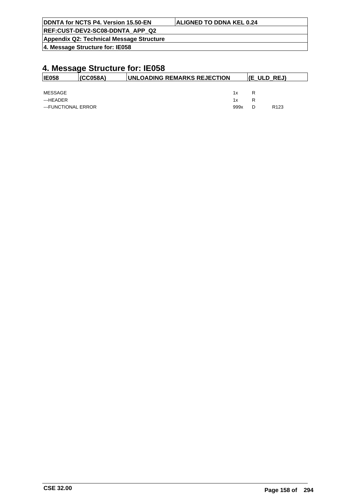| DDNTA for NCTS P4. Version 15.50-EN      | ALIGNED TO DDNA KEL 0.24 |
|------------------------------------------|--------------------------|
| REF:CUST-DEV2-SC08-DDNTA APP Q2          |                          |
| Appendix Q2: Technical Message Structure |                          |
| 4. Message Structure for: IE058          |                          |

#### **4. Message Structure for: IE058**

| <b>IE058</b>        | I(CC058A) | <b>UNLOADING REMARKS REJECTION</b> |      | $ E_ULD_REJ\rangle$ |                  |
|---------------------|-----------|------------------------------------|------|---------------------|------------------|
|                     |           |                                    |      |                     |                  |
| MESSAGE             |           |                                    | 1x   | R                   |                  |
| ---HEADER           |           |                                    | 1x   | R                   |                  |
| ---FUNCTIONAL ERROR |           |                                    | 999x |                     | R <sub>123</sub> |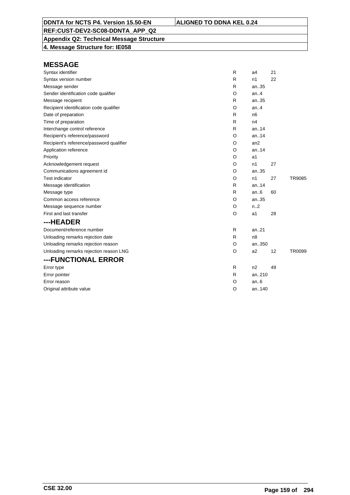**Appendix Q2: Technical Message Structure 4. Message Structure for: IE058**

| Syntax identifier                        | R | a <sub>4</sub> | 21 |        |
|------------------------------------------|---|----------------|----|--------|
| Syntax version number                    | R | n1             | 22 |        |
| Message sender                           | R | an35           |    |        |
| Sender identification code qualifier     | O | an.4           |    |        |
| Message recipient                        | R | an35           |    |        |
| Recipient identification code qualifier  | O | an.4           |    |        |
| Date of preparation                      | R | n <sub>6</sub> |    |        |
| Time of preparation                      | R | n4             |    |        |
| Interchange control reference            | R | an. $.14$      |    |        |
| Recipient's reference/password           | O | an.14          |    |        |
| Recipient's reference/password qualifier | O | an2            |    |        |
| Application reference                    | O | an.14          |    |        |
| Priority                                 | O | a1             |    |        |
| Acknowledgement request                  | O | n1             | 27 |        |
| Communications agreement id              | O | an35           |    |        |
| <b>Test indicator</b>                    | O | n <sub>1</sub> | 27 | TR9085 |
| Message identification                   | R | an.14          |    |        |
| Message type                             | R | an.6           | 60 |        |
| Common access reference                  | O | an35           |    |        |
| Message sequence number                  | O | n.2            |    |        |
| First and last transfer                  | O | a1             | 28 |        |
| ---HEADER                                |   |                |    |        |
| Document/reference number                | R | an.21          |    |        |
| Unloading remarks rejection date         | R | n <sub>8</sub> |    |        |
| Unloading remarks rejection reason       | O | an350          |    |        |
| Unloading remarks rejection reason LNG   | O | a <sub>2</sub> | 12 | TR0099 |
| ---FUNCTIONAL ERROR                      |   |                |    |        |
| Error type                               | R | n2             | 49 |        |
| Error pointer                            | R | an210          |    |        |
| Error reason                             | O | an.6           |    |        |
| Original attribute value                 | O | an140          |    |        |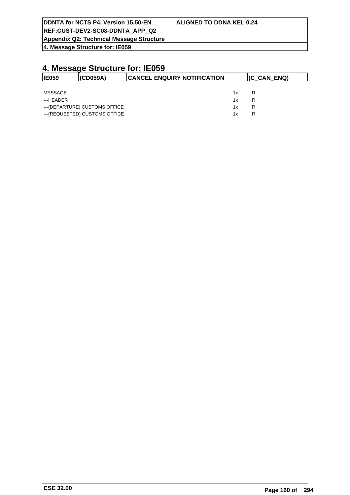| DDNTA for NCTS P4. Version 15.50-EN    | <b>ALIGNED TO DDNA KEL 0.24</b> |
|----------------------------------------|---------------------------------|
| <b>REF:CUST-DEV2-SC08-DDNTA APP Q2</b> |                                 |

**Appendix Q2: Technical Message Structure**

**4. Message Structure for: IE059**

| <b>IE059</b> | (CD059A)                       | <b>CANCEL ENQUIRY NOTIFICATION</b> |    | (C_CAN_ENQ) |
|--------------|--------------------------------|------------------------------------|----|-------------|
|              |                                |                                    |    |             |
| MESSAGE      |                                |                                    | 1x | R           |
| ---HEADER    |                                |                                    | 1x | R           |
|              | --- (DEPARTURE) CUSTOMS OFFICE |                                    | 1x | R           |
|              | --- (REQUESTED) CUSTOMS OFFICE |                                    | 1x | R           |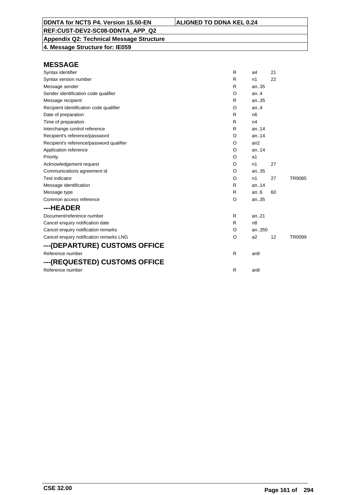**Appendix Q2: Technical Message Structure 4. Message Structure for: IE059**

| Syntax identifier                        | R | a4              | 21 |               |
|------------------------------------------|---|-----------------|----|---------------|
| Syntax version number                    | R | n1              | 22 |               |
| Message sender                           | R | an35            |    |               |
| Sender identification code qualifier     | O | an.4            |    |               |
| Message recipient                        | R | an35            |    |               |
| Recipient identification code qualifier  | O | an.4            |    |               |
| Date of preparation                      | R | n <sub>6</sub>  |    |               |
| Time of preparation                      | R | n4              |    |               |
| Interchange control reference            | R | an.14           |    |               |
| Recipient's reference/password           | O | an14            |    |               |
| Recipient's reference/password qualifier | O | an2             |    |               |
| Application reference                    | O | an14            |    |               |
| Priority                                 | O | a1              |    |               |
| Acknowledgement request                  | O | n1              | 27 |               |
| Communications agreement id              | O | an35            |    |               |
| <b>Test indicator</b>                    | O | n1              | 27 | <b>TR9085</b> |
| Message identification                   | R | an.14           |    |               |
| Message type                             | R | an.6            | 60 |               |
| Common access reference                  | O | an35            |    |               |
| ---HEADER                                |   |                 |    |               |
| Document/reference number                | R | an.21           |    |               |
| Cancel enquiry notification date         | R | n8              |    |               |
| Cancel enquiry notification remarks      | O | an350           |    |               |
| Cancel enquiry notification remarks LNG  | O | a2              | 12 | TR0099        |
| ---(DEPARTURE) CUSTOMS OFFICE            |   |                 |    |               |
| Reference number                         | R | an <sub>8</sub> |    |               |
| ---(REQUESTED) CUSTOMS OFFICE            |   |                 |    |               |
| Reference number                         | R | an <sub>8</sub> |    |               |
|                                          |   |                 |    |               |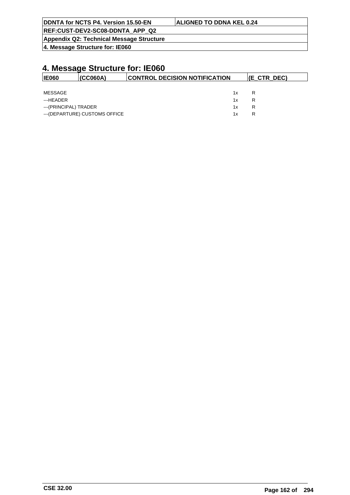| DDNTA for NCTS P4. Version 15.50-EN | <b>ALIGNED TO DDNA KEL 0.24</b> |
|-------------------------------------|---------------------------------|
| REF:CUST-DEV2-SC08-DDNTA_APP_Q2     |                                 |
|                                     |                                 |

**Appendix Q2: Technical Message Structure 4. Message Structure for: IE060**

| <b>IE060</b>          | (CCO60A)                       | <b>CONTROL DECISION NOTIFICATION</b> | $ E$ CTR DEC) |
|-----------------------|--------------------------------|--------------------------------------|---------------|
|                       |                                |                                      |               |
| MESSAGE               |                                | 1x                                   | R             |
| ---HEADER             |                                | 1x                                   | R             |
| ---(PRINCIPAL) TRADER |                                | 1x                                   | R             |
|                       | --- (DEPARTURE) CUSTOMS OFFICE | 1x                                   | R             |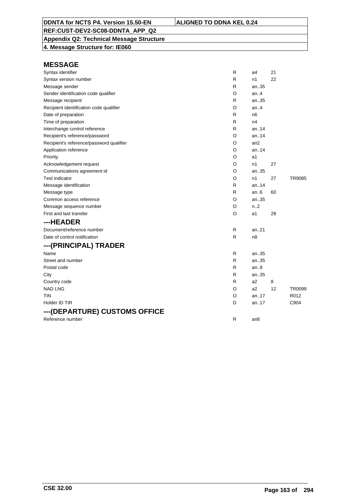**Appendix Q2: Technical Message Structure 4. Message Structure for: IE060**

| <b>MESSAGE</b>                           |              |                 |    |        |
|------------------------------------------|--------------|-----------------|----|--------|
| Syntax identifier                        | R            | a4              | 21 |        |
| Syntax version number                    | R            | n1              | 22 |        |
| Message sender                           | R            | an35            |    |        |
| Sender identification code qualifier     | O            | an.4            |    |        |
| Message recipient                        | R            | an35            |    |        |
| Recipient identification code qualifier  | O            | an.4            |    |        |
| Date of preparation                      | R            | n <sub>6</sub>  |    |        |
| Time of preparation                      | R            | n4              |    |        |
| Interchange control reference            | R            | an. $.14$       |    |        |
| Recipient's reference/password           | O            | an.14           |    |        |
| Recipient's reference/password qualifier | O            | an2             |    |        |
| Application reference                    | O            | an14            |    |        |
| Priority                                 | O            | a1              |    |        |
| Acknowledgement request                  | O            | n1              | 27 |        |
| Communications agreement id              | O            | an35            |    |        |
| <b>Test indicator</b>                    | O            | n1              | 27 | TR9085 |
| Message identification                   | R            | an.14           |    |        |
| Message type                             | R            | an.6            | 60 |        |
| Common access reference                  | O            | an35            |    |        |
| Message sequence number                  | O            | n <sub>2</sub>  |    |        |
| First and last transfer                  | O            | a1              | 28 |        |
| ---HEADER                                |              |                 |    |        |
| Document/reference number                | R            | an.21           |    |        |
| Date of control notification             | R            | n <sub>8</sub>  |    |        |
| ---(PRINCIPAL) TRADER                    |              |                 |    |        |
| Name                                     | R            | an35            |    |        |
| Street and number                        | R            | an35            |    |        |
| Postal code                              | R            | an.9            |    |        |
| City                                     | $\mathsf{R}$ | an35            |    |        |
| Country code                             | $\mathsf{R}$ | a <sub>2</sub>  | 8  |        |
| <b>NAD LNG</b>                           | O            | a2              | 12 | TR0099 |
| <b>TIN</b>                               | O            | an.17           |    | R012   |
| Holder ID TIR                            | D            | an17            |    | C904   |
| ---(DEPARTURE) CUSTOMS OFFICE            |              |                 |    |        |
| Reference number                         | R            | an <sub>8</sub> |    |        |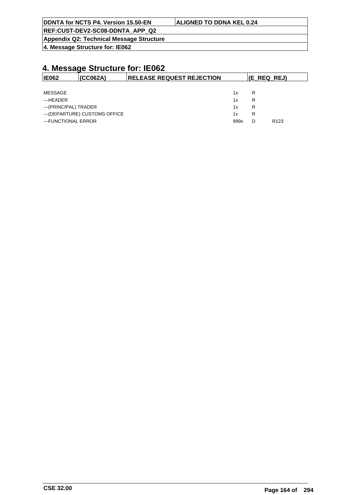| DDNTA for NCTS P4. Version 15.50-EN    | <b>ALIGNED TO DDNA KEL 0.24</b> |
|----------------------------------------|---------------------------------|
| <b>REF:CUST-DEV2-SC08-DDNTA APP Q2</b> |                                 |

**Appendix Q2: Technical Message Structure**

**4. Message Structure for: IE062**

| <b>IE062</b>          | (CCO62A)                       | <b>RELEASE REQUEST REJECTION</b> |      | $ E$ REQ REJ) |                  |
|-----------------------|--------------------------------|----------------------------------|------|---------------|------------------|
|                       |                                |                                  |      |               |                  |
| MESSAGE               |                                |                                  | 1x   | R             |                  |
| ---HEADER             |                                |                                  | 1x   | R             |                  |
| ---(PRINCIPAL) TRADER |                                |                                  | 1x   | R             |                  |
|                       | --- (DEPARTURE) CUSTOMS OFFICE |                                  | 1x   | R             |                  |
| ---FUNCTIONAL ERROR   |                                |                                  | 999x | D             | R <sub>123</sub> |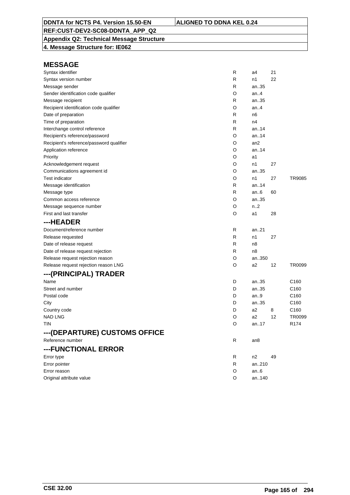# **Appendix Q2: Technical Message Structure**

**4. Message Structure for: IE062**

| Syntax identifier                        | R | a4             | 21 |                  |
|------------------------------------------|---|----------------|----|------------------|
| Syntax version number                    | R | n1             | 22 |                  |
| Message sender                           | R | an35           |    |                  |
| Sender identification code qualifier     | O | an.4           |    |                  |
| Message recipient                        | R | an35           |    |                  |
| Recipient identification code qualifier  | O | an.4           |    |                  |
| Date of preparation                      | R | n6             |    |                  |
| Time of preparation                      | R | n4             |    |                  |
| Interchange control reference            | R | an14           |    |                  |
| Recipient's reference/password           | O | an.14          |    |                  |
| Recipient's reference/password qualifier | O | an2            |    |                  |
| Application reference                    | O | an.14          |    |                  |
| Priority                                 | O | a1             |    |                  |
| Acknowledgement request                  | O | n1             | 27 |                  |
| Communications agreement id              | O | an35           |    |                  |
| <b>Test indicator</b>                    | O | n1             | 27 | TR9085           |
| Message identification                   | R | an14           |    |                  |
| Message type                             | R | an $6$         | 60 |                  |
| Common access reference                  | O | an35           |    |                  |
| Message sequence number                  | O | n2             |    |                  |
| First and last transfer                  | O | a1             | 28 |                  |
| ---HEADER                                |   |                |    |                  |
| Document/reference number                | R | an21           |    |                  |
| Release requested                        | R | n1             | 27 |                  |
| Date of release request                  | R | n8             |    |                  |
| Date of release request rejection        | R | n8             |    |                  |
| Release request rejection reason         | O | an350          |    |                  |
| Release request rejection reason LNG     | O | a2             | 12 | TR0099           |
| ---(PRINCIPAL) TRADER                    |   |                |    |                  |
| Name                                     | D | an35           |    | C <sub>160</sub> |
| Street and number                        | D | an35           |    | C160             |
| Postal code                              | D | an.9           |    | C <sub>160</sub> |
| City                                     | D | an35           |    | C160             |
| Country code                             | D | a <sub>2</sub> | 8  | C160             |
| <b>NAD LNG</b>                           | O | a2             | 12 | TR0099           |
| TIN                                      | O | an17           |    | R <sub>174</sub> |
| ---(DEPARTURE) CUSTOMS OFFICE            |   |                |    |                  |
| Reference number                         | R | an8            |    |                  |
| ---FUNCTIONAL ERROR                      |   |                |    |                  |
| Error type                               | R | n2             | 49 |                  |
| Error pointer                            | R | an210          |    |                  |
| Error reason                             | O | an.6           |    |                  |
| Original attribute value                 | O | an140          |    |                  |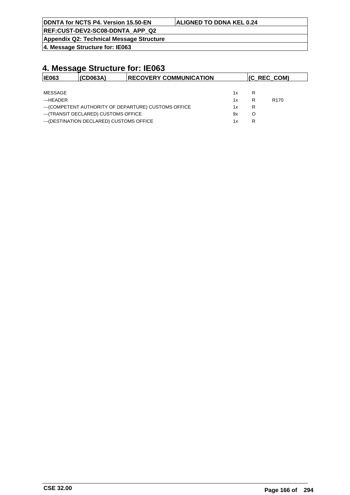| DDNTA for NCTS P4. Version 15.50-EN | <b>ALIGNED TO DDNA KEL 0.24</b> |
|-------------------------------------|---------------------------------|
|                                     |                                 |

**Appendix Q2: Technical Message Structure**

**4. Message Structure for: IE063**

| <b>IE063</b> | (CD063A)                                  | <b>RECOVERY COMMUNICATION</b>                         |    |   | $(C$ REC COM)    |
|--------------|-------------------------------------------|-------------------------------------------------------|----|---|------------------|
|              |                                           |                                                       |    |   |                  |
| MESSAGE      |                                           |                                                       | 1x | R |                  |
| ---HFADFR    |                                           |                                                       | 1x | R | R <sub>170</sub> |
|              |                                           | --- (COMPETENT AUTHORITY OF DEPARTURE) CUSTOMS OFFICE | 1x | R |                  |
|              | --- (TRANSIT DECLARED) CUSTOMS OFFICE     |                                                       | 9x | O |                  |
|              | --- (DESTINATION DECLARED) CUSTOMS OFFICE |                                                       | 1x | R |                  |
|              |                                           |                                                       |    |   |                  |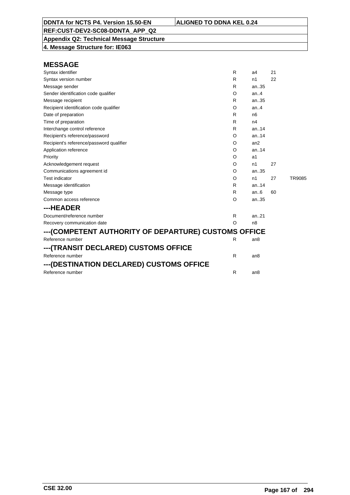### **DDNTA for NCTS P4. Version 15.50-EN ALIGNED TO DDNA KEL 0.24**

#### **REF:CUST-DEV2-SC08-DDNTA\_APP\_Q2 Appendix Q2: Technical Message Structure**

**4. Message Structure for: IE063**

| Syntax identifier                                    | R | a4              | 21 |        |
|------------------------------------------------------|---|-----------------|----|--------|
| Syntax version number                                | R | n1              | 22 |        |
| Message sender                                       | R | an35            |    |        |
| Sender identification code qualifier                 | O | an.4            |    |        |
| Message recipient                                    | R | an35            |    |        |
| Recipient identification code qualifier              | O | an.4            |    |        |
| Date of preparation                                  | R | n <sub>6</sub>  |    |        |
| Time of preparation                                  | R | n4              |    |        |
| Interchange control reference                        | R | an.14           |    |        |
| Recipient's reference/password                       | O | an.14           |    |        |
| Recipient's reference/password qualifier             | O | an2             |    |        |
| Application reference                                | O | an.14           |    |        |
| Priority                                             | O | a1              |    |        |
| Acknowledgement request                              | O | n1              | 27 |        |
| Communications agreement id                          | O | an35            |    |        |
| <b>Test indicator</b>                                | O | n1              | 27 | TR9085 |
| Message identification                               | R | an.14           |    |        |
| Message type                                         | R | an.6            | 60 |        |
| Common access reference                              | O | an35            |    |        |
| ---HEADER                                            |   |                 |    |        |
| Document/reference number                            | R | an.21           |    |        |
| Recovery communication date                          | O | n <sub>8</sub>  |    |        |
| ---(COMPETENT AUTHORITY OF DEPARTURE) CUSTOMS OFFICE |   |                 |    |        |
| Reference number                                     | R | an8             |    |        |
| ---(TRANSIT DECLARED) CUSTOMS OFFICE                 |   |                 |    |        |
| Reference number                                     | R | an <sub>8</sub> |    |        |
|                                                      |   |                 |    |        |
| Reference number                                     | R | an <sub>8</sub> |    |        |
| ---(DESTINATION DECLARED) CUSTOMS OFFICE             |   |                 |    |        |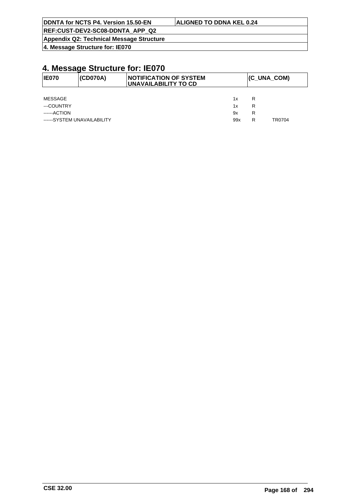| <b>DDNTA for NCTS P4. Version 15.50-EN</b> | <b>ALIGNED TO DDNA KEL 0.24</b> |
|--------------------------------------------|---------------------------------|
| <b>REF:CUST-DEV2-SC08-DDNTA APP Q2</b>     |                                 |

**Appendix Q2: Technical Message Structure**

**4. Message Structure for: IE070**

| <b>IE070</b>                | (CD070A) | <b>INOTIFICATION OF SYSTEM</b><br>UNAVAILABILITY TO CD |     |   | (C_UNA_COM) |
|-----------------------------|----------|--------------------------------------------------------|-----|---|-------------|
|                             |          |                                                        |     |   |             |
| MESSAGE                     |          |                                                        | 1x  | R |             |
| ---COUNTRY                  |          |                                                        | 1x  | R |             |
| ------ACTION                |          |                                                        | 9x  | R |             |
| ------SYSTEM UNAVAILABILITY |          |                                                        | 99x | R | TR0704      |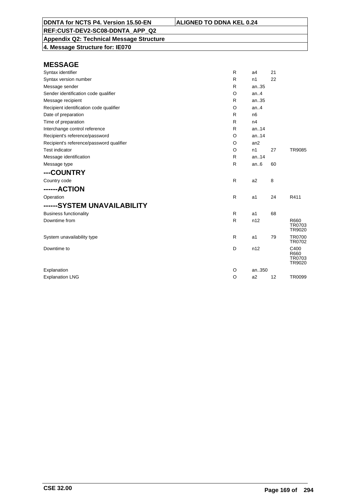## **Appendix Q2: Technical Message Structure**

**4. Message Structure for: IE070**

| Syntax identifier                        | R            | a4              | 21 |                                  |
|------------------------------------------|--------------|-----------------|----|----------------------------------|
| Syntax version number                    | R            | n1              | 22 |                                  |
| Message sender                           | R            | an35            |    |                                  |
| Sender identification code qualifier     | O            | an.4            |    |                                  |
| Message recipient                        | R            | an.35           |    |                                  |
| Recipient identification code qualifier  | O            | an.4            |    |                                  |
| Date of preparation                      | R            | n6              |    |                                  |
| Time of preparation                      | R            | n4              |    |                                  |
| Interchange control reference            | R            | an.14           |    |                                  |
| Recipient's reference/password           | O            | an14            |    |                                  |
| Recipient's reference/password qualifier | O            | an <sub>2</sub> |    |                                  |
| <b>Test indicator</b>                    | O            | n1              | 27 | <b>TR9085</b>                    |
| Message identification                   | R            | an.14           |    |                                  |
| Message type                             | R            | an.6            | 60 |                                  |
| ---COUNTRY                               |              |                 |    |                                  |
| Country code                             | $\mathsf{R}$ | a <sub>2</sub>  | 8  |                                  |
| ------ACTION                             |              |                 |    |                                  |
| Operation                                | R            | a1              | 24 | R411                             |
| ------SYSTEM UNAVAILABILITY              |              |                 |    |                                  |
| <b>Business functionality</b>            | R            | a1              | 68 |                                  |
| Downtime from                            | R            | n12             |    | R660<br>TR0703<br>TR9020         |
| System unavailability type               | R            | a1              | 79 | <b>TR0700</b><br>TR0702          |
| Downtime to                              | D            | n12             |    | C400<br>R660<br>TR0703<br>TR9020 |
| Explanation                              | O            | an350           |    |                                  |
| <b>Explanation LNG</b>                   | $\circ$      | a2              | 12 | <b>TR0099</b>                    |
|                                          |              |                 |    |                                  |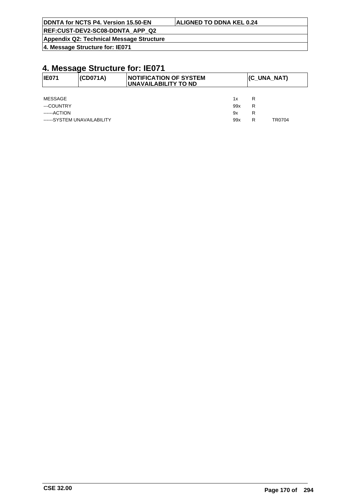| <b>DDNTA for NCTS P4. Version 15.50-EN</b> | <b>ALIGNED TO DDNA KEL 0.24</b> |
|--------------------------------------------|---------------------------------|
| REF:CUST-DEV2-SC08-DDNTA APP Q2            |                                 |

**Appendix Q2: Technical Message Structure**

**4. Message Structure for: IE071**

| <b>IE071</b>                | (CD071A) | <b>INOTIFICATION OF SYSTEM</b><br>UNAVAILABILITY TO ND |     | (C_UNA_NAT) |        |
|-----------------------------|----------|--------------------------------------------------------|-----|-------------|--------|
|                             |          |                                                        |     |             |        |
| MESSAGE                     |          |                                                        | 1x  | R           |        |
| ---COUNTRY                  |          |                                                        | 99x | R           |        |
| ------ACTION                |          |                                                        | 9x  | R           |        |
| ------SYSTEM UNAVAILABILITY |          |                                                        | 99x | R           | TR0704 |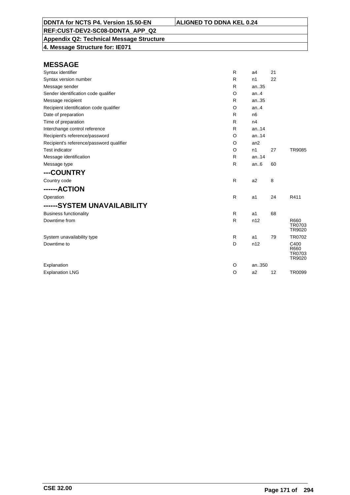**Appendix Q2: Technical Message Structure**

**4. Message Structure for: IE071**

| Syntax identifier                        | R | a4             | 21 |                                  |
|------------------------------------------|---|----------------|----|----------------------------------|
| Syntax version number                    | R | n1             | 22 |                                  |
| Message sender                           | R | an35           |    |                                  |
| Sender identification code qualifier     | O | an.4           |    |                                  |
| Message recipient                        | R | an35           |    |                                  |
| Recipient identification code qualifier  | O | an.4           |    |                                  |
| Date of preparation                      | R | n <sub>6</sub> |    |                                  |
| Time of preparation                      | R | n4             |    |                                  |
| Interchange control reference            | R | an.14          |    |                                  |
| Recipient's reference/password           | O | an14           |    |                                  |
| Recipient's reference/password qualifier | O | an2            |    |                                  |
| <b>Test indicator</b>                    | O | n1             | 27 | <b>TR9085</b>                    |
| Message identification                   | R | an.14          |    |                                  |
| Message type                             | R | an.6           | 60 |                                  |
| ---COUNTRY                               |   |                |    |                                  |
| Country code                             | R | a <sub>2</sub> | 8  |                                  |
| ------ACTION                             |   |                |    |                                  |
| Operation                                | R | a1             | 24 | R411                             |
| ------SYSTEM UNAVAILABILITY              |   |                |    |                                  |
| <b>Business functionality</b>            | R | a1             | 68 |                                  |
| Downtime from                            | R | n12            |    | R660<br>TR0703<br>TR9020         |
| System unavailability type               | R | a1             | 79 | TR0702                           |
| Downtime to                              | D | n12            |    | C400<br>R660<br>TR0703<br>TR9020 |
| Explanation                              | O | an350          |    |                                  |
| <b>Explanation LNG</b>                   | O | a2             | 12 | <b>TR0099</b>                    |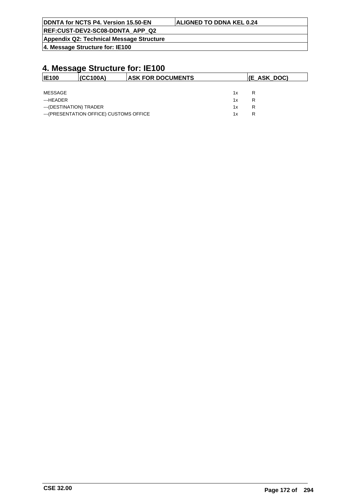| DDNTA for NCTS P4. Version 15.50-EN | <b>ALIGNED TO DDNA KEL 0.24</b> |
|-------------------------------------|---------------------------------|
| REF:CUST-DEV2-SC08-DDNTA APP Q2     |                                 |

**Appendix Q2: Technical Message Structure**

**4. Message Structure for: IE100**

| <b>IE100</b>            | (CC100A)                                 | <b>ASK FOR DOCUMENTS</b> |    | $ E\_ASK\_DOC\rangle$ |
|-------------------------|------------------------------------------|--------------------------|----|-----------------------|
|                         |                                          |                          |    |                       |
| MESSAGE                 |                                          |                          | 1x | R                     |
| ---HEADER               |                                          |                          | 1x | R                     |
| ---(DESTINATION) TRADER |                                          |                          | 1x | R                     |
|                         | --- (PRESENTATION OFFICE) CUSTOMS OFFICE |                          | 1x | R                     |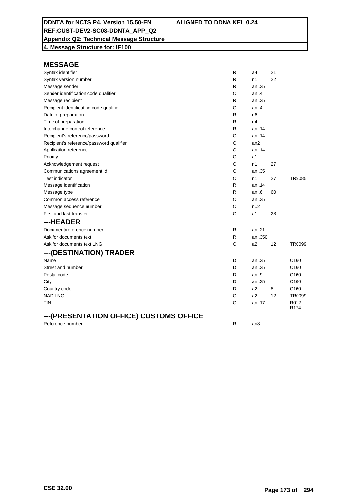**Appendix Q2: Technical Message Structure 4. Message Structure for: IE100**

| Syntax identifier                        | R | a4               | 21 |                          |
|------------------------------------------|---|------------------|----|--------------------------|
| Syntax version number                    | R | n1               | 22 |                          |
| Message sender                           | R | an35             |    |                          |
| Sender identification code qualifier     | O | an.4             |    |                          |
| Message recipient                        | R | an.35            |    |                          |
| Recipient identification code qualifier  | O | an.4             |    |                          |
| Date of preparation                      | R | n <sub>6</sub>   |    |                          |
| Time of preparation                      | R | n4               |    |                          |
| Interchange control reference            | R | an. $.14$        |    |                          |
| Recipient's reference/password           | O | an.14            |    |                          |
| Recipient's reference/password qualifier | O | an2              |    |                          |
| Application reference                    | O | an14             |    |                          |
| Priority                                 | O | a1               |    |                          |
| Acknowledgement request                  | O | n1               | 27 |                          |
| Communications agreement id              | O | an35             |    |                          |
| <b>Test indicator</b>                    | O | n1               | 27 | TR9085                   |
| Message identification                   | R | an.14            |    |                          |
| Message type                             | R | an $6$           | 60 |                          |
| Common access reference                  | O | an35             |    |                          |
| Message sequence number                  | O | n <sub>1</sub> 2 |    |                          |
| First and last transfer                  | O | a1               | 28 |                          |
| ---HEADER                                |   |                  |    |                          |
| Document/reference number                | R | an21             |    |                          |
| Ask for documents text                   | R | an350            |    |                          |
| Ask for documents text LNG               | O | a2               | 12 | TR0099                   |
| ---(DESTINATION) TRADER                  |   |                  |    |                          |
| Name                                     | D | an35             |    | C <sub>160</sub>         |
| Street and number                        | D | an35             |    | C <sub>160</sub>         |
| Postal code                              | D | an.9             |    | C <sub>160</sub>         |
| City                                     | D | an35             |    | C <sub>160</sub>         |
| Country code                             | D | a <sub>2</sub>   | 8  | C <sub>160</sub>         |
| <b>NAD LNG</b>                           | O | a2               | 12 | TR0099                   |
| TIN                                      | O | an17             |    | R012<br>R <sub>174</sub> |
| ---(PRESENTATION OFFICE) CUSTOMS OFFICE  |   |                  |    |                          |
| Reference number                         | R | an <sub>8</sub>  |    |                          |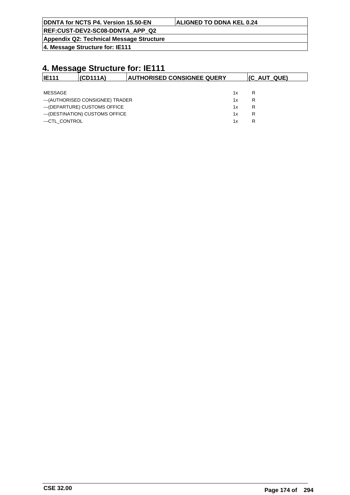**DDNTA for NCTS P4. Version 15.50-EN ALIGNED TO DDNA KEL 0.24**

**REF:CUST-DEV2-SC08-DDNTA\_APP\_Q2**

**Appendix Q2: Technical Message Structure**

**4. Message Structure for: IE111**

| <b>IE111</b>   | (CD111A)                         | <b>AUTHORISED CONSIGNEE QUERY</b> |    | (C_AUT_QUE) |
|----------------|----------------------------------|-----------------------------------|----|-------------|
|                |                                  |                                   |    |             |
| MESSAGE        |                                  |                                   | 1x | R           |
|                | ---(AUTHORISED CONSIGNEE) TRADER |                                   | 1x | R           |
|                | --- (DEPARTURE) CUSTOMS OFFICE   |                                   | 1x | R           |
|                | --- (DESTINATION) CUSTOMS OFFICE |                                   | 1x | R           |
| ---CTL CONTROL |                                  |                                   | 1x | R           |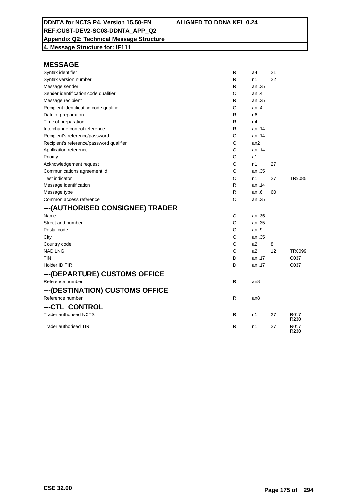## **Appendix Q2: Technical Message Structure**

**4. Message Structure for: IE111**

| Syntax identifier                        | $\mathsf{R}$ | a4             | 21 |                          |
|------------------------------------------|--------------|----------------|----|--------------------------|
| Syntax version number                    | R            | n1             | 22 |                          |
| Message sender                           | R            | an35           |    |                          |
| Sender identification code qualifier     | O            | an.4           |    |                          |
| Message recipient                        | R            | an35           |    |                          |
| Recipient identification code qualifier  | O            | an.4           |    |                          |
| Date of preparation                      | R            | n <sub>6</sub> |    |                          |
| Time of preparation                      | R            | n4             |    |                          |
| Interchange control reference            | R            | an.14          |    |                          |
| Recipient's reference/password           | O            | an14           |    |                          |
| Recipient's reference/password qualifier | O            | an2            |    |                          |
| Application reference                    | O            | an14           |    |                          |
| Priority                                 | O            | a1             |    |                          |
| Acknowledgement request                  | O            | n1             | 27 |                          |
| Communications agreement id              | O            | an35           |    |                          |
| <b>Test indicator</b>                    | O            | n1             | 27 | TR9085                   |
| Message identification                   | R            | an14           |    |                          |
| Message type                             | R            | an $6$         | 60 |                          |
| Common access reference                  | O            | an35           |    |                          |
| ---(AUTHORISED CONSIGNEE) TRADER         |              |                |    |                          |
| Name                                     | O            | an35           |    |                          |
| Street and number                        | O            | an35           |    |                          |
| Postal code                              | O            | an.9           |    |                          |
| City                                     | O            | an35           |    |                          |
| Country code                             | O            | a2             | 8  |                          |
| <b>NAD LNG</b>                           | O            | a2             | 12 | TR0099                   |
| TIN                                      | D            | an17           |    | C037                     |
| Holder ID TIR                            | D            | an17           |    | C037                     |
| ---(DEPARTURE) CUSTOMS OFFICE            |              |                |    |                          |
| Reference number                         | $\mathsf{R}$ | an8            |    |                          |
| ---(DESTINATION) CUSTOMS OFFICE          |              |                |    |                          |
| Reference number                         | R            | an8            |    |                          |
| ---CTL_CONTROL                           |              |                |    |                          |
| <b>Trader authorised NCTS</b>            | R            | n1             | 27 | R017                     |
| Trader authorised TIR                    | R            | n1             | 27 | R <sub>230</sub><br>R017 |
|                                          |              |                |    | R <sub>230</sub>         |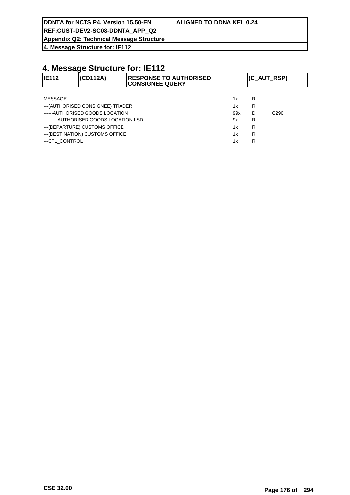**DDNTA for NCTS P4. Version 15.50-EN ALIGNED TO DDNA KEL 0.24**

**REF:CUST-DEV2-SC08-DDNTA\_APP\_Q2**

**Appendix Q2: Technical Message Structure**

**4. Message Structure for: IE112**

| <b>IE112</b>                          | (CD112A) | <b>RESPONSE TO AUTHORISED</b><br><b>CONSIGNEE QUERY</b> |     |   | (C_AUT_RSP)      |
|---------------------------------------|----------|---------------------------------------------------------|-----|---|------------------|
|                                       |          |                                                         |     |   |                  |
| <b>MESSAGE</b>                        |          |                                                         | 1x  | R |                  |
| --- (AUTHORISED CONSIGNEE) TRADER     |          |                                                         | 1x  | R |                  |
| ------AUTHORISED GOODS LOCATION       |          |                                                         | 99x | D | C <sub>290</sub> |
| --------AUTHORISED GOODS LOCATION LSD |          |                                                         | 9x  | R |                  |
| --- (DEPARTURE) CUSTOMS OFFICE        |          |                                                         | 1x  | R |                  |
| --- (DESTINATION) CUSTOMS OFFICE      |          |                                                         | 1x  | R |                  |
| ---CTL CONTROL                        |          |                                                         | 1x  | R |                  |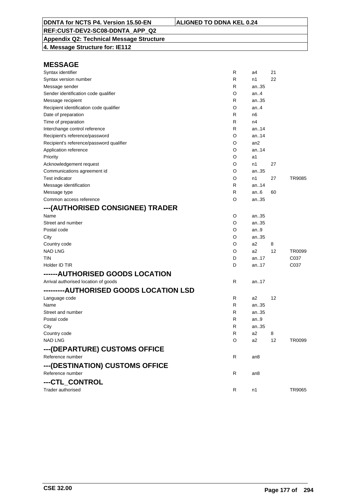## **Appendix Q2: Technical Message Structure**

**4. Message Structure for: IE112**

| Syntax identifier                        | R            | a4              | 21 |        |
|------------------------------------------|--------------|-----------------|----|--------|
| Syntax version number                    | R            | n1              | 22 |        |
| Message sender                           | R            | an35            |    |        |
| Sender identification code qualifier     | O            | an.4            |    |        |
| Message recipient                        | R            | an35            |    |        |
| Recipient identification code qualifier  | O            | an.4            |    |        |
| Date of preparation                      | R            | n6              |    |        |
| Time of preparation                      | R            | n4              |    |        |
| Interchange control reference            | R            | an14            |    |        |
| Recipient's reference/password           | O            | an14            |    |        |
| Recipient's reference/password qualifier | O            | an <sub>2</sub> |    |        |
| Application reference                    | O            | an14            |    |        |
| Priority                                 | O            | a1              |    |        |
| Acknowledgement request                  | O            | n1              | 27 |        |
| Communications agreement id              | O            | an35            |    |        |
| <b>Test indicator</b>                    | O            | n1              | 27 | TR9085 |
| Message identification                   | R            | an14            |    |        |
| Message type                             | $\mathsf{R}$ | an $6$          | 60 |        |
| Common access reference                  | O            | an35            |    |        |
| ---(AUTHORISED CONSIGNEE) TRADER         |              |                 |    |        |
| Name                                     | O            | an35            |    |        |
| Street and number                        | O            | an35            |    |        |
| Postal code                              | O            | an.9            |    |        |
| City                                     | O            | an35            |    |        |
| Country code                             | O            | a <sub>2</sub>  | 8  |        |
| <b>NAD LNG</b>                           | O            | a <sub>2</sub>  | 12 | TR0099 |
| <b>TIN</b>                               | D            | an17            |    | C037   |
| Holder ID TIR                            | D            | an17            |    | C037   |
| ------AUTHORISED GOODS LOCATION          |              |                 |    |        |
| Arrival authorised location of goods     | R            | an17            |    |        |
| ---------AUTHORISED GOODS LOCATION LSD   |              |                 |    |        |
| Language code                            | R            | a <sub>2</sub>  | 12 |        |
| Name                                     | R            | an35            |    |        |
|                                          | R            |                 |    |        |
| Street and number                        | R            | an35            |    |        |
| Postal code                              | R            | an.9<br>an.35   |    |        |
| City                                     |              |                 | 8  |        |
| Country code                             | R            | a <sub>2</sub>  |    |        |
| <b>NAD LNG</b>                           | O            | a2              | 12 | TR0099 |
| ---(DEPARTURE) CUSTOMS OFFICE            |              |                 |    |        |
| Reference number                         | R            | an8             |    |        |
| --- (DESTINATION) CUSTOMS OFFICE         |              |                 |    |        |
| Reference number                         | R            | an8             |    |        |
| ---CTL_CONTROL                           |              |                 |    |        |
| Trader authorised                        | R            | n1              |    | TR9065 |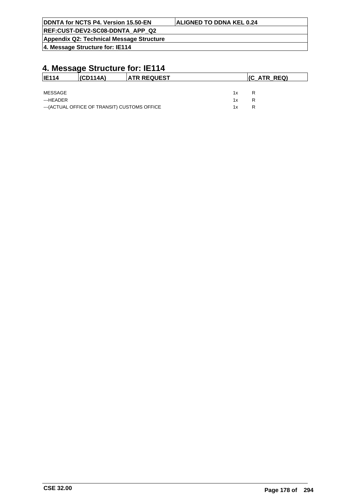| DDNTA for NCTS P4. Version 15.50-EN      | <b>ALIGNED TO DDNA KEL 0.24</b> |
|------------------------------------------|---------------------------------|
| <b>REF:CUST-DEV2-SC08-DDNTA APP Q2</b>   |                                 |
| Appendix Q2: Technical Message Structure |                                 |

**4. Message Structure for: IE114**

| <b>IE114</b> | (CD114A)                                      | <b>ATR REQUEST</b> |    | $ $ (C_ATR_REQ) |
|--------------|-----------------------------------------------|--------------------|----|-----------------|
|              |                                               |                    |    |                 |
| MESSAGE      |                                               |                    | 1x | R               |
| ---HEADER    |                                               |                    | 1x | R               |
|              | --- (ACTUAL OFFICE OF TRANSIT) CUSTOMS OFFICE |                    | 1x | R               |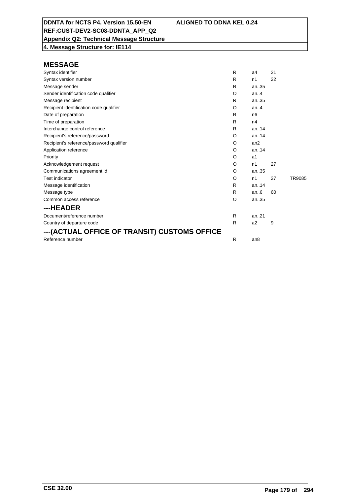#### **DDNTA for NCTS P4. Version 15.50-EN ALIGNED TO DDNA KEL 0.24**

#### **REF:CUST-DEV2-SC08-DDNTA\_APP\_Q2 Appendix Q2: Technical Message Structure**

**4. Message Structure for: IE114**

| Syntax identifier                            | R | a4              | 21 |        |
|----------------------------------------------|---|-----------------|----|--------|
| Syntax version number                        | R | n1              | 22 |        |
| Message sender                               | R | an.35           |    |        |
| Sender identification code qualifier         | O | an.4            |    |        |
| Message recipient                            | R | an35            |    |        |
| Recipient identification code qualifier      | O | an.4            |    |        |
| Date of preparation                          | R | n <sub>6</sub>  |    |        |
| Time of preparation                          | R | n4              |    |        |
| Interchange control reference                | R | an.14           |    |        |
| Recipient's reference/password               | O | an.14           |    |        |
| Recipient's reference/password qualifier     | O | an2             |    |        |
| Application reference                        | O | an.14           |    |        |
| Priority                                     | O | a1              |    |        |
| Acknowledgement request                      | O | n1              | 27 |        |
| Communications agreement id                  | O | an.35           |    |        |
| <b>Test indicator</b>                        | O | n1              | 27 | TR9085 |
| Message identification                       | R | an.14           |    |        |
| Message type                                 | R | an.6            | 60 |        |
| Common access reference                      | O | an35            |    |        |
| ---HEADER                                    |   |                 |    |        |
| Document/reference number                    | R | an.21           |    |        |
| Country of departure code                    | R | a2              | 9  |        |
| ---(ACTUAL OFFICE OF TRANSIT) CUSTOMS OFFICE |   |                 |    |        |
| Reference number                             | R | an <sub>8</sub> |    |        |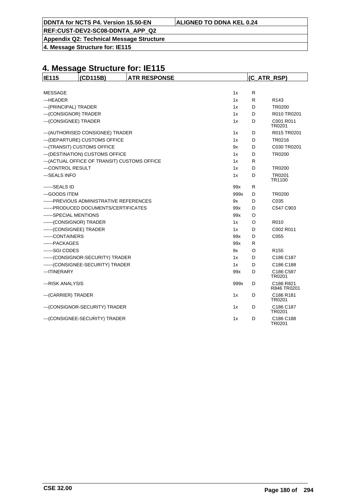**DDNTA for NCTS P4. Version 15.50-EN ALIGNED TO DDNA KEL 0.24**

**REF:CUST-DEV2-SC08-DDNTA\_APP\_Q2**

**Appendix Q2: Technical Message Structure**

**4. Message Structure for: IE115**

| IE115                    | (CD115B)                                      | <b>ATR RESPONSE</b> |      | (C ATR RSP) |                                                  |  |
|--------------------------|-----------------------------------------------|---------------------|------|-------------|--------------------------------------------------|--|
|                          |                                               |                     |      |             |                                                  |  |
| <b>MESSAGE</b>           |                                               |                     | 1x   | R           |                                                  |  |
| ---HEADER                |                                               |                     | 1x   | R           | R <sub>143</sub>                                 |  |
| --- (PRINCIPAL) TRADER   |                                               |                     | 1x   | D           | TR0200                                           |  |
| --- (CONSIGNOR) TRADER   |                                               |                     | 1x   | D           | R010 TR0201                                      |  |
| --- (CONSIGNEE) TRADER   |                                               |                     | 1x   | D           | C001 R011<br>TR0201                              |  |
|                          | --- (AUTHORISED CONSIGNEE) TRADER             |                     | 1x   | D           | R015 TR0201                                      |  |
|                          | --- (DEPARTURE) CUSTOMS OFFICE                |                     | 1x   | D           | TR0216                                           |  |
|                          | --- (TRANSIT) CUSTOMS OFFICE                  |                     | 9x   | D           | C030 TR0201                                      |  |
|                          | --- (DESTINATION) CUSTOMS OFFICE              |                     | 1x   | D           | TR0200                                           |  |
|                          | --- (ACTUAL OFFICE OF TRANSIT) CUSTOMS OFFICE |                     | 1x   | R           |                                                  |  |
| ---CONTROL RESULT        |                                               |                     | 1x   | D           | TR0200                                           |  |
| --- SEALS INFO           |                                               |                     | 1x   | D           | TR0201<br>TR1100                                 |  |
| ------SEALS ID           |                                               |                     | 99x  | R           |                                                  |  |
| ---GOODS ITEM            |                                               |                     | 999x | D           | TR0200                                           |  |
|                          | ------PREVIOUS ADMINISTRATIVE REFERENCES      |                     | 9x   | D           | C035                                             |  |
|                          | ------ PRODUCED DOCUMENTS/CERTIFICATES        |                     | 99x  | D           | C547 C903                                        |  |
| ------SPECIAL MENTIONS   |                                               |                     | 99x  | O           |                                                  |  |
| ------(CONSIGNOR) TRADER |                                               |                     | 1x   | O           | R010                                             |  |
| ------(CONSIGNEE) TRADER |                                               |                     | 1x   | D           | C002 R011                                        |  |
| ------CONTAINERS         |                                               |                     | 99x  | D           | C <sub>055</sub>                                 |  |
| ------PACKAGES           |                                               |                     | 99x  | R           |                                                  |  |
| ------SGI CODES          |                                               |                     | 9x   | O           | R <sub>155</sub>                                 |  |
|                          | ------(CONSIGNOR-SECURITY) TRADER             |                     | 1x   | D           | C186 C187                                        |  |
|                          | ------(CONSIGNEE-SECURITY) TRADER             |                     | 1x   | D           | C186 C188                                        |  |
| --- ITINERARY            |                                               |                     | 99x  | D           | C186 C587<br>TR0201                              |  |
| ---RISK ANALYSIS         |                                               |                     | 999x | D           | C <sub>186</sub> R <sub>821</sub><br>R846 TR0201 |  |
| --- (CARRIER) TRADER     |                                               |                     | 1x   | D           | C186 R181<br>TR0201                              |  |
|                          | --- (CONSIGNOR-SECURITY) TRADER               |                     | 1x   | D           | C186 C187<br>TR0201                              |  |
|                          | --- (CONSIGNEE-SECURITY) TRADER               |                     | 1x   | D           | C186 C188<br>TR0201                              |  |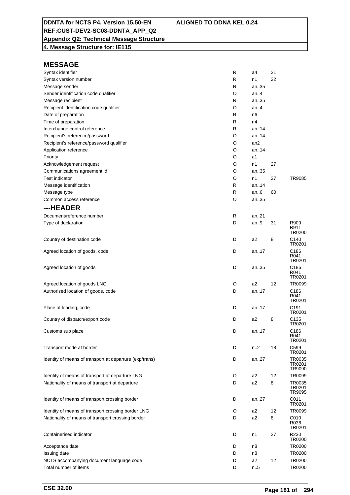**Appendix Q2: Technical Message Structure 4. Message Structure for: IE115**

| Syntax identifier                                       | R            | a4             | 21 |                                      |
|---------------------------------------------------------|--------------|----------------|----|--------------------------------------|
| Syntax version number                                   | R            | n1             | 22 |                                      |
| Message sender                                          | R            | an35           |    |                                      |
| Sender identification code qualifier                    | O            | an.4           |    |                                      |
| Message recipient                                       | R            | an35           |    |                                      |
| Recipient identification code qualifier                 | O            | an.4           |    |                                      |
| Date of preparation                                     | R            | n6             |    |                                      |
| Time of preparation                                     | R            | n4             |    |                                      |
| Interchange control reference                           | R            | an14           |    |                                      |
| Recipient's reference/password                          | O            | an14           |    |                                      |
| Recipient's reference/password qualifier                | O            | an2            |    |                                      |
| Application reference                                   | O            | an14           |    |                                      |
| Priority                                                | O            | a1             |    |                                      |
| Acknowledgement request                                 | O            | n1             | 27 |                                      |
| Communications agreement id                             | O            | an35           |    |                                      |
| <b>Test indicator</b>                                   | O            | n1             | 27 | TR9085                               |
| Message identification                                  | R            | an14           |    |                                      |
| Message type                                            | $\mathsf{R}$ | an.6           | 60 |                                      |
| Common access reference                                 | O            | an35           |    |                                      |
| ---HEADER                                               |              |                |    |                                      |
| Document/reference number                               | R            | an.21          |    |                                      |
| Type of declaration                                     | D            | an.9           | 31 | R909<br>R911                         |
| Country of destination code                             | D            | a2             | 8  | TR0200<br>C <sub>140</sub><br>TR0201 |
| Agreed location of goods, code                          | D            | an17           |    | C186<br>R041<br>TR0201               |
| Agreed location of goods                                | D            | an35           |    | C186<br>R041<br>TR0201               |
| Agreed location of goods LNG                            | O            | a2             | 12 | TR0099                               |
| Authorised location of goods, code                      | D            | an17           |    | C186                                 |
|                                                         |              |                |    | R041<br>TR0201                       |
| Place of loading, code                                  | D            | an17           |    | C191<br>TR0201                       |
| Country of dispatch/export code                         | D            | a2             | 8  | C <sub>135</sub><br>TR0201           |
| Customs sub place                                       | D            | an17           |    | C186<br>R041<br>TR0201               |
| Transport mode at border                                | D            | n2             | 18 | C599<br>TR0201                       |
| Identity of means of transport at departure (exp/trans) | D            | an27           |    | TR0035<br>TR0201<br>TR9090           |
| Identity of means of transport at departure LNG         | O            | a2             | 12 | TR0099                               |
| Nationality of means of transport at departure          | D            | a <sub>2</sub> | 8  | TR0035<br>TR0201<br>TR9095           |
| Identity of means of transport crossing border          | D            | an27           |    | C011<br>TR0201                       |
| Identity of means of transport crossing border LNG      | O            | a2             | 12 | TR0099                               |
| Nationality of means of transport crossing border       | D            | a <sub>2</sub> | 8  | C010<br>R036<br>TR0201               |
| Containerised indicator                                 | D            | n1             | 27 | R230<br>TR0200                       |
| Acceptance date                                         | D            | n8             |    | TR0200                               |
| Issuing date                                            | D            | n8             |    | TR0200                               |
| NCTS accompanying document language code                | D            | a2             | 12 | TR0200                               |
| Total number of items                                   | D            | $n_{.}.5$      |    | TR0200                               |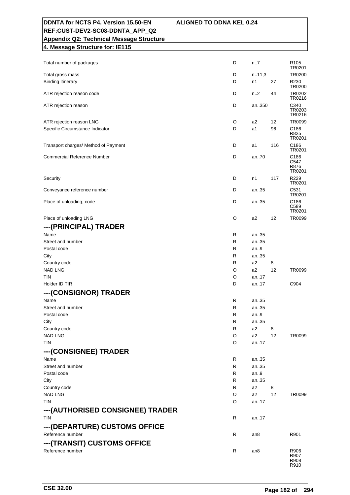| DDNTA for NCTS P4. Version 15.50-EN             | <b>ALIGNED TO DDNA KEL 0.24</b> |     |                                                |
|-------------------------------------------------|---------------------------------|-----|------------------------------------------------|
| REF:CUST-DEV2-SC08-DDNTA APP Q2                 |                                 |     |                                                |
| <b>Appendix Q2: Technical Message Structure</b> |                                 |     |                                                |
| 4. Message Structure for: IE115                 |                                 |     |                                                |
|                                                 |                                 |     |                                                |
| Total number of packages                        | D<br>n7                         |     | R <sub>105</sub><br>TR0201                     |
| Total gross mass                                | D<br>n.11,3                     |     | TR0200                                         |
| <b>Binding itinerary</b>                        | D<br>n1                         | 27  | R230<br>TR0200                                 |
| ATR rejection reason code                       | D<br>n <sub>1</sub> 2           | 44  | TR0202<br>TR0216                               |
| ATR rejection reason                            | D<br>an350                      |     | C340<br>TR0203<br>TR0216                       |
| ATR rejection reason LNG                        | O<br>a2                         | 12  | TR0099                                         |
| Specific Circumstance Indicator                 | D<br>a1                         | 96  | C <sub>186</sub><br>R825<br>TR0201             |
| Transport charges/ Method of Payment            | D<br>a1                         | 116 | C186<br>TR0201                                 |
| <b>Commercial Reference Number</b>              | D<br>an70                       |     | C <sub>186</sub><br>C547<br>R876<br>TR0201     |
| Security                                        | D<br>n1                         | 117 | R229<br>TR0201                                 |
| Conveyance reference number                     | D<br>an35                       |     | C531<br>TR0201                                 |
| Place of unloading, code                        | D<br>an35                       |     | C <sub>186</sub><br>C <sub>589</sub><br>TR0201 |
| Place of unloading LNG                          | O<br>a2                         | 12  | TR0099                                         |
| ---(PRINCIPAL) TRADER                           |                                 |     |                                                |
| Name                                            | R<br>an35                       |     |                                                |
| Street and number                               | R<br>an35                       |     |                                                |
| Postal code                                     | R<br>an.9<br>R<br>an35          |     |                                                |
| City<br>Country code                            | R<br>a2                         | 8   |                                                |
| <b>NAD LNG</b>                                  | O<br>a2                         | 12  | TR0099                                         |
| TIN                                             | O<br>an.17                      |     |                                                |
| Holder ID TIR                                   | D<br>an17                       |     | C904                                           |
| ---(CONSIGNOR) TRADER                           |                                 |     |                                                |
| Name                                            | R<br>an35                       |     |                                                |
| Street and number                               | R<br>an35                       |     |                                                |
| Postal code                                     | R<br>an $9$                     |     |                                                |
| City                                            | R<br>an35                       |     |                                                |
| Country code                                    | R<br>a2                         | 8   |                                                |
| <b>NAD LNG</b>                                  | O<br>a2                         | 12  | TR0099                                         |
| TIN                                             | O<br>an17                       |     |                                                |
| ---(CONSIGNEE) TRADER                           |                                 |     |                                                |
| Name                                            | R<br>an35                       |     |                                                |
| Street and number                               | R<br>an35                       |     |                                                |
| Postal code                                     | R<br>an $9$                     |     |                                                |
| City                                            | R<br>an35                       |     |                                                |
| Country code                                    | R<br>a2                         | 8   |                                                |
| <b>NAD LNG</b>                                  | a2<br>O                         | 12  | TR0099                                         |
| <b>TIN</b>                                      | O<br>an17                       |     |                                                |
| ---(AUTHORISED CONSIGNEE) TRADER<br><b>TIN</b>  | R                               |     |                                                |
| ---(DEPARTURE) CUSTOMS OFFICE                   | an17                            |     |                                                |
| Reference number                                | R<br>an8                        |     | R901                                           |
| ---(TRANSIT) CUSTOMS OFFICE                     |                                 |     |                                                |
| Reference number                                | R<br>an8                        |     | R906<br>R907<br>R908                           |

R910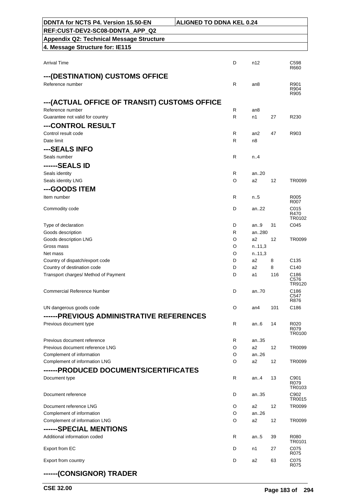| DDNTA for NCTS P4. Version 15.50-EN                              | <b>ALIGNED TO DDNA KEL 0.24</b> |              |           |     |                        |
|------------------------------------------------------------------|---------------------------------|--------------|-----------|-----|------------------------|
| REF:CUST-DEV2-SC08-DDNTA APP Q2                                  |                                 |              |           |     |                        |
| <b>Appendix Q2: Technical Message Structure</b>                  |                                 |              |           |     |                        |
| 4. Message Structure for: IE115                                  |                                 |              |           |     |                        |
|                                                                  |                                 |              |           |     |                        |
| <b>Arrival Time</b>                                              |                                 | D            | n12       |     | C598                   |
|                                                                  |                                 |              |           |     | R660                   |
| ---(DESTINATION) CUSTOMS OFFICE<br>Reference number              |                                 | $\mathsf{R}$ |           |     |                        |
|                                                                  |                                 |              | an8       |     | R901<br>R904           |
|                                                                  |                                 |              |           |     | R905                   |
| ---(ACTUAL OFFICE OF TRANSIT) CUSTOMS OFFICE<br>Reference number |                                 | R            | an8       |     |                        |
| Guarantee not valid for country                                  |                                 | R            | n1        | 27  | R <sub>230</sub>       |
| ---CONTROL RESULT                                                |                                 |              |           |     |                        |
| Control result code                                              |                                 | R            | an2       | 47  | R903                   |
| Date limit                                                       |                                 | R            | n8        |     |                        |
| ---SEALS INFO                                                    |                                 |              |           |     |                        |
| Seals number                                                     |                                 | R            | n.4       |     |                        |
| ------SEALS ID                                                   |                                 |              |           |     |                        |
| Seals identity                                                   |                                 | R            | an20      |     |                        |
| Seals identity LNG                                               |                                 | O            | a2        | 12  | TR0099                 |
| ---GOODS ITEM                                                    |                                 |              |           |     |                        |
| Item number                                                      |                                 | R            | $n_{.}.5$ |     | R005                   |
| Commodity code                                                   |                                 | D            | an22      |     | R007<br>C015           |
|                                                                  |                                 |              |           |     | R470                   |
| Type of declaration                                              |                                 | D            | an.9      | 31  | TR0102<br>C045         |
| Goods description                                                |                                 | R            | an280     |     |                        |
| Goods description LNG                                            |                                 | O            | a2        | 12  | TR0099                 |
| Gross mass                                                       |                                 | O            | n.11,3    |     |                        |
| Net mass                                                         |                                 | O            | n.11,3    |     |                        |
| Country of dispatch/export code                                  |                                 | D            | a2        | 8   | C <sub>135</sub>       |
| Country of destination code                                      |                                 | D            | a2        | 8   | C <sub>140</sub>       |
| Transport charges/ Method of Payment                             |                                 | D            | a1        | 116 | C186<br>C576<br>TR9120 |
| <b>Commercial Reference Number</b>                               |                                 | D            | an70      |     | C186                   |
|                                                                  |                                 |              |           |     | C547<br>R876           |
| UN dangerous goods code                                          |                                 | O            | an4       | 101 | C186                   |
| ------PREVIOUS ADMINISTRATIVE REFERENCES                         |                                 |              |           |     |                        |
| Previous document type                                           |                                 | R            | an6       | 14  | R020                   |
|                                                                  |                                 |              |           |     | R079<br>TR0100         |
| Previous document reference                                      |                                 | R            | an35      |     |                        |
| Previous document reference LNG                                  |                                 | O            | a2        | 12  | TR0099                 |
| Complement of information                                        |                                 | O            | an26      |     |                        |
| Complement of information LNG                                    |                                 | O            | a2        | 12  | TR0099                 |
| ------PRODUCED DOCUMENTS/CERTIFICATES                            |                                 |              |           |     |                        |
| Document type                                                    |                                 | R            | an4       | 13  | C901<br>R079<br>TR0103 |
| Document reference                                               |                                 | D            | an35      |     | C902<br>TR0015         |
| Document reference LNG                                           |                                 | O            | a2        | 12  | TR0099                 |
| Complement of information                                        |                                 | O            | an26      |     |                        |
| Complement of information LNG                                    |                                 | O            | a2        | 12  | TR0099                 |
| ------SPECIAL MENTIONS                                           |                                 |              |           |     |                        |
| Additional information coded                                     |                                 | R            | an.5      | 39  | R080<br>TR0101         |
| Export from EC                                                   |                                 | D            | n1        | 27  | C075<br>R075           |
| Export from country                                              |                                 | D            | a2        | 63  | C075<br>R075           |
| ------(CONSIGNOR) TRADER                                         |                                 |              |           |     |                        |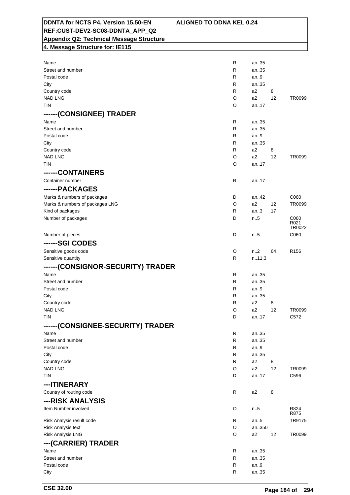| DDNTA for NCTS P4. Version 15.50-EN             | <b>ALIGNED TO DDNA KEL 0.24</b> |                |    |                        |
|-------------------------------------------------|---------------------------------|----------------|----|------------------------|
| REF:CUST-DEV2-SC08-DDNTA_APP_Q2                 |                                 |                |    |                        |
| <b>Appendix Q2: Technical Message Structure</b> |                                 |                |    |                        |
| 4. Message Structure for: IE115                 |                                 |                |    |                        |
|                                                 |                                 |                |    |                        |
| Name                                            | R                               | an35           |    |                        |
| Street and number                               | R                               | an35           |    |                        |
| Postal code                                     | R                               | an.9           |    |                        |
| City                                            | R                               | an35           |    |                        |
| Country code                                    | R                               | a2             | 8  |                        |
| <b>NAD LNG</b>                                  | O                               | a2             | 12 | TR0099                 |
| <b>TIN</b>                                      | O                               | an17           |    |                        |
| ------(CONSIGNEE) TRADER                        |                                 |                |    |                        |
| Name                                            | R                               | an35           |    |                        |
| Street and number                               | R                               | an35           |    |                        |
| Postal code                                     | R                               | an.9           |    |                        |
| City                                            | R                               | an35           |    |                        |
| Country code                                    | R                               | a2             | 8  |                        |
| <b>NAD LNG</b>                                  | O                               | a2             | 12 | TR0099                 |
| <b>TIN</b>                                      | O                               | an17           |    |                        |
| ------CONTAINERS                                |                                 |                |    |                        |
| Container number                                | R                               | an17           |    |                        |
| ------PACKAGES                                  |                                 |                |    |                        |
| Marks & numbers of packages                     | D                               | an42           |    | C060                   |
| Marks & numbers of packages LNG                 | O                               | a2             | 12 | TR0099                 |
| Kind of packages                                | R                               | an.3           | 17 |                        |
| Number of packages                              | D                               | n.5            |    | C060<br>R021<br>TR0022 |
| Number of pieces                                | D                               | $n_{.}.5$      |    | C060                   |
| ------SGI CODES                                 |                                 |                |    |                        |
| Sensitive goods code                            | O                               | n2             | 64 | R <sub>156</sub>       |
| Sensitive quantity                              | R                               | n.11,3         |    |                        |
| ------(CONSIGNOR-SECURITY) TRADER               |                                 |                |    |                        |
| Name                                            | R                               | an35           |    |                        |
| Street and number                               | R                               | an35           |    |                        |
| Postal code                                     | R                               | an $9$         |    |                        |
| City                                            | R                               | an35           |    |                        |
| Country code                                    | R                               | a2             | 8  |                        |
| <b>NAD LNG</b>                                  | O                               | a2             | 12 | TR0099                 |
| <b>TIN</b>                                      | D                               | an17           |    | C572                   |
| ------(CONSIGNEE-SECURITY) TRADER               |                                 |                |    |                        |
| Name                                            | R                               | an35           |    |                        |
| Street and number                               | R                               | an35           |    |                        |
| Postal code                                     | R                               | an.9           |    |                        |
| City                                            | R                               | an35           |    |                        |
| Country code                                    | R                               | a <sub>2</sub> | 8  |                        |
| <b>NAD LNG</b>                                  | O                               | a2             | 12 | TR0099                 |
| <b>TIN</b>                                      | D                               | an17           |    | C596                   |
| ---ITINERARY                                    |                                 |                |    |                        |
| Country of routing code                         | $\mathsf{R}$                    | a2             | 8  |                        |
| ---RISK ANALYSIS                                |                                 |                |    |                        |
| Item Number involved                            | O                               | n.5            |    | R824<br>R875           |
| Risk Analysis result code                       | R                               | an $.5$        |    | TR9175                 |
| Risk Analysis text                              | O                               | an350          |    |                        |
| Risk Analysis LNG                               | O                               | a2             | 12 | TR0099                 |
| ---(CARRIER) TRADER                             |                                 |                |    |                        |
| Name                                            | R                               | an35           |    |                        |
| Street and number                               | R                               | an35           |    |                        |
| Postal code                                     | R                               | an.9           |    |                        |
| City                                            | R                               | an35           |    |                        |
|                                                 |                                 |                |    |                        |

 $\overline{\phantom{a}}$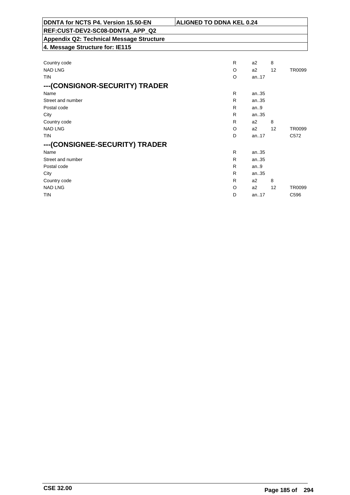| DDNTA for NCTS P4. Version 15.50-EN             | <b>ALIGNED TO DDNA KEL 0.24</b> |       |    |                  |
|-------------------------------------------------|---------------------------------|-------|----|------------------|
| REF:CUST-DEV2-SC08-DDNTA_APP_Q2                 |                                 |       |    |                  |
| <b>Appendix Q2: Technical Message Structure</b> |                                 |       |    |                  |
| 4. Message Structure for: IE115                 |                                 |       |    |                  |
|                                                 |                                 |       |    |                  |
| Country code                                    | R                               | a2    | 8  |                  |
| <b>NAD LNG</b>                                  | O                               | a2    | 12 | TR0099           |
| <b>TIN</b>                                      | O                               | an.17 |    |                  |
| ---(CONSIGNOR-SECURITY) TRADER                  |                                 |       |    |                  |
| Name                                            | R                               | an.35 |    |                  |
| Street and number                               | R                               | an.35 |    |                  |
| Postal code                                     | R                               | an.9  |    |                  |
| City                                            | R                               | an35  |    |                  |
| Country code                                    | R                               | a2    | 8  |                  |
| <b>NAD LNG</b>                                  | O                               | a2    | 12 | TR0099           |
| <b>TIN</b>                                      | D                               | an.17 |    | C <sub>572</sub> |
| ---(CONSIGNEE-SECURITY) TRADER                  |                                 |       |    |                  |
| Name                                            | R                               | an.35 |    |                  |
| Street and number                               | R                               | an35  |    |                  |
| Postal code                                     | R                               | an.9  |    |                  |
| City                                            | R                               | an35  |    |                  |
| Country code                                    | R                               | a2    | 8  |                  |

NAD LNG CONSTRUCTED A REPORT OF THE CONSTRUCTION OF A REPORT OF A REPORT OF A SAMPLING OF A REPORT OF A SAMPLING TIN D an..17 C596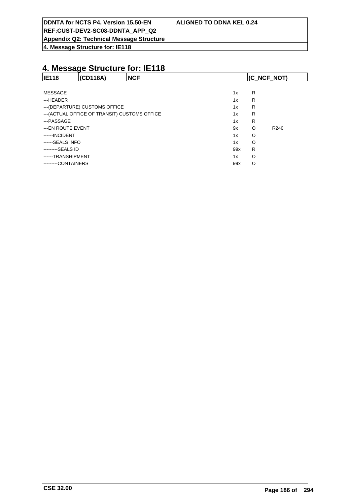**REF:CUST-DEV2-SC08-DDNTA\_APP\_Q2**

**Appendix Q2: Technical Message Structure**

**4. Message Structure for: IE118**

| <b>IE118</b>                                  | (CD118A) | <b>NCF</b> |     |   | (C_NCF_NOT)      |
|-----------------------------------------------|----------|------------|-----|---|------------------|
|                                               |          |            |     |   |                  |
| MESSAGE                                       |          |            | 1x  | R |                  |
| ---HEADER                                     |          |            | 1x  | R |                  |
| --- (DEPARTURE) CUSTOMS OFFICE                |          |            | 1x  | R |                  |
| --- (ACTUAL OFFICE OF TRANSIT) CUSTOMS OFFICE |          |            | 1x  | R |                  |
| ---PASSAGE                                    |          |            | 1x  | R |                  |
| ---EN ROUTE EVENT                             |          |            | 9x  | O | R <sub>240</sub> |
| ------INCIDENT                                |          |            | 1x  | O |                  |
| ------SEALS INFO                              |          |            | 1x  | O |                  |
| ---------SEALS ID                             |          |            | 99x | R |                  |
| ------TRANSHIPMENT                            |          |            | 1x  | O |                  |
| ---CONTAINERS                                 |          |            | 99x | O |                  |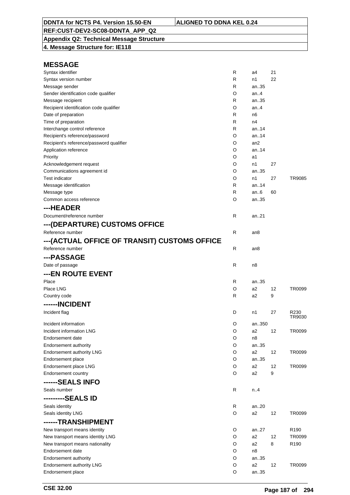### **REF:CUST-DEV2-SC08-DDNTA\_APP\_Q2 Appendix Q2: Technical Message Structure**

**4. Message Structure for: IE118**

| Syntax identifier                            | R | a4              | 21 |                |
|----------------------------------------------|---|-----------------|----|----------------|
| Syntax version number                        | R | n1              | 22 |                |
| Message sender                               | R | an35            |    |                |
| Sender identification code qualifier         | O | an.4            |    |                |
| Message recipient                            | R | an35            |    |                |
| Recipient identification code qualifier      | O | an.4            |    |                |
| Date of preparation                          | R | n6              |    |                |
| Time of preparation                          | R | n4              |    |                |
| Interchange control reference                | R | an14            |    |                |
| Recipient's reference/password               | O | an14            |    |                |
| Recipient's reference/password qualifier     | O | an <sub>2</sub> |    |                |
| Application reference                        | O | an14            |    |                |
| Priority                                     | O | a1              |    |                |
| Acknowledgement request                      | O | n1              | 27 |                |
| Communications agreement id                  | O | an35            |    |                |
| <b>Test indicator</b>                        | O | n1              | 27 | TR9085         |
| Message identification                       | R | an.14           |    |                |
| Message type                                 | R | an $6$          | 60 |                |
| Common access reference                      | O | an35            |    |                |
| ---HEADER                                    |   |                 |    |                |
| Document/reference number                    | R | an21            |    |                |
|                                              |   |                 |    |                |
| ---(DEPARTURE) CUSTOMS OFFICE                |   |                 |    |                |
| Reference number                             | R | an8             |    |                |
| ---(ACTUAL OFFICE OF TRANSIT) CUSTOMS OFFICE |   |                 |    |                |
| Reference number                             | R | an <sub>8</sub> |    |                |
| ---PASSAGE                                   |   |                 |    |                |
| Date of passage                              | R | n8              |    |                |
| ---EN ROUTE EVENT                            |   |                 |    |                |
|                                              |   |                 |    |                |
| Place                                        | R | an35            |    |                |
| Place LNG                                    | O | a2              | 12 | TR0099         |
| Country code                                 | R | a <sub>2</sub>  | 9  |                |
| ------INCIDENT                               |   |                 |    |                |
| Incident flag                                | D | n1              | 27 | R230<br>TR9030 |
| Incident information                         | O | an350           |    |                |
| Incident information LNG                     | O | a2              | 12 | TR0099         |
| Endorsement date                             | O | n8              |    |                |
| Endorsement authority                        | O | an35            |    |                |
| Endorsement authority LNG                    | O | a <sub>2</sub>  | 12 | TR0099         |
| Endorsement place                            | O | an35            |    |                |
| Endorsement place LNG                        | O | a <sub>2</sub>  | 12 | TR0099         |
| Endorsement country                          | O | a2              | 9  |                |
| ------SEALS INFO                             |   |                 |    |                |
| Seals number                                 | R | n.4             |    |                |
| ---------SEALS ID                            |   |                 |    |                |
|                                              | R | an20            |    |                |
| Seals identity<br>Seals identity LNG         | O | a2              | 12 | TR0099         |
|                                              |   |                 |    |                |
| ------TRANSHIPMENT                           |   |                 |    |                |
| New transport means identity                 | O | an27            |    | R190           |
| New transport means identity LNG             | O | a2              | 12 | TR0099         |
| New transport means nationality              | O | a <sub>2</sub>  | 8  | R190           |
| Endorsement date                             | O | n8              |    |                |
| Endorsement authority                        | O | an35            |    |                |
| Endorsement authority LNG                    | O | a2              | 12 | TR0099         |
| Endorsement place                            | O | an35            |    |                |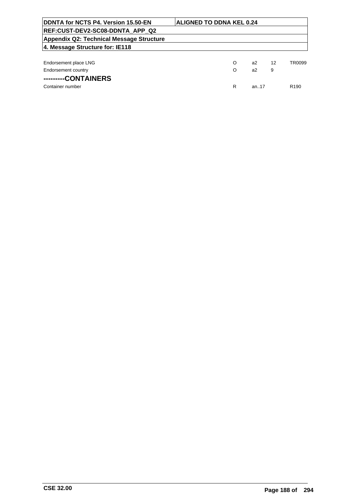| DDNTA for NCTS P4. Version 15.50-EN             | <b>ALIGNED TO DDNA KEL 0.24</b> |   |        |    |                  |
|-------------------------------------------------|---------------------------------|---|--------|----|------------------|
| REF:CUST-DEV2-SC08-DDNTA APP Q2                 |                                 |   |        |    |                  |
| <b>Appendix Q2: Technical Message Structure</b> |                                 |   |        |    |                  |
| 4. Message Structure for: IE118                 |                                 |   |        |    |                  |
|                                                 |                                 |   |        |    |                  |
| Endorsement place LNG                           |                                 | O | a2     | 12 | TR0099           |
| Endorsement country                             |                                 | O | a2     | 9  |                  |
| ---------CONTAINERS                             |                                 |   |        |    |                  |
| Container number                                |                                 | R | an. 17 |    | R <sub>190</sub> |
|                                                 |                                 |   |        |    |                  |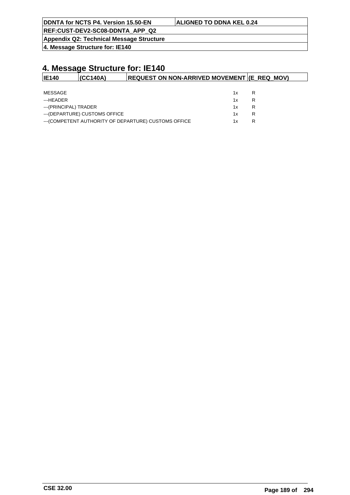**REF:CUST-DEV2-SC08-DDNTA\_APP\_Q2**

**Appendix Q2: Technical Message Structure**

**4. Message Structure for: IE140**

| <b>IE140</b>          | (CC140A)                       | <b>REQUEST ON NON-ARRIVED MOVEMENT (E REQ MOV)</b>    |    |   |  |
|-----------------------|--------------------------------|-------------------------------------------------------|----|---|--|
|                       |                                |                                                       |    |   |  |
| MESSAGE               |                                |                                                       | 1x | R |  |
| ---HEADER             |                                |                                                       | 1x | R |  |
| ---(PRINCIPAL) TRADER |                                |                                                       | 1x | R |  |
|                       | --- (DEPARTURE) CUSTOMS OFFICE |                                                       | 1x | R |  |
|                       |                                | --- (COMPETENT AUTHORITY OF DEPARTURE) CUSTOMS OFFICE | 1x | R |  |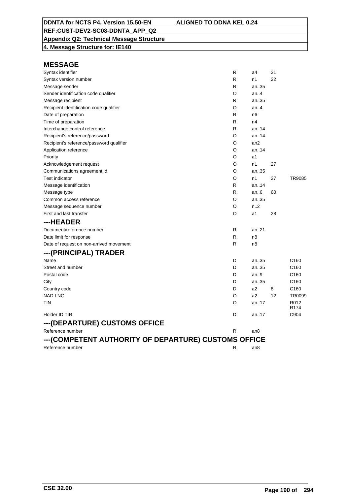# **Appendix Q2: Technical Message Structure**

**4. Message Structure for: IE140**

| Syntax identifier                                    | R | a4              | 21 |                  |
|------------------------------------------------------|---|-----------------|----|------------------|
| Syntax version number                                | R | n1              | 22 |                  |
| Message sender                                       | R | an35            |    |                  |
| Sender identification code qualifier                 | O | an.4            |    |                  |
| Message recipient                                    | R | an35            |    |                  |
| Recipient identification code qualifier              | O | an.4            |    |                  |
| Date of preparation                                  | R | n <sub>6</sub>  |    |                  |
| Time of preparation                                  | R | n4              |    |                  |
| Interchange control reference                        | R | an. $.14$       |    |                  |
| Recipient's reference/password                       | O | an14            |    |                  |
| Recipient's reference/password qualifier             | O | an2             |    |                  |
| Application reference                                | O | an14            |    |                  |
| Priority                                             | O | a1              |    |                  |
| Acknowledgement request                              | O | n1              | 27 |                  |
| Communications agreement id                          | O | an35            |    |                  |
| <b>Test indicator</b>                                | O | n1              | 27 | TR9085           |
| Message identification                               | R | an.14           |    |                  |
| Message type                                         | R | an.6            | 60 |                  |
| Common access reference                              | O | an35            |    |                  |
| Message sequence number                              | O | n <sub>2</sub>  |    |                  |
| First and last transfer                              | O | a1              | 28 |                  |
| ---HEADER                                            |   |                 |    |                  |
| Document/reference number                            | R | an21            |    |                  |
| Date limit for response                              | R | n <sub>8</sub>  |    |                  |
| Date of request on non-arrived movement              | R | n <sub>8</sub>  |    |                  |
| ---(PRINCIPAL) TRADER                                |   |                 |    |                  |
| Name                                                 | D | an35            |    | C <sub>160</sub> |
| Street and number                                    | D | an35            |    | C <sub>160</sub> |
| Postal code                                          | D | an.9            |    | C <sub>160</sub> |
| City                                                 | D | an35            |    | C <sub>160</sub> |
| Country code                                         | D | a2              | 8  | C160             |
| <b>NAD LNG</b>                                       | O | a2              | 12 | TR0099           |
| TIN                                                  | O | an. $.17$       |    | R012<br>R174     |
| Holder ID TIR                                        | D | an.17           |    | C904             |
| ---(DEPARTURE) CUSTOMS OFFICE                        |   |                 |    |                  |
| Reference number                                     | R | an <sub>8</sub> |    |                  |
| ---(COMPETENT AUTHORITY OF DEPARTURE) CUSTOMS OFFICE |   |                 |    |                  |
| Reference number                                     | R | an <sub>8</sub> |    |                  |
|                                                      |   |                 |    |                  |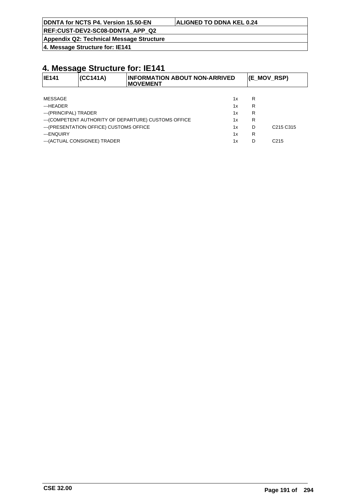**REF:CUST-DEV2-SC08-DDNTA\_APP\_Q2**

**Appendix Q2: Technical Message Structure**

**4. Message Structure for: IE141**

| <b>IE141</b>                                                | (CC141A)                      | <b>INFORMATION ABOUT NON-ARRIVED</b><br><b>MOVEMENT</b> |    | (E_MOV_RSP)                       |                  |
|-------------------------------------------------------------|-------------------------------|---------------------------------------------------------|----|-----------------------------------|------------------|
|                                                             |                               |                                                         |    |                                   |                  |
| MESSAGE                                                     |                               |                                                         | 1x | R                                 |                  |
| ---HEADER                                                   |                               |                                                         | 1x | R                                 |                  |
| ---(PRINCIPAL) TRADER                                       |                               |                                                         | 1x | R                                 |                  |
| --- (COMPETENT AUTHORITY OF DEPARTURE) CUSTOMS OFFICE<br>1x |                               |                                                         | R  |                                   |                  |
| --- (PRESENTATION OFFICE) CUSTOMS OFFICE<br>1x              |                               |                                                         | D  | C <sub>215</sub> C <sub>315</sub> |                  |
| ---ENQUIRY                                                  |                               |                                                         | 1x | R                                 |                  |
|                                                             | --- (ACTUAL CONSIGNEE) TRADER |                                                         | 1x | D                                 | C <sub>215</sub> |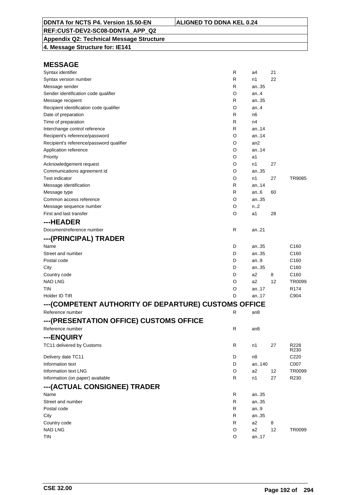## **REF:CUST-DEV2-SC08-DDNTA\_APP\_Q2 Appendix Q2: Technical Message Structure**

**4. Message Structure for: IE141**

| Syntax identifier                                    | R | a4             | 21 |                  |
|------------------------------------------------------|---|----------------|----|------------------|
| Syntax version number                                | R | n1             | 22 |                  |
| Message sender                                       | R | an35           |    |                  |
| Sender identification code qualifier                 | O | an $4$         |    |                  |
| Message recipient                                    | R | an35           |    |                  |
| Recipient identification code qualifier              | O | an $4$         |    |                  |
| Date of preparation                                  | R | n <sub>6</sub> |    |                  |
| Time of preparation                                  | R | n4             |    |                  |
| Interchange control reference                        | R | an14           |    |                  |
| Recipient's reference/password                       | O | an14           |    |                  |
| Recipient's reference/password qualifier             | O | an2            |    |                  |
| Application reference                                | O | an14           |    |                  |
| Priority                                             | O | a1             |    |                  |
| Acknowledgement request                              | O | n1             | 27 |                  |
| Communications agreement id                          | O | an35           |    |                  |
| <b>Test indicator</b>                                | O | n1             | 27 | TR9085           |
| Message identification                               | R | an. $.14$      |    |                  |
| Message type                                         | R | an $6$         | 60 |                  |
| Common access reference                              | O | an35           |    |                  |
| Message sequence number                              | O | n <sub>2</sub> |    |                  |
| First and last transfer                              | O | a1             | 28 |                  |
| ---HEADER                                            |   |                |    |                  |
| Document/reference number                            | R | an21           |    |                  |
| ---(PRINCIPAL) TRADER                                |   |                |    |                  |
| Name                                                 | D | an35           |    | C <sub>160</sub> |
| Street and number                                    | D | an35           |    | C <sub>160</sub> |
| Postal code                                          | D | an.9           |    | C <sub>160</sub> |
| City                                                 | D | an35           |    | C <sub>160</sub> |
| Country code                                         | D | a2             | 8  | C160             |
| <b>NAD LNG</b>                                       | O | a <sub>2</sub> | 12 | TR0099           |
| TIN                                                  | O | an17           |    | R <sub>174</sub> |
| Holder ID TIR                                        | D | an17           |    | C904             |
| ---(COMPETENT AUTHORITY OF DEPARTURE) CUSTOMS OFFICE |   |                |    |                  |
| Reference number                                     | R | an8            |    |                  |
| ---(PRESENTATION OFFICE) CUSTOMS OFFICE              |   |                |    |                  |
| Reference number                                     | R | an8            |    |                  |
|                                                      |   |                |    |                  |
| ---ENQUIRY                                           |   |                |    |                  |
| TC11 delivered by Customs                            | R | n1             | 27 | R228<br>R230     |
| Delivery date TC11                                   | D | n8             |    | C <sub>220</sub> |
| Information text                                     | D | an140          |    | C007             |
| Information text LNG                                 | O | a2             | 12 | TR0099           |
|                                                      | R | n1             | 27 | R230             |
| Information (on paper) available                     |   |                |    |                  |
| ---(ACTUAL CONSIGNEE) TRADER                         |   |                |    |                  |
| Name                                                 | R | an35           |    |                  |
| Street and number                                    | R | an35           |    |                  |
| Postal code                                          | R | an.9           |    |                  |
| City                                                 | R | an35           |    |                  |
| Country code                                         | R | a2             | 8  |                  |
| <b>NAD LNG</b>                                       | O | a2             | 12 | TR0099           |
| <b>TIN</b>                                           | O | an17           |    |                  |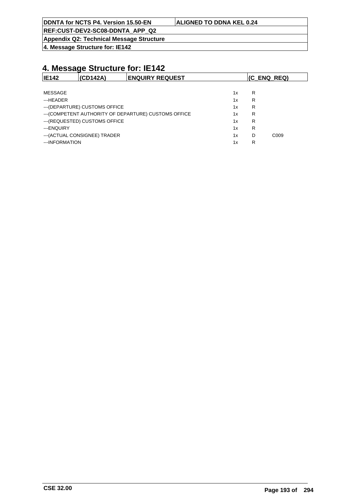**REF:CUST-DEV2-SC08-DDNTA\_APP\_Q2**

**Appendix Q2: Technical Message Structure**

**4. Message Structure for: IE142**

| <b>IE142</b>   | (CD142A)                       | <b>ENQUIRY REQUEST</b>                                |    |   | $ $ (C ENQ REQ)  |
|----------------|--------------------------------|-------------------------------------------------------|----|---|------------------|
|                |                                |                                                       |    |   |                  |
| <b>MESSAGE</b> |                                |                                                       | 1x | R |                  |
| ---HEADER      |                                |                                                       | 1x | R |                  |
|                | --- (DEPARTURE) CUSTOMS OFFICE |                                                       | 1x | R |                  |
|                |                                | --- (COMPETENT AUTHORITY OF DEPARTURE) CUSTOMS OFFICE | 1x | R |                  |
|                | --- (REQUESTED) CUSTOMS OFFICE |                                                       | 1x | R |                  |
| ---ENQUIRY     |                                |                                                       | 1x | R |                  |
|                | ---(ACTUAL CONSIGNEE) TRADER   |                                                       | 1x | D | C <sub>009</sub> |
| ---INFORMATION |                                |                                                       | 1x | R |                  |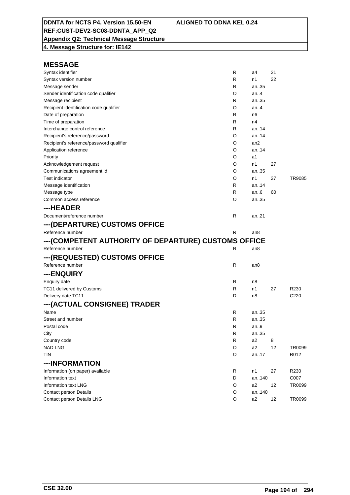## **REF:CUST-DEV2-SC08-DDNTA\_APP\_Q2 Appendix Q2: Technical Message Structure**

**4. Message Structure for: IE142**

| Syntax identifier                                    | R | a4             | 21 |                  |
|------------------------------------------------------|---|----------------|----|------------------|
| Syntax version number                                | R | n1             | 22 |                  |
| Message sender                                       | R | an35           |    |                  |
| Sender identification code qualifier                 | O | an4            |    |                  |
| Message recipient                                    | R | an35           |    |                  |
| Recipient identification code qualifier              | O | an4            |    |                  |
| Date of preparation                                  | R | n6             |    |                  |
| Time of preparation                                  | R | n4             |    |                  |
| Interchange control reference                        | R | an14           |    |                  |
| Recipient's reference/password                       | O | an14           |    |                  |
| Recipient's reference/password qualifier             | O | an2            |    |                  |
| Application reference                                | O | an14           |    |                  |
| Priority                                             | O | a1             |    |                  |
| Acknowledgement request                              | O | n1             | 27 |                  |
| Communications agreement id                          | O | an35           |    |                  |
| <b>Test indicator</b>                                | O | n1             | 27 | TR9085           |
| Message identification                               | R | an14           |    |                  |
| Message type                                         | R | an6            | 60 |                  |
| Common access reference                              | O | an35           |    |                  |
| ---HEADER                                            |   |                |    |                  |
| Document/reference number                            | R | an21           |    |                  |
| ---(DEPARTURE) CUSTOMS OFFICE                        |   |                |    |                  |
| Reference number                                     | R | an8            |    |                  |
|                                                      |   |                |    |                  |
| ---(COMPETENT AUTHORITY OF DEPARTURE) CUSTOMS OFFICE |   |                |    |                  |
| Reference number                                     | R | an8            |    |                  |
| ---(REQUESTED) CUSTOMS OFFICE                        |   |                |    |                  |
| Reference number                                     | R | an8            |    |                  |
| ---ENQUIRY                                           |   |                |    |                  |
| <b>Enquiry date</b>                                  | R | n8             |    |                  |
|                                                      | R | n1             | 27 | R <sub>230</sub> |
| TC11 delivered by Customs<br>Delivery date TC11      | D | n8             |    | C220             |
|                                                      |   |                |    |                  |
| --- (ACTUAL CONSIGNEE) TRADER<br>Name                | R | an35           |    |                  |
| Street and number                                    | R | an35           |    |                  |
| Postal code                                          | R | an9            |    |                  |
| City                                                 | R | an35           |    |                  |
| Country code                                         | R | a <sub>2</sub> | 8  |                  |
| <b>NAD LNG</b>                                       | O | a2             | 12 | TR0099           |
| TIN                                                  | O | an17           |    | R012             |
| ---INFORMATION                                       |   |                |    |                  |
| Information (on paper) available                     | R | n1             | 27 | R230             |
| Information text                                     | D | an140          |    | C007             |
| Information text LNG                                 | O | a <sub>2</sub> | 12 | TR0099           |
| Contact person Details                               | O | an140          |    |                  |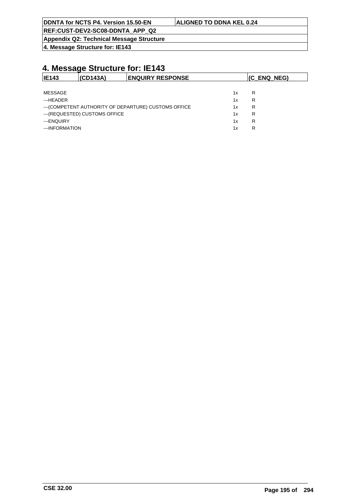**REF:CUST-DEV2-SC08-DDNTA\_APP\_Q2**

**Appendix Q2: Technical Message Structure**

**4. Message Structure for: IE143**

| <b>IE143</b>   | (CD143A)                       | <b>ENQUIRY RESPONSE</b>                               |    | (C ENQ NEG) |
|----------------|--------------------------------|-------------------------------------------------------|----|-------------|
|                |                                |                                                       |    |             |
| MESSAGE        |                                |                                                       | 1x | R           |
| ---HEADER      |                                |                                                       | 1x | R           |
|                |                                | --- (COMPETENT AUTHORITY OF DEPARTURE) CUSTOMS OFFICE | 1x | R           |
|                | --- (REQUESTED) CUSTOMS OFFICE |                                                       | 1x | R           |
| --ENQUIRY      |                                |                                                       | 1x | R           |
| ---INFORMATION |                                |                                                       | 1x | R           |
|                |                                |                                                       |    |             |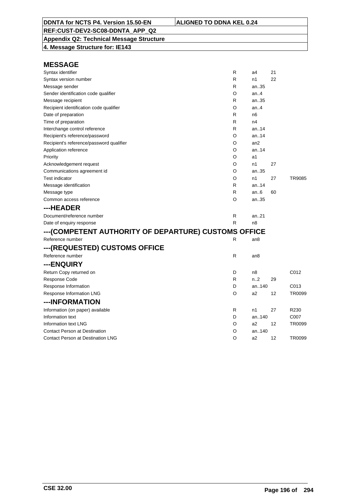## **REF:CUST-DEV2-SC08-DDNTA\_APP\_Q2 Appendix Q2: Technical Message Structure**

**4. Message Structure for: IE143**

| Syntax identifier                                    | R  | a4               | 21 |        |
|------------------------------------------------------|----|------------------|----|--------|
| Syntax version number                                | R  | n1               | 22 |        |
| Message sender                                       | R  | an35             |    |        |
| Sender identification code qualifier                 | O  | an.4             |    |        |
| Message recipient                                    | R  | an35             |    |        |
| Recipient identification code qualifier              | O  | an.4             |    |        |
| Date of preparation                                  | R  | n <sub>6</sub>   |    |        |
| Time of preparation                                  | R  | n4               |    |        |
| Interchange control reference                        | R  | an14             |    |        |
| Recipient's reference/password                       | O  | an14             |    |        |
| Recipient's reference/password qualifier             | O  | an <sub>2</sub>  |    |        |
| Application reference                                | O  | an14             |    |        |
| Priority                                             | O  | a1               |    |        |
| Acknowledgement request                              | O  | n1               | 27 |        |
| Communications agreement id                          | O  | an35             |    |        |
| <b>Test indicator</b>                                | O  | n1               | 27 | TR9085 |
| Message identification                               | R  | an14             |    |        |
| Message type                                         | R  | an.6             | 60 |        |
| Common access reference                              | O  | an35             |    |        |
| ---HEADER                                            |    |                  |    |        |
| Document/reference number                            | R  | an.21            |    |        |
| Date of enquiry response                             | R  | n <sub>8</sub>   |    |        |
| ---(COMPETENT AUTHORITY OF DEPARTURE) CUSTOMS OFFICE |    |                  |    |        |
| Reference number                                     | R  | an <sub>8</sub>  |    |        |
| ---(REQUESTED) CUSTOMS OFFICE                        |    |                  |    |        |
| Reference number                                     | R. | an <sub>8</sub>  |    |        |
| ---ENQUIRY                                           |    |                  |    |        |
| Return Copy returned on                              | D  | n <sub>8</sub>   |    | C012   |
| Response Code                                        | R  | n <sub>1</sub> 2 | 29 |        |
| Response Information                                 | D  | an140            |    | C013   |
| Response Information LNG                             | O  | a2               | 12 | TR0099 |
| ---INFORMATION                                       |    |                  |    |        |
| Information (on paper) available                     | R  | n1               | 27 | R230   |
| Information text                                     | D  | an140            |    | C007   |
| Information text LNG                                 | O  | a2               | 12 | TR0099 |
| <b>Contact Person at Destination</b>                 | O  | an140            |    |        |
| <b>Contact Person at Destination LNG</b>             | O  | a2               | 12 | TR0099 |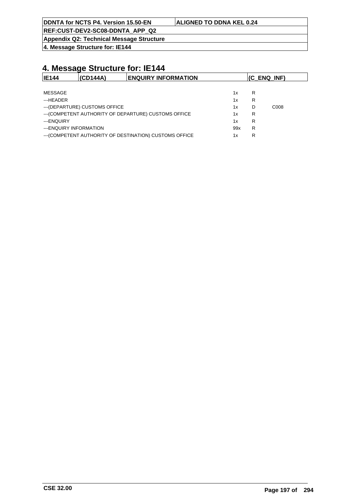**REF:CUST-DEV2-SC08-DDNTA\_APP\_Q2**

**Appendix Q2: Technical Message Structure**

**4. Message Structure for: IE144**

| <b>IE144</b>           | (CD144A)                       | <b>ENQUIRY INFORMATION</b>                              |     | $(C$ ENQ INF) |                  |
|------------------------|--------------------------------|---------------------------------------------------------|-----|---------------|------------------|
|                        |                                |                                                         |     |               |                  |
| MESSAGE                |                                |                                                         | 1x  | R             |                  |
| ---HEADER              |                                |                                                         | 1x  | R             |                  |
|                        | --- (DEPARTURE) CUSTOMS OFFICE |                                                         | 1x  | D             | C <sub>008</sub> |
|                        |                                | --- (COMPETENT AUTHORITY OF DEPARTURE) CUSTOMS OFFICE   | 1x  | R             |                  |
| ---ENQUIRY             |                                |                                                         | 1x  | R             |                  |
| ---ENQUIRY INFORMATION |                                |                                                         | 99x | R             |                  |
|                        |                                | --- (COMPETENT AUTHORITY OF DESTINATION) CUSTOMS OFFICE | 1x  | R             |                  |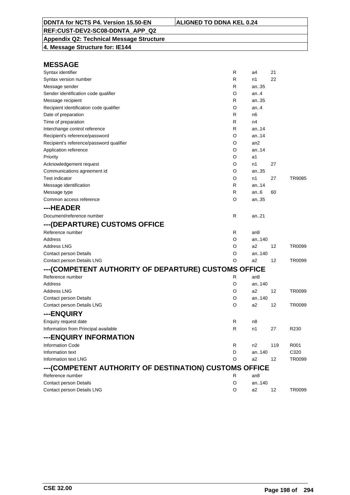## **REF:CUST-DEV2-SC08-DDNTA\_APP\_Q2 Appendix Q2: Technical Message Structure**

| <b>MESSAGE</b> |
|----------------|
|----------------|

| Syntax identifier                                      | R | a4              | 21  |               |
|--------------------------------------------------------|---|-----------------|-----|---------------|
| Syntax version number                                  | R | n1              | 22  |               |
| Message sender                                         | R | an35            |     |               |
| Sender identification code qualifier                   | O | an. $4$         |     |               |
| Message recipient                                      | R | an35            |     |               |
| Recipient identification code qualifier                | O | an.4            |     |               |
| Date of preparation                                    | R | n6              |     |               |
| Time of preparation                                    | R | n4              |     |               |
| Interchange control reference                          | R | an14            |     |               |
| Recipient's reference/password                         | O | an14            |     |               |
| Recipient's reference/password qualifier               | O | an <sub>2</sub> |     |               |
| Application reference                                  | O | an14            |     |               |
| Priority                                               | O | a1              |     |               |
| Acknowledgement request                                | O | n1              | 27  |               |
| Communications agreement id                            | O | an35            |     |               |
| <b>Test indicator</b>                                  | O | n1              | 27  | <b>TR9085</b> |
| Message identification                                 | R | an14            |     |               |
| Message type                                           | R | an.6            | 60  |               |
| Common access reference                                | O | an35            |     |               |
| ---HEADER                                              |   |                 |     |               |
| Document/reference number                              | R | an21            |     |               |
| ---(DEPARTURE) CUSTOMS OFFICE                          |   |                 |     |               |
| Reference number                                       | R | an8             |     |               |
| Address                                                | O | an140           |     |               |
| Address LNG                                            | O | a <sub>2</sub>  | 12  | TR0099        |
| Contact person Details                                 | O | an140           |     |               |
| Contact person Details LNG                             | O | a <sub>2</sub>  | 12  | TR0099        |
| ---(COMPETENT AUTHORITY OF DEPARTURE) CUSTOMS OFFICE   |   |                 |     |               |
| Reference number                                       | R | an <sub>8</sub> |     |               |
| Address                                                | O | an140           |     |               |
| <b>Address LNG</b>                                     | O | a <sub>2</sub>  | 12  | TR0099        |
| Contact person Details                                 | O | an140           |     |               |
| Contact person Details LNG                             | O | a <sub>2</sub>  | 12  | TR0099        |
| ---ENQUIRY                                             |   |                 |     |               |
| Enquiry request date                                   | R | n8              |     |               |
| Information from Principal available                   | R | n1              | 27  | R230          |
| ---ENQUIRY INFORMATION                                 |   |                 |     |               |
| <b>Information Code</b>                                | R | n <sub>2</sub>  | 119 | R001          |
| Information text                                       | D | an140           |     | C320          |
| Information text LNG                                   | O | a2              | 12  | TR0099        |
| ---(COMPETENT AUTHORITY OF DESTINATION) CUSTOMS OFFICE |   |                 |     |               |
| Reference number                                       | R | an8             |     |               |
| Contact person Details                                 | O | an140           |     |               |
| Contact person Details LNG                             | O | a2              | 12  | TR0099        |
|                                                        |   |                 |     |               |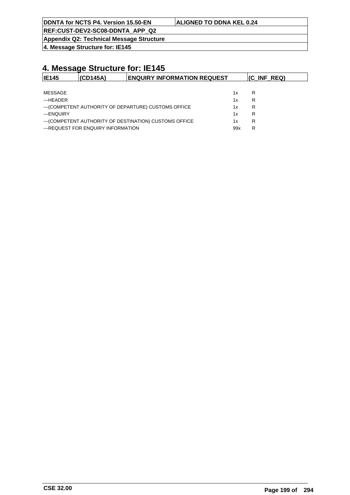**REF:CUST-DEV2-SC08-DDNTA\_APP\_Q2**

**Appendix Q2: Technical Message Structure**

**4. Message Structure for: IE145**

| <b>IE145</b> | (CD145A)                           | <b>ENQUIRY INFORMATION REQUEST</b>                      |     | $ $ (C_INF_REQ) |  |
|--------------|------------------------------------|---------------------------------------------------------|-----|-----------------|--|
|              |                                    |                                                         |     |                 |  |
| MESSAGE      |                                    |                                                         | 1x  | R               |  |
| ---HEADER    |                                    |                                                         | 1x  | R               |  |
|              |                                    | --- (COMPETENT AUTHORITY OF DEPARTURE) CUSTOMS OFFICE   | 1x  | R               |  |
| ---ENQUIRY   |                                    |                                                         | 1x  | R               |  |
|              |                                    | --- (COMPETENT AUTHORITY OF DESTINATION) CUSTOMS OFFICE | 1x  | R               |  |
|              | ---REQUEST FOR ENQUIRY INFORMATION |                                                         | 99x | R               |  |
|              |                                    |                                                         |     |                 |  |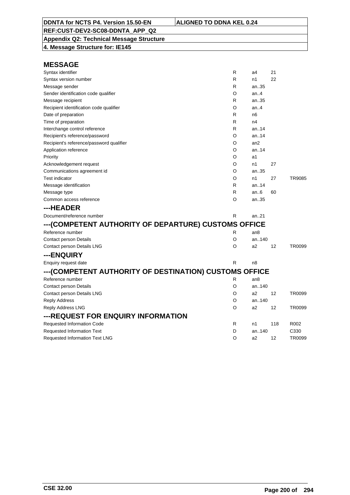**Appendix Q2: Technical Message Structure 4. Message Structure for: IE145**

| Syntax identifier                                      | R | a4              | 21                |        |
|--------------------------------------------------------|---|-----------------|-------------------|--------|
| Syntax version number                                  | R | n1              | 22                |        |
| Message sender                                         | R | an35            |                   |        |
| Sender identification code qualifier                   | O | an $4$          |                   |        |
| Message recipient                                      | R | an35            |                   |        |
| Recipient identification code qualifier                | O | an.4            |                   |        |
| Date of preparation                                    | R | n <sub>6</sub>  |                   |        |
| Time of preparation                                    | R | n4              |                   |        |
| Interchange control reference                          | R | an.14           |                   |        |
| Recipient's reference/password                         | O | an.14           |                   |        |
| Recipient's reference/password qualifier               | O | an2             |                   |        |
| Application reference                                  | O | an. $.14$       |                   |        |
| Priority                                               | O | a1              |                   |        |
| Acknowledgement request                                | O | n1              | 27                |        |
| Communications agreement id                            | O | an35            |                   |        |
| <b>Test indicator</b>                                  | O | n1              | 27                | TR9085 |
| Message identification                                 | R | an.14           |                   |        |
| Message type                                           | R | an. $6$         | 60                |        |
| Common access reference                                | O | an35            |                   |        |
| ---HEADER                                              |   |                 |                   |        |
| Document/reference number                              | R | an21            |                   |        |
| ---(COMPETENT AUTHORITY OF DEPARTURE) CUSTOMS OFFICE   |   |                 |                   |        |
| Reference number                                       | R | an <sub>8</sub> |                   |        |
| <b>Contact person Details</b>                          | O | an140           |                   |        |
| Contact person Details LNG                             | O | a2              | 12                | TR0099 |
| ---ENQUIRY                                             |   |                 |                   |        |
| Enquiry request date                                   | R | n8              |                   |        |
| ---(COMPETENT AUTHORITY OF DESTINATION) CUSTOMS OFFICE |   |                 |                   |        |
| Reference number                                       | R | an <sub>8</sub> |                   |        |
| <b>Contact person Details</b>                          | O | an140           |                   |        |
| Contact person Details LNG                             | O | a2              | 12                | TR0099 |
| <b>Reply Address</b>                                   | O | an140           |                   |        |
| Reply Address LNG                                      | O | a <sub>2</sub>  | $12 \overline{ }$ | TR0099 |
| ---REQUEST FOR ENQUIRY INFORMATION                     |   |                 |                   |        |
| Requested Information Code                             | R | n1              | 118               | R002   |
| <b>Requested Information Text</b>                      | D | an140           |                   | C330   |
| <b>Requested Information Text LNG</b>                  | O | a2              | 12                | TR0099 |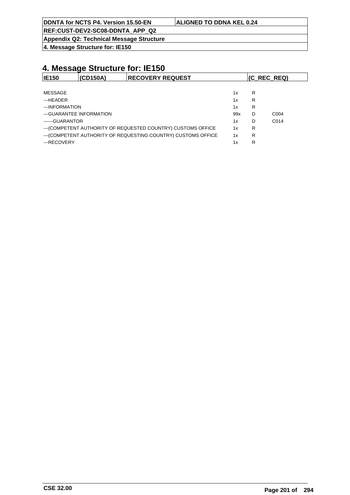**REF:CUST-DEV2-SC08-DDNTA\_APP\_Q2**

**Appendix Q2: Technical Message Structure**

**4. Message Structure for: IE150**

| <b>IE150</b>    | (CD150A)                  | <b>RECOVERY REQUEST</b>                                        |     |   | (C_REC_REQ)       |
|-----------------|---------------------------|----------------------------------------------------------------|-----|---|-------------------|
|                 |                           |                                                                |     |   |                   |
| MESSAGE         |                           |                                                                | 1x  | R |                   |
| ---HEADER       |                           |                                                                | 1x  | R |                   |
| ---INFORMATION  |                           |                                                                | 1x  | R |                   |
|                 | --- GUARANTEE INFORMATION |                                                                | 99x | D | C <sub>004</sub>  |
| ------GUARANTOR |                           |                                                                | 1x  | D | C <sub>0</sub> 14 |
|                 |                           | --- (COMPETENT AUTHORITY OF REQUESTED COUNTRY) CUSTOMS OFFICE  | 1x  | R |                   |
|                 |                           | --- (COMPETENT AUTHORITY OF REQUESTING COUNTRY) CUSTOMS OFFICE | 1x  | R |                   |
| ---RECOVERY     |                           |                                                                | 1x  | R |                   |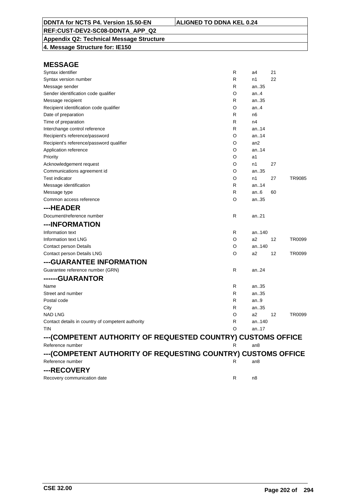**Appendix Q2: Technical Message Structure 4. Message Structure for: IE150**

| Syntax identifier                                             | R | a4              | 21 |        |
|---------------------------------------------------------------|---|-----------------|----|--------|
| Syntax version number                                         | R | n1              | 22 |        |
| Message sender                                                | R | an.35           |    |        |
| Sender identification code qualifier                          | O | an $4$          |    |        |
| Message recipient                                             | R | an35            |    |        |
| Recipient identification code qualifier                       | O | an.4            |    |        |
| Date of preparation                                           | R | n6              |    |        |
| Time of preparation                                           | R | n4              |    |        |
| Interchange control reference                                 | R | an14            |    |        |
| Recipient's reference/password                                | O | an14            |    |        |
| Recipient's reference/password qualifier                      | O | an2             |    |        |
| Application reference                                         | O | an.14           |    |        |
| Priority                                                      | O | a1              |    |        |
| Acknowledgement request                                       | O | n1              | 27 |        |
| Communications agreement id                                   | O | an35            |    |        |
| <b>Test indicator</b>                                         | O | n1              | 27 | TR9085 |
| Message identification                                        | R | an14            |    |        |
| Message type                                                  | R | an.6            | 60 |        |
| Common access reference                                       | O | an35            |    |        |
| ---HEADER                                                     |   |                 |    |        |
| Document/reference number                                     | R | an21            |    |        |
| ---INFORMATION                                                |   |                 |    |        |
| Information text                                              | R | an140           |    |        |
| Information text LNG                                          | O | a2              | 12 | TR0099 |
| Contact person Details                                        | O | an140           |    |        |
| Contact person Details LNG                                    | O | a2              | 12 | TR0099 |
| ---GUARANTEE INFORMATION                                      |   |                 |    |        |
| Guarantee reference number (GRN)                              | R | an24            |    |        |
| ------GUARANTOR                                               |   |                 |    |        |
| Name                                                          | R | an35            |    |        |
| Street and number                                             | R | an35            |    |        |
| Postal code                                                   | R | an $9$          |    |        |
| City                                                          | R | an35            |    |        |
| <b>NAD LNG</b>                                                | O | a2              | 12 | TR0099 |
| Contact details in country of competent authority             | R | an140           |    |        |
| tin                                                           | O | an17            |    |        |
| ---(COMPETENT AUTHORITY OF REQUESTED COUNTRY) CUSTOMS OFFICE  |   |                 |    |        |
| Reference number                                              | R | an <sub>8</sub> |    |        |
| ---(COMPETENT AUTHORITY OF REQUESTING COUNTRY) CUSTOMS OFFICE |   |                 |    |        |
| Reference number                                              | R | an8             |    |        |
| ---RECOVERY                                                   |   |                 |    |        |
| Recovery communication date                                   | R | n8              |    |        |
|                                                               |   |                 |    |        |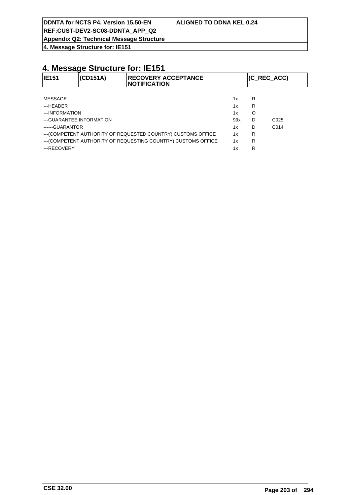**REF:CUST-DEV2-SC08-DDNTA\_APP\_Q2**

**Appendix Q2: Technical Message Structure**

**4. Message Structure for: IE151**

| <b>IE151</b>              | (CD151A) | <b>IRECOVERY ACCEPTANCE</b><br><b>INOTIFICATION</b>            |     |   | (C_REC_ACC)      |  |
|---------------------------|----------|----------------------------------------------------------------|-----|---|------------------|--|
|                           |          |                                                                |     |   |                  |  |
| MESSAGE                   |          |                                                                | 1x  | R |                  |  |
| ---HEADER                 |          |                                                                | 1x  | R |                  |  |
| ---INFORMATION            |          |                                                                | 1x  | O |                  |  |
| --- GUARANTEE INFORMATION |          |                                                                | 99x | D | C <sub>025</sub> |  |
| ------GUARANTOR           |          |                                                                | 1x  | D | C <sub>014</sub> |  |
|                           |          | --- (COMPETENT AUTHORITY OF REQUESTED COUNTRY) CUSTOMS OFFICE  | 1x  | R |                  |  |
|                           |          | --- (COMPETENT AUTHORITY OF REQUESTING COUNTRY) CUSTOMS OFFICE | 1x  | R |                  |  |
| ---RECOVERY               |          |                                                                | 1x  | R |                  |  |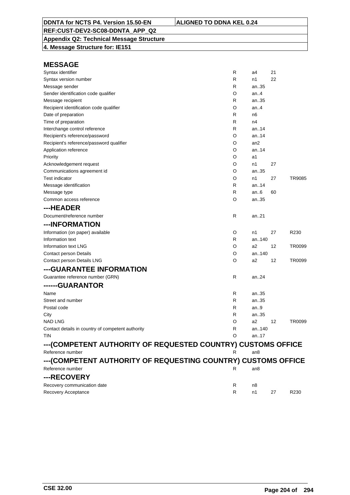**Appendix Q2: Technical Message Structure 4. Message Structure for: IE151**

| Syntax identifier                                             | R | a4             | 21 |                  |
|---------------------------------------------------------------|---|----------------|----|------------------|
| Syntax version number                                         | R | n1             | 22 |                  |
| Message sender                                                | R | an35           |    |                  |
| Sender identification code qualifier                          | O | an.4           |    |                  |
| Message recipient                                             | R | an35           |    |                  |
| Recipient identification code qualifier                       | O | an.4           |    |                  |
| Date of preparation                                           | R | n6             |    |                  |
| Time of preparation                                           | R | n4             |    |                  |
| Interchange control reference                                 | R | an14           |    |                  |
| Recipient's reference/password                                | O | an14           |    |                  |
| Recipient's reference/password qualifier                      | O | an2            |    |                  |
| Application reference                                         | O | an14           |    |                  |
| Priority                                                      | O | a1             |    |                  |
| Acknowledgement request                                       | O | n1             | 27 |                  |
| Communications agreement id                                   | O | an35           |    |                  |
| <b>Test indicator</b>                                         | O | n1             | 27 | TR9085           |
| Message identification                                        | R | an14           |    |                  |
| Message type                                                  | R | an $6$         | 60 |                  |
| Common access reference                                       | O | an35           |    |                  |
| ---HEADER                                                     |   |                |    |                  |
| Document/reference number                                     | R | an21           |    |                  |
| ---INFORMATION                                                |   |                |    |                  |
| Information (on paper) available                              | O | n1             | 27 | R230             |
| Information text                                              | R | an140          |    |                  |
| Information text LNG                                          | O | a <sub>2</sub> | 12 | TR0099           |
| Contact person Details                                        | O | an140          |    |                  |
| Contact person Details LNG                                    | O | a2             | 12 | TR0099           |
| ---GUARANTEE INFORMATION                                      |   |                |    |                  |
| Guarantee reference number (GRN)                              | R | an24           |    |                  |
| ------GUARANTOR                                               |   |                |    |                  |
| Name                                                          | R | an35           |    |                  |
| Street and number                                             | R | an35           |    |                  |
| Postal code                                                   | R | an $9$         |    |                  |
| City                                                          | R | an35           |    |                  |
| NAD LNG                                                       | O | a2             | 12 | TR0099           |
| Contact details in country of competent authority             | R | an140          |    |                  |
| <b>TIN</b>                                                    | O | an17           |    |                  |
| ---(COMPETENT AUTHORITY OF REQUESTED COUNTRY) CUSTOMS OFFICE  |   |                |    |                  |
| Reference number                                              | R | an8            |    |                  |
| ---(COMPETENT AUTHORITY OF REQUESTING COUNTRY) CUSTOMS OFFICE |   |                |    |                  |
| Reference number                                              | R | an8            |    |                  |
| ---RECOVERY                                                   |   |                |    |                  |
| Recovery communication date                                   | R | n8             |    |                  |
| Recovery Acceptance                                           | R | n1             | 27 | R <sub>230</sub> |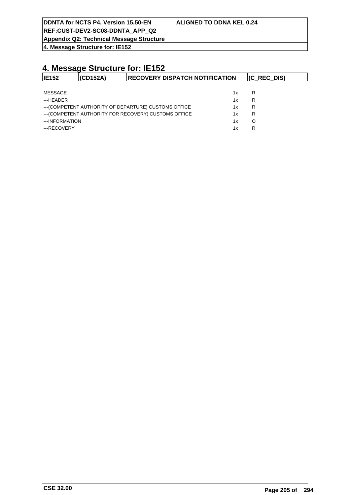**REF:CUST-DEV2-SC08-DDNTA\_APP\_Q2**

**Appendix Q2: Technical Message Structure**

**4. Message Structure for: IE152**

| <b>IE152</b>   | (CD152A) | <b>RECOVERY DISPATCH NOTIFICATION</b>                 |    | (IC REC DIS) |
|----------------|----------|-------------------------------------------------------|----|--------------|
|                |          |                                                       |    |              |
| MESSAGE        |          |                                                       | 1x | R            |
| ---HEADER      |          |                                                       | 1x | R            |
|                |          | --- (COMPETENT AUTHORITY OF DEPARTURE) CUSTOMS OFFICE | 1x | R            |
|                |          | --- (COMPETENT AUTHORITY FOR RECOVERY) CUSTOMS OFFICE | 1x | R            |
| ---INFORMATION |          |                                                       | 1x | O            |
| ---RECOVERY    |          |                                                       | 1x | R            |
|                |          |                                                       |    |              |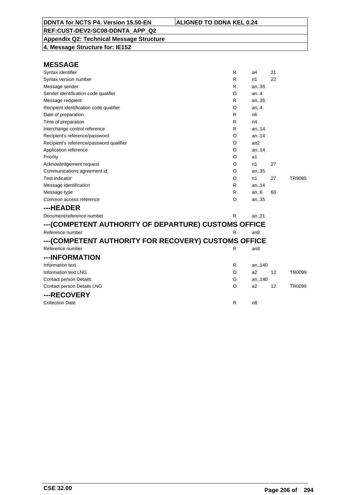**Appendix Q2: Technical Message Structure 4. Message Structure for: IE152**

| Syntax identifier                                    | R  | a4        | 21 |               |
|------------------------------------------------------|----|-----------|----|---------------|
| Syntax version number                                | R  | n1        | 22 |               |
| Message sender                                       | R  | an35      |    |               |
| Sender identification code qualifier                 | O  | an.4      |    |               |
| Message recipient                                    | R  | an35      |    |               |
| Recipient identification code qualifier              | O  | an.4      |    |               |
| Date of preparation                                  | R  | n6        |    |               |
| Time of preparation                                  | R  | n4        |    |               |
| Interchange control reference                        | R  | an. $14$  |    |               |
| Recipient's reference/password                       | O  | an. $.14$ |    |               |
| Recipient's reference/password qualifier             | O  | an2       |    |               |
| Application reference                                | O  | an14      |    |               |
| Priority                                             | O  | a1        |    |               |
| Acknowledgement request                              | O  | n1        | 27 |               |
| Communications agreement id                          | O  | an35      |    |               |
| Test indicator                                       | O  | n1        | 27 | <b>TR9085</b> |
| Message identification                               | R  | an. $.14$ |    |               |
| Message type                                         | R  | an.6      | 60 |               |
| Common access reference                              | O  | an35      |    |               |
| ---HEADER                                            |    |           |    |               |
| Document/reference number                            | R  | an. $.21$ |    |               |
| ---(COMPETENT AUTHORITY OF DEPARTURE) CUSTOMS OFFICE |    |           |    |               |
| Reference number                                     | R  | an8       |    |               |
| ---(COMPETENT AUTHORITY FOR RECOVERY) CUSTOMS OFFICE |    |           |    |               |
| Reference number                                     | R  | an8       |    |               |
| ---INFORMATION                                       |    |           |    |               |
| Information text                                     | R  | an140     |    |               |
| Information text LNG                                 | O  | a2        | 12 | <b>TR0099</b> |
| <b>Contact person Details</b>                        | O  | an140     |    |               |
| Contact person Details LNG                           | O  | a2        | 12 | <b>TR0099</b> |
| ---RECOVERY                                          |    |           |    |               |
| <b>Collection Date</b>                               | R. | n8        |    |               |
|                                                      |    |           |    |               |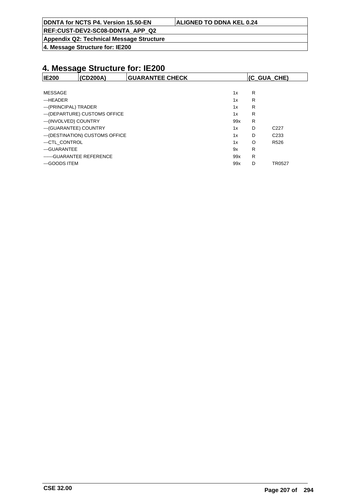|  |  | DDNTA for NCTS P4. Version 15.50-EN |
|--|--|-------------------------------------|
|  |  |                                     |

### **ALIGNED TO DDNA KEL 0.24**

**REF:CUST-DEV2-SC08-DDNTA\_APP\_Q2**

**Appendix Q2: Technical Message Structure**

**4. Message Structure for: IE200**

| <b>IE200</b>                   | (CD200A)                         | <b>GUARANTEE CHECK</b> |     |   | (C_GUA_CHE)      |
|--------------------------------|----------------------------------|------------------------|-----|---|------------------|
|                                |                                  |                        |     |   |                  |
| MESSAGE                        |                                  |                        | 1x  | R |                  |
| ---HEADER                      |                                  |                        | 1x  | R |                  |
| --- (PRINCIPAL) TRADER         |                                  |                        | 1x  | R |                  |
| --- (DEPARTURE) CUSTOMS OFFICE |                                  |                        | 1x  | R |                  |
| ---(INVOLVED) COUNTRY          |                                  |                        | 99x | R |                  |
| --- (GUARANTEE) COUNTRY        |                                  |                        | 1x  | D | C <sub>227</sub> |
|                                | --- (DESTINATION) CUSTOMS OFFICE |                        | 1x  | D | C <sub>233</sub> |
| ---CTL CONTROL                 |                                  |                        | 1x  | O | R <sub>526</sub> |
| ---GUARANTEE                   |                                  |                        | 9x  | R |                  |
|                                | ------ GUARANTEE REFERENCE       |                        | 99x | R |                  |
| ---GOODS ITEM                  |                                  |                        | 99x | D | TR0527           |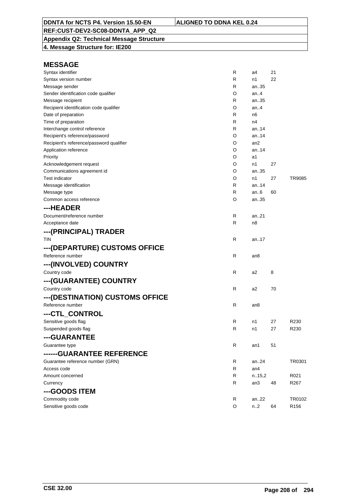### **REF:CUST-DEV2-SC08-DDNTA\_APP\_Q2 Appendix Q2: Technical Message Structure**

**4. Message Structure for: IE200**

| Syntax identifier                        | R            | a4     | 21 |                  |
|------------------------------------------|--------------|--------|----|------------------|
| Syntax version number                    | R            | n1     | 22 |                  |
| Message sender                           | R            | an35   |    |                  |
| Sender identification code qualifier     | O            | an.4   |    |                  |
| Message recipient                        | R            | an35   |    |                  |
| Recipient identification code qualifier  | O            | an.4   |    |                  |
| Date of preparation                      | R            | n6     |    |                  |
| Time of preparation                      | R            | n4     |    |                  |
| Interchange control reference            | R            | an.14  |    |                  |
| Recipient's reference/password           | O            | an14   |    |                  |
| Recipient's reference/password qualifier | O            | an2    |    |                  |
| Application reference                    | O            | an14   |    |                  |
| Priority                                 | O            | a1     |    |                  |
| Acknowledgement request                  | O            | n1     | 27 |                  |
| Communications agreement id              | O            | an35   |    |                  |
| <b>Test indicator</b>                    | O            | n1     | 27 | TR9085           |
| Message identification                   | R            | an14   |    |                  |
| Message type                             | R            | an.6   | 60 |                  |
| Common access reference                  | O            | an35   |    |                  |
| ---HEADER                                |              |        |    |                  |
| Document/reference number                | R            | an21   |    |                  |
| Acceptance date                          | R            | n8     |    |                  |
| ---(PRINCIPAL) TRADER                    |              |        |    |                  |
| <b>TIN</b>                               | $\mathsf{R}$ | an17   |    |                  |
| ---(DEPARTURE) CUSTOMS OFFICE            |              |        |    |                  |
| Reference number                         | R            | an8    |    |                  |
|                                          |              |        |    |                  |
| ---(INVOLVED) COUNTRY                    |              |        |    |                  |
| Country code                             | R            | a2     | 8  |                  |
| ---(GUARANTEE) COUNTRY                   |              |        |    |                  |
| Country code                             | $\mathsf{R}$ | a2     | 70 |                  |
| ---(DESTINATION) CUSTOMS OFFICE          |              |        |    |                  |
| Reference number                         | R            | an8    |    |                  |
| ---CTL_CONTROL                           |              |        |    |                  |
| Sensitive goods flag                     | R            | n1     | 27 | R230             |
| Suspended goods flag                     | R            | n1     | 27 | R230             |
| ---GUARANTEE                             |              |        |    |                  |
| Guarantee type                           | R            | an1    | 51 |                  |
| ------GUARANTEE REFERENCE                |              |        |    |                  |
| Guarantee reference number (GRN)         | R            | an24   |    | TR0301           |
| Access code                              | R            | an4    |    |                  |
| Amount concerned                         | R            | n.15,2 |    | R021             |
| Currency                                 | R            | an3    | 48 | R <sub>267</sub> |
| ---GOODS ITEM                            |              |        |    |                  |
| Commodity code                           | R            | an22   |    | TR0102           |
| Sensitive goods code                     | O            | n.2    | 64 | R <sub>156</sub> |
|                                          |              |        |    |                  |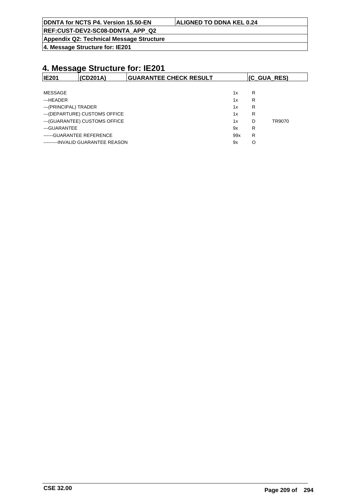| DDNTA for NCTS P4. Version 15.50-EN | <b>ALIGNED TO DDNA KEL 0.24</b> |
|-------------------------------------|---------------------------------|
|                                     |                                 |

**Appendix Q2: Technical Message Structure**

**4. Message Structure for: IE201**

| <b>IE201</b>               | (CD201A)                          | <b>GUARANTEE CHECK RESULT</b> |     | <b>(C GUA RES)</b> |        |
|----------------------------|-----------------------------------|-------------------------------|-----|--------------------|--------|
|                            |                                   |                               |     |                    |        |
| MESSAGE                    |                                   |                               | 1x  | R                  |        |
| ---HEADER                  |                                   |                               | 1x  | R                  |        |
| ---(PRINCIPAL) TRADER      |                                   |                               | 1x  | R                  |        |
|                            | --- (DEPARTURE) CUSTOMS OFFICE    |                               | 1x  | R                  |        |
|                            | --- (GUARANTEE) CUSTOMS OFFICE    |                               | 1x  | D                  | TR9070 |
| ---GUARANTEE               |                                   |                               | 9x  | R                  |        |
| ------ GUARANTEE REFERENCE |                                   |                               | 99x | R                  |        |
|                            | ---------INVALID GUARANTEE REASON |                               | 9x  | O                  |        |
|                            |                                   |                               |     |                    |        |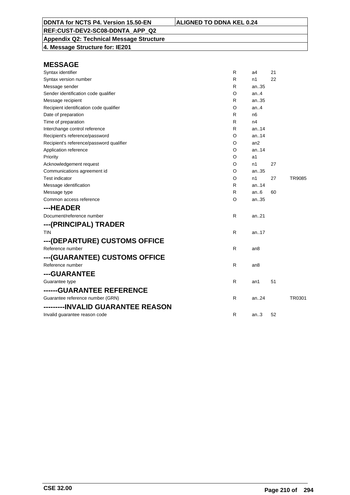# **Appendix Q2: Technical Message Structure**

**4. Message Structure for: IE201**

| Syntax identifier                        | R       | a4              | 21 |        |
|------------------------------------------|---------|-----------------|----|--------|
| Syntax version number                    | R       | n1              | 22 |        |
| Message sender                           | R       | an35            |    |        |
| Sender identification code qualifier     | O       | an4             |    |        |
| Message recipient                        | R       | an35            |    |        |
| Recipient identification code qualifier  | O       | an.4            |    |        |
| Date of preparation                      | R       | n6              |    |        |
| Time of preparation                      | R       | n4              |    |        |
| Interchange control reference            | R       | an14            |    |        |
| Recipient's reference/password           | O       | an14            |    |        |
| Recipient's reference/password qualifier | O       | an <sub>2</sub> |    |        |
| Application reference                    | O       | an14            |    |        |
| Priority                                 | O       | a1              |    |        |
| Acknowledgement request                  | O       | n1              | 27 |        |
| Communications agreement id              | O       | an35            |    |        |
| <b>Test indicator</b>                    | O       | n1              | 27 | TR9085 |
| Message identification                   | R       | an14            |    |        |
| Message type                             | R       | an6             | 60 |        |
| Common access reference                  | $\circ$ | an35            |    |        |
| ---HEADER                                |         |                 |    |        |
| Document/reference number                | R.      | an21            |    |        |
| ---(PRINCIPAL) TRADER                    |         |                 |    |        |
| <b>TIN</b>                               | R       | an17            |    |        |
| ---(DEPARTURE) CUSTOMS OFFICE            |         |                 |    |        |
| Reference number                         | R.      | an8             |    |        |
| ---(GUARANTEE) CUSTOMS OFFICE            |         |                 |    |        |
| Reference number                         | R       | an8             |    |        |
| ---GUARANTEE                             |         |                 |    |        |
| Guarantee type                           | R       | an1             | 51 |        |
| ------GUARANTEE REFERENCE                |         |                 |    |        |
| Guarantee reference number (GRN)         | R       | an24            |    | TR0301 |
| ---------INVALID GUARANTEE REASON        |         |                 |    |        |
| Invalid guarantee reason code            | R       | an3             | 52 |        |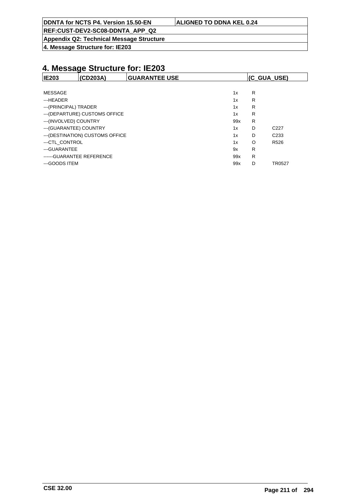| DDNTA for NCTS P4. Version 15.50-EN |  |  |
|-------------------------------------|--|--|
|                                     |  |  |

### **ALIGNED TO DDNA KEL 0.24**

**REF:CUST-DEV2-SC08-DDNTA\_APP\_Q2**

**Appendix Q2: Technical Message Structure**

**4. Message Structure for: IE203**

| <b>IE203</b>                   | (CD203A)                         | <b>GUARANTEE USE</b> |     |   | (C_GUA_USE)      |
|--------------------------------|----------------------------------|----------------------|-----|---|------------------|
|                                |                                  |                      |     |   |                  |
| MESSAGE                        |                                  |                      | 1x  | R |                  |
| ---HEADER                      |                                  |                      | 1x  | R |                  |
| ---(PRINCIPAL) TRADER          |                                  |                      | 1x  | R |                  |
| --- (DEPARTURE) CUSTOMS OFFICE |                                  |                      | 1x  | R |                  |
| ---(INVOLVED) COUNTRY          |                                  |                      | 99x | R |                  |
| --- (GUARANTEE) COUNTRY        |                                  |                      | 1x  | D | C <sub>227</sub> |
|                                | --- (DESTINATION) CUSTOMS OFFICE |                      | 1x  | D | C <sub>233</sub> |
| ---CTL CONTROL                 |                                  |                      | 1x  | O | R <sub>526</sub> |
| ---GUARANTEE                   |                                  |                      | 9x  | R |                  |
|                                | ------ GUARANTEE REFERENCE       |                      | 99x | R |                  |
| ---GOODS ITEM                  |                                  |                      | 99x | D | TR0527           |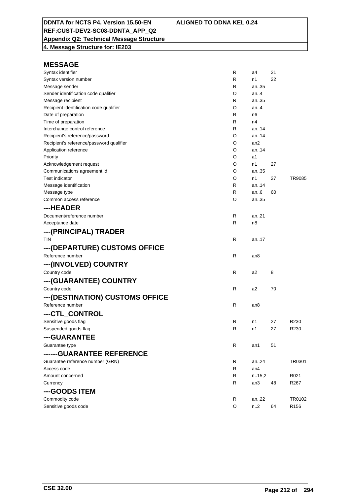## **REF:CUST-DEV2-SC08-DDNTA\_APP\_Q2 Appendix Q2: Technical Message Structure**

**4. Message Structure for: IE203**

| Syntax identifier                        | R            | a4     | 21 |                  |
|------------------------------------------|--------------|--------|----|------------------|
| Syntax version number                    | R            | n1     | 22 |                  |
| Message sender                           | R            | an35   |    |                  |
| Sender identification code qualifier     | O            | an.4   |    |                  |
| Message recipient                        | R            | an35   |    |                  |
| Recipient identification code qualifier  | O            | an.4   |    |                  |
| Date of preparation                      | R            | n6     |    |                  |
| Time of preparation                      | R            | n4     |    |                  |
| Interchange control reference            | R            | an.14  |    |                  |
| Recipient's reference/password           | O            | an14   |    |                  |
| Recipient's reference/password qualifier | O            | an2    |    |                  |
| Application reference                    | O            | an14   |    |                  |
| Priority                                 | O            | a1     |    |                  |
| Acknowledgement request                  | O            | n1     | 27 |                  |
| Communications agreement id              | O            | an35   |    |                  |
| <b>Test indicator</b>                    | O            | n1     | 27 | TR9085           |
| Message identification                   | R            | an14   |    |                  |
| Message type                             | R            | an.6   | 60 |                  |
| Common access reference                  | O            | an35   |    |                  |
| ---HEADER                                |              |        |    |                  |
| Document/reference number                | R            | an21   |    |                  |
| Acceptance date                          | R            | n8     |    |                  |
| ---(PRINCIPAL) TRADER                    |              |        |    |                  |
| <b>TIN</b>                               | $\mathsf{R}$ | an17   |    |                  |
| ---(DEPARTURE) CUSTOMS OFFICE            |              |        |    |                  |
| Reference number                         | $\mathsf{R}$ |        |    |                  |
|                                          |              | an8    |    |                  |
| ---(INVOLVED) COUNTRY                    |              |        |    |                  |
| Country code                             | R            | a2     | 8  |                  |
| ---(GUARANTEE) COUNTRY                   |              |        |    |                  |
| Country code                             | $\mathsf{R}$ | a2     | 70 |                  |
| ---(DESTINATION) CUSTOMS OFFICE          |              |        |    |                  |
| Reference number                         | R            | an8    |    |                  |
| ---CTL_CONTROL                           |              |        |    |                  |
| Sensitive goods flag                     | R            | n1     | 27 | R230             |
| Suspended goods flag                     | R            | n1     | 27 | R230             |
|                                          |              |        |    |                  |
| ---GUARANTEE                             |              |        |    |                  |
| Guarantee type                           | R            | an1    | 51 |                  |
| ------GUARANTEE REFERENCE                |              |        |    |                  |
| Guarantee reference number (GRN)         | R            | an24   |    | TR0301           |
| Access code                              | R            | an4    |    |                  |
| Amount concerned                         | R            | n.15,2 |    | R021             |
| Currency                                 | R            | an3    | 48 | R <sub>267</sub> |
| ---GOODS ITEM                            |              |        |    |                  |
| Commodity code                           | R            | an22   |    | TR0102           |
| Sensitive goods code                     | O            | n.2    | 64 | R <sub>156</sub> |
|                                          |              |        |    |                  |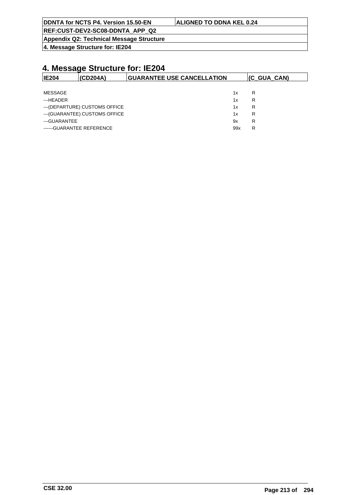| DDNTA for NCTS P4. Version 15.50-EN | <b>ALIGNED TO DDNA KEL 0.24</b> |
|-------------------------------------|---------------------------------|
| ! _ __ _ _ _ _ _ _ _ _ _ _ _ ___ .  |                                 |

**Appendix Q2: Technical Message Structure**

**4. Message Structure for: IE204**

| <b>IE204</b> | (CD204A)                       | <b>GUARANTEE USE CANCELLATION</b> |     | (C_GUA_CAN) |  |
|--------------|--------------------------------|-----------------------------------|-----|-------------|--|
|              |                                |                                   |     |             |  |
| MESSAGE      |                                |                                   | 1x  | R           |  |
| ---HEADER    |                                |                                   | 1x  | R           |  |
|              | --- (DEPARTURE) CUSTOMS OFFICE |                                   | 1x  | R           |  |
|              | --- (GUARANTEE) CUSTOMS OFFICE |                                   | 1x  | R           |  |
| ---GUARANTEE |                                |                                   | 9x  | R           |  |
|              | ------GUARANTEE REFERENCE      |                                   | 99x | R           |  |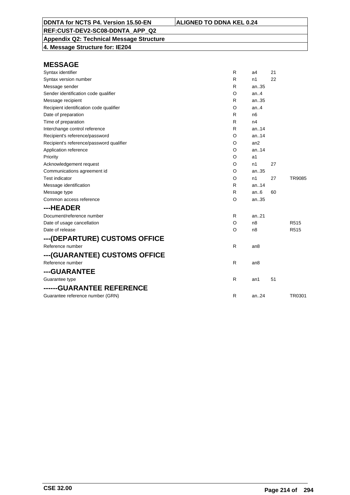## **REF:CUST-DEV2-SC08-DDNTA\_APP\_Q2 Appendix Q2: Technical Message Structure**

**4. Message Structure for: IE204**

| Syntax identifier                        | R | a <sub>4</sub>  | 21 |                  |
|------------------------------------------|---|-----------------|----|------------------|
| Syntax version number                    | R | n1              | 22 |                  |
| Message sender                           | R | an35            |    |                  |
| Sender identification code qualifier     | O | an.4            |    |                  |
| Message recipient                        | R | an35            |    |                  |
| Recipient identification code qualifier  | O | an.4            |    |                  |
| Date of preparation                      | R | n6              |    |                  |
| Time of preparation                      | R | n4              |    |                  |
| Interchange control reference            | R | an.14           |    |                  |
| Recipient's reference/password           | O | an.14           |    |                  |
| Recipient's reference/password qualifier | O | an2             |    |                  |
| Application reference                    | O | an14            |    |                  |
| Priority                                 | O | a1              |    |                  |
| Acknowledgement request                  | O | n1              | 27 |                  |
| Communications agreement id              | O | an35            |    |                  |
| <b>Test indicator</b>                    | O | n1              | 27 | TR9085           |
| Message identification                   | R | an.14           |    |                  |
| Message type                             | R | an.6            | 60 |                  |
| Common access reference                  | O | an35            |    |                  |
| ---HEADER                                |   |                 |    |                  |
| Document/reference number                | R | an.21           |    |                  |
| Date of usage cancellation               | O | n8              |    | R <sub>515</sub> |
| Date of release                          | O | n8              |    | R515             |
| ---(DEPARTURE) CUSTOMS OFFICE            |   |                 |    |                  |
| Reference number                         | R | an <sub>8</sub> |    |                  |
| ---(GUARANTEE) CUSTOMS OFFICE            |   |                 |    |                  |
| Reference number                         | R | an <sub>8</sub> |    |                  |
| ---GUARANTEE                             |   |                 |    |                  |
| Guarantee type                           | R | an1             | 51 |                  |
| ------GUARANTEE REFERENCE                |   |                 |    |                  |
| Guarantee reference number (GRN)         | R | an.24           |    | TR0301           |
|                                          |   |                 |    |                  |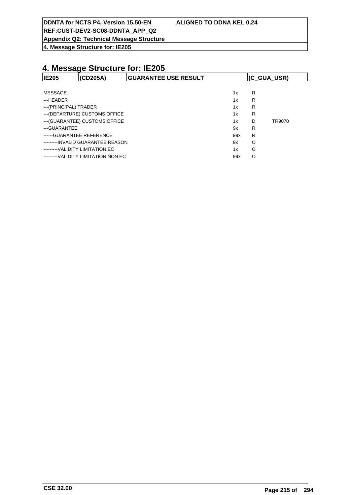| DDNTA for NCTS P4. Version 15.50-EN | <b>ALIGNED TO DDNA KEL 0.24</b> |
|-------------------------------------|---------------------------------|
|                                     |                                 |

**Appendix Q2: Technical Message Structure**

**4. Message Structure for: IE205**

| <b>IE205</b>          | (CD205A)                            | <b>GUARANTEE USE RESULT</b> |     |   | (C_GUA_USR) |
|-----------------------|-------------------------------------|-----------------------------|-----|---|-------------|
|                       |                                     |                             |     |   |             |
| MESSAGE               |                                     |                             | 1x  | R |             |
| ---HEADER             |                                     |                             | 1x  | R |             |
| ---(PRINCIPAL) TRADER |                                     |                             | 1x  | R |             |
|                       | --- (DEPARTURE) CUSTOMS OFFICE      |                             | 1x  | R |             |
|                       | --- (GUARANTEE) CUSTOMS OFFICE      |                             | 1x  | D | TR9070      |
| ---GUARANTEE          |                                     |                             | 9x  | R |             |
|                       | ------ GUARANTEE REFERENCE          |                             | 99x | R |             |
|                       | ---------INVALID GUARANTEE REASON   |                             | 9x  | O |             |
|                       | ---------VALIDITY LIMITATION EC     |                             | 1x  | O |             |
|                       | ---------VALIDITY LIMITATION NON EC |                             | 99x | O |             |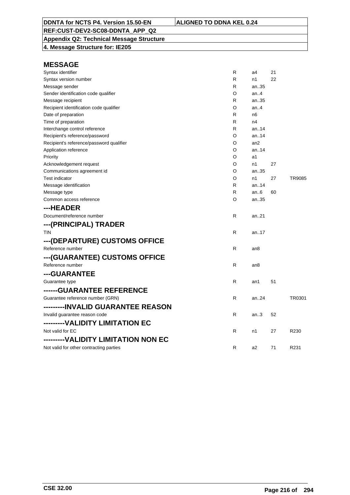### **REF:CUST-DEV2-SC08-DDNTA\_APP\_Q2 Appendix Q2: Technical Message Structure**

**4. Message Structure for: IE205**

| Syntax identifier                        | R | a4              | 21 |        |
|------------------------------------------|---|-----------------|----|--------|
| Syntax version number                    | R | n1              | 22 |        |
| Message sender                           | R | an35            |    |        |
| Sender identification code qualifier     | O | an.4            |    |        |
| Message recipient                        | R | an35            |    |        |
| Recipient identification code qualifier  | O | an.4            |    |        |
| Date of preparation                      | R | n6              |    |        |
| Time of preparation                      | R | n4              |    |        |
| Interchange control reference            | R | an14            |    |        |
| Recipient's reference/password           | O | an.14           |    |        |
| Recipient's reference/password qualifier | O | an2             |    |        |
| Application reference                    | O | an14            |    |        |
| Priority                                 | O | a1              |    |        |
| Acknowledgement request                  | O | n1              | 27 |        |
| Communications agreement id              | O | an35            |    |        |
| <b>Test indicator</b>                    | O | n1              | 27 | TR9085 |
| Message identification                   | R | an14            |    |        |
| Message type                             | R | an $6$          | 60 |        |
| Common access reference                  | O | an35            |    |        |
| ---HEADER                                |   |                 |    |        |
| Document/reference number                | R | an.21           |    |        |
| ---(PRINCIPAL) TRADER                    |   |                 |    |        |
| <b>TIN</b>                               | R | an17            |    |        |
|                                          |   |                 |    |        |
| ---(DEPARTURE) CUSTOMS OFFICE            |   |                 |    |        |
| Reference number                         | R | an8             |    |        |
| ---(GUARANTEE) CUSTOMS OFFICE            |   |                 |    |        |
| Reference number                         | R | an <sub>8</sub> |    |        |
| ---GUARANTEE                             |   |                 |    |        |
| Guarantee type                           | R | an1             | 51 |        |
| ------GUARANTEE REFERENCE                |   |                 |    |        |
| Guarantee reference number (GRN)         | R | an24            |    | TR0301 |
| ---------INVALID GUARANTEE REASON        |   |                 |    |        |
| Invalid guarantee reason code            | R | an.3            | 52 |        |
|                                          |   |                 |    |        |
| ---------VALIDITY LIMITATION EC          |   |                 |    |        |
| Not valid for EC                         | R | n1              | 27 | R230   |
| ---------VALIDITY LIMITATION NON EC      |   |                 |    |        |
| Not valid for other contracting parties  | R | a2              | 71 | R231   |
|                                          |   |                 |    |        |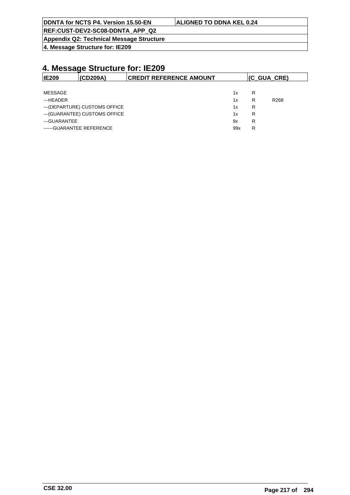| DDNTA for NCTS P4. Version 15.50-EN                                                                                                                                                                                                                                                   | <b>ALIGNED TO DDNA KEL 0.24</b> |
|---------------------------------------------------------------------------------------------------------------------------------------------------------------------------------------------------------------------------------------------------------------------------------------|---------------------------------|
| $F = 0.107 F = 0.000 F = 0.000 F = 0.000 F = 0.000 F = 0.000 F = 0.000 F = 0.000 F = 0.000 F = 0.000 F = 0.000 F = 0.000 F = 0.000 F = 0.000 F = 0.000 F = 0.000 F = 0.000 F = 0.000 F = 0.000 F = 0.000 F = 0.000 F = 0.000 F = 0.000 F = 0.000 F = 0.000 F = 0.000 F = 0.000 F = 0$ |                                 |

**Appendix Q2: Technical Message Structure**

**4. Message Structure for: IE209**

| <b>IE209</b>               | (CD209A)                       | <b>CREDIT REFERENCE AMOUNT</b> |     |   | (C GUA CRE)      |
|----------------------------|--------------------------------|--------------------------------|-----|---|------------------|
|                            |                                |                                |     |   |                  |
| MESSAGE                    |                                |                                | 1x  | R |                  |
| ---HEADER                  |                                |                                | 1x  | R | R <sub>268</sub> |
|                            | --- (DEPARTURE) CUSTOMS OFFICE |                                | 1x  | R |                  |
|                            | --- (GUARANTEE) CUSTOMS OFFICE |                                | 1x  | R |                  |
| ---GUARANTEE               |                                |                                | 9x  | R |                  |
| ------ GUARANTEE REFERENCE |                                |                                | 99x | R |                  |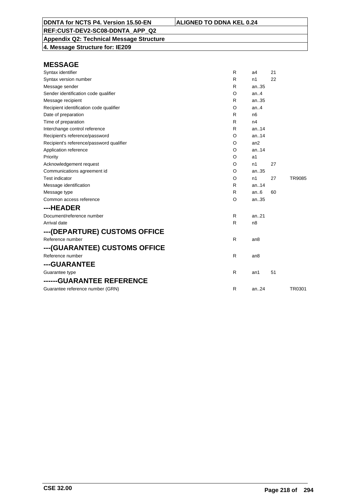### **DDNTA for NCTS P4. Version 15.50-EN ALIGNED TO DDNA KEL 0.24**

### **REF:CUST-DEV2-SC08-DDNTA\_APP\_Q2 Appendix Q2: Technical Message Structure**

**4. Message Structure for: IE209**

| Syntax identifier                        | R  | a <sub>4</sub>  | 21 |               |
|------------------------------------------|----|-----------------|----|---------------|
| Syntax version number                    | R  | n1              | 22 |               |
| Message sender                           | R  | an.35           |    |               |
| Sender identification code qualifier     | O  | an.4            |    |               |
| Message recipient                        | R  | an35            |    |               |
| Recipient identification code qualifier  | O  | an.4            |    |               |
| Date of preparation                      | R  | n6              |    |               |
| Time of preparation                      | R  | n4              |    |               |
| Interchange control reference            | R  | an. $14$        |    |               |
| Recipient's reference/password           | O  | an.14           |    |               |
| Recipient's reference/password qualifier | O  | an2             |    |               |
| Application reference                    | O  | an.14           |    |               |
| Priority                                 | O  | a <sub>1</sub>  |    |               |
| Acknowledgement request                  | O  | n1              | 27 |               |
| Communications agreement id              | O  | an35            |    |               |
| <b>Test indicator</b>                    | O  | n1              | 27 | <b>TR9085</b> |
| Message identification                   | R  | an.14           |    |               |
| Message type                             | R  | an.6            | 60 |               |
| Common access reference                  | O  | an35            |    |               |
| ---HEADER                                |    |                 |    |               |
| Document/reference number                | R. | an.21           |    |               |
| Arrival date                             | R  | n8              |    |               |
| ---(DEPARTURE) CUSTOMS OFFICE            |    |                 |    |               |
| Reference number                         | R  | an <sub>8</sub> |    |               |
| ---(GUARANTEE) CUSTOMS OFFICE            |    |                 |    |               |
| Reference number                         | R  | an8             |    |               |
| ---GUARANTEE                             |    |                 |    |               |
| Guarantee type                           | R  | an1             | 51 |               |
| ------GUARANTEE REFERENCE                |    |                 |    |               |
| Guarantee reference number (GRN)         | R  | an.24           |    | TR0301        |
|                                          |    |                 |    |               |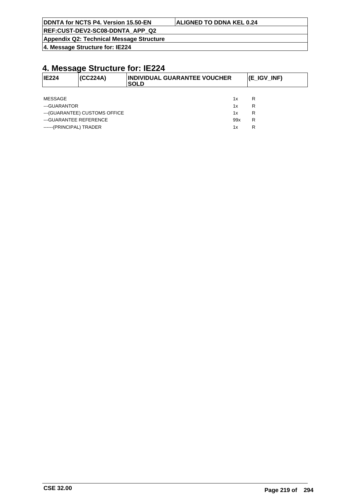**DDNTA for NCTS P4. Version 15.50-EN ALIGNED TO DDNA KEL 0.24**

**REF:CUST-DEV2-SC08-DDNTA\_APP\_Q2**

**Appendix Q2: Technical Message Structure**

**4. Message Structure for: IE224**

| <b>IE224</b>             | (CC224A)                       | <b>INDIVIDUAL GUARANTEE VOUCHER</b><br><b>SOLD</b> |     | (E_IGV_INF) |
|--------------------------|--------------------------------|----------------------------------------------------|-----|-------------|
|                          |                                |                                                    |     |             |
| <b>MESSAGE</b>           |                                |                                                    | 1x  | R           |
| ---GUARANTOR             |                                |                                                    | 1x  | R           |
|                          | --- (GUARANTEE) CUSTOMS OFFICE |                                                    | 1x  | R           |
| --- GUARANTEE REFERENCE  |                                |                                                    | 99x | R           |
| ------(PRINCIPAL) TRADER |                                |                                                    | 1x  | R           |
|                          |                                |                                                    |     |             |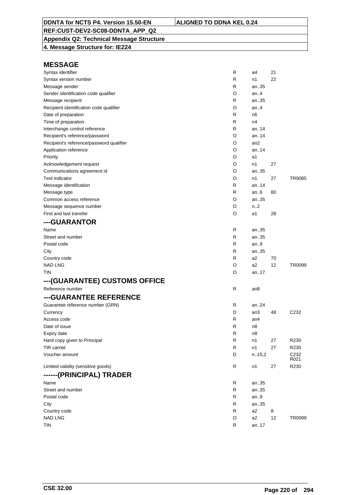## **Appendix Q2: Technical Message Structure**

**4. Message Structure for: IE224**

| Syntax identifier                                 | $\mathsf{R}$ | a4              | 21 |                          |
|---------------------------------------------------|--------------|-----------------|----|--------------------------|
| Syntax version number                             | R            | n1              | 22 |                          |
| Message sender                                    | R            | an35            |    |                          |
| Sender identification code qualifier              | O            | an4             |    |                          |
| Message recipient                                 | R            | an35            |    |                          |
| Recipient identification code qualifier           | O            | an4             |    |                          |
| Date of preparation                               | R            | n6              |    |                          |
| Time of preparation                               | R            | n4              |    |                          |
| Interchange control reference                     | R            | an14            |    |                          |
| Recipient's reference/password                    | O            | an14            |    |                          |
| Recipient's reference/password qualifier          | O            | an <sub>2</sub> |    |                          |
| Application reference                             | O            | an14            |    |                          |
| Priority                                          | O            | a1              |    |                          |
| Acknowledgement request                           | O            | n1              | 27 |                          |
| Communications agreement id                       | O            | an35            |    |                          |
| <b>Test indicator</b>                             | O            | n1              | 27 | <b>TR9085</b>            |
| Message identification                            | R            | an14            |    |                          |
| Message type                                      | R            | an $6$          | 60 |                          |
| Common access reference                           | O            | an35            |    |                          |
| Message sequence number                           | O            | n.2             |    |                          |
| First and last transfer                           | O            | a1              | 28 |                          |
| ---GUARANTOR                                      |              |                 |    |                          |
| Name                                              | R            | an35            |    |                          |
| Street and number                                 | R            | an35            |    |                          |
| Postal code                                       | R            | an.9            |    |                          |
|                                                   | R            | an35            |    |                          |
| City                                              |              |                 |    |                          |
| Country code                                      | R            | a2<br>a2        | 70 | TR0099                   |
| <b>NAD LNG</b><br>TIN                             | O            |                 | 12 |                          |
|                                                   | O            | an17            |    |                          |
| ---(GUARANTEE) CUSTOMS OFFICE<br>Reference number | R            | an8             |    |                          |
| ---GUARANTEE REFERENCE                            |              |                 |    |                          |
| Guarantee reference number (GRN)                  | R            | an24            |    |                          |
|                                                   | D            |                 |    | C <sub>232</sub>         |
| Currency<br>Access code                           | R            | an3             | 48 |                          |
|                                                   | R            | an4             |    |                          |
| Date of issue                                     | R            | n8              |    |                          |
| Expiry date                                       |              | n8              |    |                          |
| Hard copy given to Principal                      | R            | n1              | 27 | R230                     |
| TIR carnet                                        | R            | n1              | 27 | R230                     |
| Voucher amount                                    | D            | n.15,2          |    | C <sub>232</sub><br>R021 |
| Limited validity (sensitive goods)                | R            | n1              | 27 | R230                     |
| ------(PRINCIPAL) TRADER                          |              |                 |    |                          |
| Name                                              | R            | an35            |    |                          |
| Street and number                                 | R            | an35            |    |                          |
| Postal code                                       | R            | an.9            |    |                          |
| City                                              | R            | an35            |    |                          |
| Country code                                      | R            | a2              | 8  |                          |
| <b>NAD LNG</b>                                    | O            | a2              | 12 | TR0099                   |
| <b>TIN</b>                                        | R            | an17            |    |                          |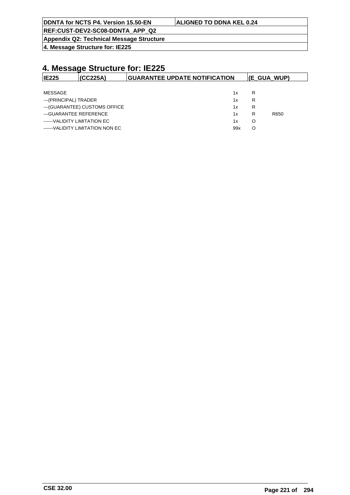| DDNTA for NCTS P4. Version 15.50-EN | <b>ALIGNED TO DDNA KEL 0.24</b> |
|-------------------------------------|---------------------------------|
|                                     |                                 |

**Appendix Q2: Technical Message Structure**

**4. Message Structure for: IE225**

| <b>IE225</b>                 | (CC225A)                         | <b>GUARANTEE UPDATE NOTIFICATION</b> | (E_GUA_WUP) |      |
|------------------------------|----------------------------------|--------------------------------------|-------------|------|
|                              |                                  |                                      |             |      |
| MESSAGE                      |                                  | 1x                                   | R           |      |
| ---(PRINCIPAL) TRADER        |                                  | 1x                                   | R           |      |
|                              | --- (GUARANTEE) CUSTOMS OFFICE   | 1x                                   | R           |      |
| --- GUARANTEE REFERENCE      |                                  | 1x                                   | R           | R650 |
| ------VALIDITY LIMITATION EC |                                  | 1x                                   | O           |      |
|                              | ------VALIDITY LIMITATION NON EC | 99x                                  | O           |      |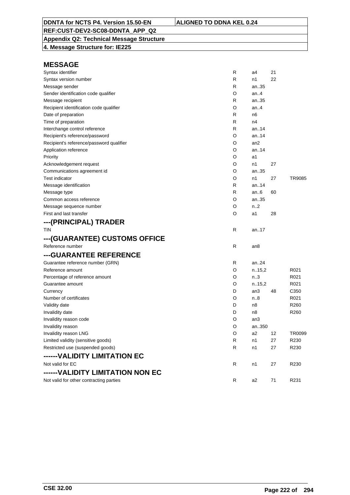## **Appendix Q2: Technical Message Structure**

**4. Message Structure for: IE225**

| Syntax identifier                        | R | a4              | 21 |                  |
|------------------------------------------|---|-----------------|----|------------------|
| Syntax version number                    | R | n1              | 22 |                  |
| Message sender                           | R | an35            |    |                  |
| Sender identification code qualifier     | O | an.4            |    |                  |
| Message recipient                        | R | an35            |    |                  |
| Recipient identification code qualifier  | O | an.4            |    |                  |
| Date of preparation                      | R | n6              |    |                  |
| Time of preparation                      | R | n4              |    |                  |
| Interchange control reference            | R | an14            |    |                  |
| Recipient's reference/password           | O | an14            |    |                  |
| Recipient's reference/password qualifier | O | an <sub>2</sub> |    |                  |
| Application reference                    | O | an14            |    |                  |
| Priority                                 | O | a1              |    |                  |
| Acknowledgement request                  | O | n1              | 27 |                  |
| Communications agreement id              | O | an35            |    |                  |
| <b>Test indicator</b>                    | O | n1              | 27 | TR9085           |
| Message identification                   | R | an14            |    |                  |
| Message type                             | R | an $6$          | 60 |                  |
| Common access reference                  | O | an35            |    |                  |
| Message sequence number                  | O | n2              |    |                  |
| First and last transfer                  | O | a1              | 28 |                  |
| ---(PRINCIPAL) TRADER                    |   |                 |    |                  |
| <b>TIN</b>                               | R | an17            |    |                  |
| ---(GUARANTEE) CUSTOMS OFFICE            |   |                 |    |                  |
| Reference number                         | R | an8             |    |                  |
| ---GUARANTEE REFERENCE                   |   |                 |    |                  |
| Guarantee reference number (GRN)         | R | an24            |    |                  |
| Reference amount                         | O | n.15,2          |    | R021             |
| Percentage of reference amount           | O | n.3             |    | R021             |
| Guarantee amount                         | O | n.15,2          |    | R021             |
| Currency                                 | D | an3             | 48 | C350             |
| Number of certificates                   | O | n.8             |    | R021             |
| Validity date                            | D | n8              |    | R <sub>260</sub> |
| Invalidity date                          | D | n8              |    | R <sub>260</sub> |
| Invalidity reason code                   | O | an3             |    |                  |
| Invalidity reason                        | O | an350           |    |                  |
| Invalidity reason LNG                    | O | a2              | 12 | TR0099           |
| Limited validity (sensitive goods)       | R | n1              | 27 | R230             |
| Restricted use (suspended goods)         | R | n1              | 27 | R230             |
| ------VALIDITY LIMITATION EC             |   |                 |    |                  |
| Not valid for EC                         | R | n1              | 27 | R230             |
| ------VALIDITY LIMITATION NON EC         |   |                 |    |                  |
| Not valid for other contracting parties  | R | a2              | 71 | R231             |
|                                          |   |                 |    |                  |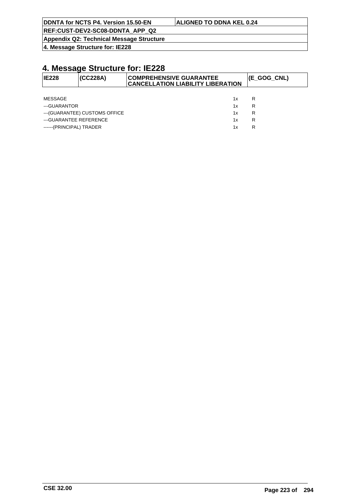**DDNTA for NCTS P4. Version 15.50-EN ALIGNED TO DDNA KEL 0.24**

**REF:CUST-DEV2-SC08-DDNTA\_APP\_Q2**

**Appendix Q2: Technical Message Structure**

**4. Message Structure for: IE228**

| <b>IE228</b>             | (CC228A)                       | <b>COMPREHENSIVE GUARANTEE</b><br><b>CANCELLATION LIABILITY LIBERATION</b> |    | (E_GOG_CNL) |
|--------------------------|--------------------------------|----------------------------------------------------------------------------|----|-------------|
|                          |                                |                                                                            |    |             |
| MESSAGE                  |                                |                                                                            | 1x | R           |
| ---GUARANTOR             |                                |                                                                            | 1x | R           |
|                          | --- (GUARANTEE) CUSTOMS OFFICE |                                                                            | 1x | R           |
| --- GUARANTEE REFERENCE  |                                |                                                                            | 1x | R           |
| ------(PRINCIPAL) TRADER |                                |                                                                            | 1x | R           |
|                          |                                |                                                                            |    |             |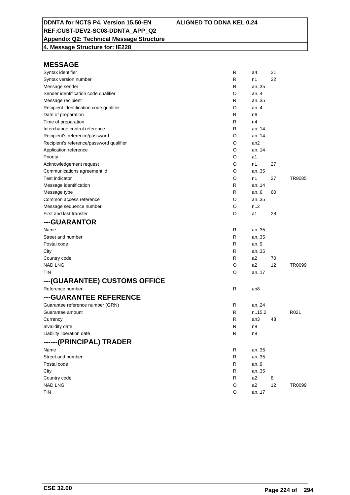**Appendix Q2: Technical Message Structure 4. Message Structure for: IE228**

| Syntax identifier                        | R | a4              | 21 |                  |
|------------------------------------------|---|-----------------|----|------------------|
| Syntax version number                    | R | n1              | 22 |                  |
| Message sender                           | R | an35            |    |                  |
| Sender identification code qualifier     | O | an.4            |    |                  |
| Message recipient                        | R | an35            |    |                  |
| Recipient identification code qualifier  | O | an.4            |    |                  |
| Date of preparation                      | R | n6              |    |                  |
| Time of preparation                      | R | n4              |    |                  |
| Interchange control reference            | R | an14            |    |                  |
| Recipient's reference/password           | O | an14            |    |                  |
| Recipient's reference/password qualifier | O | an <sub>2</sub> |    |                  |
| Application reference                    | O | an14            |    |                  |
| Priority                                 | O | a1              |    |                  |
| Acknowledgement request                  | O | n1              | 27 |                  |
| Communications agreement id              | O | an35            |    |                  |
| <b>Test indicator</b>                    | O | n1              | 27 | TR9085           |
| Message identification                   | R | an14            |    |                  |
| Message type                             | R | an $6$          | 60 |                  |
| Common access reference                  | O | an35            |    |                  |
| Message sequence number                  | O | n2              |    |                  |
| First and last transfer                  | O | a1              | 28 |                  |
| ---GUARANTOR                             |   |                 |    |                  |
| Name                                     | R | an35            |    |                  |
| Street and number                        | R | an35            |    |                  |
| Postal code                              | R | an $9$          |    |                  |
| City                                     | R | an35            |    |                  |
| Country code                             | R | a2              | 70 |                  |
| <b>NAD LNG</b>                           | O | a <sub>2</sub>  | 12 | TR0099           |
| TIN                                      | O | an17            |    |                  |
| ---(GUARANTEE) CUSTOMS OFFICE            |   |                 |    |                  |
| Reference number                         | R | an8             |    |                  |
| ---GUARANTEE REFERENCE                   |   |                 |    |                  |
| Guarantee reference number (GRN)         | R | an24            |    |                  |
| Guarantee amount                         | R | n.15,2          |    | R <sub>021</sub> |
| Currency                                 | R | an3             | 48 |                  |
| Invalidity date                          | R | n8              |    |                  |
| Liability liberation date                | R | n8              |    |                  |
| ------(PRINCIPAL) TRADER                 |   |                 |    |                  |
| Name                                     | R | an35            |    |                  |
| Street and number                        | R | an35            |    |                  |
| Postal code                              | R | an.9            |    |                  |
| City                                     | R | an35            |    |                  |
| Country code                             | R | a2              | 8  |                  |
| <b>NAD LNG</b>                           | O | a2              | 12 | TR0099           |
| <b>TIN</b>                               | O | an17            |    |                  |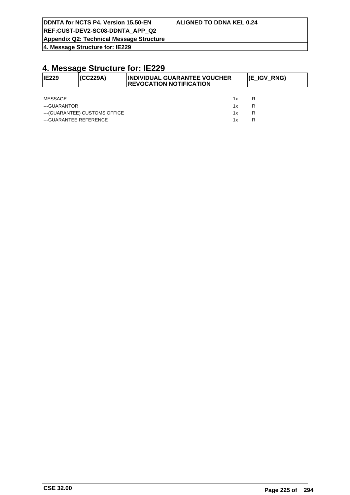| DDNTA for NCTS P4. Version 15.50-EN |  |  |
|-------------------------------------|--|--|
|                                     |  |  |

### **ALIGNED TO DDNA KEL 0.24**

**REF:CUST-DEV2-SC08-DDNTA\_APP\_Q2**

**Appendix Q2: Technical Message Structure**

**4. Message Structure for: IE229**

| IE229                  | (CC229A)                       | <b>INDIVIDUAL GUARANTEE VOUCHER</b><br><b>REVOCATION NOTIFICATION</b> | $ E_{IGV_RNG} $ |
|------------------------|--------------------------------|-----------------------------------------------------------------------|-----------------|
|                        |                                |                                                                       |                 |
| MESSAGE                |                                | 1x                                                                    | R               |
| ---GUARANTOR           |                                | 1x                                                                    | R               |
|                        | --- (GUARANTEE) CUSTOMS OFFICE | 1x                                                                    | R               |
| ---GUARANTEE REFERENCE |                                | 1x                                                                    | R               |
|                        |                                |                                                                       |                 |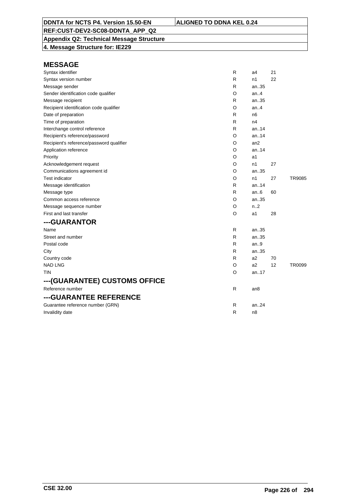**Appendix Q2: Technical Message Structure 4. Message Structure for: IE229**

| Syntax identifier                        | R | a4             | 21 |        |
|------------------------------------------|---|----------------|----|--------|
| Syntax version number                    | R | n1             | 22 |        |
| Message sender                           | R | an35           |    |        |
| Sender identification code qualifier     | O | an4            |    |        |
| Message recipient                        | R | an35           |    |        |
| Recipient identification code qualifier  | O | an.4           |    |        |
| Date of preparation                      | R | n <sub>6</sub> |    |        |
| Time of preparation                      | R | n4             |    |        |
| Interchange control reference            | R | an14           |    |        |
| Recipient's reference/password           | O | an14           |    |        |
| Recipient's reference/password qualifier | O | an2            |    |        |
| Application reference                    | O | an.14          |    |        |
| Priority                                 | O | a1             |    |        |
| Acknowledgement request                  | O | n <sub>1</sub> | 27 |        |
| Communications agreement id              | O | an35           |    |        |
| <b>Test indicator</b>                    | O | n1             | 27 | TR9085 |
| Message identification                   | R | an.14          |    |        |
| Message type                             | R | an.6           | 60 |        |
| Common access reference                  | O | an35           |    |        |
| Message sequence number                  | O | n.2            |    |        |
| First and last transfer                  | O | a1             | 28 |        |
| ---GUARANTOR                             |   |                |    |        |
| Name                                     | R | an35           |    |        |
| Street and number                        | R | an35           |    |        |
| Postal code                              | R | an.9           |    |        |
| City                                     | R | an35           |    |        |
| Country code                             | R | a2             | 70 |        |
| <b>NAD LNG</b>                           | O | a2             | 12 | TR0099 |
| TIN                                      | O | an17           |    |        |
| ---(GUARANTEE) CUSTOMS OFFICE            |   |                |    |        |
| Reference number                         | R | an8            |    |        |
| ---GUARANTEE REFERENCE                   |   |                |    |        |
| Guarantee reference number (GRN)         | R | an24           |    |        |
| Invalidity date                          | R | n8             |    |        |
|                                          |   |                |    |        |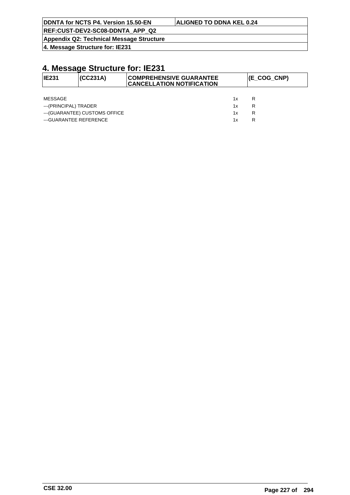| DDNTA for NCTS P4. Version 15.50-EN |  |
|-------------------------------------|--|
|                                     |  |

### **ALIGNED TO DDNA KEL 0.24**

**REF:CUST-DEV2-SC08-DDNTA\_APP\_Q2**

**Appendix Q2: Technical Message Structure**

**4. Message Structure for: IE231**

| IE231                  | (CC231A)                       | <b>COMPREHENSIVE GUARANTEE</b><br><b>CANCELLATION NOTIFICATION</b> |    | $ $ (E_COG_CNP) |
|------------------------|--------------------------------|--------------------------------------------------------------------|----|-----------------|
|                        |                                |                                                                    |    |                 |
| MESSAGE                |                                |                                                                    | 1x | R               |
| ---(PRINCIPAL) TRADER  |                                |                                                                    | 1x | R               |
|                        | --- (GUARANTEE) CUSTOMS OFFICE |                                                                    | 1x | R               |
| ---GUARANTEE REFERENCE |                                |                                                                    | 1х | R               |
|                        |                                |                                                                    |    |                 |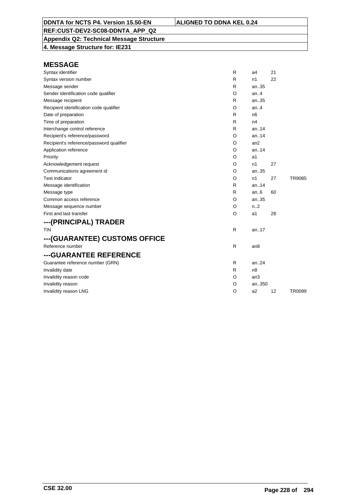**Appendix Q2: Technical Message Structure**

**4. Message Structure for: IE231**

| Syntax identifier                        | R  | a <sub>4</sub>  | 21 |               |
|------------------------------------------|----|-----------------|----|---------------|
| Syntax version number                    | R  | n1              | 22 |               |
| Message sender                           | R  | an35            |    |               |
| Sender identification code qualifier     | O  | an.4            |    |               |
| Message recipient                        | R  | an35            |    |               |
| Recipient identification code qualifier  | O  | an.4            |    |               |
| Date of preparation                      | R  | n <sub>6</sub>  |    |               |
| Time of preparation                      | R. | n4              |    |               |
| Interchange control reference            | R  | an. $.14$       |    |               |
| Recipient's reference/password           | O  | an14            |    |               |
| Recipient's reference/password qualifier | O  | an2             |    |               |
| Application reference                    | O  | an.14           |    |               |
| Priority                                 | O  | a1              |    |               |
| Acknowledgement request                  | O  | n1              | 27 |               |
| Communications agreement id              | O  | an35            |    |               |
| <b>Test indicator</b>                    | O  | n1              | 27 | <b>TR9085</b> |
| Message identification                   | R  | an.14           |    |               |
| Message type                             | R  | an.6            | 60 |               |
| Common access reference                  | O  | an35            |    |               |
| Message sequence number                  | O  | n.2             |    |               |
| First and last transfer                  | O  | a1              | 28 |               |
| ---(PRINCIPAL) TRADER                    |    |                 |    |               |
| <b>TIN</b>                               | R  | an.17           |    |               |
| ---(GUARANTEE) CUSTOMS OFFICE            |    |                 |    |               |
| Reference number                         | R  | an8             |    |               |
| ---GUARANTEE REFERENCE                   |    |                 |    |               |
| Guarantee reference number (GRN)         | R  | an.24           |    |               |
| Invalidity date                          | R  | n <sub>8</sub>  |    |               |
| Invalidity reason code                   | O  | an <sub>3</sub> |    |               |
| Invalidity reason                        | O  | an350           |    |               |
| Invalidity reason LNG                    | O  | a2              | 12 | TR0099        |
|                                          |    |                 |    |               |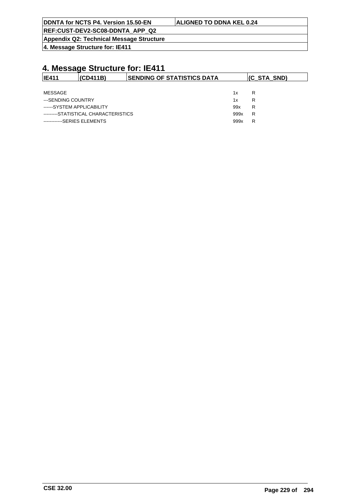| DDNTA for NCTS P4. Version 15.50-EN |  |
|-------------------------------------|--|
|                                     |  |

### **ALIGNED TO DDNA KEL 0.24**

**REF:CUST-DEV2-SC08-DDNTA\_APP\_Q2**

**Appendix Q2: Technical Message Structure**

**4. Message Structure for: IE411**

| <b>IE411</b>                | (CD411B)                            | <b>ISENDING OF STATISTICS DATA</b> |      | $(C_STA_SND)$ |
|-----------------------------|-------------------------------------|------------------------------------|------|---------------|
|                             |                                     |                                    |      |               |
| MESSAGE                     |                                     |                                    | 1x   | R             |
| ---SENDING COUNTRY          |                                     |                                    | 1x   | R             |
| ------SYSTEM APPLICABILITY  |                                     |                                    | 99x  | R             |
|                             | --------STATISTICAL CHARACTERISTICS |                                    | 999x | R             |
| ------------SERIES ELEMENTS |                                     |                                    | 999x | R             |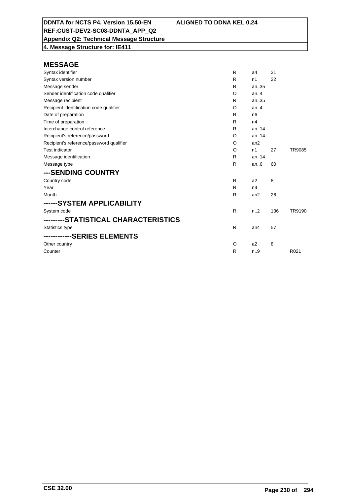# **Appendix Q2: Technical Message Structure**

**4. Message Structure for: IE411**

| Syntax identifier                        | R            | a4               | 21  |               |
|------------------------------------------|--------------|------------------|-----|---------------|
| Syntax version number                    | R            | n1               | 22  |               |
| Message sender                           | R            | an.35            |     |               |
| Sender identification code qualifier     | O            | an.4             |     |               |
| Message recipient                        | R            | an.35            |     |               |
| Recipient identification code qualifier  | O            | an.4             |     |               |
| Date of preparation                      | R            | n <sub>6</sub>   |     |               |
| Time of preparation                      | R            | n4               |     |               |
| Interchange control reference            | R            | an14             |     |               |
| Recipient's reference/password           | O            | an.14            |     |               |
| Recipient's reference/password qualifier | O            | an2              |     |               |
| <b>Test indicator</b>                    | O            | n1               | 27  | <b>TR9085</b> |
| Message identification                   | R            | an14             |     |               |
| Message type                             | R            | an.6             | 60  |               |
| ---SENDING COUNTRY                       |              |                  |     |               |
| Country code                             | R            | a2               | 8   |               |
| Year                                     | $\mathsf{R}$ | n4               |     |               |
| Month                                    | R            | an2              | 26  |               |
| ------SYSTEM APPLICABILITY               |              |                  |     |               |
| System code                              | R            | n <sub>1</sub> 2 | 136 | TR9190        |
| --------STATISTICAL CHARACTERISTICS      |              |                  |     |               |
| Statistics type                          | $\mathsf{R}$ | an <sub>4</sub>  | 57  |               |
|                                          |              |                  |     |               |
| Other country                            | O            | a2               | 8   |               |
| Counter                                  | R            | n.9              |     | R021          |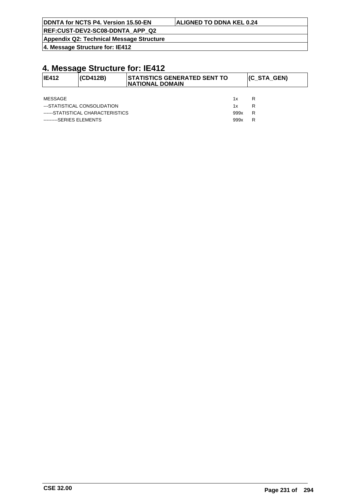| DDNTA for NCTS P4. Version 15.50-EN |  |  |
|-------------------------------------|--|--|
|                                     |  |  |

**ALIGNED TO DDNA KEL 0.24** 

**REF:CUST-DEV2-SC08-DDNTA\_APP\_Q2**

**Appendix Q2: Technical Message Structure**

**4. Message Structure for: IE412**

# **4. Message Structure for: IE412**

| <b>IE412</b> | <b>(CD412B)</b>                   | <b>ISTATISTICS GENERATED SENT TO</b><br><b>INATIONAL DOMAIN</b> | (C_STA_GEN) |   |
|--------------|-----------------------------------|-----------------------------------------------------------------|-------------|---|
|              |                                   |                                                                 |             |   |
| MESSAGE      |                                   |                                                                 | 1x          | R |
|              | ---STATISTICAL CONSOLIDATION      |                                                                 | 1x          | R |
|              | ------STATISTICAL CHARACTERISTICS |                                                                 | 999x        | R |

---------SERIES ELEMENTS 999x R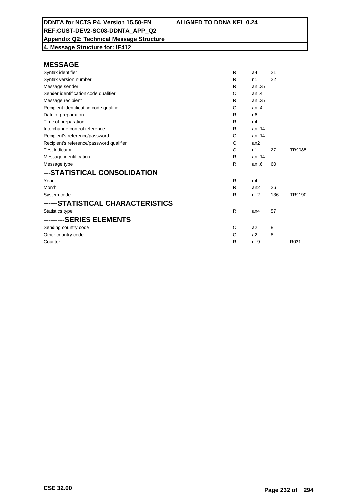## **DDNTA for NCTS P4. Version 15.50-EN ALIGNED TO DDNA KEL 0.24**

### **REF:CUST-DEV2-SC08-DDNTA\_APP\_Q2 Appendix Q2: Technical Message Structure**

**4. Message Structure for: IE412**

| R            | a4               | 21  |                  |
|--------------|------------------|-----|------------------|
| R            | n1               | 22  |                  |
| R            | an35             |     |                  |
| O            | an. $4$          |     |                  |
| R            | an.35            |     |                  |
| O            | an.4             |     |                  |
| R            | n <sub>6</sub>   |     |                  |
| R            | n4               |     |                  |
| R            | an.14            |     |                  |
| O            | an.14            |     |                  |
| O            | an2              |     |                  |
| O            | n1               | 27  | <b>TR9085</b>    |
| R            | an.14            |     |                  |
| $\mathsf{R}$ | an.6             | 60  |                  |
|              |                  |     |                  |
| R            | n4               |     |                  |
| R            | an2              | 26  |                  |
| R            | n <sub>1</sub> 2 | 136 | TR9190           |
|              |                  |     |                  |
| $\mathsf{R}$ | an <sub>4</sub>  | 57  |                  |
|              |                  |     |                  |
| $\circ$      | a2               | 8   |                  |
| O            | a2               | 8   |                  |
| R            | n.9              |     | R <sub>021</sub> |
|              |                  |     |                  |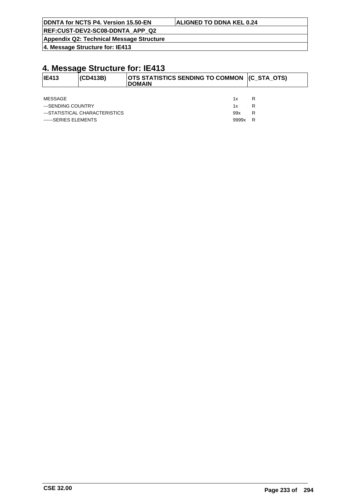**DDNTA for NCTS P4. Version 15.50-EN ALIGNED TO DDNA KEL 0.24**

**REF:CUST-DEV2-SC08-DDNTA\_APP\_Q2**

**Appendix Q2: Technical Message Structure**

**4. Message Structure for: IE413**

## **4. Message Structure for: IE413**

| IE413              | $ $ (CD413B)                   | OTS STATISTICS SENDING TO COMMON (C_STA_OTS)<br><b>IDOMAIN</b> |   |
|--------------------|--------------------------------|----------------------------------------------------------------|---|
|                    |                                |                                                                |   |
| MESSAGE            |                                | 1x                                                             | R |
| ---SENDING COUNTRY |                                | 1х                                                             | R |
|                    | ---STATISTICAL CHARACTERISTICS | 99x                                                            | R |

------SERIES ELEMENTS And the state of the state of the state of the state of the state of the state of the state of the state of the state of the state of the state of the state of the state of the state of the state of t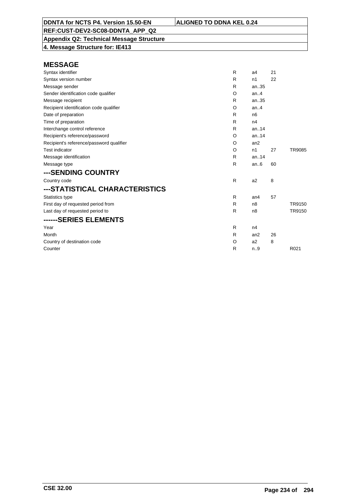# **Appendix Q2: Technical Message Structure**

**4. Message Structure for: IE413**

| R       | a4              | 21 |        |
|---------|-----------------|----|--------|
| R       | n1              | 22 |        |
| R       | an35            |    |        |
| O       | an.4            |    |        |
| R       | an35            |    |        |
| O       | an.4            |    |        |
| R       | n <sub>6</sub>  |    |        |
| R       | n4              |    |        |
| R       | an14            |    |        |
| O       | an.14           |    |        |
| O       | an2             |    |        |
| $\circ$ | n1              | 27 | TR9085 |
| R       | an.14           |    |        |
| R       | an.6            | 60 |        |
|         |                 |    |        |
| R       | a <sub>2</sub>  | 8  |        |
|         |                 |    |        |
| R       | an <sub>4</sub> | 57 |        |
| R       | n <sub>8</sub>  |    | TR9150 |
| R       | n8              |    | TR9150 |
|         |                 |    |        |
| R       | n4              |    |        |
| R       | an2             | 26 |        |
| O       | a2              | 8  |        |
| R       | n.9             |    | R021   |
|         |                 |    |        |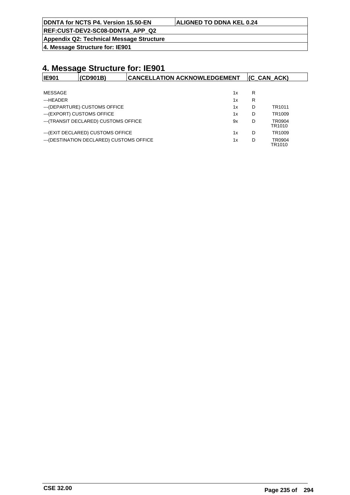**DDNTA for NCTS P4. Version 15.50-EN ALIGNED TO DDNA KEL 0.24**

**REF:CUST-DEV2-SC08-DDNTA\_APP\_Q2**

**Appendix Q2: Technical Message Structure**

**4. Message Structure for: IE901**

| <b>IE901</b> | (CD901B)                                  | <b>CANCELLATION ACKNOWLEDGEMENT</b> |    |   | $ $ (C CAN ACK)    |
|--------------|-------------------------------------------|-------------------------------------|----|---|--------------------|
|              |                                           |                                     |    |   |                    |
| MESSAGE      |                                           |                                     | 1x | R |                    |
| ---HEADER    |                                           |                                     | 1x | R |                    |
|              | --- (DEPARTURE) CUSTOMS OFFICE            |                                     | 1x | D | TR <sub>1011</sub> |
|              | --- (EXPORT) CUSTOMS OFFICE               |                                     | 1x | D | TR <sub>1009</sub> |
|              | --- (TRANSIT DECLARED) CUSTOMS OFFICE     |                                     | 9x | D | TR0904<br>TR1010   |
|              | --- (EXIT DECLARED) CUSTOMS OFFICE        |                                     | 1x | D | TR1009             |
|              | --- (DESTINATION DECLARED) CUSTOMS OFFICE |                                     | 1x | D | TR0904<br>TR1010   |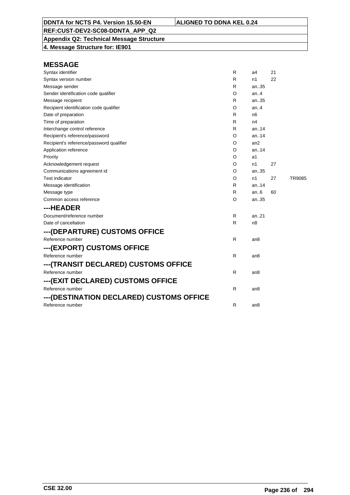### **DDNTA for NCTS P4. Version 15.50-EN ALIGNED TO DDNA KEL 0.24**

### **REF:CUST-DEV2-SC08-DDNTA\_APP\_Q2 Appendix Q2: Technical Message Structure**

**4. Message Structure for: IE901**

| Syntax identifier                        | R | a4              | 21 |        |
|------------------------------------------|---|-----------------|----|--------|
| Syntax version number                    | R | n1              | 22 |        |
| Message sender                           | R | an35            |    |        |
| Sender identification code qualifier     | O | an4             |    |        |
| Message recipient                        | R | an35            |    |        |
| Recipient identification code qualifier  | O | an.4            |    |        |
| Date of preparation                      | R | n6              |    |        |
| Time of preparation                      | R | n4              |    |        |
| Interchange control reference            | R | an14            |    |        |
| Recipient's reference/password           | O | an. $.14$       |    |        |
| Recipient's reference/password qualifier | O | an2             |    |        |
| Application reference                    | O | an.14           |    |        |
| Priority                                 | O | a1              |    |        |
| Acknowledgement request                  | O | n1              | 27 |        |
| Communications agreement id              | O | an35            |    |        |
| Test indicator                           | O | n1              | 27 | TR9085 |
| Message identification                   | R | an14            |    |        |
| Message type                             | R | an.6            | 60 |        |
| Common access reference                  | O | an35            |    |        |
| ---HEADER                                |   |                 |    |        |
| Document/reference number                | R | an21            |    |        |
| Date of cancellation                     | R | n <sub>8</sub>  |    |        |
| ---(DEPARTURE) CUSTOMS OFFICE            |   |                 |    |        |
| Reference number                         | R | an <sub>8</sub> |    |        |
| ---(EXPORT) CUSTOMS OFFICE               |   |                 |    |        |
| Reference number                         | R | an8             |    |        |
| ---(TRANSIT DECLARED) CUSTOMS OFFICE     |   |                 |    |        |
| Reference number                         | R | an8             |    |        |
| ---(EXIT DECLARED) CUSTOMS OFFICE        |   |                 |    |        |
| Reference number                         | R | an <sub>8</sub> |    |        |
| ---(DESTINATION DECLARED) CUSTOMS OFFICE |   |                 |    |        |
| Reference number                         | R | an <sub>8</sub> |    |        |
|                                          |   |                 |    |        |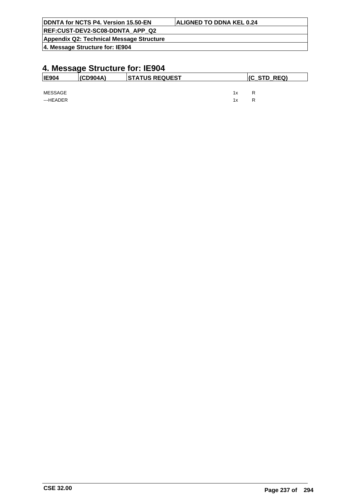| DDNTA for NCTS P4. Version 15.50-EN      | <b>ALIGNED TO DDNA KEL 0.24</b> |
|------------------------------------------|---------------------------------|
| REF:CUST-DEV2-SC08-DDNTA APP Q2          |                                 |
| Appendix Q2: Technical Message Structure |                                 |
| 4. Message Structure for: IE904          |                                 |

|                                            | $ $ (C_STD_REQ) |  |  |
|--------------------------------------------|-----------------|--|--|
| MESSAGE<br>R<br>1x<br>---HEADER<br>R<br>1x |                 |  |  |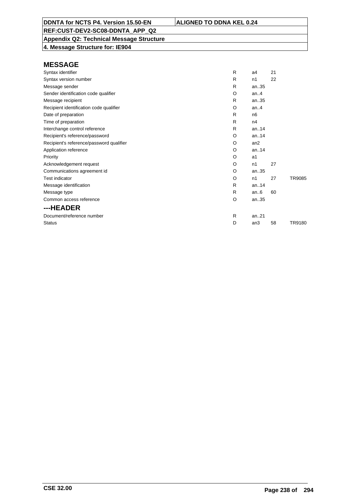**Appendix Q2: Technical Message Structure**

**4. Message Structure for: IE904**

| Syntax identifier                        | R | a4             | 21 |               |
|------------------------------------------|---|----------------|----|---------------|
| Syntax version number                    | R | n <sub>1</sub> | 22 |               |
| Message sender                           | R | an35           |    |               |
| Sender identification code qualifier     | O | an. $4$        |    |               |
| Message recipient                        | R | an35           |    |               |
| Recipient identification code qualifier  | O | an.4           |    |               |
| Date of preparation                      | R | n <sub>6</sub> |    |               |
| Time of preparation                      | R | n4             |    |               |
| Interchange control reference            | R | an.14          |    |               |
| Recipient's reference/password           | O | an.14          |    |               |
| Recipient's reference/password qualifier | O | an2            |    |               |
| Application reference                    | O | an.14          |    |               |
| Priority                                 | O | a1             |    |               |
| Acknowledgement request                  | O | n1             | 27 |               |
| Communications agreement id              | O | an35           |    |               |
| <b>Test indicator</b>                    | O | n1             | 27 | <b>TR9085</b> |
| Message identification                   | R | an14           |    |               |
| Message type                             | R | an.6           | 60 |               |
| Common access reference                  | O | an35           |    |               |
| ---HEADER                                |   |                |    |               |
| Document/reference number                | R | an.21          |    |               |
| <b>Status</b>                            | D | an3            | 58 | TR9180        |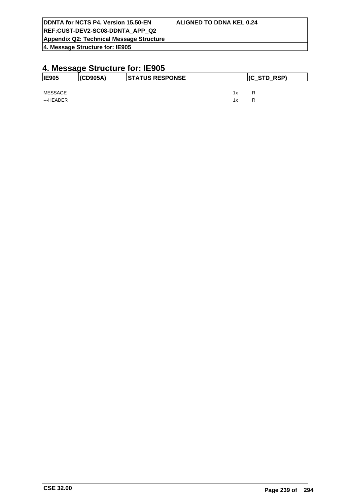| DDNTA for NCTS P4. Version 15.50-EN      | <b>ALIGNED TO DDNA KEL 0.24</b> |
|------------------------------------------|---------------------------------|
| REF:CUST-DEV2-SC08-DDNTA APP Q2          |                                 |
| Appendix Q2: Technical Message Structure |                                 |
| 4. Message Structure for: IE905          |                                 |

| <b>IE905</b> | (CD905A) | <b>STATUS RESPONSE</b> | $ $ (C_STD_RSP) |   |  |
|--------------|----------|------------------------|-----------------|---|--|
| MESSAGE      |          |                        | 1x              | R |  |
| ---HEADER    |          |                        | 1x              | R |  |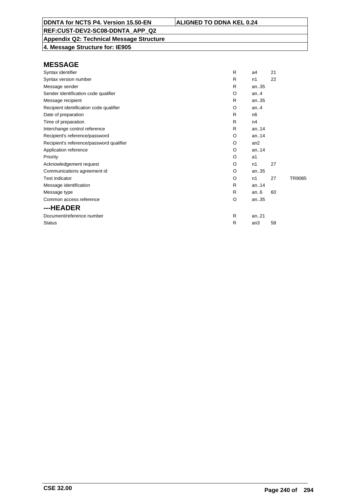**Appendix Q2: Technical Message Structure 4. Message Structure for: IE905**

| Syntax identifier                        | R | a4             | 21 |        |
|------------------------------------------|---|----------------|----|--------|
| Syntax version number                    | R | n1             | 22 |        |
| Message sender                           | R | an.35          |    |        |
| Sender identification code qualifier     | O | an. $4$        |    |        |
| Message recipient                        | R | an.35          |    |        |
| Recipient identification code qualifier  | O | an.4           |    |        |
| Date of preparation                      | R | n <sub>6</sub> |    |        |
| Time of preparation                      | R | n4             |    |        |
| Interchange control reference            | R | an.14          |    |        |
| Recipient's reference/password           | O | an.14          |    |        |
| Recipient's reference/password qualifier | O | an2            |    |        |
| Application reference                    | O | an.14          |    |        |
| Priority                                 | O | a1             |    |        |
| Acknowledgement request                  | O | n1             | 27 |        |
| Communications agreement id              | O | an.35          |    |        |
| <b>Test indicator</b>                    | O | n1             | 27 | TR9085 |
| Message identification                   | R | an.14          |    |        |
| Message type                             | R | an.6           | 60 |        |
| Common access reference                  | O | an35           |    |        |
| ---HEADER                                |   |                |    |        |
| Document/reference number                | R | an21           |    |        |
| <b>Status</b>                            | R | an3            | 58 |        |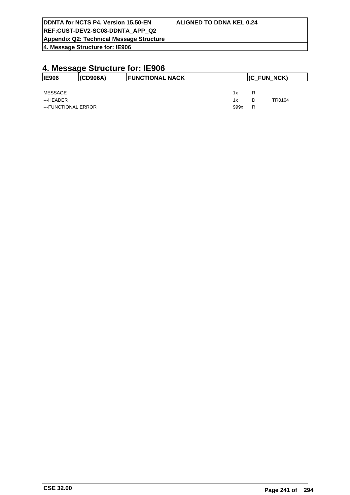| DDNTA for NCTS P4. Version 15.50-EN      | <b>ALIGNED TO DDNA KEL 0.24</b> |
|------------------------------------------|---------------------------------|
| <b>REF:CUST-DEV2-SC08-DDNTA APP Q2</b>   |                                 |
| Appendix Q2: Technical Message Structure |                                 |
| 4. Message Structure for: IE906          |                                 |

| <b>IE906</b>        | (CD906A) | <b>FUNCTIONAL NACK</b> |      |   | (C_FUN_NCK) |  |  |
|---------------------|----------|------------------------|------|---|-------------|--|--|
|                     |          |                        |      |   |             |  |  |
| MESSAGE             |          |                        | 1x   | R |             |  |  |
| ---HEADER           |          |                        | 1x   | D | TR0104      |  |  |
| ---FUNCTIONAL ERROR |          |                        | 999x | R |             |  |  |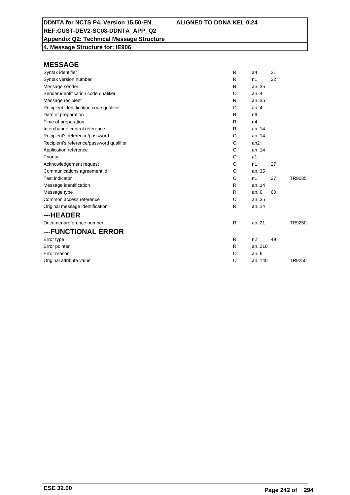**Appendix Q2: Technical Message Structure**

**4. Message Structure for: IE906**

| Syntax identifier                        | R  | a4             | 21 |        |
|------------------------------------------|----|----------------|----|--------|
| Syntax version number                    | R  | n1             | 22 |        |
| Message sender                           | R  | an35           |    |        |
| Sender identification code qualifier     | O  | an.4           |    |        |
| Message recipient                        | R  | an35           |    |        |
| Recipient identification code qualifier  | O  | an.4           |    |        |
| Date of preparation                      | R  | n <sub>6</sub> |    |        |
| Time of preparation                      | R  | n4             |    |        |
| Interchange control reference            | R  | an.14          |    |        |
| Recipient's reference/password           | O  | an.14          |    |        |
| Recipient's reference/password qualifier | O  | an2            |    |        |
| Application reference                    | O  | an.14          |    |        |
| Priority                                 | O  | a1             |    |        |
| Acknowledgement request                  | O  | n1             | 27 |        |
| Communications agreement id              | O  | an35           |    |        |
| <b>Test indicator</b>                    | O  | n1             | 27 | TR9085 |
| Message identification                   | R  | an.14          |    |        |
| Message type                             | R  | an.6           | 60 |        |
| Common access reference                  | O  | an35           |    |        |
| Original message identification          | R  | an14           |    |        |
| ---HEADER                                |    |                |    |        |
| Document/reference number                | R  | an.21          |    | TR9250 |
| ---FUNCTIONAL ERROR                      |    |                |    |        |
| Error type                               | R. | n2             | 49 |        |
| Error pointer                            | R  | an210          |    |        |
| Error reason                             | O  | an.6           |    |        |
| Original attribute value                 | O  | an140          |    | TR9250 |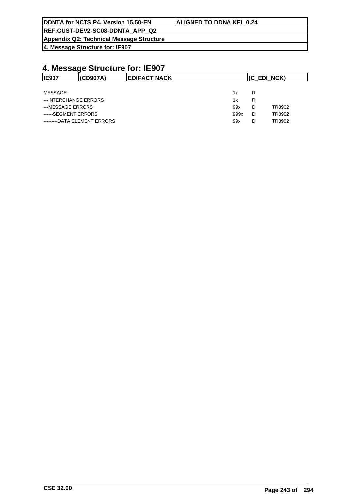| <b>DDNTA for NCTS P4. Version 15.50-EN</b> | <b>ALIGNED TO DDNA KEL 0.24</b> |
|--------------------------------------------|---------------------------------|
| <b>REF:CUST-DEV2-SC08-DDNTA APP Q2</b>     |                                 |

**Appendix Q2: Technical Message Structure**

**4. Message Structure for: IE907**

| <b>IE907</b>          | (CD907A)                     | <b>IEDIFACT NACK</b> |      |   | (C EDI NCK) |
|-----------------------|------------------------------|----------------------|------|---|-------------|
|                       |                              |                      |      |   |             |
| MESSAGE               |                              |                      | 1x   | R |             |
| ---INTERCHANGE ERRORS |                              |                      | 1x   | R |             |
| ---MESSAGE ERRORS     |                              |                      | 99x  | D | TR0902      |
| ------SEGMENT ERRORS  |                              |                      | 999x | D | TR0902      |
|                       | ---------DATA ELEMENT ERRORS |                      | 99x  | D | TR0902      |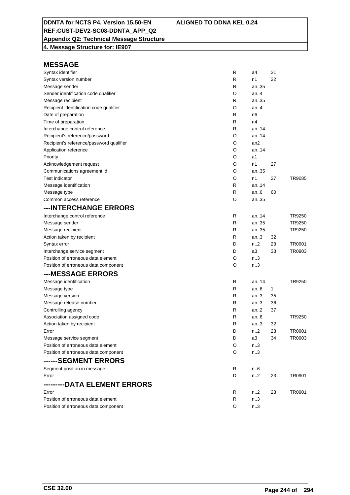## **Appendix Q2: Technical Message Structure**

**4. Message Structure for: IE907**

| Syntax identifier                        | R | a4               | 21 |        |
|------------------------------------------|---|------------------|----|--------|
| Syntax version number                    | R | n1               | 22 |        |
| Message sender                           | R | an35             |    |        |
| Sender identification code qualifier     | O | an.4             |    |        |
| Message recipient                        | R | an35             |    |        |
| Recipient identification code qualifier  | O | an.4             |    |        |
| Date of preparation                      | R | n6               |    |        |
| Time of preparation                      | R | n4               |    |        |
| Interchange control reference            | R | an14             |    |        |
| Recipient's reference/password           | O | an14             |    |        |
| Recipient's reference/password qualifier | O | an <sub>2</sub>  |    |        |
| Application reference                    | O | an14             |    |        |
| Priority                                 | O | a1               |    |        |
| Acknowledgement request                  | O | n1               | 27 |        |
| Communications agreement id              | O | an35             |    |        |
| Test indicator                           | O | n1               | 27 | TR9085 |
| Message identification                   | R | an.14            |    |        |
| Message type                             | R | an $6$           | 60 |        |
| Common access reference                  | O | an35             |    |        |
| ---INTERCHANGE ERRORS                    |   |                  |    |        |
| Interchange control reference            | R | an.14            |    | TR9250 |
| Message sender                           | R | an35             |    | TR9250 |
| Message recipient                        | R | an35             |    | TR9250 |
| Action taken by recipient                | R | an.3             | 32 |        |
| Syntax error                             | D | n2               | 23 | TR0901 |
| Interchange service segment              | D | a3               | 33 | TR0903 |
| Position of erroneous data element       | O | n.3              |    |        |
| Position of erroneous data component     | O | n.3              |    |        |
| ---MESSAGE ERRORS                        |   |                  |    |        |
| Message identification                   | R | an14             |    | TR9250 |
| Message type                             | R | an $6$           | 1  |        |
| Message version                          | R | an.3             | 35 |        |
| Message release number                   | R | an.3             | 36 |        |
| Controlling agency                       | R | an.2             | 37 |        |
| Association assigned code                | R | an6              |    | TR9250 |
| Action taken by recipient                | R | an.3             | 32 |        |
| Error                                    | D | n2               | 23 | TR0901 |
| Message service segment                  | D | a3               | 34 | TR0903 |
| Position of erroneous data element       | O | n <sub>0</sub> 3 |    |        |
| Position of erroneous data component     | O | n.3              |    |        |
| ------SEGMENT ERRORS                     |   |                  |    |        |
| Segment position in message              | R | n.6              |    |        |
| Error                                    | D | n <sub>2</sub>   | 23 | TR0901 |
| ---------DATA ELEMENT ERRORS             |   |                  |    |        |
| Error                                    | R | n <sub>1</sub> 2 | 23 | TR0901 |
| Position of erroneous data element       | R | n.3              |    |        |
| Position of erroneous data component     | O | n.3              |    |        |
|                                          |   |                  |    |        |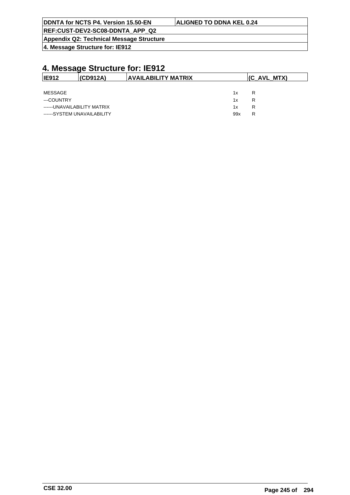| DDNTA for NCTS P4. Version 15.50-EN | <b>ALIGNED TO DDNA KEL 0.24</b> |
|-------------------------------------|---------------------------------|
| DEE.CHRT.DEV2.RCOR.DDNTA ADD O2     |                                 |

**REF:CUST-DEV2-SC08-DDNTA\_APP\_Q2 Appendix Q2: Technical Message Structure**

**4. Message Structure for: IE912**

| <b>IE912</b>                | (CD912A) | AVAILABILITY MATRIX |     | $ $ (C_AVL_MTX) |
|-----------------------------|----------|---------------------|-----|-----------------|
|                             |          |                     |     |                 |
| MESSAGE                     |          |                     | 1x  | R               |
| ---COUNTRY                  |          |                     | 1x  | R               |
| ------UNAVAILABILITY MATRIX |          |                     | 1x  | R               |
| ------SYSTEM UNAVAILABILITY |          |                     | 99x | R               |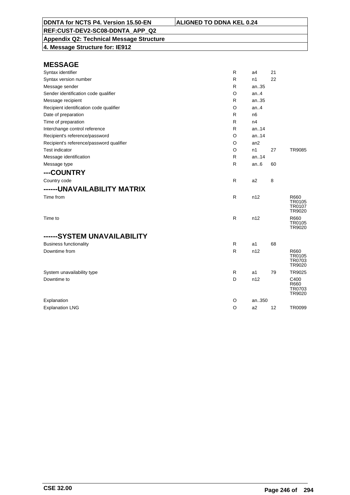# **Appendix Q2: Technical Message Structure**

**4. Message Structure for: IE912**

| Syntax identifier                        | R       | a4             | 21 |                                           |
|------------------------------------------|---------|----------------|----|-------------------------------------------|
| Syntax version number                    | R       | n1             | 22 |                                           |
| Message sender                           | R       | an35           |    |                                           |
| Sender identification code qualifier     | $\circ$ | an.4           |    |                                           |
| Message recipient                        | R       | an35           |    |                                           |
| Recipient identification code qualifier  | O       | an.4           |    |                                           |
| Date of preparation                      | R       | n <sub>6</sub> |    |                                           |
| Time of preparation                      | R       | n4             |    |                                           |
| Interchange control reference            | R       | an14           |    |                                           |
| Recipient's reference/password           | O       | an.14          |    |                                           |
| Recipient's reference/password qualifier | O       | an2            |    |                                           |
| Test indicator                           | O       | n1             | 27 | <b>TR9085</b>                             |
| Message identification                   | R       | an.14          |    |                                           |
| Message type                             | R       | an.6           | 60 |                                           |
| ---COUNTRY                               |         |                |    |                                           |
| Country code                             | R       | a2             | 8  |                                           |
| ------UNAVAILABILITY MATRIX              |         |                |    |                                           |
| Time from                                | R       | n12            |    | R660<br>TR0105<br>TR0107<br>TR9020        |
| Time to                                  | R       | n12            |    | R660<br><b>TR0105</b><br>TR9020           |
| ------SYSTEM UNAVAILABILITY              |         |                |    |                                           |
| <b>Business functionality</b>            | R.      | a <sub>1</sub> | 68 |                                           |
| Downtime from                            | R       | n12            |    | R660<br><b>TR0105</b><br>TR0703<br>TR9020 |
| System unavailability type               | R       | a1             | 79 | TR9025                                    |
| Downtime to                              | D       | n12            |    | C400<br>R660<br>TR0703<br>TR9020          |
| Explanation                              | O       | an350          |    |                                           |
| <b>Explanation LNG</b>                   | $\circ$ | a2             | 12 | <b>TR0099</b>                             |
|                                          |         |                |    |                                           |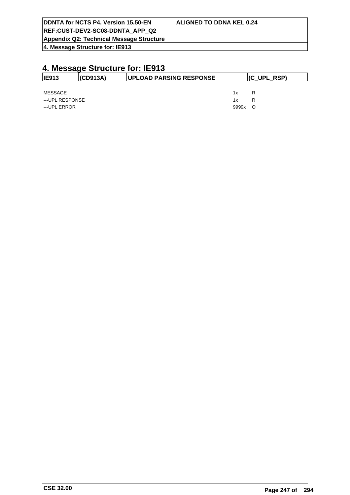| DDNTA for NCTS P4. Version 15.50-EN             | <b>ALIGNED TO DDNA KEL 0.24</b> |
|-------------------------------------------------|---------------------------------|
| REF:CUST-DEV2-SC08-DDNTA APP Q2                 |                                 |
| <b>Appendix Q2: Technical Message Structure</b> |                                 |

**4. Message Structure for: IE913**

| IE913           | (CD913A) | <b>IUPLOAD PARSING RESPONSE</b> |       | $(C_UPL_RSP)$ |  |
|-----------------|----------|---------------------------------|-------|---------------|--|
|                 |          |                                 |       |               |  |
| MESSAGE         |          |                                 | 1x    | R             |  |
| ---UPL RESPONSE |          |                                 | 1x    |               |  |
| ---UPL ERROR    |          |                                 | 9999x | O             |  |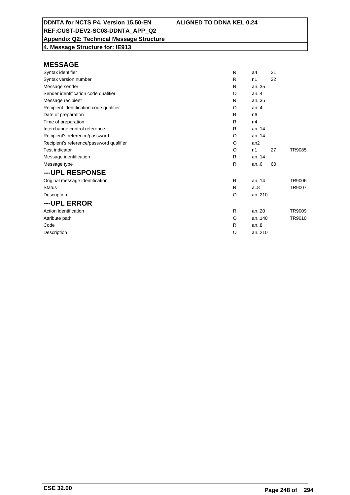**Appendix Q2: Technical Message Structure**

**4. Message Structure for: IE913**

| Syntax identifier                        | R  | a4             | 21 |        |
|------------------------------------------|----|----------------|----|--------|
| Syntax version number                    | R  | n1             | 22 |        |
| Message sender                           | R  | an35           |    |        |
| Sender identification code qualifier     | O  | an. $4$        |    |        |
| Message recipient                        | R  | an.35          |    |        |
| Recipient identification code qualifier  | O  | an.4           |    |        |
| Date of preparation                      | R  | n <sub>6</sub> |    |        |
| Time of preparation                      | R  | n4             |    |        |
| Interchange control reference            | R. | an.14          |    |        |
| Recipient's reference/password           | O  | an.14          |    |        |
| Recipient's reference/password qualifier | O  | an2            |    |        |
| <b>Test indicator</b>                    | O  | n1             | 27 | TR9085 |
| Message identification                   | R  | an.14          |    |        |
| Message type                             | R  | an.6           | 60 |        |
| ---UPL RESPONSE                          |    |                |    |        |
| Original message identification          | R. | an.14          |    | TR9006 |
| <b>Status</b>                            | R  | a.8            |    | TR9007 |
| Description                              | O  | an210          |    |        |
| ---UPL ERROR                             |    |                |    |        |
| Action identification                    | R. | an.20          |    | TR9009 |
| Attribute path                           | O  | an140          |    | TR9010 |
| Code                                     | R  | an.8           |    |        |
| Description                              | O  | an210          |    |        |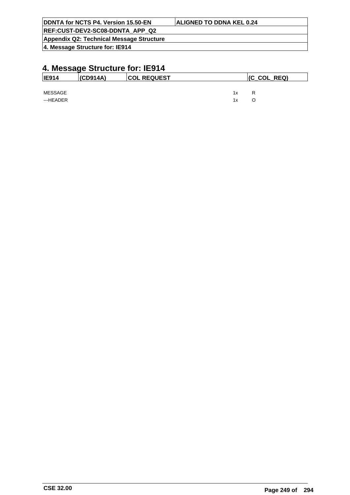| DDNTA for NCTS P4. Version 15.50-EN      | <b>ALIGNED TO DDNA KEL 0.24</b> |
|------------------------------------------|---------------------------------|
| REF:CUST-DEV2-SC08-DDNTA APP Q2          |                                 |
| Appendix Q2: Technical Message Structure |                                 |
| 4. Message Structure for: IE914          |                                 |

| <b>IE914</b> | (CD914A) | <b>COL REQUEST</b> | $ $ (C_COL_REQ) |   |  |
|--------------|----------|--------------------|-----------------|---|--|
|              |          |                    |                 |   |  |
| MESSAGE      |          |                    | 1x              | R |  |
| ---HEADER    |          |                    | 1x              | O |  |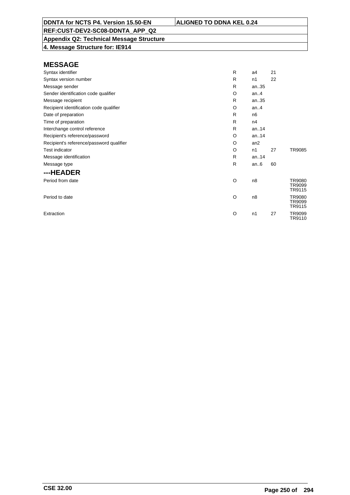### **REF:CUST-DEV2-SC08-DDNTA\_APP\_Q2 Appendix Q2: Technical Message Structure**

**4. Message Structure for: IE914**

| Syntax identifier                        | R | a4              | 21 |                            |
|------------------------------------------|---|-----------------|----|----------------------------|
| Syntax version number                    | R | n1              | 22 |                            |
| Message sender                           | R | an35            |    |                            |
| Sender identification code qualifier     | O | an. $4$         |    |                            |
| Message recipient                        | R | an35            |    |                            |
| Recipient identification code qualifier  | O | an.4            |    |                            |
| Date of preparation                      | R | n <sub>6</sub>  |    |                            |
| Time of preparation                      | R | n4              |    |                            |
| Interchange control reference            | R | an14            |    |                            |
| Recipient's reference/password           | O | an14            |    |                            |
| Recipient's reference/password qualifier | O | an <sub>2</sub> |    |                            |
| <b>Test indicator</b>                    | O | n1              | 27 | TR9085                     |
| Message identification                   | R | an14            |    |                            |
| Message type                             | R | an.6            | 60 |                            |
| ---HEADER                                |   |                 |    |                            |
| Period from date                         | O | n8              |    | TR9080<br>TR9099<br>TR9115 |
| Period to date                           | O | n8              |    | TR9080<br>TR9099<br>TR9115 |
| Extraction                               | O | n1              | 27 | TR9099<br>TR9110           |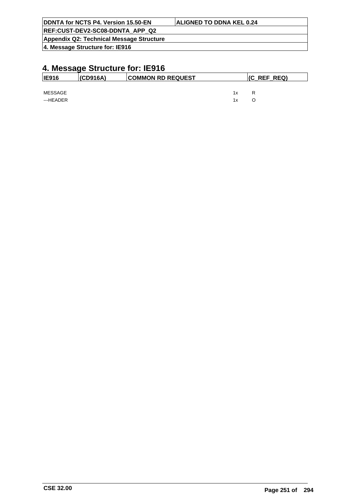| DDNTA for NCTS P4. Version 15.50-EN      | <b>ALIGNED TO DDNA KEL 0.24</b> |
|------------------------------------------|---------------------------------|
| REF:CUST-DEV2-SC08-DDNTA APP Q2          |                                 |
| Appendix Q2: Technical Message Structure |                                 |
| 4. Message Structure for: IE916          |                                 |

| <b>IE916</b> | (CD916A) | <b>COMMON RD REQUEST</b> |    | $ $ (C_REF_REQ) |  |
|--------------|----------|--------------------------|----|-----------------|--|
|              |          |                          |    |                 |  |
| MESSAGE      |          |                          | 1x | R               |  |
| ---HEADER    |          |                          | 1x | O               |  |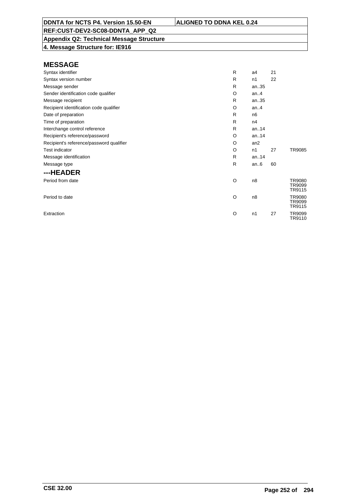# **Appendix Q2: Technical Message Structure**

**4. Message Structure for: IE916**

| Syntax identifier                        | R | a4              | 21 |                            |
|------------------------------------------|---|-----------------|----|----------------------------|
| Syntax version number                    | R | n1              | 22 |                            |
| Message sender                           | R | an35            |    |                            |
| Sender identification code qualifier     | O | an.4            |    |                            |
| Message recipient                        | R | an35            |    |                            |
| Recipient identification code qualifier  | O | an.4            |    |                            |
| Date of preparation                      | R | n <sub>6</sub>  |    |                            |
| Time of preparation                      | R | n4              |    |                            |
| Interchange control reference            | R | an14            |    |                            |
| Recipient's reference/password           | O | an. $.14$       |    |                            |
| Recipient's reference/password qualifier | O | an <sub>2</sub> |    |                            |
| <b>Test indicator</b>                    | O | n1              | 27 | TR9085                     |
| Message identification                   | R | an14            |    |                            |
| Message type                             | R | an.6            | 60 |                            |
| ---HEADER                                |   |                 |    |                            |
| Period from date                         | O | n8              |    | TR9080<br>TR9099<br>TR9115 |
| Period to date                           | O | n8              |    | TR9080<br>TR9099<br>TR9115 |
| Extraction                               | O | n1              | 27 | TR9099<br>TR9110           |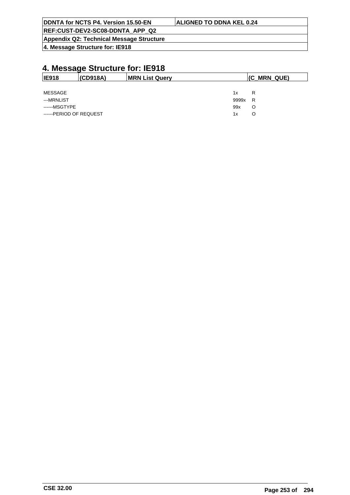| DDNTA for NCTS P4. Version 15.50-EN      | <b>ALIGNED TO DDNA KEL 0.24</b> |
|------------------------------------------|---------------------------------|
| <b>REF:CUST-DEV2-SC08-DDNTA APP Q2</b>   |                                 |
| Appendix Q2: Technical Message Structure |                                 |

**4. Message Structure for: IE918**

| <b>IE918</b>            | (CD918A) | <b>MRN List Query</b> |       | (C MRN QUE) |
|-------------------------|----------|-----------------------|-------|-------------|
|                         |          |                       |       |             |
| MESSAGE                 |          |                       | 1x    | R           |
| ---MRNLIST              |          |                       | 9999x | R           |
| ------MSGTYPE           |          |                       | 99x   | O           |
| ------PERIOD OF REQUEST |          |                       | 1x    | O           |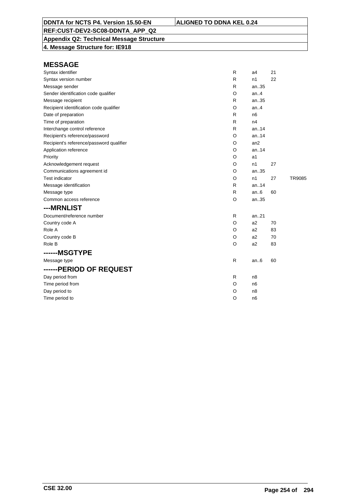## **REF:CUST-DEV2-SC08-DDNTA\_APP\_Q2**

**Appendix Q2: Technical Message Structure 4. Message Structure for: IE918**

| Syntax identifier                        | R       | a4             | 21 |        |
|------------------------------------------|---------|----------------|----|--------|
| Syntax version number                    | R       | n1             | 22 |        |
| Message sender                           | R       | an35           |    |        |
| Sender identification code qualifier     | O       | an.4           |    |        |
| Message recipient                        | R       | an35           |    |        |
| Recipient identification code qualifier  | O       | an.4           |    |        |
| Date of preparation                      | R       | n6             |    |        |
| Time of preparation                      | R       | n4             |    |        |
| Interchange control reference            | R       | an.14          |    |        |
| Recipient's reference/password           | O       | an14           |    |        |
| Recipient's reference/password qualifier | O       | an2            |    |        |
| Application reference                    | O       | an14           |    |        |
| Priority                                 | O       | a <sub>1</sub> |    |        |
| Acknowledgement request                  | O       | n1             | 27 |        |
| Communications agreement id              | O       | an35           |    |        |
| <b>Test indicator</b>                    | O       | n1             | 27 | TR9085 |
| Message identification                   | R       | an.14          |    |        |
| Message type                             | R       | an.6           | 60 |        |
| Common access reference                  | O       | an35           |    |        |
| ---MRNLIST                               |         |                |    |        |
| Document/reference number                | R       | an.21          |    |        |
| Country code A                           | O       | a2             | 70 |        |
| Role A                                   | O       | a2             | 83 |        |
| Country code B                           | O       | a2             | 70 |        |
| Role B                                   | O       | a <sub>2</sub> | 83 |        |
| ------MSGTYPE                            |         |                |    |        |
| Message type                             | R       | an.6           | 60 |        |
| ------PERIOD OF REQUEST                  |         |                |    |        |
| Day period from                          | R       | n <sub>8</sub> |    |        |
| Time period from                         | O       | n <sub>6</sub> |    |        |
| Day period to                            | O       | n <sub>8</sub> |    |        |
| Time period to                           | $\circ$ | n <sub>6</sub> |    |        |
|                                          |         |                |    |        |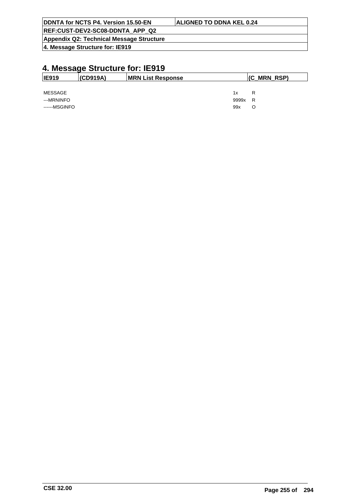| DDNTA for NCTS P4. Version 15.50-EN      | <b>ALIGNED TO DDNA KEL 0.24</b> |
|------------------------------------------|---------------------------------|
| REF:CUST-DEV2-SC08-DDNTA APP Q2          |                                 |
| Appendix Q2: Technical Message Structure |                                 |
| 4. Message Structure for: IE919          |                                 |

| <b>IE919</b>  | (CD919A) | <b>MRN List Response</b> |       | (C_MRN_RSP) |
|---------------|----------|--------------------------|-------|-------------|
|               |          |                          |       |             |
| MESSAGE       |          |                          | 1x    | R           |
| ---MRNINFO    |          |                          | 9999x | R           |
| ------MSGINFO |          |                          | 99x   |             |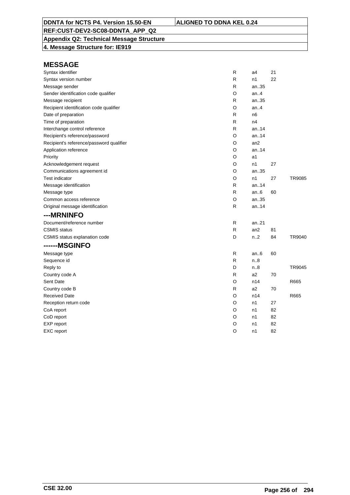## **REF:CUST-DEV2-SC08-DDNTA\_APP\_Q2**

# **Appendix Q2: Technical Message Structure**

**4. Message Structure for: IE919**

| Syntax identifier                        | R            | a4              | 21 |        |
|------------------------------------------|--------------|-----------------|----|--------|
| Syntax version number                    | R            | n1              | 22 |        |
| Message sender                           | R            | an35            |    |        |
| Sender identification code qualifier     | O            | an.4            |    |        |
| Message recipient                        | R            | an35            |    |        |
| Recipient identification code qualifier  | O            | an.4            |    |        |
| Date of preparation                      | R            | n <sub>6</sub>  |    |        |
| Time of preparation                      | R            | n4              |    |        |
| Interchange control reference            | R            | an.14           |    |        |
| Recipient's reference/password           | O            | an14            |    |        |
| Recipient's reference/password qualifier | O            | an <sub>2</sub> |    |        |
| Application reference                    | O            | an14            |    |        |
| Priority                                 | O            | a1              |    |        |
| Acknowledgement request                  | O            | n1              | 27 |        |
| Communications agreement id              | O            | an35            |    |        |
| <b>Test indicator</b>                    | O            | n1              | 27 | TR9085 |
| Message identification                   | R            | an.14           |    |        |
| Message type                             | $\mathsf{R}$ | an.6            | 60 |        |
| Common access reference                  | O            | an35            |    |        |
| Original message identification          | R            | an14            |    |        |
| ---MRNINFO                               |              |                 |    |        |
| Document/reference number                | R            | an21            |    |        |
| <b>CSMIS</b> status                      | R            | an2             | 81 |        |
| CSMIS status explanation code            | D            | n.2             | 84 | TR9040 |
| ------MSGINFO                            |              |                 |    |        |
| Message type                             | R            | an.6            | 60 |        |
| Sequence id                              | R            | n.8             |    |        |
| Reply to                                 | D            | n.8             |    | TR9045 |
| Country code A                           | R            | a2              | 70 |        |
| <b>Sent Date</b>                         | O            | n14             |    | R665   |
| Country code B                           | R            | a2              | 70 |        |
| <b>Received Date</b>                     | O            | n14             |    | R665   |
| Reception return code                    | O            | n1              | 27 |        |
| CoA report                               | O            | n1              | 82 |        |
| CoD report                               | O            | n1              | 82 |        |
| EXP report                               | O            | n1              | 82 |        |
| EXC report                               | O            | n1              | 82 |        |
|                                          |              |                 |    |        |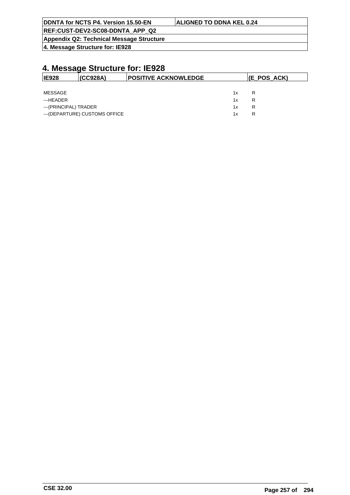| DDNTA for NCTS P4. Version 15.50-EN    | <b>ALIGNED TO DDNA KEL 0.24</b> |
|----------------------------------------|---------------------------------|
| <b>REF:CUST-DEV2-SC08-DDNTA APP Q2</b> |                                 |

**Appendix Q2: Technical Message Structure**

**4. Message Structure for: IE928**

| <b>IE928</b>          | (CC928A)                       | <b>POSITIVE ACKNOWLEDGE</b> |    | (E_POS_ACK) |  |
|-----------------------|--------------------------------|-----------------------------|----|-------------|--|
|                       |                                |                             |    |             |  |
| MESSAGE               |                                |                             | 1x | R           |  |
| ---HEADER             |                                |                             | 1x | R           |  |
| ---(PRINCIPAL) TRADER |                                |                             | 1x | R           |  |
|                       | --- (DEPARTURE) CUSTOMS OFFICE |                             | 1x | R           |  |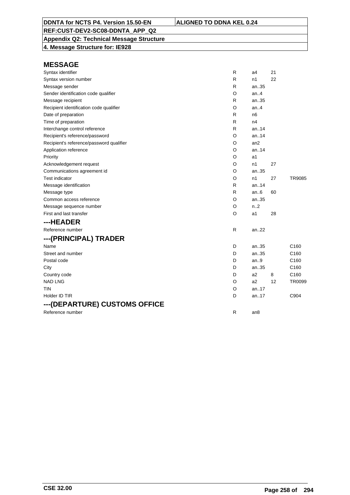# **REF:CUST-DEV2-SC08-DDNTA\_APP\_Q2**

## **Appendix Q2: Technical Message Structure**

**4. Message Structure for: IE928**

| Syntax identifier                        | $\mathsf{R}$ | a4               | 21 |                  |
|------------------------------------------|--------------|------------------|----|------------------|
| Syntax version number                    | R            | n <sub>1</sub>   | 22 |                  |
| Message sender                           | R            | an.35            |    |                  |
| Sender identification code qualifier     | O            | an.4             |    |                  |
| Message recipient                        | R            | an35             |    |                  |
| Recipient identification code qualifier  | O            | an.4             |    |                  |
| Date of preparation                      | R            | n <sub>6</sub>   |    |                  |
| Time of preparation                      | R            | n4               |    |                  |
| Interchange control reference            | R            | an.14            |    |                  |
| Recipient's reference/password           | O            | an.14            |    |                  |
| Recipient's reference/password qualifier | O            | an2              |    |                  |
| Application reference                    | O            | an.14            |    |                  |
| Priority                                 | O            | a1               |    |                  |
| Acknowledgement request                  | O            | n1               | 27 |                  |
| Communications agreement id              | O            | an35             |    |                  |
| <b>Test indicator</b>                    | O            | n <sub>1</sub>   | 27 | TR9085           |
| Message identification                   | R            | an.14            |    |                  |
| Message type                             | R            | an.6             | 60 |                  |
| Common access reference                  | O            | an35             |    |                  |
| Message sequence number                  | O            | n <sub>1</sub> 2 |    |                  |
| First and last transfer                  | $\circ$      | a1               | 28 |                  |
| ---HEADER                                |              |                  |    |                  |
| Reference number                         | $\mathsf{R}$ | an22             |    |                  |
| ---(PRINCIPAL) TRADER                    |              |                  |    |                  |
| Name                                     | D            | an35             |    | C <sub>160</sub> |
| Street and number                        | D            | an35             |    | C160             |
| Postal code                              | D            | an9              |    | C160             |
| City                                     | D            | an35             |    | C160             |
| Country code                             | D            | a2               | 8  | C <sub>160</sub> |
| <b>NAD LNG</b>                           | O            | a2               | 12 | TR0099           |
| TIN                                      | O            | an.17            |    |                  |
| Holder ID TIR                            | D            | an17             |    | C904             |
| ---(DEPARTURE) CUSTOMS OFFICE            |              |                  |    |                  |
| Reference number                         | R            | an <sub>8</sub>  |    |                  |
|                                          |              |                  |    |                  |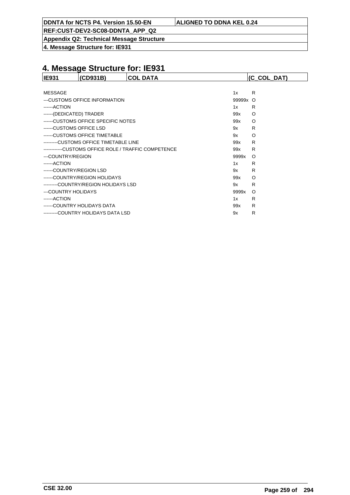**REF:CUST-DEV2-SC08-DDNTA\_APP\_Q2**

**Appendix Q2: Technical Message Structure**

**4. Message Structure for: IE931**

| <b>IE931</b>             | (CD931B)                               | <b>COL DATA</b>                                      |          | (C COL_DAT) |
|--------------------------|----------------------------------------|------------------------------------------------------|----------|-------------|
|                          |                                        |                                                      |          |             |
| <b>MESSAGE</b>           |                                        |                                                      | 1x       | R           |
|                          | ---CUSTOMS OFFICE INFORMATION          |                                                      | 99999x O |             |
| ------ACTION             |                                        |                                                      | 1x       | R           |
| ------(DEDICATED) TRADER |                                        |                                                      | 99x      | O           |
|                          | ------CUSTOMS OFFICE SPECIFIC NOTES    |                                                      | 99x      | O           |
| ------CUSTOMS OFFICE LSD |                                        |                                                      | 9x       | R           |
|                          | ------CUSTOMS OFFICE TIMETABLE         |                                                      | 9x       | O           |
|                          | ---------CUSTOMS OFFICE TIMETABLE LINE |                                                      | 99x      | R           |
|                          |                                        | ------------CUSTOMS OFFICE ROLE / TRAFFIC COMPETENCE | 99x      | R           |
| ---COUNTRY/REGION        |                                        |                                                      | 9999x    | O           |
| ------ACTION             |                                        |                                                      | 1x       | R           |
| ------COUNTRY/REGION LSD |                                        |                                                      | 9x       | R           |
|                          | ------COUNTRY/REGION HOLIDAYS          |                                                      | 99x      | O           |
|                          | --------COUNTRY/REGION HOLIDAYS LSD    |                                                      | 9x       | R           |
| ---COUNTRY HOLIDAYS      |                                        |                                                      | 9999x    | O           |
| ------ACTION             |                                        |                                                      | 1x       | R           |
|                          | ------COUNTRY HOLIDAYS DATA            |                                                      | 99x      | R           |
|                          | --------COUNTRY HOLIDAYS DATA LSD      |                                                      | 9x       | R.          |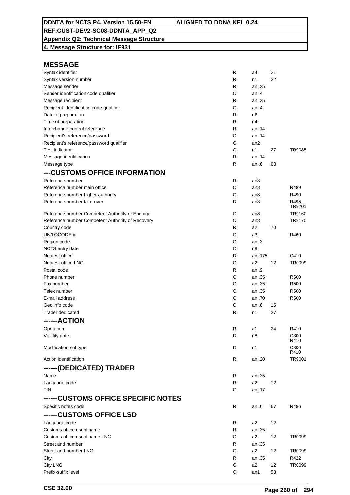# **REF:CUST-DEV2-SC08-DDNTA\_APP\_Q2**

**Appendix Q2: Technical Message Structure 4. Message Structure for: IE931**

| Syntax identifier                                | R | a4              | 21 |                  |
|--------------------------------------------------|---|-----------------|----|------------------|
| Syntax version number                            | R | n1              | 22 |                  |
| Message sender                                   | R | an35            |    |                  |
| Sender identification code qualifier             | O | an.4            |    |                  |
| Message recipient                                | R | an35            |    |                  |
| Recipient identification code qualifier          | O | an.4            |    |                  |
| Date of preparation                              | R | n6              |    |                  |
| Time of preparation                              | R | n4              |    |                  |
| Interchange control reference                    | R | an.14           |    |                  |
| Recipient's reference/password                   | O | an14            |    |                  |
| Recipient's reference/password qualifier         | O | an <sub>2</sub> |    |                  |
| <b>Test indicator</b>                            | O | n1              | 27 | TR9085           |
| Message identification                           | R | an.14           |    |                  |
| Message type                                     | R | an.6            | 60 |                  |
| ---CUSTOMS OFFICE INFORMATION                    |   |                 |    |                  |
| Reference number                                 | R | an8             |    |                  |
| Reference number main office                     | O | an8             |    | R489             |
| Reference number higher authority                | O | an8             |    | R490             |
| Reference number take-over                       | D | an8             |    | R495             |
|                                                  |   |                 |    | TR9201           |
| Reference number Competent Authority of Enquiry  | O | an8             |    | TR9160           |
| Reference number Competent Authority of Recovery | O | an8             |    | TR9170           |
| Country code                                     | R | a2              | 70 |                  |
| UN/LOCODE id                                     | O | a3              |    | R460             |
| Region code                                      | O | an.3            |    |                  |
| NCTS entry date                                  | O | n <sub>8</sub>  |    |                  |
| Nearest office                                   | D | an175           |    | C410             |
| Nearest office LNG                               | O | a2              | 12 | TR0099           |
| Postal code                                      | R | an.9            |    |                  |
| Phone number                                     | O | an35            |    | R <sub>500</sub> |
| Fax number                                       | O | an35            |    | R500             |
| Telex number                                     | O | an35            |    | R500             |
| E-mail address                                   | O | an70            |    | R500             |
| Geo info code                                    | O | an.6            | 15 |                  |
| Trader dedicated                                 | R | n1              | 27 |                  |
| ------ACTION                                     |   |                 |    |                  |
| Operation                                        | R | a1              | 24 | R410             |
| Validity date                                    | D | n8              |    | C300             |
|                                                  |   |                 |    | R410             |
| Modification subtype                             | D | n1              |    | C300<br>R410     |
| Action identification                            | R | an20            |    | TR9001           |
| ------(DEDICATED) TRADER                         |   |                 |    |                  |
|                                                  |   |                 |    |                  |
| Name                                             | R | an35            |    |                  |
| Language code                                    | R | a2              | 12 |                  |
| <b>TIN</b>                                       | O | an17            |    |                  |
| ------CUSTOMS OFFICE SPECIFIC NOTES              |   |                 |    |                  |
| Specific notes code                              | R | an6             | 67 | R486             |
| ------CUSTOMS OFFICE LSD                         |   |                 |    |                  |
| Language code                                    | R | a2              | 12 |                  |
| Customs office usual name                        | R | an35            |    |                  |
| Customs office usual name LNG                    | O | a2              | 12 | TR0099           |
| Street and number                                | R | an35            |    |                  |
| Street and number LNG                            | O | a2              | 12 | TR0099           |
| City                                             | R | an35            |    | R422             |
| <b>City LNG</b>                                  | O | a2              | 12 | TR0099           |
| Prefix-suffix level                              | O | an1             | 53 |                  |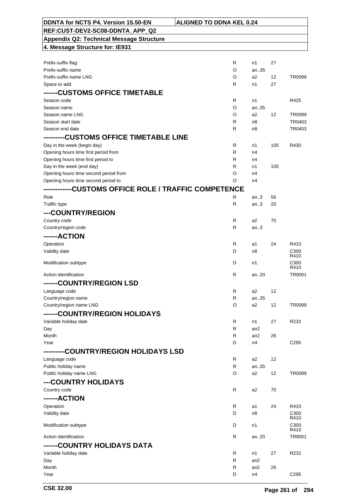| DDNTA for NCTS P4. Version 15.50-EN                                          | <b>ALIGNED TO DDNA KEL 0.24</b> |                                    |     |                          |
|------------------------------------------------------------------------------|---------------------------------|------------------------------------|-----|--------------------------|
| REF:CUST-DEV2-SC08-DDNTA APP Q2                                              |                                 |                                    |     |                          |
| <b>Appendix Q2: Technical Message Structure</b>                              |                                 |                                    |     |                          |
| 4. Message Structure for: IE931                                              |                                 |                                    |     |                          |
|                                                                              |                                 |                                    |     |                          |
| Prefix-suffix flag                                                           | R                               | n1                                 | 27  |                          |
| Prefix-suffix name                                                           | O                               | an35                               |     |                          |
| Prefix-suffix name LNG                                                       | O                               | a <sub>2</sub>                     | 12  | TR0099                   |
| Space to add                                                                 | R                               | n1                                 | 27  |                          |
| ------CUSTOMS OFFICE TIMETABLE                                               |                                 |                                    |     |                          |
| Season code                                                                  | R                               | n1                                 |     | R425                     |
| Season name                                                                  | O                               | an35                               |     |                          |
| Season name LNG                                                              | O                               | a2                                 | 12  | TR0099                   |
| Season start date                                                            | R                               | n <sub>8</sub>                     |     | TR0403                   |
| Season end date                                                              | R                               | n8                                 |     | TR0403                   |
| ---------CUSTOMS OFFICE TIMETABLE LINE                                       |                                 |                                    |     |                          |
| Day in the week (begin day)                                                  | R                               | n1                                 | 105 | R430                     |
| Opening hours time first period from                                         | R                               | n4                                 |     |                          |
| Opening hours time first period to                                           | R                               | n4                                 |     |                          |
| Day in the week (end day)                                                    | R                               | n1                                 | 105 |                          |
| Opening hours time second period from<br>Opening hours time second period to | O<br>O                          | n4<br>n4                           |     |                          |
|                                                                              |                                 |                                    |     |                          |
|                                                                              |                                 |                                    |     |                          |
| Role                                                                         | R                               | an.3                               | 56  |                          |
| Traffic type                                                                 | R                               | an.3                               | 20  |                          |
| ---COUNTRY/REGION                                                            |                                 |                                    |     |                          |
| Country code                                                                 | R                               | a2                                 | 70  |                          |
| Country/region code                                                          | R                               | an.3                               |     |                          |
| ------ACTION                                                                 |                                 |                                    |     |                          |
| Operation                                                                    | R                               | a1                                 | 24  | R410                     |
| Validity date                                                                | D                               | n8                                 |     | C <sub>300</sub><br>R410 |
| Modification subtype                                                         | D                               | n1                                 |     | C <sub>300</sub>         |
|                                                                              |                                 |                                    |     | R410                     |
| Action identification                                                        | R                               | an20                               |     | TR9001                   |
| <b>COUNTRY/REGION LSD</b>                                                    |                                 |                                    |     |                          |
| Language code                                                                | R                               | a <sub>2</sub>                     | 12  |                          |
| Country/region name                                                          | R<br>O                          | an35                               | 12  | TR0099                   |
| Country/region name LNG                                                      |                                 | a2                                 |     |                          |
| ------COUNTRY/REGION HOLIDAYS                                                |                                 |                                    |     |                          |
| Variable holiday date                                                        | R                               | n1                                 | 27  | R232                     |
| Day<br>Month                                                                 | R<br>R                          | an <sub>2</sub><br>an <sub>2</sub> | 26  |                          |
| Year                                                                         | D                               | n4                                 |     | C <sub>295</sub>         |
|                                                                              |                                 |                                    |     |                          |
| --------COUNTRY/REGION HOLIDAYS LSD                                          |                                 |                                    |     |                          |
| Language code                                                                | R<br>R                          | a <sub>2</sub><br>an35             | 12  |                          |
| Public holiday name<br>Public holiday name LNG                               | O                               | a <sub>2</sub>                     | 12  | TR0099                   |
|                                                                              |                                 |                                    |     |                          |
| ---COUNTRY HOLIDAYS                                                          |                                 |                                    | 70  |                          |
| Country code                                                                 | R                               | a <sub>2</sub>                     |     |                          |
| ------ACTION                                                                 |                                 |                                    |     |                          |
| Operation                                                                    | R                               | a1                                 | 24  | R410                     |
| Validity date                                                                | D                               | n8                                 |     | C <sub>300</sub><br>R410 |
| Modification subtype                                                         | D                               | n1                                 |     | C300                     |
|                                                                              |                                 |                                    |     | R410                     |
| Action identification                                                        | R                               | an20                               |     | TR9001                   |
| ------COUNTRY HOLIDAYS DATA                                                  |                                 |                                    |     |                          |
| Variable holiday date                                                        | R                               | n1                                 | 27  | R232                     |
| Day                                                                          | R                               | an <sub>2</sub>                    |     |                          |
| Month<br>Year                                                                | R<br>D                          | an <sub>2</sub><br>n4              | 26  | C295                     |
|                                                                              |                                 |                                    |     |                          |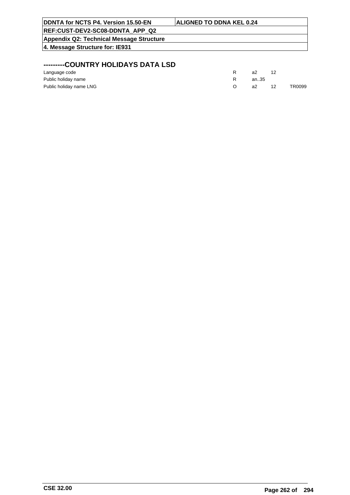| <b>DDNTA for NCTS P4. Version 15.50-EN</b> | <b>ALIGNED TO DDNA KEL 0.24</b> |
|--------------------------------------------|---------------------------------|
| <b>REF:CUST-DEV2-SC08-DDNTA APP Q2</b>     |                                 |
| Appendix Q2: Technical Message Structure   |                                 |
| 4. Message Structure for: IE931            |                                 |
|                                            |                                 |

## **---------COUNTRY HOLIDAYS DATA LSD**

| Language code           | a2   |    |        |
|-------------------------|------|----|--------|
| Public holiday name     | an35 |    |        |
| Public holiday name LNG | а2   | 12 | TR0099 |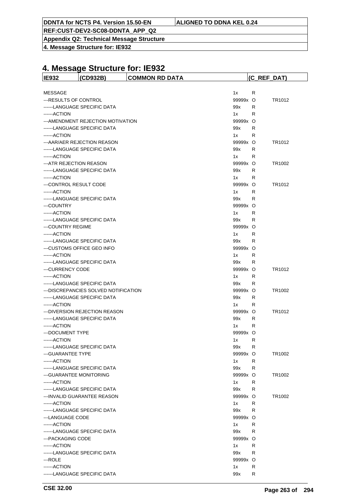**REF:CUST-DEV2-SC08-DDNTA\_APP\_Q2**

**Appendix Q2: Technical Message Structure**

**4. Message Structure for: IE932**

| <b>IE932</b>             | (CD932B)                             | <b>COMMON RD DATA</b> |          | (C_REF_DAT) |                    |
|--------------------------|--------------------------------------|-----------------------|----------|-------------|--------------------|
|                          |                                      |                       |          |             |                    |
| <b>MESSAGE</b>           |                                      |                       | 1x       | R           |                    |
| --- RESULTS OF CONTROL   |                                      |                       | 99999x O |             | TR <sub>1012</sub> |
|                          | ------LANGUAGE SPECIFIC DATA         |                       | 99x      | R           |                    |
| ------ACTION             |                                      |                       | 1x       | R           |                    |
|                          | --- AMENDMENT REJECTION MOTIVATION   |                       | 99999x O |             |                    |
|                          | ------LANGUAGE SPECIFIC DATA         |                       | 99x      | R           |                    |
| ------ACTION             |                                      |                       | 1x       | R           |                    |
|                          | --- AAR/AER REJECTION REASON         |                       | 99999x O |             | TR <sub>1012</sub> |
|                          | ------LANGUAGE SPECIFIC DATA         |                       | 99x      | R           |                    |
| ------ACTION             |                                      |                       | 1x       | R           |                    |
| ---ATR REJECTION REASON  |                                      |                       | 99999x O |             |                    |
|                          |                                      |                       | 99x      |             | TR1002             |
|                          | ------LANGUAGE SPECIFIC DATA         |                       |          | R           |                    |
| ------ACTION             |                                      |                       | 1x       | R           |                    |
| ---CONTROL RESULT CODE   |                                      |                       | 99999x O |             | TR1012             |
| ------ACTION             |                                      |                       | 1x       | R           |                    |
|                          | ------LANGUAGE SPECIFIC DATA         |                       | 99x      | R           |                    |
| ---COUNTRY               |                                      |                       | 99999x O |             |                    |
| ------ACTION             |                                      |                       | 1x       | R           |                    |
|                          | ------LANGUAGE SPECIFIC DATA         |                       | 99x      | R           |                    |
| ---COUNTRY REGIME        |                                      |                       | 99999x O |             |                    |
| ------ACTION             |                                      |                       | 1x       | R           |                    |
|                          | ------LANGUAGE SPECIFIC DATA         |                       | 99x      | R           |                    |
|                          | ---CUSTOMS OFFICE GEO INFO           |                       | 99999x O |             |                    |
| ------ACTION             |                                      |                       | 1x       | R           |                    |
|                          | ------LANGUAGE SPECIFIC DATA         |                       | 99x      | R           |                    |
| ---CURRENCY CODE         |                                      |                       | 99999x O |             | TR1012             |
| ------ACTION             |                                      |                       | 1x       | R           |                    |
|                          | ------LANGUAGE SPECIFIC DATA         |                       | 99x      | R           |                    |
|                          | ---DISCREPANCIES SOLVED NOTIFICATION |                       | 99999x O |             | TR1002             |
|                          | ------LANGUAGE SPECIFIC DATA         |                       | 99x      | R           |                    |
| ------ACTION             |                                      |                       | 1x       | R           |                    |
|                          | ---DIVERSION REJECTION REASON        |                       | 99999x O |             | TR1012             |
|                          | ------LANGUAGE SPECIFIC DATA         |                       | 99x      | R           |                    |
| ------ACTION             |                                      |                       | 1x       | R           |                    |
| ---DOCUMENT TYPE         |                                      |                       | 99999x O |             |                    |
| ------ACTION             |                                      |                       | 1x       | R           |                    |
|                          | ------LANGUAGE SPECIFIC DATA         |                       | 99x      | R           |                    |
| --- GUARANTEE TYPE       |                                      |                       | 99999x O |             | TR1002             |
| ------ACTION             |                                      |                       | 1x       | R           |                    |
|                          | ------LANGUAGE SPECIFIC DATA         |                       | 99x      | R           |                    |
| --- GUARANTEE MONITORING |                                      |                       | 99999x O |             | TR <sub>1002</sub> |
| ------ACTION             |                                      |                       | 1x       | R           |                    |
|                          | ------LANGUAGE SPECIFIC DATA         |                       | 99x      | R           |                    |
|                          | --- INVALID GUARANTEE REASON         |                       | 99999x O |             | TR1002             |
| ------ACTION             |                                      |                       | 1x       | R           |                    |
|                          | ------LANGUAGE SPECIFIC DATA         |                       | 99x      | R           |                    |
| ---LANGUAGE CODE         |                                      |                       | 99999x O |             |                    |
| ------ACTION             |                                      |                       | 1x       | R           |                    |
|                          | ------LANGUAGE SPECIFIC DATA         |                       | 99x      | R           |                    |
| ---PACKAGING CODE        |                                      |                       | 99999x O |             |                    |
| ------ACTION             |                                      |                       | 1x       | R           |                    |
|                          | ------LANGUAGE SPECIFIC DATA         |                       | 99x      | R           |                    |
| ---ROLE                  |                                      |                       | 99999x O |             |                    |
| ------ ACTION            |                                      |                       | 1x       | R           |                    |
|                          | ------LANGUAGE SPECIFIC DATA         |                       | 99x      | R           |                    |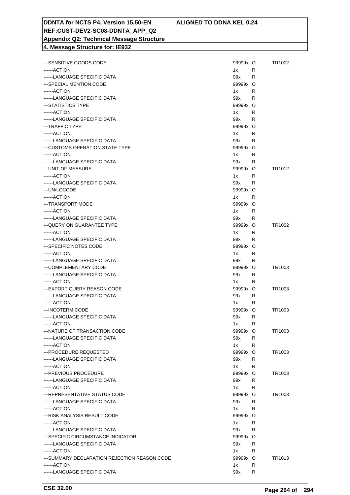### **REF:CUST-DEV2-SC08-DDNTA\_APP\_Q2 Appendix Q2: Technical Message Structure 4. Message Structure for: IE932**

| ---SENSITIVE GOODS CODE                       | 99999x O                                                                                                                                                                                                                                   |    | TR <sub>1002</sub> |
|-----------------------------------------------|--------------------------------------------------------------------------------------------------------------------------------------------------------------------------------------------------------------------------------------------|----|--------------------|
| ------ACTION                                  | 1x                                                                                                                                                                                                                                         | R. |                    |
| ------LANGUAGE SPECIFIC DATA                  | 99x                                                                                                                                                                                                                                        | R  |                    |
| ---SPECIAL MENTION CODE                       | 99999x O                                                                                                                                                                                                                                   |    |                    |
| ------ACTION                                  | 1x                                                                                                                                                                                                                                         | R  |                    |
| ------LANGUAGE SPECIFIC DATA                  | 99x<br><b>R</b>                                                                                                                                                                                                                            |    |                    |
| ---STATISTICS TYPE                            | 99999x O                                                                                                                                                                                                                                   |    |                    |
| ------ACTION                                  | 1x                                                                                                                                                                                                                                         | R  |                    |
| ------LANGUAGE SPECIFIC DATA                  | 99x R                                                                                                                                                                                                                                      |    |                    |
| ---TRAFFIC TYPE                               | 99999x O                                                                                                                                                                                                                                   |    |                    |
| ------ACTION                                  | 1x                                                                                                                                                                                                                                         | R  |                    |
| ------LANGUAGE SPECIFIC DATA                  | 99x R                                                                                                                                                                                                                                      |    |                    |
| ---CUSTOMS OPERATION STATE TYPE               | 99999x O                                                                                                                                                                                                                                   |    |                    |
| ------ACTION                                  | 1x                                                                                                                                                                                                                                         | R  |                    |
| ------LANGUAGE SPECIFIC DATA                  | 99x and the set of the set of the set of the set of the set of the set of the set of the set of the set of the<br>Set of the set of the set of the set of the set of the set of the set of the set of the set of the set of the<br>S       | R  |                    |
| ---UNIT OF MEASURE                            | 99999x O                                                                                                                                                                                                                                   |    | TR <sub>1012</sub> |
| ------ACTION                                  | 1x                                                                                                                                                                                                                                         | R  |                    |
| ------LANGUAGE SPECIFIC DATA                  | 99x and the set of the set of the set of the set of the set of the set of the set of the set of the set of the<br>Set of the set of the set of the set of the set of the set of the set of the set of the set of the set of the<br>S       | R  |                    |
| ---UN/LOCODE                                  | 99999x O                                                                                                                                                                                                                                   |    |                    |
| ------ACTION                                  | <b>R</b><br>1x                                                                                                                                                                                                                             |    |                    |
| ---TRANSPORT MODE                             | 99999x O                                                                                                                                                                                                                                   |    |                    |
| ------ACTION                                  | 1x                                                                                                                                                                                                                                         | R  |                    |
| ------LANGUAGE SPECIFIC DATA                  | 99x and the set of the set of the set of the set of the set of the set of the set of the set of the set of the<br>Set of the set of the set of the set of the set of the set of the set of the set of the set of the set of the<br>S       | R  |                    |
| --- QUERY ON GUARANTEE TYPE                   | 99999x O                                                                                                                                                                                                                                   |    | TR1002             |
| ------ACTION                                  |                                                                                                                                                                                                                                            | R  |                    |
| ------LANGUAGE SPECIFIC DATA                  | 1x<br>99x and the set of the set of the set of the set of the set of the set of the set of the set of the set of the<br>Set of the set of the set of the set of the set of the set of the set of the set of the set of the set of the<br>S | R  |                    |
| ---SPECIFIC NOTES CODE                        |                                                                                                                                                                                                                                            |    |                    |
|                                               | 99999x O                                                                                                                                                                                                                                   |    |                    |
| ------ACTION                                  | 1x                                                                                                                                                                                                                                         | R  |                    |
| ------LANGUAGE SPECIFIC DATA                  | 99x and the set of the set of the set of the set of the set of the set of the set of the set of the set of the<br>Set of the set of the set of the set of the set of the set of the set of the set of the set of the set of the<br>S       | R  |                    |
| ---COMPLEMENTARY CODE                         | 99999x O                                                                                                                                                                                                                                   |    | TR <sub>1003</sub> |
| ------LANGUAGE SPECIFIC DATA                  | 99x                                                                                                                                                                                                                                        | R  |                    |
| ------ACTION                                  | 1x                                                                                                                                                                                                                                         | R  |                    |
| ---EXPORT QUERY REASON CODE                   | 99999x O                                                                                                                                                                                                                                   |    | TR1003             |
| ------LANGUAGE SPECIFIC DATA                  | 99x                                                                                                                                                                                                                                        | R  |                    |
| ------ACTION                                  | 1x                                                                                                                                                                                                                                         | R  |                    |
| ---INCOTERM CODE                              | 99999x O                                                                                                                                                                                                                                   |    | TR <sub>1003</sub> |
| ------LANGUAGE SPECIFIC DATA                  | 99x                                                                                                                                                                                                                                        | R  |                    |
| ------ ACTION                                 | 1x                                                                                                                                                                                                                                         | R  |                    |
| --- NATURE OF TRANSACTION CODE                | 99999x O                                                                                                                                                                                                                                   |    | TR <sub>1003</sub> |
| ------LANGUAGE SPECIFIC DATA                  | 99x                                                                                                                                                                                                                                        | R  |                    |
| ------ACTION                                  | 1x                                                                                                                                                                                                                                         | R  |                    |
| ---PROCEDURE REQUESTED                        | 99999x O                                                                                                                                                                                                                                   |    | TR <sub>1003</sub> |
| ------LANGUAGE SPECIFIC DATA                  | 99x                                                                                                                                                                                                                                        | R  |                    |
| ------ACTION                                  | 1x                                                                                                                                                                                                                                         | R  |                    |
| --- PREVIOUS PROCEDURE                        | 99999x O                                                                                                                                                                                                                                   |    | TR <sub>1003</sub> |
| ------LANGUAGE SPECIFIC DATA                  | 99x                                                                                                                                                                                                                                        | R  |                    |
| ------ACTION                                  | 1x                                                                                                                                                                                                                                         | R  |                    |
| --- REPRESENTATIVE STATUS CODE                | 99999x O                                                                                                                                                                                                                                   |    | TR1003             |
| ------LANGUAGE SPECIFIC DATA                  | 99x                                                                                                                                                                                                                                        | R  |                    |
| ------ACTION                                  | 1x                                                                                                                                                                                                                                         | R  |                    |
| ---RISK ANALYSIS RESULT CODE                  | 99999x O                                                                                                                                                                                                                                   |    |                    |
| ------ACTION                                  | 1x                                                                                                                                                                                                                                         | R  |                    |
| ------LANGUAGE SPECIFIC DATA                  | 99x                                                                                                                                                                                                                                        | R  |                    |
| ---SPECIFIC CIRCUMSTANCE INDICATOR            | 99999x O                                                                                                                                                                                                                                   |    |                    |
| ------LANGUAGE SPECIFIC DATA                  | 99x                                                                                                                                                                                                                                        | R  |                    |
| ------ACTION                                  | 1x                                                                                                                                                                                                                                         | R  |                    |
| --- SUMMARY DECLARATION REJECTION REASON CODE | 99999x O                                                                                                                                                                                                                                   |    | TR <sub>1013</sub> |
| ------ACTION                                  | 1x                                                                                                                                                                                                                                         | R  |                    |
| ------LANGUAGE SPECIFIC DATA                  | 99x                                                                                                                                                                                                                                        | R  |                    |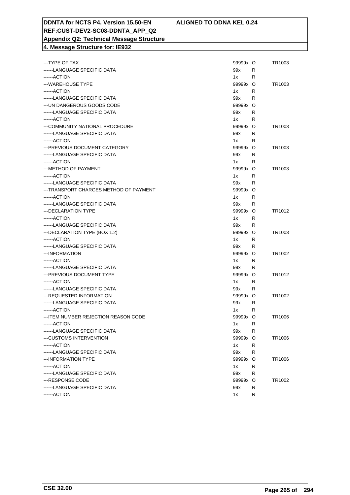### **REF:CUST-DEV2-SC08-DDNTA\_APP\_Q2 Appendix Q2: Technical Message Structure 4. Message Structure for: IE932**

| ---TYPE OF TAX                         | 99999x O |   | TR1003             |
|----------------------------------------|----------|---|--------------------|
| ------LANGUAGE SPECIFIC DATA           | 99x      | R |                    |
| ------ ACTION                          | 1x       | R |                    |
| ---WAREHOUSE TYPE                      | 99999x O |   | TR1003             |
| ------ACTION                           | 1x       | R |                    |
| ------LANGUAGE SPECIFIC DATA           | 99x      | R |                    |
| --- UN DANGEROUS GOODS CODE            | 99999x O |   |                    |
| ------LANGUAGE SPECIFIC DATA           | 99x      | R |                    |
| ------ACTION                           | 1x       | R |                    |
| ---COMMUNITY NATIONAL PROCEDURE        | 99999x O |   | TR <sub>1003</sub> |
| ------LANGUAGE SPECIFIC DATA           | 99x      | R |                    |
| ------ACTION                           | 1x       | R |                    |
| ---PREVIOUS DOCUMENT CATEGORY          | 99999x O |   | TR <sub>1003</sub> |
| ------LANGUAGE SPECIFIC DATA           | 99x      | R |                    |
| ------ACTION                           | 1x       | R |                    |
| --- METHOD OF PAYMENT                  | 99999x O |   | TR <sub>1003</sub> |
| ------ACTION                           | 1x       | R |                    |
| ------LANGUAGE SPECIFIC DATA           | 99x      | R |                    |
| ---TRANSPORT CHARGES METHOD OF PAYMENT | 99999x O |   |                    |
| ------ACTION                           | 1x       | R |                    |
| ------LANGUAGE SPECIFIC DATA           | 99x      | R |                    |
| --- DECLARATION TYPE                   | 99999x O |   | TR1012             |
| ------ACTION                           | 1x       | R |                    |
| ------LANGUAGE SPECIFIC DATA           | 99x      | R |                    |
| --- DECLARATION TYPE (BOX 1.2)         | 99999x O |   | TR <sub>1003</sub> |
| ------ACTION                           | 1x       | R |                    |
| ------LANGUAGE SPECIFIC DATA           | 99x      | R |                    |
| ---INFORMATION                         | 99999x O |   | TR <sub>1002</sub> |
| ------ACTION                           | 1x       | R |                    |
| ------LANGUAGE SPECIFIC DATA           | 99x      | R |                    |
| --- PREVIOUS DOCUMENT TYPE             | 99999x O |   | TR1012             |
| ------ACTION                           | 1x       | R |                    |
| ------LANGUAGE SPECIFIC DATA           | 99x      | R |                    |
| --- REQUESTED INFORMATION              | 99999x O |   | TR1002             |
| ------LANGUAGE SPECIFIC DATA           | 99x      | R |                    |
| ------ACTION                           | 1x       | R |                    |
| --- ITEM NUMBER REJECTION REASON CODE  | 99999x O |   | TR1006             |
| ------ ACTION                          | 1x       | R |                    |
| ------LANGUAGE SPECIFIC DATA           | 99x      | R |                    |
| ---CUSTOMS INTERVENTION                | 99999x O |   | TR1006             |
| ------ACTION                           | 1x       | R |                    |
| ------LANGUAGE SPECIFIC DATA           | 99x      | R |                    |
| --- INFORMATION TYPE                   | 99999x O |   | TR1006             |
| ------ACTION                           | 1x       | R |                    |
| ------LANGUAGE SPECIFIC DATA           | 99x      | R |                    |
| --- RESPONSE CODE                      | 99999x O |   | TR1002             |
| ------LANGUAGE SPECIFIC DATA           | 99x      | R |                    |
| ------ACTION                           | 1x       | R |                    |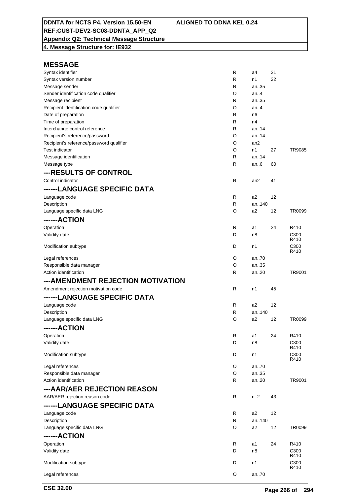#### **REF:CUST-DEV2-SC08-DDNTA\_APP\_Q2 Appendix Q2: Technical Message Structure**

**4. Message Structure for: IE932**

| Syntax identifier                        | R | a4              | 21 |                  |
|------------------------------------------|---|-----------------|----|------------------|
| Syntax version number                    | R | n1              | 22 |                  |
| Message sender                           | R | an35            |    |                  |
| Sender identification code qualifier     | O | an4             |    |                  |
| Message recipient                        | R | an35            |    |                  |
| Recipient identification code qualifier  | O | an4             |    |                  |
| Date of preparation                      | R | n <sub>6</sub>  |    |                  |
| Time of preparation                      | R | n4              |    |                  |
| Interchange control reference            | R | an.14           |    |                  |
| Recipient's reference/password           | O | an.14           |    |                  |
| Recipient's reference/password qualifier | O | an <sub>2</sub> |    |                  |
| <b>Test indicator</b>                    | O | n1              | 27 | TR9085           |
| Message identification                   | R | an.14           |    |                  |
| Message type                             | R | an $6$          | 60 |                  |
| ---RESULTS OF CONTROL                    |   |                 |    |                  |
| Control indicator                        | R | an <sub>2</sub> | 41 |                  |
|                                          |   |                 |    |                  |
| ------LANGUAGE SPECIFIC DATA             |   |                 |    |                  |
| Language code                            | R | a2              | 12 |                  |
| Description                              | R | an140           |    |                  |
| Language specific data LNG               | O | a2              | 12 | TR0099           |
| ------ACTION                             |   |                 |    |                  |
| Operation                                | R | a1              | 24 | R410             |
| Validity date                            | D | n8              |    | C <sub>300</sub> |
|                                          |   |                 |    | R410             |
| Modification subtype                     | D | n1              |    | C300             |
|                                          |   |                 |    | R410             |
| Legal references                         | O | an.70           |    |                  |
| Responsible data manager                 | O | an35            |    |                  |
| Action identification                    | R | an20            |    | TR9001           |
| --- AMENDMENT REJECTION MOTIVATION       |   |                 |    |                  |
| Amendment rejection motivation code      | R | n1              | 45 |                  |
| ------LANGUAGE SPECIFIC DATA             |   |                 |    |                  |
|                                          |   |                 |    |                  |
| Language code                            | R | a2              | 12 |                  |
| Description                              | R | an140           |    |                  |
| Language specific data LNG               | O | a2              | 12 | TR0099           |
| ------ACTION                             |   |                 |    |                  |
| Operation                                | R | a1              | 24 | R410             |
| Validity date                            | D | n8              |    | C300             |
|                                          |   |                 |    | R410             |
| Modification subtype                     | D | n1              |    | C300<br>R410     |
| Legal references                         | O | an70            |    |                  |
| Responsible data manager                 | O | an35            |    |                  |
| Action identification                    | R | an20            |    | TR9001           |
|                                          |   |                 |    |                  |
| ---AAR/AER REJECTION REASON              |   |                 |    |                  |
| AAR/AER rejection reason code            | R | n2              | 43 |                  |
| ------LANGUAGE SPECIFIC DATA             |   |                 |    |                  |
| Language code                            | R | a2              | 12 |                  |
| Description                              | R | an140           |    |                  |
| Language specific data LNG               | O | a2              | 12 | TR0099           |
| ------ACTION                             |   |                 |    |                  |
|                                          |   |                 |    |                  |
| Operation                                | R | a1              | 24 | R410             |
| Validity date                            | D | n8              |    | C300<br>R410     |
| Modification subtype                     | D | n1              |    | C300             |
|                                          |   |                 |    | R410             |
| Legal references                         | O | an70            |    |                  |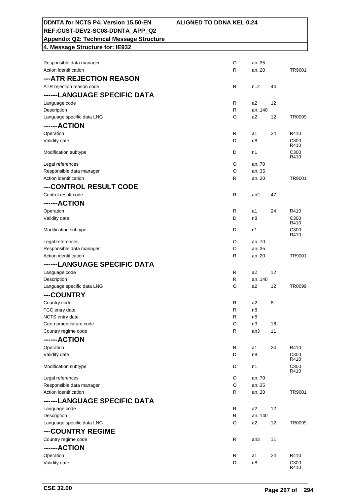| DDNTA for NCTS P4. Version 15.50-EN               | <b>ALIGNED TO DDNA KEL 0.24</b> |              |                          |
|---------------------------------------------------|---------------------------------|--------------|--------------------------|
| REF:CUST-DEV2-SC08-DDNTA_APP_Q2                   |                                 |              |                          |
| <b>Appendix Q2: Technical Message Structure</b>   |                                 |              |                          |
| 4. Message Structure for: IE932                   |                                 |              |                          |
|                                                   |                                 |              |                          |
| Responsible data manager                          | O                               | an35         |                          |
| Action identification                             | R                               | an20         | TR9001                   |
| ---ATR REJECTION REASON                           |                                 |              |                          |
| ATR rejection reason code                         | R<br>n <sub>1</sub> 2           | 44           |                          |
| ------LANGUAGE SPECIFIC DATA                      |                                 |              |                          |
| Language code<br>Description                      | R<br>a2<br>R                    | 12<br>an140  |                          |
| Language specific data LNG                        | O<br>a2                         | 12           | TR0099                   |
| ------ACTION                                      |                                 |              |                          |
| Operation                                         | R<br>a1                         | 24           | R410                     |
| Validity date                                     | D<br>n8                         |              | C <sub>300</sub>         |
| Modification subtype                              | D<br>n1                         |              | R410<br>C <sub>300</sub> |
|                                                   |                                 |              | R410                     |
| Legal references                                  | O                               | an.70        |                          |
| Responsible data manager<br>Action identification | O<br>R                          | an35<br>an20 | TR9001                   |
|                                                   |                                 |              |                          |
| ---CONTROL RESULT CODE<br>Control result code     | R<br>an2                        | 47           |                          |
| ------ACTION                                      |                                 |              |                          |
| Operation                                         | R<br>a1                         | 24           | R410                     |
| Validity date                                     | D<br>n8                         |              | C300                     |
|                                                   |                                 |              | R410                     |
| Modification subtype                              | D<br>n1                         |              | C <sub>300</sub><br>R410 |
| Legal references                                  | O                               | an.70        |                          |
| Responsible data manager                          | O                               | an35         |                          |
| Action identification                             | R                               | an20         | TR9001                   |
| ------LANGUAGE SPECIFIC DATA                      |                                 |              |                          |
| Language code                                     | R<br>a2                         | 12           |                          |
| Description<br>Language specific data LNG         | R<br>O<br>a2                    | an140<br>12  | TR0099                   |
| ---COUNTRY                                        |                                 |              |                          |
| Country code                                      | R<br>a2                         | 8            |                          |
| TCC entry date                                    | R<br>n8                         |              |                          |
| NCTS entry date                                   | R<br>n8                         |              |                          |
| Geo-nomenclature code                             | O<br>n3                         | 16           |                          |
| Country regime code                               | R<br>an3                        | 11           |                          |
| ------ACTION                                      |                                 |              |                          |
| Operation                                         | R<br>a1                         | 24           | R410                     |
| Validity date                                     | D<br>n8                         |              | C <sub>300</sub><br>R410 |
| Modification subtype                              | D<br>n1                         |              | C300                     |
| Legal references                                  | O                               | an70         | R410                     |
| Responsible data manager                          | O                               | an35         |                          |
| Action identification                             | R                               | an20         | TR9001                   |
| ------LANGUAGE SPECIFIC DATA                      |                                 |              |                          |
| Language code                                     | R<br>a <sub>2</sub>             | 12           |                          |
| Description                                       | R                               | an140        |                          |
| Language specific data LNG                        | O<br>a <sub>2</sub>             | 12           | TR0099                   |
| ---COUNTRY REGIME                                 |                                 |              |                          |
| Country regime code                               | R<br>an3                        | 11           |                          |
| ------ACTION                                      |                                 |              |                          |
| Operation<br>Validity date                        | R<br>a1<br>D<br>n8              | 24           | R410<br>C300             |
|                                                   |                                 |              | R410                     |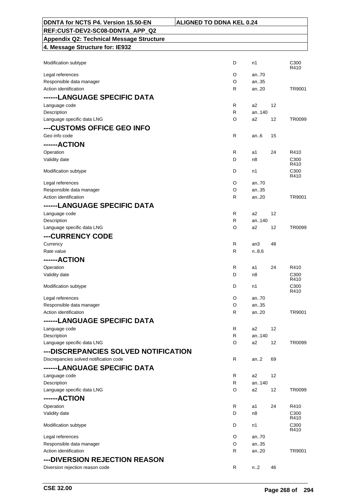| DDNTA for NCTS P4. Version 15.50-EN             | <b>ALIGNED TO DDNA KEL 0.24</b> |                |    |                  |
|-------------------------------------------------|---------------------------------|----------------|----|------------------|
| REF:CUST-DEV2-SC08-DDNTA APP Q2                 |                                 |                |    |                  |
| <b>Appendix Q2: Technical Message Structure</b> |                                 |                |    |                  |
| 4. Message Structure for: IE932                 |                                 |                |    |                  |
|                                                 |                                 |                |    |                  |
| Modification subtype                            | D                               | n1             |    | C300             |
| Legal references                                | O                               | an70           |    | R410             |
| Responsible data manager                        | O                               | an35           |    |                  |
| Action identification                           | R                               | an20           |    | TR9001           |
| ------LANGUAGE SPECIFIC DATA                    |                                 |                |    |                  |
| Language code                                   | R                               | a2             | 12 |                  |
| Description                                     | R                               | an140          |    |                  |
| Language specific data LNG                      | O                               | a <sub>2</sub> | 12 | TR0099           |
| ---CUSTOMS OFFICE GEO INFO                      |                                 |                |    |                  |
| Geo info code                                   | R                               | an.6           | 15 |                  |
| ------ACTION                                    |                                 |                |    |                  |
| Operation                                       | R                               | a1             | 24 | R410             |
| Validity date                                   | D                               | n8             |    | C300             |
|                                                 |                                 |                |    | R410             |
| Modification subtype                            | D                               | n1             |    | C300<br>R410     |
| Legal references                                | O                               | an70           |    |                  |
| Responsible data manager                        | O                               | an35           |    |                  |
| Action identification                           | $\mathsf{R}$                    | an20           |    | TR9001           |
| ------LANGUAGE SPECIFIC DATA                    |                                 |                |    |                  |
| Language code                                   | R                               | a2             | 12 |                  |
| Description                                     | R                               | an140          |    |                  |
| Language specific data LNG                      | O                               | a2             | 12 | TR0099           |
| ---CURRENCY CODE                                |                                 |                |    |                  |
| Currency                                        | R                               | an3            | 48 |                  |
| Rate value                                      | R                               | n.8,6          |    |                  |
| ------ACTION                                    |                                 |                |    |                  |
| Operation                                       | R                               | a1             | 24 | R410             |
| Validity date                                   | D                               | n8             |    | C <sub>300</sub> |
| Modification subtype                            | D                               | n1             |    | R410<br>C300     |
|                                                 |                                 |                |    | R410             |
| Legal references                                | O                               | an70           |    |                  |
| Responsible data manager                        | O                               | an35           |    |                  |
| Action identification                           | R                               | an20           |    | TR9001           |
| ------LANGUAGE SPECIFIC DATA                    |                                 |                |    |                  |
| Language code                                   | R                               | a2             | 12 |                  |
| Description                                     | R                               | an140          |    |                  |
| Language specific data LNG                      | O                               | a2             | 12 | TR0099           |
| ---DISCREPANCIES SOLVED NOTIFICATION            |                                 |                |    |                  |
| Discrepancies solved notification code          | R                               | an2            | 69 |                  |
| ------LANGUAGE SPECIFIC DATA                    |                                 |                |    |                  |
| Language code                                   | R                               | a2             | 12 |                  |
| Description                                     | R                               | an140          |    |                  |
| Language specific data LNG                      | O                               | a2             | 12 | TR0099           |
| ------ACTION                                    |                                 |                |    |                  |
| Operation                                       | R                               | a1             | 24 | R410             |
| Validity date                                   | D                               | n8             |    | C300<br>R410     |
| Modification subtype                            | D                               | n1             |    | C300             |
|                                                 |                                 |                |    | R410             |
| Legal references                                | O                               | an70           |    |                  |
| Responsible data manager                        | O                               | an35           |    |                  |
| Action identification                           | R                               | an20           |    | TR9001           |
| --- DIVERSION REJECTION REASON                  |                                 |                |    |                  |
| Diversion rejection reason code                 | R                               | n.2            | 46 |                  |

h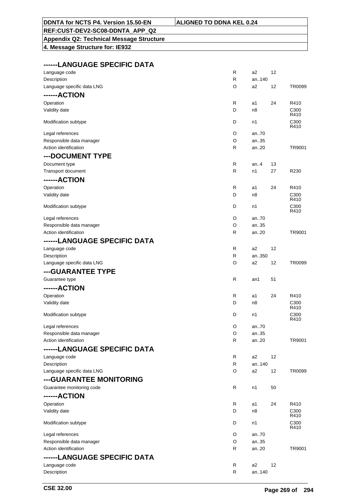|--|

## **DDNTA for NCTS P4. Version 15.50-EN**

#### **REF:CUST-DEV2-SC08-DDNTA\_APP\_Q2 Appendix Q2: Technical Message Structure**

**4. Message Structure for: IE932**

## **------LANGUAGE SPECIFIC DATA**

| $\mathsf{R}$<br>an140<br>Description<br>O<br>a2<br>12<br>Language specific data LNG<br>------ACTION<br>$\mathsf{R}$<br>Operation<br>24<br>a1<br>D<br>Validity date<br>n8<br>D<br>Modification subtype<br>n1<br>O<br>Legal references<br>an70<br>Responsible data manager<br>O<br>an35<br>Action identification<br>R<br>an20<br>---DOCUMENT TYPE<br>R<br>Document type<br>13<br>an.4<br>$\mathsf{R}$<br>27<br>Transport document<br>n1<br>------ACTION<br>Operation<br>R<br>24<br>a1<br>Validity date<br>D<br>n8<br>D<br>Modification subtype<br>n1<br>R410<br>O<br>Legal references<br>an70<br>Responsible data manager<br>O<br>an35<br>an.20<br>Action identification<br>R<br>------LANGUAGE SPECIFIC DATA<br>R<br>12<br>Language code<br>a2<br>$\mathsf{R}$<br>an350<br>Description<br>O<br>12<br>Language specific data LNG<br>a2<br>---GUARANTEE TYPE<br>$\mathsf{R}$<br>Guarantee type<br>51<br>an1<br>------ACTION<br>Operation<br>R<br>24<br>a1<br>D<br>Validity date<br>n8<br>D<br>Modification subtype<br>n1<br>R410<br>O<br>an70<br>Legal references<br>$\Omega$<br>an35<br>Responsible data manager<br>Action identification<br>R<br>an20<br>------LANGUAGE SPECIFIC DATA<br>R<br>12<br>Language code<br>a2<br>Description<br>R<br>an140<br>Language specific data LNG<br>O<br>a <sub>2</sub><br>12<br>---GUARANTEE MONITORING<br>Guarantee monitoring code<br>R<br>50<br>n1<br>------ACTION<br>Operation<br>R<br>24<br>R410<br>a1<br>C300<br>Validity date<br>D<br>n8<br>D<br>Modification subtype<br>n1<br>Legal references<br>O<br>an70<br>Responsible data manager<br>O<br>an35<br>Action identification<br>R<br>an20<br>------LANGUAGE SPECIFIC DATA<br>Language code<br>R<br>a <sub>2</sub><br>12 | Language code | R            | a2    | 12 |                  |
|--------------------------------------------------------------------------------------------------------------------------------------------------------------------------------------------------------------------------------------------------------------------------------------------------------------------------------------------------------------------------------------------------------------------------------------------------------------------------------------------------------------------------------------------------------------------------------------------------------------------------------------------------------------------------------------------------------------------------------------------------------------------------------------------------------------------------------------------------------------------------------------------------------------------------------------------------------------------------------------------------------------------------------------------------------------------------------------------------------------------------------------------------------------------------------------------------------------------------------------------------------------------------------------------------------------------------------------------------------------------------------------------------------------------------------------------------------------------------------------------------------------------------------------------------------------------------------------------------------------------------------------------------------------------------------------------------------------------|---------------|--------------|-------|----|------------------|
|                                                                                                                                                                                                                                                                                                                                                                                                                                                                                                                                                                                                                                                                                                                                                                                                                                                                                                                                                                                                                                                                                                                                                                                                                                                                                                                                                                                                                                                                                                                                                                                                                                                                                                                    |               |              |       |    |                  |
|                                                                                                                                                                                                                                                                                                                                                                                                                                                                                                                                                                                                                                                                                                                                                                                                                                                                                                                                                                                                                                                                                                                                                                                                                                                                                                                                                                                                                                                                                                                                                                                                                                                                                                                    |               |              |       |    | <b>TR0099</b>    |
|                                                                                                                                                                                                                                                                                                                                                                                                                                                                                                                                                                                                                                                                                                                                                                                                                                                                                                                                                                                                                                                                                                                                                                                                                                                                                                                                                                                                                                                                                                                                                                                                                                                                                                                    |               |              |       |    |                  |
|                                                                                                                                                                                                                                                                                                                                                                                                                                                                                                                                                                                                                                                                                                                                                                                                                                                                                                                                                                                                                                                                                                                                                                                                                                                                                                                                                                                                                                                                                                                                                                                                                                                                                                                    |               |              |       |    | R410             |
|                                                                                                                                                                                                                                                                                                                                                                                                                                                                                                                                                                                                                                                                                                                                                                                                                                                                                                                                                                                                                                                                                                                                                                                                                                                                                                                                                                                                                                                                                                                                                                                                                                                                                                                    |               |              |       |    | C300             |
|                                                                                                                                                                                                                                                                                                                                                                                                                                                                                                                                                                                                                                                                                                                                                                                                                                                                                                                                                                                                                                                                                                                                                                                                                                                                                                                                                                                                                                                                                                                                                                                                                                                                                                                    |               |              |       |    | R410             |
|                                                                                                                                                                                                                                                                                                                                                                                                                                                                                                                                                                                                                                                                                                                                                                                                                                                                                                                                                                                                                                                                                                                                                                                                                                                                                                                                                                                                                                                                                                                                                                                                                                                                                                                    |               |              |       |    | C300             |
|                                                                                                                                                                                                                                                                                                                                                                                                                                                                                                                                                                                                                                                                                                                                                                                                                                                                                                                                                                                                                                                                                                                                                                                                                                                                                                                                                                                                                                                                                                                                                                                                                                                                                                                    |               |              |       |    | R410             |
|                                                                                                                                                                                                                                                                                                                                                                                                                                                                                                                                                                                                                                                                                                                                                                                                                                                                                                                                                                                                                                                                                                                                                                                                                                                                                                                                                                                                                                                                                                                                                                                                                                                                                                                    |               |              |       |    |                  |
|                                                                                                                                                                                                                                                                                                                                                                                                                                                                                                                                                                                                                                                                                                                                                                                                                                                                                                                                                                                                                                                                                                                                                                                                                                                                                                                                                                                                                                                                                                                                                                                                                                                                                                                    |               |              |       |    |                  |
|                                                                                                                                                                                                                                                                                                                                                                                                                                                                                                                                                                                                                                                                                                                                                                                                                                                                                                                                                                                                                                                                                                                                                                                                                                                                                                                                                                                                                                                                                                                                                                                                                                                                                                                    |               |              |       |    | TR9001           |
|                                                                                                                                                                                                                                                                                                                                                                                                                                                                                                                                                                                                                                                                                                                                                                                                                                                                                                                                                                                                                                                                                                                                                                                                                                                                                                                                                                                                                                                                                                                                                                                                                                                                                                                    |               |              |       |    |                  |
|                                                                                                                                                                                                                                                                                                                                                                                                                                                                                                                                                                                                                                                                                                                                                                                                                                                                                                                                                                                                                                                                                                                                                                                                                                                                                                                                                                                                                                                                                                                                                                                                                                                                                                                    |               |              |       |    |                  |
|                                                                                                                                                                                                                                                                                                                                                                                                                                                                                                                                                                                                                                                                                                                                                                                                                                                                                                                                                                                                                                                                                                                                                                                                                                                                                                                                                                                                                                                                                                                                                                                                                                                                                                                    |               |              |       |    | R230             |
|                                                                                                                                                                                                                                                                                                                                                                                                                                                                                                                                                                                                                                                                                                                                                                                                                                                                                                                                                                                                                                                                                                                                                                                                                                                                                                                                                                                                                                                                                                                                                                                                                                                                                                                    |               |              |       |    |                  |
|                                                                                                                                                                                                                                                                                                                                                                                                                                                                                                                                                                                                                                                                                                                                                                                                                                                                                                                                                                                                                                                                                                                                                                                                                                                                                                                                                                                                                                                                                                                                                                                                                                                                                                                    |               |              |       |    | R410             |
|                                                                                                                                                                                                                                                                                                                                                                                                                                                                                                                                                                                                                                                                                                                                                                                                                                                                                                                                                                                                                                                                                                                                                                                                                                                                                                                                                                                                                                                                                                                                                                                                                                                                                                                    |               |              |       |    | C300             |
|                                                                                                                                                                                                                                                                                                                                                                                                                                                                                                                                                                                                                                                                                                                                                                                                                                                                                                                                                                                                                                                                                                                                                                                                                                                                                                                                                                                                                                                                                                                                                                                                                                                                                                                    |               |              |       |    | R410             |
|                                                                                                                                                                                                                                                                                                                                                                                                                                                                                                                                                                                                                                                                                                                                                                                                                                                                                                                                                                                                                                                                                                                                                                                                                                                                                                                                                                                                                                                                                                                                                                                                                                                                                                                    |               |              |       |    | C300             |
|                                                                                                                                                                                                                                                                                                                                                                                                                                                                                                                                                                                                                                                                                                                                                                                                                                                                                                                                                                                                                                                                                                                                                                                                                                                                                                                                                                                                                                                                                                                                                                                                                                                                                                                    |               |              |       |    |                  |
|                                                                                                                                                                                                                                                                                                                                                                                                                                                                                                                                                                                                                                                                                                                                                                                                                                                                                                                                                                                                                                                                                                                                                                                                                                                                                                                                                                                                                                                                                                                                                                                                                                                                                                                    |               |              |       |    |                  |
|                                                                                                                                                                                                                                                                                                                                                                                                                                                                                                                                                                                                                                                                                                                                                                                                                                                                                                                                                                                                                                                                                                                                                                                                                                                                                                                                                                                                                                                                                                                                                                                                                                                                                                                    |               |              |       |    |                  |
|                                                                                                                                                                                                                                                                                                                                                                                                                                                                                                                                                                                                                                                                                                                                                                                                                                                                                                                                                                                                                                                                                                                                                                                                                                                                                                                                                                                                                                                                                                                                                                                                                                                                                                                    |               |              |       |    | TR9001           |
|                                                                                                                                                                                                                                                                                                                                                                                                                                                                                                                                                                                                                                                                                                                                                                                                                                                                                                                                                                                                                                                                                                                                                                                                                                                                                                                                                                                                                                                                                                                                                                                                                                                                                                                    |               |              |       |    |                  |
|                                                                                                                                                                                                                                                                                                                                                                                                                                                                                                                                                                                                                                                                                                                                                                                                                                                                                                                                                                                                                                                                                                                                                                                                                                                                                                                                                                                                                                                                                                                                                                                                                                                                                                                    |               |              |       |    |                  |
|                                                                                                                                                                                                                                                                                                                                                                                                                                                                                                                                                                                                                                                                                                                                                                                                                                                                                                                                                                                                                                                                                                                                                                                                                                                                                                                                                                                                                                                                                                                                                                                                                                                                                                                    |               |              |       |    |                  |
|                                                                                                                                                                                                                                                                                                                                                                                                                                                                                                                                                                                                                                                                                                                                                                                                                                                                                                                                                                                                                                                                                                                                                                                                                                                                                                                                                                                                                                                                                                                                                                                                                                                                                                                    |               |              |       |    | TR0099           |
|                                                                                                                                                                                                                                                                                                                                                                                                                                                                                                                                                                                                                                                                                                                                                                                                                                                                                                                                                                                                                                                                                                                                                                                                                                                                                                                                                                                                                                                                                                                                                                                                                                                                                                                    |               |              |       |    |                  |
|                                                                                                                                                                                                                                                                                                                                                                                                                                                                                                                                                                                                                                                                                                                                                                                                                                                                                                                                                                                                                                                                                                                                                                                                                                                                                                                                                                                                                                                                                                                                                                                                                                                                                                                    |               |              |       |    |                  |
|                                                                                                                                                                                                                                                                                                                                                                                                                                                                                                                                                                                                                                                                                                                                                                                                                                                                                                                                                                                                                                                                                                                                                                                                                                                                                                                                                                                                                                                                                                                                                                                                                                                                                                                    |               |              |       |    |                  |
|                                                                                                                                                                                                                                                                                                                                                                                                                                                                                                                                                                                                                                                                                                                                                                                                                                                                                                                                                                                                                                                                                                                                                                                                                                                                                                                                                                                                                                                                                                                                                                                                                                                                                                                    |               |              |       |    | R410             |
|                                                                                                                                                                                                                                                                                                                                                                                                                                                                                                                                                                                                                                                                                                                                                                                                                                                                                                                                                                                                                                                                                                                                                                                                                                                                                                                                                                                                                                                                                                                                                                                                                                                                                                                    |               |              |       |    | C300             |
|                                                                                                                                                                                                                                                                                                                                                                                                                                                                                                                                                                                                                                                                                                                                                                                                                                                                                                                                                                                                                                                                                                                                                                                                                                                                                                                                                                                                                                                                                                                                                                                                                                                                                                                    |               |              |       |    | R410             |
|                                                                                                                                                                                                                                                                                                                                                                                                                                                                                                                                                                                                                                                                                                                                                                                                                                                                                                                                                                                                                                                                                                                                                                                                                                                                                                                                                                                                                                                                                                                                                                                                                                                                                                                    |               |              |       |    | C <sub>300</sub> |
|                                                                                                                                                                                                                                                                                                                                                                                                                                                                                                                                                                                                                                                                                                                                                                                                                                                                                                                                                                                                                                                                                                                                                                                                                                                                                                                                                                                                                                                                                                                                                                                                                                                                                                                    |               |              |       |    |                  |
|                                                                                                                                                                                                                                                                                                                                                                                                                                                                                                                                                                                                                                                                                                                                                                                                                                                                                                                                                                                                                                                                                                                                                                                                                                                                                                                                                                                                                                                                                                                                                                                                                                                                                                                    |               |              |       |    |                  |
|                                                                                                                                                                                                                                                                                                                                                                                                                                                                                                                                                                                                                                                                                                                                                                                                                                                                                                                                                                                                                                                                                                                                                                                                                                                                                                                                                                                                                                                                                                                                                                                                                                                                                                                    |               |              |       |    |                  |
|                                                                                                                                                                                                                                                                                                                                                                                                                                                                                                                                                                                                                                                                                                                                                                                                                                                                                                                                                                                                                                                                                                                                                                                                                                                                                                                                                                                                                                                                                                                                                                                                                                                                                                                    |               |              |       |    | TR9001           |
|                                                                                                                                                                                                                                                                                                                                                                                                                                                                                                                                                                                                                                                                                                                                                                                                                                                                                                                                                                                                                                                                                                                                                                                                                                                                                                                                                                                                                                                                                                                                                                                                                                                                                                                    |               |              |       |    |                  |
|                                                                                                                                                                                                                                                                                                                                                                                                                                                                                                                                                                                                                                                                                                                                                                                                                                                                                                                                                                                                                                                                                                                                                                                                                                                                                                                                                                                                                                                                                                                                                                                                                                                                                                                    |               |              |       |    |                  |
|                                                                                                                                                                                                                                                                                                                                                                                                                                                                                                                                                                                                                                                                                                                                                                                                                                                                                                                                                                                                                                                                                                                                                                                                                                                                                                                                                                                                                                                                                                                                                                                                                                                                                                                    |               |              |       |    |                  |
|                                                                                                                                                                                                                                                                                                                                                                                                                                                                                                                                                                                                                                                                                                                                                                                                                                                                                                                                                                                                                                                                                                                                                                                                                                                                                                                                                                                                                                                                                                                                                                                                                                                                                                                    |               |              |       |    | TR0099           |
|                                                                                                                                                                                                                                                                                                                                                                                                                                                                                                                                                                                                                                                                                                                                                                                                                                                                                                                                                                                                                                                                                                                                                                                                                                                                                                                                                                                                                                                                                                                                                                                                                                                                                                                    |               |              |       |    |                  |
|                                                                                                                                                                                                                                                                                                                                                                                                                                                                                                                                                                                                                                                                                                                                                                                                                                                                                                                                                                                                                                                                                                                                                                                                                                                                                                                                                                                                                                                                                                                                                                                                                                                                                                                    |               |              |       |    |                  |
|                                                                                                                                                                                                                                                                                                                                                                                                                                                                                                                                                                                                                                                                                                                                                                                                                                                                                                                                                                                                                                                                                                                                                                                                                                                                                                                                                                                                                                                                                                                                                                                                                                                                                                                    |               |              |       |    |                  |
|                                                                                                                                                                                                                                                                                                                                                                                                                                                                                                                                                                                                                                                                                                                                                                                                                                                                                                                                                                                                                                                                                                                                                                                                                                                                                                                                                                                                                                                                                                                                                                                                                                                                                                                    |               |              |       |    |                  |
|                                                                                                                                                                                                                                                                                                                                                                                                                                                                                                                                                                                                                                                                                                                                                                                                                                                                                                                                                                                                                                                                                                                                                                                                                                                                                                                                                                                                                                                                                                                                                                                                                                                                                                                    |               |              |       |    |                  |
|                                                                                                                                                                                                                                                                                                                                                                                                                                                                                                                                                                                                                                                                                                                                                                                                                                                                                                                                                                                                                                                                                                                                                                                                                                                                                                                                                                                                                                                                                                                                                                                                                                                                                                                    |               |              |       |    | R410             |
|                                                                                                                                                                                                                                                                                                                                                                                                                                                                                                                                                                                                                                                                                                                                                                                                                                                                                                                                                                                                                                                                                                                                                                                                                                                                                                                                                                                                                                                                                                                                                                                                                                                                                                                    |               |              |       |    | C300             |
|                                                                                                                                                                                                                                                                                                                                                                                                                                                                                                                                                                                                                                                                                                                                                                                                                                                                                                                                                                                                                                                                                                                                                                                                                                                                                                                                                                                                                                                                                                                                                                                                                                                                                                                    |               |              |       |    | R410             |
|                                                                                                                                                                                                                                                                                                                                                                                                                                                                                                                                                                                                                                                                                                                                                                                                                                                                                                                                                                                                                                                                                                                                                                                                                                                                                                                                                                                                                                                                                                                                                                                                                                                                                                                    |               |              |       |    |                  |
|                                                                                                                                                                                                                                                                                                                                                                                                                                                                                                                                                                                                                                                                                                                                                                                                                                                                                                                                                                                                                                                                                                                                                                                                                                                                                                                                                                                                                                                                                                                                                                                                                                                                                                                    |               |              |       |    |                  |
|                                                                                                                                                                                                                                                                                                                                                                                                                                                                                                                                                                                                                                                                                                                                                                                                                                                                                                                                                                                                                                                                                                                                                                                                                                                                                                                                                                                                                                                                                                                                                                                                                                                                                                                    |               |              |       |    | TR9001           |
|                                                                                                                                                                                                                                                                                                                                                                                                                                                                                                                                                                                                                                                                                                                                                                                                                                                                                                                                                                                                                                                                                                                                                                                                                                                                                                                                                                                                                                                                                                                                                                                                                                                                                                                    |               |              |       |    |                  |
|                                                                                                                                                                                                                                                                                                                                                                                                                                                                                                                                                                                                                                                                                                                                                                                                                                                                                                                                                                                                                                                                                                                                                                                                                                                                                                                                                                                                                                                                                                                                                                                                                                                                                                                    |               |              |       |    |                  |
|                                                                                                                                                                                                                                                                                                                                                                                                                                                                                                                                                                                                                                                                                                                                                                                                                                                                                                                                                                                                                                                                                                                                                                                                                                                                                                                                                                                                                                                                                                                                                                                                                                                                                                                    | Description   | $\mathsf{R}$ | an140 |    |                  |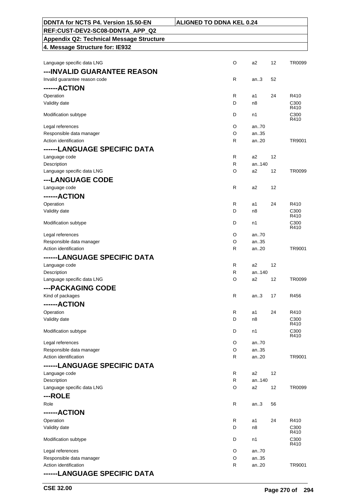| DDNTA for NCTS P4. Version 15.50-EN             | <b>ALIGNED TO DDNA KEL 0.24</b> |    |                          |
|-------------------------------------------------|---------------------------------|----|--------------------------|
| REF:CUST-DEV2-SC08-DDNTA APP Q2                 |                                 |    |                          |
| <b>Appendix Q2: Technical Message Structure</b> |                                 |    |                          |
| 4. Message Structure for: IE932                 |                                 |    |                          |
|                                                 |                                 |    |                          |
| Language specific data LNG                      | O<br>a2                         | 12 | TR0099                   |
| ---INVALID GUARANTEE REASON                     |                                 |    |                          |
| Invalid guarantee reason code                   | R<br>an.3                       | 52 |                          |
| ------ACTION                                    |                                 |    |                          |
| Operation                                       | R<br>a1                         | 24 | R410                     |
| Validity date                                   | D<br>n8                         |    | C <sub>300</sub><br>R410 |
| Modification subtype                            | D<br>n1                         |    | C <sub>300</sub><br>R410 |
| Legal references                                | O<br>an70                       |    |                          |
| Responsible data manager                        | O<br>an35                       |    |                          |
| Action identification                           | an20<br>R                       |    | TR9001                   |
| ------LANGUAGE SPECIFIC DATA                    |                                 |    |                          |
| Language code                                   | R<br>a2                         | 12 |                          |
| Description                                     | an140<br>R                      |    |                          |
| Language specific data LNG                      | O<br>a2                         | 12 | TR0099                   |
| ---LANGUAGE CODE                                |                                 |    |                          |
| Language code                                   | R<br>a2                         | 12 |                          |
| ------ACTION                                    |                                 |    |                          |
| Operation                                       | R<br>a1                         | 24 | R410                     |
| Validity date                                   | D<br>n8                         |    | C <sub>300</sub><br>R410 |
| Modification subtype                            | D<br>n1                         |    | C <sub>300</sub><br>R410 |
| Legal references                                | O<br>an70                       |    |                          |
| Responsible data manager                        | O<br>an35                       |    |                          |
| Action identification                           | R<br>an20                       |    | TR9001                   |
| ------LANGUAGE SPECIFIC DATA                    |                                 |    |                          |
| Language code                                   | R<br>a2                         | 12 |                          |
| Description                                     | R<br>an140                      |    | TR0099                   |
| Language specific data LNG                      | O<br>a2                         | 12 |                          |
| ---PACKAGING CODE                               |                                 |    |                          |
| Kind of packages                                | R<br>an.3                       | 17 | R456                     |
| ------ACTION                                    |                                 |    |                          |
| Operation<br>Validity date                      | R<br>a1<br>D<br>n8              | 24 | R410<br>C <sub>300</sub> |
|                                                 |                                 |    | R410                     |
| Modification subtype                            | D<br>n1                         |    | C300<br>R410             |
| Legal references                                | O<br>an.70                      |    |                          |
| Responsible data manager                        | O<br>an35                       |    |                          |
| Action identification                           | R<br>an20                       |    | TR9001                   |
| ------LANGUAGE SPECIFIC DATA                    |                                 |    |                          |
| Language code                                   | R<br>a2                         | 12 |                          |
| Description                                     | R<br>an140                      |    |                          |
| Language specific data LNG                      | O<br>a2                         | 12 | TR0099                   |
| ---ROLE                                         |                                 |    |                          |
| Role                                            | R<br>an.3                       | 56 |                          |
| ------ACTION                                    |                                 |    |                          |
| Operation                                       | R<br>a1                         | 24 | R410                     |
| Validity date                                   | D<br>n8                         |    | C <sub>300</sub><br>R410 |
| Modification subtype                            | D<br>n1                         |    | C300<br>R410             |
| Legal references                                | O<br>an70                       |    |                          |
| Responsible data manager                        | O<br>an35                       |    |                          |
| Action identification                           | R<br>an20                       |    | TR9001                   |
| ------LANGUAGE SPECIFIC DATA                    |                                 |    |                          |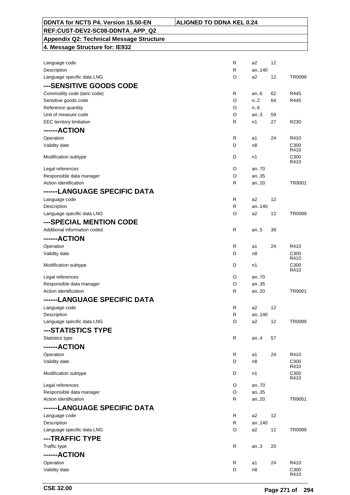| DDNTA for NCTS P4. Version 15.50-EN               | <b>ALIGNED TO DDNA KEL 0.24</b> |          |    |                  |
|---------------------------------------------------|---------------------------------|----------|----|------------------|
| REF:CUST-DEV2-SC08-DDNTA_APP_Q2                   |                                 |          |    |                  |
| <b>Appendix Q2: Technical Message Structure</b>   |                                 |          |    |                  |
| 4. Message Structure for: IE932                   |                                 |          |    |                  |
|                                                   |                                 |          |    |                  |
| Language code                                     | R                               | a2       | 12 |                  |
| Description                                       | $\mathsf{R}$                    | an140    |    |                  |
| Language specific data LNG                        | O                               | a2       | 12 | TR0099           |
| ---SENSITIVE GOODS CODE                           |                                 |          |    |                  |
| Commodity code (taric code)                       | $\mathsf{R}$                    | an6      | 62 | R445             |
| Sensitive goods code                              | O                               | n.2      | 64 | R445             |
| Reference quantity                                | O                               | n.6      |    |                  |
| Unit of measure code                              | O                               | an.3     | 59 |                  |
| <b>EEC</b> territory limitation                   | $\mathsf{R}$                    | n1       | 27 | R230             |
| ------ACTION                                      |                                 |          |    |                  |
|                                                   | R                               | a1       | 24 | R410             |
| Operation<br>Validity date                        | D                               | n8       |    | C300             |
|                                                   |                                 |          |    | R410             |
| Modification subtype                              | D                               | n1       |    | C300             |
|                                                   |                                 |          |    | R410             |
| Legal references                                  | O                               | an70     |    |                  |
| Responsible data manager<br>Action identification | O                               | an35     |    | TR9001           |
|                                                   | R                               | an20     |    |                  |
| ------LANGUAGE SPECIFIC DATA                      |                                 |          |    |                  |
| Language code                                     | $\mathsf{R}$                    | a2       | 12 |                  |
| Description                                       | $\mathsf{R}$                    | an140    |    |                  |
| Language specific data LNG                        | O                               | a2       | 12 | <b>TR0099</b>    |
| ---SPECIAL MENTION CODE                           |                                 |          |    |                  |
| Additional information coded                      | $\mathsf{R}$                    | an.5     | 39 |                  |
| ------ACTION                                      |                                 |          |    |                  |
| Operation                                         | R                               | a1       | 24 | R410             |
| Validity date                                     | D                               | n8       |    | C <sub>300</sub> |
|                                                   |                                 |          |    | R410             |
| Modification subtype                              | D                               | n1       |    | C300<br>R410     |
| Legal references                                  | O                               | an.70    |    |                  |
| Responsible data manager                          | O                               | an35     |    |                  |
| Action identification                             | $\mathsf{R}$                    | an20     |    | TR9001           |
| ------LANGUAGE SPECIFIC DATA                      |                                 |          |    |                  |
| Language code                                     | R                               | a2       | 12 |                  |
| Description                                       | R                               | an140    |    |                  |
| Language specific data LNG                        | O                               | a2       | 12 | <b>TR0099</b>    |
| ---STATISTICS TYPE                                |                                 |          |    |                  |
| Statistics type                                   | R                               | an.4     | 57 |                  |
| ------ACTION                                      |                                 |          |    |                  |
|                                                   |                                 |          |    |                  |
| Operation                                         | $\mathsf{R}$<br>D               | a1<br>n8 | 24 | R410<br>C300     |
| Validity date                                     |                                 |          |    | R410             |
| Modification subtype                              | D                               | n1       |    | C300             |
|                                                   |                                 |          |    | R410             |
| Legal references                                  | O                               | an70     |    |                  |
| Responsible data manager                          | O                               | an35     |    |                  |
| Action identification                             | R                               | an20     |    | TR9001           |
| ------LANGUAGE SPECIFIC DATA                      |                                 |          |    |                  |
| Language code                                     | R                               | a2       | 12 |                  |
| Description                                       | R                               | an140    |    |                  |
| Language specific data LNG                        | O                               | a2       | 12 | TR0099           |
| ---TRAFFIC TYPE                                   |                                 |          |    |                  |
| Traffic type                                      | $\mathsf{R}$                    | an.3     | 20 |                  |
| ------ACTION                                      |                                 |          |    |                  |
| Operation                                         | R                               | a1       | 24 | R410             |
| Validity date                                     | D                               | n8       |    | C300             |
|                                                   |                                 |          |    | R410             |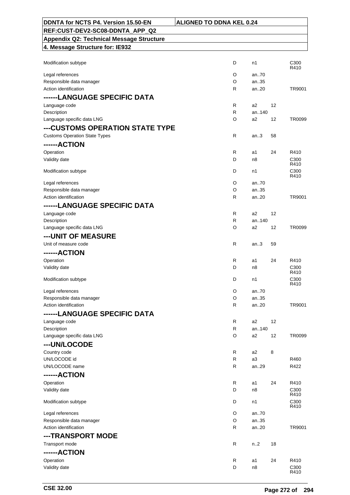| DDNTA for NCTS P4. Version 15.50-EN             | <b>ALIGNED TO DDNA KEL 0.24</b> |                           |                   |                          |
|-------------------------------------------------|---------------------------------|---------------------------|-------------------|--------------------------|
| REF:CUST-DEV2-SC08-DDNTA APP Q2                 |                                 |                           |                   |                          |
| <b>Appendix Q2: Technical Message Structure</b> |                                 |                           |                   |                          |
| 4. Message Structure for: IE932                 |                                 |                           |                   |                          |
|                                                 |                                 |                           |                   |                          |
| Modification subtype                            | D                               | n1                        |                   | C300<br>R410             |
| Legal references                                | O                               | an70                      |                   |                          |
| Responsible data manager                        | O                               | an35                      |                   |                          |
| Action identification                           | R                               | an20                      |                   | TR9001                   |
| ------LANGUAGE SPECIFIC DATA                    |                                 |                           |                   |                          |
| Language code                                   | R                               | a2                        | 12                |                          |
| Description                                     | R                               | an140                     |                   |                          |
| Language specific data LNG                      | O                               | a2                        | $12 \overline{ }$ | TR0099                   |
| ---CUSTOMS OPERATION STATE TYPE                 |                                 |                           |                   |                          |
| <b>Customs Operation State Types</b>            | $\mathsf{R}$                    | an.3                      | 58                |                          |
| ------ACTION                                    |                                 |                           |                   |                          |
| Operation                                       | R                               | a1                        | 24                | R410                     |
| Validity date                                   | D                               | n8                        |                   | C300                     |
|                                                 |                                 |                           |                   | R410                     |
| Modification subtype                            | D                               | n1                        |                   | C300<br>R410             |
| Legal references                                | O                               | an70                      |                   |                          |
| Responsible data manager                        | O                               | an35                      |                   |                          |
| Action identification                           | $\mathsf{R}$                    | an20                      |                   | TR9001                   |
| ------LANGUAGE SPECIFIC DATA                    |                                 |                           |                   |                          |
| Language code                                   | R                               | a2                        | 12                |                          |
| Description                                     | R                               | an140                     |                   |                          |
| Language specific data LNG                      | O                               | a2                        | 12                | TR0099                   |
| ---UNIT OF MEASURE                              |                                 |                           |                   |                          |
| Unit of measure code                            | R                               | an.3                      | 59                |                          |
| ------ACTION                                    |                                 |                           |                   |                          |
| Operation                                       | R                               | a1                        | 24                | R410                     |
| Validity date                                   | D                               | n8                        |                   | C <sub>300</sub><br>R410 |
| Modification subtype                            | D                               | n1                        |                   | C <sub>300</sub>         |
|                                                 |                                 |                           |                   | R410                     |
| Legal references                                | O                               | an70                      |                   |                          |
| Responsible data manager                        | O                               | an35                      |                   |                          |
| Action identification                           | R                               | an20                      |                   | TR9001                   |
| ------LANGUAGE SPECIFIC DATA                    |                                 |                           |                   |                          |
| Language code                                   | R                               | a2                        | 12                |                          |
| Description                                     | R<br>O                          | an140<br>a2               |                   |                          |
| Language specific data LNG                      |                                 |                           | 12                | TR0099                   |
| ---UN/LOCODE                                    |                                 |                           |                   |                          |
| Country code<br>UN/LOCODE id                    | $\mathsf{R}$<br>R               | a2<br>8<br>a <sub>3</sub> |                   | R460                     |
| UN/LOCODE name                                  | R                               | an29                      |                   | R422                     |
| ------ACTION                                    |                                 |                           |                   |                          |
| Operation                                       | $\mathsf{R}$                    | a1                        | 24                | R410                     |
| Validity date                                   | D                               | n8                        |                   | C <sub>300</sub>         |
|                                                 |                                 |                           |                   | R410                     |
| Modification subtype                            | D                               | n1                        |                   | C300<br>R410             |
| Legal references                                | O                               | an70                      |                   |                          |
| Responsible data manager                        | O                               | an35                      |                   |                          |
| Action identification                           | R                               | an20                      |                   | TR9001                   |
| ---TRANSPORT MODE                               |                                 |                           |                   |                          |
| Transport mode                                  | $\mathsf{R}$                    | n.2                       | 18                |                          |
| ------ACTION                                    |                                 |                           |                   |                          |
| Operation                                       | R                               | a1                        | 24                | R410                     |
| Validity date                                   | D                               | n8                        |                   | C300                     |
|                                                 |                                 |                           |                   | R410                     |

**r**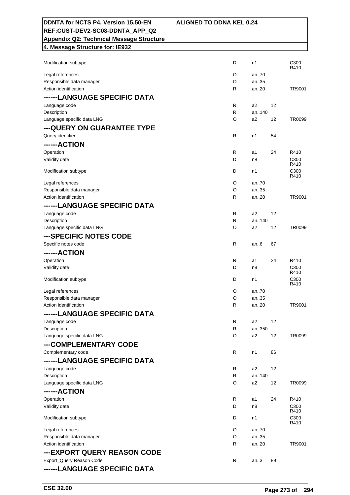| DDNTA for NCTS P4. Version 15.50-EN             | <b>ALIGNED TO DDNA KEL 0.24</b> |    |                          |
|-------------------------------------------------|---------------------------------|----|--------------------------|
| REF:CUST-DEV2-SC08-DDNTA APP Q2                 |                                 |    |                          |
| <b>Appendix Q2: Technical Message Structure</b> |                                 |    |                          |
| 4. Message Structure for: IE932                 |                                 |    |                          |
|                                                 |                                 |    |                          |
| Modification subtype                            | D<br>n1                         |    | C <sub>300</sub><br>R410 |
| Legal references                                | O<br>an70                       |    |                          |
| Responsible data manager                        | O<br>an35                       |    |                          |
| Action identification                           | an.20<br>R                      |    | TR9001                   |
| ------LANGUAGE SPECIFIC DATA                    |                                 |    |                          |
| Language code                                   | R<br>a2                         | 12 |                          |
| Description                                     | an140<br>R                      |    |                          |
| Language specific data LNG                      | a2<br>O                         | 12 | TR0099                   |
| --- QUERY ON GUARANTEE TYPE                     |                                 |    |                          |
| Query identifier                                | R<br>n1                         | 54 |                          |
|                                                 |                                 |    |                          |
| ------ACTION                                    |                                 |    |                          |
| Operation                                       | R<br>a1                         | 24 | R410                     |
| Validity date                                   | D<br>n8                         |    | C <sub>300</sub><br>R410 |
| Modification subtype                            | D<br>n1                         |    | C <sub>300</sub>         |
|                                                 |                                 |    | R410                     |
| Legal references                                | O<br>an70                       |    |                          |
| Responsible data manager                        | O<br>an35                       |    |                          |
| Action identification                           | R<br>an20                       |    | TR9001                   |
| ------LANGUAGE SPECIFIC DATA                    |                                 |    |                          |
| Language code                                   | R<br>a2                         | 12 |                          |
| Description                                     | an140<br>R                      |    |                          |
| Language specific data LNG                      | O<br>a2                         | 12 | TR0099                   |
| ---SPECIFIC NOTES CODE                          |                                 |    |                          |
| Specific notes code                             | R<br>an.6                       | 67 |                          |
| ------ACTION                                    |                                 |    |                          |
| Operation                                       | R<br>a1                         | 24 | R410                     |
| Validity date                                   | D<br>n8                         |    | C <sub>300</sub>         |
|                                                 |                                 |    | R410                     |
| Modification subtype                            | D<br>n1                         |    | C <sub>300</sub>         |
|                                                 |                                 |    | R410                     |
| Legal references<br>Responsible data manager    | O<br>an70<br>O<br>an35          |    |                          |
| Action identification                           | R<br>an20                       |    | TR9001                   |
|                                                 |                                 |    |                          |
| ------LANGUAGE SPECIFIC DATA                    |                                 |    |                          |
| Language code                                   | R<br>a2                         | 12 |                          |
| Description                                     | R<br>an350                      |    |                          |
| Language specific data LNG                      | O<br>a2                         | 12 | TR0099                   |
| ---COMPLEMENTARY CODE                           |                                 |    |                          |
| Complementary code                              | R<br>n1                         | 86 |                          |
| ------LANGUAGE SPECIFIC DATA                    |                                 |    |                          |
| Language code                                   | R<br>a2                         | 12 |                          |
| Description                                     | R<br>an140                      |    |                          |
| Language specific data LNG                      | O<br>a2                         | 12 | TR0099                   |
| ------ACTION                                    |                                 |    |                          |
| Operation                                       | R<br>a1                         | 24 | R410                     |
| Validity date                                   | D<br>n8                         |    | C <sub>300</sub>         |
|                                                 |                                 |    | R410                     |
| Modification subtype                            | D<br>n1                         |    | C <sub>300</sub><br>R410 |
| Legal references                                | O<br>an70                       |    |                          |
| Responsible data manager                        | O<br>an35                       |    |                          |
| Action identification                           | R<br>an20                       |    | TR9001                   |
| ---EXPORT QUERY REASON CODE                     |                                 |    |                          |
|                                                 | R<br>an.3                       | 89 |                          |
| Export_Query Reason Code                        |                                 |    |                          |
| ------LANGUAGE SPECIFIC DATA                    |                                 |    |                          |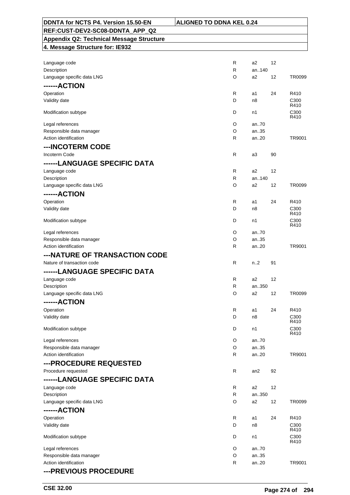| DDNTA for NCTS P4. Version 15.50-EN             | <b>ALIGNED TO DDNA KEL 0.24</b> |                               |                          |
|-------------------------------------------------|---------------------------------|-------------------------------|--------------------------|
| REF:CUST-DEV2-SC08-DDNTA_APP_Q2                 |                                 |                               |                          |
| <b>Appendix Q2: Technical Message Structure</b> |                                 |                               |                          |
| 4. Message Structure for: IE932                 |                                 |                               |                          |
|                                                 |                                 |                               |                          |
| Language code                                   | R                               | a2<br>12                      |                          |
| Description                                     | $\mathsf{R}$                    | an140                         |                          |
| Language specific data LNG                      | O                               | a2<br>$12 \overline{ }$       | TR0099                   |
| ------ACTION                                    |                                 |                               |                          |
| Operation                                       | $\mathsf{R}$                    | 24<br>a1                      | R410                     |
| Validity date                                   | D                               | n <sub>8</sub>                | C300                     |
| Modification subtype                            | D                               | n1                            | R410<br>C300<br>R410     |
| Legal references                                | O                               | an.70                         |                          |
| Responsible data manager                        | O                               | an35                          |                          |
| Action identification                           | R                               | an.20                         | TR9001                   |
| --- INCOTERM CODE                               |                                 |                               |                          |
| <b>Incoterm Code</b>                            | R                               | a <sub>3</sub><br>90          |                          |
| ------LANGUAGE SPECIFIC DATA                    |                                 |                               |                          |
|                                                 |                                 |                               |                          |
| Language code<br>Description                    | R<br>$\mathsf{R}$               | 12<br>a <sub>2</sub><br>an140 |                          |
| Language specific data LNG                      | O                               | a2<br>12                      | TR0099                   |
|                                                 |                                 |                               |                          |
| ------ACTION                                    |                                 |                               |                          |
| Operation                                       | R                               | a1<br>24                      | R410                     |
| Validity date                                   | D                               | n8                            | C <sub>300</sub><br>R410 |
| Modification subtype                            | D                               | n1                            | C <sub>300</sub><br>R410 |
| Legal references                                | O                               | an.70                         |                          |
| Responsible data manager                        | O                               | an35                          |                          |
| Action identification                           | R                               | an.20                         | TR9001                   |
| ---NATURE OF TRANSACTION CODE                   |                                 |                               |                          |
| Nature of transaction code                      | R                               | n <sub>1</sub> 2<br>91        |                          |
| ------LANGUAGE SPECIFIC DATA                    |                                 |                               |                          |
|                                                 | R                               | a2<br>12                      |                          |
| Language code<br>Description                    | R                               | an350                         |                          |
| Language specific data LNG                      | O                               | a2<br>12                      | TR0099                   |
| ------ACTION                                    |                                 |                               |                          |
| Operation                                       | R                               | 24<br>a1                      | R410                     |
| Validity date                                   | D                               | n <sub>8</sub>                | C300                     |
|                                                 |                                 |                               | R410                     |
| Modification subtype                            | D                               | n1                            | C300<br>R410             |
| Legal references                                | O                               | an70                          |                          |
| Responsible data manager                        | O                               | an35                          |                          |
| Action identification                           | R                               | an20                          | TR9001                   |
| ---PROCEDURE REQUESTED                          |                                 |                               |                          |
| Procedure requested                             | R                               | 92<br>an2                     |                          |
|                                                 |                                 |                               |                          |
| ------LANGUAGE SPECIFIC DATA                    |                                 |                               |                          |
| Language code                                   | R                               | a <sub>2</sub><br>12          |                          |
| Description<br>Language specific data LNG       | R<br>O                          | an350<br>a2<br>12             | TR0099                   |
|                                                 |                                 |                               |                          |
| ------ACTION                                    |                                 |                               |                          |
| Operation                                       | R                               | 24<br>a1                      | R410                     |
| Validity date                                   | D                               | n8                            | C <sub>300</sub><br>R410 |
| Modification subtype                            | D                               | n1                            | C300<br>R410             |
| Legal references                                | O                               | an70                          |                          |
| Responsible data manager                        | O                               | an35                          |                          |
| Action identification                           | R                               | an20                          | TR9001                   |
| --- PREVIOUS PROCEDURE                          |                                 |                               |                          |

T.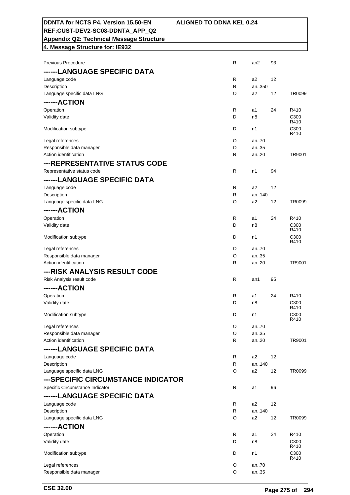## **DDNTA for NCTS P4. Version 15.50-EN REF:CUST-DEV2-SC08-DDNTA\_APP\_Q2 Appendix Q2: Technical Message Structure**

| Previous Procedure                 | R            | an2   | 93                |                          |
|------------------------------------|--------------|-------|-------------------|--------------------------|
| ------LANGUAGE SPECIFIC DATA       |              |       |                   |                          |
| Language code                      | R            | a2    | 12                |                          |
| Description                        | R            | an350 |                   |                          |
| Language specific data LNG         | O            | a2    | 12                | TR0099                   |
| ------ACTION                       |              |       |                   |                          |
| Operation                          | $\mathsf{R}$ | a1    | 24                | R410                     |
| Validity date                      | D            | n8    |                   | C300                     |
|                                    |              |       |                   | R410                     |
| Modification subtype               | D            | n1    |                   | C300<br>R410             |
| Legal references                   | O            | an70  |                   |                          |
| Responsible data manager           | O            | an35  |                   |                          |
| Action identification              | R            | an.20 |                   | TR9001                   |
| ---REPRESENTATIVE STATUS CODE      |              |       |                   |                          |
| Representative status code         | R            | n1    | 94                |                          |
|                                    |              |       |                   |                          |
| ------LANGUAGE SPECIFIC DATA       |              |       |                   |                          |
| Language code                      | $\mathsf{R}$ | a2    | 12                |                          |
| Description                        | $\mathsf{R}$ | an140 |                   |                          |
| Language specific data LNG         | $\circ$      | a2    | 12                | TR0099                   |
| ------ACTION                       |              |       |                   |                          |
| Operation                          | $\mathsf{R}$ | a1    | 24                | R410                     |
| Validity date                      | D            | n8    |                   | C <sub>300</sub><br>R410 |
| Modification subtype               | D            | n1    |                   | C300                     |
|                                    |              |       |                   | R410                     |
| Legal references                   | O            | an70  |                   |                          |
| Responsible data manager           | O            | an35  |                   |                          |
| Action identification              | R            | an20  |                   | TR9001                   |
| ---RISK ANALYSIS RESULT CODE       |              |       |                   |                          |
| Risk Analysis result code          | $\mathsf{R}$ | an1   | 95                |                          |
| ------ACTION                       |              |       |                   |                          |
| Operation                          | R            | a1    | 24                | R410                     |
| Validity date                      | D            | n8    |                   | C <sub>300</sub>         |
|                                    |              |       |                   | R410                     |
| Modification subtype               | D            | n1    |                   | C <sub>300</sub><br>R410 |
| Legal references                   | O            | an70  |                   |                          |
| Responsible data manager           | O            | an35  |                   |                          |
| Action identification              | R            | an20  |                   | TR9001                   |
| ------LANGUAGE SPECIFIC DATA       |              |       |                   |                          |
| Language code                      | $\mathsf{R}$ | a2    | $12 \overline{ }$ |                          |
| Description                        | $\mathsf{R}$ | an140 |                   |                          |
| Language specific data LNG         | O            | a2    | 12                | TR0099                   |
| ---SPECIFIC CIRCUMSTANCE INDICATOR |              |       |                   |                          |
|                                    | R            | a1    | 96                |                          |
| Specific Circumstance Indicator    |              |       |                   |                          |
| ------LANGUAGE SPECIFIC DATA       |              |       |                   |                          |
| Language code                      | R            | a2    | 12                |                          |
| Description                        | R            | an140 |                   |                          |
| Language specific data LNG         | O            | a2    | $12 \overline{ }$ | TR0099                   |
| ------ACTION                       |              |       |                   |                          |
| Operation                          | R            | a1    | 24                | R410                     |
| Validity date                      | D            | n8    |                   | C300<br>R410             |
| Modification subtype               | D            | n1    |                   | C300                     |
|                                    |              |       |                   | R410                     |
| Legal references                   | O            | an70  |                   |                          |
| Responsible data manager           | O            | an35  |                   |                          |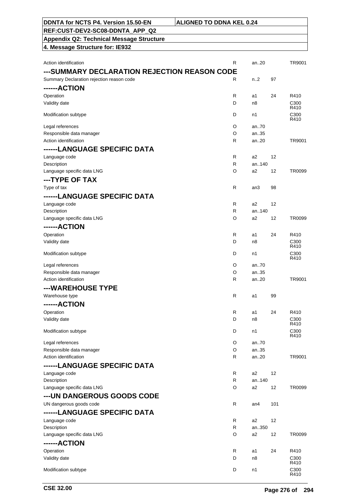| <b>Appendix Q2: Technical Message Structure</b>   |         |                |    |                          |
|---------------------------------------------------|---------|----------------|----|--------------------------|
| 4. Message Structure for: IE932                   |         |                |    |                          |
| Action identification                             | R       | an20           |    | TR9001                   |
| ---SUMMARY DECLARATION REJECTION REASON CODE      |         |                |    |                          |
| Summary Declaration rejection reason code         | R       | n2             | 97 |                          |
| ------ACTION                                      |         |                |    |                          |
| Operation                                         | R       | a1             | 24 | R410                     |
| Validity date                                     | D       | n8             |    | C300                     |
|                                                   |         |                |    | R410                     |
| Modification subtype                              | D       | n1             |    | C300<br>R410             |
| Legal references                                  | O       | an.70          |    |                          |
| Responsible data manager                          | O       | an35           |    |                          |
| Action identification                             | R       | an.20          |    | TR9001                   |
| ------LANGUAGE SPECIFIC DATA                      |         |                |    |                          |
| Language code                                     | R       | a <sub>2</sub> | 12 |                          |
| Description                                       | R       | an140          |    |                          |
| Language specific data LNG                        | O       | a2             | 12 | <b>TR0099</b>            |
| ---TYPE OF TAX                                    |         |                |    |                          |
| Type of tax                                       | R       | an3            | 98 |                          |
| ------LANGUAGE SPECIFIC DATA                      |         |                |    |                          |
| Language code                                     | R       | a2             | 12 |                          |
| Description                                       | R.      | an140          |    |                          |
| Language specific data LNG                        | O       | a2             | 12 | TR0099                   |
| ------ACTION                                      |         |                |    |                          |
| Operation                                         | R       | a1             | 24 | R410                     |
| Validity date                                     | D       | n8             |    | C <sub>300</sub>         |
|                                                   |         |                |    | R410                     |
| Modification subtype                              | D       | n1             |    | C <sub>300</sub><br>R410 |
| Legal references                                  | O       | an70           |    |                          |
| Responsible data manager                          | O       | an35           |    |                          |
| Action identification                             | R.      | an20           |    | TR9001                   |
| ---WAREHOUSE TYPE                                 |         |                |    |                          |
| Warehouse type                                    | R       | a1             | 99 |                          |
| ------ACTION                                      |         |                |    |                          |
|                                                   |         |                |    |                          |
| Operation                                         | R<br>D  | a1             | 24 | R410                     |
| Validity date                                     |         | n <sub>8</sub> |    | C300<br>R410             |
| Modification subtype                              | D       | n1             |    | C300                     |
|                                                   |         |                |    | R410                     |
| Legal references                                  | O       | an70           |    |                          |
| Responsible data manager<br>Action identification | O<br>R. | an35           |    | TR9001                   |
|                                                   |         | an20           |    |                          |
| ------LANGUAGE SPECIFIC DATA                      |         |                |    |                          |
| Language code                                     | R       | a <sub>2</sub> | 12 |                          |
| Description                                       | R       | an140          |    |                          |

Language specific data LNG and the control of the control of the control of the control of the control of the control of the control of the control of the control of the control of the control of the control of the control

Language specific data LNG and the Control of the Control of the Control of the Control of the Control of the TR0099

Operation **Contract Contract Contract Contract Contract Contract Contract Contract Contract Contract Contract Contract Contract Contract Contract Contract Contract Contract Contract Contract Contract Contract Contract Cont** 

UN dangerous goods code and the state of the R and the R and the R and the R and the R and the R and the R and the R and the R and the R and the R and the R and the R and the R and the R and the R and the R and the R and t

Language code **R** a 2 12 Description R an..350

Validity date **D** n8

Modification subtype natural control of the Modification subtype natural control of the Modification of the Mo

**------ACTION**

**---UN DANGEROUS GOODS CODE**

**------LANGUAGE SPECIFIC DATA**

C300<br>R410

C300<br>R410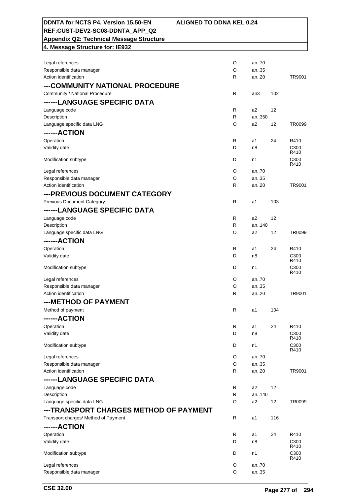| DDNTA for NCTS P4. Version 15.50-EN<br><b>ALIGNED TO DDNA KEL 0.24</b> |              |                         |     |              |
|------------------------------------------------------------------------|--------------|-------------------------|-----|--------------|
| REF:CUST-DEV2-SC08-DDNTA_APP_Q2                                        |              |                         |     |              |
| <b>Appendix Q2: Technical Message Structure</b>                        |              |                         |     |              |
| 4. Message Structure for: IE932                                        |              |                         |     |              |
|                                                                        |              |                         |     |              |
| Legal references                                                       | O            | an70                    |     |              |
| Responsible data manager                                               | O            | an35                    |     |              |
| Action identification                                                  | $\mathsf{R}$ | an20                    |     | TR9001       |
| ---COMMUNITY NATIONAL PROCEDURE                                        |              |                         |     |              |
| Community / National Procedure                                         | R            | an3                     | 102 |              |
| ------LANGUAGE SPECIFIC DATA                                           |              |                         |     |              |
| Language code                                                          | R            | a2                      | 12  |              |
| Description                                                            | R            | an350                   |     |              |
| Language specific data LNG                                             | O            | a2                      | 12  | TR0099       |
| ------ACTION                                                           |              |                         |     |              |
| Operation                                                              | R            | a1                      | 24  | R410         |
| Validity date                                                          | D            | n8                      |     | C300<br>R410 |
| Modification subtype                                                   | D            | n1                      |     | C300         |
|                                                                        |              |                         |     | R410         |
| Legal references                                                       | O            | an.70                   |     |              |
| Responsible data manager                                               | O            | an35                    |     |              |
| Action identification                                                  | R            | an20                    |     | TR9001       |
| --- PREVIOUS DOCUMENT CATEGORY                                         |              |                         |     |              |
| <b>Previous Document Category</b>                                      | R            | a1                      | 103 |              |
| ------LANGUAGE SPECIFIC DATA                                           |              |                         |     |              |
| Language code                                                          | R            | a <sub>2</sub>          | 12  |              |
| Description                                                            | R            | an140                   |     |              |
| Language specific data LNG                                             | O            | a <sub>2</sub>          | 12  | TR0099       |
| ------ACTION                                                           |              |                         |     |              |
| Operation                                                              | $\mathsf{R}$ | a1                      | 24  | R410         |
| Validity date                                                          | D            | n8                      |     | C300<br>R410 |
| Modification subtype                                                   | D            | n1                      |     | C300         |
|                                                                        |              |                         |     | R410         |
| Legal references                                                       | O            | an.70                   |     |              |
| Responsible data manager                                               | O            | an35                    |     |              |
| Action identification                                                  | R            | an20                    |     | TR9001       |
| ---METHOD OF PAYMENT                                                   |              |                         |     |              |
| Method of payment                                                      | R            | a1                      | 104 |              |
| ------ACTION                                                           |              |                         |     |              |
| Operation                                                              | R            | a1                      | 24  | R410         |
| Validity date                                                          | D            | n8                      |     | C300<br>R410 |
| Modification subtype                                                   | D            | n1                      |     | C300         |
|                                                                        |              |                         |     | R410         |
| Legal references                                                       | O            | an.70                   |     |              |
| Responsible data manager<br>Action identification                      | O            | an35                    |     |              |
|                                                                        | R            | an20                    |     | TR9001       |
| ------LANGUAGE SPECIFIC DATA                                           |              |                         |     |              |
| Language code                                                          | R            | a <sub>2</sub>          | 12  |              |
| Description<br>Language specific data LNG                              | R<br>O       | an140<br>a <sub>2</sub> | 12  | TR0099       |
|                                                                        |              |                         |     |              |
| ---TRANSPORT CHARGES METHOD OF PAYMENT                                 |              |                         |     |              |
| Transport charges/ Method of Payment                                   | R            | a1                      | 116 |              |
| ------ACTION                                                           |              |                         |     |              |
| Operation                                                              | R            | a1                      | 24  | R410         |
| Validity date                                                          | D            | n8                      |     | C300<br>R410 |
| Modification subtype                                                   | D            | n1                      |     | C300         |
|                                                                        |              |                         |     | R410         |
| Legal references                                                       | O<br>O       | an70                    |     |              |
| Responsible data manager                                               |              | an35                    |     |              |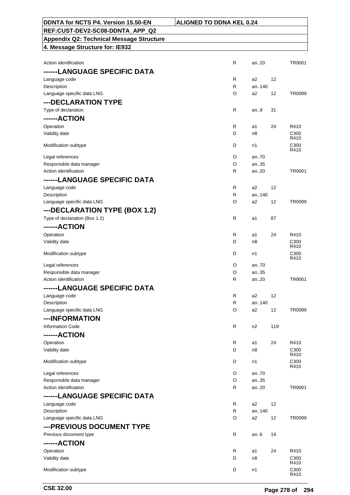| DDNTA for NCTS P4. Version 15.50-EN               | <b>ALIGNED TO DDNA KEL 0.24</b>   |     |                          |
|---------------------------------------------------|-----------------------------------|-----|--------------------------|
| REF:CUST-DEV2-SC08-DDNTA_APP_Q2                   |                                   |     |                          |
| <b>Appendix Q2: Technical Message Structure</b>   |                                   |     |                          |
| 4. Message Structure for: IE932                   |                                   |     |                          |
|                                                   |                                   |     |                          |
| Action identification                             | R<br>an20                         |     | TR9001                   |
| ------LANGUAGE SPECIFIC DATA                      |                                   |     |                          |
| Language code                                     | R<br>a <sub>2</sub>               | 12  |                          |
| Description                                       | R<br>an140                        |     |                          |
| Language specific data LNG                        | O<br>a2                           | 12  | TR0099                   |
| ---DECLARATION TYPE                               |                                   |     |                          |
| Type of declaration                               | R<br>an.9                         | 31  |                          |
| ------ACTION                                      |                                   |     |                          |
| Operation                                         | R<br>a1                           | 24  | R410                     |
| Validity date                                     | D<br>n8                           |     | C <sub>300</sub>         |
| Modification subtype                              | D<br>n1                           |     | R410<br>C <sub>300</sub> |
|                                                   |                                   |     | R410                     |
| Legal references                                  | O<br>an.70                        |     |                          |
| Responsible data manager                          | O<br>an.35                        |     |                          |
| Action identification                             | an20<br>R                         |     | TR9001                   |
| ------LANGUAGE SPECIFIC DATA                      |                                   |     |                          |
| Language code                                     | $\mathsf{R}$<br>a <sub>2</sub>    | 12  |                          |
| Description                                       | R<br>an140<br>O<br>a <sub>2</sub> | 12  | TR0099                   |
| Language specific data LNG                        |                                   |     |                          |
| ---DECLARATION TYPE (BOX 1.2)                     |                                   |     |                          |
| Type of declaration (Box 1.2)                     | $\mathsf{R}$<br>a1                | 87  |                          |
| ------ACTION                                      |                                   |     |                          |
| Operation<br>Validity date                        | R<br>a1<br>D<br>n8                | 24  | R410<br>C <sub>300</sub> |
|                                                   |                                   |     | R410                     |
| Modification subtype                              | D<br>n1                           |     | C300<br>R410             |
| Legal references                                  | O<br>an70                         |     |                          |
| Responsible data manager                          | O<br>an35                         |     |                          |
| Action identification                             | R<br>an20                         |     | TR9001                   |
| ------LANGUAGE SPECIFIC DATA                      |                                   |     |                          |
| Language code                                     | R<br>a2                           | 12  |                          |
| Description                                       | R<br>an140                        |     |                          |
| Language specific data LNG                        | O<br>a2                           | 12  | TR0099                   |
| ---INFORMATION                                    |                                   |     |                          |
| <b>Information Code</b>                           | R<br>n <sub>2</sub>               | 119 |                          |
| ------ACTION                                      |                                   |     |                          |
| Operation                                         | $\mathsf{R}$<br>a1                | 24  | R410                     |
| Validity date                                     | D<br>n8                           |     | C <sub>300</sub><br>R410 |
| Modification subtype                              | D<br>n1                           |     | C300                     |
|                                                   |                                   |     | R410                     |
| Legal references                                  | O<br>an70                         |     |                          |
| Responsible data manager<br>Action identification | O<br>an35<br>R<br>an20            |     | TR9001                   |
|                                                   |                                   |     |                          |
| ------LANGUAGE SPECIFIC DATA                      |                                   |     |                          |
| Language code<br>Description                      | R<br>a2<br>R<br>an140             | 12  |                          |
| Language specific data LNG                        | O<br>a2                           | 12  | TR0099                   |
| --- PREVIOUS DOCUMENT TYPE                        |                                   |     |                          |
| Previous document type                            | $\mathsf{R}$<br>an $6$            | 14  |                          |
| ------ACTION                                      |                                   |     |                          |
| Operation                                         | $\mathsf{R}$<br>a1                | 24  | R410                     |
| Validity date                                     | D<br>n8                           |     | C300                     |
|                                                   |                                   |     | R410                     |
| Modification subtype                              | D<br>n1                           |     | C300<br>R410             |

I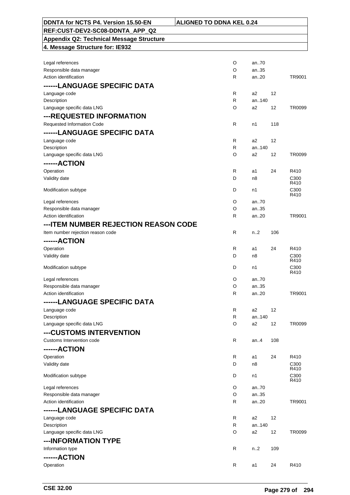| DDNTA for NCTS P4. Version 15.50-EN             | <b>ALIGNED TO DDNA KEL 0.24</b> |                |     |                          |
|-------------------------------------------------|---------------------------------|----------------|-----|--------------------------|
| REF:CUST-DEV2-SC08-DDNTA APP Q2                 |                                 |                |     |                          |
| <b>Appendix Q2: Technical Message Structure</b> |                                 |                |     |                          |
| 4. Message Structure for: IE932                 |                                 |                |     |                          |
|                                                 |                                 |                |     |                          |
| Legal references                                | O                               | an70           |     |                          |
| Responsible data manager                        | O                               | an35           |     |                          |
| Action identification                           | R                               | an20           |     | TR9001                   |
| ------LANGUAGE SPECIFIC DATA                    |                                 |                |     |                          |
| Language code                                   | R                               | a <sub>2</sub> | 12  |                          |
| Description                                     | R                               | an140          |     |                          |
| Language specific data LNG                      | O                               | a2             | 12  | TR0099                   |
| ---REQUESTED INFORMATION                        |                                 |                |     |                          |
| Requested Information Code                      | R                               | n1             | 118 |                          |
|                                                 |                                 |                |     |                          |
| ------LANGUAGE SPECIFIC DATA                    |                                 |                |     |                          |
| Language code                                   | $\mathsf{R}$                    | a <sub>2</sub> | 12  |                          |
| Description                                     | $\mathsf{R}$                    | an140          |     | TR0099                   |
| Language specific data LNG                      | O                               | a <sub>2</sub> | 12  |                          |
| ------ACTION                                    |                                 |                |     |                          |
| Operation                                       | R                               | a1             | 24  | R410                     |
| Validity date                                   | D                               | n <sub>8</sub> |     | C <sub>300</sub><br>R410 |
| Modification subtype                            | D                               | n1             |     | C300                     |
|                                                 |                                 |                |     | R410                     |
| Legal references                                | O                               | an.70          |     |                          |
| Responsible data manager                        | O                               | an35           |     |                          |
| Action identification                           | R                               | an20           |     | TR9001                   |
| --- ITEM NUMBER REJECTION REASON CODE           |                                 |                |     |                          |
| Item number rejection reason code               | $\mathsf{R}$                    | n2             | 106 |                          |
| ------ACTION                                    |                                 |                |     |                          |
| Operation                                       | R                               | a1             | 24  | R410                     |
| Validity date                                   | D                               | n <sub>8</sub> |     | C <sub>300</sub>         |
| Modification subtype                            | D                               | n1             |     | R410<br>C300             |
|                                                 |                                 |                |     | R410                     |
| Legal references                                | O                               | an.70          |     |                          |
| Responsible data manager                        | O                               | an35           |     |                          |
| Action identification                           | R                               | an20           |     | TR9001                   |
| ------LANGUAGE SPECIFIC DATA                    |                                 |                |     |                          |
| Language code                                   | $\mathsf{R}$                    | a2             | 12  |                          |
| Description                                     | $\mathsf{R}$                    | an140          |     |                          |
| Language specific data LNG                      | O                               | a2             | 12  | <b>TR0099</b>            |
| ---CUSTOMS INTERVENTION                         |                                 |                |     |                          |
| Customs Intervention code                       | R                               | an $4$         | 108 |                          |
| ------ACTION                                    |                                 |                |     |                          |
| Operation                                       | R                               | a1             | 24  | R410                     |
| Validity date                                   | D                               | n8             |     | C <sub>300</sub>         |
|                                                 |                                 |                |     | R410                     |
| Modification subtype                            | D                               | n1             |     | C <sub>300</sub><br>R410 |
| Legal references                                | O                               | an70           |     |                          |
| Responsible data manager                        | O                               | an35           |     |                          |
| Action identification                           | R                               | an20           |     | TR9001                   |
| ------LANGUAGE SPECIFIC DATA                    |                                 |                |     |                          |
| Language code                                   | R                               | a <sub>2</sub> | 12  |                          |
| Description                                     | R                               | an140          |     |                          |
| Language specific data LNG                      | O                               | a2             | 12  | TR0099                   |
| ---INFORMATION TYPE                             |                                 |                |     |                          |
| Information type                                | R                               | n <sub>2</sub> | 109 |                          |
| ------ACTION                                    |                                 |                |     |                          |
| Operation                                       | R                               | a1             | 24  | R410                     |
|                                                 |                                 |                |     |                          |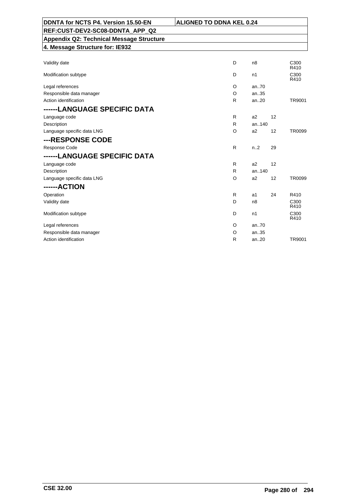| DDNTA for NCTS P4. Version 15.50-EN             | <b>ALIGNED TO DDNA KEL 0.24</b> |                  |    |                          |
|-------------------------------------------------|---------------------------------|------------------|----|--------------------------|
| REF:CUST-DEV2-SC08-DDNTA APP Q2                 |                                 |                  |    |                          |
| <b>Appendix Q2: Technical Message Structure</b> |                                 |                  |    |                          |
| 4. Message Structure for: IE932                 |                                 |                  |    |                          |
|                                                 |                                 |                  |    |                          |
| Validity date                                   | D                               | n8               |    | C <sub>300</sub><br>R410 |
| Modification subtype                            | D                               | n1               |    | C300<br>R410             |
| Legal references                                | O                               | an.70            |    |                          |
| Responsible data manager                        | O                               | an.35            |    |                          |
| Action identification                           | R                               | an.20            |    | TR9001                   |
| ------LANGUAGE SPECIFIC DATA                    |                                 |                  |    |                          |
| Language code                                   | R                               | a2               | 12 |                          |
| Description                                     | R                               | an140            |    |                          |
| Language specific data LNG                      | $\circ$                         | a2               | 12 | TR0099                   |
| <b>---RESPONSE CODE</b>                         |                                 |                  |    |                          |
| <b>Response Code</b>                            | R                               | n <sub>1</sub> 2 | 29 |                          |
| ------LANGUAGE SPECIFIC DATA                    |                                 |                  |    |                          |
| Language code                                   | R                               | a2               | 12 |                          |
| Description                                     | R                               | an140            |    |                          |
| Language specific data LNG                      | O                               | a2               | 12 | TR0099                   |
| ------ACTION                                    |                                 |                  |    |                          |
| Operation                                       | R                               | a1               | 24 | R410                     |
| Validity date                                   | D                               | n <sub>8</sub>   |    | C300<br>R410             |
| Modification subtype                            | D                               | n1               |    | C300<br>R410             |
| Legal references                                | O                               | an.70            |    |                          |
| Responsible data manager                        | $\circ$                         | an35             |    |                          |
| Action identification                           | R                               | an.20            |    | TR9001                   |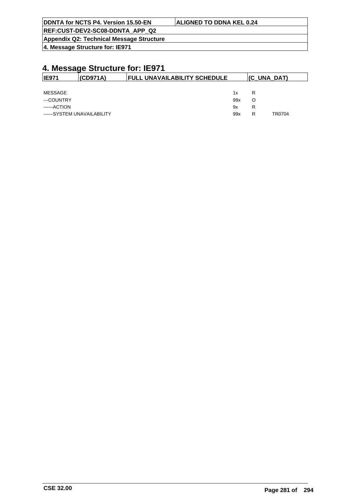| DDNTA for NCTS P4. Version 15.50-EN    | <b>ALIGNED TO DDNA KEL 0.24</b> |
|----------------------------------------|---------------------------------|
| <b>REF:CUST-DEV2-SC08-DDNTA APP Q2</b> |                                 |

**Appendix Q2: Technical Message Structure**

**4. Message Structure for: IE971**

| <b>IE971</b>                | (CD971A) | <b>FULL UNAVAILABILITY SCHEDULE</b> |     |   | (C UNA DAT) |
|-----------------------------|----------|-------------------------------------|-----|---|-------------|
|                             |          |                                     |     |   |             |
| MESSAGE                     |          |                                     | 1x  | R |             |
| ---COUNTRY                  |          |                                     | 99x | O |             |
| ------ACTION                |          |                                     | 9x  | R |             |
| ------SYSTEM UNAVAILABILITY |          |                                     | 99x | R | TR0704      |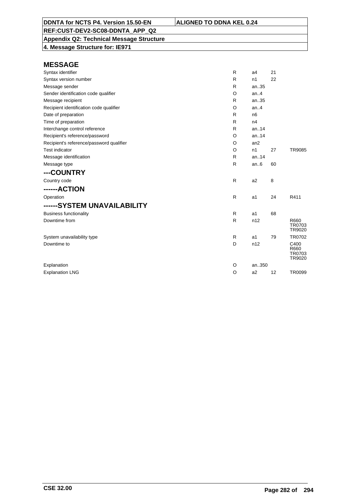# **REF:CUST-DEV2-SC08-DDNTA\_APP\_Q2**

**Appendix Q2: Technical Message Structure**

**4. Message Structure for: IE971**

| Syntax identifier                        | R | a4             | 21 |                                  |
|------------------------------------------|---|----------------|----|----------------------------------|
| Syntax version number                    | R | n1             | 22 |                                  |
| Message sender                           | R | an35           |    |                                  |
| Sender identification code qualifier     | O | an.4           |    |                                  |
| Message recipient                        | R | an35           |    |                                  |
| Recipient identification code qualifier  | O | an.4           |    |                                  |
| Date of preparation                      | R | n <sub>6</sub> |    |                                  |
| Time of preparation                      | R | n4             |    |                                  |
| Interchange control reference            | R | an.14          |    |                                  |
| Recipient's reference/password           | O | an.14          |    |                                  |
| Recipient's reference/password qualifier | O | an2            |    |                                  |
| <b>Test indicator</b>                    | O | n1             | 27 | <b>TR9085</b>                    |
| Message identification                   | R | an.14          |    |                                  |
| Message type                             | R | an.6           | 60 |                                  |
| ---COUNTRY                               |   |                |    |                                  |
| Country code                             | R | a2             | 8  |                                  |
| ------ACTION                             |   |                |    |                                  |
| Operation                                | R | a1             | 24 | R411                             |
| ------SYSTEM UNAVAILABILITY              |   |                |    |                                  |
| <b>Business functionality</b>            | R | a1             | 68 |                                  |
| Downtime from                            | R | n12            |    | R660<br>TR0703<br>TR9020         |
| System unavailability type               | R | a1             | 79 | TR0702                           |
| Downtime to                              | D | n12            |    | C400<br>R660<br>TR0703<br>TR9020 |
| Explanation                              | O | an350          |    |                                  |
| <b>Explanation LNG</b>                   | O | a <sub>2</sub> | 12 | TR0099                           |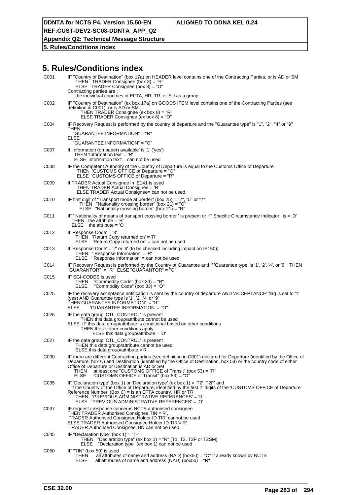**REF:CUST-DEV2-SC08-DDNTA\_APP\_Q2**

**Appendix Q2: Technical Message Structure**

**5. Rules/Conditions index**

| C001 | IF "Country of Destination" (box 17a) on HEADER level contains one of the Contracting Parties, or is AD or SM<br>THEN TRADER Consignee (box $8$ ) = "R"<br>ELSE TRADER Consignee (box $8$ ) = "O"<br>Contracting parties are:<br>the individual countries of EFTA, HR, TR, or EU as a group.                                                                                                                                   |
|------|--------------------------------------------------------------------------------------------------------------------------------------------------------------------------------------------------------------------------------------------------------------------------------------------------------------------------------------------------------------------------------------------------------------------------------|
| C002 | IF "Country of Destination" (ex box 17a) on GOODS ITEM level contains one of the Contracting Parties (see<br>definition in C001), or is AD or SM<br>THEN TRADER Consignee (ex box 8) = "R"<br>ELSE TRADER Consignee (ex box 8) = "O"                                                                                                                                                                                           |
| C004 | IF Recovery Request is performed by the country of departure and the "Guarantee type" is "1", "2", "4" or "9"<br>THEN<br>"GUARANTEE INFORMATION" = "R"                                                                                                                                                                                                                                                                         |
|      | <b>ELSE</b><br>"GUARANTEE INFORMATION" = "O"                                                                                                                                                                                                                                                                                                                                                                                   |
| C007 | If 'Information (on paper) available' is '1' ('yes')<br>THEN 'Information text' = $'R'$<br>$E LSE$ 'Information text' = can not be used                                                                                                                                                                                                                                                                                        |
| C008 | IF the Competent Authority of the Country of Departure is equal to the Customs Office of Departure<br>THEN 'CUSTOMS OFFICE of Departure = "O"<br>ELSE 'CUSTOMS OFFICE of Departure = "R"                                                                                                                                                                                                                                       |
| C009 | If TRADER Actual Consignee in IE141 is used<br>THEN TRADER Actual Consignee = 'R'<br>ELSE TRADER Actual Consignee= can not be used.                                                                                                                                                                                                                                                                                            |
| C010 | IF first digit of "Transport mode at border" (box 25) = "2", "5" or "7"<br>THEN "Nationality crossing border" (box $21$ ) = "O"<br>ELSE "Nationality crossing border" (box $21$ ) = "R"                                                                                                                                                                                                                                        |
| C011 | IF 'Nationality of means of transport crossing border ' is present or if ' Specific Circumstance Indicator ' is = 'D'<br>THEN the attribute $=$ 'R'<br>$ELSE$ the attribute = 'O'                                                                                                                                                                                                                                              |
| C012 | If 'Response Code' = '3'<br>THEN 'Return Copy returned on' = 'R'<br>$E LSE$ 'Return Copy returned on' = can not be used                                                                                                                                                                                                                                                                                                        |
| C013 | If 'Response Code' = '2' or '4' (to be checked including impact on IE150))<br>THEN 'Response Information' = 'R'<br>$E LSE$ 'Response Information' = can not be used                                                                                                                                                                                                                                                            |
| C014 | IF Recovery Request is performed by the Country of Guarantee and if 'Guarantee type' is '1', '2', '4', or '9' THEN<br>"GUARANTOR" = "R" ELSE "GUARANTOR" = "O"                                                                                                                                                                                                                                                                 |
| C015 | IF SGI-CODES is used<br>"Commodity Code" (box 33) = "R"<br>"Commodity Code" (box 33) = "O"<br>THEN<br>ELSE                                                                                                                                                                                                                                                                                                                     |
| C025 | IF the recovery acceptance notification is sent by the country of departure AND 'ACCEPTANCE' flag is set to '1'<br>(yes) AND Guarantee type is '1', '2', '4' or '9'<br>THEN 'GUARANTEE INFORMATION' = "R"<br>'GUARANTEE INFORMATION' = "O"<br>ELSE                                                                                                                                                                             |
| C026 | IF the data group 'CTL_CONTROL' is present<br>THEN this data group/attribute cannot be used<br>ELSE IF this data group/attribute is conditional based on other conditions<br>THEN these other conditions apply<br>ELSE this data group/attribute = $'O'$                                                                                                                                                                       |
| C027 | IF the data group 'CTL_CONTROL' is present<br>THEN this data group/attribute cannot be used<br>$E LSE$ this data group/attribute ='R'                                                                                                                                                                                                                                                                                          |
| C030 | IF there are different Contracting parties (see definition in C001) declared for Departure (identified by the Office of<br>Departure, box C) and Destination (identified by the Office of Destination, box 53) or the country code of either<br>Office of Departure or Destination is AD or SM<br>at least one "CUSTOMS OFFICE of Transit" (box 53) = "R"<br>THEN<br>"CUSTOMS OFFICE of Transit" (box 53) = "O"<br><b>ELSE</b> |
| C035 | IF 'Declaration type' (box 1) or 'Declaration type' (ex box 1) = 'T2', 'T2F' and<br>if the Country of the Office of Departure, identified by the first 2 digits of the 'CUSTOMS OFFICE of Departure<br>Reference Number' (Box C) = is an EFTA country, HR or TR<br>THEN 'PREVIOUS ADMINISTRATIVE REFERENCES' = 'R'<br>ELSE 'PREVIOUS ADMINISTRATIVE REFERENCES' = 'O'                                                          |
| C037 | IF request / response concerns NCTS authorised consignee<br>THEN 'TRADER Authorised Consignee.TIN ='R',<br>'TRADER Authorised Consignee.Holder ID TIR' cannot be used<br>ELSE 'TRADER Authorised Consignee.Holder ID TIR'='R'<br>'TRADER Authorised Consignee.TIN can not be used.                                                                                                                                             |
| C045 | IF "Declaration type" (box 1) = "T-"<br>THEN "Declaration type" (ex box 1) = "R" (T1, T2, T2F or T2SM)<br>"Declaration type" (ex box 1) can not be used<br>ELSE                                                                                                                                                                                                                                                                |
| C050 | IF "TIN" (box 50) is used<br>all attributes of name and address (NAD) (box50) = " $O$ " if already known by NCTS<br>THEN<br>ELSE<br>all attributes of name and address (NAD) (box50) = "R"                                                                                                                                                                                                                                     |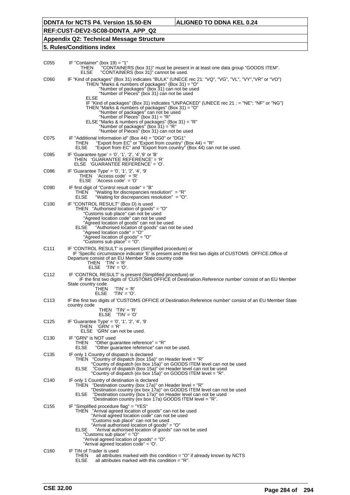**REF:CUST-DEV2-SC08-DDNTA\_APP\_Q2**

## **Appendix Q2: Technical Message Structure**

| C055 | IF "Container" (box $19$ ) = "1"<br>"CONTAINERS (box 31)" must be present in at least one data group "GOODS ITEM".<br>THEN<br><b>ELSE</b><br>"CONTAINERS (box 31)" cannot be used.                                                                                                                                                                                                                                                     |
|------|----------------------------------------------------------------------------------------------------------------------------------------------------------------------------------------------------------------------------------------------------------------------------------------------------------------------------------------------------------------------------------------------------------------------------------------|
| C060 | IF "Kind of packages" (Box 31) indicates "BULK" (UNECE rec 21: "VQ", "VG", "VL", "VY","VR" or "VO")<br>THEN "Marks & numbers of packages" (Box 31) = "O"<br>"Number of packages" (box 31) can not be used<br>"Number of Pieces" (box 31) can not be used                                                                                                                                                                               |
|      | <b>ELSE</b><br>IF "Kind of packages" (Box 31) indicates "UNPACKED" (UNECE rec 21 : = "NE"; "NF" or "NG")<br>THEN "Marks & numbers of packages" (Box 31) = "O"<br>"Number of packages" can not be used<br>"Number of Pieces" (box $31$ ) = "R"<br>ELSE "Marks & numbers of packages" (Box 31) = "R"<br>"Number of packages" (box $31$ ) = "R"<br>"Number of Pieces" (box 31) can not be used                                            |
| C075 | IF "Additional Information id" (Box 44) = "DG0" or "DG1"<br>"Export from EC" or "Export from country" (Box 44) = "R"<br>THEN<br><b>ELSE</b><br>"Export from EC" and "Export from country" (Box 44) can not be used.                                                                                                                                                                                                                    |
| C085 | IF 'Guarantee type' = '0', '1', '2', '4', '9' or 'B'<br>THEN 'GUARANTEE REFERENCE'= 'R'<br>ELSE 'GUARANTEE REFERENCE' = 'O'.                                                                                                                                                                                                                                                                                                           |
| C086 | IF 'Guarantee Type' = '0', '1', '2', '4', '9'<br>$THEN$ 'Access code' = 'R'<br>$ELSE$ 'Access code' = 'O'                                                                                                                                                                                                                                                                                                                              |
| C090 | IF first digit of "Control result code" $=$ "B"<br>THEN<br>"Waiting for discrepancies resolution" = "R"<br><b>ELSE</b><br>"Waiting for discrepancies resolution" = "O".                                                                                                                                                                                                                                                                |
| C100 | IF "CONTROL RESULT" (Box D) is used<br>THEN "Authorised location of goods" = "O"<br>"Customs sub place" can not be used<br>"Agreed location code" can not be used<br>"Agreed location of goods" can not be used<br>"Authorised location of goods" can not be used<br>ELSE<br>"Agreed location code" = "O"<br>"Agreed location of goods" = "O"<br>"Customs sub place" = "O".                                                            |
| C111 | IF 'CONTROL RESULT' is present (Simplified procedure) or<br>IF 'Specific circumstance indicator 'E' is present and the first two digits of CUSTOMS OFFICE. Office of<br>Departure consist of an EU Member State country code<br>"TIN' = 'R'<br>THEN<br>$ELSE$ 'TIN' = 'O'.                                                                                                                                                             |
| C112 | IF 'CONTROL RESULT' is present (Simplified procedure) or<br>IF the first two digits of 'CUSTOMS OFFICE of Destination. Reference number' consist of an EU Member<br>State country code<br>THEN<br>$TIN' = 'R'$<br><b>ELSE</b><br>$'TIN' = 'O'.$                                                                                                                                                                                        |
| C113 | IF the first two digits of 'CUSTOMS OFFICE of Destination.Reference number' consist of an EU Member State                                                                                                                                                                                                                                                                                                                              |
|      | country code<br>THEN $'TIN' = 'R'$<br>ELSE<br>'TIN' = 'O'                                                                                                                                                                                                                                                                                                                                                                              |
| C125 | IF 'Guarantee Type' = '0', '1', '2', '4', '9'<br>THEN 'GRN'='R'<br>ELSE 'GRN' can not be used.                                                                                                                                                                                                                                                                                                                                         |
| C130 | IF "GRN" is NOT used<br>"Other guarantee reference" = "R"<br>THEN<br>ELSE<br>"Other guarantee reference" can not be used.                                                                                                                                                                                                                                                                                                              |
| C135 | IF only 1 Country of dispatch is declared<br>THEN "Country of dispatch (box 15a)" on Header level = "R"<br>"Country of dispatch (ex box 15a)" on GOODS ITEM level can not be used<br>"Country of dispatch (box 15a)" on Header level can not be used<br>ELSE<br>"Country of dispatch (ex box 15a)" on GOODS ITEM level = "R".                                                                                                          |
| C140 | IF only 1 Country of destination is declared<br>THEN "Destination country (box 17a)" on Header level = "R"<br>"Destination country (ex box 17a)" on GOODS ITEM level can not be used<br>ELSE<br>"Destination country (box 17a)" on Header level can not be used<br>"Destination country (ex box 17a) GOODS ITEM level = "R".                                                                                                           |
| C155 | IF "Simplified procedure flag" = "YES"<br>THEN "Arrival agreed location of goods" can not be used<br>"Arrival agreed location code" can not be used<br>"Customs sub place" can not be used<br>"Arrival authorised location of goods" = "O"<br><b>ELSE</b><br>"Arrival authorised location of goods" can not be used<br>"Customs sub place" = "O"<br>"Arrival agreed location of goods" = "O".<br>"Arrival agreed location code" = 'O'. |
| C160 | IF TIN of Trader is used<br>all attributes marked with this condition $=$ "O" if already known by NCTS<br>THEN<br>all attributes marked with this condition $=$ "R".<br><b>ELSE</b>                                                                                                                                                                                                                                                    |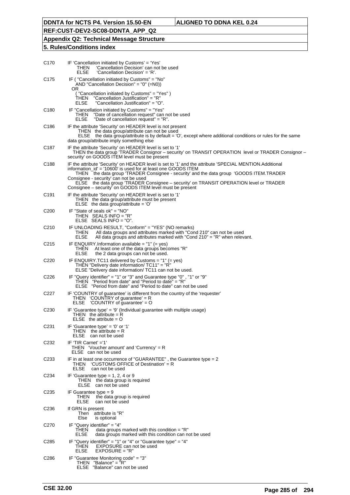## **REF:CUST-DEV2-SC08-DDNTA\_APP\_Q2**

## **Appendix Q2: Technical Message Structure**

| C <sub>170</sub> | IF 'Cancellation initiated by Customs' = 'Yes'<br>THEN<br>'Cancellation Decision' can not be used<br>ELSE<br>'Cancellation Decision' = 'R'.                                                                                                                                                                                                                                                                                                                        |
|------------------|--------------------------------------------------------------------------------------------------------------------------------------------------------------------------------------------------------------------------------------------------------------------------------------------------------------------------------------------------------------------------------------------------------------------------------------------------------------------|
| C175             | IF ("Cancellation initiated by Customs" = "No"<br>AND "Cancellation Decision" = "0" $(=N0)$ )<br>OR.                                                                                                                                                                                                                                                                                                                                                               |
|                  | ( "Cancellation initiated by Customs" = "Yes" )<br>"Cancellation Justification" = "R"<br>THEN<br>ELSE<br>"Cancellation Justification" = "O".                                                                                                                                                                                                                                                                                                                       |
| C <sub>180</sub> | IF "Cancellation initiated by Customs" = "Yes"<br>THEN<br>"Date of cancellation request" can not be used<br>ELSE<br>"Date of cancellation request" = "R".                                                                                                                                                                                                                                                                                                          |
| C <sub>186</sub> | IF the attribute 'Security' on HEADER level is not present<br>THEN the data group/attribute can not be used<br>ELSE the data group/attribute is by default = 'O', except where additional conditions or rules for the same<br>data group/attribute imply something else                                                                                                                                                                                            |
| C187             | IF the attribute 'Security' on HEADER level is set to '1'<br>THEN the data group 'TRADER Consignor – security' on TRANSIT OPERATION level or TRADER Consignor –<br>security' on GOODS ITEM level must be present                                                                                                                                                                                                                                                   |
| C <sub>188</sub> | IF the attribute 'Security' on HEADER level is set to '1' and the attribute 'SPECIAL MENTION.Additional<br>information_id' = '10600' is used for at least one GOODS ITEM<br>THEN the data group 'TRADER Consignee - security' and the data group 'GOODS ITEM.TRADER<br>Consignee - security' can not be used<br>ELSE the data group 'TRADER Consignee - security' on TRANSIT OPERATION level or TRADER<br>Consignee – security on GOODS ITEM level must be present |
| C <sub>191</sub> | IF the attribute 'Security' on HEADER level is set to '1'<br>THEN the data group/attribute must be present<br>ELSE the data group/attribute = $'O'$                                                                                                                                                                                                                                                                                                                |
| C <sub>200</sub> | IF "State of seals ok" = "NO"<br>THEN SEALS INFO = $"R"$<br>ELSE SEALS $INFO = "O".$                                                                                                                                                                                                                                                                                                                                                                               |
| C <sub>210</sub> | IF UNLOADING RESULT, "Conform" = "YES" (NO remarks)<br>THEN<br>All data groups and attributes marked with "Cond 210" can not be used<br>ELSE<br>All data groups and attributes marked with "Cond $210" = "R"$ when relevant.                                                                                                                                                                                                                                       |
| C <sub>215</sub> | IF ENQUIRY.Information available = $"1" (= yes)$<br>THEN<br>At least one of the data groups becomes "R"<br>ELSE<br>the 2 data groups can not be used.                                                                                                                                                                                                                                                                                                              |
| C <sub>220</sub> | IF ENQUIRY.TC11 delivered by Customs = "1" (= yes)<br>THEN "Delivery date information/ TC11" = "R"<br>ELSE "Delivery date information/TC11 can not be used.                                                                                                                                                                                                                                                                                                        |
| C <sub>226</sub> | IF "Query identifier" = "1" or "3" and Guarantee type "0", "1" or "9"<br>THEN "Period from date" and "Period to date" = "R"<br>ELSE "Period from date" and "Period to date" can not be used                                                                                                                                                                                                                                                                        |
| C227             | IF 'COUNTRY of guarantee' is different from the country of the 'requester'<br>THEN $^{\circ}$ COUNTRY of guarantee' = R<br>ELSE 'COUNTRY of guarantee' = $O$                                                                                                                                                                                                                                                                                                       |
| C <sub>230</sub> | IF 'Guarantee type' = '9' (Individual guarantee with multiple usage)<br>THEN the attribute $=$ R<br>ELSE the attribute $=$ O                                                                                                                                                                                                                                                                                                                                       |
| C231             | IF 'Guarantee type' = '0' or '1'<br>THEN the attribute $= R$<br>ELSE<br>can not be used                                                                                                                                                                                                                                                                                                                                                                            |
| C <sub>232</sub> | IF 'TIR Carnet' ='1'<br>THEN 'Voucher amount' and 'Currency' = $R$<br>ELSE can not be used                                                                                                                                                                                                                                                                                                                                                                         |
| C <sub>233</sub> | IF in at least one occurrence of "GUARANTEE", the Guarantee type = 2<br>THEN 'CUSTOMS OFFICE of Destination' = R<br>ELSE<br>can not be used                                                                                                                                                                                                                                                                                                                        |
| C234             | IF 'Guarantee type = 1, 2, 4 or 9<br>THEN the data group is required<br>ELSE can not be used                                                                                                                                                                                                                                                                                                                                                                       |
| C <sub>235</sub> | IF Guarantee type $= 9$<br>the data group is required<br>THEN<br>ELSE<br>can not be used                                                                                                                                                                                                                                                                                                                                                                           |
| C <sub>236</sub> | If GRN is present<br>Then attribute is "R"<br>Else<br>is optional                                                                                                                                                                                                                                                                                                                                                                                                  |
| C <sub>270</sub> | IF "Query identifier" = "4"<br>THEN<br>data groups marked with this condition $=$ "R"<br>ELSE<br>data groups marked with this condition can not be used                                                                                                                                                                                                                                                                                                            |
| C <sub>285</sub> | IF "Query identifier" = "1" or "4" or "Guarantee type" = "4"<br>THEN<br>EXPOSURE can not be used<br>ELSE<br>$EXPOSURE = "R"$                                                                                                                                                                                                                                                                                                                                       |
| C <sub>286</sub> | IF "Guarantee Monitoring code" = "3"<br>THEN "Balance" = $\text{F}R$ "<br>ELSE "Balance" can not be used                                                                                                                                                                                                                                                                                                                                                           |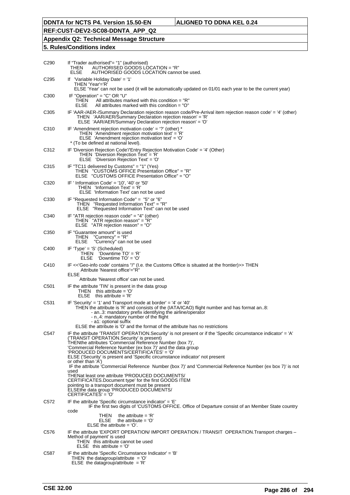## **REF:CUST-DEV2-SC08-DDNTA\_APP\_Q2**

**Appendix Q2: Technical Message Structure**

| C <sub>290</sub> | If "Trader authorised"= "1" (authorised)<br>THEN<br>AUTHORISED GOODS LOCATION = "R"<br>ELSE<br>AUTHORISED GOODS LOCATION cannot be used.                                                                                                                                                                                                                                                                                                                                                                                                                                                                                                                                                                                                                                                             |
|------------------|------------------------------------------------------------------------------------------------------------------------------------------------------------------------------------------------------------------------------------------------------------------------------------------------------------------------------------------------------------------------------------------------------------------------------------------------------------------------------------------------------------------------------------------------------------------------------------------------------------------------------------------------------------------------------------------------------------------------------------------------------------------------------------------------------|
| C <sub>295</sub> | If 'Variable Holiday Date' = '1'<br>THEN 'Year'='R'<br>ELSE 'Year' can not be used (it will be automatically updated on 01/01 each year to be the current year)                                                                                                                                                                                                                                                                                                                                                                                                                                                                                                                                                                                                                                      |
| C <sub>300</sub> | IF "Operation" = "C" OR "U"<br>All attributes marked with this condition $=$ "R"<br>THEN<br><b>ELSE</b><br>All attributes marked with this condition $=$ "O"                                                                                                                                                                                                                                                                                                                                                                                                                                                                                                                                                                                                                                         |
| C <sub>305</sub> | IF 'AAR-/AER-/Summary Declaration rejection reason code/Pre-Arrival item rejection reason code' = '4' (other)<br>THEN 'AAR/AER/Summary Declaration rejection reason' = 'R'<br>ELSE 'AAR/AER/Summary Declaration rejection reason' = 'O'                                                                                                                                                                                                                                                                                                                                                                                                                                                                                                                                                              |
| C <sub>310</sub> | IF 'Amendment rejection motivation code' = '?' (other) $*$<br>THEN 'Amendment rejection motivation text' = 'R'<br>ELSE 'Amendment rejection motivation text' = 'O'<br>* (To be defined at national level).                                                                                                                                                                                                                                                                                                                                                                                                                                                                                                                                                                                           |
| C312             | IF 'Diversion Rejection Code'/'Entry Rejection Motivation Code' = '4' (Other)<br>THEN 'Diversion Rejection Text' = 'R'<br>ELSE 'Diversion Rejection Text' = 'O'                                                                                                                                                                                                                                                                                                                                                                                                                                                                                                                                                                                                                                      |
| C315             | IF "TC11 delivered by Customs" = "1" (Yes)<br>THEN "CUSTOMS OFFICE Presentation Office" = "R"<br>ELSE "CUSTOMS OFFICE Presentation Office" = "O"                                                                                                                                                                                                                                                                                                                                                                                                                                                                                                                                                                                                                                                     |
| C320             | IF 'Information Code' = '10', '40' or '50'<br>THEN lnformation Text' = 'R'<br>ELSE 'Information Text' can not be used                                                                                                                                                                                                                                                                                                                                                                                                                                                                                                                                                                                                                                                                                |
| C <sub>330</sub> | IF "Requested Information Code" = "5" or "6"<br>THEN "Requested Information Text" = "R"<br>ELSE "Requested Information Text" can not be used                                                                                                                                                                                                                                                                                                                                                                                                                                                                                                                                                                                                                                                         |
| C340             | IF "ATR rejection reason code" = "4" (other)<br>THEN $\sqrt{\ }$ "ATR rejection reason" = $\sqrt{\ }$ R"<br>ELSE "ATR rejection reason" = "O"                                                                                                                                                                                                                                                                                                                                                                                                                                                                                                                                                                                                                                                        |
| C <sub>350</sub> | IF "Guarantee amount" is used<br>"Currency" = " $R$ "<br>THEN<br>ELSE<br>"Currency" can not be used                                                                                                                                                                                                                                                                                                                                                                                                                                                                                                                                                                                                                                                                                                  |
| C400             | IF 'Type' = 'S' (Scheduled)<br>THEN<br>'Downtime $TO' = 'R'$<br>'Downtime $TO' = 'O'$<br>ELSE                                                                                                                                                                                                                                                                                                                                                                                                                                                                                                                                                                                                                                                                                                        |
| C410             | IF <<'Geo-info code' contains "/" (I.e. the Customs Office is situated at the frontier)>> THEN<br>Attribute 'Nearest office'="R"<br><b>ELSE</b><br>Attribute 'Nearest office' can not be used.                                                                                                                                                                                                                                                                                                                                                                                                                                                                                                                                                                                                       |
| C <sub>501</sub> | IF the attribute 'TIN' is present in the data group<br>THEN this attribute = $'O'$<br>$ELSE$ this attribute = $'R'$                                                                                                                                                                                                                                                                                                                                                                                                                                                                                                                                                                                                                                                                                  |
| C <sub>531</sub> | IF 'Security' = '1' and Transport mode at border' = '4' or '40'<br>THEN the attribute is 'R' and consists of the (IATA/ICAO) flight number and has format an8:<br>- an3: mandatory prefix identifying the airline/operator<br>- n4: mandatory number of the flight<br>- a1: optional suffix<br>ELSE the attribute is 'O' and the format of the attribute has no restrictions                                                                                                                                                                                                                                                                                                                                                                                                                         |
| C547             | IF the attribute 'TRANSIT OPERATION. Security' is not present or if the 'Specific circumstance indicator' = 'A'<br>('TRANSIT OPERATION.Security' is present)<br>THEN the attributes 'Commercial Reference Number (box 7)',<br>'Commercial Reference Number (ex box 7)' and the data group<br>'PRODUCED DOCUMENTS/CERTIFICATES' = 'O'<br>ELSE ('Security' is present and 'Specific circumstance indicator' not present<br>or other than 'A')<br>IF the attribute 'Commercial Reference Number (box 7)' and 'Commercial Reference Number (ex box 7)' is not<br>used<br>THEN at least one attribute 'PRODUCED DOCUMENTS/<br>CERTIFICATES.Document type' for the first GOODS ITEM<br>pointing to a transport document must be present<br>ELSE the data group 'PRODUCED DOCUMENTS/<br>CERTIFICATES' = 'O' |
| C572             | IF the attribute 'Specific circumstance indicator' = $E'$<br>IF the first two digits of 'CUSTOMS OFFICE. Office of Departure consist of an Member State country<br>code                                                                                                                                                                                                                                                                                                                                                                                                                                                                                                                                                                                                                              |
|                  | the attribute $=$ 'R'<br>THEN<br>ELSE<br>the attribute = $'O'$<br>ELSE the attribute = $'O'$ .                                                                                                                                                                                                                                                                                                                                                                                                                                                                                                                                                                                                                                                                                                       |
| C <sub>576</sub> | IF the attribute 'EXPORT OPERATION/ IMPORT OPERATION / TRANSIT OPERATION. Transport charges -<br>Method of payment' is used<br>THEN this attribute cannot be used<br>$ELSE$ this attribute = 'O'                                                                                                                                                                                                                                                                                                                                                                                                                                                                                                                                                                                                     |
| C587             | IF the attribute 'Specific Circumstance Indicator' = 'B'<br>THEN the datagroup/attribute $= 'O'$<br>ELSE the datagroup/attribute = $'R'$                                                                                                                                                                                                                                                                                                                                                                                                                                                                                                                                                                                                                                                             |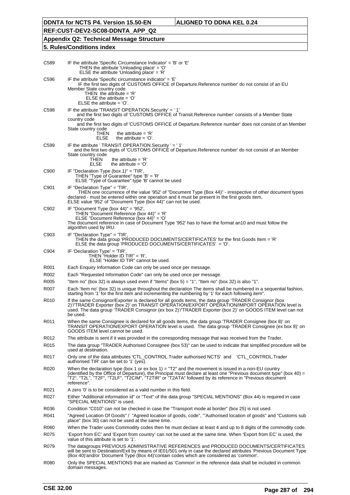## **REF:CUST-DEV2-SC08-DDNTA\_APP\_Q2**

## **Appendix Q2: Technical Message Structure**

| C589             | IF the attribute 'Specific Circumstance Indicator' = $B'$ or $E'$<br>THEN the attribute 'Unloading place' = 'O'<br>ELSE the attribute 'Unloading place' = $'R'$                                                                                                                                                                                           |
|------------------|-----------------------------------------------------------------------------------------------------------------------------------------------------------------------------------------------------------------------------------------------------------------------------------------------------------------------------------------------------------|
| C <sub>596</sub> | IF the attribute 'Specific circumstance indicator' = $E'$<br>IF the first two digits of 'CUSTOMS OFFICE of Departure. Reference number' do not consist of an EU<br>Member State country code<br>THEN the attribute = $R$<br>ELSE the attribute = $'O'$<br>ELSE the attribute $= 'O'.$                                                                     |
| C598             | IF the attribute 'TRANSIT OPERATION. Security' = '1'<br>and the first two digits of 'CUSTOMS OFFICE of Transit. Reference number' consists of a Member State<br>country code                                                                                                                                                                              |
|                  | and the first two digits of 'CUSTOMS OFFICE of Departure. Reference number' does not consist of an Member<br>State country code<br>THEN<br>the attribute = $R'$<br><b>ELSE</b><br>the attribute $= 'O'.$                                                                                                                                                  |
| C <sub>599</sub> | IF the attribute ' TRANSIT OPERATION. Security ' = '1'<br>and the first two digits of 'CUSTOMS OFFICE of Departure. Reference number' do not consist of an Member<br>State country code<br>THEN<br>the attribute $=$ 'R'<br><b>ELSE</b><br>the attribute $= 'O'.$                                                                                         |
| C900             | IF "Declaration Type (box $1$ )" = 'TIR',<br>THEN "Type of Guarantee" type 'B' = 'R'<br>ELSE "Type of Guarantee" type 'B' cannot be used                                                                                                                                                                                                                  |
| C901             | IF "Declaration $Type$ " = 'TIR',<br>THEN one occurrence of the value '952' of "Document Type (Box 44)" - irrespective of other document types<br>declared - must be entered within one operation and it must be present in the first goods item,<br>ELSE value '952' of "Document Type (box 44)" can not be used.                                        |
| C902             | IF "Document Type (box $44$ )" = '952',<br>THEN "Document Reference (box 44)" = 'R'<br>ELSE "Document Reference (box $44$ )" = 'O'<br>The document reference in case of Document Type '952' has to have the format an10 and must follow the<br>algorithm used by IRU.                                                                                     |
| C903             | IF "Declaration Type" = 'TIR',<br>THEN the data group 'PRODUCED DOCUMENTS/CERTIFICATES' for the first Goods Item = 'R'<br>ELSE the data group 'PRODUCED DOCUMENTS/CERTIFICATES' = 'O'.                                                                                                                                                                    |
| C904             | IF 'Declaration Type' = 'TIR',<br>THEN "Holder ID TIR" = 'R',<br>ELSE "Holder ID TIR" cannot be used.                                                                                                                                                                                                                                                     |
| R001             | Each Enquiry Information Code can only be used once per message.                                                                                                                                                                                                                                                                                          |
| R002             | Each "Requested Information Code" can only be used once per message.                                                                                                                                                                                                                                                                                      |
| R005             | "Item no" (box 32) is always used even if "Items" (box 5) = "1", "Item no" (box 32) is also "1".                                                                                                                                                                                                                                                          |
| R <sub>007</sub> | Each 'Item no' (box 32) is unique throughout the declaration The items shall be numbered in a sequential fashion,<br>starting from '1' for the first item and incrementing the numbering by '1' for each following item".                                                                                                                                 |
| R010             | If the same Consignor/Exporter is declared for all goods items, the data group 'TRADER Consignor (box<br>2)'/'TRADER Exporter (box 2)' on TRANSIT OPERATION/EXPORT OPERATION/IMPORT OPERATION level is<br>used. The data group 'TRADER Consignor (ex box 2)'/TRADER Exporter (box 2)' on GOODS ITEM level can not<br>be used.                             |
| R011             | When the same Consignee is declared for all goods items, the data group 'TRADER Consignee (box 8)' on<br>TRANSIT OPERATION/EXPORT OPERATION level is used. The data group 'TRADER Consignee (ex box 8)' on<br>GOODS ITEM level cannot be used.                                                                                                            |
| R012             | The attribute is sent if it was provided in the corresponding message that was received from the Trader.                                                                                                                                                                                                                                                  |
| R015             | The data group "TRADER Authorised Consignee (box 53)" can be used to indicate that simplified procedure will be<br>used at destination.                                                                                                                                                                                                                   |
| R017             | Only one of the data attributes 'CTL_CONTROL.Trader authorised NCTS' and 'CTL_CONTROL.Trader<br>authorised TIR' can be set to '1' (yes).                                                                                                                                                                                                                  |
| R020             | When the declaration type (box 1 or ex box 1) = " $T2$ " and the movement is issued in a non-EU country<br>(identified by the Office of Departure), the Principal must declare at least one "Previous document type" (box 40) =<br>"T2", "T2L", "T2F", "T2LF", "T2CIM", "T2TIR" or "T2ATA" followed by its reference in "Previous document<br>reference". |
| R021             | A zero '0' is to be considered as a valid number in this field.                                                                                                                                                                                                                                                                                           |
| R027             | Either "Additional information id" or "Text" of the data group "SPECIAL MENTIONS" (Box 44) is required in case<br>"SPECIAL MENTIONS" is used.                                                                                                                                                                                                             |
| R036             | Condition "C010" can not be checked in case the "Transport mode at border" (box 25) is not used.                                                                                                                                                                                                                                                          |
| R041             | "Agreed Location Of Goods" / "Agreed location of goods, code", "'Authorised location of goods" and "Customs sub<br>place" (box 30) can not be used at the same time.                                                                                                                                                                                      |
| R060             | When the Trader uses Commodity codes then he must declare at least 4 and up to 8 digits of the commodity code.                                                                                                                                                                                                                                            |
| R075             | 'Export from EC' and 'Export from country' can not be used at the same time. When 'Export from EC' is used, the<br>value of this attribute is set to '1'.                                                                                                                                                                                                 |
| R079             | The datagroups PREVIOUS ADMINISTRATIVE REFERENCES and PRODUCED DOCUMENTS/CERTIFICATES<br>will be sent to Destination/Exit by means of IE01/501 only in case the declared attributes 'Previous Document Type<br>(Box 40)'and/or 'Document Type (Box 44)'contain codes which are considered as 'common'.                                                    |
| R080             | Only the SPECIAL MENTIONS that are marked as 'Common' in the reference data shall be included in common<br>domain messages.                                                                                                                                                                                                                               |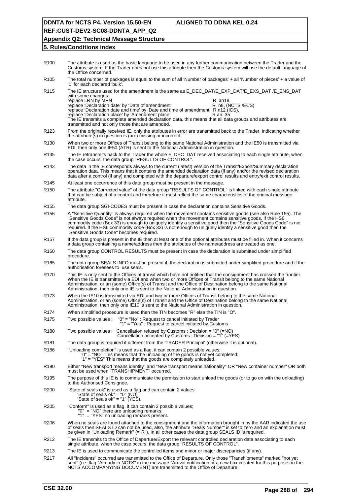## **REF:CUST-DEV2-SC08-DDNTA\_APP\_Q2**

## **Appendix Q2: Technical Message Structure**

### **5. Rules/Conditions index**

| R <sub>100</sub>  | The attribute is used as the basic language to be used in any further communication between the Trader and the<br>Customs system. If the Trader does not use this attribute then the Customs system will use the default language of<br>the Office concerned.                                                                                                                                                                                                                                                                                      |
|-------------------|----------------------------------------------------------------------------------------------------------------------------------------------------------------------------------------------------------------------------------------------------------------------------------------------------------------------------------------------------------------------------------------------------------------------------------------------------------------------------------------------------------------------------------------------------|
| R <sub>105</sub>  | The total number of packages is equal to the sum of all 'Number of packages' + all 'Number of pieces' + a value of<br>'1' for each declared 'bulk'.                                                                                                                                                                                                                                                                                                                                                                                                |
| R <sub>115</sub>  | The IE structure used for the amendment is the same as E_DEC_DAT/E_EXP_DAT/E_EXS_DAT /E_ENS_DAT<br>with some changes:<br>replace LRN by MRN<br>R an18,<br>replace 'Declaration date' by 'Date of amendment'<br>R n8, (NCTS /ECS)<br>replace 'Declaration date and time' by 'Date and time of amendment' R n12 (ICS),<br>replace 'Declaration place' by 'Amendment place'<br>R an35<br>The IE transmits a complete amended declaration data, this means that all data groups and attributes are<br>transmitted and not only those that are amended. |
| R <sub>123</sub>  | From the originally received IE, only the attributes in error are transmitted back to the Trader, indicating whether<br>the attribute(s) in question is (are) missing or incorrect.                                                                                                                                                                                                                                                                                                                                                                |
| R <sub>130</sub>  | When two or more Offices of Transit belong to the same National Administration and the IE50 is transmitted via<br>EDI, then only one IE50 (ATR) is sent to the National Administration in question.                                                                                                                                                                                                                                                                                                                                                |
| R <sub>135</sub>  | The IE retransmits back to the Trader the whole E_DEC_DAT received associating to each single attribute, when<br>the case occurs, the data group "RESULTS OF CONTROL".                                                                                                                                                                                                                                                                                                                                                                             |
| R <sub>143</sub>  | The data in the IE corresponds always to the current (latest) version of the Transit/Export/Summary declaration<br>operation data. This means that it contains the amended declaration data (if any) and/or the revised declaration<br>data after a control (if any) and completed with the departure/export control results and entry/exit control results.                                                                                                                                                                                       |
| R <sub>145</sub>  | At least one occurrence of this data group must be present in the message.                                                                                                                                                                                                                                                                                                                                                                                                                                                                         |
| R <sub>150</sub>  | The attribute "Corrected value" of the data group "RESULTS OF CONTROL" is linked with each single attribute<br>that can be subject of a control and therefore it must reflect the same characteristics of the original message<br>attribute.                                                                                                                                                                                                                                                                                                       |
| R <sub>155</sub>  | The data group SGI-CODES must be present in case the declaration contains Sensitive Goods.                                                                                                                                                                                                                                                                                                                                                                                                                                                         |
| R <sub>156</sub>  | A "Sensitive Quantity" is always required when the movement contains sensitive goods (see also Rule 155). The<br>"Sensitive Goods Code" is not always required when the movement contains sensitive goods. If the HS6<br>commodity code (Box 33) is enough to uniquely identify a sensitive good then the "Sensitive Goods Code" is not<br>required. If the HS6 commodity code (Box 33) is not enough to uniquely identify a sensitive good then the<br>"Sensitive Goods Code" becomes required.                                                   |
| R <sub>157</sub>  | If the data group is present in the IE then at least one of the optional attributes must be filled in. When it concerns<br>a data group containing a name/address then the attributes of the name/address are treated as one.                                                                                                                                                                                                                                                                                                                      |
| R <sub>160</sub>  | The data group CONTROL RESULTS must be present in case the declaration is submitted under simplified<br>procedure.                                                                                                                                                                                                                                                                                                                                                                                                                                 |
| R <sub>165</sub>  | The data group SEALS INFO must be present if the declaration is submitted under simplified procedure and if the<br>authorisation foresees to use seals.                                                                                                                                                                                                                                                                                                                                                                                            |
| R <sub>170</sub>  | This IE is only sent to the Offices of transit which have not notified that the consignment has crossed the frontier.<br>When the IE is transmitted via EDI and when two or more Offices of Transit belong to the same National<br>Administration, or an (some) Office(s) of Transit and the Office of Destination belong to the same National<br>Administration, then only one IE is sent to the National Administration in question.                                                                                                             |
| R <sub>173</sub>  | When the IE10 is transmitted via EDI and two or more Offices of Transit belong to the same National<br>Administration, or an (some) Office(s) of Transit and the Office of Destination belong to the same National<br>Administration, then only one IE10 is sent to the National Administration in question.                                                                                                                                                                                                                                       |
| R <sub>174</sub>  | When simplified procedure is used then the TIN becomes "R" else the TIN is "O".                                                                                                                                                                                                                                                                                                                                                                                                                                                                    |
| R175              | Two possible values : "0" = "No" : Request to cancel initiated by Trader<br>"1" = "Yes" : Request to cancel initiated by Customs                                                                                                                                                                                                                                                                                                                                                                                                                   |
| R <sub>180</sub>  | Two possible values : Cancellation refused by Customs : Decision = $"0"$ (=NO)<br>Cancellation accepted by Customs : Decision = "1" (= $YES$ )                                                                                                                                                                                                                                                                                                                                                                                                     |
| R <sub>181</sub>  | The data group is required if different from the 'TRADER Principal' (otherwise it is optional).                                                                                                                                                                                                                                                                                                                                                                                                                                                    |
| R <sub>186</sub>  | "Unloading completion" is used as a flag, it can contain 2 possible values;<br>"0" = "NO" This means that the unloading of the goods is not yet completed;<br>"1" = "YES" This means that the goods are completely unloaded.                                                                                                                                                                                                                                                                                                                       |
| R <sub>190</sub>  | Either "New transport means identity" and "New transport means nationality" OR "New container number" OR both<br>must be used when "TRANSHIPMENT" occurred.                                                                                                                                                                                                                                                                                                                                                                                        |
| R <sub>195</sub>  | The purpose of this IE is to communicate the permission to start unload the goods (or to go on with the unloading)<br>to the Authorised Consignee.                                                                                                                                                                                                                                                                                                                                                                                                 |
| R200              | "State of seals ok" is used as a flag and can contain 2 values:<br>"State of seals ok" = "0" (NO)<br>"State of seals ok" = "1" (YES).                                                                                                                                                                                                                                                                                                                                                                                                              |
| R <sub>205</sub>  | "Conform" is used as a flag, it can contain 2 possible values;<br>"0" = "NO" there are unloading remarks;<br>"1" = "YES" no unloading remarks present.                                                                                                                                                                                                                                                                                                                                                                                             |
| R <sub>206</sub>  | When no seals are found attached to the consignment and the information brought in by the AAR indicated the use<br>of seals then SEALS ID can not be used, also, the attribute "Seals Number" is set to zero and an explanation must<br>be given in "Unloading Remark" (="R"). In all other cases the data group SEALS ID is required.                                                                                                                                                                                                             |
| R <sub>212</sub>  | The IE transmits to the Office of Departure/Export the relevant controlled declaration data associating to each<br>single attribute, when the case occurs, the data group "RESULTS OF CONTROL".                                                                                                                                                                                                                                                                                                                                                    |
| R <sub>2</sub> 13 | The IE is used to communicate the controlled items and minor or major discrepancies (if any).                                                                                                                                                                                                                                                                                                                                                                                                                                                      |

R217 All "Incidents" occurred are transmitted to the Office of Departure. Only those "Transhipments" marked "not yet sent" (i.e. flag "Already in NCTS" in the message "Arrival notification or a new box created for this purpose on the NCTS ACCOMPANYING DOCUMENT) are transmitted to the Office of Departure.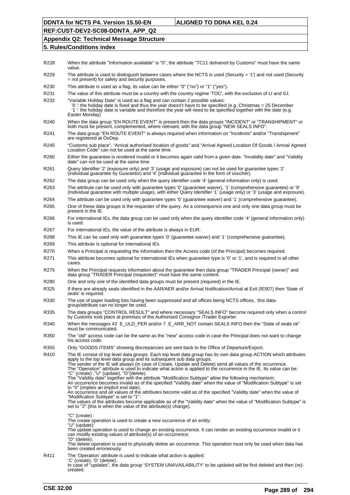## **REF:CUST-DEV2-SC08-DDNTA\_APP\_Q2**

## **Appendix Q2: Technical Message Structure**

## **5. Rules/Conditions index**

R228 When the attribute "Information available" is "0", the attribute "TC11 delivered by Customs" must have the same value. R229 The attribute is used to distinguish between cases where the NCTS is used (Security = '1') and not used (Security = not present) for safety and security purposes. R230 This attribute is used as a flag, its value can be either "0" ("no") or "1" ("yes"). R231 The value of this attribute must be a country with the country regime 'TOC', with the exclusion of LI and SJ. R232 "Variable Holiday Date" is used as a flag and can contain 2 possible values: '0 ': the holiday date is fixed and thus the year doesn't have to be specified (e.g. Christmas = 25 December '1 ': the holiday date is variable and therefore the year will need to be specified together with the date (e.g. Easter Monday) R240 When the data group "EN ROUTE EVENT" is present then the data groups "INCIDENT" or "TRANSHIPMENT" or both must be present, complemented, where relevant, with the data group "NEW SEALS INFO". R241 The data group "EN ROUTE EVENT" is always required when information on "Incidents" and/or "Transhipment" are registered at OoDep. R245 "Customs sub place", "Arrival authorised location of goods" and "Arrival Agreed Location Of Goods / Arrival Agreed Location Code" can not be used at the same time. R260 Either the guarantee is rendered invalid or it becomes again valid from a given date. "Invalidity date" and "Validity date" can not be used at the same time. R261 Query Identifier '2' (exposure only) and '3' (usage and exposure) can not be used for guarantee types '2' (individual guarantee by Guarantor) and '4' (individual guarantee in the form of voucher). R262 The data group can be used only when the query identifier code '4' (general information only) is used. R263 The attribute can be used only with guarantee types '0' (guarantee waiver), '1' (comprehensive guarantee) or '9' (Individual guarantee with multiple usage), with either Query Identifier '1' (usage only) or '3' (usage and exposure). R264 The attribute can be used only with guarantee types '0' (guarantee waiver) and '1' (comprehensive guarantee). R265 One of these data groups is the requester of the query. As a consequence one and only one data group must be present in the IE. R266 For international IEs, the data group can be used only when the query identifier code '4' (general information only) is used. R267 For international IEs, the value of the attribute is always in EUR. R268 This IE can be used only with guarantee types '0' (guarantee waiver) and '1' (comprehensive guarantee). R269 This attribute is optional for international IEs. R270 When a Principal is requesting the information then the Access code (of the Principal) becomes required. R271 This attribute becomes optional for international IEs when guarantee type is '0' or '1', and is required in all other cases. R275 When the Principal requests information about the guarantee then data group "TRADER Principal (owner)" and data group "TRADER Principal (requester)" must have the same content. R280 One and only one of the identified data groups must be present (required) in the IE. R325 If there are already seals identified in the AAR/AER and/or Arrival Notification/Arrival at Exit (IE507) then 'State of seals' is required. R330 The use of paper loading lists having been suppressed and all offices being NCTS offices, this datagroup/attribute can no longer be used. R335 The data groups "CONTROL RESULT" and where necessary "SEALS INFO" become required only when a control by Customs took place at premises of the Authorised Consignor /Trader Exporter. R340 When the messages 43 E\_ULD\_PER and/or 7 E\_ARR\_NOT contain SEALS INFO then the "State of seals ok" must be communicated. R350 The "old" access code can be the same as the "new" access code in case the Principal does not want to change his access code. R355 Only "GOODS ITEMS" showing discrepancies are sent back to the Office of Departure/Export. R410 The IE consist of top level data groups. Each top level data group has its own data group ACTION which attributes apply to the top level data group and its subsequent sub data groups. The sender of the IE will always (in case of Create, Update and Delete) send all values of the occurrence. The "Operation" attribute is used to indicate what action is applied to the occurrence in the IE. Its value can be: "C" (create) ,"U" (update), "D"(delete). The "Validity date" together with the attribute "Modification Subtype" allow the following mechanism; An occurrence becomes invalid as of the specified "Validity date" when the value of "Modification Subtype" is set to "0" (implies an implicit end date). An occurrence and all values of the attributes become valid as of the specified "Validity date" when the value of "Modification Subtype" is set to "1". The values of the attributes become applicable as of the "Validity date" when the value of "Modification Subtype" is set to "2" (this is when the value of the attribute(s) change). "C" (create) : The create operation is used to create a new occurrence of an entity; "U" (update): The update operation is used to change an existing occurrence. It can render an existing occurrence invalid or it can modify existing values of attribute(s) of an occurrence; "D" (delete): The delete operation is used to physically delete an occurrence. This operation must only be used when data has been created erroneously. R411 The 'Operation' attribute is used to indicate what action is applied: 'C' (create), 'D' (delete). In case of "updates", the data group 'SYSTEM UNAVAILABILITY' to be updated will be first deleted and then (re)-

created.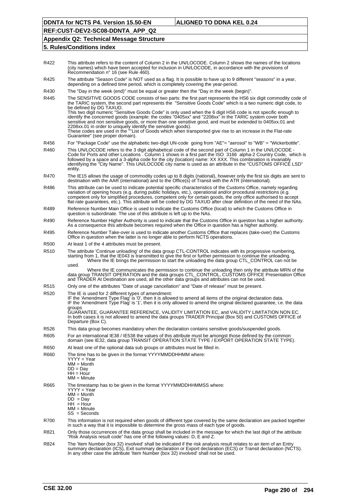# **REF:CUST-DEV2-SC08-DDNTA\_APP\_Q2**

## **Appendix Q2: Technical Message Structure**

| R422 | This attribute refers to the content of Column 2 in the UN/LOCODE. Column 2 shows the names of the locations<br>(city names) which have been accepted for inclusion in UN/LOCODE, in accordance with the provisions of<br>Recommendation n° 16 (see Rule 460).                                                                                                                                                                                                                                                                                                                                                                                                                                                                                                                                                        |
|------|-----------------------------------------------------------------------------------------------------------------------------------------------------------------------------------------------------------------------------------------------------------------------------------------------------------------------------------------------------------------------------------------------------------------------------------------------------------------------------------------------------------------------------------------------------------------------------------------------------------------------------------------------------------------------------------------------------------------------------------------------------------------------------------------------------------------------|
| R425 | The attribute "Season Code" is NOT used as a flag. It is possible to have up to 9 different "seasons" in a year,<br>depending on a defined time period, which is completely covering the year-period.                                                                                                                                                                                                                                                                                                                                                                                                                                                                                                                                                                                                                 |
| R430 | The "Day in the week (end)" must be equal or greater then the "Day in the week (begin)".                                                                                                                                                                                                                                                                                                                                                                                                                                                                                                                                                                                                                                                                                                                              |
| R445 | The SENSITIVE GOODS CODE consists of two parts: the first part represents the HS6 six digit commodity code of<br>the TARIC system, the second part represents the "Sensitive Goods Code" which is a two numeric digit code, to<br>be defined by DG TAXUD.<br>This two digit numeric "Sensitive Goods Code" is only used when the 6 digit HS6 code is not specific enough to<br>identify the concerned goods (example: the codes "0405xx" and "2208xx" in the TARIC system cover both<br>sensitive and non sensitive goods, or more than one sensitive good, and must be extended to 0405xx.01 and<br>2208xx.01 in order to uniquely identify the sensitive goods).<br>These codes are used in the ""List of Goods which when transported give rise to an increase in the Flat-rate<br>Guarantee" (see proper domain). |
| R456 | For "Package Code" use the alphabetic two-digit UN-code going from "AE"= "aerosol" to "WB" = "Wickerbottle".                                                                                                                                                                                                                                                                                                                                                                                                                                                                                                                                                                                                                                                                                                          |
| R460 | - This UN/LOCODE refers to the 3 digit alphabetical code of the second part of Column 1 in the UN/LOCODE<br>Code for Ports and other Locations . Column 1 shows in a first part the ISO 3166 alpha-2 Country Code, which is<br>followed by a space and a 3-alpha code for the city (location) name: XX XXX. This combination is invariably<br>identifying the "City Name". This UN/LOCODE city name is used as an attribute in the "CUSTOMS OFFICE LSD"<br>entity.                                                                                                                                                                                                                                                                                                                                                    |
| R470 | The IE15 allows the usage of commodity codes up to 8 digits (national), however only the first six digits are sent to<br>destination with the AAR (international) and to the Office(s) of Transit with the ATR (international).                                                                                                                                                                                                                                                                                                                                                                                                                                                                                                                                                                                       |
| R486 | This attribute can be used to indicate potential specific characteristics of the Customs Office, namely regarding<br>variation of opening hours (e.g. during public holidays, etc.), operational and/or procedural restrictions (e.g.<br>competent only for simplified procedures, competent only for certain goods, the only office authorised to accept<br>flat-rate guarantees, etc.). This attribute will be coded by DG TAXUD after clear definition of the need of the NAs.                                                                                                                                                                                                                                                                                                                                     |
| R489 | Reference Number Main Office is used to indicate the Customs Office (local) to which the Customs Office in<br>question is subordinate. The use of this attribute is left up to the NAs.                                                                                                                                                                                                                                                                                                                                                                                                                                                                                                                                                                                                                               |
| R490 | Reference Number Higher Authority is used to indicate that the Customs Office in question has a higher authority.<br>As a consequence this attribute becomes required when the Office in question has a higher authority.                                                                                                                                                                                                                                                                                                                                                                                                                                                                                                                                                                                             |
| R495 | Reference Number Take-over is used to indicate another Customs Office that replaces (take-over) the Customs<br>Office in question when the latter is no longer able to perform NCTS operations.                                                                                                                                                                                                                                                                                                                                                                                                                                                                                                                                                                                                                       |
| R500 | At least 1 of the 4 attributes must be present.                                                                                                                                                                                                                                                                                                                                                                                                                                                                                                                                                                                                                                                                                                                                                                       |
| R510 | The attribute 'Continue unloading' of the data group CTL-CONTROL indicates with its progressive numbering,<br>starting from 1, that the IE043 is transmitted to give the first or further permission to continue the unloading.<br>Where the IE brings the permission to start the unloading the data group CTL_CONTROL can not be<br>used.                                                                                                                                                                                                                                                                                                                                                                                                                                                                           |
|      | Where the IE communicates the permission to continue the unloading then only the attribute MRN of the<br>data group TRANSIT OPERATION and the data groups CTL_CONTROL, CUSTOMS OFFICE Presentation Office<br>and TRADER At Destination are used, all the other data groups and attributes can not be used.                                                                                                                                                                                                                                                                                                                                                                                                                                                                                                            |
| R515 | Only one of the attributes "Date of usage cancellation" and "Date of release" must be present.                                                                                                                                                                                                                                                                                                                                                                                                                                                                                                                                                                                                                                                                                                                        |
| R520 | The IE is used for 2 different types of amendment:<br>IF the 'Amendment Type Flag' is '0', then it is allowed to amend all items of the original declaration data.<br>IF the 'Amendment Type Flag' is '1', then it is only allowed to amend the original declared guarantee, i.e. the data<br>groups                                                                                                                                                                                                                                                                                                                                                                                                                                                                                                                  |
|      | GUARANTEE, GUARANTEE REFERENCE, VALIDITY LIMITATION EC, and VALIDITY LIMITATION NON EC.<br>In both cases it is not allowed to amend the data groups TRADER Principal (Box 50) and CUSTOMS OFFICE of<br>Departure (Box C).                                                                                                                                                                                                                                                                                                                                                                                                                                                                                                                                                                                             |
| R526 | This data group becomes mandatory when the declaration contains sensitive goods/suspended goods.                                                                                                                                                                                                                                                                                                                                                                                                                                                                                                                                                                                                                                                                                                                      |
| R605 | For an international IE38 / IE538 the values of this attribute must be amongst those defined by the common<br>domain (see IE32, data group TRANSIT OPERATION STATE TYPE / EXPORT OPERATION STATE TYPE).                                                                                                                                                                                                                                                                                                                                                                                                                                                                                                                                                                                                               |
| R650 | At least one of the optional data sub groups or attributes must be filled in.                                                                                                                                                                                                                                                                                                                                                                                                                                                                                                                                                                                                                                                                                                                                         |
| R660 | The time has to be given in the format YYYYMMDDHHMM where:<br>YYYY = Year<br>$MM = Month$<br>$DD = Day$<br>$HH = Hour$<br>$MM =$ Minute                                                                                                                                                                                                                                                                                                                                                                                                                                                                                                                                                                                                                                                                               |
| R665 | The timestamp has to be given in the format YYYYMMDDHHMMSS where:<br>YYYY = Year<br>$MM = Month$<br>$DD = Day$<br>$HH = Hour$<br>$MM = Minute$<br>$SS =$ Seconds                                                                                                                                                                                                                                                                                                                                                                                                                                                                                                                                                                                                                                                      |
| R700 | This information is not required when goods of different type covered by the same declaration are packed together<br>in such a way that it is impossible to determine the gross mass of each type of goods.                                                                                                                                                                                                                                                                                                                                                                                                                                                                                                                                                                                                           |
| R821 | Only those occurrences of the data group shall be included in the message for which the last digit of the attribute<br>"Risk Analysis result code" has one of the following values: D, E and Z.                                                                                                                                                                                                                                                                                                                                                                                                                                                                                                                                                                                                                       |
| R824 | The 'Item Number (box 32) involved' shall be indicated if the risk analysis result relates to an item of an Entry<br>summary declaration (ICS), Exit summary declaration or Export declaration (ECS) or Transit declaration (NCTS).<br>In any other case the attribute 'Item Number (box 32) involved' shall not be used.                                                                                                                                                                                                                                                                                                                                                                                                                                                                                             |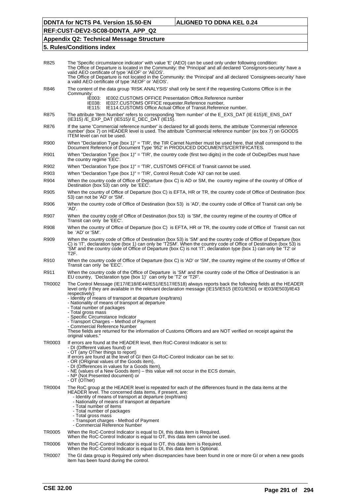| REF:CUST-DEV2-SC08-DDNTA APP Q2 |  |
|---------------------------------|--|
|                                 |  |

# **Appendix Q2: Technical Message Structure**

| R825   | The 'Specific circumstance indicator' with value 'E' (AEO) can be used only under following condition:<br>The Office of Departure is located in the Community: the 'Principal' and all declared 'Consignors-security' have a<br>valid AEO certificate of type 'AEOF' or 'AEOS'.<br>The Office of Departure is not located in the Community: the 'Principal' and all declared 'Consignees-security' have<br>a valid AEO certificate of type 'AEOF' or 'AEOS'.                                                                                                                                                                                                                   |
|--------|--------------------------------------------------------------------------------------------------------------------------------------------------------------------------------------------------------------------------------------------------------------------------------------------------------------------------------------------------------------------------------------------------------------------------------------------------------------------------------------------------------------------------------------------------------------------------------------------------------------------------------------------------------------------------------|
| R846   | The content of the data group 'RISK ANALYSIS' shall only be sent if the requesting Customs Office is in the                                                                                                                                                                                                                                                                                                                                                                                                                                                                                                                                                                    |
|        | Community:<br><b>IE002.CUSTOMS OFFICE Presentation Office.Reference number</b><br>IE003:<br>IE027.CUSTOMS OFFICE requester.Reference number,<br>IE038:<br>IE114. CUSTOMS Office Actual Office of Transit. Reference number.<br>IE115:                                                                                                                                                                                                                                                                                                                                                                                                                                          |
| R875   | The attribute 'Item Number' refers to corresponding 'Item number' of the E_EXS_DAT (IE 615)/E_ENS_DAT<br>(IE315) /E_EXP_DAT (IE515)/ E_DEC_DAT (IE15).                                                                                                                                                                                                                                                                                                                                                                                                                                                                                                                         |
| R876   | If the same 'Commercial reference number' is declared for all goods items, the attribute 'Commercial reference<br>number' (box 7) on HEADER level is used. The attribute 'Commercial reference number' (ex box 7) on GOODS<br>ITEM level can not be used.                                                                                                                                                                                                                                                                                                                                                                                                                      |
| R900   | When "Declaration Type (box 1)" = 'TIR', the TIR Carnet Number must be used here, that shall correspond to the<br>Document Reference of Document Type '952' in PRODUCED DOCUMENTS/CERTIFICATES.                                                                                                                                                                                                                                                                                                                                                                                                                                                                                |
| R901   | When "Declaration Type (box 1)" = 'TIR', the country code (first two digits) in the code of OoDep/Des must have<br>the country regime 'EEC'.                                                                                                                                                                                                                                                                                                                                                                                                                                                                                                                                   |
| R902   | When "Declaration Type (box 1)" = 'TIR', CUSTOMS OFFICE of Transit cannot be used.                                                                                                                                                                                                                                                                                                                                                                                                                                                                                                                                                                                             |
| R903   | When "Declaration Type (box 1)" = 'TIR', Control Result Code 'A3' can not be used.                                                                                                                                                                                                                                                                                                                                                                                                                                                                                                                                                                                             |
| R904   | When the country code of Office of Departure (box C) is AD or SM, the country regime of the country of Office of<br>Destination (box 53) can only be 'EEC'.                                                                                                                                                                                                                                                                                                                                                                                                                                                                                                                    |
| R905   | When the country of Office of Departure (box C) is EFTA, HR or TR, the country code of Office of Destination (box<br>53) can not be 'AD' or 'SM'.                                                                                                                                                                                                                                                                                                                                                                                                                                                                                                                              |
| R906   | When the country code of Office of Destination (box 53) is 'AD', the country code of Office of Transit can only be<br>'AD'.                                                                                                                                                                                                                                                                                                                                                                                                                                                                                                                                                    |
| R907   | When the country code of Office of Destination (box 53) is 'SM', the country regime of the country of Office of<br>Transit can only be 'EEC'.                                                                                                                                                                                                                                                                                                                                                                                                                                                                                                                                  |
| R908   | When the country of Office of Departure (box C) is EFTA, HR or TR, the country code of Office of Transit can not<br>be 'AD' or 'SM'.                                                                                                                                                                                                                                                                                                                                                                                                                                                                                                                                           |
| R909   | When the country code of Office of Destination (box 53) is 'SM' and the country code of Office of Departure (box<br>C) is 'IT', declaration type (box 1) can only be 'T2SM'. When the country code of Office of Destination (box 53) is<br>'SM' and the country code of Office of Departure (box C) is not 'IT', declaration type (box 1) can only be 'T2' or<br>T2F.                                                                                                                                                                                                                                                                                                          |
| R910   | When the country code of Office of Departure (box C) is 'AD' or 'SM', the country regime of the country of Office of<br>Transit can only be 'EEC'.                                                                                                                                                                                                                                                                                                                                                                                                                                                                                                                             |
| R911   | When the country code of the Office of Departure is 'SM' and the country code of the Office of Destination is an<br>EU country, 'Declaration type (box 1)' can only be 'T2' or 'T2F'.                                                                                                                                                                                                                                                                                                                                                                                                                                                                                          |
| TR0002 | The Control Message (IE17/IE18/IE44/IE51/IE517/IE518) always reports back the following fields at the HEADER<br>level only if they are available in the relevant declaration message (IE15/IE515 {IE01/IE501 or IE03/IE503}/IE43<br>respectively):<br>- Identity of means of transport at departure (exp/trans)<br>- Nationality of means of transport at departure<br>- Total number of packages<br>- Total gross mass<br>- Specific Circumstance Indicator<br>- Transport Charges – Method of Payment<br>- Commercial Reference Number<br>These fields are returned for the information of Customs Officers and are NOT verified on receipt against the<br>original values." |
| TR0003 | If errors are found at the HEADER level, then RoC-Control Indicator is set to:<br>- DI (Different values found) or<br>- OT (any OTher things to report)<br>If errors are found at the level of GI then GI-RoC-Control Indicator can be set to:<br>- OR (ORiginal values of the Goods item),<br>- DI (Differences in values for a Goods Item),<br>- NE (values of a New Goods item) – this value will not occur in the ECS domain,<br>- NP (Not Presented document) or<br>- OT (OTher)                                                                                                                                                                                          |
| TR0004 | The RoC group at the HEADER level is repeated for each of the differences found in the data items at the<br>HEADER level. The concerned data items, if present, are:<br>- Identity of means of transport at departure (exp/trans)<br>- Nationality of means of transport at departure<br>- Total number of items<br>- Total number of packages<br>- Total gross mass<br>- Transport charges - Method of Payment<br>- Commercial Reference Number                                                                                                                                                                                                                               |
| TR0005 | When the RoC-Control Indicator is equal to DI, this data item is Required.<br>When the RoC-Control Indicator is equal to OT, this data item cannot be used.                                                                                                                                                                                                                                                                                                                                                                                                                                                                                                                    |
| TR0006 | When the RoC-Control Indicator is equal to OT, this data item is Required.<br>When the RoC-Control Indicator is equal to DI, this data item is Optional.                                                                                                                                                                                                                                                                                                                                                                                                                                                                                                                       |
| TR0007 | The GI data group is Required only when discrepancies have been found in one or more GI or when a new goods<br>item has been found during the control.                                                                                                                                                                                                                                                                                                                                                                                                                                                                                                                         |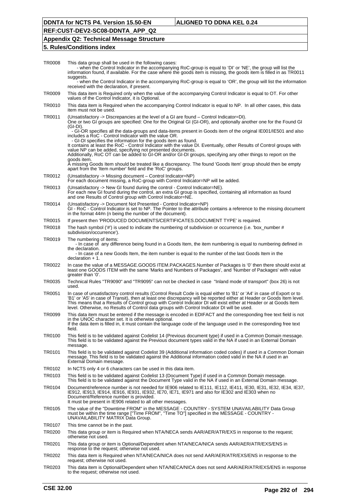| REF:CUST-DEV2-SC08-DDNTA APP Q2 |  |
|---------------------------------|--|
|                                 |  |

# **Appendix Q2: Technical Message Structure**

| TR0008 | This data group shall be used in the following cases:<br>- when the Control Indicator in the accompanying RoC-group is equal to 'DI' or 'NE', the group will list the<br>information found, if available. For the case where the goods item is missing, the goods item is filled in as TR0011                                                                                                                                                                                                                                                                                                                                                                                                                                                           |
|--------|---------------------------------------------------------------------------------------------------------------------------------------------------------------------------------------------------------------------------------------------------------------------------------------------------------------------------------------------------------------------------------------------------------------------------------------------------------------------------------------------------------------------------------------------------------------------------------------------------------------------------------------------------------------------------------------------------------------------------------------------------------|
|        | suggests.<br>- when the Control Indicator in the accompanying RoC-group is equal to 'OR', the group will list the information<br>received with the declaration, if present.                                                                                                                                                                                                                                                                                                                                                                                                                                                                                                                                                                             |
| TR0009 | This data item is Required only when the value of the accompanying Control Indicator is equal to OT. For other<br>values of the Control Indicator, it is Optional.                                                                                                                                                                                                                                                                                                                                                                                                                                                                                                                                                                                      |
| TR0010 | This data item is Required when the accompanying Control Indicator is equal to NP. In all other cases, this data<br>item must not be used.                                                                                                                                                                                                                                                                                                                                                                                                                                                                                                                                                                                                              |
| TR0011 | (Unsatisfactory -> Discrepancies at the level of a GI are found – Control Indicator=DI).<br>One or two GI groups are specified: One for the Original GI (GI-OR), and optionally another one for the Found GI                                                                                                                                                                                                                                                                                                                                                                                                                                                                                                                                            |
|        | (GI-DI).<br>- GI-OR specifies all the data-groups and data-items present in Goods item of the original IE001/IE501 and also<br>includes a RoC - Control Indicator with the value OR.<br>- GI-DI specifies the information for the goods item as found.<br>It contains at least the RoC - Control Indicator with the value DI. Eventually, other Results of Control groups with<br>value NP can be added, specifying not presented documents.<br>Additionally, RoC OT can be added to GI-OR and/or GI-DI groups, specifying any other things to report on the<br>goods item.<br>A missing Goods Item should be treated like a discrepancy. The found 'Goods Item' group should then be empty<br>apart from the 'Item number' field and the 'RoC' groups. |
| TR0012 | (Unsatisfactory -> Missing document - Control Indicator=NP)<br>For each document missing, a RoC-group with Control Indicator=NP will be added.                                                                                                                                                                                                                                                                                                                                                                                                                                                                                                                                                                                                          |
| TR0013 | (Unsatisfactory -> New GI found during the control - Control Indicator=NE).<br>For each new GI found during the control, an extra GI group is specified, containing all information as found<br>and one Results of Control group with Control Indicator=NE.                                                                                                                                                                                                                                                                                                                                                                                                                                                                                             |
| TR0014 | (Unsatisfactory -> Document Not Presented - Control Indicator=NP)<br>GI - RoC - Control Indicator is set to NP. The Pointer to the attribute contains a reference to the missing document<br>in the format 44#n (n being the number of the document).                                                                                                                                                                                                                                                                                                                                                                                                                                                                                                   |
| TR0015 | If present then 'PRODUCED DOCUMENTS/CERTIFICATES.DOCUMENT TYPE' is required.                                                                                                                                                                                                                                                                                                                                                                                                                                                                                                                                                                                                                                                                            |
| TR0018 | The hash symbol ('#') is used to indicate the numbering of subdivision or occurrence (i.e. 'box number #<br>subdivision/occurrence').                                                                                                                                                                                                                                                                                                                                                                                                                                                                                                                                                                                                                   |
| TR0019 | The numbering of items:<br>In case of any difference being found in a Goods Item, the item numbering is equal to numbering defined in<br>the declaration.<br>In case of a new Goods Item, the item number is equal to the number of the last Goods Item in the                                                                                                                                                                                                                                                                                                                                                                                                                                                                                          |
| TR0022 | $declaration + 1.$<br>In case the value of a MESSAGE.GOODS ITEM.PACKAGES.Number of Packages is '0' then there should exist at                                                                                                                                                                                                                                                                                                                                                                                                                                                                                                                                                                                                                           |
|        | least one GOODS ITEM with the same 'Marks and Numbers of Packages', and 'Number of Packages' with value<br>greater than '0'.                                                                                                                                                                                                                                                                                                                                                                                                                                                                                                                                                                                                                            |
| TR0035 | Technical Rules "TR9090" and "TR9095" can not be checked in case "Inland mode of transport" (box 26) is not<br>used.                                                                                                                                                                                                                                                                                                                                                                                                                                                                                                                                                                                                                                    |
| TR0051 | In case of unsatisfactory control results (Control Result Code is equal either to 'B1' or 'A4' in case of Export or to<br>'B1' or 'A5' in case of Transit), then at least one discrepancy will be reported either at Header or Goods Item level.<br>This means that a Results of Control group with Control Indicator DI will exist either at Header or at Goods Item<br>level. Otherwise, no Results of Control data groups with Control Indicator DI will be used.                                                                                                                                                                                                                                                                                    |
| TR0099 | This data item must be entered if the message is encoded in EDIFACT and the corresponding free text field is not<br>in the UNOC character set. It is otherwise optional.<br>If the data item is filled in, it must contain the language code of the language used in the corresponding free text<br>field.                                                                                                                                                                                                                                                                                                                                                                                                                                              |
| TR0100 | This field is to be validated against Codelist 14 (Previous document type) if used in a Common Domain message.<br>This field is to be validated against the Previous document types valid in the NA if used in an External Domain<br>message.                                                                                                                                                                                                                                                                                                                                                                                                                                                                                                           |
| TR0101 | This field is to be validated against Codelist 39 (Additional information coded codes) if used in a Common Domain<br>message. This field is to be validated against the Additional information coded valid in the NA if used in an<br>External Domain message.                                                                                                                                                                                                                                                                                                                                                                                                                                                                                          |
| TR0102 | In NCTS only 4 or 6 characters can be used in this data item.                                                                                                                                                                                                                                                                                                                                                                                                                                                                                                                                                                                                                                                                                           |
| TR0103 | This field is to be validated against Codelist 13 (Document Type) if used in a Common Domain message.<br>This field is to be validated against the Document Type valid in the NA if used in an External Domain message.                                                                                                                                                                                                                                                                                                                                                                                                                                                                                                                                 |
| TR0104 | Document/reference number is not needed for IE906 related to IE111, IE112, IE411, IE30, IE31, IE32, IE34, IE37,<br>IE912, IE913, IE914, IE916, IE931, IE932, IE70, IE71, IE971 and also for IE302 and IE303 when no<br>Document/Reference number is provided.<br>It must be present in IE906 related to all other messages.                                                                                                                                                                                                                                                                                                                                                                                                                             |
| TR0105 | The value of the "Downtime FROM" in the MESSAGE - COUNTRY - SYSTEM UNAVAILABILITY Data Group<br>must be within the time range ["Time FROM", "Time TO"] specified in the MESSAGE - COUNTRY -<br>UNAVAILABILITY MATRIX Data Group.                                                                                                                                                                                                                                                                                                                                                                                                                                                                                                                        |
| TR0107 | This time cannot be in the past.                                                                                                                                                                                                                                                                                                                                                                                                                                                                                                                                                                                                                                                                                                                        |
| TR0200 | This data group or item is Required when NTA/NECA sends AAR/AER/ATR/EXS in response to the request;<br>otherwise not used.                                                                                                                                                                                                                                                                                                                                                                                                                                                                                                                                                                                                                              |
| TR0201 | This data group or item is Optional/Dependent when NTA/NECA/NICA sends AAR/AER/ATR/EXS/ENS in<br>response to the request; otherwise not used.                                                                                                                                                                                                                                                                                                                                                                                                                                                                                                                                                                                                           |
| TR0202 | This data item is Required when NTA/NECA/NICA does not send AAR/AER/ATR/EXS/ENS in response to the<br>request; otherwise not used.                                                                                                                                                                                                                                                                                                                                                                                                                                                                                                                                                                                                                      |
| TR0203 | This data item is Optional/Dependent when NTA/NECA/NICA does not send AAR/AER/ATR/EXS/ENS in response<br>to the request; otherwise not used.                                                                                                                                                                                                                                                                                                                                                                                                                                                                                                                                                                                                            |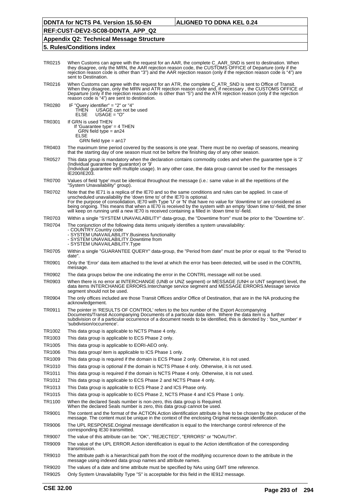# **REF:CUST-DEV2-SC08-DDNTA\_APP\_Q2**

## **Appendix Q2: Technical Message Structure**

| TR0215           | When Customs can agree with the request for an AAR, the complete C_AAR_SND is sent to destination. When<br>they disagree, only the MRN, the AAR rejection reason code, the CUSTOMS OFFICE of Departure (only if the<br>rejection reason code is other than "3") and the AAR rejection reason (only if the rejection reason code is "4") are<br>sent to Destination.                                                                                                                                                                 |
|------------------|-------------------------------------------------------------------------------------------------------------------------------------------------------------------------------------------------------------------------------------------------------------------------------------------------------------------------------------------------------------------------------------------------------------------------------------------------------------------------------------------------------------------------------------|
| TR0216           | When Customs can agree with the request for an ATR, the complete C_ATR_SND is sent to Office of Transit.<br>When they disagree, only the MRN and ATR rejection reason code and, if necessary, the CUSTOMS OFFICE of<br>Departure (only if the rejection reason code is other than "5") and the ATR rejection reason (only if the rejection<br>reason code is "4") are sent to destination.                                                                                                                                          |
| TR0280           | IF "Query identifier" = "2" or "4"<br>THEN<br>USAGE can not be used<br>ELSE<br>$USAGE = "O"$                                                                                                                                                                                                                                                                                                                                                                                                                                        |
| TR0301           | If GRN is used THEN<br>If 'Guarantee type' = $4$ THEN<br>GRN field type = $an24$<br>ELSE<br>GRN field type $=$ an17                                                                                                                                                                                                                                                                                                                                                                                                                 |
| TR0403           | The maximum time period covered by the seasons is one year. There must be no overlap of seasons, meaning<br>that the starting day of one season must not be before the finishing day of any other season.                                                                                                                                                                                                                                                                                                                           |
| TR0527           | This data group is mandatory when the declaration contains commodity codes and when the guarantee type is '2'<br>(Individual guarantee by guarantor) or '9'<br>(Individual guarantee with multiple usage). In any other case, the data group cannot be used for the messages<br>IE200/IE203.                                                                                                                                                                                                                                        |
| TR0700           | Values of field 'type' must be identical throughout the message (i.e.: same value in all the repetitions of the<br>"System Unavailability" group).                                                                                                                                                                                                                                                                                                                                                                                  |
| TR0702           | Note that the IE71 is a replica of the IE70 and so the same conditions and rules can be applied. In case of<br>unscheduled unavailability the 'down time to' of the IE70 is optional.<br>For the purpose of consolidation, IE70 with Type 'U' or 'N' that have no value for 'downtime to' are considered as<br>being ongoing. This means that when a IE70 is received by the system with an empty 'down time to'-field, the timer<br>will keep on running until a new IE70 is received containing a filled in 'down time to'-field. |
| TR0703           | Within a single "SYSTEM UNAVAILABILITY" data-group, the "Downtime from" must be prior to the "Downtime to".                                                                                                                                                                                                                                                                                                                                                                                                                         |
| TR0704           | The conjunction of the following data items uniquely identifies a system unavailability:<br>- COUNTRY.Country code<br>- SYSTEM UNAVAILABILITY. Business functionality<br>- SYSTEM UNAVAILABILITY.Downtime from<br>- SYSTEM UNAVAILABILITY.Type                                                                                                                                                                                                                                                                                      |
| TR0705           | Within a single "GUARANTEE QUERY" data-group, the "Period from date" must be prior or equal to the "Period to<br>date".                                                                                                                                                                                                                                                                                                                                                                                                             |
| TR0901           | Only the 'Error' data item attached to the level at which the error has been detected, will be used in the CONTRL<br>message.                                                                                                                                                                                                                                                                                                                                                                                                       |
| TR0902           | The data groups below the one indicating the error in the CONTRL message will not be used.                                                                                                                                                                                                                                                                                                                                                                                                                                          |
| TR0903           | When there is no error at INTERCHANGE (UNB or UNZ segment) or MESSAGE (UNH or UNT segment) level, the<br>data items INTERCHANGE ERRORS.Interchange service segment and MESSAGE ERRORS.Message service<br>segment should not be used.                                                                                                                                                                                                                                                                                                |
| TR0904           | The only offices included are those Transit Offices and/or Office of Destination, that are in the NA producing the<br>acknowledgement.                                                                                                                                                                                                                                                                                                                                                                                              |
| TR0911           | The pointer in 'RESULTS OF CONTROL' refers to the box number of the Export Accompanying<br>Documents/Transit Accompanying Documents of a particular data item. Where the data item is a further<br>subdivision or if a particular occurrence of a document needs to be identified, this is denoted by: 'box number' #<br>'subdivision/occurrence'.                                                                                                                                                                                  |
| TR1002           | This data group is applicable to NCTS Phase 4 only.                                                                                                                                                                                                                                                                                                                                                                                                                                                                                 |
| TR1003           | This data group is applicable to ECS Phase 2 only.                                                                                                                                                                                                                                                                                                                                                                                                                                                                                  |
| TR1005           | This data group is applicable to EORI-AEO only.                                                                                                                                                                                                                                                                                                                                                                                                                                                                                     |
| TR1006           | This data group/ item is applicable to ICS Phase 1 only.                                                                                                                                                                                                                                                                                                                                                                                                                                                                            |
| TR1009           | This data group is required if the domain is ECS Phase 2 only. Otherwise, it is not used.                                                                                                                                                                                                                                                                                                                                                                                                                                           |
| TR1010           | This data group is optional if the domain is NCTS Phase 4 only. Otherwise, it is not used.                                                                                                                                                                                                                                                                                                                                                                                                                                          |
| TR1011           | This data group is required if the domain is NCTS Phase 4 only. Otherwise, it is not used.                                                                                                                                                                                                                                                                                                                                                                                                                                          |
| TR1012           | This data group is applicable to ECS Phase 2 and NCTS Phase 4 only.                                                                                                                                                                                                                                                                                                                                                                                                                                                                 |
| TR1013<br>TR1015 | This Data group is applicable to ECS Phase 2 and ICS Phase only.                                                                                                                                                                                                                                                                                                                                                                                                                                                                    |
| TR1100           | This data group is applicable to ECS Phase 2, NCTS Phase 4 and ICS Phase 1 only.<br>When the declared Seals number is non-zero, this data group is Required.                                                                                                                                                                                                                                                                                                                                                                        |
| TR9001           | When the declared Seals number is zero, this data group cannot be used.<br>The content and the format of the ACTION.Action identification attribute is free to be chosen by the producer of the<br>message. The content must be unique in the context of the enclosing Original message identification.                                                                                                                                                                                                                             |
| TR9006           | The UPL RESPONSE Original message identification is equal to the Interchange control reference of the<br>corresponding IE30 transmitted.                                                                                                                                                                                                                                                                                                                                                                                            |
| TR9007           | The value of this attribute can be: "OK", "REJECTED", "ERRORS" or "NOAUTH".                                                                                                                                                                                                                                                                                                                                                                                                                                                         |
| TR9009           | The value of the UPL ERROR. Action identification is equal to the Action identification of the corresponding<br>transmission.                                                                                                                                                                                                                                                                                                                                                                                                       |
| TR9010           | The attribute path is a hierarchical path from the root of the modifying occurrence down to the attribute in the<br>message using indexed data group names and attribute names.                                                                                                                                                                                                                                                                                                                                                     |
| TR9020           | The values of a date and time attribute must be specified by NAs using GMT time reference.                                                                                                                                                                                                                                                                                                                                                                                                                                          |
| TR9025           | Only System Unavailability Type "S" is acceptable for this field in the IE912 message.                                                                                                                                                                                                                                                                                                                                                                                                                                              |